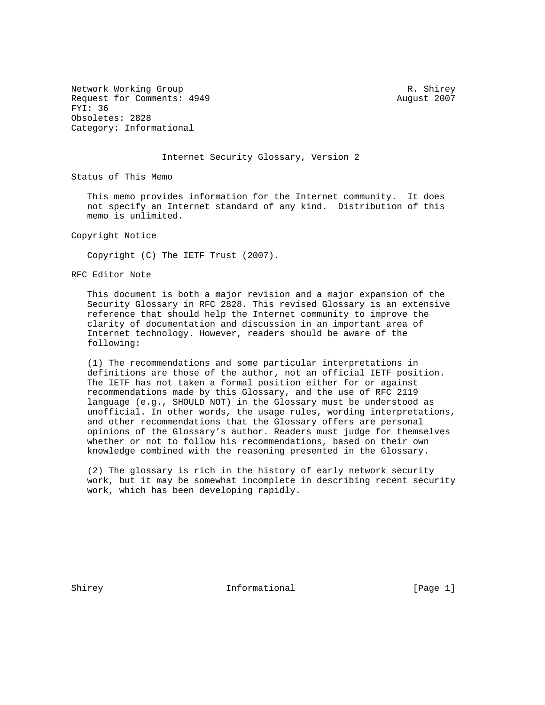Network Working Group **R. Shirey** R. Shirey Request for Comments: 4949 August 2007 FYI: 36 Obsoletes: 2828 Category: Informational

## Internet Security Glossary, Version 2

Status of This Memo

 This memo provides information for the Internet community. It does not specify an Internet standard of any kind. Distribution of this memo is unlimited.

Copyright Notice

Copyright (C) The IETF Trust (2007).

RFC Editor Note

 This document is both a major revision and a major expansion of the Security Glossary in RFC 2828. This revised Glossary is an extensive reference that should help the Internet community to improve the clarity of documentation and discussion in an important area of Internet technology. However, readers should be aware of the following:

 (1) The recommendations and some particular interpretations in definitions are those of the author, not an official IETF position. The IETF has not taken a formal position either for or against recommendations made by this Glossary, and the use of RFC 2119 language (e.g., SHOULD NOT) in the Glossary must be understood as unofficial. In other words, the usage rules, wording interpretations, and other recommendations that the Glossary offers are personal opinions of the Glossary's author. Readers must judge for themselves whether or not to follow his recommendations, based on their own knowledge combined with the reasoning presented in the Glossary.

 (2) The glossary is rich in the history of early network security work, but it may be somewhat incomplete in describing recent security work, which has been developing rapidly.

Shirey 11 Informational [Page 1]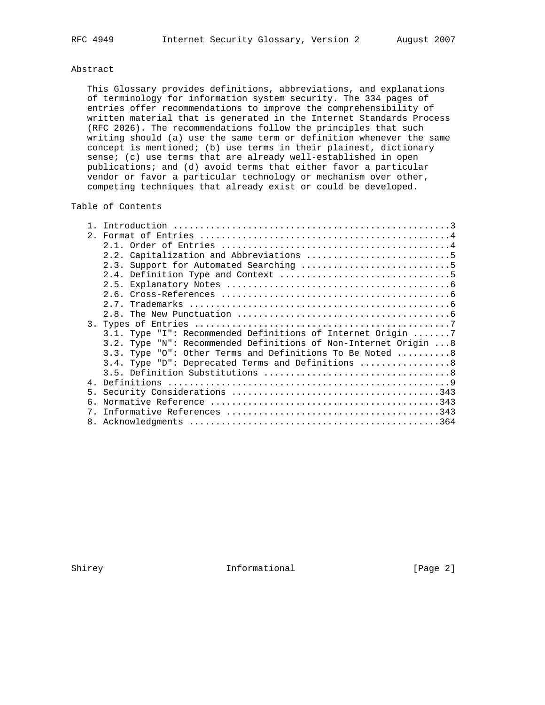# Abstract

 This Glossary provides definitions, abbreviations, and explanations of terminology for information system security. The 334 pages of entries offer recommendations to improve the comprehensibility of written material that is generated in the Internet Standards Process (RFC 2026). The recommendations follow the principles that such writing should (a) use the same term or definition whenever the same concept is mentioned; (b) use terms in their plainest, dictionary sense; (c) use terms that are already well-established in open publications; and (d) avoid terms that either favor a particular vendor or favor a particular technology or mechanism over other, competing techniques that already exist or could be developed.

# Table of Contents

|    | 3.1. Type "I": Recommended Definitions of Internet Origin 7     |
|----|-----------------------------------------------------------------|
|    | 3.2. Type "N": Recommended Definitions of Non-Internet Origin 8 |
|    | 3.3. Type "0": Other Terms and Definitions To Be Noted 8        |
|    | 3.4. Type "D": Deprecated Terms and Definitions  8              |
|    |                                                                 |
|    |                                                                 |
|    |                                                                 |
| б. |                                                                 |
| 7  |                                                                 |
|    |                                                                 |
|    |                                                                 |

Shirey **Informational** [Page 2]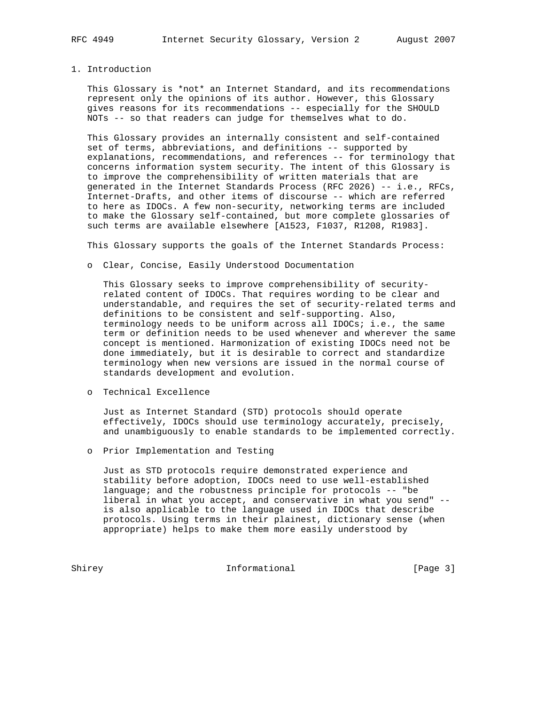### 1. Introduction

 This Glossary is \*not\* an Internet Standard, and its recommendations represent only the opinions of its author. However, this Glossary gives reasons for its recommendations -- especially for the SHOULD NOTs -- so that readers can judge for themselves what to do.

 This Glossary provides an internally consistent and self-contained set of terms, abbreviations, and definitions -- supported by explanations, recommendations, and references -- for terminology that concerns information system security. The intent of this Glossary is to improve the comprehensibility of written materials that are generated in the Internet Standards Process (RFC 2026) -- i.e., RFCs, Internet-Drafts, and other items of discourse -- which are referred to here as IDOCs. A few non-security, networking terms are included to make the Glossary self-contained, but more complete glossaries of such terms are available elsewhere [A1523, F1037, R1208, R1983].

This Glossary supports the goals of the Internet Standards Process:

o Clear, Concise, Easily Understood Documentation

 This Glossary seeks to improve comprehensibility of security related content of IDOCs. That requires wording to be clear and understandable, and requires the set of security-related terms and definitions to be consistent and self-supporting. Also, terminology needs to be uniform across all IDOCs; i.e., the same term or definition needs to be used whenever and wherever the same concept is mentioned. Harmonization of existing IDOCs need not be done immediately, but it is desirable to correct and standardize terminology when new versions are issued in the normal course of standards development and evolution.

o Technical Excellence

 Just as Internet Standard (STD) protocols should operate effectively, IDOCs should use terminology accurately, precisely, and unambiguously to enable standards to be implemented correctly.

o Prior Implementation and Testing

 Just as STD protocols require demonstrated experience and stability before adoption, IDOCs need to use well-established language; and the robustness principle for protocols -- "be liberal in what you accept, and conservative in what you send" - is also applicable to the language used in IDOCs that describe protocols. Using terms in their plainest, dictionary sense (when appropriate) helps to make them more easily understood by

Shirey **Informational** [Page 3]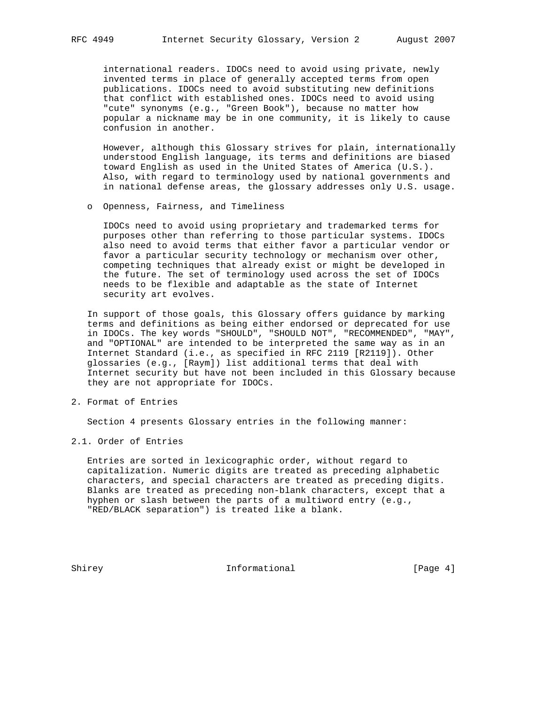international readers. IDOCs need to avoid using private, newly invented terms in place of generally accepted terms from open publications. IDOCs need to avoid substituting new definitions that conflict with established ones. IDOCs need to avoid using "cute" synonyms (e.g., "Green Book"), because no matter how popular a nickname may be in one community, it is likely to cause confusion in another.

 However, although this Glossary strives for plain, internationally understood English language, its terms and definitions are biased toward English as used in the United States of America (U.S.). Also, with regard to terminology used by national governments and in national defense areas, the glossary addresses only U.S. usage.

o Openness, Fairness, and Timeliness

 IDOCs need to avoid using proprietary and trademarked terms for purposes other than referring to those particular systems. IDOCs also need to avoid terms that either favor a particular vendor or favor a particular security technology or mechanism over other, competing techniques that already exist or might be developed in the future. The set of terminology used across the set of IDOCs needs to be flexible and adaptable as the state of Internet security art evolves.

 In support of those goals, this Glossary offers guidance by marking terms and definitions as being either endorsed or deprecated for use in IDOCs. The key words "SHOULD", "SHOULD NOT", "RECOMMENDED", "MAY", and "OPTIONAL" are intended to be interpreted the same way as in an Internet Standard (i.e., as specified in RFC 2119 [R2119]). Other glossaries (e.g., [Raym]) list additional terms that deal with Internet security but have not been included in this Glossary because they are not appropriate for IDOCs.

2. Format of Entries

Section 4 presents Glossary entries in the following manner:

2.1. Order of Entries

 Entries are sorted in lexicographic order, without regard to capitalization. Numeric digits are treated as preceding alphabetic characters, and special characters are treated as preceding digits. Blanks are treated as preceding non-blank characters, except that a hyphen or slash between the parts of a multiword entry (e.g., "RED/BLACK separation") is treated like a blank.

Shirey **Informational** [Page 4]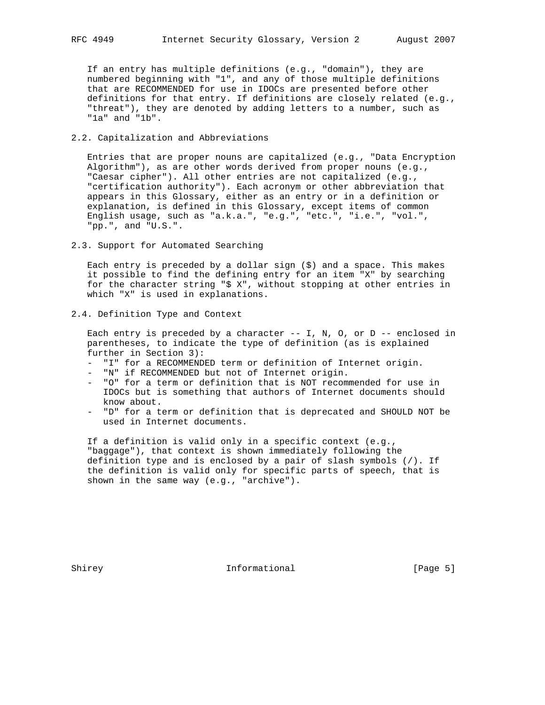If an entry has multiple definitions (e.g., "domain"), they are numbered beginning with "1", and any of those multiple definitions that are RECOMMENDED for use in IDOCs are presented before other definitions for that entry. If definitions are closely related (e.g., "threat"), they are denoted by adding letters to a number, such as "1a" and "1b".

## 2.2. Capitalization and Abbreviations

 Entries that are proper nouns are capitalized (e.g., "Data Encryption Algorithm"), as are other words derived from proper nouns (e.g., "Caesar cipher"). All other entries are not capitalized (e.g., "certification authority"). Each acronym or other abbreviation that appears in this Glossary, either as an entry or in a definition or explanation, is defined in this Glossary, except items of common English usage, such as "a.k.a.", "e.g.", "etc.", "i.e.", "vol.", "pp.", and "U.S.".

2.3. Support for Automated Searching

 Each entry is preceded by a dollar sign (\$) and a space. This makes it possible to find the defining entry for an item "X" by searching for the character string "\$ X", without stopping at other entries in which "X" is used in explanations.

2.4. Definition Type and Context

Each entry is preceded by a character  $--$  I, N, O, or D  $--$  enclosed in parentheses, to indicate the type of definition (as is explained further in Section 3):

- "I" for a RECOMMENDED term or definition of Internet origin.
- "N" if RECOMMENDED but not of Internet origin.
- "O" for a term or definition that is NOT recommended for use in IDOCs but is something that authors of Internet documents should know about.
- "D" for a term or definition that is deprecated and SHOULD NOT be used in Internet documents.

 If a definition is valid only in a specific context (e.g., "baggage"), that context is shown immediately following the definition type and is enclosed by a pair of slash symbols (/). If the definition is valid only for specific parts of speech, that is shown in the same way (e.g., "archive").

Shirey **Informational** [Page 5]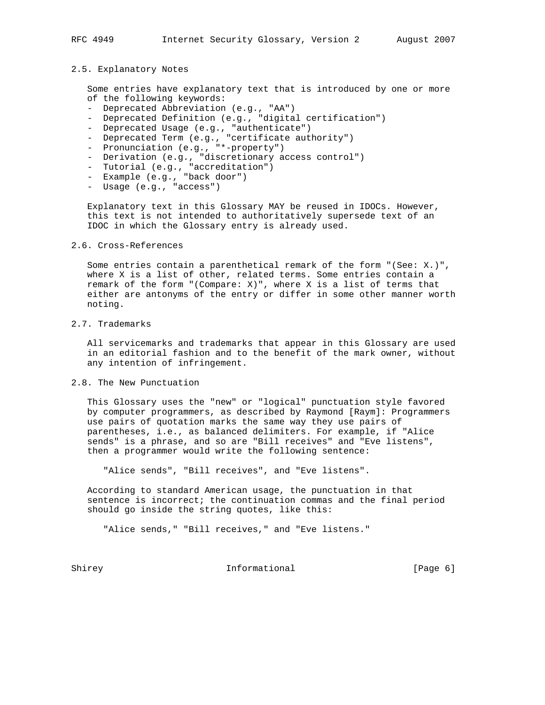### 2.5. Explanatory Notes

 Some entries have explanatory text that is introduced by one or more of the following keywords:

- Deprecated Abbreviation (e.g., "AA")
- Deprecated Definition (e.g., "digital certification")
- Deprecated Usage (e.g., "authenticate")
- Deprecated Term (e.g., "certificate authority")
- Pronunciation (e.g., "\*-property")
- Derivation (e.g., "discretionary access control")
- Tutorial (e.g., "accreditation")
- Example (e.g., "back door")
- Usage (e.g., "access")

 Explanatory text in this Glossary MAY be reused in IDOCs. However, this text is not intended to authoritatively supersede text of an IDOC in which the Glossary entry is already used.

# 2.6. Cross-References

 Some entries contain a parenthetical remark of the form "(See: X.)", where X is a list of other, related terms. Some entries contain a remark of the form "(Compare: X)", where X is a list of terms that either are antonyms of the entry or differ in some other manner worth noting.

# 2.7. Trademarks

 All servicemarks and trademarks that appear in this Glossary are used in an editorial fashion and to the benefit of the mark owner, without any intention of infringement.

# 2.8. The New Punctuation

 This Glossary uses the "new" or "logical" punctuation style favored by computer programmers, as described by Raymond [Raym]: Programmers use pairs of quotation marks the same way they use pairs of parentheses, i.e., as balanced delimiters. For example, if "Alice sends" is a phrase, and so are "Bill receives" and "Eve listens", then a programmer would write the following sentence:

"Alice sends", "Bill receives", and "Eve listens".

 According to standard American usage, the punctuation in that sentence is incorrect; the continuation commas and the final period should go inside the string quotes, like this:

"Alice sends," "Bill receives," and "Eve listens."

Shirey **Informational** Informational [Page 6]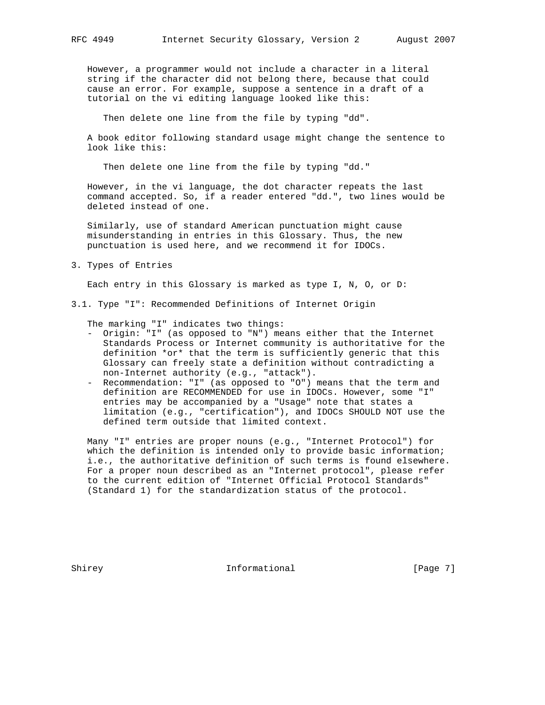However, a programmer would not include a character in a literal string if the character did not belong there, because that could cause an error. For example, suppose a sentence in a draft of a tutorial on the vi editing language looked like this:

Then delete one line from the file by typing "dd".

 A book editor following standard usage might change the sentence to look like this:

Then delete one line from the file by typing "dd."

 However, in the vi language, the dot character repeats the last command accepted. So, if a reader entered "dd.", two lines would be deleted instead of one.

 Similarly, use of standard American punctuation might cause misunderstanding in entries in this Glossary. Thus, the new punctuation is used here, and we recommend it for IDOCs.

3. Types of Entries

Each entry in this Glossary is marked as type I, N, O, or D:

3.1. Type "I": Recommended Definitions of Internet Origin

The marking "I" indicates two things:

- Origin: "I" (as opposed to "N") means either that the Internet Standards Process or Internet community is authoritative for the definition \*or\* that the term is sufficiently generic that this Glossary can freely state a definition without contradicting a non-Internet authority (e.g., "attack").
- Recommendation: "I" (as opposed to "O") means that the term and definition are RECOMMENDED for use in IDOCs. However, some "I" entries may be accompanied by a "Usage" note that states a limitation (e.g., "certification"), and IDOCs SHOULD NOT use the defined term outside that limited context.

 Many "I" entries are proper nouns (e.g., "Internet Protocol") for which the definition is intended only to provide basic information; i.e., the authoritative definition of such terms is found elsewhere. For a proper noun described as an "Internet protocol", please refer to the current edition of "Internet Official Protocol Standards" (Standard 1) for the standardization status of the protocol.

Shirey **Informational** [Page 7]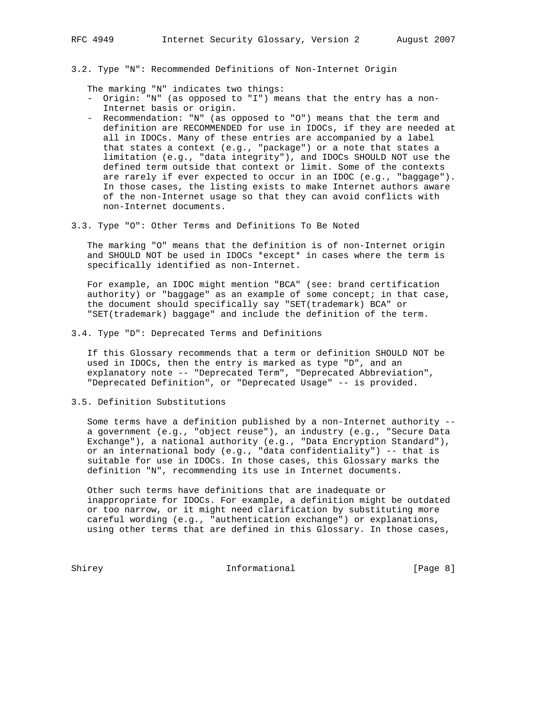3.2. Type "N": Recommended Definitions of Non-Internet Origin

The marking "N" indicates two things:

- Origin: "N" (as opposed to "I") means that the entry has a non- Internet basis or origin.
- Recommendation: "N" (as opposed to "O") means that the term and definition are RECOMMENDED for use in IDOCs, if they are needed at all in IDOCs. Many of these entries are accompanied by a label that states a context (e.g., "package") or a note that states a limitation (e.g., "data integrity"), and IDOCs SHOULD NOT use the defined term outside that context or limit. Some of the contexts are rarely if ever expected to occur in an IDOC (e.g., "baggage"). In those cases, the listing exists to make Internet authors aware of the non-Internet usage so that they can avoid conflicts with non-Internet documents.
- 3.3. Type "O": Other Terms and Definitions To Be Noted

 The marking "O" means that the definition is of non-Internet origin and SHOULD NOT be used in IDOCs \*except\* in cases where the term is specifically identified as non-Internet.

 For example, an IDOC might mention "BCA" (see: brand certification authority) or "baggage" as an example of some concept; in that case, the document should specifically say "SET(trademark) BCA" or "SET(trademark) baggage" and include the definition of the term.

3.4. Type "D": Deprecated Terms and Definitions

 If this Glossary recommends that a term or definition SHOULD NOT be used in IDOCs, then the entry is marked as type "D", and an explanatory note -- "Deprecated Term", "Deprecated Abbreviation", "Deprecated Definition", or "Deprecated Usage" -- is provided.

3.5. Definition Substitutions

 Some terms have a definition published by a non-Internet authority - a government (e.g., "object reuse"), an industry (e.g., "Secure Data Exchange"), a national authority (e.g., "Data Encryption Standard"), or an international body (e.g., "data confidentiality") -- that is suitable for use in IDOCs. In those cases, this Glossary marks the definition "N", recommending its use in Internet documents.

 Other such terms have definitions that are inadequate or inappropriate for IDOCs. For example, a definition might be outdated or too narrow, or it might need clarification by substituting more careful wording (e.g., "authentication exchange") or explanations, using other terms that are defined in this Glossary. In those cases,

Shirey Informational [Page 8]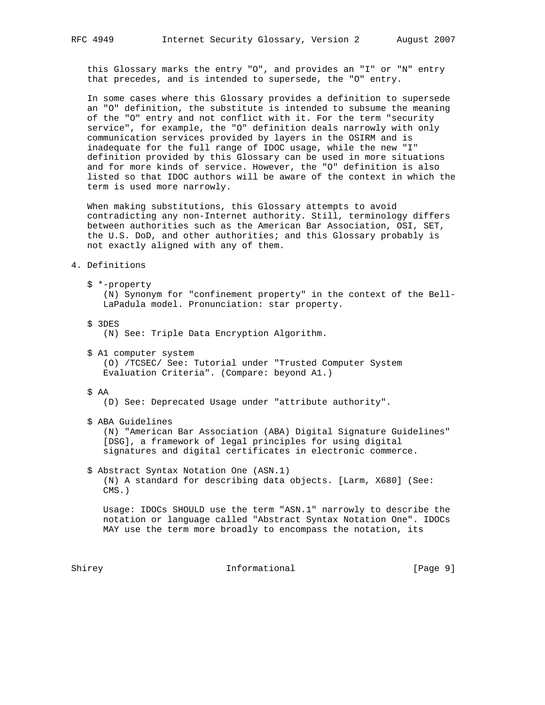this Glossary marks the entry "O", and provides an "I" or "N" entry that precedes, and is intended to supersede, the "O" entry.

 In some cases where this Glossary provides a definition to supersede an "O" definition, the substitute is intended to subsume the meaning of the "O" entry and not conflict with it. For the term "security service", for example, the "O" definition deals narrowly with only communication services provided by layers in the OSIRM and is inadequate for the full range of IDOC usage, while the new "I" definition provided by this Glossary can be used in more situations and for more kinds of service. However, the "O" definition is also listed so that IDOC authors will be aware of the context in which the term is used more narrowly.

 When making substitutions, this Glossary attempts to avoid contradicting any non-Internet authority. Still, terminology differs between authorities such as the American Bar Association, OSI, SET, the U.S. DoD, and other authorities; and this Glossary probably is not exactly aligned with any of them.

#### 4. Definitions

- \$ \*-property (N) Synonym for "confinement property" in the context of the Bell- LaPadula model. Pronunciation: star property.
- \$ 3DES (N) See: Triple Data Encryption Algorithm.
- \$ A1 computer system (O) /TCSEC/ See: Tutorial under "Trusted Computer System Evaluation Criteria". (Compare: beyond A1.)

# \$ AA

(D) See: Deprecated Usage under "attribute authority".

\$ ABA Guidelines

 (N) "American Bar Association (ABA) Digital Signature Guidelines" [DSG], a framework of legal principles for using digital signatures and digital certificates in electronic commerce.

 \$ Abstract Syntax Notation One (ASN.1) (N) A standard for describing data objects. [Larm, X680] (See: CMS.)

 Usage: IDOCs SHOULD use the term "ASN.1" narrowly to describe the notation or language called "Abstract Syntax Notation One". IDOCs MAY use the term more broadly to encompass the notation, its

Shirey **Informational Informational** [Page 9]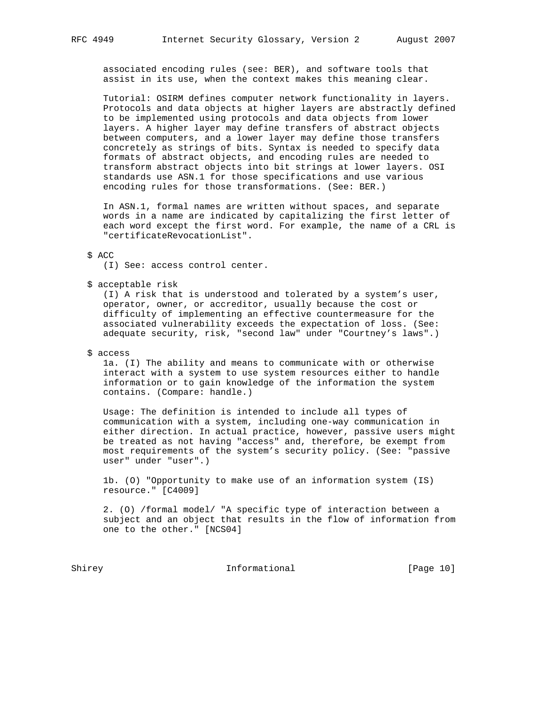associated encoding rules (see: BER), and software tools that assist in its use, when the context makes this meaning clear.

 Tutorial: OSIRM defines computer network functionality in layers. Protocols and data objects at higher layers are abstractly defined to be implemented using protocols and data objects from lower layers. A higher layer may define transfers of abstract objects between computers, and a lower layer may define those transfers concretely as strings of bits. Syntax is needed to specify data formats of abstract objects, and encoding rules are needed to transform abstract objects into bit strings at lower layers. OSI standards use ASN.1 for those specifications and use various encoding rules for those transformations. (See: BER.)

 In ASN.1, formal names are written without spaces, and separate words in a name are indicated by capitalizing the first letter of each word except the first word. For example, the name of a CRL is "certificateRevocationList".

#### \$ ACC

(I) See: access control center.

\$ acceptable risk

 (I) A risk that is understood and tolerated by a system's user, operator, owner, or accreditor, usually because the cost or difficulty of implementing an effective countermeasure for the associated vulnerability exceeds the expectation of loss. (See: adequate security, risk, "second law" under "Courtney's laws".)

\$ access

 1a. (I) The ability and means to communicate with or otherwise interact with a system to use system resources either to handle information or to gain knowledge of the information the system contains. (Compare: handle.)

 Usage: The definition is intended to include all types of communication with a system, including one-way communication in either direction. In actual practice, however, passive users might be treated as not having "access" and, therefore, be exempt from most requirements of the system's security policy. (See: "passive user" under "user".)

 1b. (O) "Opportunity to make use of an information system (IS) resource." [C4009]

 2. (O) /formal model/ "A specific type of interaction between a subject and an object that results in the flow of information from one to the other." [NCS04]

Shirey **Informational** [Page 10]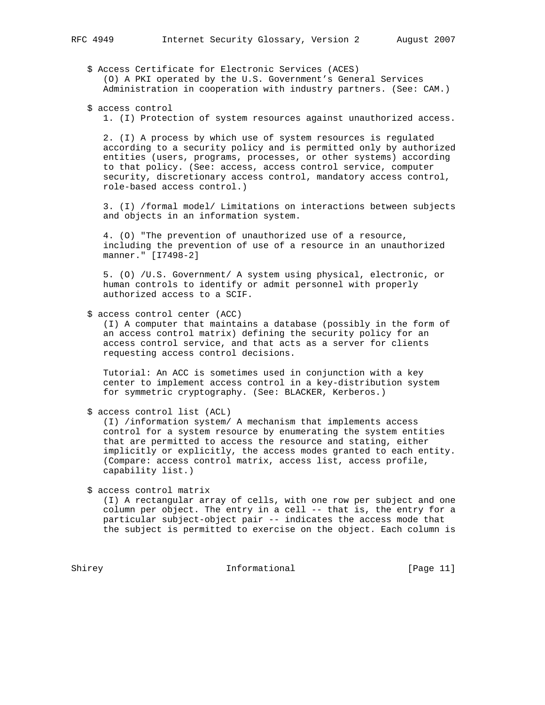\$ Access Certificate for Electronic Services (ACES) (O) A PKI operated by the U.S. Government's General Services Administration in cooperation with industry partners. (See: CAM.)

\$ access control

1. (I) Protection of system resources against unauthorized access.

 2. (I) A process by which use of system resources is regulated according to a security policy and is permitted only by authorized entities (users, programs, processes, or other systems) according to that policy. (See: access, access control service, computer security, discretionary access control, mandatory access control, role-based access control.)

 3. (I) /formal model/ Limitations on interactions between subjects and objects in an information system.

 4. (O) "The prevention of unauthorized use of a resource, including the prevention of use of a resource in an unauthorized manner." [I7498-2]

 5. (O) /U.S. Government/ A system using physical, electronic, or human controls to identify or admit personnel with properly authorized access to a SCIF.

\$ access control center (ACC)

 (I) A computer that maintains a database (possibly in the form of an access control matrix) defining the security policy for an access control service, and that acts as a server for clients requesting access control decisions.

 Tutorial: An ACC is sometimes used in conjunction with a key center to implement access control in a key-distribution system for symmetric cryptography. (See: BLACKER, Kerberos.)

\$ access control list (ACL)

 (I) /information system/ A mechanism that implements access control for a system resource by enumerating the system entities that are permitted to access the resource and stating, either implicitly or explicitly, the access modes granted to each entity. (Compare: access control matrix, access list, access profile, capability list.)

\$ access control matrix

 (I) A rectangular array of cells, with one row per subject and one column per object. The entry in a cell -- that is, the entry for a particular subject-object pair -- indicates the access mode that the subject is permitted to exercise on the object. Each column is

Shirey **Informational** [Page 11]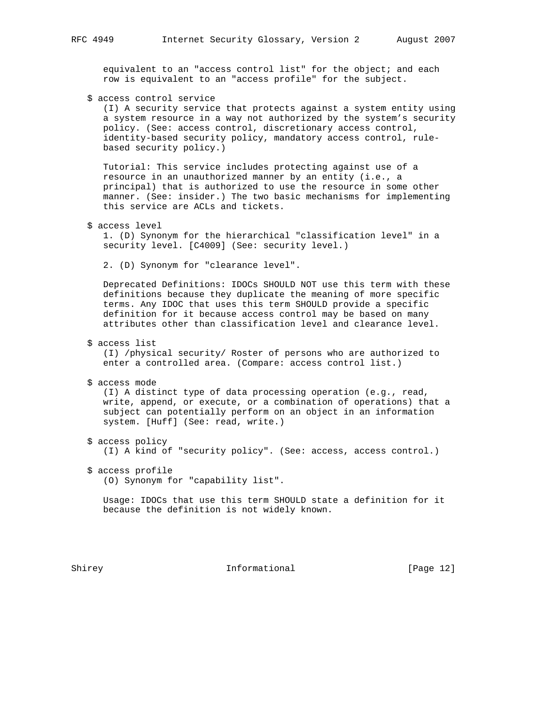equivalent to an "access control list" for the object; and each row is equivalent to an "access profile" for the subject.

\$ access control service

 (I) A security service that protects against a system entity using a system resource in a way not authorized by the system's security policy. (See: access control, discretionary access control, identity-based security policy, mandatory access control, rule based security policy.)

 Tutorial: This service includes protecting against use of a resource in an unauthorized manner by an entity (i.e., a principal) that is authorized to use the resource in some other manner. (See: insider.) The two basic mechanisms for implementing this service are ACLs and tickets.

```
 $ access level
```
 1. (D) Synonym for the hierarchical "classification level" in a security level. [C4009] (See: security level.)

2. (D) Synonym for "clearance level".

 Deprecated Definitions: IDOCs SHOULD NOT use this term with these definitions because they duplicate the meaning of more specific terms. Any IDOC that uses this term SHOULD provide a specific definition for it because access control may be based on many attributes other than classification level and clearance level.

\$ access list

 (I) /physical security/ Roster of persons who are authorized to enter a controlled area. (Compare: access control list.)

\$ access mode

 (I) A distinct type of data processing operation (e.g., read, write, append, or execute, or a combination of operations) that a subject can potentially perform on an object in an information system. [Huff] (See: read, write.)

- \$ access policy (I) A kind of "security policy". (See: access, access control.)
- \$ access profile (O) Synonym for "capability list".

 Usage: IDOCs that use this term SHOULD state a definition for it because the definition is not widely known.

Shirey **Informational** [Page 12]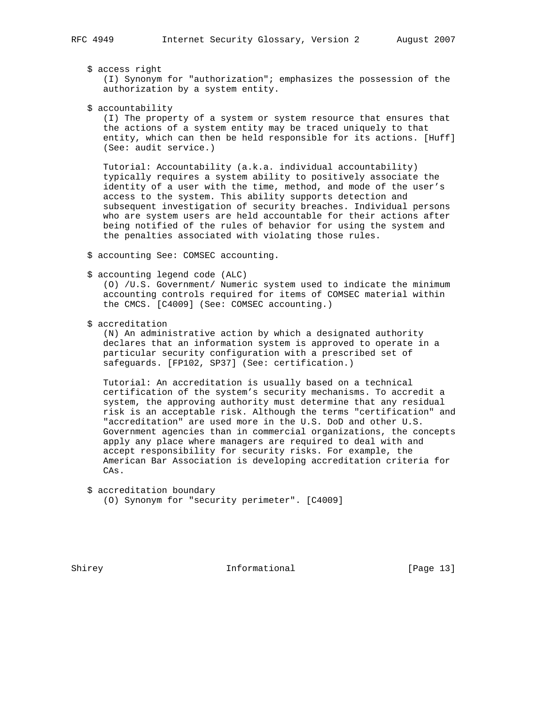\$ access right

 (I) Synonym for "authorization"; emphasizes the possession of the authorization by a system entity.

\$ accountability

 (I) The property of a system or system resource that ensures that the actions of a system entity may be traced uniquely to that entity, which can then be held responsible for its actions. [Huff] (See: audit service.)

 Tutorial: Accountability (a.k.a. individual accountability) typically requires a system ability to positively associate the identity of a user with the time, method, and mode of the user's access to the system. This ability supports detection and subsequent investigation of security breaches. Individual persons who are system users are held accountable for their actions after being notified of the rules of behavior for using the system and the penalties associated with violating those rules.

- \$ accounting See: COMSEC accounting.
- \$ accounting legend code (ALC)

 (O) /U.S. Government/ Numeric system used to indicate the minimum accounting controls required for items of COMSEC material within the CMCS. [C4009] (See: COMSEC accounting.)

\$ accreditation

 (N) An administrative action by which a designated authority declares that an information system is approved to operate in a particular security configuration with a prescribed set of safeguards. [FP102, SP37] (See: certification.)

 Tutorial: An accreditation is usually based on a technical certification of the system's security mechanisms. To accredit a system, the approving authority must determine that any residual risk is an acceptable risk. Although the terms "certification" and "accreditation" are used more in the U.S. DoD and other U.S. Government agencies than in commercial organizations, the concepts apply any place where managers are required to deal with and accept responsibility for security risks. For example, the American Bar Association is developing accreditation criteria for CAs.

- \$ accreditation boundary
	- (O) Synonym for "security perimeter". [C4009]

Shirey **Informational** [Page 13]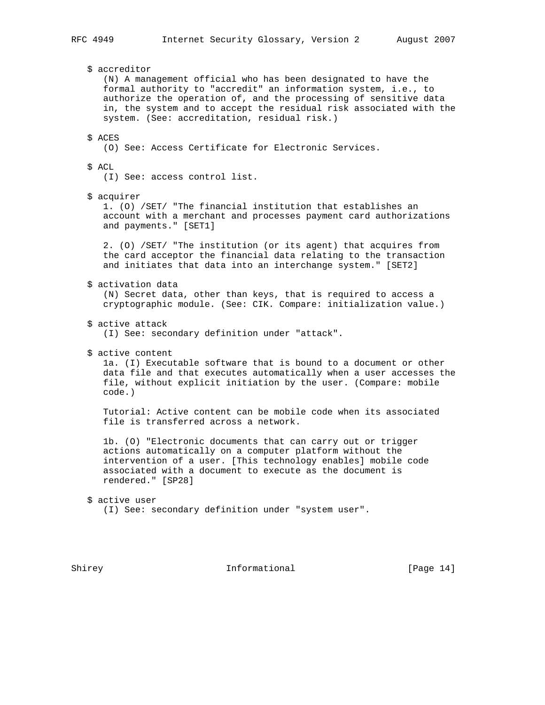\$ accreditor (N) A management official who has been designated to have the formal authority to "accredit" an information system, i.e., to authorize the operation of, and the processing of sensitive data in, the system and to accept the residual risk associated with the system. (See: accreditation, residual risk.) \$ ACES (O) See: Access Certificate for Electronic Services. \$ ACL (I) See: access control list. \$ acquirer 1. (O) /SET/ "The financial institution that establishes an account with a merchant and processes payment card authorizations and payments." [SET1] 2. (O) /SET/ "The institution (or its agent) that acquires from the card acceptor the financial data relating to the transaction and initiates that data into an interchange system." [SET2] \$ activation data (N) Secret data, other than keys, that is required to access a cryptographic module. (See: CIK. Compare: initialization value.) \$ active attack (I) See: secondary definition under "attack". \$ active content 1a. (I) Executable software that is bound to a document or other data file and that executes automatically when a user accesses the file, without explicit initiation by the user. (Compare: mobile code.) Tutorial: Active content can be mobile code when its associated file is transferred across a network. 1b. (O) "Electronic documents that can carry out or trigger actions automatically on a computer platform without the intervention of a user. [This technology enables] mobile code associated with a document to execute as the document is rendered." [SP28] \$ active user (I) See: secondary definition under "system user".

Shirey **Informational** [Page 14]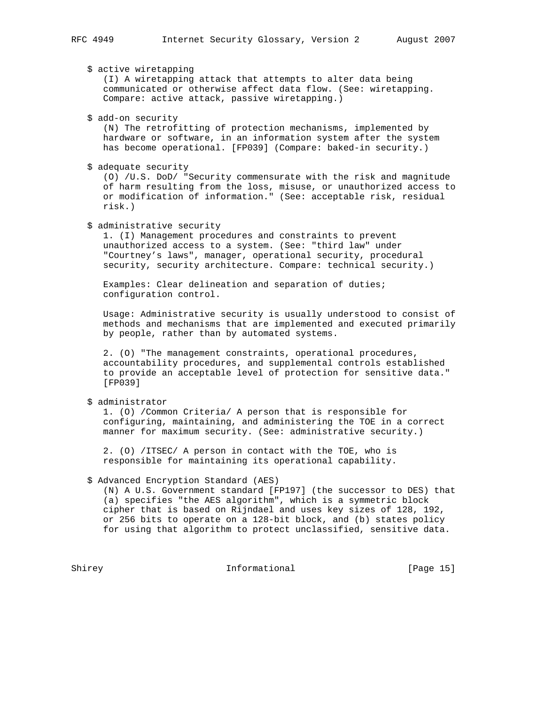\$ active wiretapping (I) A wiretapping attack that attempts to alter data being communicated or otherwise affect data flow. (See: wiretapping. Compare: active attack, passive wiretapping.)

\$ add-on security

 (N) The retrofitting of protection mechanisms, implemented by hardware or software, in an information system after the system has become operational. [FP039] (Compare: baked-in security.)

\$ adequate security

 (O) /U.S. DoD/ "Security commensurate with the risk and magnitude of harm resulting from the loss, misuse, or unauthorized access to or modification of information." (See: acceptable risk, residual risk.)

\$ administrative security

 1. (I) Management procedures and constraints to prevent unauthorized access to a system. (See: "third law" under "Courtney's laws", manager, operational security, procedural security, security architecture. Compare: technical security.)

 Examples: Clear delineation and separation of duties; configuration control.

 Usage: Administrative security is usually understood to consist of methods and mechanisms that are implemented and executed primarily by people, rather than by automated systems.

 2. (O) "The management constraints, operational procedures, accountability procedures, and supplemental controls established to provide an acceptable level of protection for sensitive data." [FP039]

\$ administrator

 1. (O) /Common Criteria/ A person that is responsible for configuring, maintaining, and administering the TOE in a correct manner for maximum security. (See: administrative security.)

 2. (O) /ITSEC/ A person in contact with the TOE, who is responsible for maintaining its operational capability.

\$ Advanced Encryption Standard (AES)

 (N) A U.S. Government standard [FP197] (the successor to DES) that (a) specifies "the AES algorithm", which is a symmetric block cipher that is based on Rijndael and uses key sizes of 128, 192, or 256 bits to operate on a 128-bit block, and (b) states policy for using that algorithm to protect unclassified, sensitive data.

Shirey Informational [Page 15]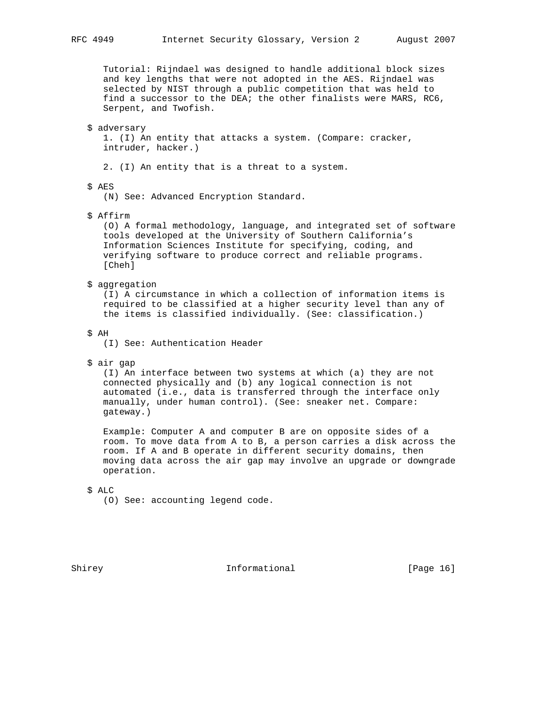Tutorial: Rijndael was designed to handle additional block sizes and key lengths that were not adopted in the AES. Rijndael was selected by NIST through a public competition that was held to find a successor to the DEA; the other finalists were MARS, RC6, Serpent, and Twofish.

### \$ adversary

 1. (I) An entity that attacks a system. (Compare: cracker, intruder, hacker.)

2. (I) An entity that is a threat to a system.

# \$ AES

(N) See: Advanced Encryption Standard.

#### \$ Affirm

 (O) A formal methodology, language, and integrated set of software tools developed at the University of Southern California's Information Sciences Institute for specifying, coding, and verifying software to produce correct and reliable programs. [Cheh]

\$ aggregation

 (I) A circumstance in which a collection of information items is required to be classified at a higher security level than any of the items is classified individually. (See: classification.)

## \$ AH

(I) See: Authentication Header

#### \$ air gap

 (I) An interface between two systems at which (a) they are not connected physically and (b) any logical connection is not automated (i.e., data is transferred through the interface only manually, under human control). (See: sneaker net. Compare: gateway.)

 Example: Computer A and computer B are on opposite sides of a room. To move data from A to B, a person carries a disk across the room. If A and B operate in different security domains, then moving data across the air gap may involve an upgrade or downgrade operation.

#### \$ ALC

(O) See: accounting legend code.

Shirey **Informational** [Page 16]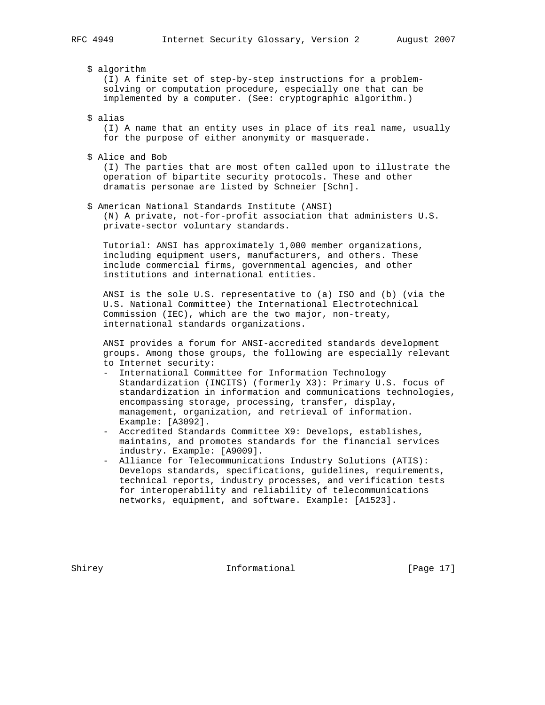\$ algorithm

 (I) A finite set of step-by-step instructions for a problem solving or computation procedure, especially one that can be implemented by a computer. (See: cryptographic algorithm.)

\$ alias

 (I) A name that an entity uses in place of its real name, usually for the purpose of either anonymity or masquerade.

\$ Alice and Bob

 (I) The parties that are most often called upon to illustrate the operation of bipartite security protocols. These and other dramatis personae are listed by Schneier [Schn].

 \$ American National Standards Institute (ANSI) (N) A private, not-for-profit association that administers U.S. private-sector voluntary standards.

 Tutorial: ANSI has approximately 1,000 member organizations, including equipment users, manufacturers, and others. These include commercial firms, governmental agencies, and other institutions and international entities.

 ANSI is the sole U.S. representative to (a) ISO and (b) (via the U.S. National Committee) the International Electrotechnical Commission (IEC), which are the two major, non-treaty, international standards organizations.

 ANSI provides a forum for ANSI-accredited standards development groups. Among those groups, the following are especially relevant to Internet security:

- International Committee for Information Technology Standardization (INCITS) (formerly X3): Primary U.S. focus of standardization in information and communications technologies, encompassing storage, processing, transfer, display, management, organization, and retrieval of information. Example: [A3092].
- Accredited Standards Committee X9: Develops, establishes, maintains, and promotes standards for the financial services industry. Example: [A9009].
- Alliance for Telecommunications Industry Solutions (ATIS): Develops standards, specifications, guidelines, requirements, technical reports, industry processes, and verification tests for interoperability and reliability of telecommunications networks, equipment, and software. Example: [A1523].

Shirey **Informational** [Page 17]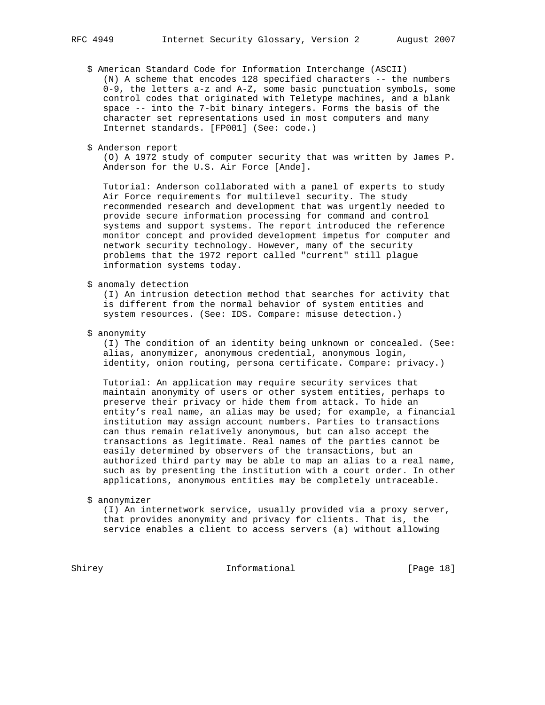- \$ American Standard Code for Information Interchange (ASCII) (N) A scheme that encodes 128 specified characters -- the numbers 0-9, the letters a-z and A-Z, some basic punctuation symbols, some control codes that originated with Teletype machines, and a blank space -- into the 7-bit binary integers. Forms the basis of the character set representations used in most computers and many Internet standards. [FP001] (See: code.)
- \$ Anderson report

 (O) A 1972 study of computer security that was written by James P. Anderson for the U.S. Air Force [Ande].

 Tutorial: Anderson collaborated with a panel of experts to study Air Force requirements for multilevel security. The study recommended research and development that was urgently needed to provide secure information processing for command and control systems and support systems. The report introduced the reference monitor concept and provided development impetus for computer and network security technology. However, many of the security problems that the 1972 report called "current" still plague information systems today.

\$ anomaly detection

 (I) An intrusion detection method that searches for activity that is different from the normal behavior of system entities and system resources. (See: IDS. Compare: misuse detection.)

\$ anonymity

 (I) The condition of an identity being unknown or concealed. (See: alias, anonymizer, anonymous credential, anonymous login, identity, onion routing, persona certificate. Compare: privacy.)

 Tutorial: An application may require security services that maintain anonymity of users or other system entities, perhaps to preserve their privacy or hide them from attack. To hide an entity's real name, an alias may be used; for example, a financial institution may assign account numbers. Parties to transactions can thus remain relatively anonymous, but can also accept the transactions as legitimate. Real names of the parties cannot be easily determined by observers of the transactions, but an authorized third party may be able to map an alias to a real name, such as by presenting the institution with a court order. In other applications, anonymous entities may be completely untraceable.

\$ anonymizer

 (I) An internetwork service, usually provided via a proxy server, that provides anonymity and privacy for clients. That is, the service enables a client to access servers (a) without allowing

Shirey Informational [Page 18]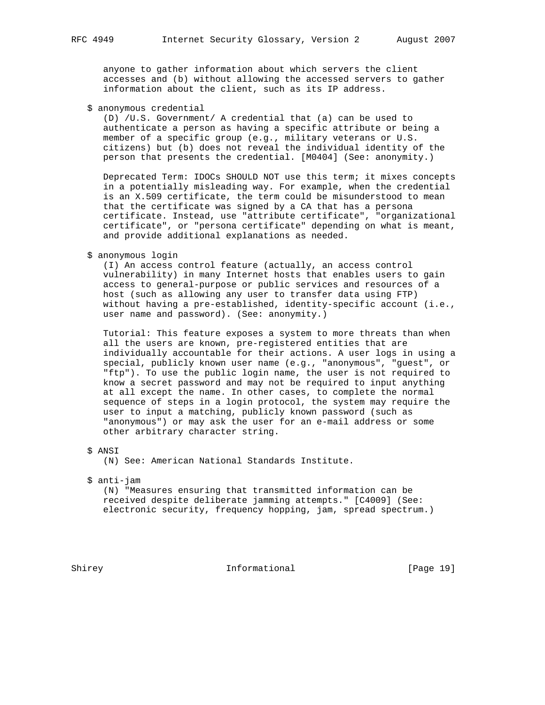anyone to gather information about which servers the client accesses and (b) without allowing the accessed servers to gather information about the client, such as its IP address.

\$ anonymous credential

 (D) /U.S. Government/ A credential that (a) can be used to authenticate a person as having a specific attribute or being a member of a specific group (e.g., military veterans or U.S. citizens) but (b) does not reveal the individual identity of the person that presents the credential. [M0404] (See: anonymity.)

 Deprecated Term: IDOCs SHOULD NOT use this term; it mixes concepts in a potentially misleading way. For example, when the credential is an X.509 certificate, the term could be misunderstood to mean that the certificate was signed by a CA that has a persona certificate. Instead, use "attribute certificate", "organizational certificate", or "persona certificate" depending on what is meant, and provide additional explanations as needed.

\$ anonymous login

 (I) An access control feature (actually, an access control vulnerability) in many Internet hosts that enables users to gain access to general-purpose or public services and resources of a host (such as allowing any user to transfer data using FTP) without having a pre-established, identity-specific account (i.e., user name and password). (See: anonymity.)

 Tutorial: This feature exposes a system to more threats than when all the users are known, pre-registered entities that are individually accountable for their actions. A user logs in using a special, publicly known user name (e.g., "anonymous", "guest", or "ftp"). To use the public login name, the user is not required to know a secret password and may not be required to input anything at all except the name. In other cases, to complete the normal sequence of steps in a login protocol, the system may require the user to input a matching, publicly known password (such as "anonymous") or may ask the user for an e-mail address or some other arbitrary character string.

(N) See: American National Standards Institute.

\$ anti-jam

 (N) "Measures ensuring that transmitted information can be received despite deliberate jamming attempts." [C4009] (See: electronic security, frequency hopping, jam, spread spectrum.)

Shirey Informational [Page 19]

 <sup>\$</sup> ANSI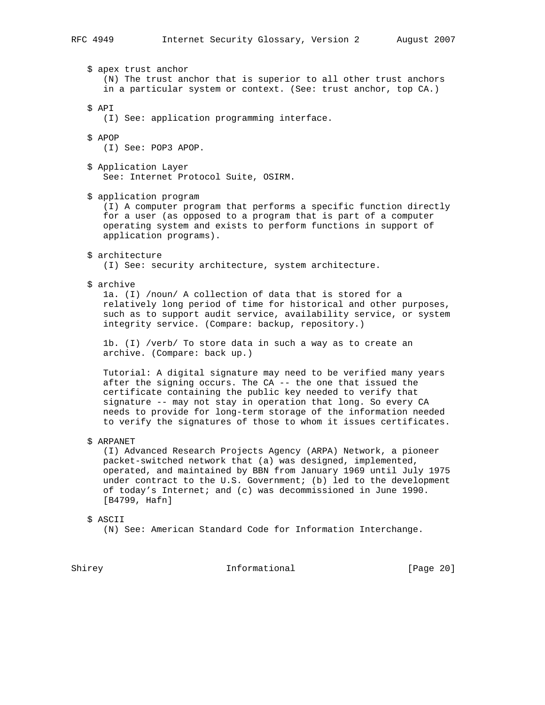\$ apex trust anchor (N) The trust anchor that is superior to all other trust anchors in a particular system or context. (See: trust anchor, top CA.) \$ API (I) See: application programming interface. \$ APOP (I) See: POP3 APOP. \$ Application Layer See: Internet Protocol Suite, OSIRM. \$ application program (I) A computer program that performs a specific function directly for a user (as opposed to a program that is part of a computer operating system and exists to perform functions in support of application programs). \$ architecture (I) See: security architecture, system architecture. \$ archive 1a. (I) /noun/ A collection of data that is stored for a relatively long period of time for historical and other purposes, such as to support audit service, availability service, or system integrity service. (Compare: backup, repository.) 1b. (I) /verb/ To store data in such a way as to create an archive. (Compare: back up.) Tutorial: A digital signature may need to be verified many years after the signing occurs. The CA -- the one that issued the certificate containing the public key needed to verify that signature -- may not stay in operation that long. So every CA needs to provide for long-term storage of the information needed to verify the signatures of those to whom it issues certificates. \$ ARPANET (I) Advanced Research Projects Agency (ARPA) Network, a pioneer packet-switched network that (a) was designed, implemented, operated, and maintained by BBN from January 1969 until July 1975 under contract to the U.S. Government; (b) led to the development of today's Internet; and (c) was decommissioned in June 1990.

\$ ASCII

[B4799, Hafn]

(N) See: American Standard Code for Information Interchange.

Shirey **Informational** [Page 20]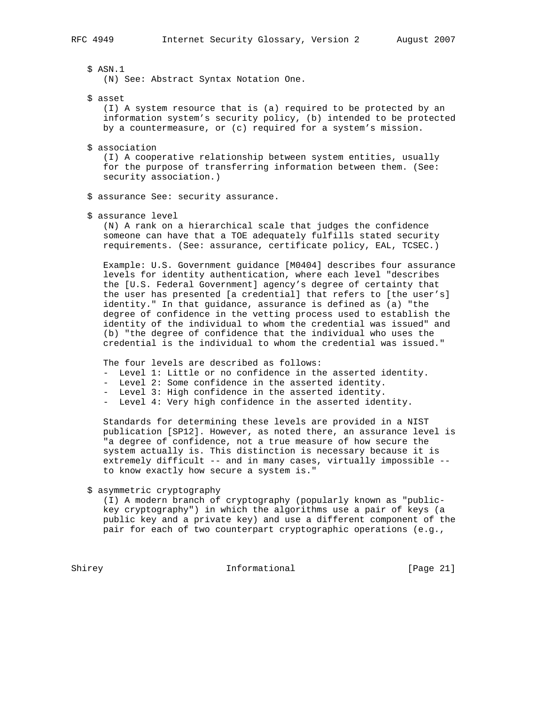\$ ASN.1

(N) See: Abstract Syntax Notation One.

\$ asset

 (I) A system resource that is (a) required to be protected by an information system's security policy, (b) intended to be protected by a countermeasure, or (c) required for a system's mission.

\$ association

 (I) A cooperative relationship between system entities, usually for the purpose of transferring information between them. (See: security association.)

- \$ assurance See: security assurance.
- \$ assurance level

 (N) A rank on a hierarchical scale that judges the confidence someone can have that a TOE adequately fulfills stated security requirements. (See: assurance, certificate policy, EAL, TCSEC.)

 Example: U.S. Government guidance [M0404] describes four assurance levels for identity authentication, where each level "describes the [U.S. Federal Government] agency's degree of certainty that the user has presented [a credential] that refers to [the user's] identity." In that guidance, assurance is defined as (a) "the degree of confidence in the vetting process used to establish the identity of the individual to whom the credential was issued" and (b) "the degree of confidence that the individual who uses the credential is the individual to whom the credential was issued."

The four levels are described as follows:

- Level 1: Little or no confidence in the asserted identity.
- Level 2: Some confidence in the asserted identity.
- Level 3: High confidence in the asserted identity.
- Level 4: Very high confidence in the asserted identity.

 Standards for determining these levels are provided in a NIST publication [SP12]. However, as noted there, an assurance level is "a degree of confidence, not a true measure of how secure the system actually is. This distinction is necessary because it is extremely difficult -- and in many cases, virtually impossible - to know exactly how secure a system is."

\$ asymmetric cryptography

 (I) A modern branch of cryptography (popularly known as "public key cryptography") in which the algorithms use a pair of keys (a public key and a private key) and use a different component of the pair for each of two counterpart cryptographic operations (e.g.,

Shirey **Informational** [Page 21]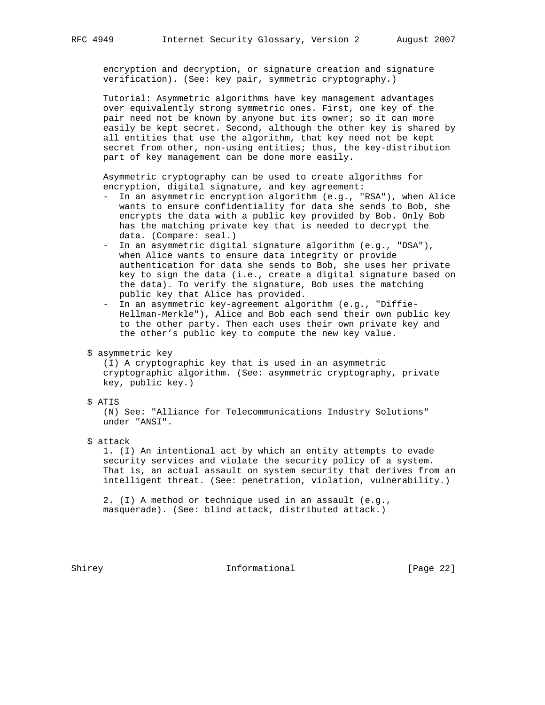encryption and decryption, or signature creation and signature verification). (See: key pair, symmetric cryptography.)

 Tutorial: Asymmetric algorithms have key management advantages over equivalently strong symmetric ones. First, one key of the pair need not be known by anyone but its owner; so it can more easily be kept secret. Second, although the other key is shared by all entities that use the algorithm, that key need not be kept secret from other, non-using entities; thus, the key-distribution part of key management can be done more easily.

 Asymmetric cryptography can be used to create algorithms for encryption, digital signature, and key agreement:

- In an asymmetric encryption algorithm (e.g., "RSA"), when Alice wants to ensure confidentiality for data she sends to Bob, she encrypts the data with a public key provided by Bob. Only Bob has the matching private key that is needed to decrypt the data. (Compare: seal.)
- In an asymmetric digital signature algorithm (e.g., "DSA"), when Alice wants to ensure data integrity or provide authentication for data she sends to Bob, she uses her private key to sign the data (i.e., create a digital signature based on the data). To verify the signature, Bob uses the matching public key that Alice has provided.
- In an asymmetric key-agreement algorithm (e.g., "Diffie- Hellman-Merkle"), Alice and Bob each send their own public key to the other party. Then each uses their own private key and the other's public key to compute the new key value.
- \$ asymmetric key

 (I) A cryptographic key that is used in an asymmetric cryptographic algorithm. (See: asymmetric cryptography, private key, public key.)

\$ ATIS

 (N) See: "Alliance for Telecommunications Industry Solutions" under "ANSI".

\$ attack

 1. (I) An intentional act by which an entity attempts to evade security services and violate the security policy of a system. That is, an actual assault on system security that derives from an intelligent threat. (See: penetration, violation, vulnerability.)

 2. (I) A method or technique used in an assault (e.g., masquerade). (See: blind attack, distributed attack.)

Shirey **Informational** [Page 22]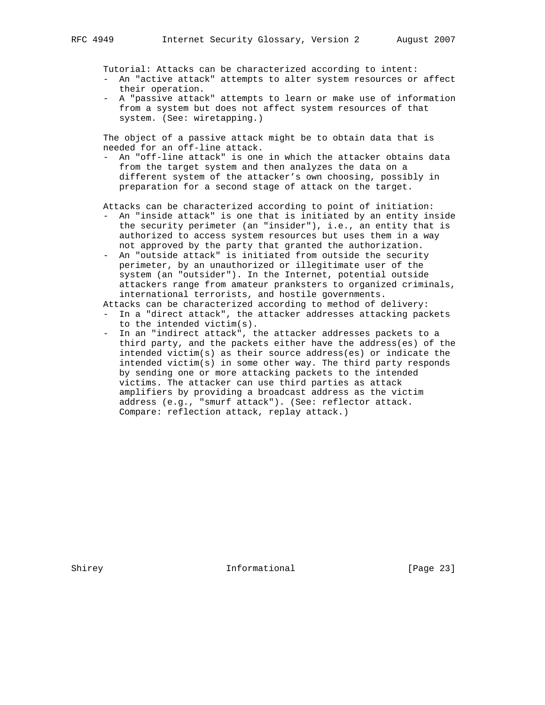Tutorial: Attacks can be characterized according to intent:

- An "active attack" attempts to alter system resources or affect their operation.
- A "passive attack" attempts to learn or make use of information from a system but does not affect system resources of that system. (See: wiretapping.)

 The object of a passive attack might be to obtain data that is needed for an off-line attack.

 - An "off-line attack" is one in which the attacker obtains data from the target system and then analyzes the data on a different system of the attacker's own choosing, possibly in preparation for a second stage of attack on the target.

Attacks can be characterized according to point of initiation:

- An "inside attack" is one that is initiated by an entity inside the security perimeter (an "insider"), i.e., an entity that is authorized to access system resources but uses them in a way not approved by the party that granted the authorization.
- An "outside attack" is initiated from outside the security perimeter, by an unauthorized or illegitimate user of the system (an "outsider"). In the Internet, potential outside attackers range from amateur pranksters to organized criminals, international terrorists, and hostile governments.

Attacks can be characterized according to method of delivery:

- In a "direct attack", the attacker addresses attacking packets to the intended victim(s).
- In an "indirect attack", the attacker addresses packets to a third party, and the packets either have the address(es) of the intended victim(s) as their source address(es) or indicate the intended victim(s) in some other way. The third party responds by sending one or more attacking packets to the intended victims. The attacker can use third parties as attack amplifiers by providing a broadcast address as the victim address (e.g., "smurf attack"). (See: reflector attack. Compare: reflection attack, replay attack.)

Shirey **Informational** [Page 23]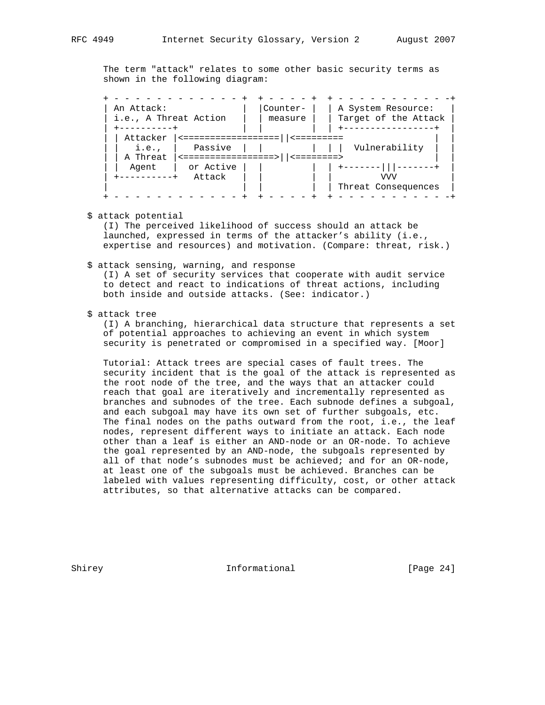The term "attack" relates to some other basic security terms as shown in the following diagram:

 + - - - - - - - - - - - - + + - - - - + + - - - - - - - - - - -+ | An Attack: | |Counter- | | A System Resource: | | i.e., A Threat Action | | measure | | Target of the Attack | | +----------+ | | | | +-----------------+ | | | Attacker |<==================||<========= | | | | i.e., | Passive | | | | | Vulnerability | | | A Threat  $|$  <================> | | <========> | | Agent | or Active | | | | +-------|||-------+ | | +----------+ Attack | | | | VVV | | | | | | Threat Consequences | + - - - - - - - - - - - - + + - - - - + + - - - - - - - - - - -+

\$ attack potential

 (I) The perceived likelihood of success should an attack be launched, expressed in terms of the attacker's ability (i.e., expertise and resources) and motivation. (Compare: threat, risk.)

#### \$ attack sensing, warning, and response

 (I) A set of security services that cooperate with audit service to detect and react to indications of threat actions, including both inside and outside attacks. (See: indicator.)

## \$ attack tree

 (I) A branching, hierarchical data structure that represents a set of potential approaches to achieving an event in which system security is penetrated or compromised in a specified way. [Moor]

 Tutorial: Attack trees are special cases of fault trees. The security incident that is the goal of the attack is represented as the root node of the tree, and the ways that an attacker could reach that goal are iteratively and incrementally represented as branches and subnodes of the tree. Each subnode defines a subgoal, and each subgoal may have its own set of further subgoals, etc. The final nodes on the paths outward from the root, i.e., the leaf nodes, represent different ways to initiate an attack. Each node other than a leaf is either an AND-node or an OR-node. To achieve the goal represented by an AND-node, the subgoals represented by all of that node's subnodes must be achieved; and for an OR-node, at least one of the subgoals must be achieved. Branches can be labeled with values representing difficulty, cost, or other attack attributes, so that alternative attacks can be compared.

Shirey **Informational** [Page 24]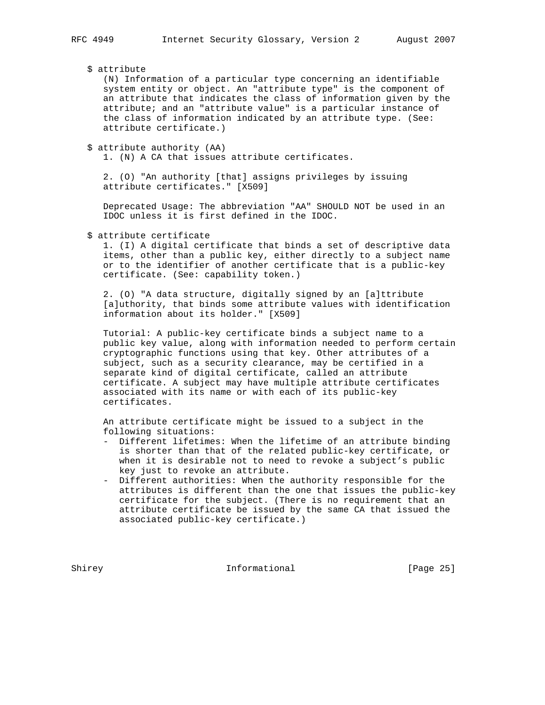# \$ attribute

 (N) Information of a particular type concerning an identifiable system entity or object. An "attribute type" is the component of an attribute that indicates the class of information given by the attribute; and an "attribute value" is a particular instance of the class of information indicated by an attribute type. (See: attribute certificate.)

\$ attribute authority (AA)

1. (N) A CA that issues attribute certificates.

 2. (O) "An authority [that] assigns privileges by issuing attribute certificates." [X509]

 Deprecated Usage: The abbreviation "AA" SHOULD NOT be used in an IDOC unless it is first defined in the IDOC.

\$ attribute certificate

 1. (I) A digital certificate that binds a set of descriptive data items, other than a public key, either directly to a subject name or to the identifier of another certificate that is a public-key certificate. (See: capability token.)

 2. (O) "A data structure, digitally signed by an [a]ttribute [a]uthority, that binds some attribute values with identification information about its holder." [X509]

 Tutorial: A public-key certificate binds a subject name to a public key value, along with information needed to perform certain cryptographic functions using that key. Other attributes of a subject, such as a security clearance, may be certified in a separate kind of digital certificate, called an attribute certificate. A subject may have multiple attribute certificates associated with its name or with each of its public-key certificates.

 An attribute certificate might be issued to a subject in the following situations:

- Different lifetimes: When the lifetime of an attribute binding is shorter than that of the related public-key certificate, or when it is desirable not to need to revoke a subject's public key just to revoke an attribute.
- Different authorities: When the authority responsible for the attributes is different than the one that issues the public-key certificate for the subject. (There is no requirement that an attribute certificate be issued by the same CA that issued the associated public-key certificate.)

Shirey **Informational** [Page 25]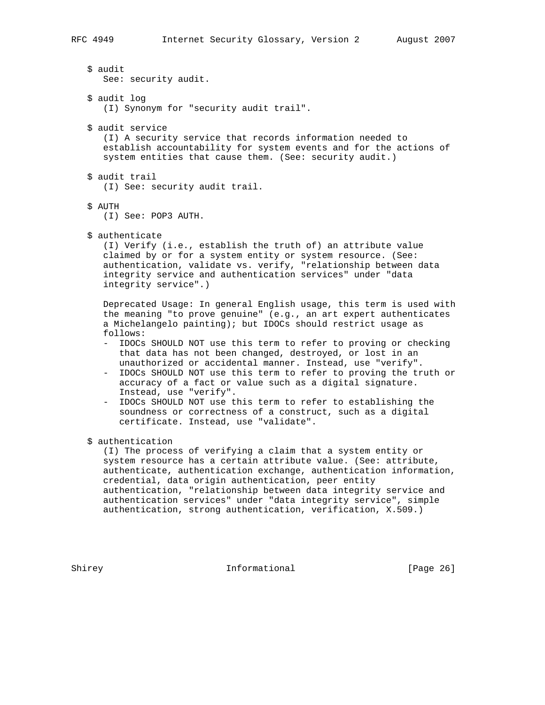\$ audit See: security audit. \$ audit log (I) Synonym for "security audit trail". \$ audit service (I) A security service that records information needed to establish accountability for system events and for the actions of system entities that cause them. (See: security audit.) \$ audit trail (I) See: security audit trail. \$ AUTH (I) See: POP3 AUTH. \$ authenticate (I) Verify (i.e., establish the truth of) an attribute value claimed by or for a system entity or system resource. (See: authentication, validate vs. verify, "relationship between data integrity service and authentication services" under "data integrity service".) Deprecated Usage: In general English usage, this term is used with the meaning "to prove genuine" (e.g., an art expert authenticates a Michelangelo painting); but IDOCs should restrict usage as follows: - IDOCs SHOULD NOT use this term to refer to proving or checking that data has not been changed, destroyed, or lost in an unauthorized or accidental manner. Instead, use "verify". - IDOCs SHOULD NOT use this term to refer to proving the truth or accuracy of a fact or value such as a digital signature. Instead, use "verify". - IDOCs SHOULD NOT use this term to refer to establishing the soundness or correctness of a construct, such as a digital certificate. Instead, use "validate". \$ authentication (I) The process of verifying a claim that a system entity or system resource has a certain attribute value. (See: attribute, authenticate, authentication exchange, authentication information, credential, data origin authentication, peer entity authentication, "relationship between data integrity service and authentication services" under "data integrity service", simple authentication, strong authentication, verification, X.509.)

Shirey **Informational** [Page 26]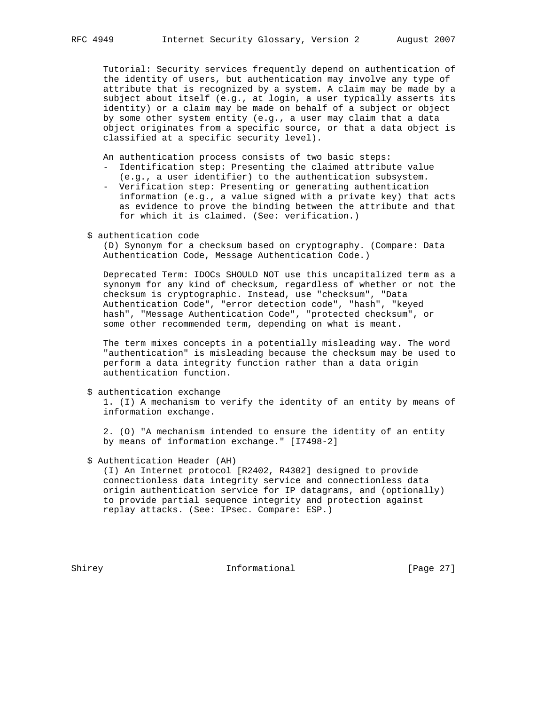Tutorial: Security services frequently depend on authentication of the identity of users, but authentication may involve any type of attribute that is recognized by a system. A claim may be made by a subject about itself (e.g., at login, a user typically asserts its identity) or a claim may be made on behalf of a subject or object by some other system entity (e.g., a user may claim that a data object originates from a specific source, or that a data object is classified at a specific security level).

An authentication process consists of two basic steps:

- Identification step: Presenting the claimed attribute value
- (e.g., a user identifier) to the authentication subsystem. - Verification step: Presenting or generating authentication information (e.g., a value signed with a private key) that acts
- as evidence to prove the binding between the attribute and that for which it is claimed. (See: verification.)
- \$ authentication code

 (D) Synonym for a checksum based on cryptography. (Compare: Data Authentication Code, Message Authentication Code.)

 Deprecated Term: IDOCs SHOULD NOT use this uncapitalized term as a synonym for any kind of checksum, regardless of whether or not the checksum is cryptographic. Instead, use "checksum", "Data Authentication Code", "error detection code", "hash", "keyed hash", "Message Authentication Code", "protected checksum", or some other recommended term, depending on what is meant.

 The term mixes concepts in a potentially misleading way. The word "authentication" is misleading because the checksum may be used to perform a data integrity function rather than a data origin authentication function.

\$ authentication exchange

 1. (I) A mechanism to verify the identity of an entity by means of information exchange.

 2. (O) "A mechanism intended to ensure the identity of an entity by means of information exchange." [I7498-2]

# \$ Authentication Header (AH)

 (I) An Internet protocol [R2402, R4302] designed to provide connectionless data integrity service and connectionless data origin authentication service for IP datagrams, and (optionally) to provide partial sequence integrity and protection against replay attacks. (See: IPsec. Compare: ESP.)

Shirey **Informational** [Page 27]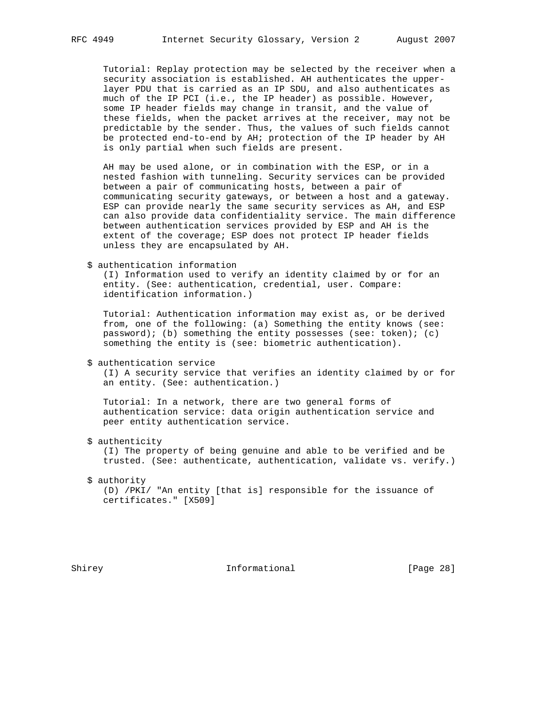Tutorial: Replay protection may be selected by the receiver when a security association is established. AH authenticates the upper layer PDU that is carried as an IP SDU, and also authenticates as much of the IP PCI (i.e., the IP header) as possible. However, some IP header fields may change in transit, and the value of these fields, when the packet arrives at the receiver, may not be predictable by the sender. Thus, the values of such fields cannot be protected end-to-end by AH; protection of the IP header by AH is only partial when such fields are present.

 AH may be used alone, or in combination with the ESP, or in a nested fashion with tunneling. Security services can be provided between a pair of communicating hosts, between a pair of communicating security gateways, or between a host and a gateway. ESP can provide nearly the same security services as AH, and ESP can also provide data confidentiality service. The main difference between authentication services provided by ESP and AH is the extent of the coverage; ESP does not protect IP header fields unless they are encapsulated by AH.

\$ authentication information

 (I) Information used to verify an identity claimed by or for an entity. (See: authentication, credential, user. Compare: identification information.)

 Tutorial: Authentication information may exist as, or be derived from, one of the following: (a) Something the entity knows (see: password); (b) something the entity possesses (see: token); (c) something the entity is (see: biometric authentication).

\$ authentication service

 (I) A security service that verifies an identity claimed by or for an entity. (See: authentication.)

 Tutorial: In a network, there are two general forms of authentication service: data origin authentication service and peer entity authentication service.

\$ authenticity

 (I) The property of being genuine and able to be verified and be trusted. (See: authenticate, authentication, validate vs. verify.)

\$ authority

 (D) /PKI/ "An entity [that is] responsible for the issuance of certificates." [X509]

Shirey **Informational** [Page 28]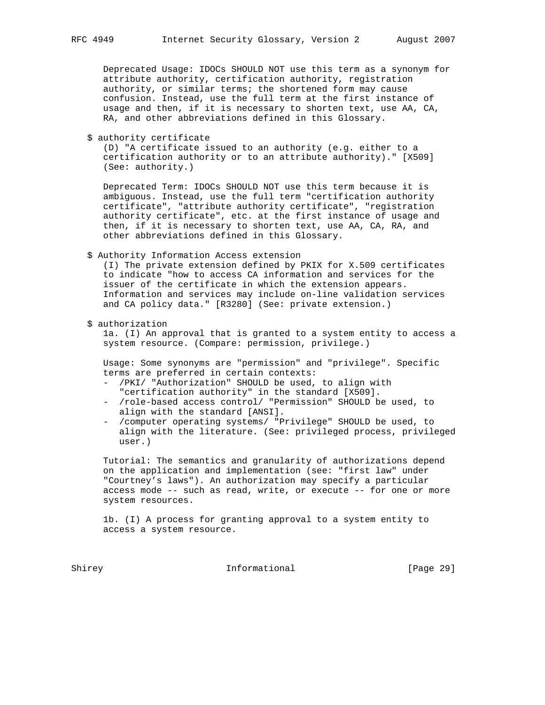Deprecated Usage: IDOCs SHOULD NOT use this term as a synonym for attribute authority, certification authority, registration authority, or similar terms; the shortened form may cause confusion. Instead, use the full term at the first instance of usage and then, if it is necessary to shorten text, use AA, CA, RA, and other abbreviations defined in this Glossary.

\$ authority certificate

 (D) "A certificate issued to an authority (e.g. either to a certification authority or to an attribute authority)." [X509] (See: authority.)

 Deprecated Term: IDOCs SHOULD NOT use this term because it is ambiguous. Instead, use the full term "certification authority certificate", "attribute authority certificate", "registration authority certificate", etc. at the first instance of usage and then, if it is necessary to shorten text, use AA, CA, RA, and other abbreviations defined in this Glossary.

\$ Authority Information Access extension

 (I) The private extension defined by PKIX for X.509 certificates to indicate "how to access CA information and services for the issuer of the certificate in which the extension appears. Information and services may include on-line validation services and CA policy data." [R3280] (See: private extension.)

\$ authorization

 1a. (I) An approval that is granted to a system entity to access a system resource. (Compare: permission, privilege.)

 Usage: Some synonyms are "permission" and "privilege". Specific terms are preferred in certain contexts:

- /PKI/ "Authorization" SHOULD be used, to align with "certification authority" in the standard [X509].
- /role-based access control/ "Permission" SHOULD be used, to align with the standard [ANSI].
- /computer operating systems/ "Privilege" SHOULD be used, to align with the literature. (See: privileged process, privileged user.)

 Tutorial: The semantics and granularity of authorizations depend on the application and implementation (see: "first law" under "Courtney's laws"). An authorization may specify a particular access mode -- such as read, write, or execute -- for one or more system resources.

 1b. (I) A process for granting approval to a system entity to access a system resource.

Shirey **Informational** [Page 29]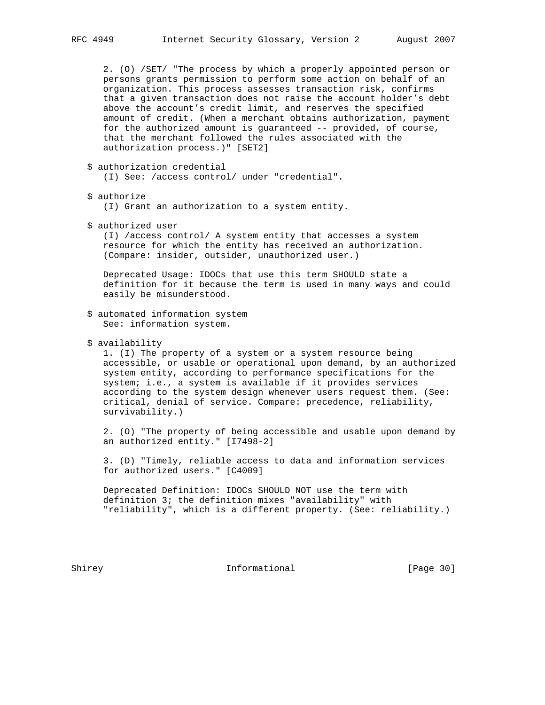2. (O) /SET/ "The process by which a properly appointed person or persons grants permission to perform some action on behalf of an organization. This process assesses transaction risk, confirms that a given transaction does not raise the account holder's debt above the account's credit limit, and reserves the specified amount of credit. (When a merchant obtains authorization, payment for the authorized amount is guaranteed -- provided, of course, that the merchant followed the rules associated with the authorization process.)" [SET2]

\$ authorization credential

(I) See: /access control/ under "credential".

\$ authorize

(I) Grant an authorization to a system entity.

\$ authorized user

 (I) /access control/ A system entity that accesses a system resource for which the entity has received an authorization. (Compare: insider, outsider, unauthorized user.)

 Deprecated Usage: IDOCs that use this term SHOULD state a definition for it because the term is used in many ways and could easily be misunderstood.

- \$ automated information system See: information system.
- \$ availability

 1. (I) The property of a system or a system resource being accessible, or usable or operational upon demand, by an authorized system entity, according to performance specifications for the system; i.e., a system is available if it provides services according to the system design whenever users request them. (See: critical, denial of service. Compare: precedence, reliability, survivability.)

 2. (O) "The property of being accessible and usable upon demand by an authorized entity." [I7498-2]

 3. (D) "Timely, reliable access to data and information services for authorized users." [C4009]

 Deprecated Definition: IDOCs SHOULD NOT use the term with definition 3; the definition mixes "availability" with "reliability", which is a different property. (See: reliability.)

Shirey **Informational** [Page 30]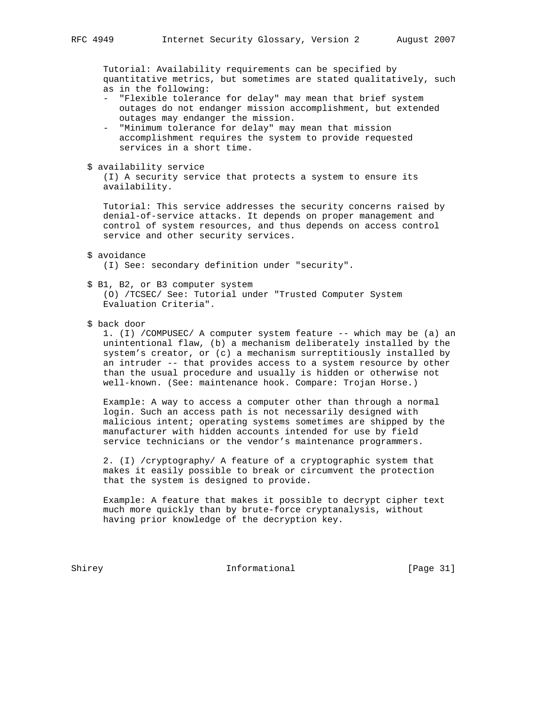Tutorial: Availability requirements can be specified by quantitative metrics, but sometimes are stated qualitatively, such as in the following:

- "Flexible tolerance for delay" may mean that brief system outages do not endanger mission accomplishment, but extended outages may endanger the mission.
- "Minimum tolerance for delay" may mean that mission accomplishment requires the system to provide requested services in a short time.
- \$ availability service

 (I) A security service that protects a system to ensure its availability.

 Tutorial: This service addresses the security concerns raised by denial-of-service attacks. It depends on proper management and control of system resources, and thus depends on access control service and other security services.

\$ avoidance

(I) See: secondary definition under "security".

\$ B1, B2, or B3 computer system

 (O) /TCSEC/ See: Tutorial under "Trusted Computer System Evaluation Criteria".

\$ back door

 1. (I) /COMPUSEC/ A computer system feature -- which may be (a) an unintentional flaw, (b) a mechanism deliberately installed by the system's creator, or (c) a mechanism surreptitiously installed by an intruder -- that provides access to a system resource by other than the usual procedure and usually is hidden or otherwise not well-known. (See: maintenance hook. Compare: Trojan Horse.)

 Example: A way to access a computer other than through a normal login. Such an access path is not necessarily designed with malicious intent; operating systems sometimes are shipped by the manufacturer with hidden accounts intended for use by field service technicians or the vendor's maintenance programmers.

 2. (I) /cryptography/ A feature of a cryptographic system that makes it easily possible to break or circumvent the protection that the system is designed to provide.

 Example: A feature that makes it possible to decrypt cipher text much more quickly than by brute-force cryptanalysis, without having prior knowledge of the decryption key.

Shirey **Informational** [Page 31]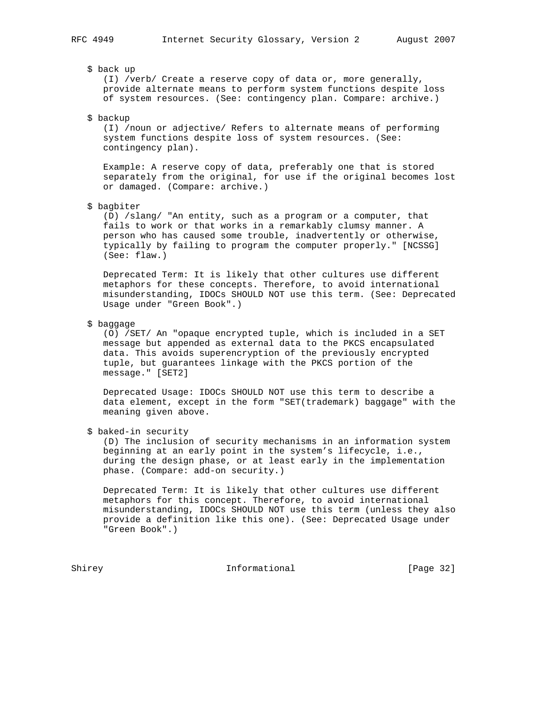#### \$ back up

 (I) /verb/ Create a reserve copy of data or, more generally, provide alternate means to perform system functions despite loss of system resources. (See: contingency plan. Compare: archive.)

\$ backup

 (I) /noun or adjective/ Refers to alternate means of performing system functions despite loss of system resources. (See: contingency plan).

 Example: A reserve copy of data, preferably one that is stored separately from the original, for use if the original becomes lost or damaged. (Compare: archive.)

\$ bagbiter

 (D) /slang/ "An entity, such as a program or a computer, that fails to work or that works in a remarkably clumsy manner. A person who has caused some trouble, inadvertently or otherwise, typically by failing to program the computer properly." [NCSSG] (See: flaw.)

 Deprecated Term: It is likely that other cultures use different metaphors for these concepts. Therefore, to avoid international misunderstanding, IDOCs SHOULD NOT use this term. (See: Deprecated Usage under "Green Book".)

\$ baggage

 (O) /SET/ An "opaque encrypted tuple, which is included in a SET message but appended as external data to the PKCS encapsulated data. This avoids superencryption of the previously encrypted tuple, but guarantees linkage with the PKCS portion of the message." [SET2]

 Deprecated Usage: IDOCs SHOULD NOT use this term to describe a data element, except in the form "SET(trademark) baggage" with the meaning given above.

\$ baked-in security

 (D) The inclusion of security mechanisms in an information system beginning at an early point in the system's lifecycle, i.e., during the design phase, or at least early in the implementation phase. (Compare: add-on security.)

 Deprecated Term: It is likely that other cultures use different metaphors for this concept. Therefore, to avoid international misunderstanding, IDOCs SHOULD NOT use this term (unless they also provide a definition like this one). (See: Deprecated Usage under "Green Book".)

Shirey **Informational** [Page 32]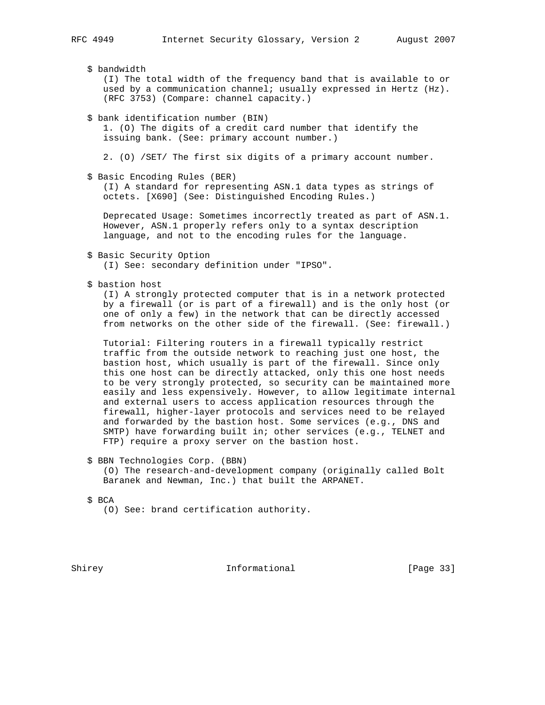|  | \$ bandwidth<br>(I) The total width of the frequency band that is available to or<br>used by a communication channel; usually expressed in Hertz (Hz).<br>(RFC 3753) (Compare: channel capacity.)                                                                                                                                                                                                                                                                                                                                                                                                                                                                                                                                                  |
|--|----------------------------------------------------------------------------------------------------------------------------------------------------------------------------------------------------------------------------------------------------------------------------------------------------------------------------------------------------------------------------------------------------------------------------------------------------------------------------------------------------------------------------------------------------------------------------------------------------------------------------------------------------------------------------------------------------------------------------------------------------|
|  | \$ bank identification number (BIN)<br>1. (0) The digits of a credit card number that identify the<br>issuing bank. (See: primary account number.)                                                                                                                                                                                                                                                                                                                                                                                                                                                                                                                                                                                                 |
|  | 2. (0) /SET/ The first six digits of a primary account number.                                                                                                                                                                                                                                                                                                                                                                                                                                                                                                                                                                                                                                                                                     |
|  | \$ Basic Encoding Rules (BER)<br>(I) A standard for representing ASN.1 data types as strings of<br>octets. [X690] (See: Distinguished Encoding Rules.)                                                                                                                                                                                                                                                                                                                                                                                                                                                                                                                                                                                             |
|  | Deprecated Usage: Sometimes incorrectly treated as part of ASN.1.<br>However, ASN.1 properly refers only to a syntax description<br>language, and not to the encoding rules for the language.                                                                                                                                                                                                                                                                                                                                                                                                                                                                                                                                                      |
|  | \$ Basic Security Option<br>(I) See: secondary definition under "IPSO".                                                                                                                                                                                                                                                                                                                                                                                                                                                                                                                                                                                                                                                                            |
|  | \$ bastion host<br>(I) A strongly protected computer that is in a network protected<br>by a firewall (or is part of a firewall) and is the only host (or<br>one of only a few) in the network that can be directly accessed<br>from networks on the other side of the firewall. (See: firewall.)                                                                                                                                                                                                                                                                                                                                                                                                                                                   |
|  | Tutorial: Filtering routers in a firewall typically restrict<br>traffic from the outside network to reaching just one host, the<br>bastion host, which usually is part of the firewall. Since only<br>this one host can be directly attacked, only this one host needs<br>to be very strongly protected, so security can be maintained more<br>easily and less expensively. However, to allow legitimate internal<br>and external users to access application resources through the<br>firewall, higher-layer protocols and services need to be relayed<br>and forwarded by the bastion host. Some services (e.g., DNS and<br>SMTP) have forwarding built in; other services (e.g., TELNET and<br>FTP) require a proxy server on the bastion host. |
|  | \$ BBN Technologies Corp. (BBN)<br>(0) The research-and-development company (originally called Bolt<br>Baranek and Newman, Inc.) that built the ARPANET.                                                                                                                                                                                                                                                                                                                                                                                                                                                                                                                                                                                           |
|  | \$ BCA<br>(0) See: brand certification authority.                                                                                                                                                                                                                                                                                                                                                                                                                                                                                                                                                                                                                                                                                                  |
|  |                                                                                                                                                                                                                                                                                                                                                                                                                                                                                                                                                                                                                                                                                                                                                    |

Shirey **Informational** [Page 33]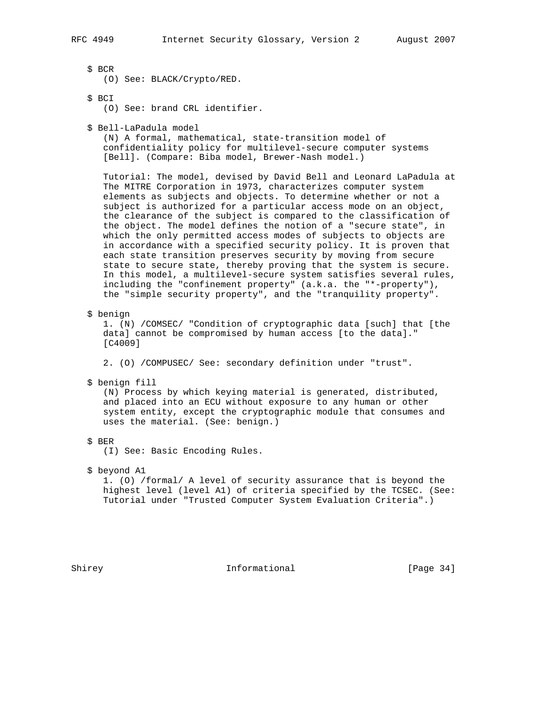\$ BCR

(O) See: BLACK/Crypto/RED.

\$ BCI

(O) See: brand CRL identifier.

\$ Bell-LaPadula model

 (N) A formal, mathematical, state-transition model of confidentiality policy for multilevel-secure computer systems [Bell]. (Compare: Biba model, Brewer-Nash model.)

 Tutorial: The model, devised by David Bell and Leonard LaPadula at The MITRE Corporation in 1973, characterizes computer system elements as subjects and objects. To determine whether or not a subject is authorized for a particular access mode on an object, the clearance of the subject is compared to the classification of the object. The model defines the notion of a "secure state", in which the only permitted access modes of subjects to objects are in accordance with a specified security policy. It is proven that each state transition preserves security by moving from secure state to secure state, thereby proving that the system is secure. In this model, a multilevel-secure system satisfies several rules, including the "confinement property" (a.k.a. the "\*-property"), the "simple security property", and the "tranquility property".

\$ benign

 1. (N) /COMSEC/ "Condition of cryptographic data [such] that [the data] cannot be compromised by human access [to the data]." [C4009]

2. (O) /COMPUSEC/ See: secondary definition under "trust".

\$ benign fill

 (N) Process by which keying material is generated, distributed, and placed into an ECU without exposure to any human or other system entity, except the cryptographic module that consumes and uses the material. (See: benign.)

\$ BER

(I) See: Basic Encoding Rules.

\$ beyond A1

 1. (O) /formal/ A level of security assurance that is beyond the highest level (level A1) of criteria specified by the TCSEC. (See: Tutorial under "Trusted Computer System Evaluation Criteria".)

Shirey **Informational** [Page 34]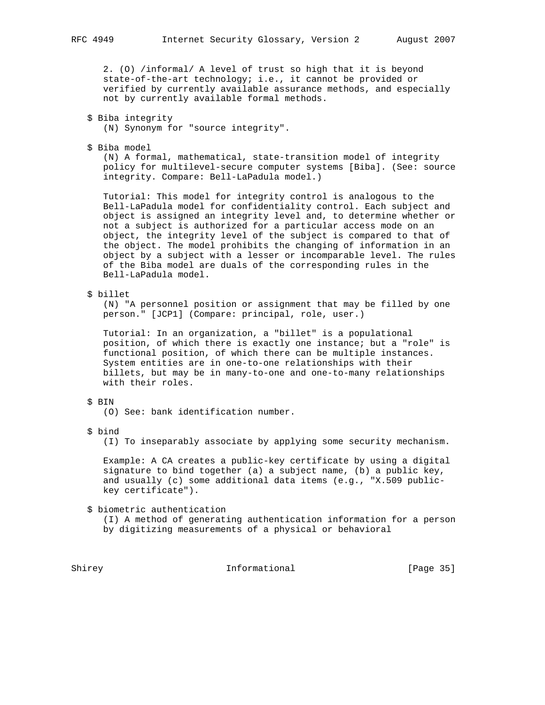2. (O) /informal/ A level of trust so high that it is beyond state-of-the-art technology; i.e., it cannot be provided or verified by currently available assurance methods, and especially not by currently available formal methods.

- \$ Biba integrity (N) Synonym for "source integrity".
- \$ Biba model

 (N) A formal, mathematical, state-transition model of integrity policy for multilevel-secure computer systems [Biba]. (See: source integrity. Compare: Bell-LaPadula model.)

 Tutorial: This model for integrity control is analogous to the Bell-LaPadula model for confidentiality control. Each subject and object is assigned an integrity level and, to determine whether or not a subject is authorized for a particular access mode on an object, the integrity level of the subject is compared to that of the object. The model prohibits the changing of information in an object by a subject with a lesser or incomparable level. The rules of the Biba model are duals of the corresponding rules in the Bell-LaPadula model.

\$ billet

 (N) "A personnel position or assignment that may be filled by one person." [JCP1] (Compare: principal, role, user.)

 Tutorial: In an organization, a "billet" is a populational position, of which there is exactly one instance; but a "role" is functional position, of which there can be multiple instances. System entities are in one-to-one relationships with their billets, but may be in many-to-one and one-to-many relationships with their roles.

### \$ BIN

(O) See: bank identification number.

\$ bind

(I) To inseparably associate by applying some security mechanism.

 Example: A CA creates a public-key certificate by using a digital signature to bind together (a) a subject name, (b) a public key, and usually (c) some additional data items (e.g., "X.509 public key certificate").

\$ biometric authentication

 (I) A method of generating authentication information for a person by digitizing measurements of a physical or behavioral

Shirey **Informational** [Page 35]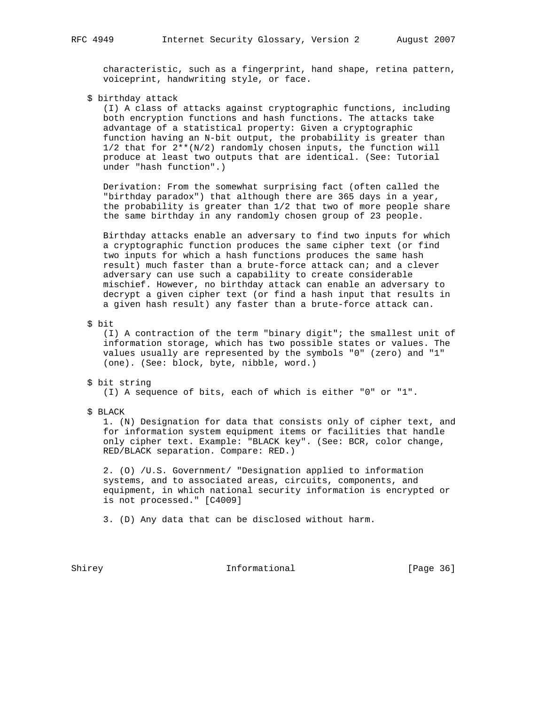characteristic, such as a fingerprint, hand shape, retina pattern, voiceprint, handwriting style, or face.

\$ birthday attack

 (I) A class of attacks against cryptographic functions, including both encryption functions and hash functions. The attacks take advantage of a statistical property: Given a cryptographic function having an N-bit output, the probability is greater than 1/2 that for 2\*\*(N/2) randomly chosen inputs, the function will produce at least two outputs that are identical. (See: Tutorial under "hash function".)

 Derivation: From the somewhat surprising fact (often called the "birthday paradox") that although there are 365 days in a year, the probability is greater than 1/2 that two of more people share the same birthday in any randomly chosen group of 23 people.

 Birthday attacks enable an adversary to find two inputs for which a cryptographic function produces the same cipher text (or find two inputs for which a hash functions produces the same hash result) much faster than a brute-force attack can; and a clever adversary can use such a capability to create considerable mischief. However, no birthday attack can enable an adversary to decrypt a given cipher text (or find a hash input that results in a given hash result) any faster than a brute-force attack can.

\$ bit

 (I) A contraction of the term "binary digit"; the smallest unit of information storage, which has two possible states or values. The values usually are represented by the symbols "0" (zero) and "1" (one). (See: block, byte, nibble, word.)

- \$ bit string (I) A sequence of bits, each of which is either "0" or "1".
- \$ BLACK

 1. (N) Designation for data that consists only of cipher text, and for information system equipment items or facilities that handle only cipher text. Example: "BLACK key". (See: BCR, color change, RED/BLACK separation. Compare: RED.)

 2. (O) /U.S. Government/ "Designation applied to information systems, and to associated areas, circuits, components, and equipment, in which national security information is encrypted or is not processed." [C4009]

3. (D) Any data that can be disclosed without harm.

Shirey **Informational** [Page 36]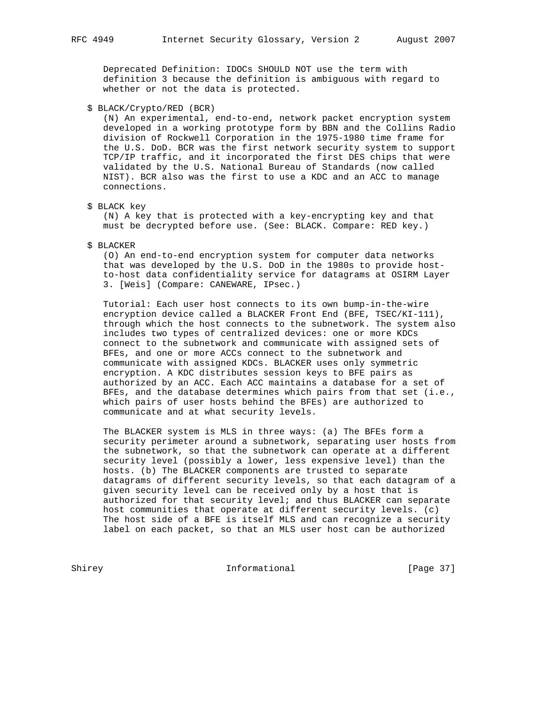Deprecated Definition: IDOCs SHOULD NOT use the term with definition 3 because the definition is ambiguous with regard to whether or not the data is protected.

\$ BLACK/Crypto/RED (BCR)

 (N) An experimental, end-to-end, network packet encryption system developed in a working prototype form by BBN and the Collins Radio division of Rockwell Corporation in the 1975-1980 time frame for the U.S. DoD. BCR was the first network security system to support TCP/IP traffic, and it incorporated the first DES chips that were validated by the U.S. National Bureau of Standards (now called NIST). BCR also was the first to use a KDC and an ACC to manage connections.

\$ BLACK key

 (N) A key that is protected with a key-encrypting key and that must be decrypted before use. (See: BLACK. Compare: RED key.)

\$ BLACKER

 (O) An end-to-end encryption system for computer data networks that was developed by the U.S. DoD in the 1980s to provide host to-host data confidentiality service for datagrams at OSIRM Layer 3. [Weis] (Compare: CANEWARE, IPsec.)

 Tutorial: Each user host connects to its own bump-in-the-wire encryption device called a BLACKER Front End (BFE, TSEC/KI-111), through which the host connects to the subnetwork. The system also includes two types of centralized devices: one or more KDCs connect to the subnetwork and communicate with assigned sets of BFEs, and one or more ACCs connect to the subnetwork and communicate with assigned KDCs. BLACKER uses only symmetric encryption. A KDC distributes session keys to BFE pairs as authorized by an ACC. Each ACC maintains a database for a set of BFEs, and the database determines which pairs from that set (i.e., which pairs of user hosts behind the BFEs) are authorized to communicate and at what security levels.

 The BLACKER system is MLS in three ways: (a) The BFEs form a security perimeter around a subnetwork, separating user hosts from the subnetwork, so that the subnetwork can operate at a different security level (possibly a lower, less expensive level) than the hosts. (b) The BLACKER components are trusted to separate datagrams of different security levels, so that each datagram of a given security level can be received only by a host that is authorized for that security level; and thus BLACKER can separate host communities that operate at different security levels. (c) The host side of a BFE is itself MLS and can recognize a security label on each packet, so that an MLS user host can be authorized

Shirey **Informational** [Page 37]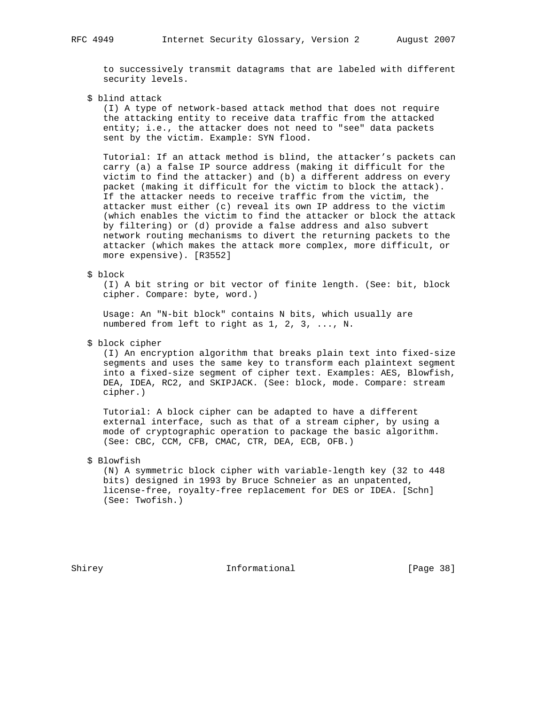to successively transmit datagrams that are labeled with different security levels.

\$ blind attack

 (I) A type of network-based attack method that does not require the attacking entity to receive data traffic from the attacked entity; i.e., the attacker does not need to "see" data packets sent by the victim. Example: SYN flood.

 Tutorial: If an attack method is blind, the attacker's packets can carry (a) a false IP source address (making it difficult for the victim to find the attacker) and (b) a different address on every packet (making it difficult for the victim to block the attack). If the attacker needs to receive traffic from the victim, the attacker must either (c) reveal its own IP address to the victim (which enables the victim to find the attacker or block the attack by filtering) or (d) provide a false address and also subvert network routing mechanisms to divert the returning packets to the attacker (which makes the attack more complex, more difficult, or more expensive). [R3552]

### \$ block

 (I) A bit string or bit vector of finite length. (See: bit, block cipher. Compare: byte, word.)

 Usage: An "N-bit block" contains N bits, which usually are numbered from left to right as 1, 2, 3, ..., N.

# \$ block cipher

 (I) An encryption algorithm that breaks plain text into fixed-size segments and uses the same key to transform each plaintext segment into a fixed-size segment of cipher text. Examples: AES, Blowfish, DEA, IDEA, RC2, and SKIPJACK. (See: block, mode. Compare: stream cipher.)

 Tutorial: A block cipher can be adapted to have a different external interface, such as that of a stream cipher, by using a mode of cryptographic operation to package the basic algorithm. (See: CBC, CCM, CFB, CMAC, CTR, DEA, ECB, OFB.)

# \$ Blowfish

 (N) A symmetric block cipher with variable-length key (32 to 448 bits) designed in 1993 by Bruce Schneier as an unpatented, license-free, royalty-free replacement for DES or IDEA. [Schn] (See: Twofish.)

Shirey **Informational** [Page 38]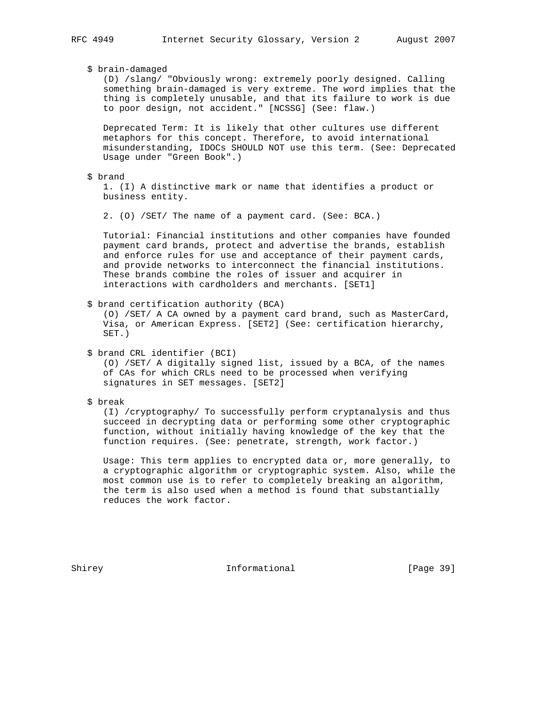# \$ brain-damaged

 (D) /slang/ "Obviously wrong: extremely poorly designed. Calling something brain-damaged is very extreme. The word implies that the thing is completely unusable, and that its failure to work is due to poor design, not accident." [NCSSG] (See: flaw.)

 Deprecated Term: It is likely that other cultures use different metaphors for this concept. Therefore, to avoid international misunderstanding, IDOCs SHOULD NOT use this term. (See: Deprecated Usage under "Green Book".)

# \$ brand

 1. (I) A distinctive mark or name that identifies a product or business entity.

2. (O) /SET/ The name of a payment card. (See: BCA.)

 Tutorial: Financial institutions and other companies have founded payment card brands, protect and advertise the brands, establish and enforce rules for use and acceptance of their payment cards, and provide networks to interconnect the financial institutions. These brands combine the roles of issuer and acquirer in interactions with cardholders and merchants. [SET1]

# \$ brand certification authority (BCA)

 (O) /SET/ A CA owned by a payment card brand, such as MasterCard, Visa, or American Express. [SET2] (See: certification hierarchy, SET.)

\$ brand CRL identifier (BCI)

 (O) /SET/ A digitally signed list, issued by a BCA, of the names of CAs for which CRLs need to be processed when verifying signatures in SET messages. [SET2]

# \$ break

 (I) /cryptography/ To successfully perform cryptanalysis and thus succeed in decrypting data or performing some other cryptographic function, without initially having knowledge of the key that the function requires. (See: penetrate, strength, work factor.)

 Usage: This term applies to encrypted data or, more generally, to a cryptographic algorithm or cryptographic system. Also, while the most common use is to refer to completely breaking an algorithm, the term is also used when a method is found that substantially reduces the work factor.

Shirey **Informational** [Page 39]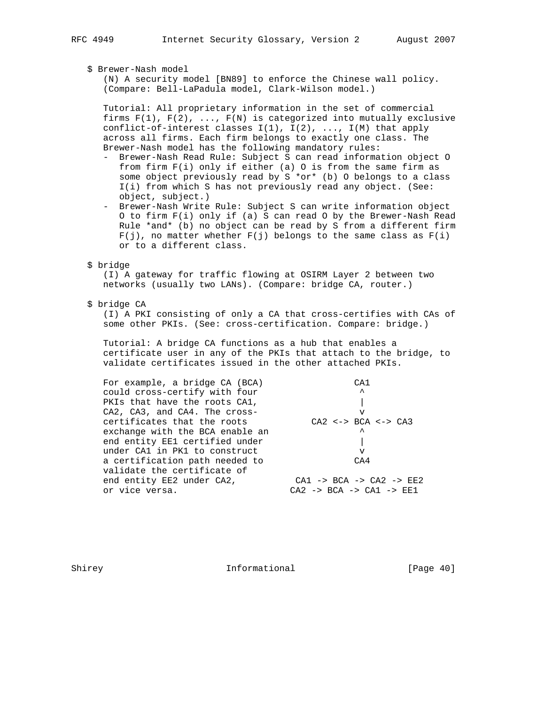# \$ Brewer-Nash model

 (N) A security model [BN89] to enforce the Chinese wall policy. (Compare: Bell-LaPadula model, Clark-Wilson model.)

 Tutorial: All proprietary information in the set of commercial firms  $F(1)$ ,  $F(2)$ , ...,  $F(N)$  is categorized into mutually exclusive conflict-of-interest classes  $I(1)$ ,  $I(2)$ , ...,  $I(M)$  that apply across all firms. Each firm belongs to exactly one class. The Brewer-Nash model has the following mandatory rules:

- Brewer-Nash Read Rule: Subject S can read information object O from firm F(i) only if either (a) O is from the same firm as some object previously read by S \*or\* (b) O belongs to a class I(i) from which S has not previously read any object. (See: object, subject.)
- Brewer-Nash Write Rule: Subject S can write information object O to firm F(i) only if (a) S can read O by the Brewer-Nash Read Rule \*and\* (b) no object can be read by S from a different firm  $F(j)$ , no matter whether  $F(j)$  belongs to the same class as  $F(i)$ or to a different class.
- \$ bridge

 (I) A gateway for traffic flowing at OSIRM Layer 2 between two networks (usually two LANs). (Compare: bridge CA, router.)

\$ bridge CA

 (I) A PKI consisting of only a CA that cross-certifies with CAs of some other PKIs. (See: cross-certification. Compare: bridge.)

 Tutorial: A bridge CA functions as a hub that enables a certificate user in any of the PKIs that attach to the bridge, to validate certificates issued in the other attached PKIs.

| For example, a bridge CA (BCA)                                | C <sub>A</sub> 1                                                                                                    |
|---------------------------------------------------------------|---------------------------------------------------------------------------------------------------------------------|
| could cross-certify with four                                 | ᄉ                                                                                                                   |
| PKIs that have the roots CA1,                                 |                                                                                                                     |
| CA2, CA3, and CA4. The cross-                                 | v                                                                                                                   |
| certificates that the roots                                   | $C A2 \leq -\geq BCA \leq -\geq CA3$                                                                                |
| exchange with the BCA enable an                               | $\lambda$                                                                                                           |
| end entity EE1 certified under                                |                                                                                                                     |
| under CA1 in PK1 to construct                                 | v                                                                                                                   |
| a certification path needed to<br>validate the certificate of | CA4                                                                                                                 |
| end entity EE2 under CA2,<br>or vice versa.                   | $CA1 \rightarrow BCA \rightarrow CA2 \rightarrow EE2$<br>$C A2 \rightarrow B C A \rightarrow C A1 \rightarrow E E1$ |
|                                                               |                                                                                                                     |

Shirey **Informational** [Page 40]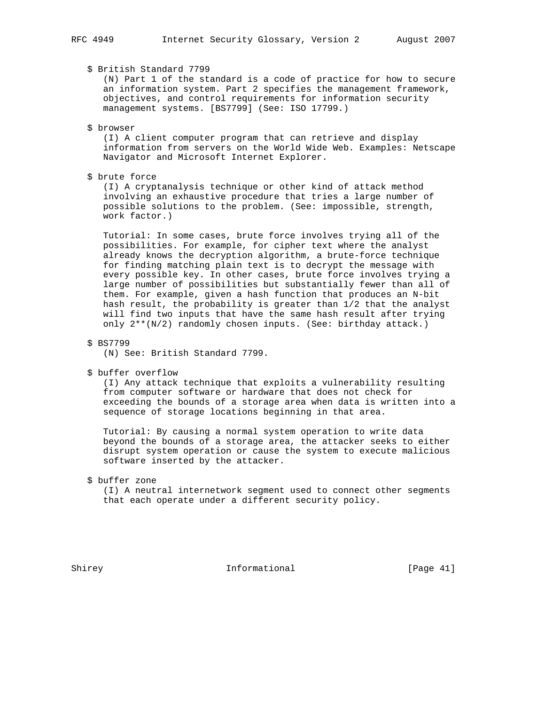# \$ British Standard 7799

 (N) Part 1 of the standard is a code of practice for how to secure an information system. Part 2 specifies the management framework, objectives, and control requirements for information security management systems. [BS7799] (See: ISO 17799.)

#### \$ browser

 (I) A client computer program that can retrieve and display information from servers on the World Wide Web. Examples: Netscape Navigator and Microsoft Internet Explorer.

# \$ brute force

 (I) A cryptanalysis technique or other kind of attack method involving an exhaustive procedure that tries a large number of possible solutions to the problem. (See: impossible, strength, work factor.)

 Tutorial: In some cases, brute force involves trying all of the possibilities. For example, for cipher text where the analyst already knows the decryption algorithm, a brute-force technique for finding matching plain text is to decrypt the message with every possible key. In other cases, brute force involves trying a large number of possibilities but substantially fewer than all of them. For example, given a hash function that produces an N-bit hash result, the probability is greater than 1/2 that the analyst will find two inputs that have the same hash result after trying only 2\*\*(N/2) randomly chosen inputs. (See: birthday attack.)

# \$ BS7799

(N) See: British Standard 7799.

\$ buffer overflow

 (I) Any attack technique that exploits a vulnerability resulting from computer software or hardware that does not check for exceeding the bounds of a storage area when data is written into a sequence of storage locations beginning in that area.

 Tutorial: By causing a normal system operation to write data beyond the bounds of a storage area, the attacker seeks to either disrupt system operation or cause the system to execute malicious software inserted by the attacker.

\$ buffer zone

 (I) A neutral internetwork segment used to connect other segments that each operate under a different security policy.

Shirey **Informational** [Page 41]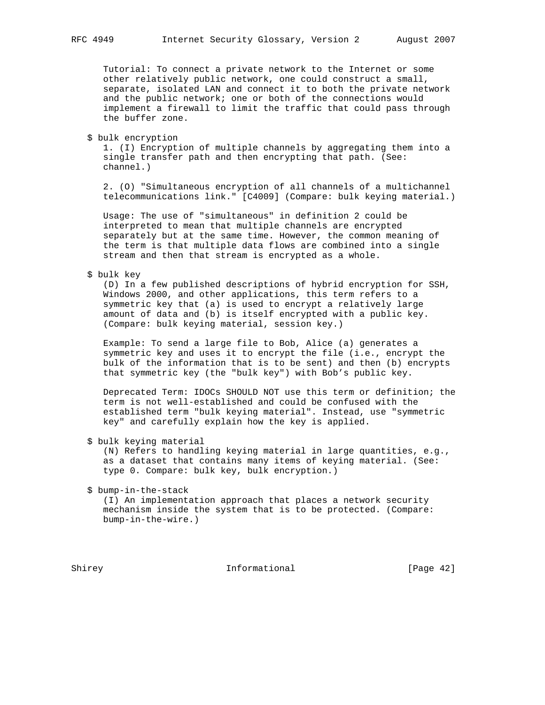Tutorial: To connect a private network to the Internet or some other relatively public network, one could construct a small, separate, isolated LAN and connect it to both the private network and the public network; one or both of the connections would implement a firewall to limit the traffic that could pass through the buffer zone.

\$ bulk encryption

 1. (I) Encryption of multiple channels by aggregating them into a single transfer path and then encrypting that path. (See: channel.)

 2. (O) "Simultaneous encryption of all channels of a multichannel telecommunications link." [C4009] (Compare: bulk keying material.)

 Usage: The use of "simultaneous" in definition 2 could be interpreted to mean that multiple channels are encrypted separately but at the same time. However, the common meaning of the term is that multiple data flows are combined into a single stream and then that stream is encrypted as a whole.

### \$ bulk key

 (D) In a few published descriptions of hybrid encryption for SSH, Windows 2000, and other applications, this term refers to a symmetric key that (a) is used to encrypt a relatively large amount of data and (b) is itself encrypted with a public key. (Compare: bulk keying material, session key.)

 Example: To send a large file to Bob, Alice (a) generates a symmetric key and uses it to encrypt the file (i.e., encrypt the bulk of the information that is to be sent) and then (b) encrypts that symmetric key (the "bulk key") with Bob's public key.

 Deprecated Term: IDOCs SHOULD NOT use this term or definition; the term is not well-established and could be confused with the established term "bulk keying material". Instead, use "symmetric key" and carefully explain how the key is applied.

\$ bulk keying material

 (N) Refers to handling keying material in large quantities, e.g., as a dataset that contains many items of keying material. (See: type 0. Compare: bulk key, bulk encryption.)

```
 $ bump-in-the-stack
```
 (I) An implementation approach that places a network security mechanism inside the system that is to be protected. (Compare: bump-in-the-wire.)

Shirey **Informational** [Page 42]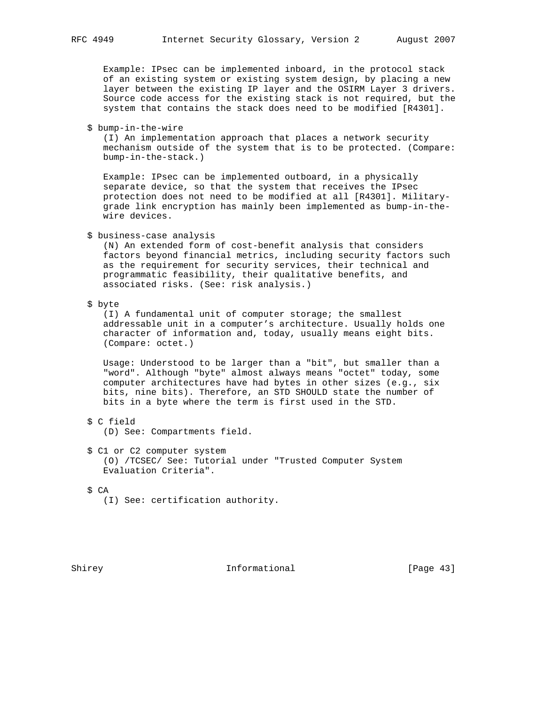Example: IPsec can be implemented inboard, in the protocol stack of an existing system or existing system design, by placing a new layer between the existing IP layer and the OSIRM Layer 3 drivers. Source code access for the existing stack is not required, but the system that contains the stack does need to be modified [R4301].

\$ bump-in-the-wire

 (I) An implementation approach that places a network security mechanism outside of the system that is to be protected. (Compare: bump-in-the-stack.)

 Example: IPsec can be implemented outboard, in a physically separate device, so that the system that receives the IPsec protection does not need to be modified at all [R4301]. Military grade link encryption has mainly been implemented as bump-in-the wire devices.

\$ business-case analysis

 (N) An extended form of cost-benefit analysis that considers factors beyond financial metrics, including security factors such as the requirement for security services, their technical and programmatic feasibility, their qualitative benefits, and associated risks. (See: risk analysis.)

\$ byte

 (I) A fundamental unit of computer storage; the smallest addressable unit in a computer's architecture. Usually holds one character of information and, today, usually means eight bits. (Compare: octet.)

 Usage: Understood to be larger than a "bit", but smaller than a "word". Although "byte" almost always means "octet" today, some computer architectures have had bytes in other sizes (e.g., six bits, nine bits). Therefore, an STD SHOULD state the number of bits in a byte where the term is first used in the STD.

\$ C field

(D) See: Compartments field.

 \$ C1 or C2 computer system (O) /TCSEC/ See: Tutorial under "Trusted Computer System Evaluation Criteria".

\$ CA

(I) See: certification authority.

Shirey **Informational** [Page 43]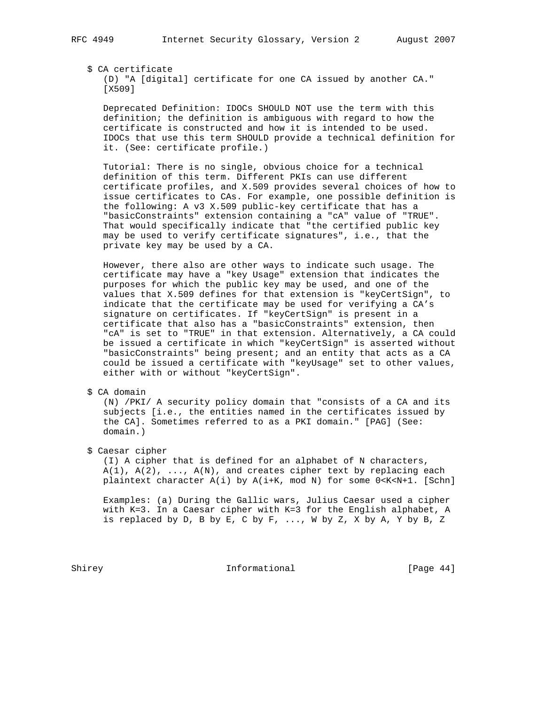# \$ CA certificate

 (D) "A [digital] certificate for one CA issued by another CA." [X509]

 Deprecated Definition: IDOCs SHOULD NOT use the term with this definition; the definition is ambiguous with regard to how the certificate is constructed and how it is intended to be used. IDOCs that use this term SHOULD provide a technical definition for it. (See: certificate profile.)

 Tutorial: There is no single, obvious choice for a technical definition of this term. Different PKIs can use different certificate profiles, and X.509 provides several choices of how to issue certificates to CAs. For example, one possible definition is the following: A v3 X.509 public-key certificate that has a "basicConstraints" extension containing a "cA" value of "TRUE". That would specifically indicate that "the certified public key may be used to verify certificate signatures", i.e., that the private key may be used by a CA.

 However, there also are other ways to indicate such usage. The certificate may have a "key Usage" extension that indicates the purposes for which the public key may be used, and one of the values that X.509 defines for that extension is "keyCertSign", to indicate that the certificate may be used for verifying a CA's signature on certificates. If "keyCertSign" is present in a certificate that also has a "basicConstraints" extension, then "cA" is set to "TRUE" in that extension. Alternatively, a CA could be issued a certificate in which "keyCertSign" is asserted without "basicConstraints" being present; and an entity that acts as a CA could be issued a certificate with "keyUsage" set to other values, either with or without "keyCertSign".

\$ CA domain

 (N) /PKI/ A security policy domain that "consists of a CA and its subjects [i.e., the entities named in the certificates issued by the CA]. Sometimes referred to as a PKI domain." [PAG] (See: domain.)

\$ Caesar cipher

 (I) A cipher that is defined for an alphabet of N characters,  $A(1)$ ,  $A(2)$ , ...,  $A(N)$ , and creates cipher text by replacing each plaintext character A(i) by A(i+K, mod N) for some 0<K<N+1. [Schn]

 Examples: (a) During the Gallic wars, Julius Caesar used a cipher with K=3. In a Caesar cipher with K=3 for the English alphabet, A is replaced by D, B by E, C by F, ..., W by Z, X by A, Y by B, Z

Shirey **Informational** [Page 44]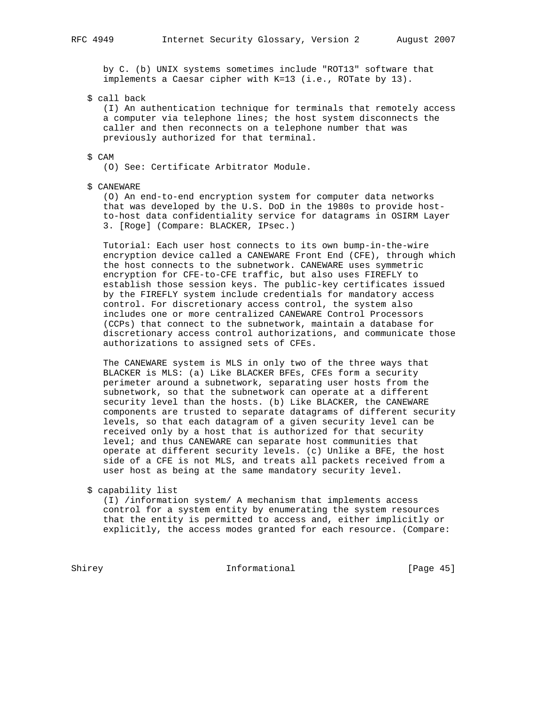by C. (b) UNIX systems sometimes include "ROT13" software that implements a Caesar cipher with K=13 (i.e., ROTate by 13).

\$ call back

 (I) An authentication technique for terminals that remotely access a computer via telephone lines; the host system disconnects the caller and then reconnects on a telephone number that was previously authorized for that terminal.

# \$ CAM

(O) See: Certificate Arbitrator Module.

### \$ CANEWARE

 (O) An end-to-end encryption system for computer data networks that was developed by the U.S. DoD in the 1980s to provide host to-host data confidentiality service for datagrams in OSIRM Layer 3. [Roge] (Compare: BLACKER, IPsec.)

 Tutorial: Each user host connects to its own bump-in-the-wire encryption device called a CANEWARE Front End (CFE), through which the host connects to the subnetwork. CANEWARE uses symmetric encryption for CFE-to-CFE traffic, but also uses FIREFLY to establish those session keys. The public-key certificates issued by the FIREFLY system include credentials for mandatory access control. For discretionary access control, the system also includes one or more centralized CANEWARE Control Processors (CCPs) that connect to the subnetwork, maintain a database for discretionary access control authorizations, and communicate those authorizations to assigned sets of CFEs.

 The CANEWARE system is MLS in only two of the three ways that BLACKER is MLS: (a) Like BLACKER BFEs, CFEs form a security perimeter around a subnetwork, separating user hosts from the subnetwork, so that the subnetwork can operate at a different security level than the hosts. (b) Like BLACKER, the CANEWARE components are trusted to separate datagrams of different security levels, so that each datagram of a given security level can be received only by a host that is authorized for that security level; and thus CANEWARE can separate host communities that operate at different security levels. (c) Unlike a BFE, the host side of a CFE is not MLS, and treats all packets received from a user host as being at the same mandatory security level.

\$ capability list

 (I) /information system/ A mechanism that implements access control for a system entity by enumerating the system resources that the entity is permitted to access and, either implicitly or explicitly, the access modes granted for each resource. (Compare:

Shirey **Informational** [Page 45]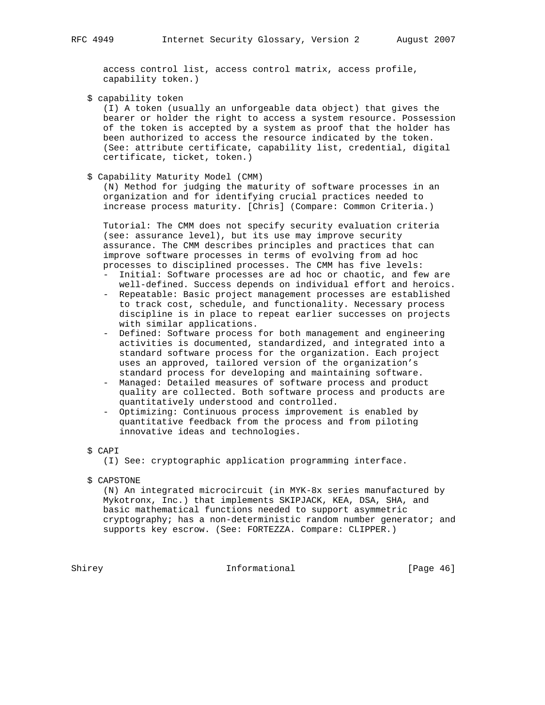access control list, access control matrix, access profile, capability token.)

\$ capability token

 (I) A token (usually an unforgeable data object) that gives the bearer or holder the right to access a system resource. Possession of the token is accepted by a system as proof that the holder has been authorized to access the resource indicated by the token. (See: attribute certificate, capability list, credential, digital certificate, ticket, token.)

\$ Capability Maturity Model (CMM)

 (N) Method for judging the maturity of software processes in an organization and for identifying crucial practices needed to increase process maturity. [Chris] (Compare: Common Criteria.)

 Tutorial: The CMM does not specify security evaluation criteria (see: assurance level), but its use may improve security assurance. The CMM describes principles and practices that can improve software processes in terms of evolving from ad hoc processes to disciplined processes. The CMM has five levels:

- Initial: Software processes are ad hoc or chaotic, and few are well-defined. Success depends on individual effort and heroics.
- Repeatable: Basic project management processes are established to track cost, schedule, and functionality. Necessary process discipline is in place to repeat earlier successes on projects with similar applications.
- Defined: Software process for both management and engineering activities is documented, standardized, and integrated into a standard software process for the organization. Each project uses an approved, tailored version of the organization's standard process for developing and maintaining software.
- Managed: Detailed measures of software process and product quality are collected. Both software process and products are quantitatively understood and controlled.
- Optimizing: Continuous process improvement is enabled by quantitative feedback from the process and from piloting innovative ideas and technologies.
- \$ CAPI

(I) See: cryptographic application programming interface.

\$ CAPSTONE

 (N) An integrated microcircuit (in MYK-8x series manufactured by Mykotronx, Inc.) that implements SKIPJACK, KEA, DSA, SHA, and basic mathematical functions needed to support asymmetric cryptography; has a non-deterministic random number generator; and supports key escrow. (See: FORTEZZA. Compare: CLIPPER.)

Shirey **Informational Informational** [Page 46]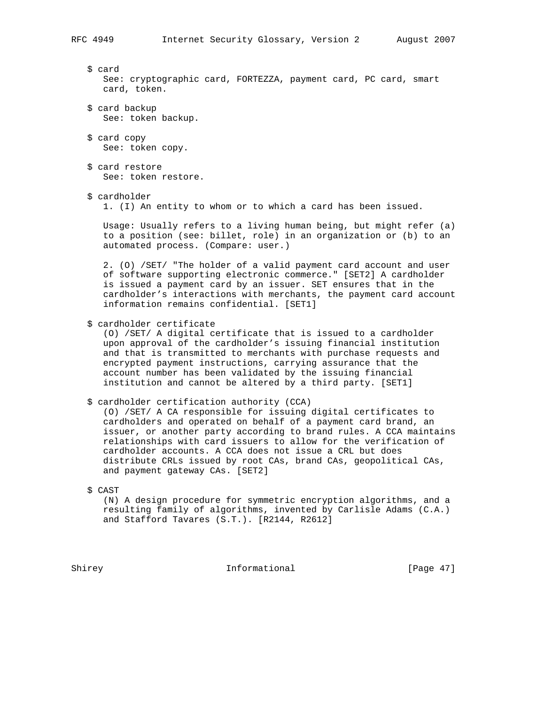\$ card See: cryptographic card, FORTEZZA, payment card, PC card, smart card, token.

- \$ card backup See: token backup.
- \$ card copy See: token copy.
- \$ card restore See: token restore.
- \$ cardholder

1. (I) An entity to whom or to which a card has been issued.

 Usage: Usually refers to a living human being, but might refer (a) to a position (see: billet, role) in an organization or (b) to an automated process. (Compare: user.)

 2. (O) /SET/ "The holder of a valid payment card account and user of software supporting electronic commerce." [SET2] A cardholder is issued a payment card by an issuer. SET ensures that in the cardholder's interactions with merchants, the payment card account information remains confidential. [SET1]

\$ cardholder certificate

 (O) /SET/ A digital certificate that is issued to a cardholder upon approval of the cardholder's issuing financial institution and that is transmitted to merchants with purchase requests and encrypted payment instructions, carrying assurance that the account number has been validated by the issuing financial institution and cannot be altered by a third party. [SET1]

\$ cardholder certification authority (CCA)

 (O) /SET/ A CA responsible for issuing digital certificates to cardholders and operated on behalf of a payment card brand, an issuer, or another party according to brand rules. A CCA maintains relationships with card issuers to allow for the verification of cardholder accounts. A CCA does not issue a CRL but does distribute CRLs issued by root CAs, brand CAs, geopolitical CAs, and payment gateway CAs. [SET2]

\$ CAST

 (N) A design procedure for symmetric encryption algorithms, and a resulting family of algorithms, invented by Carlisle Adams (C.A.) and Stafford Tavares (S.T.). [R2144, R2612]

Shirey **Informational** [Page 47]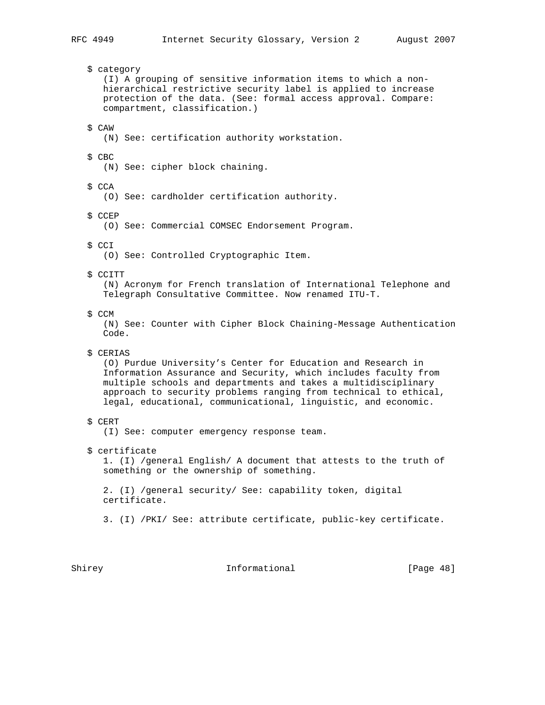\$ category (I) A grouping of sensitive information items to which a non hierarchical restrictive security label is applied to increase protection of the data. (See: formal access approval. Compare: compartment, classification.) \$ CAW (N) See: certification authority workstation. \$ CBC (N) See: cipher block chaining. \$ CCA (O) See: cardholder certification authority. \$ CCEP (O) See: Commercial COMSEC Endorsement Program. \$ CCI (O) See: Controlled Cryptographic Item. \$ CCITT (N) Acronym for French translation of International Telephone and Telegraph Consultative Committee. Now renamed ITU-T. \$ CCM (N) See: Counter with Cipher Block Chaining-Message Authentication Code. \$ CERIAS (O) Purdue University's Center for Education and Research in Information Assurance and Security, which includes faculty from multiple schools and departments and takes a multidisciplinary approach to security problems ranging from technical to ethical, legal, educational, communicational, linguistic, and economic. \$ CERT (I) See: computer emergency response team. \$ certificate 1. (I) /general English/ A document that attests to the truth of something or the ownership of something. 2. (I) /general security/ See: capability token, digital certificate. 3. (I) /PKI/ See: attribute certificate, public-key certificate.

Shirey **Informational** [Page 48]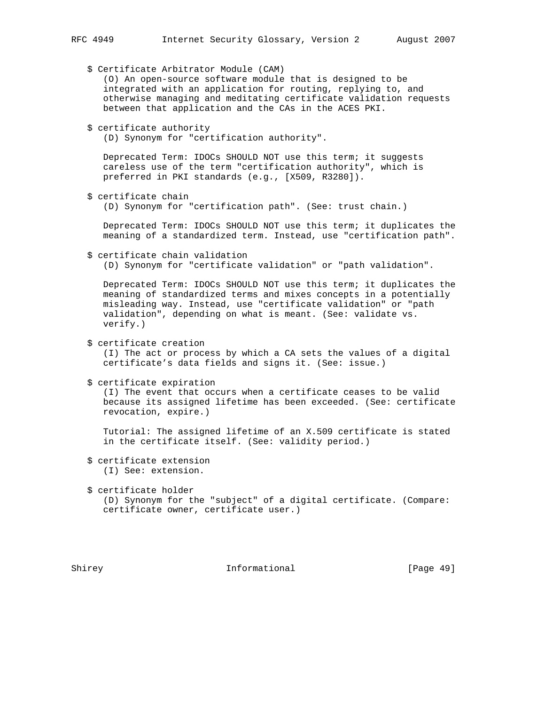\$ Certificate Arbitrator Module (CAM) (O) An open-source software module that is designed to be integrated with an application for routing, replying to, and otherwise managing and meditating certificate validation requests between that application and the CAs in the ACES PKI. \$ certificate authority (D) Synonym for "certification authority". Deprecated Term: IDOCs SHOULD NOT use this term; it suggests careless use of the term "certification authority", which is preferred in PKI standards (e.g., [X509, R3280]). \$ certificate chain (D) Synonym for "certification path". (See: trust chain.) Deprecated Term: IDOCs SHOULD NOT use this term; it duplicates the meaning of a standardized term. Instead, use "certification path". \$ certificate chain validation (D) Synonym for "certificate validation" or "path validation". Deprecated Term: IDOCs SHOULD NOT use this term; it duplicates the meaning of standardized terms and mixes concepts in a potentially misleading way. Instead, use "certificate validation" or "path validation", depending on what is meant. (See: validate vs. verify.) \$ certificate creation (I) The act or process by which a CA sets the values of a digital certificate's data fields and signs it. (See: issue.) \$ certificate expiration (I) The event that occurs when a certificate ceases to be valid because its assigned lifetime has been exceeded. (See: certificate revocation, expire.) Tutorial: The assigned lifetime of an X.509 certificate is stated in the certificate itself. (See: validity period.) \$ certificate extension (I) See: extension. \$ certificate holder (D) Synonym for the "subject" of a digital certificate. (Compare: certificate owner, certificate user.)

Shirey **Informational** [Page 49]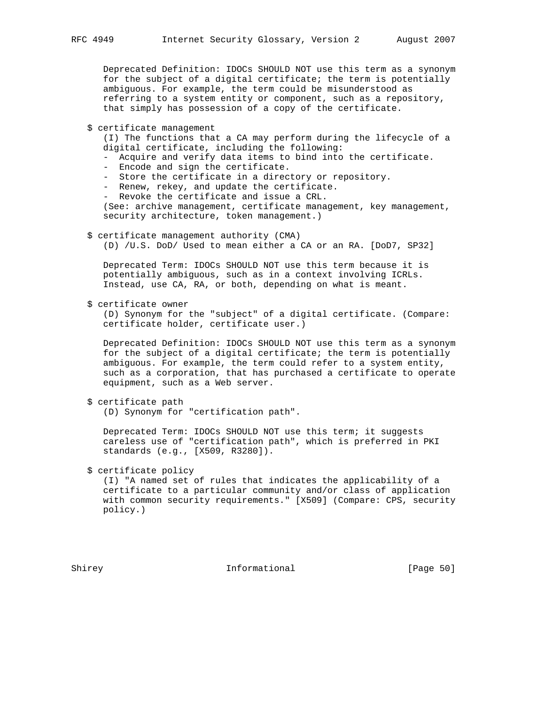Deprecated Definition: IDOCs SHOULD NOT use this term as a synonym for the subject of a digital certificate; the term is potentially ambiguous. For example, the term could be misunderstood as referring to a system entity or component, such as a repository, that simply has possession of a copy of the certificate.

\$ certificate management

 (I) The functions that a CA may perform during the lifecycle of a digital certificate, including the following:

- Acquire and verify data items to bind into the certificate.

- Encode and sign the certificate.
- Store the certificate in a directory or repository.
- Renew, rekey, and update the certificate.
- Revoke the certificate and issue a CRL.

 (See: archive management, certificate management, key management, security architecture, token management.)

- \$ certificate management authority (CMA)
	- (D) /U.S. DoD/ Used to mean either a CA or an RA. [DoD7, SP32]

 Deprecated Term: IDOCs SHOULD NOT use this term because it is potentially ambiguous, such as in a context involving ICRLs. Instead, use CA, RA, or both, depending on what is meant.

\$ certificate owner

 (D) Synonym for the "subject" of a digital certificate. (Compare: certificate holder, certificate user.)

 Deprecated Definition: IDOCs SHOULD NOT use this term as a synonym for the subject of a digital certificate; the term is potentially ambiguous. For example, the term could refer to a system entity, such as a corporation, that has purchased a certificate to operate equipment, such as a Web server.

\$ certificate path

(D) Synonym for "certification path".

 Deprecated Term: IDOCs SHOULD NOT use this term; it suggests careless use of "certification path", which is preferred in PKI standards (e.g., [X509, R3280]).

\$ certificate policy

 (I) "A named set of rules that indicates the applicability of a certificate to a particular community and/or class of application with common security requirements." [X509] (Compare: CPS, security policy.)

Shirey **Informational** [Page 50]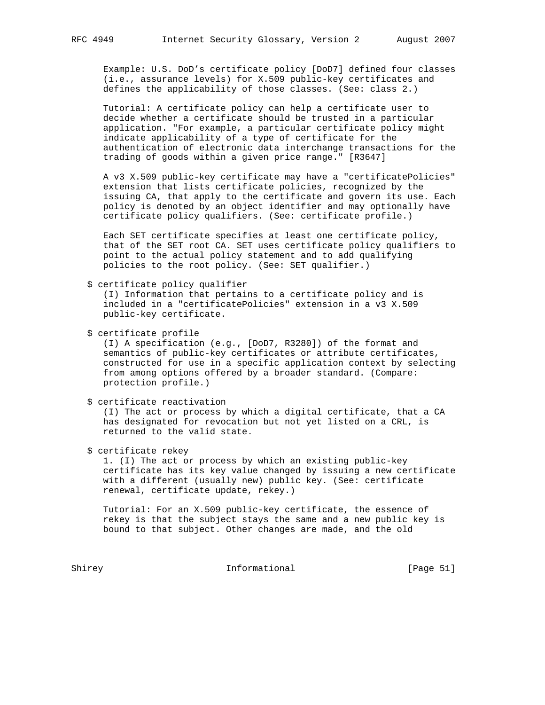Example: U.S. DoD's certificate policy [DoD7] defined four classes (i.e., assurance levels) for X.509 public-key certificates and defines the applicability of those classes. (See: class 2.)

 Tutorial: A certificate policy can help a certificate user to decide whether a certificate should be trusted in a particular application. "For example, a particular certificate policy might indicate applicability of a type of certificate for the authentication of electronic data interchange transactions for the trading of goods within a given price range." [R3647]

 A v3 X.509 public-key certificate may have a "certificatePolicies" extension that lists certificate policies, recognized by the issuing CA, that apply to the certificate and govern its use. Each policy is denoted by an object identifier and may optionally have certificate policy qualifiers. (See: certificate profile.)

 Each SET certificate specifies at least one certificate policy, that of the SET root CA. SET uses certificate policy qualifiers to point to the actual policy statement and to add qualifying policies to the root policy. (See: SET qualifier.)

\$ certificate policy qualifier

 (I) Information that pertains to a certificate policy and is included in a "certificatePolicies" extension in a v3 X.509 public-key certificate.

\$ certificate profile

 (I) A specification (e.g., [DoD7, R3280]) of the format and semantics of public-key certificates or attribute certificates, constructed for use in a specific application context by selecting from among options offered by a broader standard. (Compare: protection profile.)

\$ certificate reactivation

 (I) The act or process by which a digital certificate, that a CA has designated for revocation but not yet listed on a CRL, is returned to the valid state.

\$ certificate rekey

 1. (I) The act or process by which an existing public-key certificate has its key value changed by issuing a new certificate with a different (usually new) public key. (See: certificate renewal, certificate update, rekey.)

 Tutorial: For an X.509 public-key certificate, the essence of rekey is that the subject stays the same and a new public key is bound to that subject. Other changes are made, and the old

Shirey Informational [Page 51]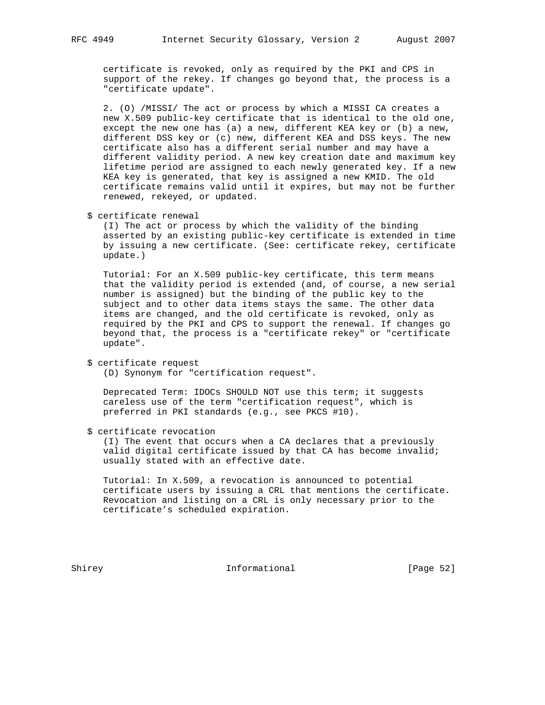certificate is revoked, only as required by the PKI and CPS in support of the rekey. If changes go beyond that, the process is a "certificate update".

 2. (O) /MISSI/ The act or process by which a MISSI CA creates a new X.509 public-key certificate that is identical to the old one, except the new one has (a) a new, different KEA key or (b) a new, different DSS key or (c) new, different KEA and DSS keys. The new certificate also has a different serial number and may have a different validity period. A new key creation date and maximum key lifetime period are assigned to each newly generated key. If a new KEA key is generated, that key is assigned a new KMID. The old certificate remains valid until it expires, but may not be further renewed, rekeyed, or updated.

\$ certificate renewal

 (I) The act or process by which the validity of the binding asserted by an existing public-key certificate is extended in time by issuing a new certificate. (See: certificate rekey, certificate update.)

 Tutorial: For an X.509 public-key certificate, this term means that the validity period is extended (and, of course, a new serial number is assigned) but the binding of the public key to the subject and to other data items stays the same. The other data items are changed, and the old certificate is revoked, only as required by the PKI and CPS to support the renewal. If changes go beyond that, the process is a "certificate rekey" or "certificate update".

(D) Synonym for "certification request".

 Deprecated Term: IDOCs SHOULD NOT use this term; it suggests careless use of the term "certification request", which is preferred in PKI standards (e.g., see PKCS #10).

\$ certificate revocation

 (I) The event that occurs when a CA declares that a previously valid digital certificate issued by that CA has become invalid; usually stated with an effective date.

 Tutorial: In X.509, a revocation is announced to potential certificate users by issuing a CRL that mentions the certificate. Revocation and listing on a CRL is only necessary prior to the certificate's scheduled expiration.

Shirey **Informational** [Page 52]

 <sup>\$</sup> certificate request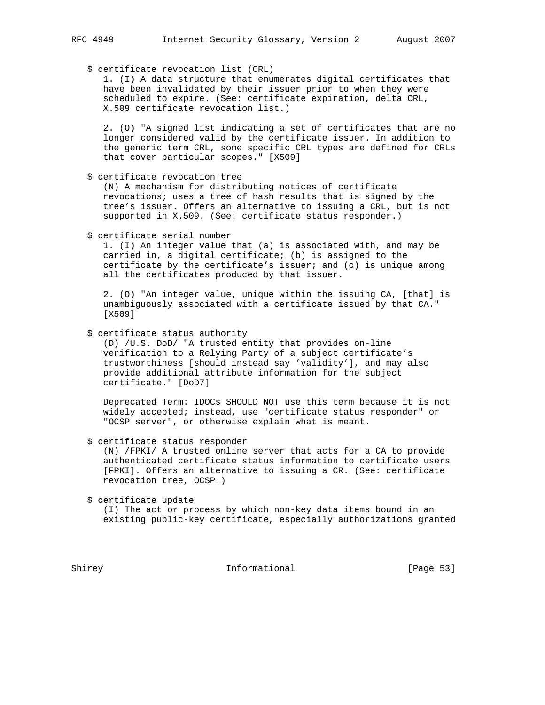\$ certificate revocation list (CRL)

 1. (I) A data structure that enumerates digital certificates that have been invalidated by their issuer prior to when they were scheduled to expire. (See: certificate expiration, delta CRL, X.509 certificate revocation list.)

 2. (O) "A signed list indicating a set of certificates that are no longer considered valid by the certificate issuer. In addition to the generic term CRL, some specific CRL types are defined for CRLs that cover particular scopes." [X509]

\$ certificate revocation tree

 (N) A mechanism for distributing notices of certificate revocations; uses a tree of hash results that is signed by the tree's issuer. Offers an alternative to issuing a CRL, but is not supported in X.509. (See: certificate status responder.)

\$ certificate serial number

 1. (I) An integer value that (a) is associated with, and may be carried in, a digital certificate; (b) is assigned to the certificate by the certificate's issuer; and  $(c)$  is unique among all the certificates produced by that issuer.

 2. (O) "An integer value, unique within the issuing CA, [that] is unambiguously associated with a certificate issued by that CA." [X509]

\$ certificate status authority

 (D) /U.S. DoD/ "A trusted entity that provides on-line verification to a Relying Party of a subject certificate's trustworthiness [should instead say 'validity'], and may also provide additional attribute information for the subject certificate." [DoD7]

 Deprecated Term: IDOCs SHOULD NOT use this term because it is not widely accepted; instead, use "certificate status responder" or "OCSP server", or otherwise explain what is meant.

\$ certificate status responder

 (N) /FPKI/ A trusted online server that acts for a CA to provide authenticated certificate status information to certificate users [FPKI]. Offers an alternative to issuing a CR. (See: certificate revocation tree, OCSP.)

\$ certificate update

 (I) The act or process by which non-key data items bound in an existing public-key certificate, especially authorizations granted

Shirey **Informational** [Page 53]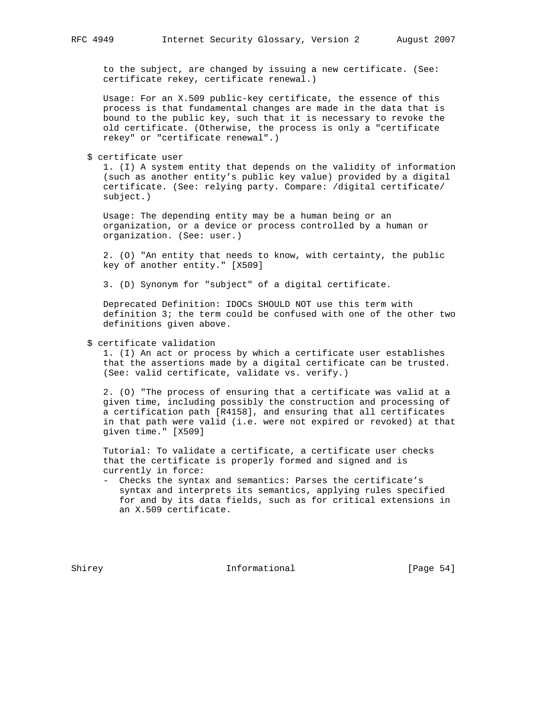to the subject, are changed by issuing a new certificate. (See: certificate rekey, certificate renewal.)

 Usage: For an X.509 public-key certificate, the essence of this process is that fundamental changes are made in the data that is bound to the public key, such that it is necessary to revoke the old certificate. (Otherwise, the process is only a "certificate rekey" or "certificate renewal".)

\$ certificate user

 1. (I) A system entity that depends on the validity of information (such as another entity's public key value) provided by a digital certificate. (See: relying party. Compare: /digital certificate/ subject.)

 Usage: The depending entity may be a human being or an organization, or a device or process controlled by a human or organization. (See: user.)

 2. (O) "An entity that needs to know, with certainty, the public key of another entity." [X509]

3. (D) Synonym for "subject" of a digital certificate.

 Deprecated Definition: IDOCs SHOULD NOT use this term with definition 3; the term could be confused with one of the other two definitions given above.

### \$ certificate validation

 1. (I) An act or process by which a certificate user establishes that the assertions made by a digital certificate can be trusted. (See: valid certificate, validate vs. verify.)

 2. (O) "The process of ensuring that a certificate was valid at a given time, including possibly the construction and processing of a certification path [R4158], and ensuring that all certificates in that path were valid (i.e. were not expired or revoked) at that given time." [X509]

 Tutorial: To validate a certificate, a certificate user checks that the certificate is properly formed and signed and is currently in force:

 - Checks the syntax and semantics: Parses the certificate's syntax and interprets its semantics, applying rules specified for and by its data fields, such as for critical extensions in an X.509 certificate.

Shirey **Informational** [Page 54]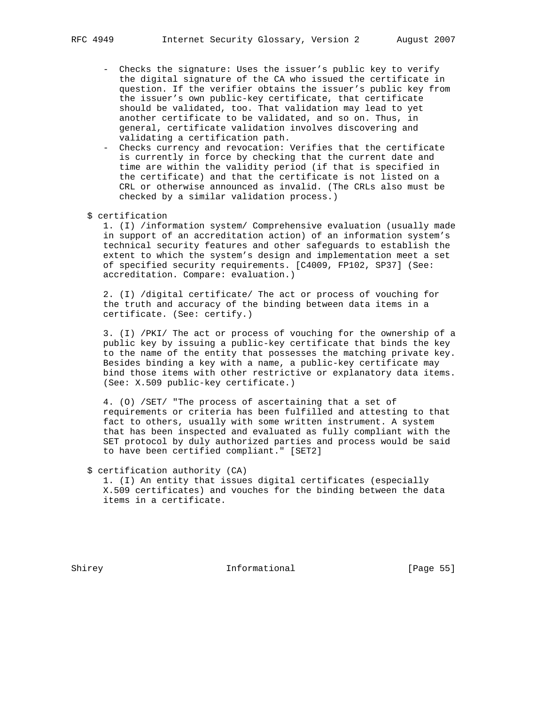- Checks the signature: Uses the issuer's public key to verify the digital signature of the CA who issued the certificate in question. If the verifier obtains the issuer's public key from the issuer's own public-key certificate, that certificate should be validated, too. That validation may lead to yet another certificate to be validated, and so on. Thus, in general, certificate validation involves discovering and validating a certification path.
- Checks currency and revocation: Verifies that the certificate is currently in force by checking that the current date and time are within the validity period (if that is specified in the certificate) and that the certificate is not listed on a CRL or otherwise announced as invalid. (The CRLs also must be checked by a similar validation process.)
- \$ certification

 1. (I) /information system/ Comprehensive evaluation (usually made in support of an accreditation action) of an information system's technical security features and other safeguards to establish the extent to which the system's design and implementation meet a set of specified security requirements. [C4009, FP102, SP37] (See: accreditation. Compare: evaluation.)

 2. (I) /digital certificate/ The act or process of vouching for the truth and accuracy of the binding between data items in a certificate. (See: certify.)

 3. (I) /PKI/ The act or process of vouching for the ownership of a public key by issuing a public-key certificate that binds the key to the name of the entity that possesses the matching private key. Besides binding a key with a name, a public-key certificate may bind those items with other restrictive or explanatory data items. (See: X.509 public-key certificate.)

 4. (O) /SET/ "The process of ascertaining that a set of requirements or criteria has been fulfilled and attesting to that fact to others, usually with some written instrument. A system that has been inspected and evaluated as fully compliant with the SET protocol by duly authorized parties and process would be said to have been certified compliant." [SET2]

\$ certification authority (CA)

 1. (I) An entity that issues digital certificates (especially X.509 certificates) and vouches for the binding between the data items in a certificate.

Shirey **Informational** [Page 55]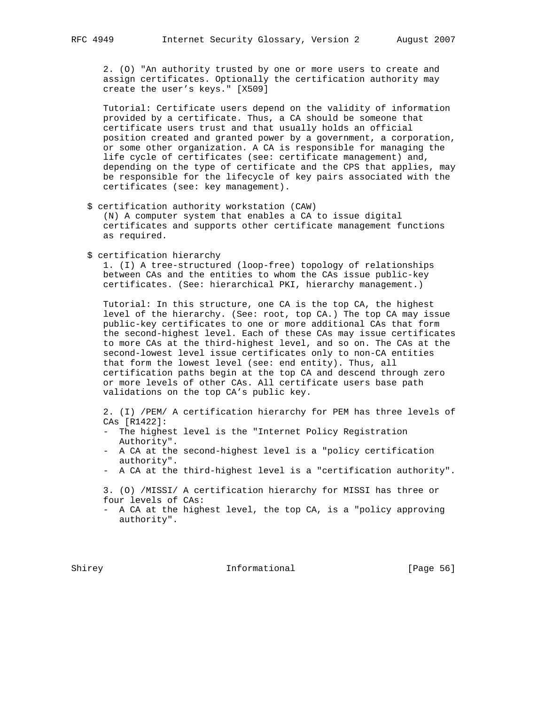2. (O) "An authority trusted by one or more users to create and assign certificates. Optionally the certification authority may create the user's keys." [X509]

 Tutorial: Certificate users depend on the validity of information provided by a certificate. Thus, a CA should be someone that certificate users trust and that usually holds an official position created and granted power by a government, a corporation, or some other organization. A CA is responsible for managing the life cycle of certificates (see: certificate management) and, depending on the type of certificate and the CPS that applies, may be responsible for the lifecycle of key pairs associated with the certificates (see: key management).

\$ certification authority workstation (CAW)

 (N) A computer system that enables a CA to issue digital certificates and supports other certificate management functions as required.

\$ certification hierarchy

 1. (I) A tree-structured (loop-free) topology of relationships between CAs and the entities to whom the CAs issue public-key certificates. (See: hierarchical PKI, hierarchy management.)

 Tutorial: In this structure, one CA is the top CA, the highest level of the hierarchy. (See: root, top CA.) The top CA may issue public-key certificates to one or more additional CAs that form the second-highest level. Each of these CAs may issue certificates to more CAs at the third-highest level, and so on. The CAs at the second-lowest level issue certificates only to non-CA entities that form the lowest level (see: end entity). Thus, all certification paths begin at the top CA and descend through zero or more levels of other CAs. All certificate users base path validations on the top CA's public key.

 2. (I) /PEM/ A certification hierarchy for PEM has three levels of CAs [R1422]:

- The highest level is the "Internet Policy Registration Authority".
- A CA at the second-highest level is a "policy certification authority".
- A CA at the third-highest level is a "certification authority".

 3. (O) /MISSI/ A certification hierarchy for MISSI has three or four levels of CAs:

 - A CA at the highest level, the top CA, is a "policy approving authority".

Shirey **Informational** [Page 56]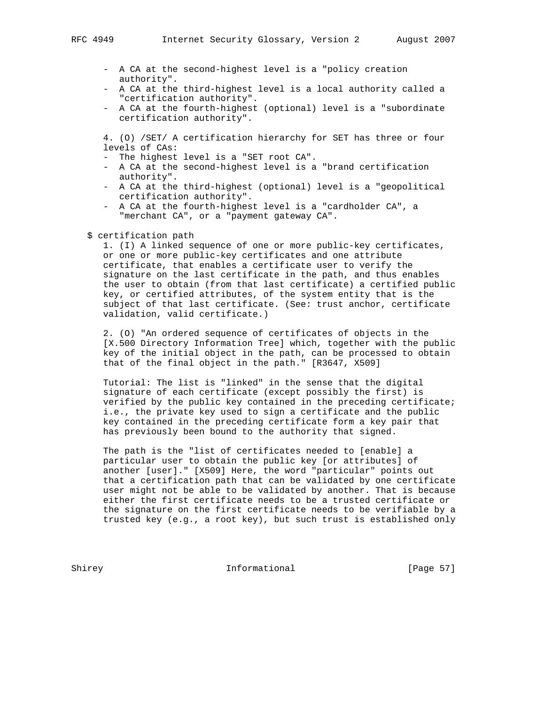- A CA at the second-highest level is a "policy creation authority".
- A CA at the third-highest level is a local authority called a "certification authority".
- A CA at the fourth-highest (optional) level is a "subordinate certification authority".

 4. (O) /SET/ A certification hierarchy for SET has three or four levels of CAs:

- The highest level is a "SET root CA".
- A CA at the second-highest level is a "brand certification authority".
- A CA at the third-highest (optional) level is a "geopolitical certification authority".
- A CA at the fourth-highest level is a "cardholder CA", a "merchant CA", or a "payment gateway CA".
- \$ certification path

 1. (I) A linked sequence of one or more public-key certificates, or one or more public-key certificates and one attribute certificate, that enables a certificate user to verify the signature on the last certificate in the path, and thus enables the user to obtain (from that last certificate) a certified public key, or certified attributes, of the system entity that is the subject of that last certificate. (See: trust anchor, certificate validation, valid certificate.)

 2. (O) "An ordered sequence of certificates of objects in the [X.500 Directory Information Tree] which, together with the public key of the initial object in the path, can be processed to obtain that of the final object in the path." [R3647, X509]

 Tutorial: The list is "linked" in the sense that the digital signature of each certificate (except possibly the first) is verified by the public key contained in the preceding certificate; i.e., the private key used to sign a certificate and the public key contained in the preceding certificate form a key pair that has previously been bound to the authority that signed.

 The path is the "list of certificates needed to [enable] a particular user to obtain the public key [or attributes] of another [user]." [X509] Here, the word "particular" points out that a certification path that can be validated by one certificate user might not be able to be validated by another. That is because either the first certificate needs to be a trusted certificate or the signature on the first certificate needs to be verifiable by a trusted key (e.g., a root key), but such trust is established only

Shirey **Informational** [Page 57]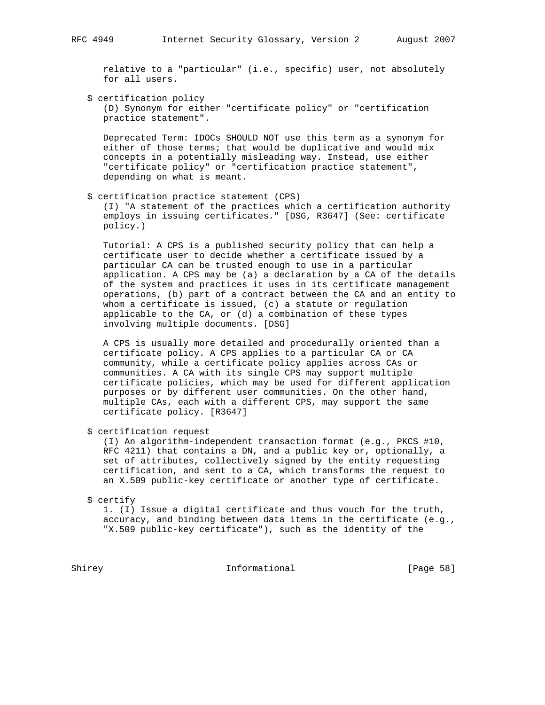relative to a "particular" (i.e., specific) user, not absolutely for all users.

 \$ certification policy (D) Synonym for either "certificate policy" or "certification practice statement".

 Deprecated Term: IDOCs SHOULD NOT use this term as a synonym for either of those terms; that would be duplicative and would mix concepts in a potentially misleading way. Instead, use either "certificate policy" or "certification practice statement", depending on what is meant.

\$ certification practice statement (CPS)

 (I) "A statement of the practices which a certification authority employs in issuing certificates." [DSG, R3647] (See: certificate policy.)

 Tutorial: A CPS is a published security policy that can help a certificate user to decide whether a certificate issued by a particular CA can be trusted enough to use in a particular application. A CPS may be (a) a declaration by a CA of the details of the system and practices it uses in its certificate management operations, (b) part of a contract between the CA and an entity to whom a certificate is issued, (c) a statute or regulation applicable to the CA, or (d) a combination of these types involving multiple documents. [DSG]

 A CPS is usually more detailed and procedurally oriented than a certificate policy. A CPS applies to a particular CA or CA community, while a certificate policy applies across CAs or communities. A CA with its single CPS may support multiple certificate policies, which may be used for different application purposes or by different user communities. On the other hand, multiple CAs, each with a different CPS, may support the same certificate policy. [R3647]

\$ certification request

 (I) An algorithm-independent transaction format (e.g., PKCS #10, RFC 4211) that contains a DN, and a public key or, optionally, a set of attributes, collectively signed by the entity requesting certification, and sent to a CA, which transforms the request to an X.509 public-key certificate or another type of certificate.

\$ certify

 1. (I) Issue a digital certificate and thus vouch for the truth, accuracy, and binding between data items in the certificate (e.g., "X.509 public-key certificate"), such as the identity of the

Shirey **Informational** [Page 58]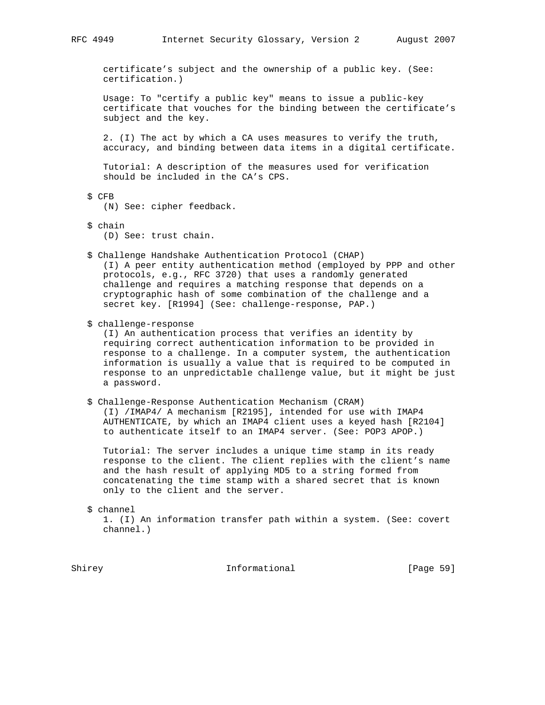certificate's subject and the ownership of a public key. (See: certification.)

 Usage: To "certify a public key" means to issue a public-key certificate that vouches for the binding between the certificate's subject and the key.

 2. (I) The act by which a CA uses measures to verify the truth, accuracy, and binding between data items in a digital certificate.

 Tutorial: A description of the measures used for verification should be included in the CA's CPS.

\$ CFB

(N) See: cipher feedback.

- \$ chain (D) See: trust chain.
- \$ Challenge Handshake Authentication Protocol (CHAP) (I) A peer entity authentication method (employed by PPP and other protocols, e.g., RFC 3720) that uses a randomly generated challenge and requires a matching response that depends on a cryptographic hash of some combination of the challenge and a secret key. [R1994] (See: challenge-response, PAP.)
- \$ challenge-response

 (I) An authentication process that verifies an identity by requiring correct authentication information to be provided in response to a challenge. In a computer system, the authentication information is usually a value that is required to be computed in response to an unpredictable challenge value, but it might be just a password.

# \$ Challenge-Response Authentication Mechanism (CRAM) (I) /IMAP4/ A mechanism [R2195], intended for use with IMAP4 AUTHENTICATE, by which an IMAP4 client uses a keyed hash [R2104] to authenticate itself to an IMAP4 server. (See: POP3 APOP.)

 Tutorial: The server includes a unique time stamp in its ready response to the client. The client replies with the client's name and the hash result of applying MD5 to a string formed from concatenating the time stamp with a shared secret that is known only to the client and the server.

\$ channel

 1. (I) An information transfer path within a system. (See: covert channel.)

Shirey **Informational** [Page 59]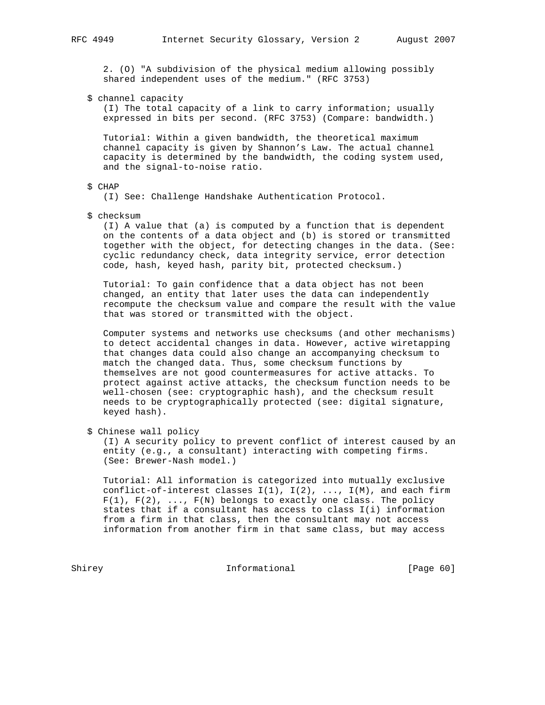2. (O) "A subdivision of the physical medium allowing possibly shared independent uses of the medium." (RFC 3753)

\$ channel capacity

 (I) The total capacity of a link to carry information; usually expressed in bits per second. (RFC 3753) (Compare: bandwidth.)

 Tutorial: Within a given bandwidth, the theoretical maximum channel capacity is given by Shannon's Law. The actual channel capacity is determined by the bandwidth, the coding system used, and the signal-to-noise ratio.

# \$ CHAP

(I) See: Challenge Handshake Authentication Protocol.

\$ checksum

 (I) A value that (a) is computed by a function that is dependent on the contents of a data object and (b) is stored or transmitted together with the object, for detecting changes in the data. (See: cyclic redundancy check, data integrity service, error detection code, hash, keyed hash, parity bit, protected checksum.)

 Tutorial: To gain confidence that a data object has not been changed, an entity that later uses the data can independently recompute the checksum value and compare the result with the value that was stored or transmitted with the object.

 Computer systems and networks use checksums (and other mechanisms) to detect accidental changes in data. However, active wiretapping that changes data could also change an accompanying checksum to match the changed data. Thus, some checksum functions by themselves are not good countermeasures for active attacks. To protect against active attacks, the checksum function needs to be well-chosen (see: cryptographic hash), and the checksum result needs to be cryptographically protected (see: digital signature, keyed hash).

\$ Chinese wall policy

 (I) A security policy to prevent conflict of interest caused by an entity (e.g., a consultant) interacting with competing firms. (See: Brewer-Nash model.)

 Tutorial: All information is categorized into mutually exclusive conflict-of-interest classes  $I(1)$ ,  $I(2)$ , ...,  $I(M)$ , and each firm  $F(1)$ ,  $F(2)$ , ...,  $F(N)$  belongs to exactly one class. The policy states that if a consultant has access to class I(i) information from a firm in that class, then the consultant may not access information from another firm in that same class, but may access

Shirey Informational [Page 60]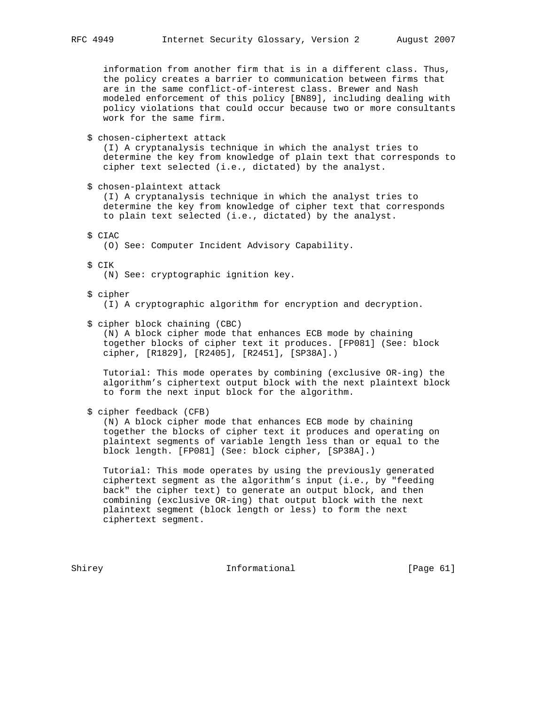information from another firm that is in a different class. Thus, the policy creates a barrier to communication between firms that are in the same conflict-of-interest class. Brewer and Nash modeled enforcement of this policy [BN89], including dealing with policy violations that could occur because two or more consultants work for the same firm.

\$ chosen-ciphertext attack

 (I) A cryptanalysis technique in which the analyst tries to determine the key from knowledge of plain text that corresponds to cipher text selected (i.e., dictated) by the analyst.

\$ chosen-plaintext attack

 (I) A cryptanalysis technique in which the analyst tries to determine the key from knowledge of cipher text that corresponds to plain text selected (i.e., dictated) by the analyst.

\$ CIAC

(O) See: Computer Incident Advisory Capability.

- \$ CIK
	- (N) See: cryptographic ignition key.
- \$ cipher (I) A cryptographic algorithm for encryption and decryption.
- \$ cipher block chaining (CBC)

 (N) A block cipher mode that enhances ECB mode by chaining together blocks of cipher text it produces. [FP081] (See: block cipher, [R1829], [R2405], [R2451], [SP38A].)

 Tutorial: This mode operates by combining (exclusive OR-ing) the algorithm's ciphertext output block with the next plaintext block to form the next input block for the algorithm.

\$ cipher feedback (CFB)

 (N) A block cipher mode that enhances ECB mode by chaining together the blocks of cipher text it produces and operating on plaintext segments of variable length less than or equal to the block length. [FP081] (See: block cipher, [SP38A].)

 Tutorial: This mode operates by using the previously generated ciphertext segment as the algorithm's input (i.e., by "feeding back" the cipher text) to generate an output block, and then combining (exclusive OR-ing) that output block with the next plaintext segment (block length or less) to form the next ciphertext segment.

Shirey **Informational** [Page 61]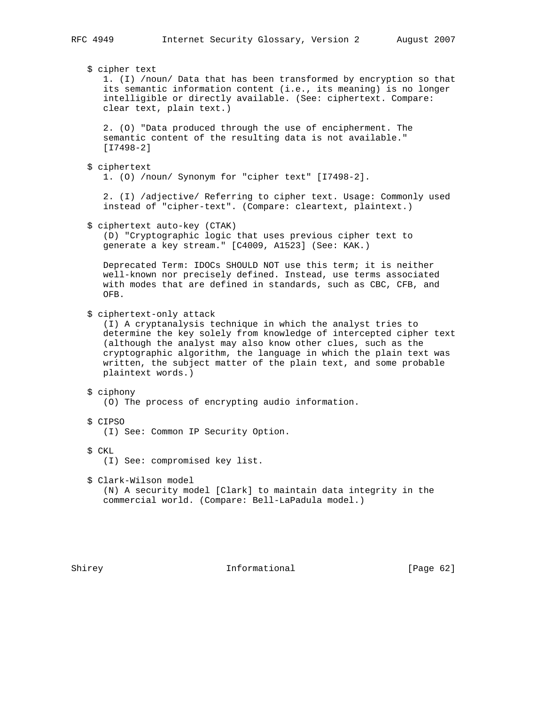\$ cipher text 1. (I) /noun/ Data that has been transformed by encryption so that its semantic information content (i.e., its meaning) is no longer intelligible or directly available. (See: ciphertext. Compare: clear text, plain text.) 2. (O) "Data produced through the use of encipherment. The semantic content of the resulting data is not available." [I7498-2] \$ ciphertext 1. (O) /noun/ Synonym for "cipher text" [I7498-2]. 2. (I) /adjective/ Referring to cipher text. Usage: Commonly used instead of "cipher-text". (Compare: cleartext, plaintext.) \$ ciphertext auto-key (CTAK) (D) "Cryptographic logic that uses previous cipher text to generate a key stream." [C4009, A1523] (See: KAK.) Deprecated Term: IDOCs SHOULD NOT use this term; it is neither well-known nor precisely defined. Instead, use terms associated with modes that are defined in standards, such as CBC, CFB, and OFB. \$ ciphertext-only attack (I) A cryptanalysis technique in which the analyst tries to determine the key solely from knowledge of intercepted cipher text (although the analyst may also know other clues, such as the cryptographic algorithm, the language in which the plain text was written, the subject matter of the plain text, and some probable plaintext words.) \$ ciphony (O) The process of encrypting audio information. \$ CIPSO (I) See: Common IP Security Option. \$ CKL (I) See: compromised key list. \$ Clark-Wilson model (N) A security model [Clark] to maintain data integrity in the commercial world. (Compare: Bell-LaPadula model.)

Shirey **Informational** [Page 62]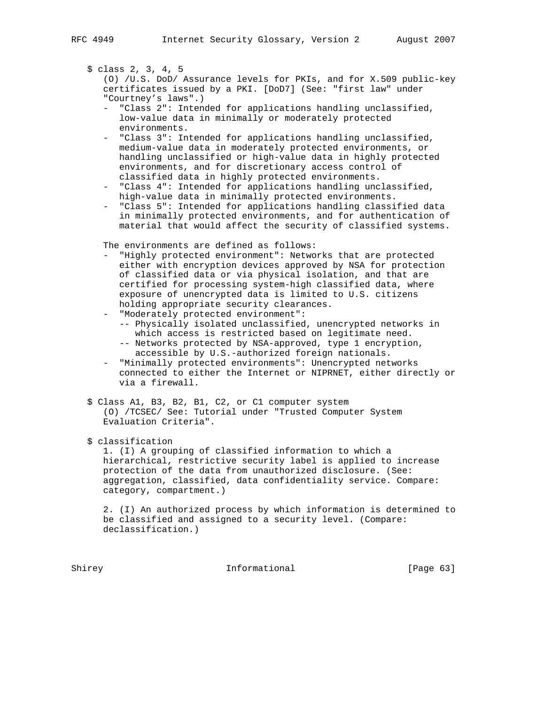\$ class 2, 3, 4, 5

 (O) /U.S. DoD/ Assurance levels for PKIs, and for X.509 public-key certificates issued by a PKI. [DoD7] (See: "first law" under "Courtney's laws".)

- "Class 2": Intended for applications handling unclassified, low-value data in minimally or moderately protected environments.
- "Class 3": Intended for applications handling unclassified, medium-value data in moderately protected environments, or handling unclassified or high-value data in highly protected environments, and for discretionary access control of classified data in highly protected environments.
- "Class 4": Intended for applications handling unclassified, high-value data in minimally protected environments.
- "Class 5": Intended for applications handling classified data in minimally protected environments, and for authentication of material that would affect the security of classified systems.

The environments are defined as follows:

- "Highly protected environment": Networks that are protected either with encryption devices approved by NSA for protection of classified data or via physical isolation, and that are certified for processing system-high classified data, where exposure of unencrypted data is limited to U.S. citizens holding appropriate security clearances.
- "Moderately protected environment":
	- -- Physically isolated unclassified, unencrypted networks in which access is restricted based on legitimate need.
	- -- Networks protected by NSA-approved, type 1 encryption, accessible by U.S.-authorized foreign nationals.
- "Minimally protected environments": Unencrypted networks connected to either the Internet or NIPRNET, either directly or via a firewall.
- \$ Class A1, B3, B2, B1, C2, or C1 computer system (O) /TCSEC/ See: Tutorial under "Trusted Computer System Evaluation Criteria".

\$ classification

 1. (I) A grouping of classified information to which a hierarchical, restrictive security label is applied to increase protection of the data from unauthorized disclosure. (See: aggregation, classified, data confidentiality service. Compare: category, compartment.)

 2. (I) An authorized process by which information is determined to be classified and assigned to a security level. (Compare: declassification.)

Shirey **Informational** [Page 63]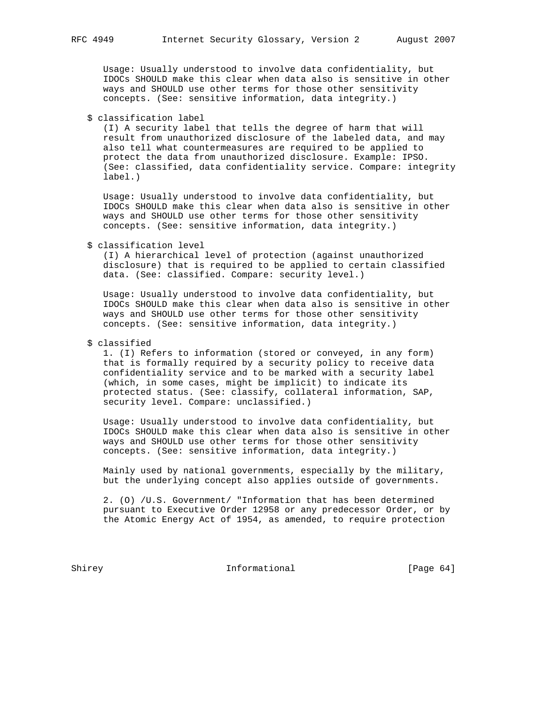Usage: Usually understood to involve data confidentiality, but IDOCs SHOULD make this clear when data also is sensitive in other ways and SHOULD use other terms for those other sensitivity concepts. (See: sensitive information, data integrity.)

\$ classification label

 (I) A security label that tells the degree of harm that will result from unauthorized disclosure of the labeled data, and may also tell what countermeasures are required to be applied to protect the data from unauthorized disclosure. Example: IPSO. (See: classified, data confidentiality service. Compare: integrity label.)

 Usage: Usually understood to involve data confidentiality, but IDOCs SHOULD make this clear when data also is sensitive in other ways and SHOULD use other terms for those other sensitivity concepts. (See: sensitive information, data integrity.)

# \$ classification level

 (I) A hierarchical level of protection (against unauthorized disclosure) that is required to be applied to certain classified data. (See: classified. Compare: security level.)

 Usage: Usually understood to involve data confidentiality, but IDOCs SHOULD make this clear when data also is sensitive in other ways and SHOULD use other terms for those other sensitivity concepts. (See: sensitive information, data integrity.)

# \$ classified

 1. (I) Refers to information (stored or conveyed, in any form) that is formally required by a security policy to receive data confidentiality service and to be marked with a security label (which, in some cases, might be implicit) to indicate its protected status. (See: classify, collateral information, SAP, security level. Compare: unclassified.)

 Usage: Usually understood to involve data confidentiality, but IDOCs SHOULD make this clear when data also is sensitive in other ways and SHOULD use other terms for those other sensitivity concepts. (See: sensitive information, data integrity.)

 Mainly used by national governments, especially by the military, but the underlying concept also applies outside of governments.

 2. (O) /U.S. Government/ "Information that has been determined pursuant to Executive Order 12958 or any predecessor Order, or by the Atomic Energy Act of 1954, as amended, to require protection

Shirey **Informational** [Page 64]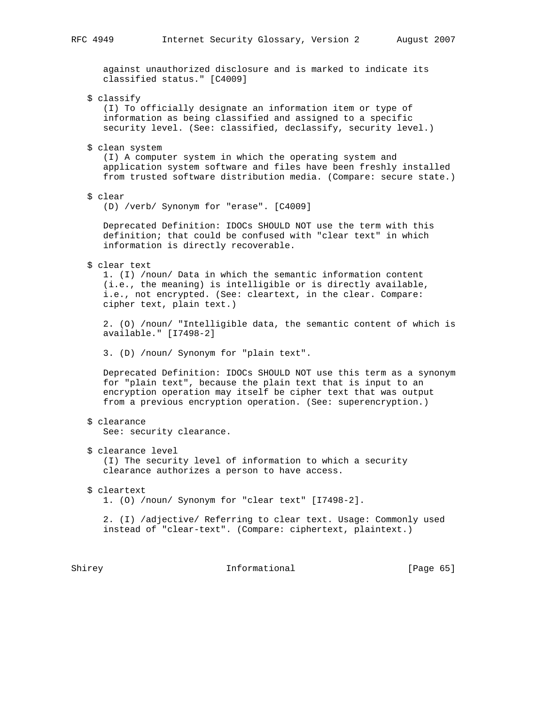against unauthorized disclosure and is marked to indicate its classified status." [C4009]

\$ classify

 (I) To officially designate an information item or type of information as being classified and assigned to a specific security level. (See: classified, declassify, security level.)

\$ clean system

 (I) A computer system in which the operating system and application system software and files have been freshly installed from trusted software distribution media. (Compare: secure state.)

\$ clear

(D) /verb/ Synonym for "erase". [C4009]

 Deprecated Definition: IDOCs SHOULD NOT use the term with this definition; that could be confused with "clear text" in which information is directly recoverable.

\$ clear text

 1. (I) /noun/ Data in which the semantic information content (i.e., the meaning) is intelligible or is directly available, i.e., not encrypted. (See: cleartext, in the clear. Compare: cipher text, plain text.)

 2. (O) /noun/ "Intelligible data, the semantic content of which is available." [I7498-2]

3. (D) /noun/ Synonym for "plain text".

 Deprecated Definition: IDOCs SHOULD NOT use this term as a synonym for "plain text", because the plain text that is input to an encryption operation may itself be cipher text that was output from a previous encryption operation. (See: superencryption.)

\$ clearance

See: security clearance.

\$ clearance level

 (I) The security level of information to which a security clearance authorizes a person to have access.

 \$ cleartext 1. (O) /noun/ Synonym for "clear text" [I7498-2].

 2. (I) /adjective/ Referring to clear text. Usage: Commonly used instead of "clear-text". (Compare: ciphertext, plaintext.)

Shirey **Informational** [Page 65]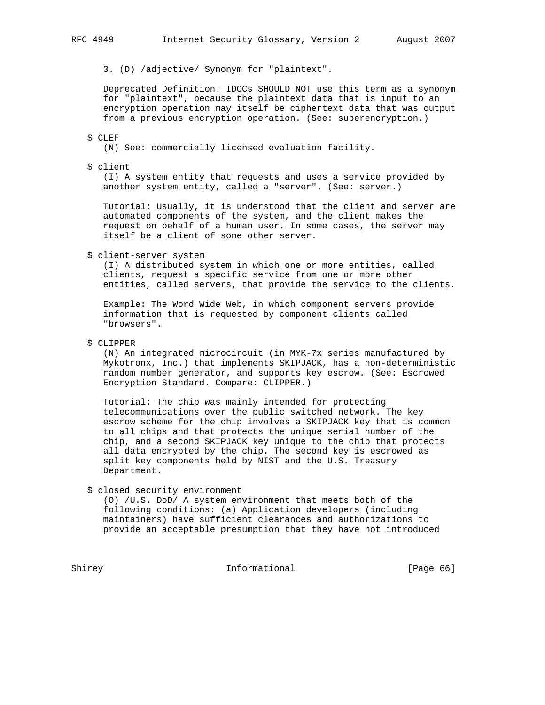3. (D) /adjective/ Synonym for "plaintext".

 Deprecated Definition: IDOCs SHOULD NOT use this term as a synonym for "plaintext", because the plaintext data that is input to an encryption operation may itself be ciphertext data that was output from a previous encryption operation. (See: superencryption.)

### \$ CLEF

(N) See: commercially licensed evaluation facility.

### \$ client

 (I) A system entity that requests and uses a service provided by another system entity, called a "server". (See: server.)

 Tutorial: Usually, it is understood that the client and server are automated components of the system, and the client makes the request on behalf of a human user. In some cases, the server may itself be a client of some other server.

#### \$ client-server system

 (I) A distributed system in which one or more entities, called clients, request a specific service from one or more other entities, called servers, that provide the service to the clients.

 Example: The Word Wide Web, in which component servers provide information that is requested by component clients called "browsers".

# \$ CLIPPER

 (N) An integrated microcircuit (in MYK-7x series manufactured by Mykotronx, Inc.) that implements SKIPJACK, has a non-deterministic random number generator, and supports key escrow. (See: Escrowed Encryption Standard. Compare: CLIPPER.)

 Tutorial: The chip was mainly intended for protecting telecommunications over the public switched network. The key escrow scheme for the chip involves a SKIPJACK key that is common to all chips and that protects the unique serial number of the chip, and a second SKIPJACK key unique to the chip that protects all data encrypted by the chip. The second key is escrowed as split key components held by NIST and the U.S. Treasury Department.

\$ closed security environment

 (O) /U.S. DoD/ A system environment that meets both of the following conditions: (a) Application developers (including maintainers) have sufficient clearances and authorizations to provide an acceptable presumption that they have not introduced

Shirey **Informational** [Page 66]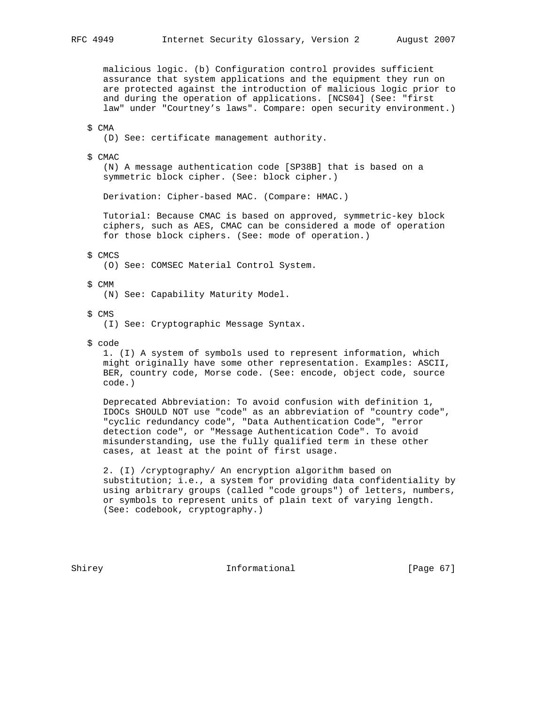malicious logic. (b) Configuration control provides sufficient assurance that system applications and the equipment they run on are protected against the introduction of malicious logic prior to and during the operation of applications. [NCS04] (See: "first law" under "Courtney's laws". Compare: open security environment.)

## \$ CMA

(D) See: certificate management authority.

#### \$ CMAC

 (N) A message authentication code [SP38B] that is based on a symmetric block cipher. (See: block cipher.)

Derivation: Cipher-based MAC. (Compare: HMAC.)

 Tutorial: Because CMAC is based on approved, symmetric-key block ciphers, such as AES, CMAC can be considered a mode of operation for those block ciphers. (See: mode of operation.)

#### \$ CMCS

(O) See: COMSEC Material Control System.

### \$ CMM

(N) See: Capability Maturity Model.

\$ CMS

(I) See: Cryptographic Message Syntax.

\$ code

 1. (I) A system of symbols used to represent information, which might originally have some other representation. Examples: ASCII, BER, country code, Morse code. (See: encode, object code, source code.)

 Deprecated Abbreviation: To avoid confusion with definition 1, IDOCs SHOULD NOT use "code" as an abbreviation of "country code", "cyclic redundancy code", "Data Authentication Code", "error detection code", or "Message Authentication Code". To avoid misunderstanding, use the fully qualified term in these other cases, at least at the point of first usage.

 2. (I) /cryptography/ An encryption algorithm based on substitution; i.e., a system for providing data confidentiality by using arbitrary groups (called "code groups") of letters, numbers, or symbols to represent units of plain text of varying length. (See: codebook, cryptography.)

Shirey **Informational** [Page 67]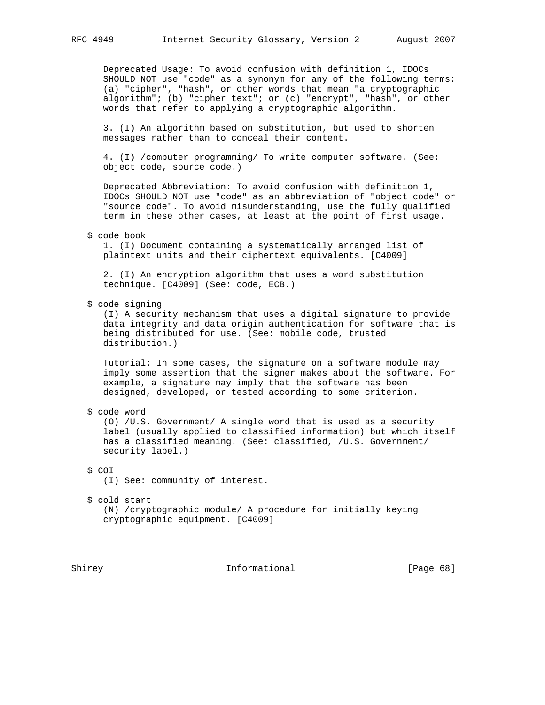Deprecated Usage: To avoid confusion with definition 1, IDOCs SHOULD NOT use "code" as a synonym for any of the following terms: (a) "cipher", "hash", or other words that mean "a cryptographic algorithm"; (b) "cipher text"; or (c) "encrypt", "hash", or other words that refer to applying a cryptographic algorithm.

 3. (I) An algorithm based on substitution, but used to shorten messages rather than to conceal their content.

 4. (I) /computer programming/ To write computer software. (See: object code, source code.)

 Deprecated Abbreviation: To avoid confusion with definition 1, IDOCs SHOULD NOT use "code" as an abbreviation of "object code" or "source code". To avoid misunderstanding, use the fully qualified term in these other cases, at least at the point of first usage.

\$ code book

 1. (I) Document containing a systematically arranged list of plaintext units and their ciphertext equivalents. [C4009]

 2. (I) An encryption algorithm that uses a word substitution technique. [C4009] (See: code, ECB.)

\$ code signing

 (I) A security mechanism that uses a digital signature to provide data integrity and data origin authentication for software that is being distributed for use. (See: mobile code, trusted distribution.)

 Tutorial: In some cases, the signature on a software module may imply some assertion that the signer makes about the software. For example, a signature may imply that the software has been designed, developed, or tested according to some criterion.

\$ code word

 (O) /U.S. Government/ A single word that is used as a security label (usually applied to classified information) but which itself has a classified meaning. (See: classified, /U.S. Government/ security label.)

\$ COI

(I) See: community of interest.

\$ cold start

 (N) /cryptographic module/ A procedure for initially keying cryptographic equipment. [C4009]

Shirey **Informational** [Page 68]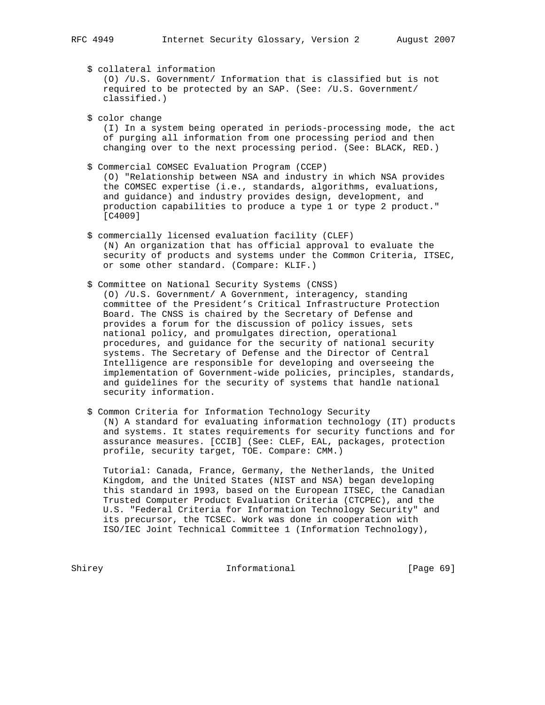\$ collateral information (O) /U.S. Government/ Information that is classified but is not required to be protected by an SAP. (See: /U.S. Government/ classified.)

 \$ color change (I) In a system being operated in periods-processing mode, the act of purging all information from one processing period and then changing over to the next processing period. (See: BLACK, RED.)

- \$ Commercial COMSEC Evaluation Program (CCEP) (O) "Relationship between NSA and industry in which NSA provides the COMSEC expertise (i.e., standards, algorithms, evaluations, and guidance) and industry provides design, development, and production capabilities to produce a type 1 or type 2 product." [C4009]
- \$ commercially licensed evaluation facility (CLEF) (N) An organization that has official approval to evaluate the security of products and systems under the Common Criteria, ITSEC, or some other standard. (Compare: KLIF.)
- \$ Committee on National Security Systems (CNSS) (O) /U.S. Government/ A Government, interagency, standing committee of the President's Critical Infrastructure Protection Board. The CNSS is chaired by the Secretary of Defense and provides a forum for the discussion of policy issues, sets national policy, and promulgates direction, operational procedures, and guidance for the security of national security systems. The Secretary of Defense and the Director of Central Intelligence are responsible for developing and overseeing the implementation of Government-wide policies, principles, standards, and guidelines for the security of systems that handle national security information.
- \$ Common Criteria for Information Technology Security (N) A standard for evaluating information technology (IT) products and systems. It states requirements for security functions and for assurance measures. [CCIB] (See: CLEF, EAL, packages, protection profile, security target, TOE. Compare: CMM.)

 Tutorial: Canada, France, Germany, the Netherlands, the United Kingdom, and the United States (NIST and NSA) began developing this standard in 1993, based on the European ITSEC, the Canadian Trusted Computer Product Evaluation Criteria (CTCPEC), and the U.S. "Federal Criteria for Information Technology Security" and its precursor, the TCSEC. Work was done in cooperation with ISO/IEC Joint Technical Committee 1 (Information Technology),

Shirey Informational [Page 69]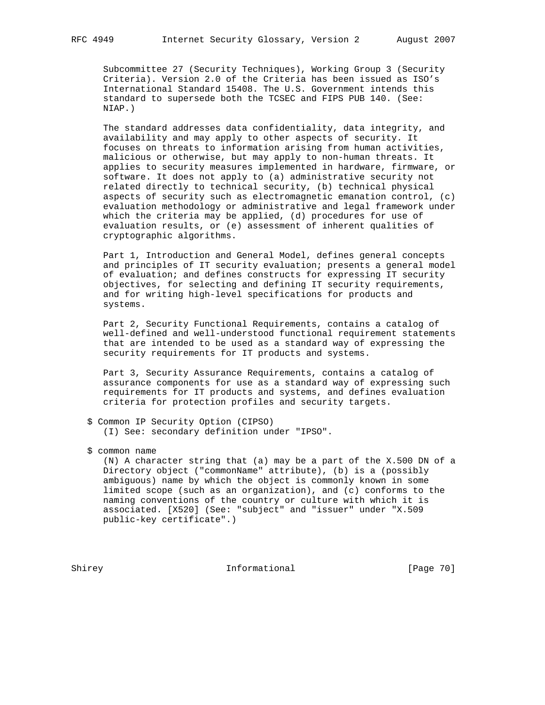Subcommittee 27 (Security Techniques), Working Group 3 (Security Criteria). Version 2.0 of the Criteria has been issued as ISO's International Standard 15408. The U.S. Government intends this standard to supersede both the TCSEC and FIPS PUB 140. (See: NIAP.)

 The standard addresses data confidentiality, data integrity, and availability and may apply to other aspects of security. It focuses on threats to information arising from human activities, malicious or otherwise, but may apply to non-human threats. It applies to security measures implemented in hardware, firmware, or software. It does not apply to (a) administrative security not related directly to technical security, (b) technical physical aspects of security such as electromagnetic emanation control, (c) evaluation methodology or administrative and legal framework under which the criteria may be applied, (d) procedures for use of evaluation results, or (e) assessment of inherent qualities of cryptographic algorithms.

 Part 1, Introduction and General Model, defines general concepts and principles of IT security evaluation; presents a general model of evaluation; and defines constructs for expressing IT security objectives, for selecting and defining IT security requirements, and for writing high-level specifications for products and systems.

 Part 2, Security Functional Requirements, contains a catalog of well-defined and well-understood functional requirement statements that are intended to be used as a standard way of expressing the security requirements for IT products and systems.

 Part 3, Security Assurance Requirements, contains a catalog of assurance components for use as a standard way of expressing such requirements for IT products and systems, and defines evaluation criteria for protection profiles and security targets.

- \$ Common IP Security Option (CIPSO) (I) See: secondary definition under "IPSO".
- \$ common name

 (N) A character string that (a) may be a part of the X.500 DN of a Directory object ("commonName" attribute), (b) is a (possibly ambiguous) name by which the object is commonly known in some limited scope (such as an organization), and (c) conforms to the naming conventions of the country or culture with which it is associated. [X520] (See: "subject" and "issuer" under "X.509 public-key certificate".)

Shirey **Informational** [Page 70]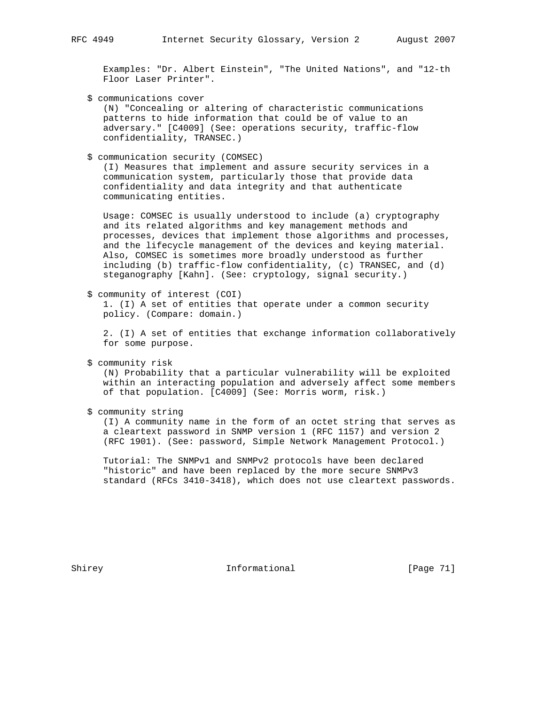Examples: "Dr. Albert Einstein", "The United Nations", and "12-th Floor Laser Printer".

\$ communications cover

 (N) "Concealing or altering of characteristic communications patterns to hide information that could be of value to an adversary." [C4009] (See: operations security, traffic-flow confidentiality, TRANSEC.)

\$ communication security (COMSEC)

 (I) Measures that implement and assure security services in a communication system, particularly those that provide data confidentiality and data integrity and that authenticate communicating entities.

 Usage: COMSEC is usually understood to include (a) cryptography and its related algorithms and key management methods and processes, devices that implement those algorithms and processes, and the lifecycle management of the devices and keying material. Also, COMSEC is sometimes more broadly understood as further including (b) traffic-flow confidentiality, (c) TRANSEC, and (d) steganography [Kahn]. (See: cryptology, signal security.)

\$ community of interest (COI)

 1. (I) A set of entities that operate under a common security policy. (Compare: domain.)

 2. (I) A set of entities that exchange information collaboratively for some purpose.

\$ community risk

 (N) Probability that a particular vulnerability will be exploited within an interacting population and adversely affect some members of that population. [C4009] (See: Morris worm, risk.)

\$ community string

 (I) A community name in the form of an octet string that serves as a cleartext password in SNMP version 1 (RFC 1157) and version 2 (RFC 1901). (See: password, Simple Network Management Protocol.)

 Tutorial: The SNMPv1 and SNMPv2 protocols have been declared "historic" and have been replaced by the more secure SNMPv3 standard (RFCs 3410-3418), which does not use cleartext passwords.

Shirey **Informational** [Page 71]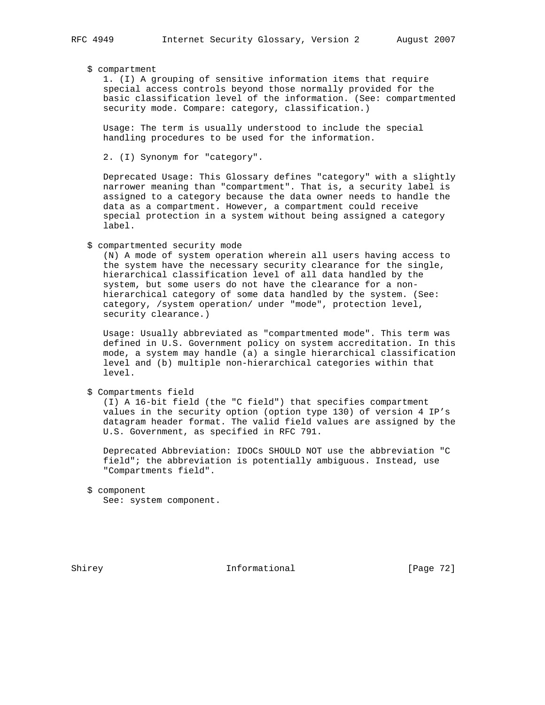# \$ compartment

 1. (I) A grouping of sensitive information items that require special access controls beyond those normally provided for the basic classification level of the information. (See: compartmented security mode. Compare: category, classification.)

 Usage: The term is usually understood to include the special handling procedures to be used for the information.

2. (I) Synonym for "category".

 Deprecated Usage: This Glossary defines "category" with a slightly narrower meaning than "compartment". That is, a security label is assigned to a category because the data owner needs to handle the data as a compartment. However, a compartment could receive special protection in a system without being assigned a category label.

### \$ compartmented security mode

 (N) A mode of system operation wherein all users having access to the system have the necessary security clearance for the single, hierarchical classification level of all data handled by the system, but some users do not have the clearance for a non hierarchical category of some data handled by the system. (See: category, /system operation/ under "mode", protection level, security clearance.)

 Usage: Usually abbreviated as "compartmented mode". This term was defined in U.S. Government policy on system accreditation. In this mode, a system may handle (a) a single hierarchical classification level and (b) multiple non-hierarchical categories within that level.

\$ Compartments field

 (I) A 16-bit field (the "C field") that specifies compartment values in the security option (option type 130) of version 4 IP's datagram header format. The valid field values are assigned by the U.S. Government, as specified in RFC 791.

 Deprecated Abbreviation: IDOCs SHOULD NOT use the abbreviation "C field"; the abbreviation is potentially ambiguous. Instead, use "Compartments field".

```
 $ component
```
See: system component.

Shirey **Informational** [Page 72]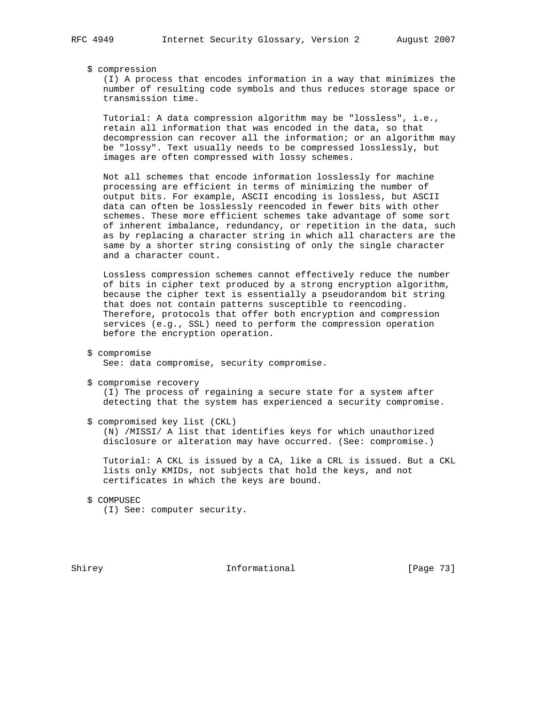\$ compression

 (I) A process that encodes information in a way that minimizes the number of resulting code symbols and thus reduces storage space or transmission time.

 Tutorial: A data compression algorithm may be "lossless", i.e., retain all information that was encoded in the data, so that decompression can recover all the information; or an algorithm may be "lossy". Text usually needs to be compressed losslessly, but images are often compressed with lossy schemes.

 Not all schemes that encode information losslessly for machine processing are efficient in terms of minimizing the number of output bits. For example, ASCII encoding is lossless, but ASCII data can often be losslessly reencoded in fewer bits with other schemes. These more efficient schemes take advantage of some sort of inherent imbalance, redundancy, or repetition in the data, such as by replacing a character string in which all characters are the same by a shorter string consisting of only the single character and a character count.

 Lossless compression schemes cannot effectively reduce the number of bits in cipher text produced by a strong encryption algorithm, because the cipher text is essentially a pseudorandom bit string that does not contain patterns susceptible to reencoding. Therefore, protocols that offer both encryption and compression services (e.g., SSL) need to perform the compression operation before the encryption operation.

- \$ compromise See: data compromise, security compromise.
- \$ compromise recovery (I) The process of regaining a secure state for a system after detecting that the system has experienced a security compromise.
- \$ compromised key list (CKL) (N) /MISSI/ A list that identifies keys for which unauthorized disclosure or alteration may have occurred. (See: compromise.)

 Tutorial: A CKL is issued by a CA, like a CRL is issued. But a CKL lists only KMIDs, not subjects that hold the keys, and not certificates in which the keys are bound.

 \$ COMPUSEC (I) See: computer security.

Shirey **Informational** [Page 73]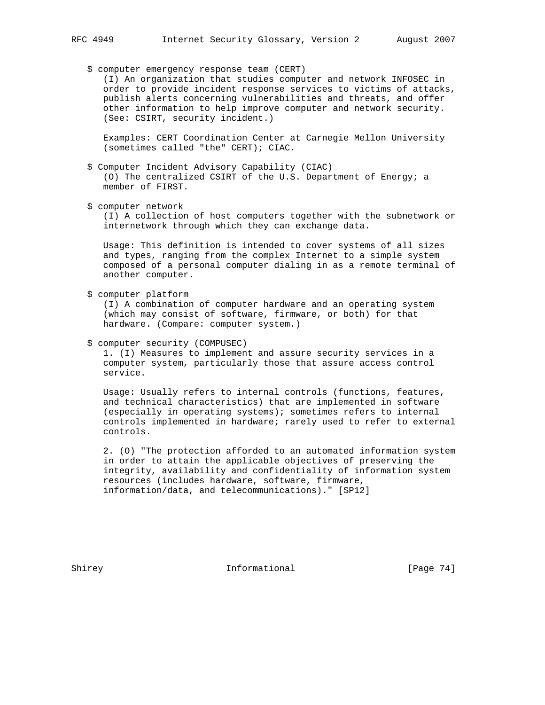\$ computer emergency response team (CERT)

 (I) An organization that studies computer and network INFOSEC in order to provide incident response services to victims of attacks, publish alerts concerning vulnerabilities and threats, and offer other information to help improve computer and network security. (See: CSIRT, security incident.)

 Examples: CERT Coordination Center at Carnegie Mellon University (sometimes called "the" CERT); CIAC.

- \$ Computer Incident Advisory Capability (CIAC) (O) The centralized CSIRT of the U.S. Department of Energy; a member of FIRST.
- \$ computer network

 (I) A collection of host computers together with the subnetwork or internetwork through which they can exchange data.

 Usage: This definition is intended to cover systems of all sizes and types, ranging from the complex Internet to a simple system composed of a personal computer dialing in as a remote terminal of another computer.

\$ computer platform

 (I) A combination of computer hardware and an operating system (which may consist of software, firmware, or both) for that hardware. (Compare: computer system.)

\$ computer security (COMPUSEC)

 1. (I) Measures to implement and assure security services in a computer system, particularly those that assure access control service.

 Usage: Usually refers to internal controls (functions, features, and technical characteristics) that are implemented in software (especially in operating systems); sometimes refers to internal controls implemented in hardware; rarely used to refer to external controls.

 2. (O) "The protection afforded to an automated information system in order to attain the applicable objectives of preserving the integrity, availability and confidentiality of information system resources (includes hardware, software, firmware, information/data, and telecommunications)." [SP12]

Shirey **Informational** [Page 74]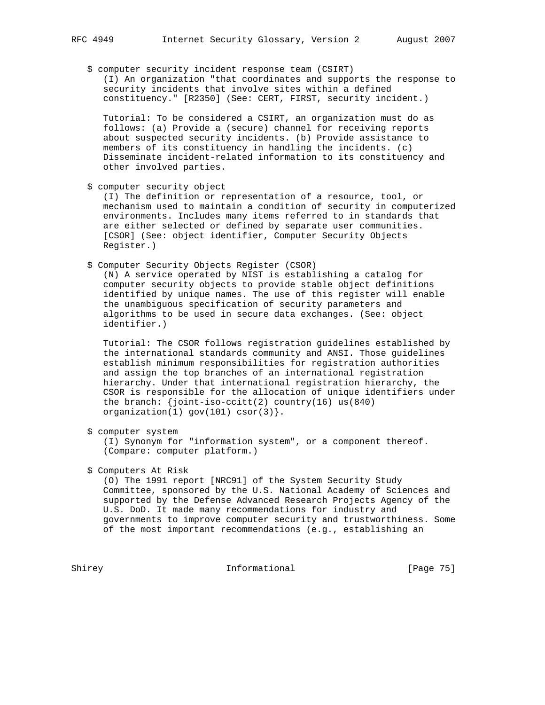\$ computer security incident response team (CSIRT) (I) An organization "that coordinates and supports the response to security incidents that involve sites within a defined constituency." [R2350] (See: CERT, FIRST, security incident.)

 Tutorial: To be considered a CSIRT, an organization must do as follows: (a) Provide a (secure) channel for receiving reports about suspected security incidents. (b) Provide assistance to members of its constituency in handling the incidents. (c) Disseminate incident-related information to its constituency and other involved parties.

\$ computer security object

 (I) The definition or representation of a resource, tool, or mechanism used to maintain a condition of security in computerized environments. Includes many items referred to in standards that are either selected or defined by separate user communities. [CSOR] (See: object identifier, Computer Security Objects Register.)

\$ Computer Security Objects Register (CSOR)

 (N) A service operated by NIST is establishing a catalog for computer security objects to provide stable object definitions identified by unique names. The use of this register will enable the unambiguous specification of security parameters and algorithms to be used in secure data exchanges. (See: object identifier.)

 Tutorial: The CSOR follows registration guidelines established by the international standards community and ANSI. Those guidelines establish minimum responsibilities for registration authorities and assign the top branches of an international registration hierarchy. Under that international registration hierarchy, the CSOR is responsible for the allocation of unique identifiers under the branch: {joint-iso-ccitt(2) country(16) us(840) organization $(1)$  gov $(101)$  csor $(3)$ .

\$ computer system

 (I) Synonym for "information system", or a component thereof. (Compare: computer platform.)

\$ Computers At Risk

 (O) The 1991 report [NRC91] of the System Security Study Committee, sponsored by the U.S. National Academy of Sciences and supported by the Defense Advanced Research Projects Agency of the U.S. DoD. It made many recommendations for industry and governments to improve computer security and trustworthiness. Some of the most important recommendations (e.g., establishing an

Shirey **Informational** [Page 75]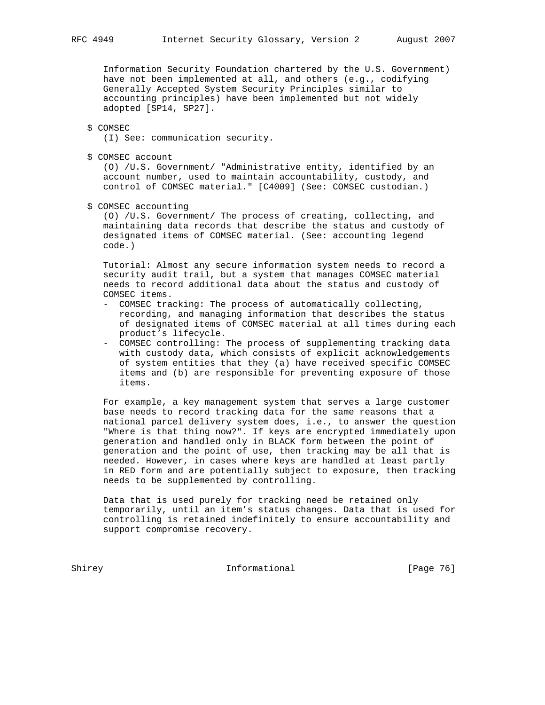Information Security Foundation chartered by the U.S. Government) have not been implemented at all, and others (e.g., codifying Generally Accepted System Security Principles similar to accounting principles) have been implemented but not widely adopted [SP14, SP27].

#### \$ COMSEC

(I) See: communication security.

\$ COMSEC account

 (O) /U.S. Government/ "Administrative entity, identified by an account number, used to maintain accountability, custody, and control of COMSEC material." [C4009] (See: COMSEC custodian.)

\$ COMSEC accounting

 (O) /U.S. Government/ The process of creating, collecting, and maintaining data records that describe the status and custody of designated items of COMSEC material. (See: accounting legend code.)

 Tutorial: Almost any secure information system needs to record a security audit trail, but a system that manages COMSEC material needs to record additional data about the status and custody of COMSEC items.

- COMSEC tracking: The process of automatically collecting, recording, and managing information that describes the status of designated items of COMSEC material at all times during each product's lifecycle.
- COMSEC controlling: The process of supplementing tracking data with custody data, which consists of explicit acknowledgements of system entities that they (a) have received specific COMSEC items and (b) are responsible for preventing exposure of those items.

 For example, a key management system that serves a large customer base needs to record tracking data for the same reasons that a national parcel delivery system does, i.e., to answer the question "Where is that thing now?". If keys are encrypted immediately upon generation and handled only in BLACK form between the point of generation and the point of use, then tracking may be all that is needed. However, in cases where keys are handled at least partly in RED form and are potentially subject to exposure, then tracking needs to be supplemented by controlling.

 Data that is used purely for tracking need be retained only temporarily, until an item's status changes. Data that is used for controlling is retained indefinitely to ensure accountability and support compromise recovery.

Shirey **Informational** [Page 76]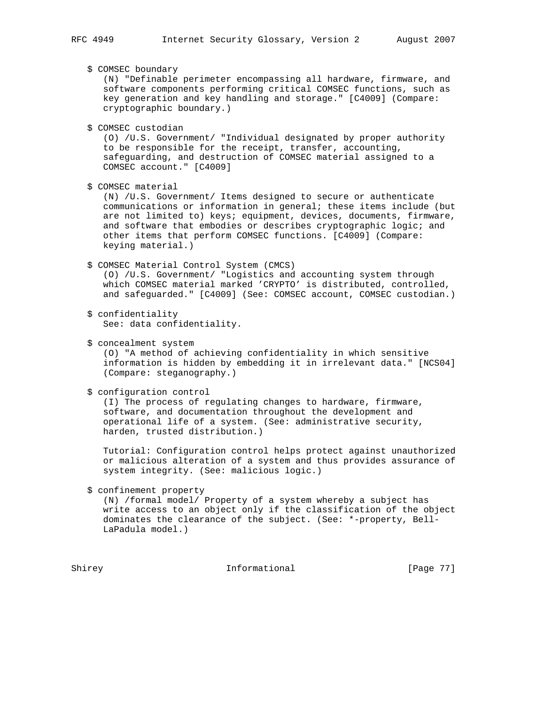\$ COMSEC boundary

 (N) "Definable perimeter encompassing all hardware, firmware, and software components performing critical COMSEC functions, such as key generation and key handling and storage." [C4009] (Compare: cryptographic boundary.)

\$ COMSEC custodian

 (O) /U.S. Government/ "Individual designated by proper authority to be responsible for the receipt, transfer, accounting, safeguarding, and destruction of COMSEC material assigned to a COMSEC account." [C4009]

\$ COMSEC material

 (N) /U.S. Government/ Items designed to secure or authenticate communications or information in general; these items include (but are not limited to) keys; equipment, devices, documents, firmware, and software that embodies or describes cryptographic logic; and other items that perform COMSEC functions. [C4009] (Compare: keying material.)

## \$ COMSEC Material Control System (CMCS)

 (O) /U.S. Government/ "Logistics and accounting system through which COMSEC material marked 'CRYPTO' is distributed, controlled, and safeguarded." [C4009] (See: COMSEC account, COMSEC custodian.)

- \$ confidentiality See: data confidentiality.
- \$ concealment system

 (O) "A method of achieving confidentiality in which sensitive information is hidden by embedding it in irrelevant data." [NCS04] (Compare: steganography.)

```
 $ configuration control
```
 (I) The process of regulating changes to hardware, firmware, software, and documentation throughout the development and operational life of a system. (See: administrative security, harden, trusted distribution.)

 Tutorial: Configuration control helps protect against unauthorized or malicious alteration of a system and thus provides assurance of system integrity. (See: malicious logic.)

\$ confinement property

 (N) /formal model/ Property of a system whereby a subject has write access to an object only if the classification of the object dominates the clearance of the subject. (See: \*-property, Bell- LaPadula model.)

Shirey **Informational Informational** [Page 77]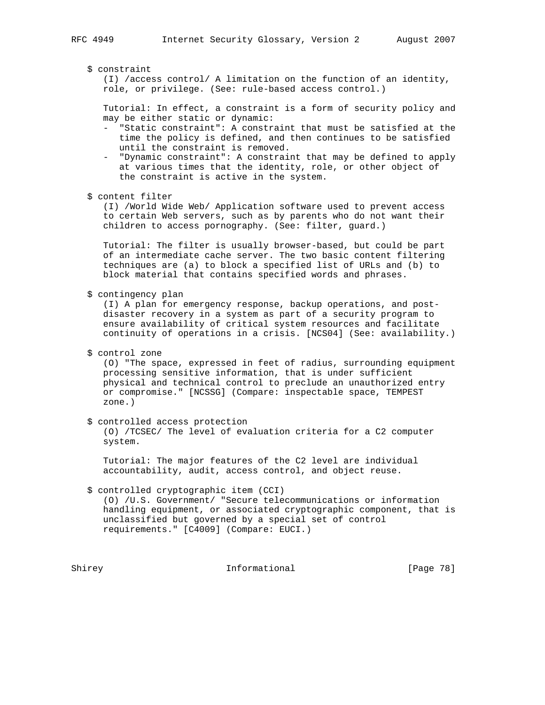#### \$ constraint

 (I) /access control/ A limitation on the function of an identity, role, or privilege. (See: rule-based access control.)

 Tutorial: In effect, a constraint is a form of security policy and may be either static or dynamic:

- "Static constraint": A constraint that must be satisfied at the time the policy is defined, and then continues to be satisfied until the constraint is removed.
- "Dynamic constraint": A constraint that may be defined to apply at various times that the identity, role, or other object of the constraint is active in the system.
- \$ content filter

 (I) /World Wide Web/ Application software used to prevent access to certain Web servers, such as by parents who do not want their children to access pornography. (See: filter, guard.)

 Tutorial: The filter is usually browser-based, but could be part of an intermediate cache server. The two basic content filtering techniques are (a) to block a specified list of URLs and (b) to block material that contains specified words and phrases.

\$ contingency plan

 (I) A plan for emergency response, backup operations, and post disaster recovery in a system as part of a security program to ensure availability of critical system resources and facilitate continuity of operations in a crisis. [NCS04] (See: availability.)

\$ control zone

 (O) "The space, expressed in feet of radius, surrounding equipment processing sensitive information, that is under sufficient physical and technical control to preclude an unauthorized entry or compromise." [NCSSG] (Compare: inspectable space, TEMPEST zone.)

\$ controlled access protection

 (O) /TCSEC/ The level of evaluation criteria for a C2 computer system.

 Tutorial: The major features of the C2 level are individual accountability, audit, access control, and object reuse.

 \$ controlled cryptographic item (CCI) (O) /U.S. Government/ "Secure telecommunications or information handling equipment, or associated cryptographic component, that is unclassified but governed by a special set of control requirements." [C4009] (Compare: EUCI.)

Shirey **Informational** [Page 78]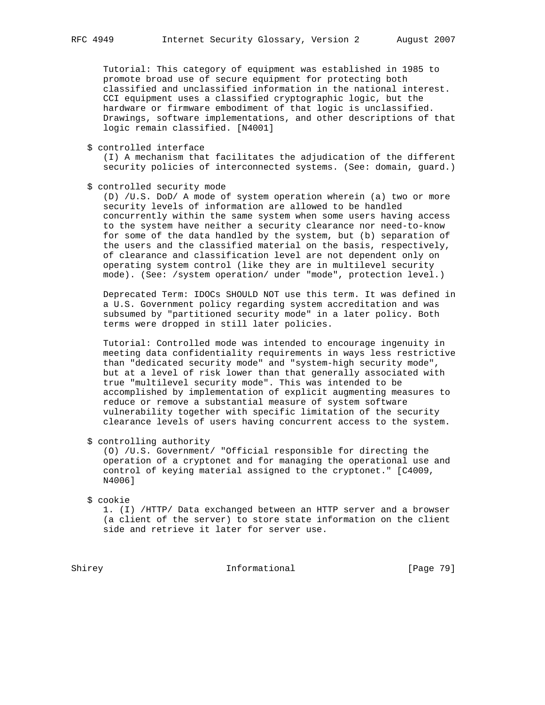Tutorial: This category of equipment was established in 1985 to promote broad use of secure equipment for protecting both classified and unclassified information in the national interest. CCI equipment uses a classified cryptographic logic, but the hardware or firmware embodiment of that logic is unclassified. Drawings, software implementations, and other descriptions of that logic remain classified. [N4001]

\$ controlled interface

 (I) A mechanism that facilitates the adjudication of the different security policies of interconnected systems. (See: domain, guard.)

\$ controlled security mode

 (D) /U.S. DoD/ A mode of system operation wherein (a) two or more security levels of information are allowed to be handled concurrently within the same system when some users having access to the system have neither a security clearance nor need-to-know for some of the data handled by the system, but (b) separation of the users and the classified material on the basis, respectively, of clearance and classification level are not dependent only on operating system control (like they are in multilevel security mode). (See: /system operation/ under "mode", protection level.)

 Deprecated Term: IDOCs SHOULD NOT use this term. It was defined in a U.S. Government policy regarding system accreditation and was subsumed by "partitioned security mode" in a later policy. Both terms were dropped in still later policies.

 Tutorial: Controlled mode was intended to encourage ingenuity in meeting data confidentiality requirements in ways less restrictive than "dedicated security mode" and "system-high security mode", but at a level of risk lower than that generally associated with true "multilevel security mode". This was intended to be accomplished by implementation of explicit augmenting measures to reduce or remove a substantial measure of system software vulnerability together with specific limitation of the security clearance levels of users having concurrent access to the system.

\$ controlling authority

 (O) /U.S. Government/ "Official responsible for directing the operation of a cryptonet and for managing the operational use and control of keying material assigned to the cryptonet." [C4009, N4006]

\$ cookie

 1. (I) /HTTP/ Data exchanged between an HTTP server and a browser (a client of the server) to store state information on the client side and retrieve it later for server use.

Shirey **Informational** [Page 79]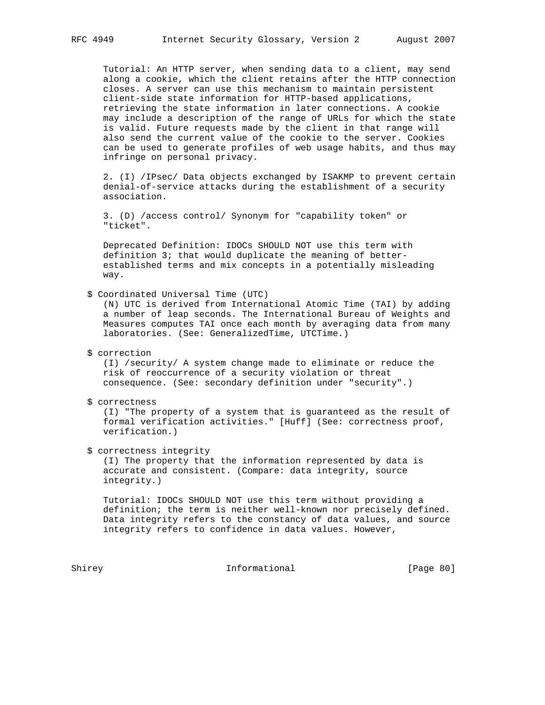Tutorial: An HTTP server, when sending data to a client, may send along a cookie, which the client retains after the HTTP connection closes. A server can use this mechanism to maintain persistent client-side state information for HTTP-based applications, retrieving the state information in later connections. A cookie may include a description of the range of URLs for which the state is valid. Future requests made by the client in that range will also send the current value of the cookie to the server. Cookies can be used to generate profiles of web usage habits, and thus may infringe on personal privacy.

 2. (I) /IPsec/ Data objects exchanged by ISAKMP to prevent certain denial-of-service attacks during the establishment of a security association.

 3. (D) /access control/ Synonym for "capability token" or "ticket".

 Deprecated Definition: IDOCs SHOULD NOT use this term with definition 3; that would duplicate the meaning of better established terms and mix concepts in a potentially misleading way.

\$ Coordinated Universal Time (UTC)

 (N) UTC is derived from International Atomic Time (TAI) by adding a number of leap seconds. The International Bureau of Weights and Measures computes TAI once each month by averaging data from many laboratories. (See: GeneralizedTime, UTCTime.)

\$ correction

 (I) /security/ A system change made to eliminate or reduce the risk of reoccurrence of a security violation or threat consequence. (See: secondary definition under "security".)

\$ correctness

 (I) "The property of a system that is guaranteed as the result of formal verification activities." [Huff] (See: correctness proof, verification.)

\$ correctness integrity

 (I) The property that the information represented by data is accurate and consistent. (Compare: data integrity, source integrity.)

 Tutorial: IDOCs SHOULD NOT use this term without providing a definition; the term is neither well-known nor precisely defined. Data integrity refers to the constancy of data values, and source integrity refers to confidence in data values. However,

Shirey **Informational** [Page 80]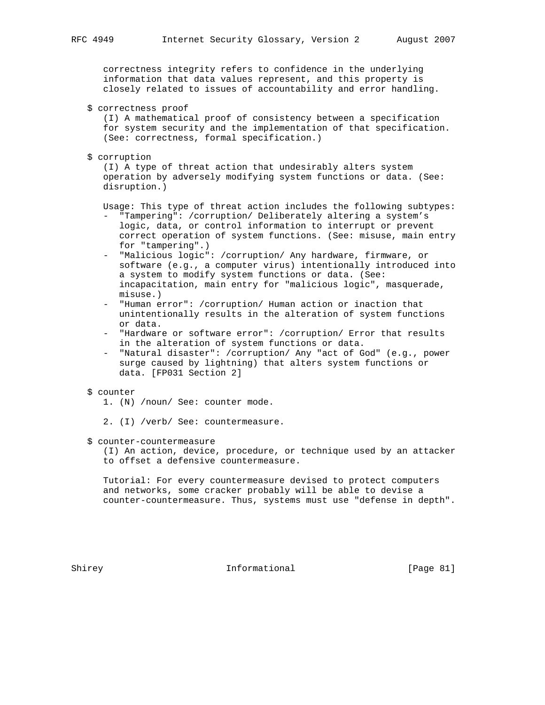correctness integrity refers to confidence in the underlying information that data values represent, and this property is closely related to issues of accountability and error handling.

\$ correctness proof

 (I) A mathematical proof of consistency between a specification for system security and the implementation of that specification. (See: correctness, formal specification.)

\$ corruption

 (I) A type of threat action that undesirably alters system operation by adversely modifying system functions or data. (See: disruption.)

Usage: This type of threat action includes the following subtypes:

- "Tampering": /corruption/ Deliberately altering a system's logic, data, or control information to interrupt or prevent correct operation of system functions. (See: misuse, main entry for "tampering".)
- "Malicious logic": /corruption/ Any hardware, firmware, or software (e.g., a computer virus) intentionally introduced into a system to modify system functions or data. (See: incapacitation, main entry for "malicious logic", masquerade, misuse.)
- "Human error": /corruption/ Human action or inaction that unintentionally results in the alteration of system functions or data.
- "Hardware or software error": /corruption/ Error that results in the alteration of system functions or data.
- "Natural disaster": /corruption/ Any "act of God" (e.g., power surge caused by lightning) that alters system functions or data. [FP031 Section 2]

## \$ counter

- 1. (N) /noun/ See: counter mode.
- 2. (I) /verb/ See: countermeasure.
- \$ counter-countermeasure

 (I) An action, device, procedure, or technique used by an attacker to offset a defensive countermeasure.

 Tutorial: For every countermeasure devised to protect computers and networks, some cracker probably will be able to devise a counter-countermeasure. Thus, systems must use "defense in depth".

Shirey **Informational** [Page 81]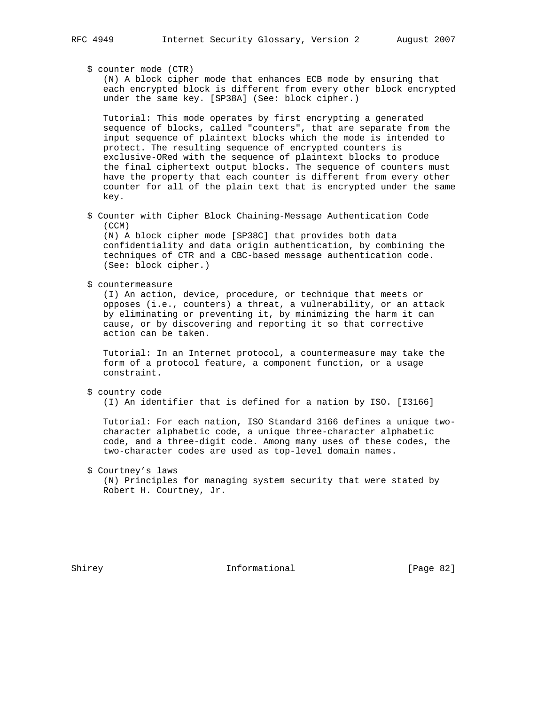\$ counter mode (CTR)

 (N) A block cipher mode that enhances ECB mode by ensuring that each encrypted block is different from every other block encrypted under the same key. [SP38A] (See: block cipher.)

 Tutorial: This mode operates by first encrypting a generated sequence of blocks, called "counters", that are separate from the input sequence of plaintext blocks which the mode is intended to protect. The resulting sequence of encrypted counters is exclusive-ORed with the sequence of plaintext blocks to produce the final ciphertext output blocks. The sequence of counters must have the property that each counter is different from every other counter for all of the plain text that is encrypted under the same key.

 \$ Counter with Cipher Block Chaining-Message Authentication Code (CCM) (N) A block cipher mode [SP38C] that provides both data

 confidentiality and data origin authentication, by combining the techniques of CTR and a CBC-based message authentication code. (See: block cipher.)

\$ countermeasure

 (I) An action, device, procedure, or technique that meets or opposes (i.e., counters) a threat, a vulnerability, or an attack by eliminating or preventing it, by minimizing the harm it can cause, or by discovering and reporting it so that corrective action can be taken.

 Tutorial: In an Internet protocol, a countermeasure may take the form of a protocol feature, a component function, or a usage constraint.

\$ country code

(I) An identifier that is defined for a nation by ISO. [I3166]

 Tutorial: For each nation, ISO Standard 3166 defines a unique two character alphabetic code, a unique three-character alphabetic code, and a three-digit code. Among many uses of these codes, the two-character codes are used as top-level domain names.

 \$ Courtney's laws (N) Principles for managing system security that were stated by Robert H. Courtney, Jr.

Shirey **Informational** [Page 82]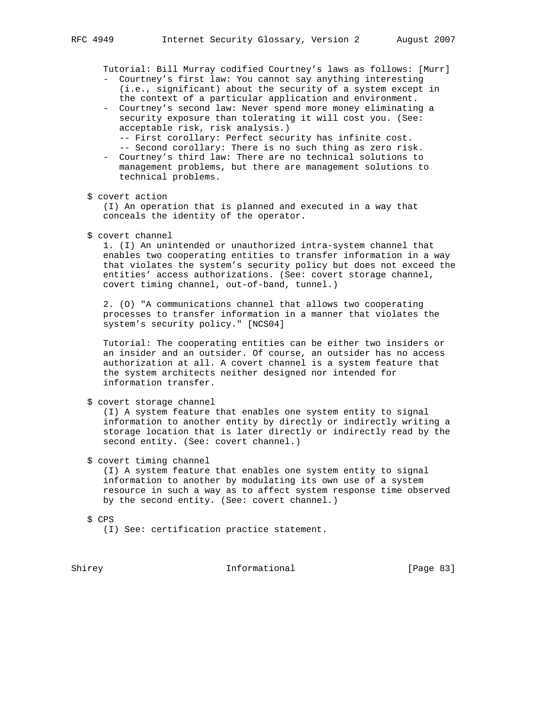Tutorial: Bill Murray codified Courtney's laws as follows: [Murr]

- Courtney's first law: You cannot say anything interesting (i.e., significant) about the security of a system except in the context of a particular application and environment.
- Courtney's second law: Never spend more money eliminating a security exposure than tolerating it will cost you. (See: acceptable risk, risk analysis.)
	- -- First corollary: Perfect security has infinite cost.
	- -- Second corollary: There is no such thing as zero risk.
- Courtney's third law: There are no technical solutions to management problems, but there are management solutions to technical problems.
- \$ covert action

 (I) An operation that is planned and executed in a way that conceals the identity of the operator.

\$ covert channel

 1. (I) An unintended or unauthorized intra-system channel that enables two cooperating entities to transfer information in a way that violates the system's security policy but does not exceed the entities' access authorizations. (See: covert storage channel, covert timing channel, out-of-band, tunnel.)

 2. (O) "A communications channel that allows two cooperating processes to transfer information in a manner that violates the system's security policy." [NCS04]

 Tutorial: The cooperating entities can be either two insiders or an insider and an outsider. Of course, an outsider has no access authorization at all. A covert channel is a system feature that the system architects neither designed nor intended for information transfer.

\$ covert storage channel

 (I) A system feature that enables one system entity to signal information to another entity by directly or indirectly writing a storage location that is later directly or indirectly read by the second entity. (See: covert channel.)

#### \$ covert timing channel

 (I) A system feature that enables one system entity to signal information to another by modulating its own use of a system resource in such a way as to affect system response time observed by the second entity. (See: covert channel.)

\$ CPS

(I) See: certification practice statement.

Shirey **Informational** [Page 83]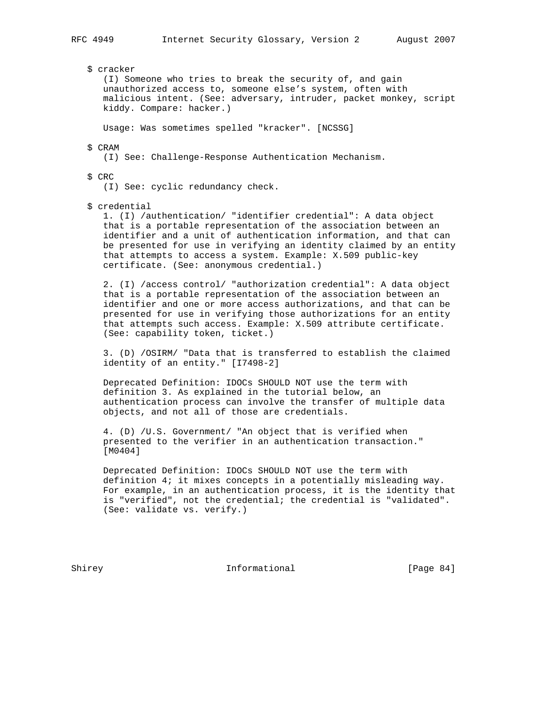\$ cracker (I) Someone who tries to break the security of, and gain unauthorized access to, someone else's system, often with malicious intent. (See: adversary, intruder, packet monkey, script kiddy. Compare: hacker.) Usage: Was sometimes spelled "kracker". [NCSSG]

\$ CRAM

(I) See: Challenge-Response Authentication Mechanism.

\$ CRC

(I) See: cyclic redundancy check.

\$ credential

 1. (I) /authentication/ "identifier credential": A data object that is a portable representation of the association between an identifier and a unit of authentication information, and that can be presented for use in verifying an identity claimed by an entity that attempts to access a system. Example: X.509 public-key certificate. (See: anonymous credential.)

 2. (I) /access control/ "authorization credential": A data object that is a portable representation of the association between an identifier and one or more access authorizations, and that can be presented for use in verifying those authorizations for an entity that attempts such access. Example: X.509 attribute certificate. (See: capability token, ticket.)

 3. (D) /OSIRM/ "Data that is transferred to establish the claimed identity of an entity." [I7498-2]

 Deprecated Definition: IDOCs SHOULD NOT use the term with definition 3. As explained in the tutorial below, an authentication process can involve the transfer of multiple data objects, and not all of those are credentials.

 4. (D) /U.S. Government/ "An object that is verified when presented to the verifier in an authentication transaction." [M0404]

 Deprecated Definition: IDOCs SHOULD NOT use the term with definition 4; it mixes concepts in a potentially misleading way. For example, in an authentication process, it is the identity that is "verified", not the credential; the credential is "validated". (See: validate vs. verify.)

Shirey **Informational** [Page 84]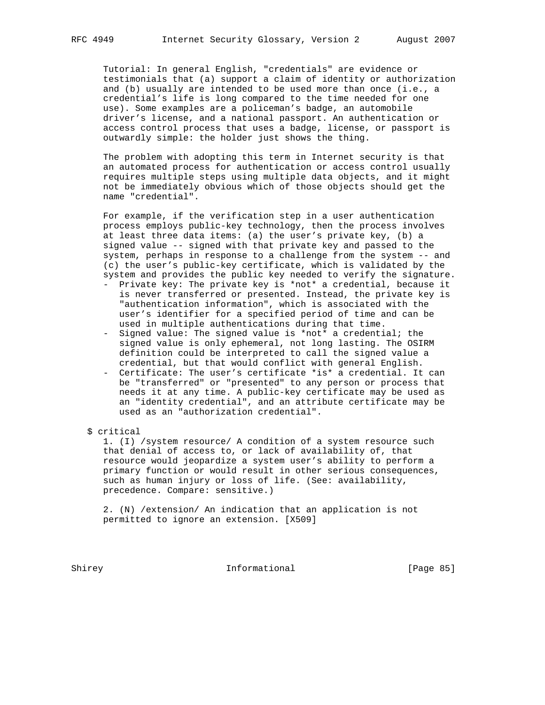Tutorial: In general English, "credentials" are evidence or testimonials that (a) support a claim of identity or authorization and (b) usually are intended to be used more than once (i.e., a credential's life is long compared to the time needed for one use). Some examples are a policeman's badge, an automobile driver's license, and a national passport. An authentication or access control process that uses a badge, license, or passport is outwardly simple: the holder just shows the thing.

 The problem with adopting this term in Internet security is that an automated process for authentication or access control usually requires multiple steps using multiple data objects, and it might not be immediately obvious which of those objects should get the name "credential".

 For example, if the verification step in a user authentication process employs public-key technology, then the process involves at least three data items: (a) the user's private key, (b) a signed value -- signed with that private key and passed to the system, perhaps in response to a challenge from the system -- and (c) the user's public-key certificate, which is validated by the system and provides the public key needed to verify the signature.

- Private key: The private key is \*not\* a credential, because it is never transferred or presented. Instead, the private key is "authentication information", which is associated with the user's identifier for a specified period of time and can be used in multiple authentications during that time.
- Signed value: The signed value is \*not\* a credential; the signed value is only ephemeral, not long lasting. The OSIRM definition could be interpreted to call the signed value a credential, but that would conflict with general English.
- Certificate: The user's certificate \*is\* a credential. It can be "transferred" or "presented" to any person or process that needs it at any time. A public-key certificate may be used as an "identity credential", and an attribute certificate may be used as an "authorization credential".
- \$ critical

 1. (I) /system resource/ A condition of a system resource such that denial of access to, or lack of availability of, that resource would jeopardize a system user's ability to perform a primary function or would result in other serious consequences, such as human injury or loss of life. (See: availability, precedence. Compare: sensitive.)

 2. (N) /extension/ An indication that an application is not permitted to ignore an extension. [X509]

Shirey **Informational** [Page 85]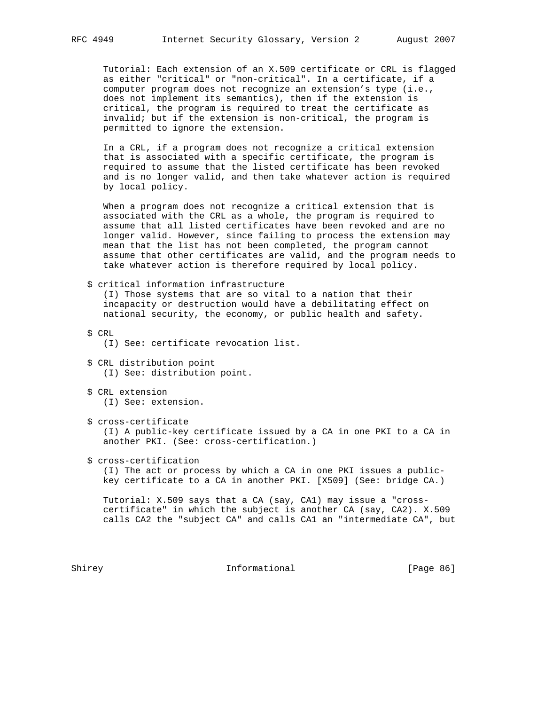Tutorial: Each extension of an X.509 certificate or CRL is flagged as either "critical" or "non-critical". In a certificate, if a computer program does not recognize an extension's type (i.e., does not implement its semantics), then if the extension is critical, the program is required to treat the certificate as invalid; but if the extension is non-critical, the program is permitted to ignore the extension.

 In a CRL, if a program does not recognize a critical extension that is associated with a specific certificate, the program is required to assume that the listed certificate has been revoked and is no longer valid, and then take whatever action is required by local policy.

 When a program does not recognize a critical extension that is associated with the CRL as a whole, the program is required to assume that all listed certificates have been revoked and are no longer valid. However, since failing to process the extension may mean that the list has not been completed, the program cannot assume that other certificates are valid, and the program needs to take whatever action is therefore required by local policy.

 \$ critical information infrastructure (I) Those systems that are so vital to a nation that their incapacity or destruction would have a debilitating effect on national security, the economy, or public health and safety.

\$ CRL

(I) See: certificate revocation list.

- \$ CRL distribution point (I) See: distribution point.
- \$ CRL extension (I) See: extension.
- \$ cross-certificate (I) A public-key certificate issued by a CA in one PKI to a CA in another PKI. (See: cross-certification.)
- \$ cross-certification

 (I) The act or process by which a CA in one PKI issues a public key certificate to a CA in another PKI. [X509] (See: bridge CA.)

 Tutorial: X.509 says that a CA (say, CA1) may issue a "cross certificate" in which the subject is another CA (say, CA2). X.509 calls CA2 the "subject CA" and calls CA1 an "intermediate CA", but

Shirey **Informational** [Page 86]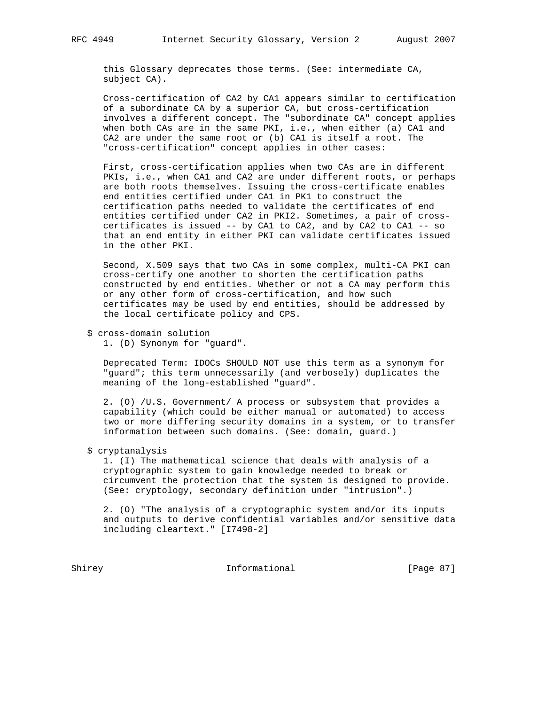this Glossary deprecates those terms. (See: intermediate CA, subject CA).

 Cross-certification of CA2 by CA1 appears similar to certification of a subordinate CA by a superior CA, but cross-certification involves a different concept. The "subordinate CA" concept applies when both CAs are in the same PKI, i.e., when either (a) CA1 and CA2 are under the same root or (b) CA1 is itself a root. The "cross-certification" concept applies in other cases:

 First, cross-certification applies when two CAs are in different PKIs, i.e., when CA1 and CA2 are under different roots, or perhaps are both roots themselves. Issuing the cross-certificate enables end entities certified under CA1 in PK1 to construct the certification paths needed to validate the certificates of end entities certified under CA2 in PKI2. Sometimes, a pair of cross certificates is issued -- by CA1 to CA2, and by CA2 to CA1 -- so that an end entity in either PKI can validate certificates issued in the other PKI.

 Second, X.509 says that two CAs in some complex, multi-CA PKI can cross-certify one another to shorten the certification paths constructed by end entities. Whether or not a CA may perform this or any other form of cross-certification, and how such certificates may be used by end entities, should be addressed by the local certificate policy and CPS.

\$ cross-domain solution

1. (D) Synonym for "guard".

 Deprecated Term: IDOCs SHOULD NOT use this term as a synonym for "guard"; this term unnecessarily (and verbosely) duplicates the meaning of the long-established "guard".

 2. (O) /U.S. Government/ A process or subsystem that provides a capability (which could be either manual or automated) to access two or more differing security domains in a system, or to transfer information between such domains. (See: domain, guard.)

\$ cryptanalysis

 1. (I) The mathematical science that deals with analysis of a cryptographic system to gain knowledge needed to break or circumvent the protection that the system is designed to provide. (See: cryptology, secondary definition under "intrusion".)

 2. (O) "The analysis of a cryptographic system and/or its inputs and outputs to derive confidential variables and/or sensitive data including cleartext." [I7498-2]

Shirey **Informational** [Page 87]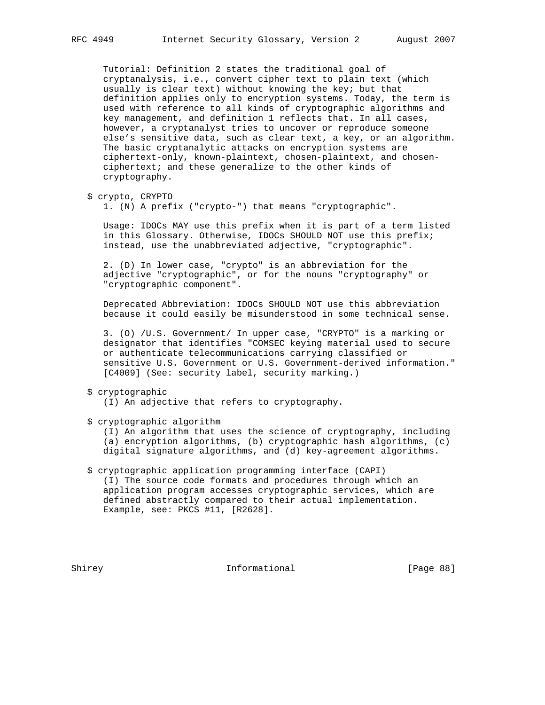Tutorial: Definition 2 states the traditional goal of cryptanalysis, i.e., convert cipher text to plain text (which usually is clear text) without knowing the key; but that definition applies only to encryption systems. Today, the term is used with reference to all kinds of cryptographic algorithms and key management, and definition 1 reflects that. In all cases, however, a cryptanalyst tries to uncover or reproduce someone else's sensitive data, such as clear text, a key, or an algorithm. The basic cryptanalytic attacks on encryption systems are ciphertext-only, known-plaintext, chosen-plaintext, and chosen ciphertext; and these generalize to the other kinds of cryptography.

```
 $ crypto, CRYPTO
```
1. (N) A prefix ("crypto-") that means "cryptographic".

 Usage: IDOCs MAY use this prefix when it is part of a term listed in this Glossary. Otherwise, IDOCs SHOULD NOT use this prefix; instead, use the unabbreviated adjective, "cryptographic".

 2. (D) In lower case, "crypto" is an abbreviation for the adjective "cryptographic", or for the nouns "cryptography" or "cryptographic component".

 Deprecated Abbreviation: IDOCs SHOULD NOT use this abbreviation because it could easily be misunderstood in some technical sense.

 3. (O) /U.S. Government/ In upper case, "CRYPTO" is a marking or designator that identifies "COMSEC keying material used to secure or authenticate telecommunications carrying classified or sensitive U.S. Government or U.S. Government-derived information." [C4009] (See: security label, security marking.)

# \$ cryptographic

(I) An adjective that refers to cryptography.

\$ cryptographic algorithm

 (I) An algorithm that uses the science of cryptography, including (a) encryption algorithms, (b) cryptographic hash algorithms, (c) digital signature algorithms, and (d) key-agreement algorithms.

 \$ cryptographic application programming interface (CAPI) (I) The source code formats and procedures through which an application program accesses cryptographic services, which are defined abstractly compared to their actual implementation. Example, see: PKCS #11, [R2628].

Shirey **Informational** [Page 88]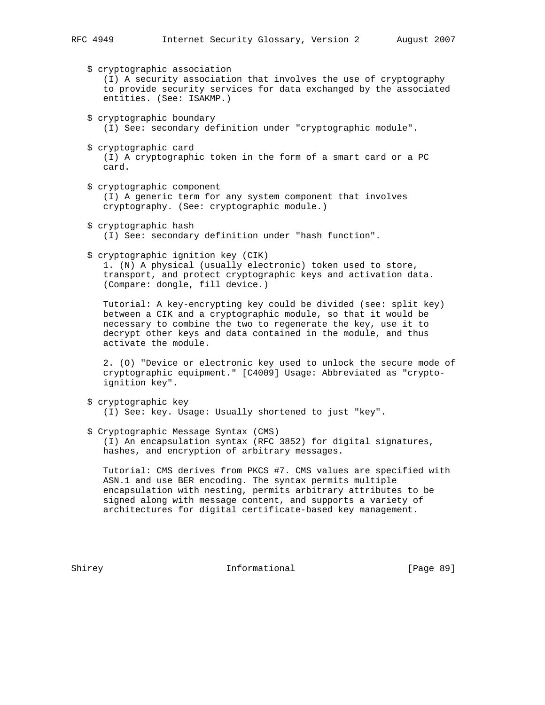- \$ cryptographic association (I) A security association that involves the use of cryptography to provide security services for data exchanged by the associated entities. (See: ISAKMP.) \$ cryptographic boundary (I) See: secondary definition under "cryptographic module". \$ cryptographic card (I) A cryptographic token in the form of a smart card or a PC card. \$ cryptographic component (I) A generic term for any system component that involves cryptography. (See: cryptographic module.) \$ cryptographic hash (I) See: secondary definition under "hash function". \$ cryptographic ignition key (CIK) 1. (N) A physical (usually electronic) token used to store, transport, and protect cryptographic keys and activation data. (Compare: dongle, fill device.) Tutorial: A key-encrypting key could be divided (see: split key) between a CIK and a cryptographic module, so that it would be necessary to combine the two to regenerate the key, use it to decrypt other keys and data contained in the module, and thus activate the module. 2. (O) "Device or electronic key used to unlock the secure mode of cryptographic equipment." [C4009] Usage: Abbreviated as "crypto ignition key". \$ cryptographic key
	- (I) See: key. Usage: Usually shortened to just "key".
- \$ Cryptographic Message Syntax (CMS) (I) An encapsulation syntax (RFC 3852) for digital signatures, hashes, and encryption of arbitrary messages.

 Tutorial: CMS derives from PKCS #7. CMS values are specified with ASN.1 and use BER encoding. The syntax permits multiple encapsulation with nesting, permits arbitrary attributes to be signed along with message content, and supports a variety of architectures for digital certificate-based key management.

Shirey **Informational** [Page 89]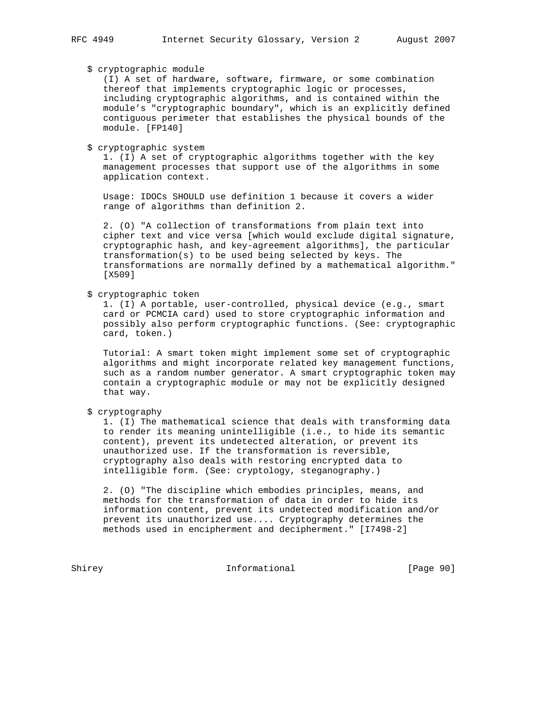# \$ cryptographic module

 (I) A set of hardware, software, firmware, or some combination thereof that implements cryptographic logic or processes, including cryptographic algorithms, and is contained within the module's "cryptographic boundary", which is an explicitly defined contiguous perimeter that establishes the physical bounds of the module. [FP140]

\$ cryptographic system

 1. (I) A set of cryptographic algorithms together with the key management processes that support use of the algorithms in some application context.

 Usage: IDOCs SHOULD use definition 1 because it covers a wider range of algorithms than definition 2.

 2. (O) "A collection of transformations from plain text into cipher text and vice versa [which would exclude digital signature, cryptographic hash, and key-agreement algorithms], the particular transformation(s) to be used being selected by keys. The transformations are normally defined by a mathematical algorithm." [X509]

\$ cryptographic token

 1. (I) A portable, user-controlled, physical device (e.g., smart card or PCMCIA card) used to store cryptographic information and possibly also perform cryptographic functions. (See: cryptographic card, token.)

 Tutorial: A smart token might implement some set of cryptographic algorithms and might incorporate related key management functions, such as a random number generator. A smart cryptographic token may contain a cryptographic module or may not be explicitly designed that way.

\$ cryptography

 1. (I) The mathematical science that deals with transforming data to render its meaning unintelligible (i.e., to hide its semantic content), prevent its undetected alteration, or prevent its unauthorized use. If the transformation is reversible, cryptography also deals with restoring encrypted data to intelligible form. (See: cryptology, steganography.)

 2. (O) "The discipline which embodies principles, means, and methods for the transformation of data in order to hide its information content, prevent its undetected modification and/or prevent its unauthorized use.... Cryptography determines the methods used in encipherment and decipherment." [I7498-2]

Shirey Informational [Page 90]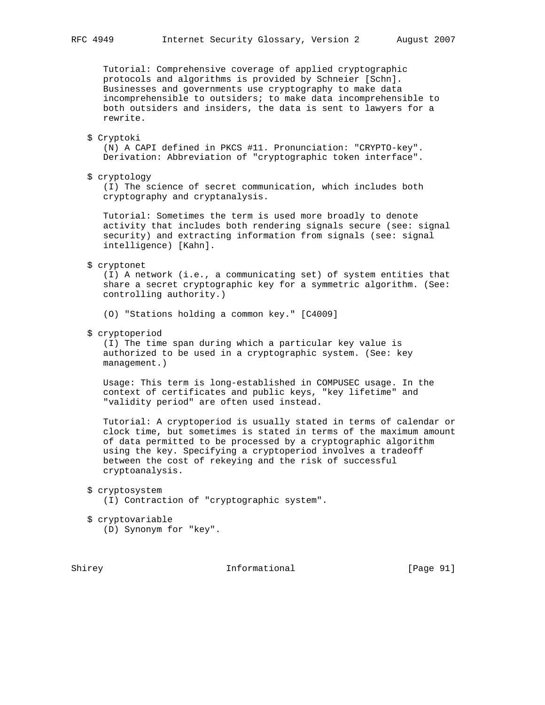Tutorial: Comprehensive coverage of applied cryptographic protocols and algorithms is provided by Schneier [Schn]. Businesses and governments use cryptography to make data incomprehensible to outsiders; to make data incomprehensible to both outsiders and insiders, the data is sent to lawyers for a rewrite.

#### \$ Cryptoki

 (N) A CAPI defined in PKCS #11. Pronunciation: "CRYPTO-key". Derivation: Abbreviation of "cryptographic token interface".

\$ cryptology

 (I) The science of secret communication, which includes both cryptography and cryptanalysis.

 Tutorial: Sometimes the term is used more broadly to denote activity that includes both rendering signals secure (see: signal security) and extracting information from signals (see: signal intelligence) [Kahn].

\$ cryptonet

 (I) A network (i.e., a communicating set) of system entities that share a secret cryptographic key for a symmetric algorithm. (See: controlling authority.)

(O) "Stations holding a common key." [C4009]

\$ cryptoperiod

 (I) The time span during which a particular key value is authorized to be used in a cryptographic system. (See: key management.)

 Usage: This term is long-established in COMPUSEC usage. In the context of certificates and public keys, "key lifetime" and "validity period" are often used instead.

 Tutorial: A cryptoperiod is usually stated in terms of calendar or clock time, but sometimes is stated in terms of the maximum amount of data permitted to be processed by a cryptographic algorithm using the key. Specifying a cryptoperiod involves a tradeoff between the cost of rekeying and the risk of successful cryptoanalysis.

 \$ cryptosystem (I) Contraction of "cryptographic system".

 \$ cryptovariable (D) Synonym for "key".

Shirey **Informational** [Page 91]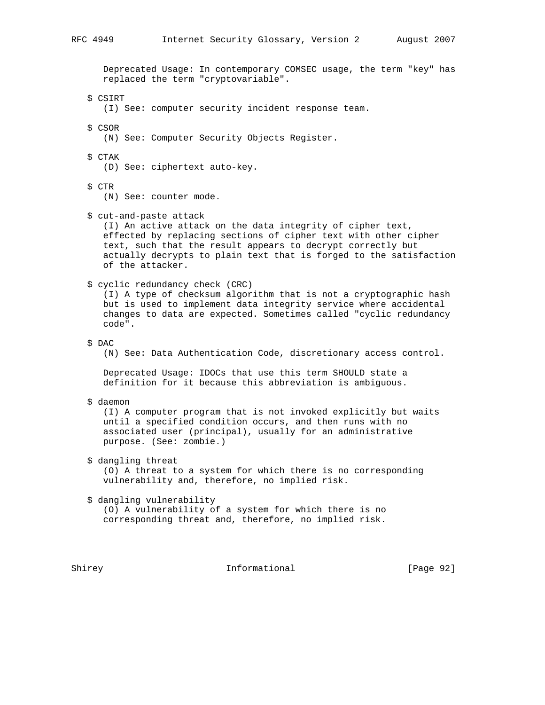Deprecated Usage: In contemporary COMSEC usage, the term "key" has replaced the term "cryptovariable".

\$ CSIRT

(I) See: computer security incident response team.

\$ CSOR

(N) See: Computer Security Objects Register.

\$ CTAK

(D) See: ciphertext auto-key.

\$ CTR

(N) See: counter mode.

\$ cut-and-paste attack

 (I) An active attack on the data integrity of cipher text, effected by replacing sections of cipher text with other cipher text, such that the result appears to decrypt correctly but actually decrypts to plain text that is forged to the satisfaction of the attacker.

### \$ cyclic redundancy check (CRC)

 (I) A type of checksum algorithm that is not a cryptographic hash but is used to implement data integrity service where accidental changes to data are expected. Sometimes called "cyclic redundancy code".

#### \$ DAC

(N) See: Data Authentication Code, discretionary access control.

 Deprecated Usage: IDOCs that use this term SHOULD state a definition for it because this abbreviation is ambiguous.

\$ daemon

 (I) A computer program that is not invoked explicitly but waits until a specified condition occurs, and then runs with no associated user (principal), usually for an administrative purpose. (See: zombie.)

# \$ dangling threat

 (O) A threat to a system for which there is no corresponding vulnerability and, therefore, no implied risk.

#### \$ dangling vulnerability

 (O) A vulnerability of a system for which there is no corresponding threat and, therefore, no implied risk.

Shirey **Informational** [Page 92]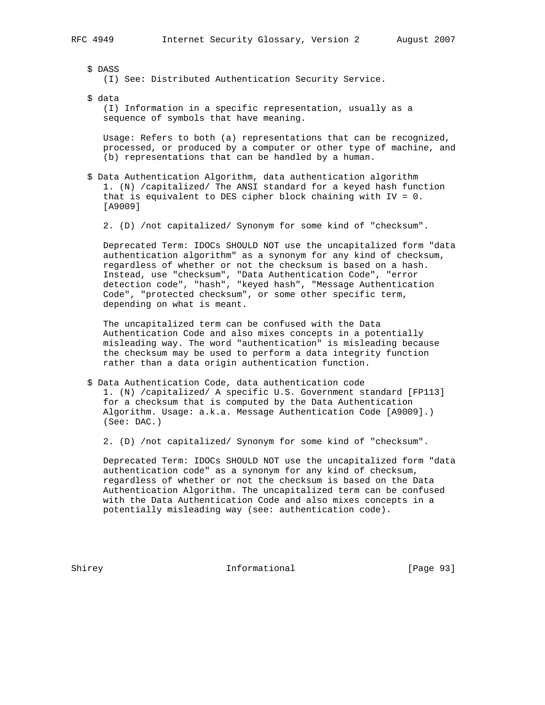\$ DASS (I) See: Distributed Authentication Security Service.

\$ data

 (I) Information in a specific representation, usually as a sequence of symbols that have meaning.

 Usage: Refers to both (a) representations that can be recognized, processed, or produced by a computer or other type of machine, and (b) representations that can be handled by a human.

- \$ Data Authentication Algorithm, data authentication algorithm 1. (N) /capitalized/ The ANSI standard for a keyed hash function that is equivalent to DES cipher block chaining with IV = 0. [A9009]
	- 2. (D) /not capitalized/ Synonym for some kind of "checksum".

 Deprecated Term: IDOCs SHOULD NOT use the uncapitalized form "data authentication algorithm" as a synonym for any kind of checksum, regardless of whether or not the checksum is based on a hash. Instead, use "checksum", "Data Authentication Code", "error detection code", "hash", "keyed hash", "Message Authentication Code", "protected checksum", or some other specific term, depending on what is meant.

 The uncapitalized term can be confused with the Data Authentication Code and also mixes concepts in a potentially misleading way. The word "authentication" is misleading because the checksum may be used to perform a data integrity function rather than a data origin authentication function.

 \$ Data Authentication Code, data authentication code 1. (N) /capitalized/ A specific U.S. Government standard [FP113] for a checksum that is computed by the Data Authentication Algorithm. Usage: a.k.a. Message Authentication Code [A9009].) (See: DAC.)

2. (D) /not capitalized/ Synonym for some kind of "checksum".

 Deprecated Term: IDOCs SHOULD NOT use the uncapitalized form "data authentication code" as a synonym for any kind of checksum, regardless of whether or not the checksum is based on the Data Authentication Algorithm. The uncapitalized term can be confused with the Data Authentication Code and also mixes concepts in a potentially misleading way (see: authentication code).

Shirey **Informational** [Page 93]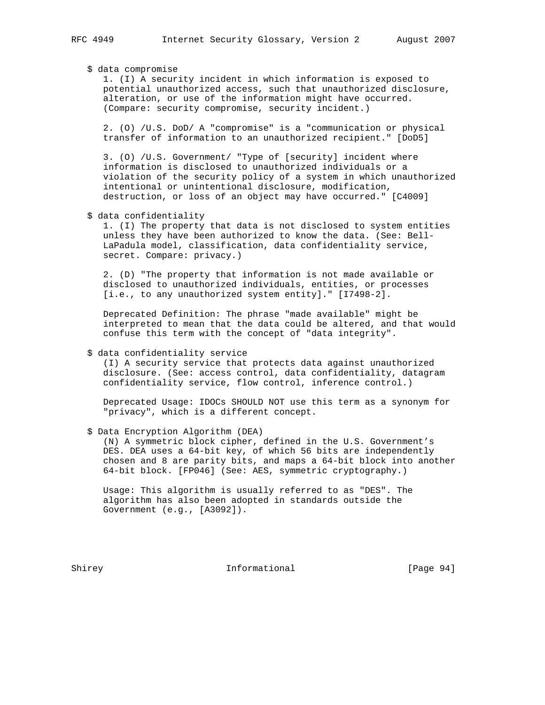## \$ data compromise

 1. (I) A security incident in which information is exposed to potential unauthorized access, such that unauthorized disclosure, alteration, or use of the information might have occurred. (Compare: security compromise, security incident.)

 2. (O) /U.S. DoD/ A "compromise" is a "communication or physical transfer of information to an unauthorized recipient." [DoD5]

 3. (O) /U.S. Government/ "Type of [security] incident where information is disclosed to unauthorized individuals or a violation of the security policy of a system in which unauthorized intentional or unintentional disclosure, modification, destruction, or loss of an object may have occurred." [C4009]

\$ data confidentiality

 1. (I) The property that data is not disclosed to system entities unless they have been authorized to know the data. (See: Bell- LaPadula model, classification, data confidentiality service, secret. Compare: privacy.)

 2. (D) "The property that information is not made available or disclosed to unauthorized individuals, entities, or processes [i.e., to any unauthorized system entity]." [I7498-2].

 Deprecated Definition: The phrase "made available" might be interpreted to mean that the data could be altered, and that would confuse this term with the concept of "data integrity".

## \$ data confidentiality service

 (I) A security service that protects data against unauthorized disclosure. (See: access control, data confidentiality, datagram confidentiality service, flow control, inference control.)

 Deprecated Usage: IDOCs SHOULD NOT use this term as a synonym for "privacy", which is a different concept.

\$ Data Encryption Algorithm (DEA)

 (N) A symmetric block cipher, defined in the U.S. Government's DES. DEA uses a 64-bit key, of which 56 bits are independently chosen and 8 are parity bits, and maps a 64-bit block into another 64-bit block. [FP046] (See: AES, symmetric cryptography.)

 Usage: This algorithm is usually referred to as "DES". The algorithm has also been adopted in standards outside the Government (e.g., [A3092]).

Shirey **Informational** [Page 94]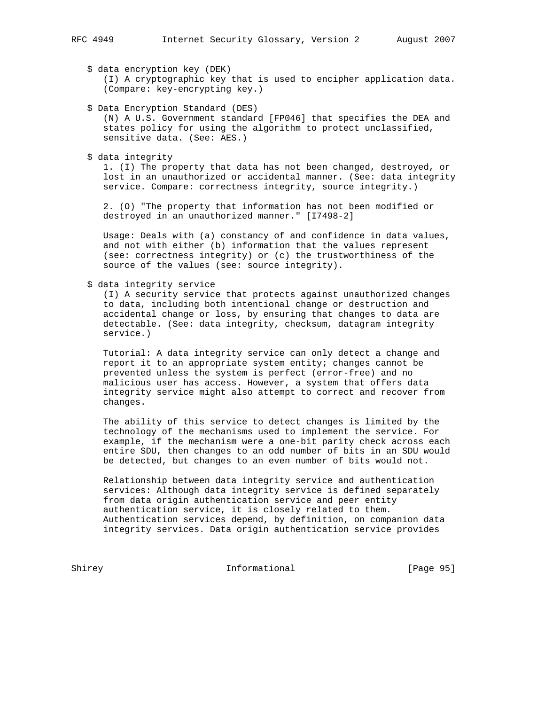\$ data encryption key (DEK) (I) A cryptographic key that is used to encipher application data. (Compare: key-encrypting key.)

- \$ Data Encryption Standard (DES) (N) A U.S. Government standard [FP046] that specifies the DEA and states policy for using the algorithm to protect unclassified, sensitive data. (See: AES.)
- \$ data integrity

 1. (I) The property that data has not been changed, destroyed, or lost in an unauthorized or accidental manner. (See: data integrity service. Compare: correctness integrity, source integrity.)

 2. (O) "The property that information has not been modified or destroyed in an unauthorized manner." [I7498-2]

 Usage: Deals with (a) constancy of and confidence in data values, and not with either (b) information that the values represent (see: correctness integrity) or (c) the trustworthiness of the source of the values (see: source integrity).

\$ data integrity service

 (I) A security service that protects against unauthorized changes to data, including both intentional change or destruction and accidental change or loss, by ensuring that changes to data are detectable. (See: data integrity, checksum, datagram integrity service.)

 Tutorial: A data integrity service can only detect a change and report it to an appropriate system entity; changes cannot be prevented unless the system is perfect (error-free) and no malicious user has access. However, a system that offers data integrity service might also attempt to correct and recover from changes.

 The ability of this service to detect changes is limited by the technology of the mechanisms used to implement the service. For example, if the mechanism were a one-bit parity check across each entire SDU, then changes to an odd number of bits in an SDU would be detected, but changes to an even number of bits would not.

 Relationship between data integrity service and authentication services: Although data integrity service is defined separately from data origin authentication service and peer entity authentication service, it is closely related to them. Authentication services depend, by definition, on companion data integrity services. Data origin authentication service provides

Shirey **Informational** [Page 95]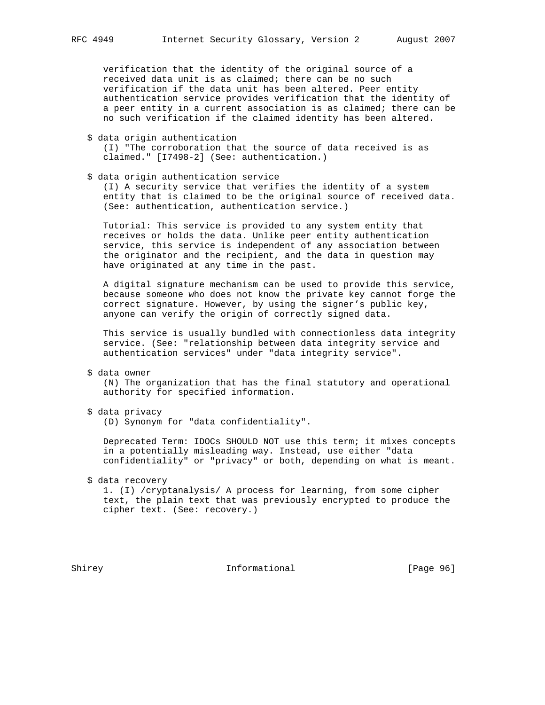verification that the identity of the original source of a received data unit is as claimed; there can be no such verification if the data unit has been altered. Peer entity authentication service provides verification that the identity of a peer entity in a current association is as claimed; there can be no such verification if the claimed identity has been altered.

\$ data origin authentication

 (I) "The corroboration that the source of data received is as claimed." [I7498-2] (See: authentication.)

\$ data origin authentication service

 (I) A security service that verifies the identity of a system entity that is claimed to be the original source of received data. (See: authentication, authentication service.)

 Tutorial: This service is provided to any system entity that receives or holds the data. Unlike peer entity authentication service, this service is independent of any association between the originator and the recipient, and the data in question may have originated at any time in the past.

 A digital signature mechanism can be used to provide this service, because someone who does not know the private key cannot forge the correct signature. However, by using the signer's public key, anyone can verify the origin of correctly signed data.

 This service is usually bundled with connectionless data integrity service. (See: "relationship between data integrity service and authentication services" under "data integrity service".

\$ data owner

 (N) The organization that has the final statutory and operational authority for specified information.

\$ data privacy

(D) Synonym for "data confidentiality".

 Deprecated Term: IDOCs SHOULD NOT use this term; it mixes concepts in a potentially misleading way. Instead, use either "data confidentiality" or "privacy" or both, depending on what is meant.

\$ data recovery

 1. (I) /cryptanalysis/ A process for learning, from some cipher text, the plain text that was previously encrypted to produce the cipher text. (See: recovery.)

Shirey **Informational** [Page 96]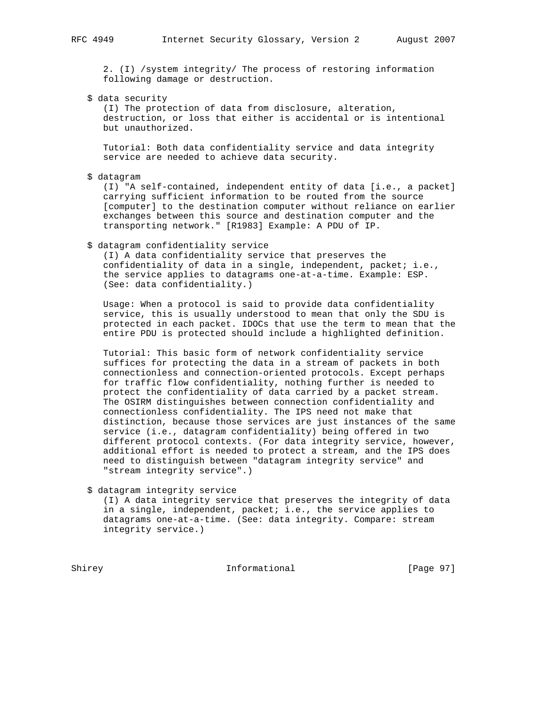2. (I) /system integrity/ The process of restoring information following damage or destruction.

\$ data security

 (I) The protection of data from disclosure, alteration, destruction, or loss that either is accidental or is intentional but unauthorized.

 Tutorial: Both data confidentiality service and data integrity service are needed to achieve data security.

\$ datagram

 (I) "A self-contained, independent entity of data [i.e., a packet] carrying sufficient information to be routed from the source [computer] to the destination computer without reliance on earlier exchanges between this source and destination computer and the transporting network." [R1983] Example: A PDU of IP.

## \$ datagram confidentiality service

 (I) A data confidentiality service that preserves the confidentiality of data in a single, independent, packet; i.e., the service applies to datagrams one-at-a-time. Example: ESP. (See: data confidentiality.)

 Usage: When a protocol is said to provide data confidentiality service, this is usually understood to mean that only the SDU is protected in each packet. IDOCs that use the term to mean that the entire PDU is protected should include a highlighted definition.

 Tutorial: This basic form of network confidentiality service suffices for protecting the data in a stream of packets in both connectionless and connection-oriented protocols. Except perhaps for traffic flow confidentiality, nothing further is needed to protect the confidentiality of data carried by a packet stream. The OSIRM distinguishes between connection confidentiality and connectionless confidentiality. The IPS need not make that distinction, because those services are just instances of the same service (i.e., datagram confidentiality) being offered in two different protocol contexts. (For data integrity service, however, additional effort is needed to protect a stream, and the IPS does need to distinguish between "datagram integrity service" and "stream integrity service".)

\$ datagram integrity service

 (I) A data integrity service that preserves the integrity of data in a single, independent, packet; i.e., the service applies to datagrams one-at-a-time. (See: data integrity. Compare: stream integrity service.)

Shirey **Informational** [Page 97]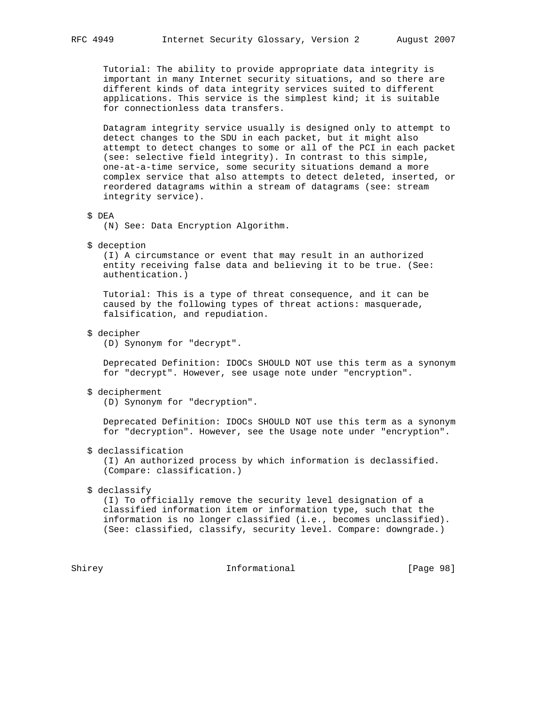Tutorial: The ability to provide appropriate data integrity is important in many Internet security situations, and so there are different kinds of data integrity services suited to different applications. This service is the simplest kind; it is suitable for connectionless data transfers.

 Datagram integrity service usually is designed only to attempt to detect changes to the SDU in each packet, but it might also attempt to detect changes to some or all of the PCI in each packet (see: selective field integrity). In contrast to this simple, one-at-a-time service, some security situations demand a more complex service that also attempts to detect deleted, inserted, or reordered datagrams within a stream of datagrams (see: stream integrity service).

## \$ DEA

(N) See: Data Encryption Algorithm.

\$ deception

 (I) A circumstance or event that may result in an authorized entity receiving false data and believing it to be true. (See: authentication.)

 Tutorial: This is a type of threat consequence, and it can be caused by the following types of threat actions: masquerade, falsification, and repudiation.

\$ decipher

(D) Synonym for "decrypt".

 Deprecated Definition: IDOCs SHOULD NOT use this term as a synonym for "decrypt". However, see usage note under "encryption".

#### \$ decipherment

(D) Synonym for "decryption".

 Deprecated Definition: IDOCs SHOULD NOT use this term as a synonym for "decryption". However, see the Usage note under "encryption".

\$ declassification

 (I) An authorized process by which information is declassified. (Compare: classification.)

#### \$ declassify

 (I) To officially remove the security level designation of a classified information item or information type, such that the information is no longer classified (i.e., becomes unclassified). (See: classified, classify, security level. Compare: downgrade.)

# Shirey **Informational** [Page 98]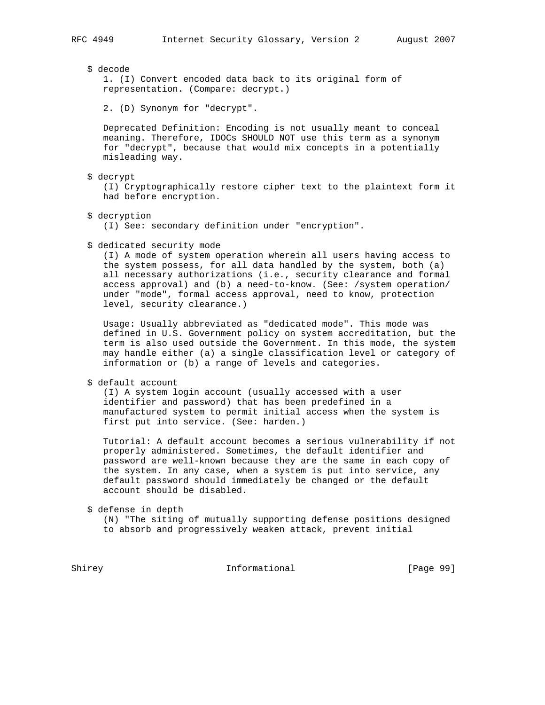\$ decode

 1. (I) Convert encoded data back to its original form of representation. (Compare: decrypt.)

2. (D) Synonym for "decrypt".

 Deprecated Definition: Encoding is not usually meant to conceal meaning. Therefore, IDOCs SHOULD NOT use this term as a synonym for "decrypt", because that would mix concepts in a potentially misleading way.

\$ decrypt

 (I) Cryptographically restore cipher text to the plaintext form it had before encryption.

\$ decryption

(I) See: secondary definition under "encryption".

\$ dedicated security mode

 (I) A mode of system operation wherein all users having access to the system possess, for all data handled by the system, both (a) all necessary authorizations (i.e., security clearance and formal access approval) and (b) a need-to-know. (See: /system operation/ under "mode", formal access approval, need to know, protection level, security clearance.)

 Usage: Usually abbreviated as "dedicated mode". This mode was defined in U.S. Government policy on system accreditation, but the term is also used outside the Government. In this mode, the system may handle either (a) a single classification level or category of information or (b) a range of levels and categories.

\$ default account

 (I) A system login account (usually accessed with a user identifier and password) that has been predefined in a manufactured system to permit initial access when the system is first put into service. (See: harden.)

 Tutorial: A default account becomes a serious vulnerability if not properly administered. Sometimes, the default identifier and password are well-known because they are the same in each copy of the system. In any case, when a system is put into service, any default password should immediately be changed or the default account should be disabled.

\$ defense in depth

 (N) "The siting of mutually supporting defense positions designed to absorb and progressively weaken attack, prevent initial

Shirey **Informational** [Page 99]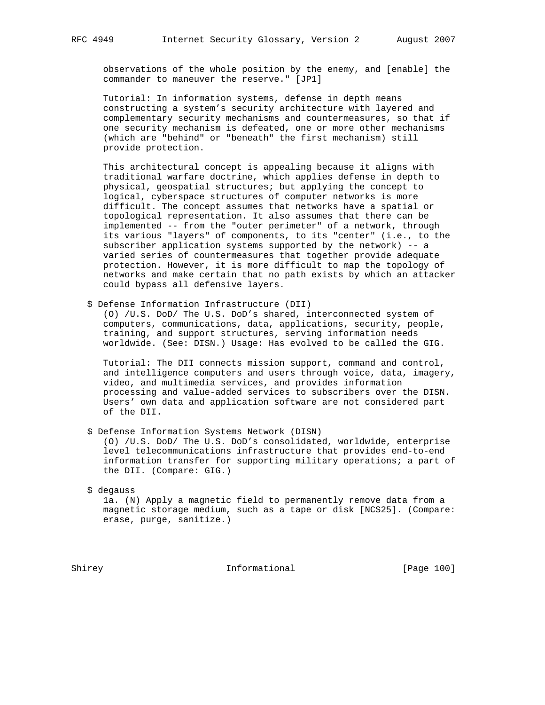observations of the whole position by the enemy, and [enable] the commander to maneuver the reserve." [JP1]

 Tutorial: In information systems, defense in depth means constructing a system's security architecture with layered and complementary security mechanisms and countermeasures, so that if one security mechanism is defeated, one or more other mechanisms (which are "behind" or "beneath" the first mechanism) still provide protection.

 This architectural concept is appealing because it aligns with traditional warfare doctrine, which applies defense in depth to physical, geospatial structures; but applying the concept to logical, cyberspace structures of computer networks is more difficult. The concept assumes that networks have a spatial or topological representation. It also assumes that there can be implemented -- from the "outer perimeter" of a network, through its various "layers" of components, to its "center" (i.e., to the subscriber application systems supported by the network) -- a varied series of countermeasures that together provide adequate protection. However, it is more difficult to map the topology of networks and make certain that no path exists by which an attacker could bypass all defensive layers.

\$ Defense Information Infrastructure (DII)

 (O) /U.S. DoD/ The U.S. DoD's shared, interconnected system of computers, communications, data, applications, security, people, training, and support structures, serving information needs worldwide. (See: DISN.) Usage: Has evolved to be called the GIG.

 Tutorial: The DII connects mission support, command and control, and intelligence computers and users through voice, data, imagery, video, and multimedia services, and provides information processing and value-added services to subscribers over the DISN. Users' own data and application software are not considered part of the DII.

\$ Defense Information Systems Network (DISN)

 (O) /U.S. DoD/ The U.S. DoD's consolidated, worldwide, enterprise level telecommunications infrastructure that provides end-to-end information transfer for supporting military operations; a part of the DII. (Compare: GIG.)

# \$ degauss

 1a. (N) Apply a magnetic field to permanently remove data from a magnetic storage medium, such as a tape or disk [NCS25]. (Compare: erase, purge, sanitize.)

Shirey **Informational** [Page 100]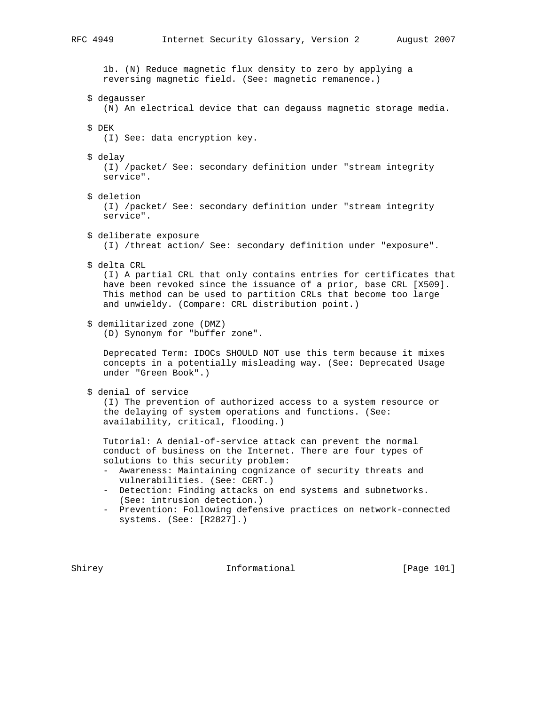1b. (N) Reduce magnetic flux density to zero by applying a reversing magnetic field. (See: magnetic remanence.) \$ degausser (N) An electrical device that can degauss magnetic storage media. \$ DEK (I) See: data encryption key. \$ delay (I) /packet/ See: secondary definition under "stream integrity service". \$ deletion (I) /packet/ See: secondary definition under "stream integrity service". \$ deliberate exposure (I) /threat action/ See: secondary definition under "exposure". \$ delta CRL (I) A partial CRL that only contains entries for certificates that have been revoked since the issuance of a prior, base CRL [X509]. This method can be used to partition CRLs that become too large and unwieldy. (Compare: CRL distribution point.) \$ demilitarized zone (DMZ) (D) Synonym for "buffer zone". Deprecated Term: IDOCs SHOULD NOT use this term because it mixes concepts in a potentially misleading way. (See: Deprecated Usage under "Green Book".) \$ denial of service (I) The prevention of authorized access to a system resource or the delaying of system operations and functions. (See: availability, critical, flooding.) Tutorial: A denial-of-service attack can prevent the normal conduct of business on the Internet. There are four types of solutions to this security problem: - Awareness: Maintaining cognizance of security threats and vulnerabilities. (See: CERT.) - Detection: Finding attacks on end systems and subnetworks. (See: intrusion detection.)

 - Prevention: Following defensive practices on network-connected systems. (See: [R2827].)

Shirey 1011 Informational [Page 101]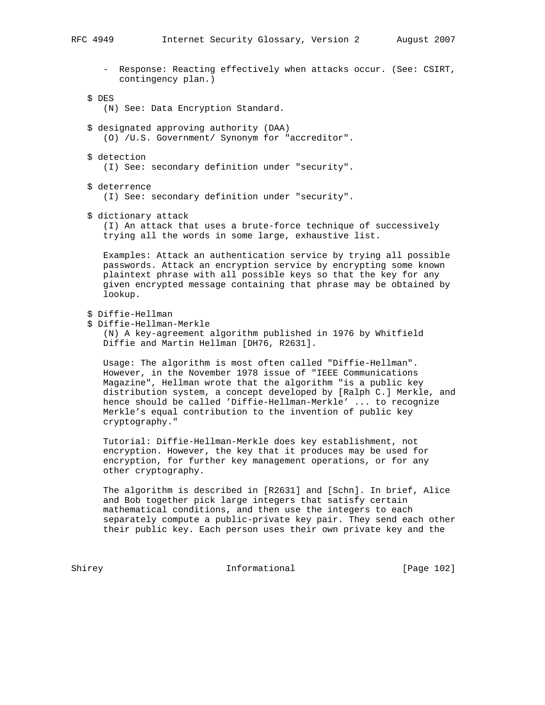- Response: Reacting effectively when attacks occur. (See: CSIRT, contingency plan.)
- \$ DES
	- (N) See: Data Encryption Standard.
- \$ designated approving authority (DAA) (O) /U.S. Government/ Synonym for "accreditor".
- \$ detection
	- (I) See: secondary definition under "security".
- \$ deterrence

(I) See: secondary definition under "security".

\$ dictionary attack

 (I) An attack that uses a brute-force technique of successively trying all the words in some large, exhaustive list.

 Examples: Attack an authentication service by trying all possible passwords. Attack an encryption service by encrypting some known plaintext phrase with all possible keys so that the key for any given encrypted message containing that phrase may be obtained by lookup.

- \$ Diffie-Hellman
- \$ Diffie-Hellman-Merkle

 (N) A key-agreement algorithm published in 1976 by Whitfield Diffie and Martin Hellman [DH76, R2631].

 Usage: The algorithm is most often called "Diffie-Hellman". However, in the November 1978 issue of "IEEE Communications Magazine", Hellman wrote that the algorithm "is a public key distribution system, a concept developed by [Ralph C.] Merkle, and hence should be called 'Diffie-Hellman-Merkle' ... to recognize Merkle's equal contribution to the invention of public key cryptography."

 Tutorial: Diffie-Hellman-Merkle does key establishment, not encryption. However, the key that it produces may be used for encryption, for further key management operations, or for any other cryptography.

 The algorithm is described in [R2631] and [Schn]. In brief, Alice and Bob together pick large integers that satisfy certain mathematical conditions, and then use the integers to each separately compute a public-private key pair. They send each other their public key. Each person uses their own private key and the

Shirey **Informational** [Page 102]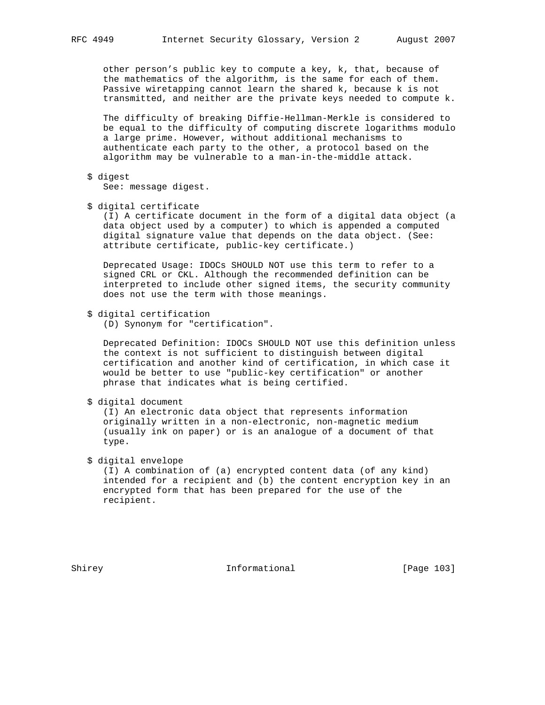other person's public key to compute a key, k, that, because of the mathematics of the algorithm, is the same for each of them. Passive wiretapping cannot learn the shared k, because k is not transmitted, and neither are the private keys needed to compute k.

 The difficulty of breaking Diffie-Hellman-Merkle is considered to be equal to the difficulty of computing discrete logarithms modulo a large prime. However, without additional mechanisms to authenticate each party to the other, a protocol based on the algorithm may be vulnerable to a man-in-the-middle attack.

\$ digest

See: message digest.

\$ digital certificate

 (I) A certificate document in the form of a digital data object (a data object used by a computer) to which is appended a computed digital signature value that depends on the data object. (See: attribute certificate, public-key certificate.)

 Deprecated Usage: IDOCs SHOULD NOT use this term to refer to a signed CRL or CKL. Although the recommended definition can be interpreted to include other signed items, the security community does not use the term with those meanings.

\$ digital certification

(D) Synonym for "certification".

 Deprecated Definition: IDOCs SHOULD NOT use this definition unless the context is not sufficient to distinguish between digital certification and another kind of certification, in which case it would be better to use "public-key certification" or another phrase that indicates what is being certified.

```
 $ digital document
```
 (I) An electronic data object that represents information originally written in a non-electronic, non-magnetic medium (usually ink on paper) or is an analogue of a document of that type.

# \$ digital envelope

 (I) A combination of (a) encrypted content data (of any kind) intended for a recipient and (b) the content encryption key in an encrypted form that has been prepared for the use of the recipient.

Shirey **Informational** [Page 103]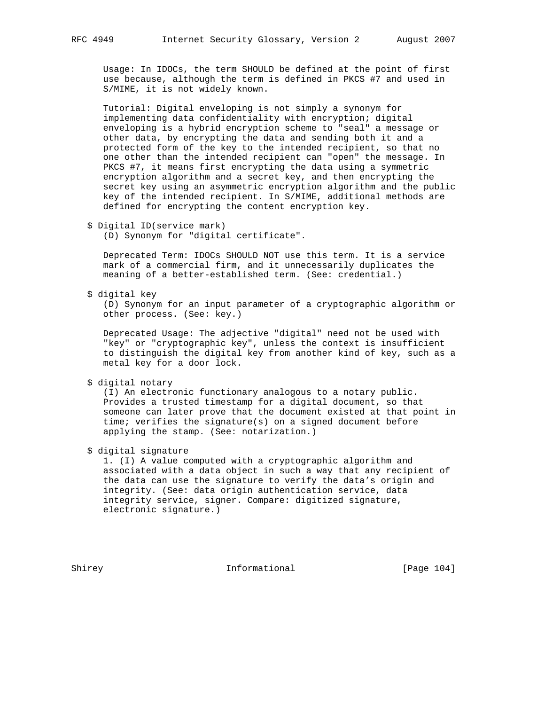Usage: In IDOCs, the term SHOULD be defined at the point of first use because, although the term is defined in PKCS #7 and used in S/MIME, it is not widely known.

 Tutorial: Digital enveloping is not simply a synonym for implementing data confidentiality with encryption; digital enveloping is a hybrid encryption scheme to "seal" a message or other data, by encrypting the data and sending both it and a protected form of the key to the intended recipient, so that no one other than the intended recipient can "open" the message. In PKCS #7, it means first encrypting the data using a symmetric encryption algorithm and a secret key, and then encrypting the secret key using an asymmetric encryption algorithm and the public key of the intended recipient. In S/MIME, additional methods are defined for encrypting the content encryption key.

(D) Synonym for "digital certificate".

 Deprecated Term: IDOCs SHOULD NOT use this term. It is a service mark of a commercial firm, and it unnecessarily duplicates the meaning of a better-established term. (See: credential.)

\$ digital key

 (D) Synonym for an input parameter of a cryptographic algorithm or other process. (See: key.)

 Deprecated Usage: The adjective "digital" need not be used with "key" or "cryptographic key", unless the context is insufficient to distinguish the digital key from another kind of key, such as a metal key for a door lock.

\$ digital notary

 (I) An electronic functionary analogous to a notary public. Provides a trusted timestamp for a digital document, so that someone can later prove that the document existed at that point in time; verifies the signature(s) on a signed document before applying the stamp. (See: notarization.)

\$ digital signature

 1. (I) A value computed with a cryptographic algorithm and associated with a data object in such a way that any recipient of the data can use the signature to verify the data's origin and integrity. (See: data origin authentication service, data integrity service, signer. Compare: digitized signature, electronic signature.)

Shirey **Informational** [Page 104]

 <sup>\$</sup> Digital ID(service mark)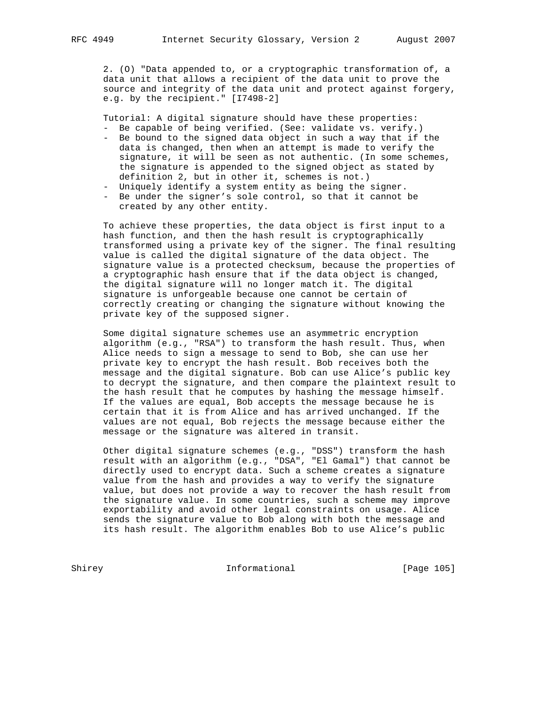2. (O) "Data appended to, or a cryptographic transformation of, a data unit that allows a recipient of the data unit to prove the source and integrity of the data unit and protect against forgery, e.g. by the recipient." [I7498-2]

Tutorial: A digital signature should have these properties:

- Be capable of being verified. (See: validate vs. verify.)
- Be bound to the signed data object in such a way that if the data is changed, then when an attempt is made to verify the signature, it will be seen as not authentic. (In some schemes, the signature is appended to the signed object as stated by definition 2, but in other it, schemes is not.)
- Uniquely identify a system entity as being the signer.
- Be under the signer's sole control, so that it cannot be created by any other entity.

 To achieve these properties, the data object is first input to a hash function, and then the hash result is cryptographically transformed using a private key of the signer. The final resulting value is called the digital signature of the data object. The signature value is a protected checksum, because the properties of a cryptographic hash ensure that if the data object is changed, the digital signature will no longer match it. The digital signature is unforgeable because one cannot be certain of correctly creating or changing the signature without knowing the private key of the supposed signer.

 Some digital signature schemes use an asymmetric encryption algorithm (e.g., "RSA") to transform the hash result. Thus, when Alice needs to sign a message to send to Bob, she can use her private key to encrypt the hash result. Bob receives both the message and the digital signature. Bob can use Alice's public key to decrypt the signature, and then compare the plaintext result to the hash result that he computes by hashing the message himself. If the values are equal, Bob accepts the message because he is certain that it is from Alice and has arrived unchanged. If the values are not equal, Bob rejects the message because either the message or the signature was altered in transit.

 Other digital signature schemes (e.g., "DSS") transform the hash result with an algorithm (e.g., "DSA", "El Gamal") that cannot be directly used to encrypt data. Such a scheme creates a signature value from the hash and provides a way to verify the signature value, but does not provide a way to recover the hash result from the signature value. In some countries, such a scheme may improve exportability and avoid other legal constraints on usage. Alice sends the signature value to Bob along with both the message and its hash result. The algorithm enables Bob to use Alice's public

Shirey **Informational** [Page 105]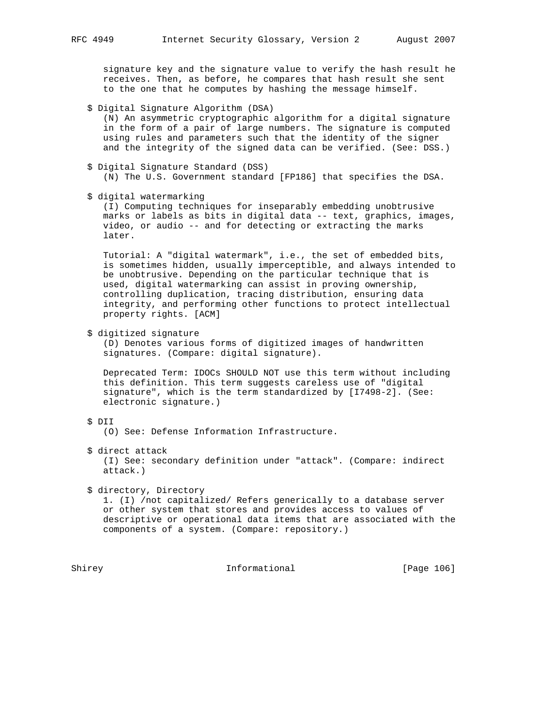signature key and the signature value to verify the hash result he receives. Then, as before, he compares that hash result she sent to the one that he computes by hashing the message himself.

- \$ Digital Signature Algorithm (DSA) (N) An asymmetric cryptographic algorithm for a digital signature in the form of a pair of large numbers. The signature is computed using rules and parameters such that the identity of the signer and the integrity of the signed data can be verified. (See: DSS.)
- \$ Digital Signature Standard (DSS) (N) The U.S. Government standard [FP186] that specifies the DSA.

\$ digital watermarking

 (I) Computing techniques for inseparably embedding unobtrusive marks or labels as bits in digital data -- text, graphics, images, video, or audio -- and for detecting or extracting the marks later.

 Tutorial: A "digital watermark", i.e., the set of embedded bits, is sometimes hidden, usually imperceptible, and always intended to be unobtrusive. Depending on the particular technique that is used, digital watermarking can assist in proving ownership, controlling duplication, tracing distribution, ensuring data integrity, and performing other functions to protect intellectual property rights. [ACM]

\$ digitized signature

 (D) Denotes various forms of digitized images of handwritten signatures. (Compare: digital signature).

 Deprecated Term: IDOCs SHOULD NOT use this term without including this definition. This term suggests careless use of "digital signature", which is the term standardized by [I7498-2]. (See: electronic signature.)

# \$ DII

(O) See: Defense Information Infrastructure.

\$ direct attack

 (I) See: secondary definition under "attack". (Compare: indirect attack.)

\$ directory, Directory

 1. (I) /not capitalized/ Refers generically to a database server or other system that stores and provides access to values of descriptive or operational data items that are associated with the components of a system. (Compare: repository.)

Shirey **Informational** [Page 106]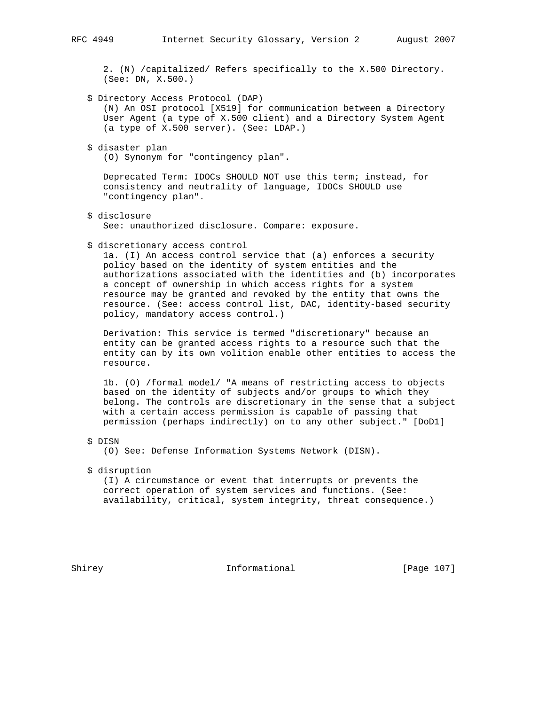2. (N) /capitalized/ Refers specifically to the X.500 Directory. (See: DN, X.500.)

\$ Directory Access Protocol (DAP)

 (N) An OSI protocol [X519] for communication between a Directory User Agent (a type of X.500 client) and a Directory System Agent (a type of X.500 server). (See: LDAP.)

\$ disaster plan

(O) Synonym for "contingency plan".

 Deprecated Term: IDOCs SHOULD NOT use this term; instead, for consistency and neutrality of language, IDOCs SHOULD use "contingency plan".

\$ disclosure

See: unauthorized disclosure. Compare: exposure.

\$ discretionary access control

 1a. (I) An access control service that (a) enforces a security policy based on the identity of system entities and the authorizations associated with the identities and (b) incorporates a concept of ownership in which access rights for a system resource may be granted and revoked by the entity that owns the resource. (See: access control list, DAC, identity-based security policy, mandatory access control.)

 Derivation: This service is termed "discretionary" because an entity can be granted access rights to a resource such that the entity can by its own volition enable other entities to access the resource.

 1b. (O) /formal model/ "A means of restricting access to objects based on the identity of subjects and/or groups to which they belong. The controls are discretionary in the sense that a subject with a certain access permission is capable of passing that permission (perhaps indirectly) on to any other subject." [DoD1]

\$ DISN

(O) See: Defense Information Systems Network (DISN).

\$ disruption

 (I) A circumstance or event that interrupts or prevents the correct operation of system services and functions. (See: availability, critical, system integrity, threat consequence.)

Shirey **Informational** [Page 107]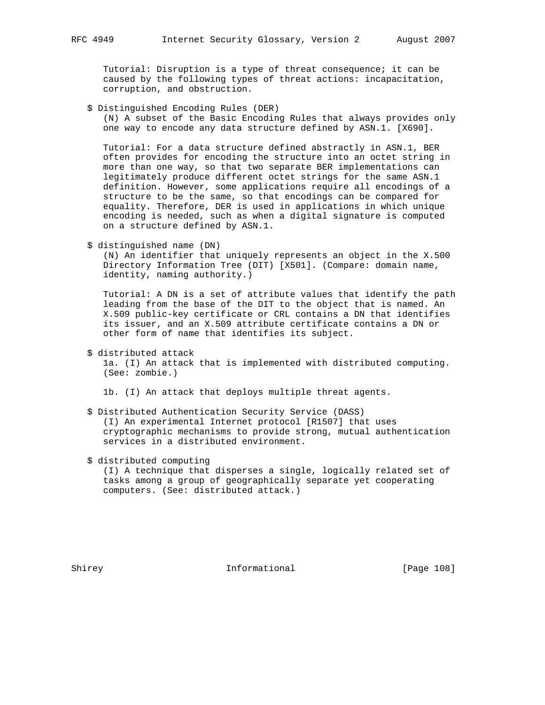Tutorial: Disruption is a type of threat consequence; it can be caused by the following types of threat actions: incapacitation, corruption, and obstruction.

\$ Distinguished Encoding Rules (DER)

 (N) A subset of the Basic Encoding Rules that always provides only one way to encode any data structure defined by ASN.1. [X690].

 Tutorial: For a data structure defined abstractly in ASN.1, BER often provides for encoding the structure into an octet string in more than one way, so that two separate BER implementations can legitimately produce different octet strings for the same ASN.1 definition. However, some applications require all encodings of a structure to be the same, so that encodings can be compared for equality. Therefore, DER is used in applications in which unique encoding is needed, such as when a digital signature is computed on a structure defined by ASN.1.

\$ distinguished name (DN)

 (N) An identifier that uniquely represents an object in the X.500 Directory Information Tree (DIT) [X501]. (Compare: domain name, identity, naming authority.)

 Tutorial: A DN is a set of attribute values that identify the path leading from the base of the DIT to the object that is named. An X.509 public-key certificate or CRL contains a DN that identifies its issuer, and an X.509 attribute certificate contains a DN or other form of name that identifies its subject.

\$ distributed attack

 1a. (I) An attack that is implemented with distributed computing. (See: zombie.)

1b. (I) An attack that deploys multiple threat agents.

 \$ Distributed Authentication Security Service (DASS) (I) An experimental Internet protocol [R1507] that uses cryptographic mechanisms to provide strong, mutual authentication services in a distributed environment.

### \$ distributed computing

 (I) A technique that disperses a single, logically related set of tasks among a group of geographically separate yet cooperating computers. (See: distributed attack.)

Shirey **Informational** [Page 108]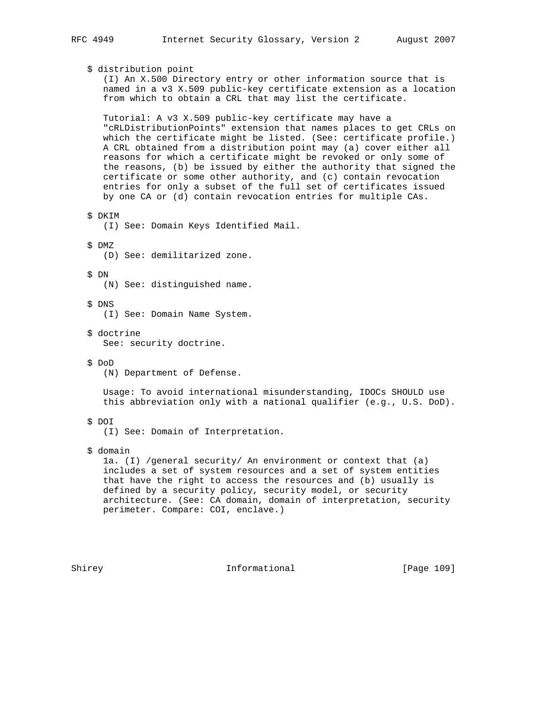# \$ distribution point

 (I) An X.500 Directory entry or other information source that is named in a v3 X.509 public-key certificate extension as a location from which to obtain a CRL that may list the certificate.

 Tutorial: A v3 X.509 public-key certificate may have a "cRLDistributionPoints" extension that names places to get CRLs on which the certificate might be listed. (See: certificate profile.) A CRL obtained from a distribution point may (a) cover either all reasons for which a certificate might be revoked or only some of the reasons, (b) be issued by either the authority that signed the certificate or some other authority, and (c) contain revocation entries for only a subset of the full set of certificates issued by one CA or (d) contain revocation entries for multiple CAs.

\$ DKIM

(I) See: Domain Keys Identified Mail.

#### \$ DMZ

(D) See: demilitarized zone.

# \$ DN

(N) See: distinguished name.

# \$ DNS

- (I) See: Domain Name System.
- \$ doctrine See: security doctrine.
- \$ DoD
	- (N) Department of Defense.

 Usage: To avoid international misunderstanding, IDOCs SHOULD use this abbreviation only with a national qualifier (e.g., U.S. DoD).

# \$ DOI

(I) See: Domain of Interpretation.

#### \$ domain

 1a. (I) /general security/ An environment or context that (a) includes a set of system resources and a set of system entities that have the right to access the resources and (b) usually is defined by a security policy, security model, or security architecture. (See: CA domain, domain of interpretation, security perimeter. Compare: COI, enclave.)

Shirey **Informational** [Page 109]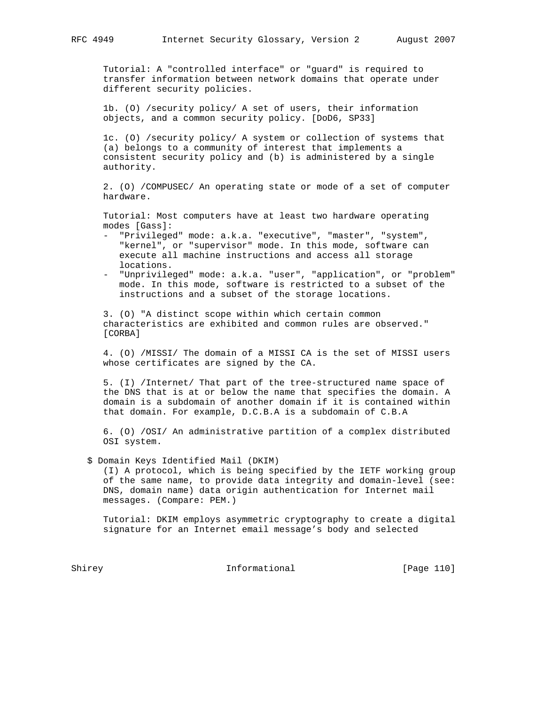Tutorial: A "controlled interface" or "guard" is required to transfer information between network domains that operate under different security policies.

 1b. (O) /security policy/ A set of users, their information objects, and a common security policy. [DoD6, SP33]

 1c. (O) /security policy/ A system or collection of systems that (a) belongs to a community of interest that implements a consistent security policy and (b) is administered by a single authority.

 2. (O) /COMPUSEC/ An operating state or mode of a set of computer hardware.

 Tutorial: Most computers have at least two hardware operating modes [Gass]:

- "Privileged" mode: a.k.a. "executive", "master", "system", "kernel", or "supervisor" mode. In this mode, software can execute all machine instructions and access all storage locations.
- "Unprivileged" mode: a.k.a. "user", "application", or "problem" mode. In this mode, software is restricted to a subset of the instructions and a subset of the storage locations.

 3. (O) "A distinct scope within which certain common characteristics are exhibited and common rules are observed." [CORBA]

 4. (O) /MISSI/ The domain of a MISSI CA is the set of MISSI users whose certificates are signed by the CA.

 5. (I) /Internet/ That part of the tree-structured name space of the DNS that is at or below the name that specifies the domain. A domain is a subdomain of another domain if it is contained within that domain. For example, D.C.B.A is a subdomain of C.B.A

 6. (O) /OSI/ An administrative partition of a complex distributed OSI system.

\$ Domain Keys Identified Mail (DKIM)

 (I) A protocol, which is being specified by the IETF working group of the same name, to provide data integrity and domain-level (see: DNS, domain name) data origin authentication for Internet mail messages. (Compare: PEM.)

 Tutorial: DKIM employs asymmetric cryptography to create a digital signature for an Internet email message's body and selected

Shirey **Informational** [Page 110]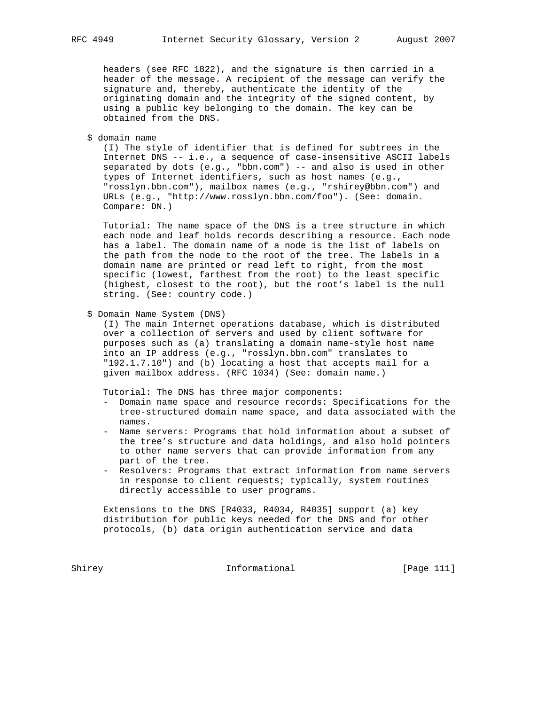headers (see RFC 1822), and the signature is then carried in a header of the message. A recipient of the message can verify the signature and, thereby, authenticate the identity of the originating domain and the integrity of the signed content, by using a public key belonging to the domain. The key can be obtained from the DNS.

\$ domain name

 (I) The style of identifier that is defined for subtrees in the Internet DNS -- i.e., a sequence of case-insensitive ASCII labels separated by dots (e.g., "bbn.com") -- and also is used in other types of Internet identifiers, such as host names (e.g., "rosslyn.bbn.com"), mailbox names (e.g., "rshirey@bbn.com") and URLs (e.g., "http://www.rosslyn.bbn.com/foo"). (See: domain. Compare: DN.)

 Tutorial: The name space of the DNS is a tree structure in which each node and leaf holds records describing a resource. Each node has a label. The domain name of a node is the list of labels on the path from the node to the root of the tree. The labels in a domain name are printed or read left to right, from the most specific (lowest, farthest from the root) to the least specific (highest, closest to the root), but the root's label is the null string. (See: country code.)

#### \$ Domain Name System (DNS)

 (I) The main Internet operations database, which is distributed over a collection of servers and used by client software for purposes such as (a) translating a domain name-style host name into an IP address (e.g., "rosslyn.bbn.com" translates to "192.1.7.10") and (b) locating a host that accepts mail for a given mailbox address. (RFC 1034) (See: domain name.)

Tutorial: The DNS has three major components:

- Domain name space and resource records: Specifications for the tree-structured domain name space, and data associated with the names.
- Name servers: Programs that hold information about a subset of the tree's structure and data holdings, and also hold pointers to other name servers that can provide information from any part of the tree.
- Resolvers: Programs that extract information from name servers in response to client requests; typically, system routines directly accessible to user programs.

 Extensions to the DNS [R4033, R4034, R4035] support (a) key distribution for public keys needed for the DNS and for other protocols, (b) data origin authentication service and data

Shirey **Informational** [Page 111]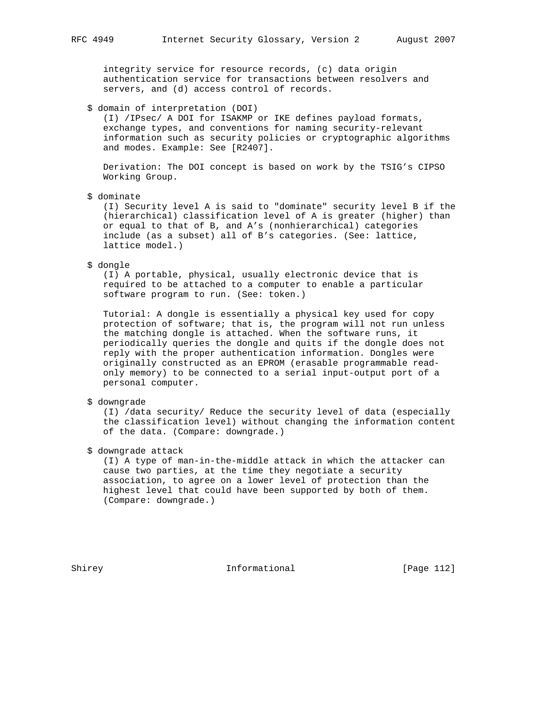integrity service for resource records, (c) data origin authentication service for transactions between resolvers and servers, and (d) access control of records.

#### \$ domain of interpretation (DOI)

 (I) /IPsec/ A DOI for ISAKMP or IKE defines payload formats, exchange types, and conventions for naming security-relevant information such as security policies or cryptographic algorithms and modes. Example: See [R2407].

 Derivation: The DOI concept is based on work by the TSIG's CIPSO Working Group.

\$ dominate

 (I) Security level A is said to "dominate" security level B if the (hierarchical) classification level of A is greater (higher) than or equal to that of B, and A's (nonhierarchical) categories include (as a subset) all of B's categories. (See: lattice, lattice model.)

\$ dongle

 (I) A portable, physical, usually electronic device that is required to be attached to a computer to enable a particular software program to run. (See: token.)

 Tutorial: A dongle is essentially a physical key used for copy protection of software; that is, the program will not run unless the matching dongle is attached. When the software runs, it periodically queries the dongle and quits if the dongle does not reply with the proper authentication information. Dongles were originally constructed as an EPROM (erasable programmable read only memory) to be connected to a serial input-output port of a personal computer.

# \$ downgrade

 (I) /data security/ Reduce the security level of data (especially the classification level) without changing the information content of the data. (Compare: downgrade.)

\$ downgrade attack

 (I) A type of man-in-the-middle attack in which the attacker can cause two parties, at the time they negotiate a security association, to agree on a lower level of protection than the highest level that could have been supported by both of them. (Compare: downgrade.)

Shirey **Informational** [Page 112]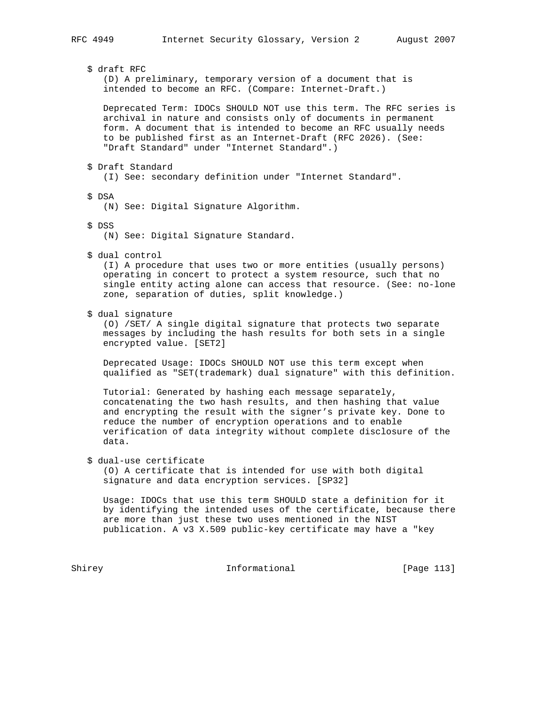# \$ draft RFC

 (D) A preliminary, temporary version of a document that is intended to become an RFC. (Compare: Internet-Draft.)

 Deprecated Term: IDOCs SHOULD NOT use this term. The RFC series is archival in nature and consists only of documents in permanent form. A document that is intended to become an RFC usually needs to be published first as an Internet-Draft (RFC 2026). (See: "Draft Standard" under "Internet Standard".)

\$ Draft Standard

(I) See: secondary definition under "Internet Standard".

\$ DSA

(N) See: Digital Signature Algorithm.

\$ DSS

(N) See: Digital Signature Standard.

\$ dual control

 (I) A procedure that uses two or more entities (usually persons) operating in concert to protect a system resource, such that no single entity acting alone can access that resource. (See: no-lone zone, separation of duties, split knowledge.)

\$ dual signature

 (O) /SET/ A single digital signature that protects two separate messages by including the hash results for both sets in a single encrypted value. [SET2]

 Deprecated Usage: IDOCs SHOULD NOT use this term except when qualified as "SET(trademark) dual signature" with this definition.

 Tutorial: Generated by hashing each message separately, concatenating the two hash results, and then hashing that value and encrypting the result with the signer's private key. Done to reduce the number of encryption operations and to enable verification of data integrity without complete disclosure of the data.

#### \$ dual-use certificate

 (O) A certificate that is intended for use with both digital signature and data encryption services. [SP32]

 Usage: IDOCs that use this term SHOULD state a definition for it by identifying the intended uses of the certificate, because there are more than just these two uses mentioned in the NIST publication. A v3 X.509 public-key certificate may have a "key

Shirey **Informational** [Page 113]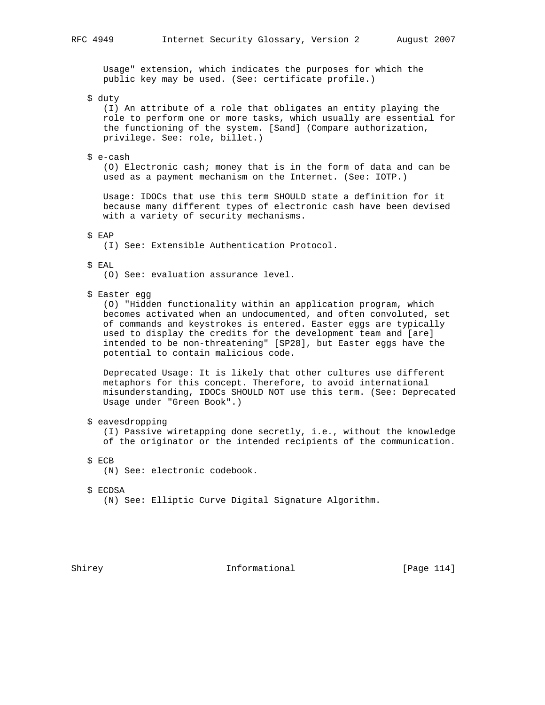Usage" extension, which indicates the purposes for which the public key may be used. (See: certificate profile.)

\$ duty

 (I) An attribute of a role that obligates an entity playing the role to perform one or more tasks, which usually are essential for the functioning of the system. [Sand] (Compare authorization, privilege. See: role, billet.)

\$ e-cash

 (O) Electronic cash; money that is in the form of data and can be used as a payment mechanism on the Internet. (See: IOTP.)

 Usage: IDOCs that use this term SHOULD state a definition for it because many different types of electronic cash have been devised with a variety of security mechanisms.

\$ EAP

(I) See: Extensible Authentication Protocol.

\$ EAL

(O) See: evaluation assurance level.

\$ Easter egg

 (O) "Hidden functionality within an application program, which becomes activated when an undocumented, and often convoluted, set of commands and keystrokes is entered. Easter eggs are typically used to display the credits for the development team and [are] intended to be non-threatening" [SP28], but Easter eggs have the potential to contain malicious code.

 Deprecated Usage: It is likely that other cultures use different metaphors for this concept. Therefore, to avoid international misunderstanding, IDOCs SHOULD NOT use this term. (See: Deprecated Usage under "Green Book".)

\$ eavesdropping

 (I) Passive wiretapping done secretly, i.e., without the knowledge of the originator or the intended recipients of the communication.

\$ ECB

(N) See: electronic codebook.

\$ ECDSA

(N) See: Elliptic Curve Digital Signature Algorithm.

Shirey **Informational** [Page 114]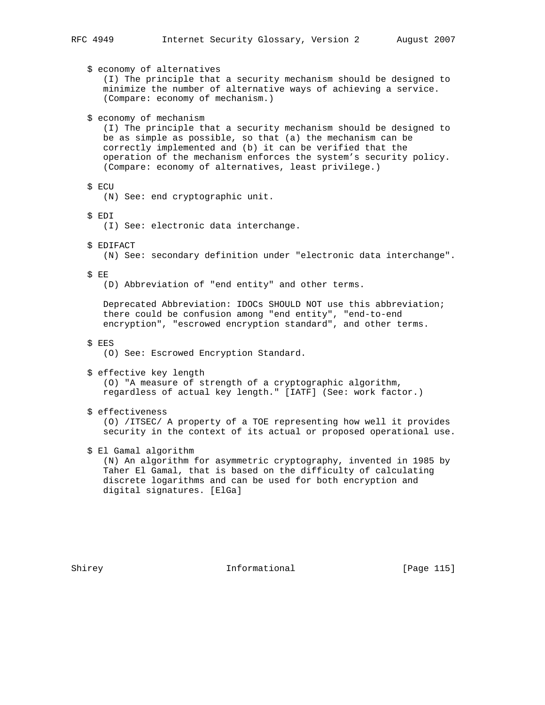\$ economy of alternatives (I) The principle that a security mechanism should be designed to minimize the number of alternative ways of achieving a service. (Compare: economy of mechanism.) \$ economy of mechanism (I) The principle that a security mechanism should be designed to be as simple as possible, so that (a) the mechanism can be correctly implemented and (b) it can be verified that the operation of the mechanism enforces the system's security policy. (Compare: economy of alternatives, least privilege.) \$ ECU (N) See: end cryptographic unit. \$ EDI (I) See: electronic data interchange. \$ EDIFACT (N) See: secondary definition under "electronic data interchange". \$ EE (D) Abbreviation of "end entity" and other terms. Deprecated Abbreviation: IDOCs SHOULD NOT use this abbreviation; there could be confusion among "end entity", "end-to-end encryption", "escrowed encryption standard", and other terms. \$ EES (O) See: Escrowed Encryption Standard. \$ effective key length (O) "A measure of strength of a cryptographic algorithm, regardless of actual key length." [IATF] (See: work factor.) \$ effectiveness (O) /ITSEC/ A property of a TOE representing how well it provides security in the context of its actual or proposed operational use. \$ El Gamal algorithm (N) An algorithm for asymmetric cryptography, invented in 1985 by Taher El Gamal, that is based on the difficulty of calculating discrete logarithms and can be used for both encryption and digital signatures. [ElGa]

Shirey 115 Informational [Page 115]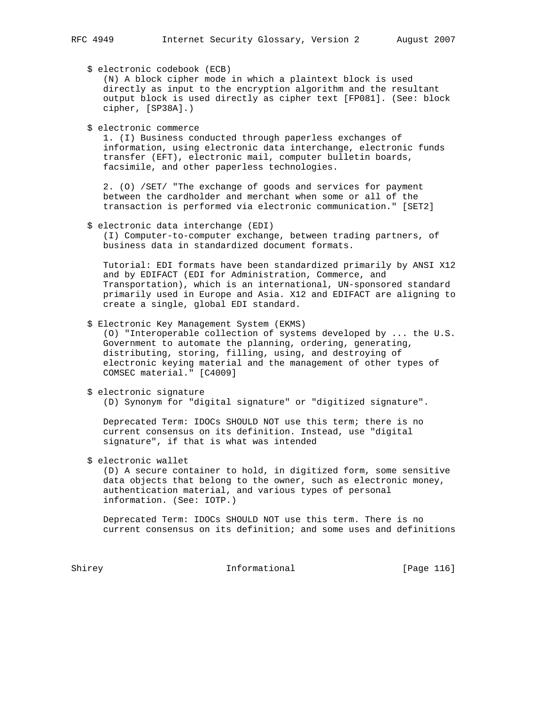\$ electronic codebook (ECB)

 (N) A block cipher mode in which a plaintext block is used directly as input to the encryption algorithm and the resultant output block is used directly as cipher text [FP081]. (See: block cipher, [SP38A].)

\$ electronic commerce

 1. (I) Business conducted through paperless exchanges of information, using electronic data interchange, electronic funds transfer (EFT), electronic mail, computer bulletin boards, facsimile, and other paperless technologies.

 2. (O) /SET/ "The exchange of goods and services for payment between the cardholder and merchant when some or all of the transaction is performed via electronic communication." [SET2]

\$ electronic data interchange (EDI)

 (I) Computer-to-computer exchange, between trading partners, of business data in standardized document formats.

 Tutorial: EDI formats have been standardized primarily by ANSI X12 and by EDIFACT (EDI for Administration, Commerce, and Transportation), which is an international, UN-sponsored standard primarily used in Europe and Asia. X12 and EDIFACT are aligning to create a single, global EDI standard.

\$ Electronic Key Management System (EKMS)

 (O) "Interoperable collection of systems developed by ... the U.S. Government to automate the planning, ordering, generating, distributing, storing, filling, using, and destroying of electronic keying material and the management of other types of COMSEC material." [C4009]

\$ electronic signature

(D) Synonym for "digital signature" or "digitized signature".

 Deprecated Term: IDOCs SHOULD NOT use this term; there is no current consensus on its definition. Instead, use "digital signature", if that is what was intended

\$ electronic wallet

 (D) A secure container to hold, in digitized form, some sensitive data objects that belong to the owner, such as electronic money, authentication material, and various types of personal information. (See: IOTP.)

 Deprecated Term: IDOCs SHOULD NOT use this term. There is no current consensus on its definition; and some uses and definitions

Shirey **Informational** [Page 116]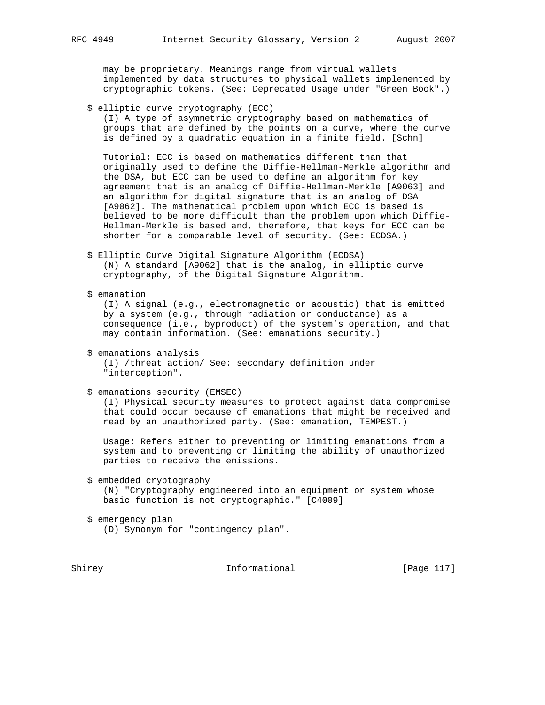may be proprietary. Meanings range from virtual wallets implemented by data structures to physical wallets implemented by cryptographic tokens. (See: Deprecated Usage under "Green Book".)

\$ elliptic curve cryptography (ECC)

 (I) A type of asymmetric cryptography based on mathematics of groups that are defined by the points on a curve, where the curve is defined by a quadratic equation in a finite field. [Schn]

 Tutorial: ECC is based on mathematics different than that originally used to define the Diffie-Hellman-Merkle algorithm and the DSA, but ECC can be used to define an algorithm for key agreement that is an analog of Diffie-Hellman-Merkle [A9063] and an algorithm for digital signature that is an analog of DSA [A9062]. The mathematical problem upon which ECC is based is believed to be more difficult than the problem upon which Diffie- Hellman-Merkle is based and, therefore, that keys for ECC can be shorter for a comparable level of security. (See: ECDSA.)

- \$ Elliptic Curve Digital Signature Algorithm (ECDSA) (N) A standard [A9062] that is the analog, in elliptic curve cryptography, of the Digital Signature Algorithm.
- \$ emanation (I) A signal (e.g., electromagnetic or acoustic) that is emitted by a system (e.g., through radiation or conductance) as a consequence (i.e., byproduct) of the system's operation, and that may contain information. (See: emanations security.)
	- \$ emanations analysis (I) /threat action/ See: secondary definition under "interception".
	- \$ emanations security (EMSEC)

 (I) Physical security measures to protect against data compromise that could occur because of emanations that might be received and read by an unauthorized party. (See: emanation, TEMPEST.)

 Usage: Refers either to preventing or limiting emanations from a system and to preventing or limiting the ability of unauthorized parties to receive the emissions.

 \$ embedded cryptography (N) "Cryptography engineered into an equipment or system whose basic function is not cryptographic." [C4009]

 \$ emergency plan (D) Synonym for "contingency plan".

Shirey **Informational** [Page 117]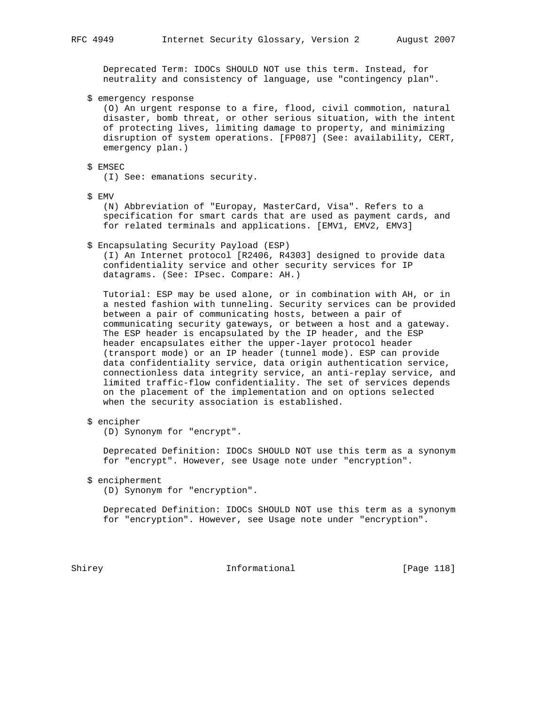Deprecated Term: IDOCs SHOULD NOT use this term. Instead, for neutrality and consistency of language, use "contingency plan".

\$ emergency response

 (O) An urgent response to a fire, flood, civil commotion, natural disaster, bomb threat, or other serious situation, with the intent of protecting lives, limiting damage to property, and minimizing disruption of system operations. [FP087] (See: availability, CERT, emergency plan.)

# \$ EMSEC

(I) See: emanations security.

\$ EMV

 (N) Abbreviation of "Europay, MasterCard, Visa". Refers to a specification for smart cards that are used as payment cards, and for related terminals and applications. [EMV1, EMV2, EMV3]

\$ Encapsulating Security Payload (ESP)

 (I) An Internet protocol [R2406, R4303] designed to provide data confidentiality service and other security services for IP datagrams. (See: IPsec. Compare: AH.)

 Tutorial: ESP may be used alone, or in combination with AH, or in a nested fashion with tunneling. Security services can be provided between a pair of communicating hosts, between a pair of communicating security gateways, or between a host and a gateway. The ESP header is encapsulated by the IP header, and the ESP header encapsulates either the upper-layer protocol header (transport mode) or an IP header (tunnel mode). ESP can provide data confidentiality service, data origin authentication service, connectionless data integrity service, an anti-replay service, and limited traffic-flow confidentiality. The set of services depends on the placement of the implementation and on options selected when the security association is established.

\$ encipher

(D) Synonym for "encrypt".

 Deprecated Definition: IDOCs SHOULD NOT use this term as a synonym for "encrypt". However, see Usage note under "encryption".

\$ encipherment

(D) Synonym for "encryption".

 Deprecated Definition: IDOCs SHOULD NOT use this term as a synonym for "encryption". However, see Usage note under "encryption".

Shirey **Informational** [Page 118]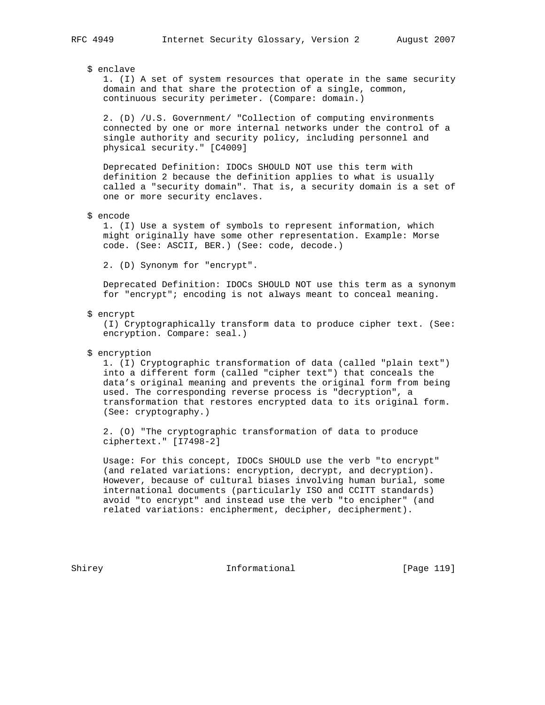# \$ enclave

 1. (I) A set of system resources that operate in the same security domain and that share the protection of a single, common, continuous security perimeter. (Compare: domain.)

 2. (D) /U.S. Government/ "Collection of computing environments connected by one or more internal networks under the control of a single authority and security policy, including personnel and physical security." [C4009]

 Deprecated Definition: IDOCs SHOULD NOT use this term with definition 2 because the definition applies to what is usually called a "security domain". That is, a security domain is a set of one or more security enclaves.

\$ encode

 1. (I) Use a system of symbols to represent information, which might originally have some other representation. Example: Morse code. (See: ASCII, BER.) (See: code, decode.)

2. (D) Synonym for "encrypt".

 Deprecated Definition: IDOCs SHOULD NOT use this term as a synonym for "encrypt"; encoding is not always meant to conceal meaning.

\$ encrypt

 (I) Cryptographically transform data to produce cipher text. (See: encryption. Compare: seal.)

\$ encryption

 1. (I) Cryptographic transformation of data (called "plain text") into a different form (called "cipher text") that conceals the data's original meaning and prevents the original form from being used. The corresponding reverse process is "decryption", a transformation that restores encrypted data to its original form. (See: cryptography.)

 2. (O) "The cryptographic transformation of data to produce ciphertext." [I7498-2]

 Usage: For this concept, IDOCs SHOULD use the verb "to encrypt" (and related variations: encryption, decrypt, and decryption). However, because of cultural biases involving human burial, some international documents (particularly ISO and CCITT standards) avoid "to encrypt" and instead use the verb "to encipher" (and related variations: encipherment, decipher, decipherment).

Shirey **Informational** [Page 119]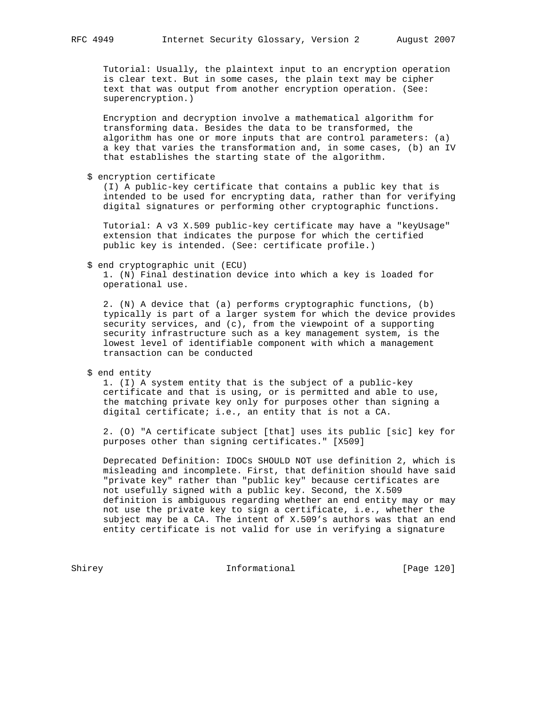Tutorial: Usually, the plaintext input to an encryption operation is clear text. But in some cases, the plain text may be cipher text that was output from another encryption operation. (See: superencryption.)

 Encryption and decryption involve a mathematical algorithm for transforming data. Besides the data to be transformed, the algorithm has one or more inputs that are control parameters: (a) a key that varies the transformation and, in some cases, (b) an IV that establishes the starting state of the algorithm.

\$ encryption certificate

 (I) A public-key certificate that contains a public key that is intended to be used for encrypting data, rather than for verifying digital signatures or performing other cryptographic functions.

 Tutorial: A v3 X.509 public-key certificate may have a "keyUsage" extension that indicates the purpose for which the certified public key is intended. (See: certificate profile.)

\$ end cryptographic unit (ECU)

 1. (N) Final destination device into which a key is loaded for operational use.

 2. (N) A device that (a) performs cryptographic functions, (b) typically is part of a larger system for which the device provides security services, and (c), from the viewpoint of a supporting security infrastructure such as a key management system, is the lowest level of identifiable component with which a management transaction can be conducted

\$ end entity

 1. (I) A system entity that is the subject of a public-key certificate and that is using, or is permitted and able to use, the matching private key only for purposes other than signing a digital certificate; i.e., an entity that is not a CA.

 2. (O) "A certificate subject [that] uses its public [sic] key for purposes other than signing certificates." [X509]

 Deprecated Definition: IDOCs SHOULD NOT use definition 2, which is misleading and incomplete. First, that definition should have said "private key" rather than "public key" because certificates are not usefully signed with a public key. Second, the X.509 definition is ambiguous regarding whether an end entity may or may not use the private key to sign a certificate, i.e., whether the subject may be a CA. The intent of X.509's authors was that an end entity certificate is not valid for use in verifying a signature

Shirey **Informational** [Page 120]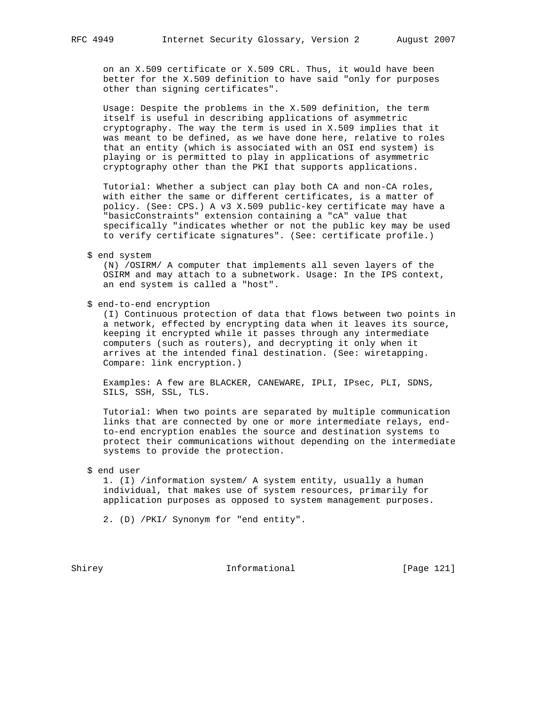on an X.509 certificate or X.509 CRL. Thus, it would have been better for the X.509 definition to have said "only for purposes other than signing certificates".

 Usage: Despite the problems in the X.509 definition, the term itself is useful in describing applications of asymmetric cryptography. The way the term is used in X.509 implies that it was meant to be defined, as we have done here, relative to roles that an entity (which is associated with an OSI end system) is playing or is permitted to play in applications of asymmetric cryptography other than the PKI that supports applications.

 Tutorial: Whether a subject can play both CA and non-CA roles, with either the same or different certificates, is a matter of policy. (See: CPS.) A v3 X.509 public-key certificate may have a "basicConstraints" extension containing a "cA" value that specifically "indicates whether or not the public key may be used to verify certificate signatures". (See: certificate profile.)

\$ end system

 (N) /OSIRM/ A computer that implements all seven layers of the OSIRM and may attach to a subnetwork. Usage: In the IPS context, an end system is called a "host".

\$ end-to-end encryption

 (I) Continuous protection of data that flows between two points in a network, effected by encrypting data when it leaves its source, keeping it encrypted while it passes through any intermediate computers (such as routers), and decrypting it only when it arrives at the intended final destination. (See: wiretapping. Compare: link encryption.)

 Examples: A few are BLACKER, CANEWARE, IPLI, IPsec, PLI, SDNS, SILS, SSH, SSL, TLS.

 Tutorial: When two points are separated by multiple communication links that are connected by one or more intermediate relays, end to-end encryption enables the source and destination systems to protect their communications without depending on the intermediate systems to provide the protection.

\$ end user

 1. (I) /information system/ A system entity, usually a human individual, that makes use of system resources, primarily for application purposes as opposed to system management purposes.

2. (D) /PKI/ Synonym for "end entity".

Shirey **Informational** [Page 121]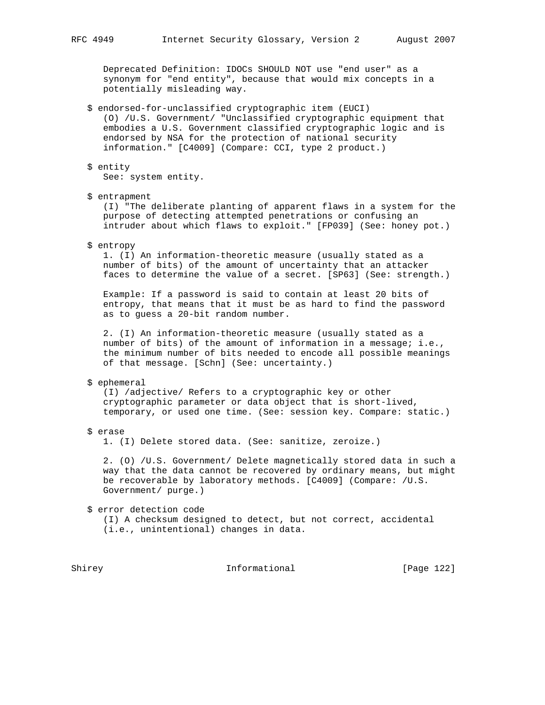Deprecated Definition: IDOCs SHOULD NOT use "end user" as a synonym for "end entity", because that would mix concepts in a potentially misleading way.

 \$ endorsed-for-unclassified cryptographic item (EUCI) (O) /U.S. Government/ "Unclassified cryptographic equipment that embodies a U.S. Government classified cryptographic logic and is endorsed by NSA for the protection of national security information." [C4009] (Compare: CCI, type 2 product.)

# \$ entity

See: system entity.

#### \$ entrapment

 (I) "The deliberate planting of apparent flaws in a system for the purpose of detecting attempted penetrations or confusing an intruder about which flaws to exploit." [FP039] (See: honey pot.)

\$ entropy

 1. (I) An information-theoretic measure (usually stated as a number of bits) of the amount of uncertainty that an attacker faces to determine the value of a secret. [SP63] (See: strength.)

 Example: If a password is said to contain at least 20 bits of entropy, that means that it must be as hard to find the password as to guess a 20-bit random number.

 2. (I) An information-theoretic measure (usually stated as a number of bits) of the amount of information in a message; i.e., the minimum number of bits needed to encode all possible meanings of that message. [Schn] (See: uncertainty.)

#### \$ ephemeral

 (I) /adjective/ Refers to a cryptographic key or other cryptographic parameter or data object that is short-lived, temporary, or used one time. (See: session key. Compare: static.)

\$ erase

1. (I) Delete stored data. (See: sanitize, zeroize.)

 2. (O) /U.S. Government/ Delete magnetically stored data in such a way that the data cannot be recovered by ordinary means, but might be recoverable by laboratory methods. [C4009] (Compare: /U.S. Government/ purge.)

\$ error detection code

 (I) A checksum designed to detect, but not correct, accidental (i.e., unintentional) changes in data.

Shirey **Informational** [Page 122]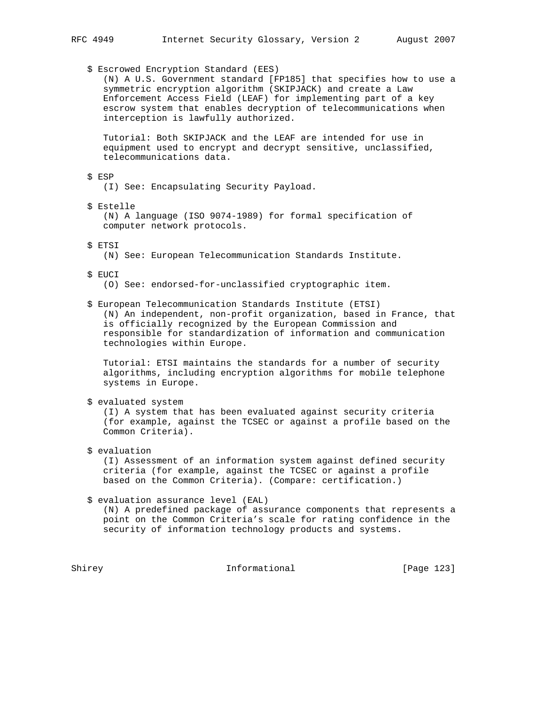\$ Escrowed Encryption Standard (EES)

 (N) A U.S. Government standard [FP185] that specifies how to use a symmetric encryption algorithm (SKIPJACK) and create a Law Enforcement Access Field (LEAF) for implementing part of a key escrow system that enables decryption of telecommunications when interception is lawfully authorized.

 Tutorial: Both SKIPJACK and the LEAF are intended for use in equipment used to encrypt and decrypt sensitive, unclassified, telecommunications data.

\$ ESP

(I) See: Encapsulating Security Payload.

\$ Estelle

 (N) A language (ISO 9074-1989) for formal specification of computer network protocols.

\$ ETSI

(N) See: European Telecommunication Standards Institute.

- \$ EUCI
	- (O) See: endorsed-for-unclassified cryptographic item.

\$ European Telecommunication Standards Institute (ETSI)

 (N) An independent, non-profit organization, based in France, that is officially recognized by the European Commission and responsible for standardization of information and communication technologies within Europe.

 Tutorial: ETSI maintains the standards for a number of security algorithms, including encryption algorithms for mobile telephone systems in Europe.

\$ evaluated system

 (I) A system that has been evaluated against security criteria (for example, against the TCSEC or against a profile based on the Common Criteria).

\$ evaluation

 (I) Assessment of an information system against defined security criteria (for example, against the TCSEC or against a profile based on the Common Criteria). (Compare: certification.)

\$ evaluation assurance level (EAL)

 (N) A predefined package of assurance components that represents a point on the Common Criteria's scale for rating confidence in the security of information technology products and systems.

Shirey **Informational** [Page 123]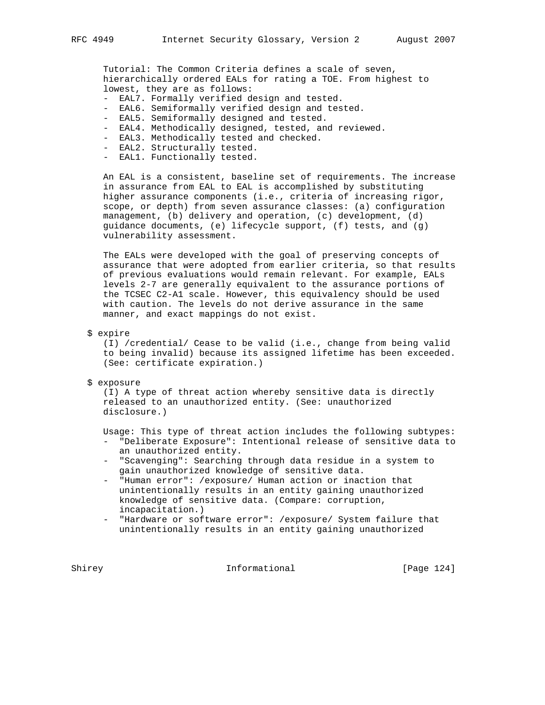Tutorial: The Common Criteria defines a scale of seven, hierarchically ordered EALs for rating a TOE. From highest to lowest, they are as follows:

- EAL7. Formally verified design and tested.
- EAL6. Semiformally verified design and tested.
- EAL5. Semiformally designed and tested.
- EAL4. Methodically designed, tested, and reviewed.
- EAL3. Methodically tested and checked.
- EAL2. Structurally tested.
- EAL1. Functionally tested.

 An EAL is a consistent, baseline set of requirements. The increase in assurance from EAL to EAL is accomplished by substituting higher assurance components (i.e., criteria of increasing rigor, scope, or depth) from seven assurance classes: (a) configuration management, (b) delivery and operation, (c) development, (d) guidance documents, (e) lifecycle support, (f) tests, and (g) vulnerability assessment.

 The EALs were developed with the goal of preserving concepts of assurance that were adopted from earlier criteria, so that results of previous evaluations would remain relevant. For example, EALs levels 2-7 are generally equivalent to the assurance portions of the TCSEC C2-A1 scale. However, this equivalency should be used with caution. The levels do not derive assurance in the same manner, and exact mappings do not exist.

\$ expire

 (I) /credential/ Cease to be valid (i.e., change from being valid to being invalid) because its assigned lifetime has been exceeded. (See: certificate expiration.)

\$ exposure

 (I) A type of threat action whereby sensitive data is directly released to an unauthorized entity. (See: unauthorized disclosure.)

Usage: This type of threat action includes the following subtypes:

- "Deliberate Exposure": Intentional release of sensitive data to an unauthorized entity.
- "Scavenging": Searching through data residue in a system to gain unauthorized knowledge of sensitive data.
- "Human error": /exposure/ Human action or inaction that unintentionally results in an entity gaining unauthorized knowledge of sensitive data. (Compare: corruption, incapacitation.)
- "Hardware or software error": /exposure/ System failure that unintentionally results in an entity gaining unauthorized

Shirey **Informational** [Page 124]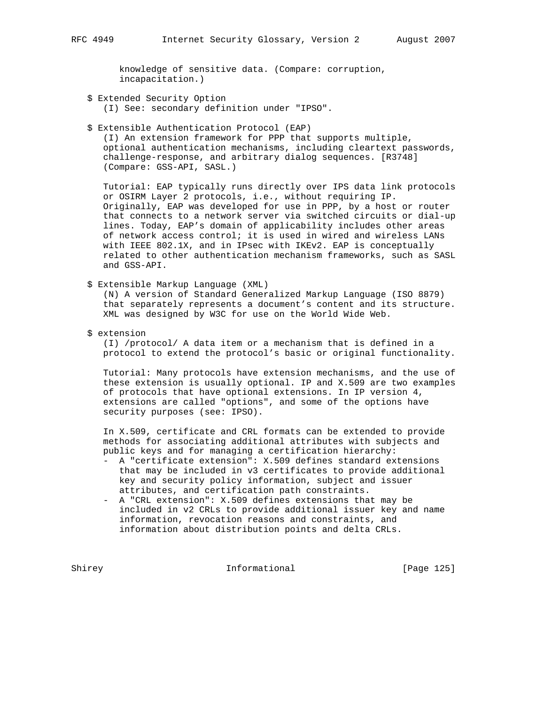knowledge of sensitive data. (Compare: corruption, incapacitation.)

\$ Extended Security Option

(I) See: secondary definition under "IPSO".

\$ Extensible Authentication Protocol (EAP)

 (I) An extension framework for PPP that supports multiple, optional authentication mechanisms, including cleartext passwords, challenge-response, and arbitrary dialog sequences. [R3748] (Compare: GSS-API, SASL.)

 Tutorial: EAP typically runs directly over IPS data link protocols or OSIRM Layer 2 protocols, i.e., without requiring IP. Originally, EAP was developed for use in PPP, by a host or router that connects to a network server via switched circuits or dial-up lines. Today, EAP's domain of applicability includes other areas of network access control; it is used in wired and wireless LANs with IEEE 802.1X, and in IPsec with IKEv2. EAP is conceptually related to other authentication mechanism frameworks, such as SASL and GSS-API.

\$ Extensible Markup Language (XML)

 (N) A version of Standard Generalized Markup Language (ISO 8879) that separately represents a document's content and its structure. XML was designed by W3C for use on the World Wide Web.

\$ extension

 (I) /protocol/ A data item or a mechanism that is defined in a protocol to extend the protocol's basic or original functionality.

 Tutorial: Many protocols have extension mechanisms, and the use of these extension is usually optional. IP and X.509 are two examples of protocols that have optional extensions. In IP version 4, extensions are called "options", and some of the options have security purposes (see: IPSO).

 In X.509, certificate and CRL formats can be extended to provide methods for associating additional attributes with subjects and public keys and for managing a certification hierarchy:

- A "certificate extension": X.509 defines standard extensions that may be included in v3 certificates to provide additional key and security policy information, subject and issuer attributes, and certification path constraints.
- A "CRL extension": X.509 defines extensions that may be included in v2 CRLs to provide additional issuer key and name information, revocation reasons and constraints, and information about distribution points and delta CRLs.

Shirey **Informational** [Page 125]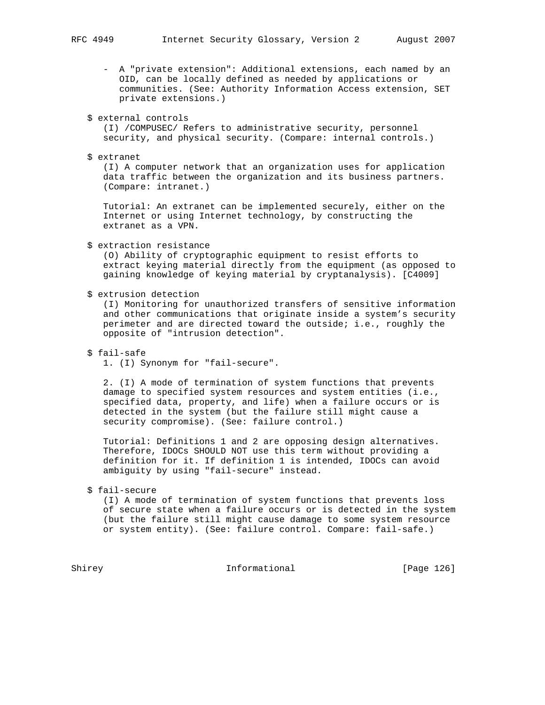- A "private extension": Additional extensions, each named by an OID, can be locally defined as needed by applications or communities. (See: Authority Information Access extension, SET private extensions.)
- \$ external controls

 (I) /COMPUSEC/ Refers to administrative security, personnel security, and physical security. (Compare: internal controls.)

\$ extranet

 (I) A computer network that an organization uses for application data traffic between the organization and its business partners. (Compare: intranet.)

 Tutorial: An extranet can be implemented securely, either on the Internet or using Internet technology, by constructing the extranet as a VPN.

\$ extraction resistance

 (O) Ability of cryptographic equipment to resist efforts to extract keying material directly from the equipment (as opposed to gaining knowledge of keying material by cryptanalysis). [C4009]

\$ extrusion detection

 (I) Monitoring for unauthorized transfers of sensitive information and other communications that originate inside a system's security perimeter and are directed toward the outside; i.e., roughly the opposite of "intrusion detection".

\$ fail-safe

1. (I) Synonym for "fail-secure".

 2. (I) A mode of termination of system functions that prevents damage to specified system resources and system entities (i.e., specified data, property, and life) when a failure occurs or is detected in the system (but the failure still might cause a security compromise). (See: failure control.)

 Tutorial: Definitions 1 and 2 are opposing design alternatives. Therefore, IDOCs SHOULD NOT use this term without providing a definition for it. If definition 1 is intended, IDOCs can avoid ambiguity by using "fail-secure" instead.

\$ fail-secure

 (I) A mode of termination of system functions that prevents loss of secure state when a failure occurs or is detected in the system (but the failure still might cause damage to some system resource or system entity). (See: failure control. Compare: fail-safe.)

Shirey **Informational** [Page 126]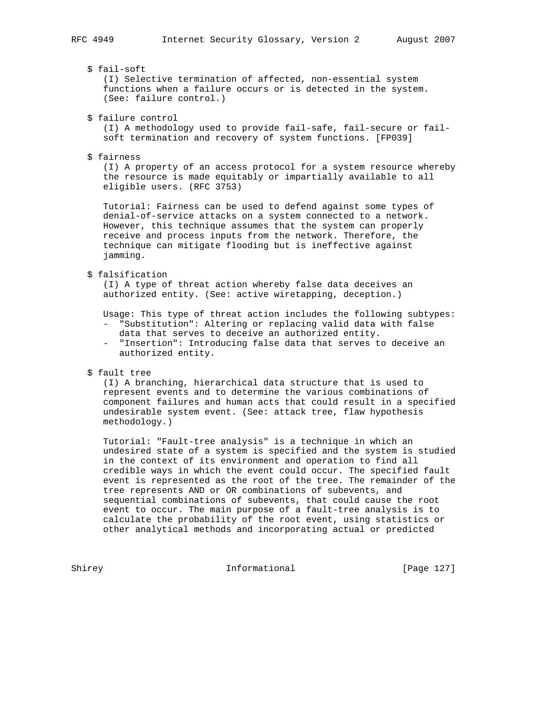# \$ fail-soft

 (I) Selective termination of affected, non-essential system functions when a failure occurs or is detected in the system. (See: failure control.)

\$ failure control

 (I) A methodology used to provide fail-safe, fail-secure or fail soft termination and recovery of system functions. [FP039]

\$ fairness

 (I) A property of an access protocol for a system resource whereby the resource is made equitably or impartially available to all eligible users. (RFC 3753)

 Tutorial: Fairness can be used to defend against some types of denial-of-service attacks on a system connected to a network. However, this technique assumes that the system can properly receive and process inputs from the network. Therefore, the technique can mitigate flooding but is ineffective against jamming.

# \$ falsification

 (I) A type of threat action whereby false data deceives an authorized entity. (See: active wiretapping, deception.)

Usage: This type of threat action includes the following subtypes:

- "Substitution": Altering or replacing valid data with false data that serves to deceive an authorized entity.
- "Insertion": Introducing false data that serves to deceive an authorized entity.
- \$ fault tree

 (I) A branching, hierarchical data structure that is used to represent events and to determine the various combinations of component failures and human acts that could result in a specified undesirable system event. (See: attack tree, flaw hypothesis methodology.)

 Tutorial: "Fault-tree analysis" is a technique in which an undesired state of a system is specified and the system is studied in the context of its environment and operation to find all credible ways in which the event could occur. The specified fault event is represented as the root of the tree. The remainder of the tree represents AND or OR combinations of subevents, and sequential combinations of subevents, that could cause the root event to occur. The main purpose of a fault-tree analysis is to calculate the probability of the root event, using statistics or other analytical methods and incorporating actual or predicted

Shirey **Informational** [Page 127]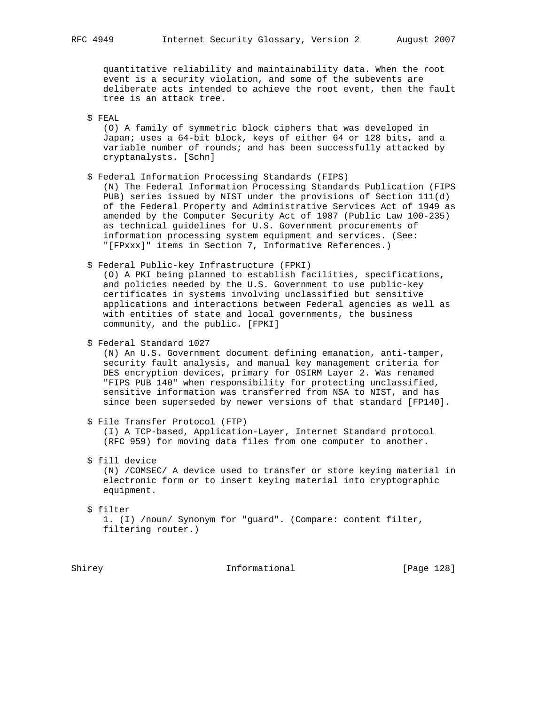quantitative reliability and maintainability data. When the root event is a security violation, and some of the subevents are deliberate acts intended to achieve the root event, then the fault tree is an attack tree.

\$ FEAL

 (O) A family of symmetric block ciphers that was developed in Japan; uses a 64-bit block, keys of either 64 or 128 bits, and a variable number of rounds; and has been successfully attacked by cryptanalysts. [Schn]

\$ Federal Information Processing Standards (FIPS)

 (N) The Federal Information Processing Standards Publication (FIPS PUB) series issued by NIST under the provisions of Section 111(d) of the Federal Property and Administrative Services Act of 1949 as amended by the Computer Security Act of 1987 (Public Law 100-235) as technical guidelines for U.S. Government procurements of information processing system equipment and services. (See: "[FPxxx]" items in Section 7, Informative References.)

\$ Federal Public-key Infrastructure (FPKI)

 (O) A PKI being planned to establish facilities, specifications, and policies needed by the U.S. Government to use public-key certificates in systems involving unclassified but sensitive applications and interactions between Federal agencies as well as with entities of state and local governments, the business community, and the public. [FPKI]

\$ Federal Standard 1027

 (N) An U.S. Government document defining emanation, anti-tamper, security fault analysis, and manual key management criteria for DES encryption devices, primary for OSIRM Layer 2. Was renamed "FIPS PUB 140" when responsibility for protecting unclassified, sensitive information was transferred from NSA to NIST, and has since been superseded by newer versions of that standard [FP140].

\$ File Transfer Protocol (FTP)

 (I) A TCP-based, Application-Layer, Internet Standard protocol (RFC 959) for moving data files from one computer to another.

\$ fill device

 (N) /COMSEC/ A device used to transfer or store keying material in electronic form or to insert keying material into cryptographic equipment.

\$ filter

 1. (I) /noun/ Synonym for "guard". (Compare: content filter, filtering router.)

Shirey **Informational** [Page 128]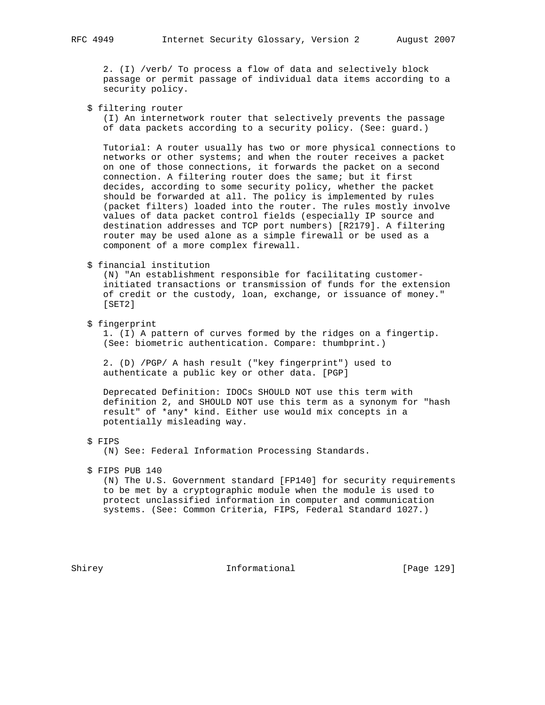2. (I) /verb/ To process a flow of data and selectively block passage or permit passage of individual data items according to a security policy.

# \$ filtering router

 (I) An internetwork router that selectively prevents the passage of data packets according to a security policy. (See: guard.)

 Tutorial: A router usually has two or more physical connections to networks or other systems; and when the router receives a packet on one of those connections, it forwards the packet on a second connection. A filtering router does the same; but it first decides, according to some security policy, whether the packet should be forwarded at all. The policy is implemented by rules (packet filters) loaded into the router. The rules mostly involve values of data packet control fields (especially IP source and destination addresses and TCP port numbers) [R2179]. A filtering router may be used alone as a simple firewall or be used as a component of a more complex firewall.

#### \$ financial institution

 (N) "An establishment responsible for facilitating customer initiated transactions or transmission of funds for the extension of credit or the custody, loan, exchange, or issuance of money." [SET2]

\$ fingerprint

 1. (I) A pattern of curves formed by the ridges on a fingertip. (See: biometric authentication. Compare: thumbprint.)

 2. (D) /PGP/ A hash result ("key fingerprint") used to authenticate a public key or other data. [PGP]

 Deprecated Definition: IDOCs SHOULD NOT use this term with definition 2, and SHOULD NOT use this term as a synonym for "hash result" of \*any\* kind. Either use would mix concepts in a potentially misleading way.

\$ FIPS

(N) See: Federal Information Processing Standards.

# \$ FIPS PUB 140

 (N) The U.S. Government standard [FP140] for security requirements to be met by a cryptographic module when the module is used to protect unclassified information in computer and communication systems. (See: Common Criteria, FIPS, Federal Standard 1027.)

Shirey **Informational** [Page 129]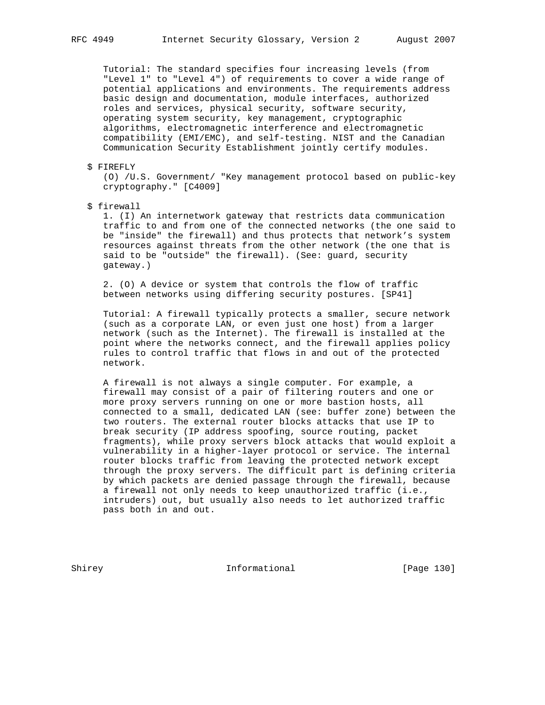Tutorial: The standard specifies four increasing levels (from "Level 1" to "Level 4") of requirements to cover a wide range of potential applications and environments. The requirements address basic design and documentation, module interfaces, authorized roles and services, physical security, software security, operating system security, key management, cryptographic algorithms, electromagnetic interference and electromagnetic compatibility (EMI/EMC), and self-testing. NIST and the Canadian Communication Security Establishment jointly certify modules.

\$ FIREFLY

 (O) /U.S. Government/ "Key management protocol based on public-key cryptography." [C4009]

\$ firewall

 1. (I) An internetwork gateway that restricts data communication traffic to and from one of the connected networks (the one said to be "inside" the firewall) and thus protects that network's system resources against threats from the other network (the one that is said to be "outside" the firewall). (See: guard, security gateway.)

 2. (O) A device or system that controls the flow of traffic between networks using differing security postures. [SP41]

 Tutorial: A firewall typically protects a smaller, secure network (such as a corporate LAN, or even just one host) from a larger network (such as the Internet). The firewall is installed at the point where the networks connect, and the firewall applies policy rules to control traffic that flows in and out of the protected network.

 A firewall is not always a single computer. For example, a firewall may consist of a pair of filtering routers and one or more proxy servers running on one or more bastion hosts, all connected to a small, dedicated LAN (see: buffer zone) between the two routers. The external router blocks attacks that use IP to break security (IP address spoofing, source routing, packet fragments), while proxy servers block attacks that would exploit a vulnerability in a higher-layer protocol or service. The internal router blocks traffic from leaving the protected network except through the proxy servers. The difficult part is defining criteria by which packets are denied passage through the firewall, because a firewall not only needs to keep unauthorized traffic (i.e., intruders) out, but usually also needs to let authorized traffic pass both in and out.

Shirey **Informational** [Page 130]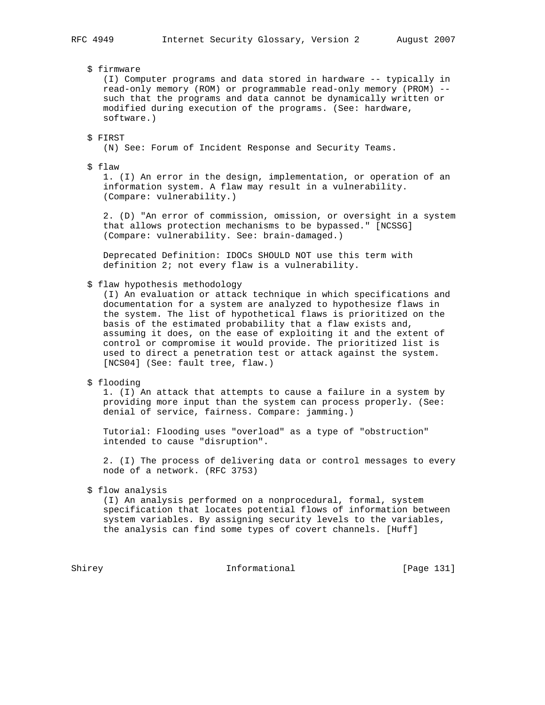# \$ firmware

 (I) Computer programs and data stored in hardware -- typically in read-only memory (ROM) or programmable read-only memory (PROM) - such that the programs and data cannot be dynamically written or modified during execution of the programs. (See: hardware, software.)

# \$ FIRST

(N) See: Forum of Incident Response and Security Teams.

#### \$ flaw

 1. (I) An error in the design, implementation, or operation of an information system. A flaw may result in a vulnerability. (Compare: vulnerability.)

 2. (D) "An error of commission, omission, or oversight in a system that allows protection mechanisms to be bypassed." [NCSSG] (Compare: vulnerability. See: brain-damaged.)

 Deprecated Definition: IDOCs SHOULD NOT use this term with definition 2; not every flaw is a vulnerability.

# \$ flaw hypothesis methodology

 (I) An evaluation or attack technique in which specifications and documentation for a system are analyzed to hypothesize flaws in the system. The list of hypothetical flaws is prioritized on the basis of the estimated probability that a flaw exists and, assuming it does, on the ease of exploiting it and the extent of control or compromise it would provide. The prioritized list is used to direct a penetration test or attack against the system. [NCS04] (See: fault tree, flaw.)

\$ flooding

 1. (I) An attack that attempts to cause a failure in a system by providing more input than the system can process properly. (See: denial of service, fairness. Compare: jamming.)

 Tutorial: Flooding uses "overload" as a type of "obstruction" intended to cause "disruption".

 2. (I) The process of delivering data or control messages to every node of a network. (RFC 3753)

\$ flow analysis

 (I) An analysis performed on a nonprocedural, formal, system specification that locates potential flows of information between system variables. By assigning security levels to the variables, the analysis can find some types of covert channels. [Huff]

Shirey **Informational** [Page 131]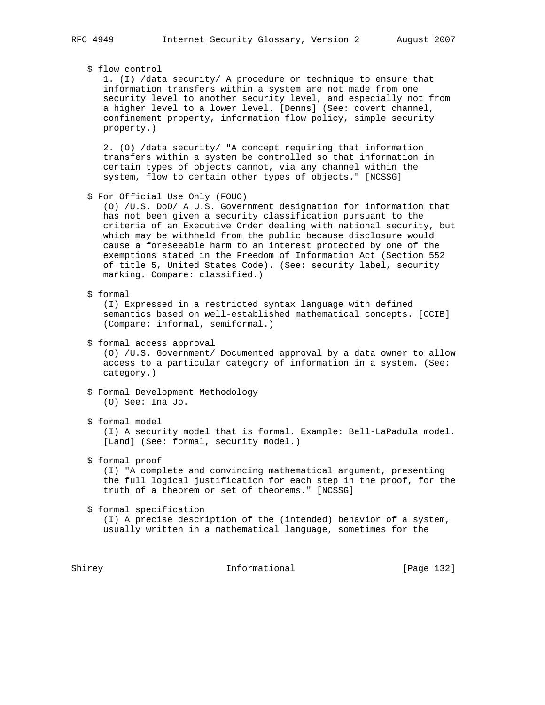#### \$ flow control

 1. (I) /data security/ A procedure or technique to ensure that information transfers within a system are not made from one security level to another security level, and especially not from a higher level to a lower level. [Denns] (See: covert channel, confinement property, information flow policy, simple security property.)

 2. (O) /data security/ "A concept requiring that information transfers within a system be controlled so that information in certain types of objects cannot, via any channel within the system, flow to certain other types of objects." [NCSSG]

\$ For Official Use Only (FOUO)

 (O) /U.S. DoD/ A U.S. Government designation for information that has not been given a security classification pursuant to the criteria of an Executive Order dealing with national security, but which may be withheld from the public because disclosure would cause a foreseeable harm to an interest protected by one of the exemptions stated in the Freedom of Information Act (Section 552 of title 5, United States Code). (See: security label, security marking. Compare: classified.)

\$ formal

 (I) Expressed in a restricted syntax language with defined semantics based on well-established mathematical concepts. [CCIB] (Compare: informal, semiformal.)

\$ formal access approval

 (O) /U.S. Government/ Documented approval by a data owner to allow access to a particular category of information in a system. (See: category.)

- \$ Formal Development Methodology (O) See: Ina Jo.
- \$ formal model

 (I) A security model that is formal. Example: Bell-LaPadula model. [Land] (See: formal, security model.)

# \$ formal proof

 (I) "A complete and convincing mathematical argument, presenting the full logical justification for each step in the proof, for the truth of a theorem or set of theorems." [NCSSG]

\$ formal specification

 (I) A precise description of the (intended) behavior of a system, usually written in a mathematical language, sometimes for the

Shirey **Informational** [Page 132]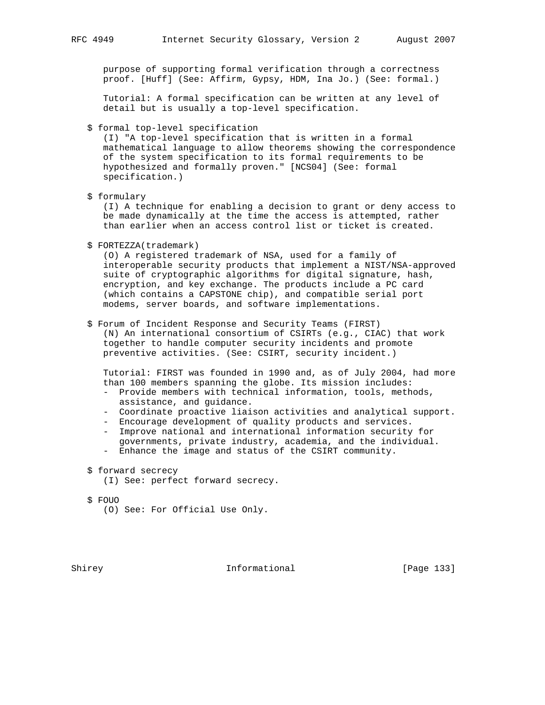purpose of supporting formal verification through a correctness proof. [Huff] (See: Affirm, Gypsy, HDM, Ina Jo.) (See: formal.)

 Tutorial: A formal specification can be written at any level of detail but is usually a top-level specification.

\$ formal top-level specification

 (I) "A top-level specification that is written in a formal mathematical language to allow theorems showing the correspondence of the system specification to its formal requirements to be hypothesized and formally proven." [NCS04] (See: formal specification.)

\$ formulary

 (I) A technique for enabling a decision to grant or deny access to be made dynamically at the time the access is attempted, rather than earlier when an access control list or ticket is created.

\$ FORTEZZA(trademark)

 (O) A registered trademark of NSA, used for a family of interoperable security products that implement a NIST/NSA-approved suite of cryptographic algorithms for digital signature, hash, encryption, and key exchange. The products include a PC card (which contains a CAPSTONE chip), and compatible serial port modems, server boards, and software implementations.

\$ Forum of Incident Response and Security Teams (FIRST)

 (N) An international consortium of CSIRTs (e.g., CIAC) that work together to handle computer security incidents and promote preventive activities. (See: CSIRT, security incident.)

 Tutorial: FIRST was founded in 1990 and, as of July 2004, had more than 100 members spanning the globe. Its mission includes:

- Provide members with technical information, tools, methods, assistance, and guidance.
- Coordinate proactive liaison activities and analytical support.
- Encourage development of quality products and services.
- Improve national and international information security for governments, private industry, academia, and the individual.
- Enhance the image and status of the CSIRT community.
- \$ forward secrecy
	- (I) See: perfect forward secrecy.
- \$ FOUO
	- (O) See: For Official Use Only.

Shirey **Informational** [Page 133]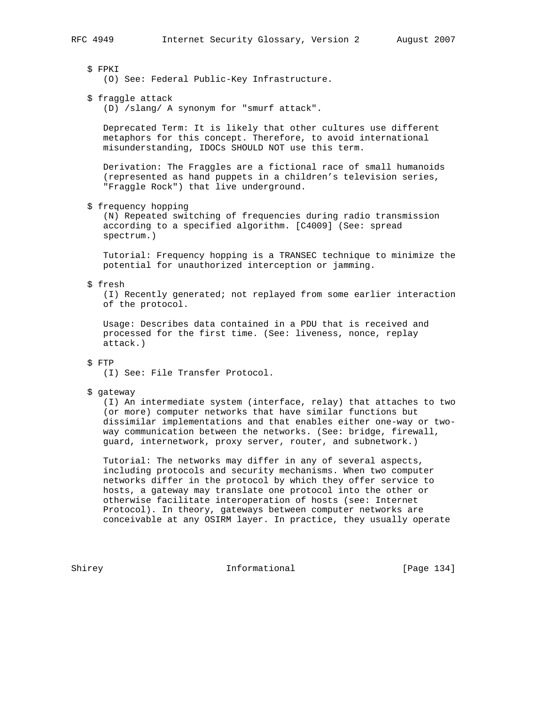# \$ FPKI

- (O) See: Federal Public-Key Infrastructure.
- \$ fraggle attack

(D) /slang/ A synonym for "smurf attack".

 Deprecated Term: It is likely that other cultures use different metaphors for this concept. Therefore, to avoid international misunderstanding, IDOCs SHOULD NOT use this term.

 Derivation: The Fraggles are a fictional race of small humanoids (represented as hand puppets in a children's television series, "Fraggle Rock") that live underground.

\$ frequency hopping

 (N) Repeated switching of frequencies during radio transmission according to a specified algorithm. [C4009] (See: spread spectrum.)

 Tutorial: Frequency hopping is a TRANSEC technique to minimize the potential for unauthorized interception or jamming.

#### \$ fresh

 (I) Recently generated; not replayed from some earlier interaction of the protocol.

 Usage: Describes data contained in a PDU that is received and processed for the first time. (See: liveness, nonce, replay attack.)

# \$ FTP

(I) See: File Transfer Protocol.

#### \$ gateway

 (I) An intermediate system (interface, relay) that attaches to two (or more) computer networks that have similar functions but dissimilar implementations and that enables either one-way or two way communication between the networks. (See: bridge, firewall, guard, internetwork, proxy server, router, and subnetwork.)

 Tutorial: The networks may differ in any of several aspects, including protocols and security mechanisms. When two computer networks differ in the protocol by which they offer service to hosts, a gateway may translate one protocol into the other or otherwise facilitate interoperation of hosts (see: Internet Protocol). In theory, gateways between computer networks are conceivable at any OSIRM layer. In practice, they usually operate

Shirey **Informational** [Page 134]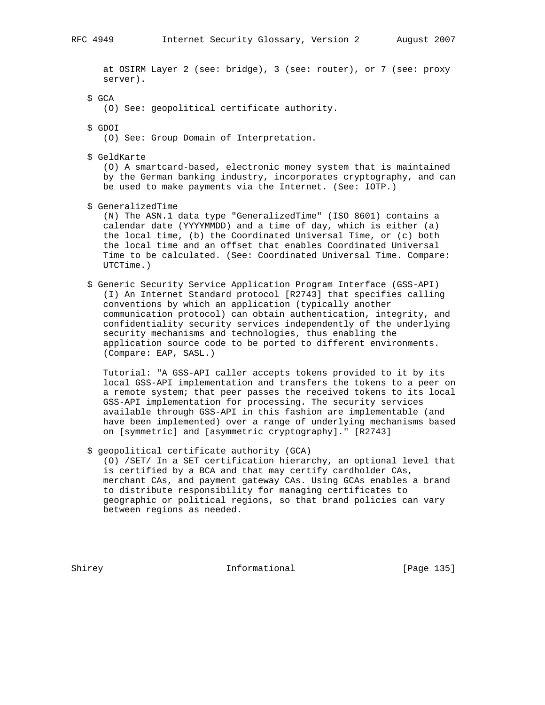at OSIRM Layer 2 (see: bridge), 3 (see: router), or 7 (see: proxy server).

- \$ GCA
	- (O) See: geopolitical certificate authority.
- \$ GDOI

(O) See: Group Domain of Interpretation.

\$ GeldKarte

 (O) A smartcard-based, electronic money system that is maintained by the German banking industry, incorporates cryptography, and can be used to make payments via the Internet. (See: IOTP.)

\$ GeneralizedTime

 (N) The ASN.1 data type "GeneralizedTime" (ISO 8601) contains a calendar date (YYYYMMDD) and a time of day, which is either (a) the local time, (b) the Coordinated Universal Time, or (c) both the local time and an offset that enables Coordinated Universal Time to be calculated. (See: Coordinated Universal Time. Compare: UTCTime.)

 \$ Generic Security Service Application Program Interface (GSS-API) (I) An Internet Standard protocol [R2743] that specifies calling conventions by which an application (typically another communication protocol) can obtain authentication, integrity, and confidentiality security services independently of the underlying security mechanisms and technologies, thus enabling the application source code to be ported to different environments. (Compare: EAP, SASL.)

 Tutorial: "A GSS-API caller accepts tokens provided to it by its local GSS-API implementation and transfers the tokens to a peer on a remote system; that peer passes the received tokens to its local GSS-API implementation for processing. The security services available through GSS-API in this fashion are implementable (and have been implemented) over a range of underlying mechanisms based on [symmetric] and [asymmetric cryptography]." [R2743]

\$ geopolitical certificate authority (GCA)

 (O) /SET/ In a SET certification hierarchy, an optional level that is certified by a BCA and that may certify cardholder CAs, merchant CAs, and payment gateway CAs. Using GCAs enables a brand to distribute responsibility for managing certificates to geographic or political regions, so that brand policies can vary between regions as needed.

Shirey **Informational** [Page 135]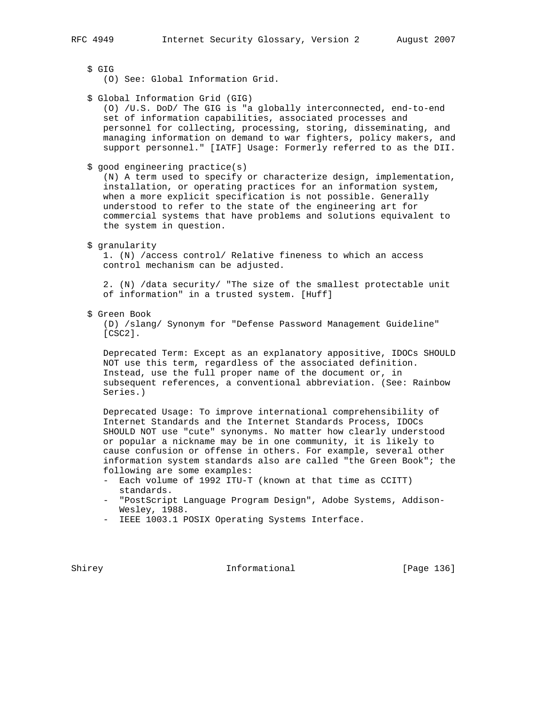\$ GIG

- (O) See: Global Information Grid.
- \$ Global Information Grid (GIG)

 (O) /U.S. DoD/ The GIG is "a globally interconnected, end-to-end set of information capabilities, associated processes and personnel for collecting, processing, storing, disseminating, and managing information on demand to war fighters, policy makers, and support personnel." [IATF] Usage: Formerly referred to as the DII.

\$ good engineering practice(s)

 (N) A term used to specify or characterize design, implementation, installation, or operating practices for an information system, when a more explicit specification is not possible. Generally understood to refer to the state of the engineering art for commercial systems that have problems and solutions equivalent to the system in question.

#### \$ granularity

 1. (N) /access control/ Relative fineness to which an access control mechanism can be adjusted.

 2. (N) /data security/ "The size of the smallest protectable unit of information" in a trusted system. [Huff]

\$ Green Book

 (D) /slang/ Synonym for "Defense Password Management Guideline" [CSC2].

 Deprecated Term: Except as an explanatory appositive, IDOCs SHOULD NOT use this term, regardless of the associated definition. Instead, use the full proper name of the document or, in subsequent references, a conventional abbreviation. (See: Rainbow Series.)

 Deprecated Usage: To improve international comprehensibility of Internet Standards and the Internet Standards Process, IDOCs SHOULD NOT use "cute" synonyms. No matter how clearly understood or popular a nickname may be in one community, it is likely to cause confusion or offense in others. For example, several other information system standards also are called "the Green Book"; the following are some examples:

- Each volume of 1992 ITU-T (known at that time as CCITT) standards.
- "PostScript Language Program Design", Adobe Systems, Addison- Wesley, 1988.
- IEEE 1003.1 POSIX Operating Systems Interface.

Shirey **Informational** [Page 136]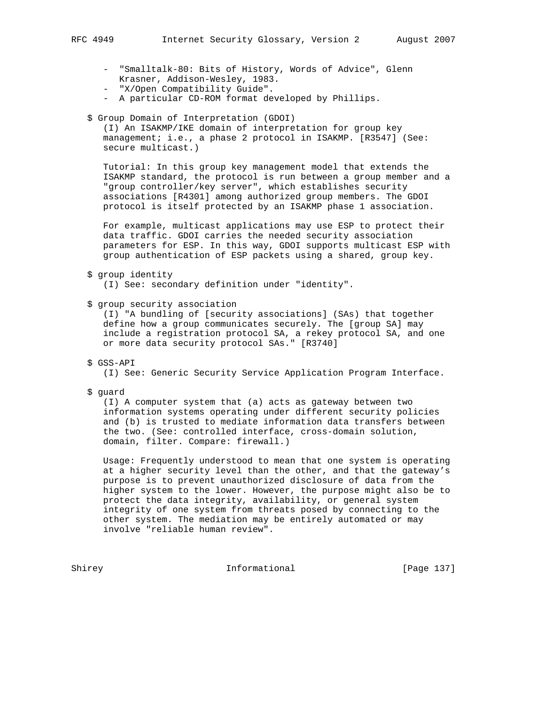- "Smalltalk-80: Bits of History, Words of Advice", Glenn Krasner, Addison-Wesley, 1983.
- "X/Open Compatibility Guide".
- A particular CD-ROM format developed by Phillips.
- \$ Group Domain of Interpretation (GDOI)

 (I) An ISAKMP/IKE domain of interpretation for group key management; i.e., a phase 2 protocol in ISAKMP. [R3547] (See: secure multicast.)

 Tutorial: In this group key management model that extends the ISAKMP standard, the protocol is run between a group member and a "group controller/key server", which establishes security associations [R4301] among authorized group members. The GDOI protocol is itself protected by an ISAKMP phase 1 association.

 For example, multicast applications may use ESP to protect their data traffic. GDOI carries the needed security association parameters for ESP. In this way, GDOI supports multicast ESP with group authentication of ESP packets using a shared, group key.

\$ group identity

(I) See: secondary definition under "identity".

\$ group security association

 (I) "A bundling of [security associations] (SAs) that together define how a group communicates securely. The [group SA] may include a registration protocol SA, a rekey protocol SA, and one or more data security protocol SAs." [R3740]

\$ GSS-API

(I) See: Generic Security Service Application Program Interface.

\$ guard

 (I) A computer system that (a) acts as gateway between two information systems operating under different security policies and (b) is trusted to mediate information data transfers between the two. (See: controlled interface, cross-domain solution, domain, filter. Compare: firewall.)

 Usage: Frequently understood to mean that one system is operating at a higher security level than the other, and that the gateway's purpose is to prevent unauthorized disclosure of data from the higher system to the lower. However, the purpose might also be to protect the data integrity, availability, or general system integrity of one system from threats posed by connecting to the other system. The mediation may be entirely automated or may involve "reliable human review".

Shirey **Informational** [Page 137]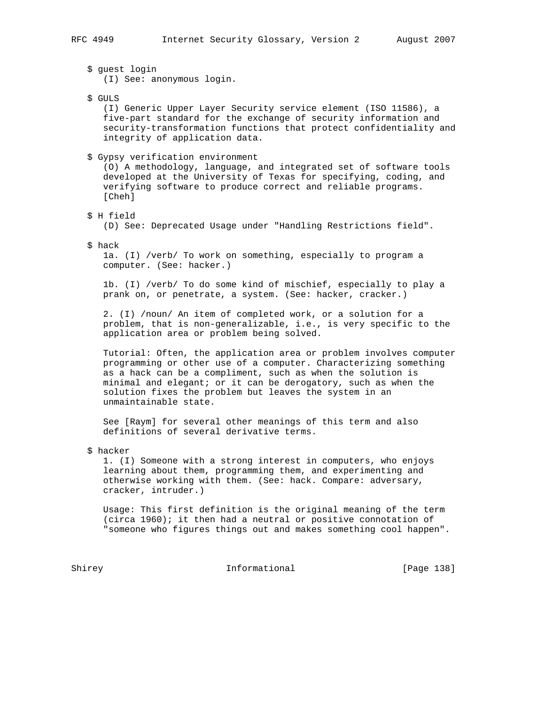\$ guest login (I) See: anonymous login.

\$ GULS

 (I) Generic Upper Layer Security service element (ISO 11586), a five-part standard for the exchange of security information and security-transformation functions that protect confidentiality and integrity of application data.

#### \$ Gypsy verification environment

 (O) A methodology, language, and integrated set of software tools developed at the University of Texas for specifying, coding, and verifying software to produce correct and reliable programs. [Cheh]

\$ H field

(D) See: Deprecated Usage under "Handling Restrictions field".

\$ hack

 1a. (I) /verb/ To work on something, especially to program a computer. (See: hacker.)

 1b. (I) /verb/ To do some kind of mischief, especially to play a prank on, or penetrate, a system. (See: hacker, cracker.)

 2. (I) /noun/ An item of completed work, or a solution for a problem, that is non-generalizable, i.e., is very specific to the application area or problem being solved.

 Tutorial: Often, the application area or problem involves computer programming or other use of a computer. Characterizing something as a hack can be a compliment, such as when the solution is minimal and elegant; or it can be derogatory, such as when the solution fixes the problem but leaves the system in an unmaintainable state.

 See [Raym] for several other meanings of this term and also definitions of several derivative terms.

\$ hacker

 1. (I) Someone with a strong interest in computers, who enjoys learning about them, programming them, and experimenting and otherwise working with them. (See: hack. Compare: adversary, cracker, intruder.)

 Usage: This first definition is the original meaning of the term (circa 1960); it then had a neutral or positive connotation of "someone who figures things out and makes something cool happen".

Shirey **Informational** [Page 138]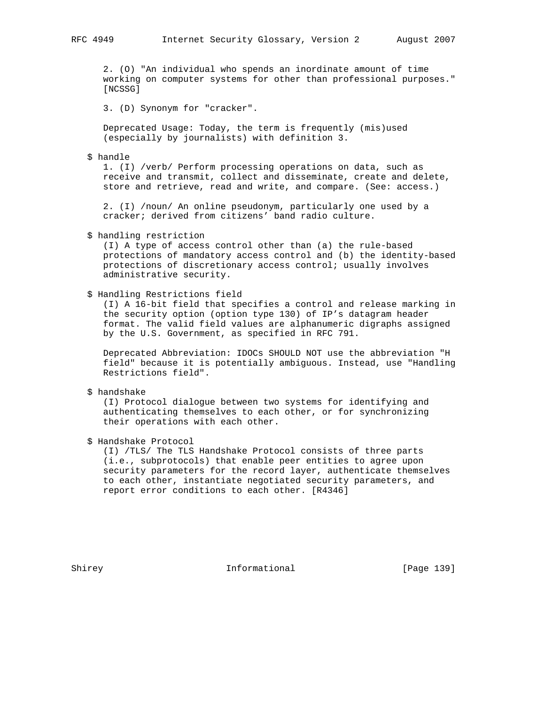2. (O) "An individual who spends an inordinate amount of time working on computer systems for other than professional purposes." [NCSSG]

3. (D) Synonym for "cracker".

 Deprecated Usage: Today, the term is frequently (mis)used (especially by journalists) with definition 3.

### \$ handle

 1. (I) /verb/ Perform processing operations on data, such as receive and transmit, collect and disseminate, create and delete, store and retrieve, read and write, and compare. (See: access.)

 2. (I) /noun/ An online pseudonym, particularly one used by a cracker; derived from citizens' band radio culture.

\$ handling restriction

 (I) A type of access control other than (a) the rule-based protections of mandatory access control and (b) the identity-based protections of discretionary access control; usually involves administrative security.

\$ Handling Restrictions field

 (I) A 16-bit field that specifies a control and release marking in the security option (option type 130) of IP's datagram header format. The valid field values are alphanumeric digraphs assigned by the U.S. Government, as specified in RFC 791.

 Deprecated Abbreviation: IDOCs SHOULD NOT use the abbreviation "H field" because it is potentially ambiguous. Instead, use "Handling Restrictions field".

\$ handshake

 (I) Protocol dialogue between two systems for identifying and authenticating themselves to each other, or for synchronizing their operations with each other.

\$ Handshake Protocol

 (I) /TLS/ The TLS Handshake Protocol consists of three parts (i.e., subprotocols) that enable peer entities to agree upon security parameters for the record layer, authenticate themselves to each other, instantiate negotiated security parameters, and report error conditions to each other. [R4346]

Shirey **Informational** [Page 139]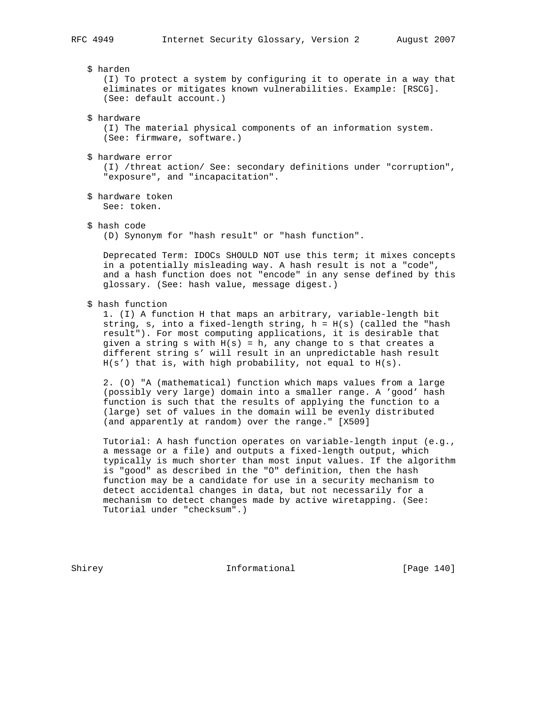\$ harden

 (I) To protect a system by configuring it to operate in a way that eliminates or mitigates known vulnerabilities. Example: [RSCG]. (See: default account.)

\$ hardware

 (I) The material physical components of an information system. (See: firmware, software.)

\$ hardware error

 (I) /threat action/ See: secondary definitions under "corruption", "exposure", and "incapacitation".

- \$ hardware token See: token.
- \$ hash code

(D) Synonym for "hash result" or "hash function".

 Deprecated Term: IDOCs SHOULD NOT use this term; it mixes concepts in a potentially misleading way. A hash result is not a "code", and a hash function does not "encode" in any sense defined by this glossary. (See: hash value, message digest.)

\$ hash function

 1. (I) A function H that maps an arbitrary, variable-length bit string, s, into a fixed-length string, h = H(s) (called the "hash result"). For most computing applications, it is desirable that given a string s with  $H(s) = h$ , any change to s that creates a different string s' will result in an unpredictable hash result H(s') that is, with high probability, not equal to H(s).

 2. (O) "A (mathematical) function which maps values from a large (possibly very large) domain into a smaller range. A 'good' hash function is such that the results of applying the function to a (large) set of values in the domain will be evenly distributed (and apparently at random) over the range." [X509]

 Tutorial: A hash function operates on variable-length input (e.g., a message or a file) and outputs a fixed-length output, which typically is much shorter than most input values. If the algorithm is "good" as described in the "O" definition, then the hash function may be a candidate for use in a security mechanism to detect accidental changes in data, but not necessarily for a mechanism to detect changes made by active wiretapping. (See: Tutorial under "checksum".)

Shirey **Informational** [Page 140]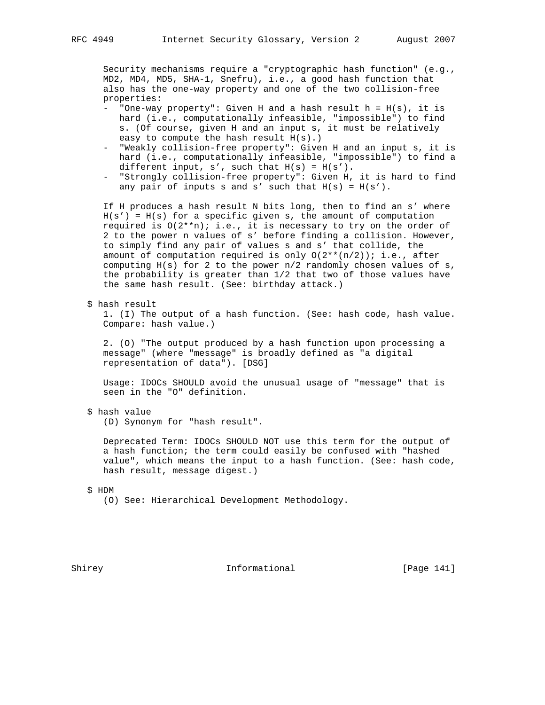Security mechanisms require a "cryptographic hash function" (e.g., MD2, MD4, MD5, SHA-1, Snefru), i.e., a good hash function that also has the one-way property and one of the two collision-free properties:

- "One-way property": Given H and a hash result h = H(s), it is hard (i.e., computationally infeasible, "impossible") to find s. (Of course, given H and an input s, it must be relatively easy to compute the hash result H(s).)
- "Weakly collision-free property": Given H and an input s, it is hard (i.e., computationally infeasible, "impossible") to find a different input,  $s'$ , such that  $H(s) = H(s')$ .
- "Strongly collision-free property": Given H, it is hard to find any pair of inputs s and s' such that  $H(s) = H(s')$ .

 If H produces a hash result N bits long, then to find an s' where  $H(s') = H(s)$  for a specific given s, the amount of computation required is  $O(2^{*n})$ ; i.e., it is necessary to try on the order of 2 to the power n values of s' before finding a collision. However, to simply find any pair of values s and s' that collide, the amount of computation required is only  $O(2^{**}(n/2))$ ; i.e., after computing  $H(s)$  for 2 to the power  $n/2$  randomly chosen values of s, the probability is greater than 1/2 that two of those values have the same hash result. (See: birthday attack.)

\$ hash result

 1. (I) The output of a hash function. (See: hash code, hash value. Compare: hash value.)

 2. (O) "The output produced by a hash function upon processing a message" (where "message" is broadly defined as "a digital representation of data"). [DSG]

 Usage: IDOCs SHOULD avoid the unusual usage of "message" that is seen in the "O" definition.

\$ hash value

(D) Synonym for "hash result".

 Deprecated Term: IDOCs SHOULD NOT use this term for the output of a hash function; the term could easily be confused with "hashed value", which means the input to a hash function. (See: hash code, hash result, message digest.)

\$ HDM

(O) See: Hierarchical Development Methodology.

Shirey **Informational** [Page 141]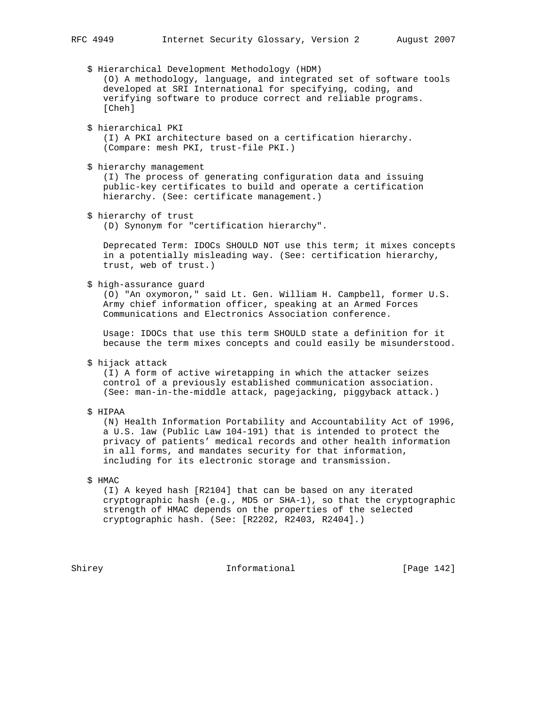\$ Hierarchical Development Methodology (HDM) (O) A methodology, language, and integrated set of software tools developed at SRI International for specifying, coding, and verifying software to produce correct and reliable programs. [Cheh] \$ hierarchical PKI (I) A PKI architecture based on a certification hierarchy. (Compare: mesh PKI, trust-file PKI.) \$ hierarchy management (I) The process of generating configuration data and issuing public-key certificates to build and operate a certification hierarchy. (See: certificate management.) \$ hierarchy of trust (D) Synonym for "certification hierarchy". Deprecated Term: IDOCs SHOULD NOT use this term; it mixes concepts in a potentially misleading way. (See: certification hierarchy, trust, web of trust.) \$ high-assurance guard (O) "An oxymoron," said Lt. Gen. William H. Campbell, former U.S. Army chief information officer, speaking at an Armed Forces Communications and Electronics Association conference. Usage: IDOCs that use this term SHOULD state a definition for it because the term mixes concepts and could easily be misunderstood. \$ hijack attack (I) A form of active wiretapping in which the attacker seizes control of a previously established communication association. (See: man-in-the-middle attack, pagejacking, piggyback attack.) \$ HIPAA (N) Health Information Portability and Accountability Act of 1996, a U.S. law (Public Law 104-191) that is intended to protect the privacy of patients' medical records and other health information in all forms, and mandates security for that information, including for its electronic storage and transmission. \$ HMAC (I) A keyed hash [R2104] that can be based on any iterated cryptographic hash (e.g., MD5 or SHA-1), so that the cryptographic strength of HMAC depends on the properties of the selected cryptographic hash. (See: [R2202, R2403, R2404].)

Shirey **Informational** [Page 142]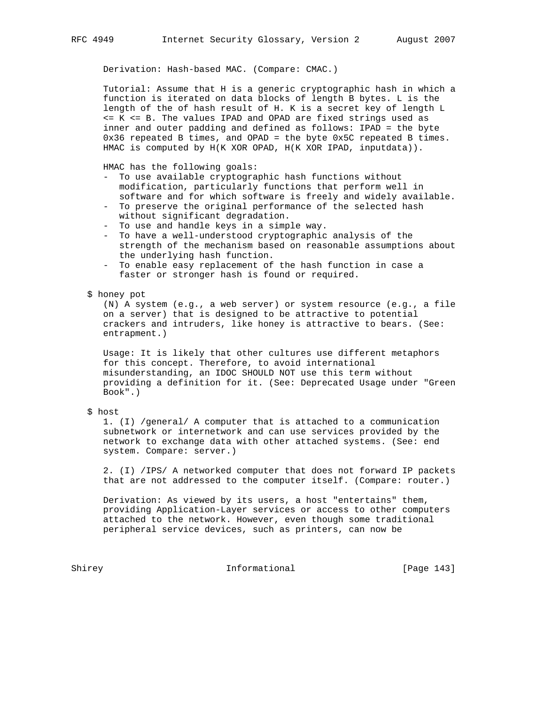Derivation: Hash-based MAC. (Compare: CMAC.)

 Tutorial: Assume that H is a generic cryptographic hash in which a function is iterated on data blocks of length B bytes. L is the length of the of hash result of H. K is a secret key of length L <= K <= B. The values IPAD and OPAD are fixed strings used as inner and outer padding and defined as follows: IPAD = the byte 0x36 repeated B times, and OPAD = the byte 0x5C repeated B times. HMAC is computed by H(K XOR OPAD, H(K XOR IPAD, inputdata)).

HMAC has the following goals:

- To use available cryptographic hash functions without modification, particularly functions that perform well in software and for which software is freely and widely available.
- To preserve the original performance of the selected hash without significant degradation.
- To use and handle keys in a simple way.
- To have a well-understood cryptographic analysis of the strength of the mechanism based on reasonable assumptions about the underlying hash function.
- To enable easy replacement of the hash function in case a faster or stronger hash is found or required.

# \$ honey pot

 (N) A system (e.g., a web server) or system resource (e.g., a file on a server) that is designed to be attractive to potential crackers and intruders, like honey is attractive to bears. (See: entrapment.)

 Usage: It is likely that other cultures use different metaphors for this concept. Therefore, to avoid international misunderstanding, an IDOC SHOULD NOT use this term without providing a definition for it. (See: Deprecated Usage under "Green Book".)

# \$ host

 1. (I) /general/ A computer that is attached to a communication subnetwork or internetwork and can use services provided by the network to exchange data with other attached systems. (See: end system. Compare: server.)

 2. (I) /IPS/ A networked computer that does not forward IP packets that are not addressed to the computer itself. (Compare: router.)

 Derivation: As viewed by its users, a host "entertains" them, providing Application-Layer services or access to other computers attached to the network. However, even though some traditional peripheral service devices, such as printers, can now be

Shirey **Informational** [Page 143]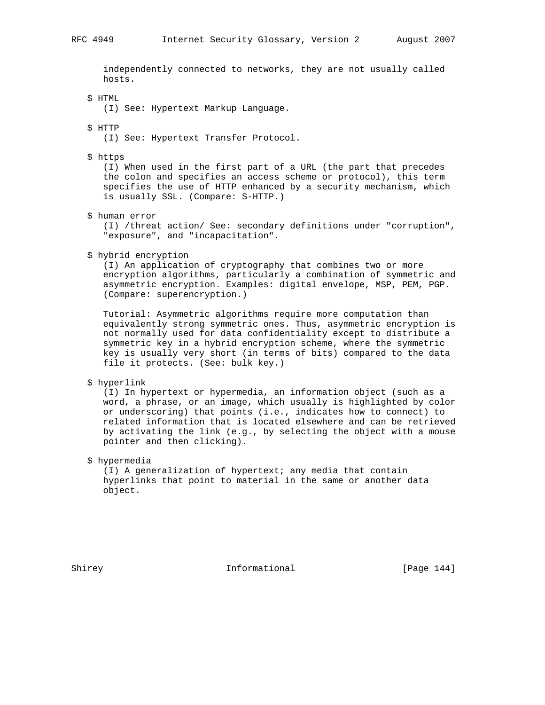independently connected to networks, they are not usually called hosts.

\$ HTML

(I) See: Hypertext Markup Language.

\$ HTTP

(I) See: Hypertext Transfer Protocol.

\$ https

 (I) When used in the first part of a URL (the part that precedes the colon and specifies an access scheme or protocol), this term specifies the use of HTTP enhanced by a security mechanism, which is usually SSL. (Compare: S-HTTP.)

\$ human error

 (I) /threat action/ See: secondary definitions under "corruption", "exposure", and "incapacitation".

\$ hybrid encryption

 (I) An application of cryptography that combines two or more encryption algorithms, particularly a combination of symmetric and asymmetric encryption. Examples: digital envelope, MSP, PEM, PGP. (Compare: superencryption.)

 Tutorial: Asymmetric algorithms require more computation than equivalently strong symmetric ones. Thus, asymmetric encryption is not normally used for data confidentiality except to distribute a symmetric key in a hybrid encryption scheme, where the symmetric key is usually very short (in terms of bits) compared to the data file it protects. (See: bulk key.)

\$ hyperlink

 (I) In hypertext or hypermedia, an information object (such as a word, a phrase, or an image, which usually is highlighted by color or underscoring) that points (i.e., indicates how to connect) to related information that is located elsewhere and can be retrieved by activating the link (e.g., by selecting the object with a mouse pointer and then clicking).

\$ hypermedia

 (I) A generalization of hypertext; any media that contain hyperlinks that point to material in the same or another data object.

Shirey 1992 Informational The Informational [Page 144]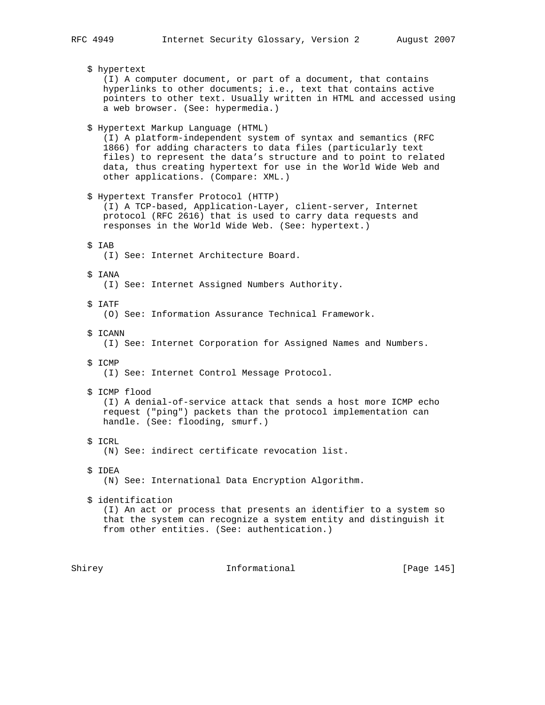\$ hypertext (I) A computer document, or part of a document, that contains hyperlinks to other documents; i.e., text that contains active pointers to other text. Usually written in HTML and accessed using a web browser. (See: hypermedia.) \$ Hypertext Markup Language (HTML) (I) A platform-independent system of syntax and semantics (RFC 1866) for adding characters to data files (particularly text files) to represent the data's structure and to point to related data, thus creating hypertext for use in the World Wide Web and other applications. (Compare: XML.) \$ Hypertext Transfer Protocol (HTTP) (I) A TCP-based, Application-Layer, client-server, Internet protocol (RFC 2616) that is used to carry data requests and responses in the World Wide Web. (See: hypertext.) \$ IAB (I) See: Internet Architecture Board. \$ IANA (I) See: Internet Assigned Numbers Authority. \$ IATF (O) See: Information Assurance Technical Framework. \$ ICANN (I) See: Internet Corporation for Assigned Names and Numbers. \$ ICMP (I) See: Internet Control Message Protocol. \$ ICMP flood (I) A denial-of-service attack that sends a host more ICMP echo request ("ping") packets than the protocol implementation can handle. (See: flooding, smurf.) \$ ICRL (N) See: indirect certificate revocation list. \$ IDEA (N) See: International Data Encryption Algorithm. \$ identification (I) An act or process that presents an identifier to a system so that the system can recognize a system entity and distinguish it from other entities. (See: authentication.)

Shirey **Informational** [Page 145]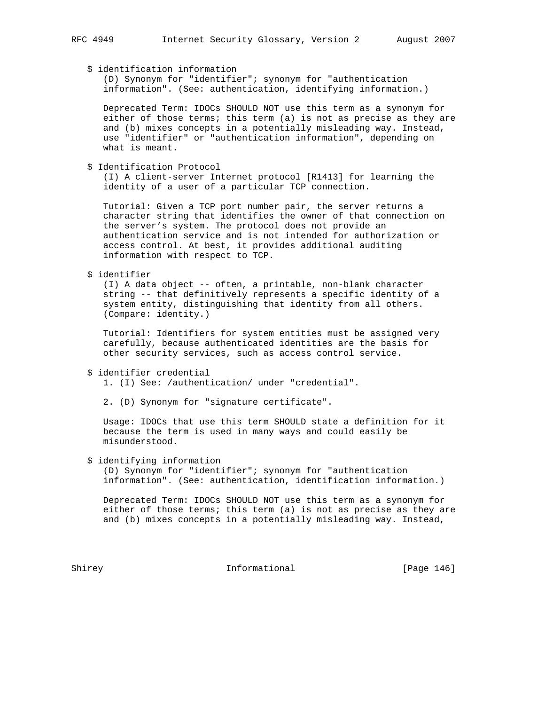# \$ identification information

 (D) Synonym for "identifier"; synonym for "authentication information". (See: authentication, identifying information.)

 Deprecated Term: IDOCs SHOULD NOT use this term as a synonym for either of those terms; this term (a) is not as precise as they are and (b) mixes concepts in a potentially misleading way. Instead, use "identifier" or "authentication information", depending on what is meant.

\$ Identification Protocol

 (I) A client-server Internet protocol [R1413] for learning the identity of a user of a particular TCP connection.

 Tutorial: Given a TCP port number pair, the server returns a character string that identifies the owner of that connection on the server's system. The protocol does not provide an authentication service and is not intended for authorization or access control. At best, it provides additional auditing information with respect to TCP.

\$ identifier

 (I) A data object -- often, a printable, non-blank character string -- that definitively represents a specific identity of a system entity, distinguishing that identity from all others. (Compare: identity.)

 Tutorial: Identifiers for system entities must be assigned very carefully, because authenticated identities are the basis for other security services, such as access control service.

```
 $ identifier credential
```
1. (I) See: /authentication/ under "credential".

2. (D) Synonym for "signature certificate".

 Usage: IDOCs that use this term SHOULD state a definition for it because the term is used in many ways and could easily be misunderstood.

#### \$ identifying information

 (D) Synonym for "identifier"; synonym for "authentication information". (See: authentication, identification information.)

 Deprecated Term: IDOCs SHOULD NOT use this term as a synonym for either of those terms; this term (a) is not as precise as they are and (b) mixes concepts in a potentially misleading way. Instead,

Shirey **Informational** [Page 146]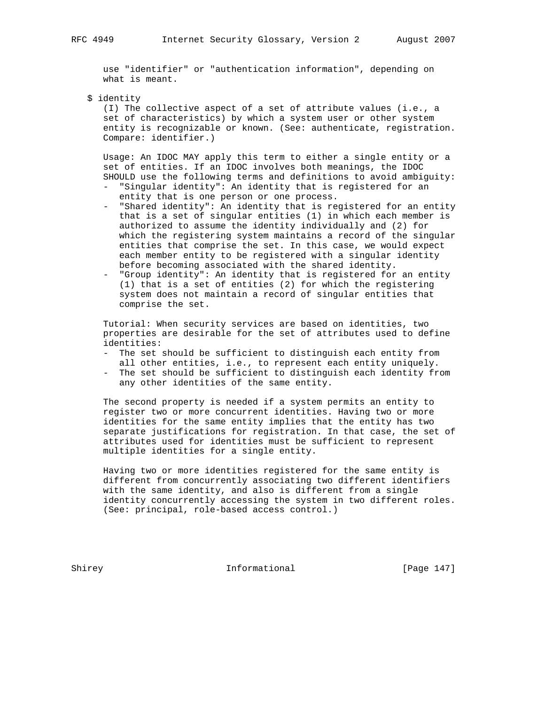use "identifier" or "authentication information", depending on what is meant.

\$ identity

 (I) The collective aspect of a set of attribute values (i.e., a set of characteristics) by which a system user or other system entity is recognizable or known. (See: authenticate, registration. Compare: identifier.)

 Usage: An IDOC MAY apply this term to either a single entity or a set of entities. If an IDOC involves both meanings, the IDOC SHOULD use the following terms and definitions to avoid ambiguity:

- "Singular identity": An identity that is registered for an entity that is one person or one process.
- "Shared identity": An identity that is registered for an entity that is a set of singular entities (1) in which each member is authorized to assume the identity individually and (2) for which the registering system maintains a record of the singular entities that comprise the set. In this case, we would expect each member entity to be registered with a singular identity before becoming associated with the shared identity.
- "Group identity": An identity that is registered for an entity (1) that is a set of entities (2) for which the registering system does not maintain a record of singular entities that comprise the set.

 Tutorial: When security services are based on identities, two properties are desirable for the set of attributes used to define identities:

- The set should be sufficient to distinguish each entity from all other entities, i.e., to represent each entity uniquely.
- The set should be sufficient to distinguish each identity from any other identities of the same entity.

 The second property is needed if a system permits an entity to register two or more concurrent identities. Having two or more identities for the same entity implies that the entity has two separate justifications for registration. In that case, the set of attributes used for identities must be sufficient to represent multiple identities for a single entity.

 Having two or more identities registered for the same entity is different from concurrently associating two different identifiers with the same identity, and also is different from a single identity concurrently accessing the system in two different roles. (See: principal, role-based access control.)

Shirey **Informational** [Page 147]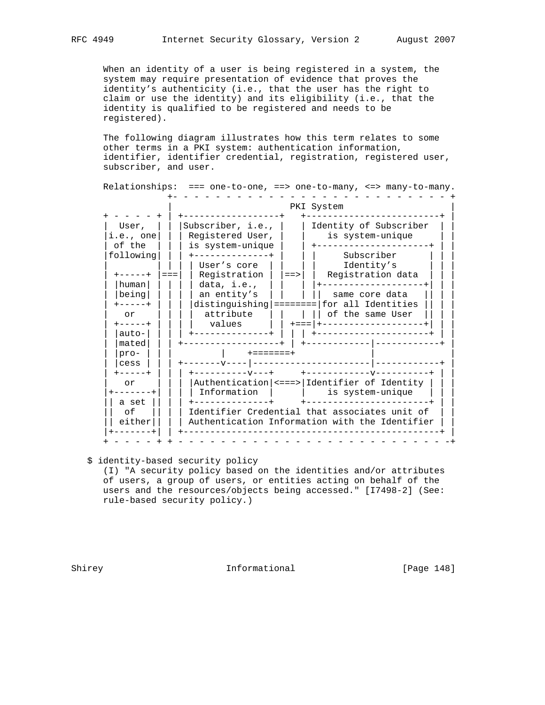When an identity of a user is being registered in a system, the system may require presentation of evidence that proves the identity's authenticity (i.e., that the user has the right to claim or use the identity) and its eligibility (i.e., that the identity is qualified to be registered and needs to be registered).

 The following diagram illustrates how this term relates to some other terms in a PKI system: authentication information, identifier, identifier credential, registration, registered user, subscriber, and user.

 Relationships: === one-to-one, ==> one-to-many, <=> many-to-many. +- - - - - - - - - - - - - - - - - - - - - - - - - - +

| User,         | Subscriber, i.e.,<br>Identity of Subscriber                      |  |  |  |  |  |  |
|---------------|------------------------------------------------------------------|--|--|--|--|--|--|
| i.e., one     | Registered User,<br>is system-unique                             |  |  |  |  |  |  |
| of the        | is system-unique<br>. _ _ _ _ _ _ _ _ _ _ _ _ _ _ _ _ _          |  |  |  |  |  |  |
| following     | Subscriber<br>-------------+                                     |  |  |  |  |  |  |
|               | Identity's<br>User's core                                        |  |  |  |  |  |  |
|               | Registration<br>Registration data<br>$=$ $=$ $=$<br>$=$ $\ge$    |  |  |  |  |  |  |
| human         | data, $i.e.,$<br>____________                                    |  |  |  |  |  |  |
| being         | an entity's<br>same core data                                    |  |  |  |  |  |  |
| $- - - - - +$ | distinguishing =========   for all Identities                    |  |  |  |  |  |  |
| or            | attribute<br>     of the same User                               |  |  |  |  |  |  |
| $- - - - - +$ | values<br>  +=== +-------------------+                           |  |  |  |  |  |  |
| $auto-$       | +--------------------<br>------------+                           |  |  |  |  |  |  |
| mated         |                                                                  |  |  |  |  |  |  |
| pro-          | $+ = = = = = = = +$                                              |  |  |  |  |  |  |
| cess          | --------------------- ------<br>$-----V---$                      |  |  |  |  |  |  |
| $- - - - - +$ | $+ - - - - - - - - - - +$<br>$+ - - - - - - - - - - - - - - - -$ |  |  |  |  |  |  |
| or            | Authentication   <===>   Identifier of Identity                  |  |  |  |  |  |  |
|               | Information<br>is system-unique                                  |  |  |  |  |  |  |
| a set         | +---------------------<br>------------+                          |  |  |  |  |  |  |
| оf            | Identifier Credential that associates unit of                    |  |  |  |  |  |  |
| either        | Authentication Information with the Identifier                   |  |  |  |  |  |  |
|               | ____________________________                                     |  |  |  |  |  |  |

# \$ identity-based security policy

 (I) "A security policy based on the identities and/or attributes of users, a group of users, or entities acting on behalf of the users and the resources/objects being accessed." [I7498-2] (See: rule-based security policy.)

Shirey **Informational** [Page 148]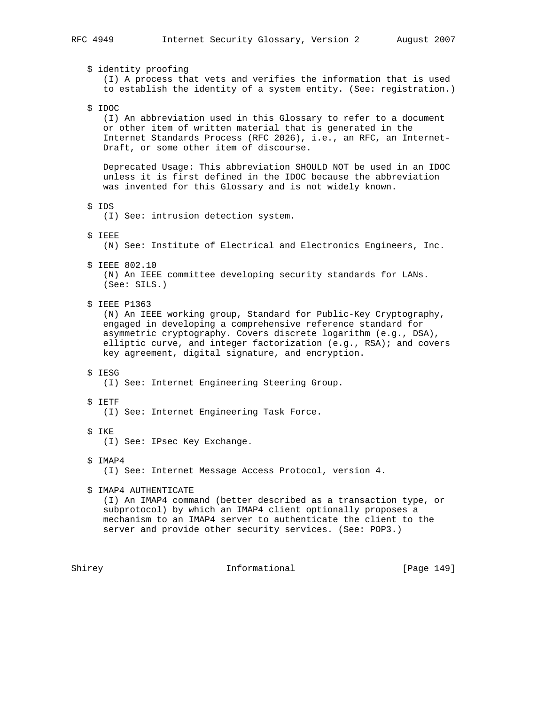\$ identity proofing (I) A process that vets and verifies the information that is used to establish the identity of a system entity. (See: registration.) \$ IDOC (I) An abbreviation used in this Glossary to refer to a document or other item of written material that is generated in the Internet Standards Process (RFC 2026), i.e., an RFC, an Internet- Draft, or some other item of discourse. Deprecated Usage: This abbreviation SHOULD NOT be used in an IDOC unless it is first defined in the IDOC because the abbreviation was invented for this Glossary and is not widely known. \$ IDS (I) See: intrusion detection system. \$ IEEE (N) See: Institute of Electrical and Electronics Engineers, Inc. \$ IEEE 802.10 (N) An IEEE committee developing security standards for LANs. (See: SILS.) \$ IEEE P1363 (N) An IEEE working group, Standard for Public-Key Cryptography, engaged in developing a comprehensive reference standard for asymmetric cryptography. Covers discrete logarithm (e.g., DSA), elliptic curve, and integer factorization (e.g., RSA); and covers key agreement, digital signature, and encryption. \$ IESG (I) See: Internet Engineering Steering Group. \$ IETF (I) See: Internet Engineering Task Force. \$ IKE (I) See: IPsec Key Exchange. \$ IMAP4 (I) See: Internet Message Access Protocol, version 4. \$ IMAP4 AUTHENTICATE (I) An IMAP4 command (better described as a transaction type, or subprotocol) by which an IMAP4 client optionally proposes a mechanism to an IMAP4 server to authenticate the client to the server and provide other security services. (See: POP3.)

Shirey **Informational** [Page 149]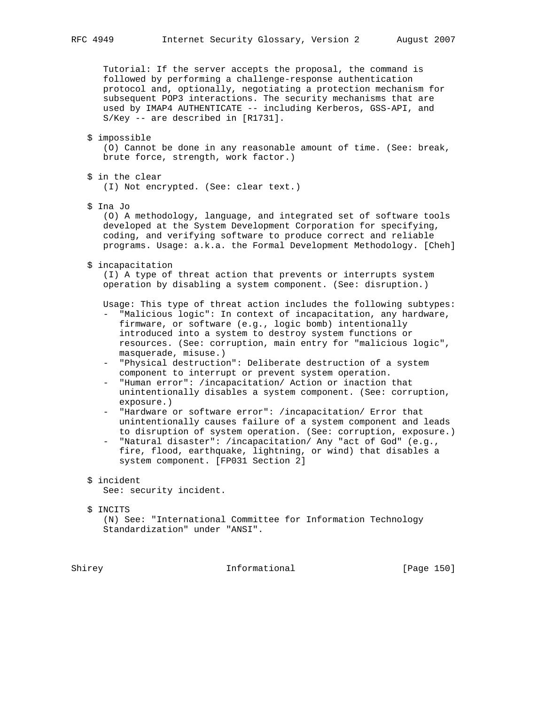Tutorial: If the server accepts the proposal, the command is followed by performing a challenge-response authentication protocol and, optionally, negotiating a protection mechanism for subsequent POP3 interactions. The security mechanisms that are used by IMAP4 AUTHENTICATE -- including Kerberos, GSS-API, and S/Key -- are described in [R1731].

#### \$ impossible

 (O) Cannot be done in any reasonable amount of time. (See: break, brute force, strength, work factor.)

- \$ in the clear (I) Not encrypted. (See: clear text.)
- \$ Ina Jo

 (O) A methodology, language, and integrated set of software tools developed at the System Development Corporation for specifying, coding, and verifying software to produce correct and reliable programs. Usage: a.k.a. the Formal Development Methodology. [Cheh]

\$ incapacitation

 (I) A type of threat action that prevents or interrupts system operation by disabling a system component. (See: disruption.)

Usage: This type of threat action includes the following subtypes:

- "Malicious logic": In context of incapacitation, any hardware, firmware, or software (e.g., logic bomb) intentionally introduced into a system to destroy system functions or resources. (See: corruption, main entry for "malicious logic", masquerade, misuse.)
- "Physical destruction": Deliberate destruction of a system component to interrupt or prevent system operation.
- "Human error": /incapacitation/ Action or inaction that unintentionally disables a system component. (See: corruption, exposure.)
- "Hardware or software error": /incapacitation/ Error that unintentionally causes failure of a system component and leads to disruption of system operation. (See: corruption, exposure.)
- "Natural disaster": /incapacitation/ Any "act of God" (e.g., fire, flood, earthquake, lightning, or wind) that disables a system component. [FP031 Section 2]

#### \$ incident

See: security incident.

#### \$ INCITS

 (N) See: "International Committee for Information Technology Standardization" under "ANSI".

Shirey **Informational** [Page 150]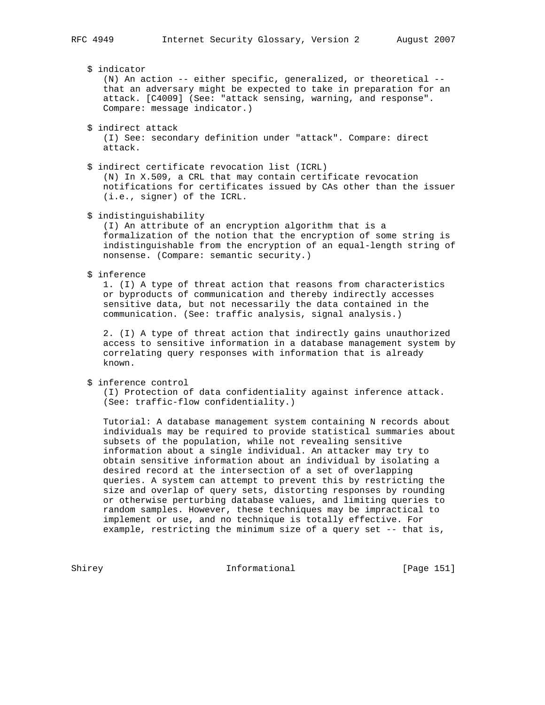\$ indicator

 (N) An action -- either specific, generalized, or theoretical - that an adversary might be expected to take in preparation for an attack. [C4009] (See: "attack sensing, warning, and response". Compare: message indicator.)

\$ indirect attack

 (I) See: secondary definition under "attack". Compare: direct attack.

 \$ indirect certificate revocation list (ICRL) (N) In X.509, a CRL that may contain certificate revocation notifications for certificates issued by CAs other than the issuer (i.e., signer) of the ICRL.

\$ indistinguishability

 (I) An attribute of an encryption algorithm that is a formalization of the notion that the encryption of some string is indistinguishable from the encryption of an equal-length string of nonsense. (Compare: semantic security.)

\$ inference

 1. (I) A type of threat action that reasons from characteristics or byproducts of communication and thereby indirectly accesses sensitive data, but not necessarily the data contained in the communication. (See: traffic analysis, signal analysis.)

 2. (I) A type of threat action that indirectly gains unauthorized access to sensitive information in a database management system by correlating query responses with information that is already known.

\$ inference control

 (I) Protection of data confidentiality against inference attack. (See: traffic-flow confidentiality.)

 Tutorial: A database management system containing N records about individuals may be required to provide statistical summaries about subsets of the population, while not revealing sensitive information about a single individual. An attacker may try to obtain sensitive information about an individual by isolating a desired record at the intersection of a set of overlapping queries. A system can attempt to prevent this by restricting the size and overlap of query sets, distorting responses by rounding or otherwise perturbing database values, and limiting queries to random samples. However, these techniques may be impractical to implement or use, and no technique is totally effective. For example, restricting the minimum size of a query set -- that is,

Shirey **Informational** [Page 151]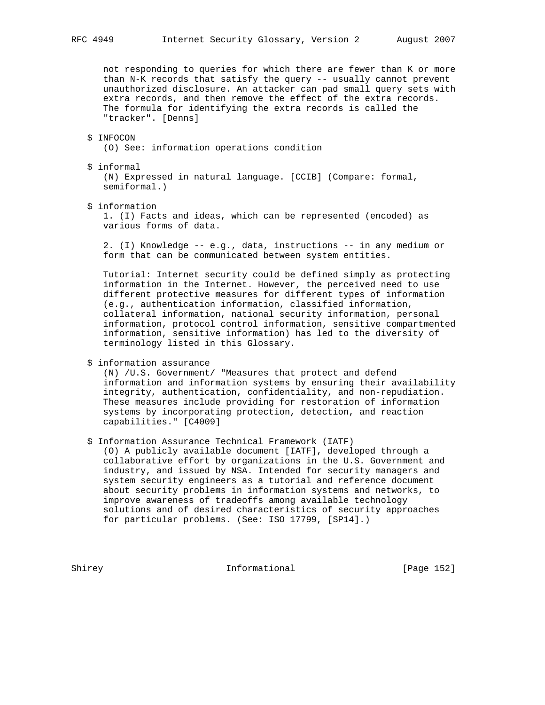not responding to queries for which there are fewer than K or more than N-K records that satisfy the query -- usually cannot prevent unauthorized disclosure. An attacker can pad small query sets with extra records, and then remove the effect of the extra records. The formula for identifying the extra records is called the "tracker". [Denns]

#### \$ INFOCON

(O) See: information operations condition

\$ informal

 (N) Expressed in natural language. [CCIB] (Compare: formal, semiformal.)

\$ information

 1. (I) Facts and ideas, which can be represented (encoded) as various forms of data.

 2. (I) Knowledge -- e.g., data, instructions -- in any medium or form that can be communicated between system entities.

 Tutorial: Internet security could be defined simply as protecting information in the Internet. However, the perceived need to use different protective measures for different types of information (e.g., authentication information, classified information, collateral information, national security information, personal information, protocol control information, sensitive compartmented information, sensitive information) has led to the diversity of terminology listed in this Glossary.

\$ information assurance

 (N) /U.S. Government/ "Measures that protect and defend information and information systems by ensuring their availability integrity, authentication, confidentiality, and non-repudiation. These measures include providing for restoration of information systems by incorporating protection, detection, and reaction capabilities." [C4009]

\$ Information Assurance Technical Framework (IATF)

 (O) A publicly available document [IATF], developed through a collaborative effort by organizations in the U.S. Government and industry, and issued by NSA. Intended for security managers and system security engineers as a tutorial and reference document about security problems in information systems and networks, to improve awareness of tradeoffs among available technology solutions and of desired characteristics of security approaches for particular problems. (See: ISO 17799, [SP14].)

Shirey **Informational** [Page 152]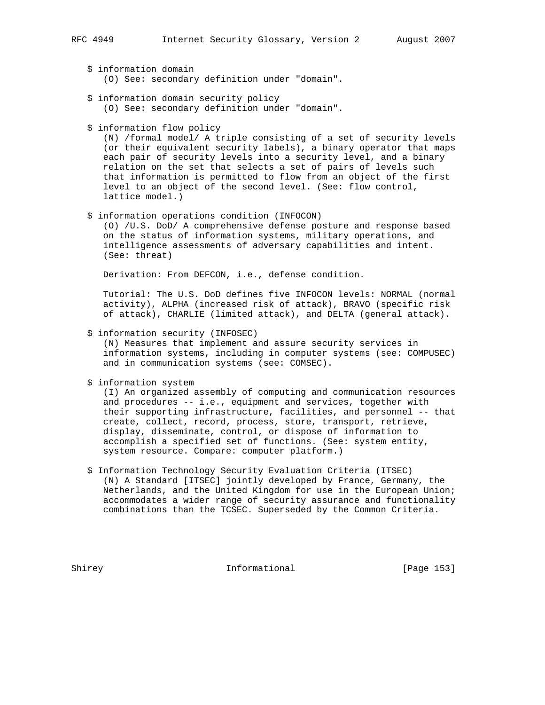- \$ information domain (O) See: secondary definition under "domain".
- \$ information domain security policy (O) See: secondary definition under "domain".
- \$ information flow policy

 (N) /formal model/ A triple consisting of a set of security levels (or their equivalent security labels), a binary operator that maps each pair of security levels into a security level, and a binary relation on the set that selects a set of pairs of levels such that information is permitted to flow from an object of the first level to an object of the second level. (See: flow control, lattice model.)

\$ information operations condition (INFOCON)

 (O) /U.S. DoD/ A comprehensive defense posture and response based on the status of information systems, military operations, and intelligence assessments of adversary capabilities and intent. (See: threat)

Derivation: From DEFCON, i.e., defense condition.

 Tutorial: The U.S. DoD defines five INFOCON levels: NORMAL (normal activity), ALPHA (increased risk of attack), BRAVO (specific risk of attack), CHARLIE (limited attack), and DELTA (general attack).

\$ information security (INFOSEC)

 (N) Measures that implement and assure security services in information systems, including in computer systems (see: COMPUSEC) and in communication systems (see: COMSEC).

\$ information system

 (I) An organized assembly of computing and communication resources and procedures -- i.e., equipment and services, together with their supporting infrastructure, facilities, and personnel -- that create, collect, record, process, store, transport, retrieve, display, disseminate, control, or dispose of information to accomplish a specified set of functions. (See: system entity, system resource. Compare: computer platform.)

 \$ Information Technology Security Evaluation Criteria (ITSEC) (N) A Standard [ITSEC] jointly developed by France, Germany, the Netherlands, and the United Kingdom for use in the European Union; accommodates a wider range of security assurance and functionality combinations than the TCSEC. Superseded by the Common Criteria.

Shirey **Informational** [Page 153]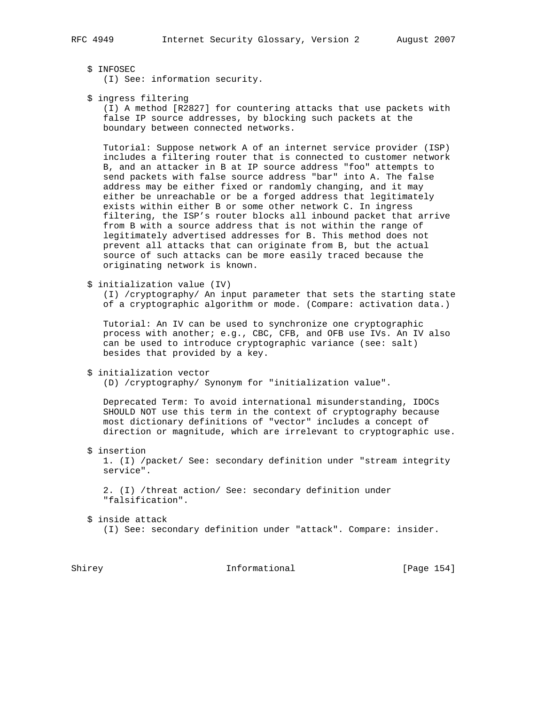(I) See: information security.

\$ ingress filtering

 (I) A method [R2827] for countering attacks that use packets with false IP source addresses, by blocking such packets at the boundary between connected networks.

 Tutorial: Suppose network A of an internet service provider (ISP) includes a filtering router that is connected to customer network B, and an attacker in B at IP source address "foo" attempts to send packets with false source address "bar" into A. The false address may be either fixed or randomly changing, and it may either be unreachable or be a forged address that legitimately exists within either B or some other network C. In ingress filtering, the ISP's router blocks all inbound packet that arrive from B with a source address that is not within the range of legitimately advertised addresses for B. This method does not prevent all attacks that can originate from B, but the actual source of such attacks can be more easily traced because the originating network is known.

\$ initialization value (IV)

 (I) /cryptography/ An input parameter that sets the starting state of a cryptographic algorithm or mode. (Compare: activation data.)

 Tutorial: An IV can be used to synchronize one cryptographic process with another; e.g., CBC, CFB, and OFB use IVs. An IV also can be used to introduce cryptographic variance (see: salt) besides that provided by a key.

```
 $ initialization vector
```
(D) /cryptography/ Synonym for "initialization value".

 Deprecated Term: To avoid international misunderstanding, IDOCs SHOULD NOT use this term in the context of cryptography because most dictionary definitions of "vector" includes a concept of direction or magnitude, which are irrelevant to cryptographic use.

\$ insertion

 1. (I) /packet/ See: secondary definition under "stream integrity service".

 2. (I) /threat action/ See: secondary definition under "falsification".

- \$ inside attack
	- (I) See: secondary definition under "attack". Compare: insider.

Shirey **Informational** [Page 154]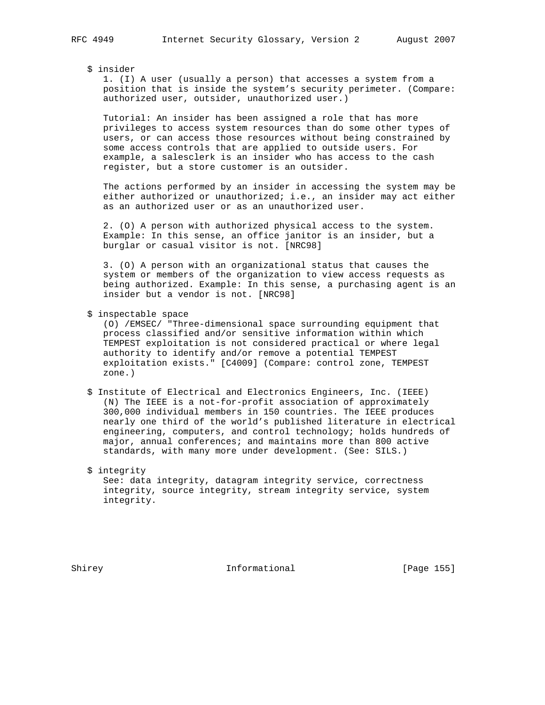# \$ insider

 1. (I) A user (usually a person) that accesses a system from a position that is inside the system's security perimeter. (Compare: authorized user, outsider, unauthorized user.)

 Tutorial: An insider has been assigned a role that has more privileges to access system resources than do some other types of users, or can access those resources without being constrained by some access controls that are applied to outside users. For example, a salesclerk is an insider who has access to the cash register, but a store customer is an outsider.

 The actions performed by an insider in accessing the system may be either authorized or unauthorized; i.e., an insider may act either as an authorized user or as an unauthorized user.

 2. (O) A person with authorized physical access to the system. Example: In this sense, an office janitor is an insider, but a burglar or casual visitor is not. [NRC98]

 3. (O) A person with an organizational status that causes the system or members of the organization to view access requests as being authorized. Example: In this sense, a purchasing agent is an insider but a vendor is not. [NRC98]

\$ inspectable space

 (O) /EMSEC/ "Three-dimensional space surrounding equipment that process classified and/or sensitive information within which TEMPEST exploitation is not considered practical or where legal authority to identify and/or remove a potential TEMPEST exploitation exists." [C4009] (Compare: control zone, TEMPEST zone.)

 \$ Institute of Electrical and Electronics Engineers, Inc. (IEEE) (N) The IEEE is a not-for-profit association of approximately 300,000 individual members in 150 countries. The IEEE produces nearly one third of the world's published literature in electrical engineering, computers, and control technology; holds hundreds of major, annual conferences; and maintains more than 800 active standards, with many more under development. (See: SILS.)

 \$ integrity See: data integrity, datagram integrity service, correctness integrity, source integrity, stream integrity service, system integrity.

Shirey **Informational** [Page 155]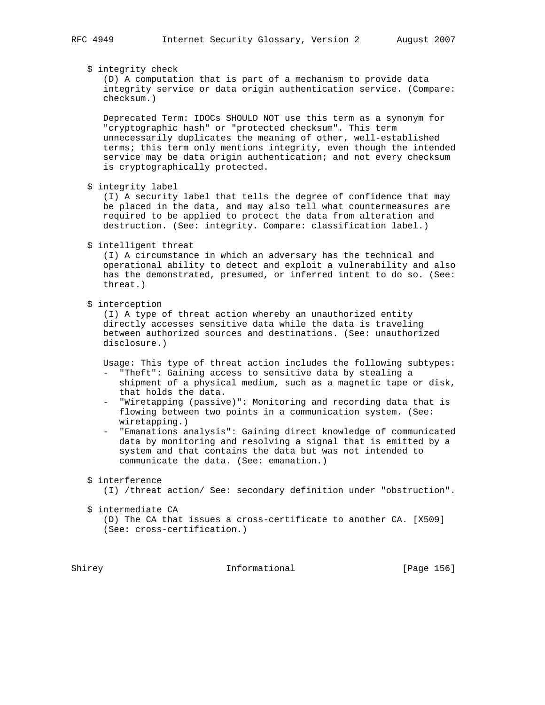\$ integrity check

 (D) A computation that is part of a mechanism to provide data integrity service or data origin authentication service. (Compare: checksum.)

 Deprecated Term: IDOCs SHOULD NOT use this term as a synonym for "cryptographic hash" or "protected checksum". This term unnecessarily duplicates the meaning of other, well-established terms; this term only mentions integrity, even though the intended service may be data origin authentication; and not every checksum is cryptographically protected.

\$ integrity label

 (I) A security label that tells the degree of confidence that may be placed in the data, and may also tell what countermeasures are required to be applied to protect the data from alteration and destruction. (See: integrity. Compare: classification label.)

\$ intelligent threat

 (I) A circumstance in which an adversary has the technical and operational ability to detect and exploit a vulnerability and also has the demonstrated, presumed, or inferred intent to do so. (See: threat.)

\$ interception

 (I) A type of threat action whereby an unauthorized entity directly accesses sensitive data while the data is traveling between authorized sources and destinations. (See: unauthorized disclosure.)

Usage: This type of threat action includes the following subtypes:

- "Theft": Gaining access to sensitive data by stealing a shipment of a physical medium, such as a magnetic tape or disk, that holds the data.
- "Wiretapping (passive)": Monitoring and recording data that is flowing between two points in a communication system. (See: wiretapping.)
- "Emanations analysis": Gaining direct knowledge of communicated data by monitoring and resolving a signal that is emitted by a system and that contains the data but was not intended to communicate the data. (See: emanation.)

\$ interference

(I) /threat action/ See: secondary definition under "obstruction".

\$ intermediate CA

 (D) The CA that issues a cross-certificate to another CA. [X509] (See: cross-certification.)

Shirey **Informational** [Page 156]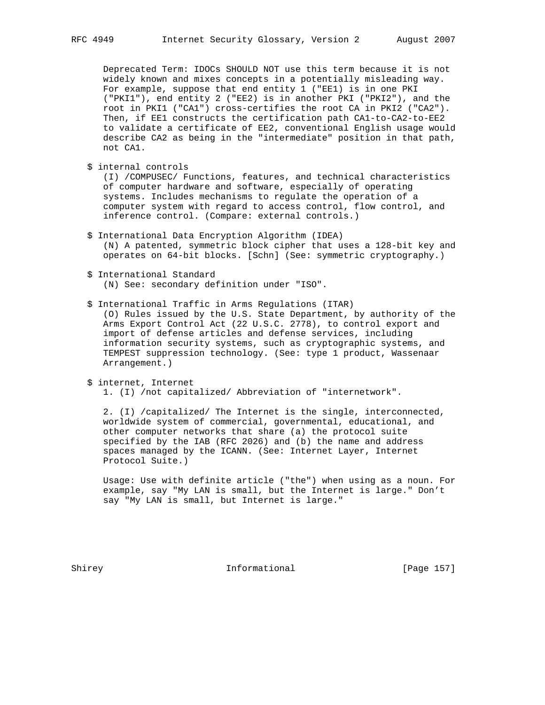Deprecated Term: IDOCs SHOULD NOT use this term because it is not widely known and mixes concepts in a potentially misleading way. For example, suppose that end entity 1 ("EE1) is in one PKI ("PKI1"), end entity 2 ("EE2) is in another PKI ("PKI2"), and the root in PKI1 ("CA1") cross-certifies the root CA in PKI2 ("CA2"). Then, if EE1 constructs the certification path CA1-to-CA2-to-EE2 to validate a certificate of EE2, conventional English usage would describe CA2 as being in the "intermediate" position in that path, not CA1.

\$ internal controls

 (I) /COMPUSEC/ Functions, features, and technical characteristics of computer hardware and software, especially of operating systems. Includes mechanisms to regulate the operation of a computer system with regard to access control, flow control, and inference control. (Compare: external controls.)

- \$ International Data Encryption Algorithm (IDEA) (N) A patented, symmetric block cipher that uses a 128-bit key and operates on 64-bit blocks. [Schn] (See: symmetric cryptography.)
- \$ International Standard (N) See: secondary definition under "ISO".
- \$ International Traffic in Arms Regulations (ITAR)
	- (O) Rules issued by the U.S. State Department, by authority of the Arms Export Control Act (22 U.S.C. 2778), to control export and import of defense articles and defense services, including information security systems, such as cryptographic systems, and TEMPEST suppression technology. (See: type 1 product, Wassenaar Arrangement.)
- \$ internet, Internet
	- 1. (I) /not capitalized/ Abbreviation of "internetwork".

 2. (I) /capitalized/ The Internet is the single, interconnected, worldwide system of commercial, governmental, educational, and other computer networks that share (a) the protocol suite specified by the IAB (RFC 2026) and (b) the name and address spaces managed by the ICANN. (See: Internet Layer, Internet Protocol Suite.)

 Usage: Use with definite article ("the") when using as a noun. For example, say "My LAN is small, but the Internet is large." Don't say "My LAN is small, but Internet is large."

Shirey **Informational** [Page 157]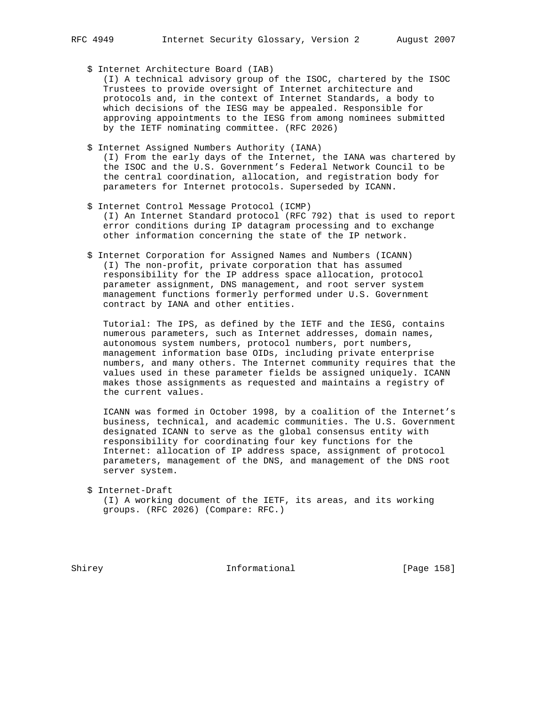\$ Internet Architecture Board (IAB)

 (I) A technical advisory group of the ISOC, chartered by the ISOC Trustees to provide oversight of Internet architecture and protocols and, in the context of Internet Standards, a body to which decisions of the IESG may be appealed. Responsible for approving appointments to the IESG from among nominees submitted by the IETF nominating committee. (RFC 2026)

- \$ Internet Assigned Numbers Authority (IANA) (I) From the early days of the Internet, the IANA was chartered by the ISOC and the U.S. Government's Federal Network Council to be the central coordination, allocation, and registration body for parameters for Internet protocols. Superseded by ICANN.
- \$ Internet Control Message Protocol (ICMP) (I) An Internet Standard protocol (RFC 792) that is used to report error conditions during IP datagram processing and to exchange other information concerning the state of the IP network.
- \$ Internet Corporation for Assigned Names and Numbers (ICANN) (I) The non-profit, private corporation that has assumed responsibility for the IP address space allocation, protocol parameter assignment, DNS management, and root server system management functions formerly performed under U.S. Government contract by IANA and other entities.

 Tutorial: The IPS, as defined by the IETF and the IESG, contains numerous parameters, such as Internet addresses, domain names, autonomous system numbers, protocol numbers, port numbers, management information base OIDs, including private enterprise numbers, and many others. The Internet community requires that the values used in these parameter fields be assigned uniquely. ICANN makes those assignments as requested and maintains a registry of the current values.

 ICANN was formed in October 1998, by a coalition of the Internet's business, technical, and academic communities. The U.S. Government designated ICANN to serve as the global consensus entity with responsibility for coordinating four key functions for the Internet: allocation of IP address space, assignment of protocol parameters, management of the DNS, and management of the DNS root server system.

 \$ Internet-Draft (I) A working document of the IETF, its areas, and its working groups. (RFC 2026) (Compare: RFC.)

Shirey **Informational** [Page 158]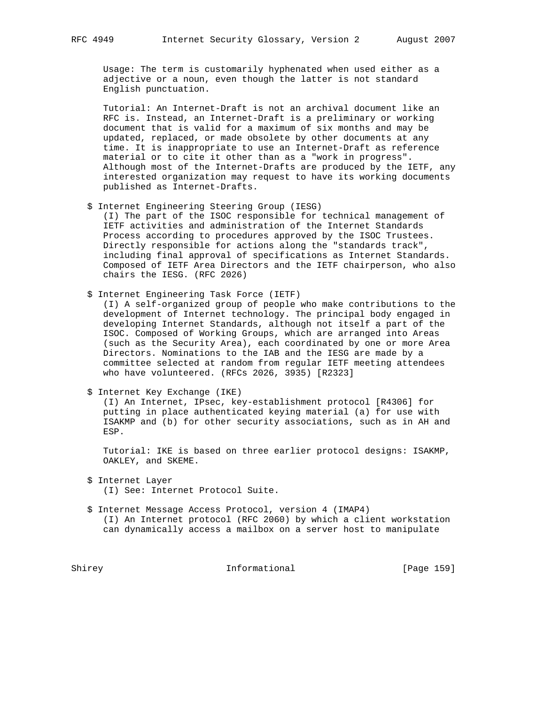Usage: The term is customarily hyphenated when used either as a adjective or a noun, even though the latter is not standard English punctuation.

 Tutorial: An Internet-Draft is not an archival document like an RFC is. Instead, an Internet-Draft is a preliminary or working document that is valid for a maximum of six months and may be updated, replaced, or made obsolete by other documents at any time. It is inappropriate to use an Internet-Draft as reference material or to cite it other than as a "work in progress". Although most of the Internet-Drafts are produced by the IETF, any interested organization may request to have its working documents published as Internet-Drafts.

\$ Internet Engineering Steering Group (IESG)

 (I) The part of the ISOC responsible for technical management of IETF activities and administration of the Internet Standards Process according to procedures approved by the ISOC Trustees. Directly responsible for actions along the "standards track", including final approval of specifications as Internet Standards. Composed of IETF Area Directors and the IETF chairperson, who also chairs the IESG. (RFC 2026)

\$ Internet Engineering Task Force (IETF)

 (I) A self-organized group of people who make contributions to the development of Internet technology. The principal body engaged in developing Internet Standards, although not itself a part of the ISOC. Composed of Working Groups, which are arranged into Areas (such as the Security Area), each coordinated by one or more Area Directors. Nominations to the IAB and the IESG are made by a committee selected at random from regular IETF meeting attendees who have volunteered. (RFCs 2026, 3935) [R2323]

\$ Internet Key Exchange (IKE)

 (I) An Internet, IPsec, key-establishment protocol [R4306] for putting in place authenticated keying material (a) for use with ISAKMP and (b) for other security associations, such as in AH and ESP.

 Tutorial: IKE is based on three earlier protocol designs: ISAKMP, OAKLEY, and SKEME.

\$ Internet Layer

(I) See: Internet Protocol Suite.

 \$ Internet Message Access Protocol, version 4 (IMAP4) (I) An Internet protocol (RFC 2060) by which a client workstation

can dynamically access a mailbox on a server host to manipulate

Shirey **Informational** [Page 159]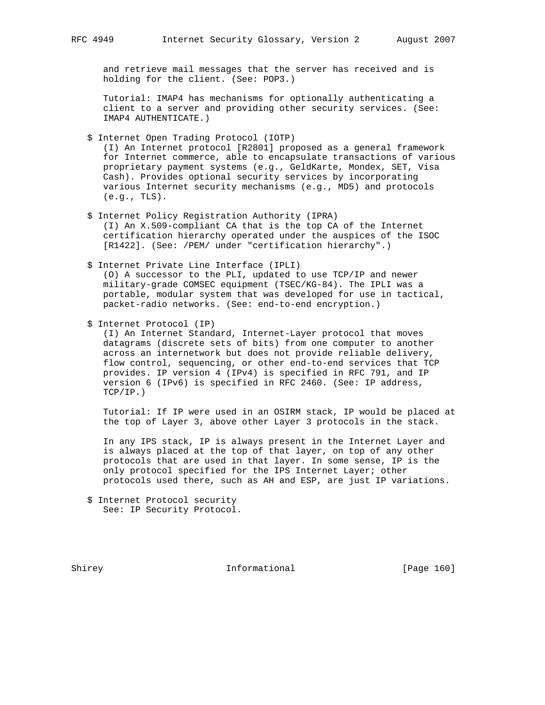and retrieve mail messages that the server has received and is holding for the client. (See: POP3.)

 Tutorial: IMAP4 has mechanisms for optionally authenticating a client to a server and providing other security services. (See: IMAP4 AUTHENTICATE.)

\$ Internet Open Trading Protocol (IOTP)

 (I) An Internet protocol [R2801] proposed as a general framework for Internet commerce, able to encapsulate transactions of various proprietary payment systems (e.g., GeldKarte, Mondex, SET, Visa Cash). Provides optional security services by incorporating various Internet security mechanisms (e.g., MD5) and protocols (e.g., TLS).

- \$ Internet Policy Registration Authority (IPRA) (I) An X.509-compliant CA that is the top CA of the Internet certification hierarchy operated under the auspices of the ISOC [R1422]. (See: /PEM/ under "certification hierarchy".)
- \$ Internet Private Line Interface (IPLI) (O) A successor to the PLI, updated to use TCP/IP and newer military-grade COMSEC equipment (TSEC/KG-84). The IPLI was a portable, modular system that was developed for use in tactical,

packet-radio networks. (See: end-to-end encryption.)

\$ Internet Protocol (IP)

 (I) An Internet Standard, Internet-Layer protocol that moves datagrams (discrete sets of bits) from one computer to another across an internetwork but does not provide reliable delivery, flow control, sequencing, or other end-to-end services that TCP provides. IP version 4 (IPv4) is specified in RFC 791, and IP version 6 (IPv6) is specified in RFC 2460. (See: IP address, TCP/IP.)

 Tutorial: If IP were used in an OSIRM stack, IP would be placed at the top of Layer 3, above other Layer 3 protocols in the stack.

 In any IPS stack, IP is always present in the Internet Layer and is always placed at the top of that layer, on top of any other protocols that are used in that layer. In some sense, IP is the only protocol specified for the IPS Internet Layer; other protocols used there, such as AH and ESP, are just IP variations.

Shirey **Informational** [Page 160]

 <sup>\$</sup> Internet Protocol security See: IP Security Protocol.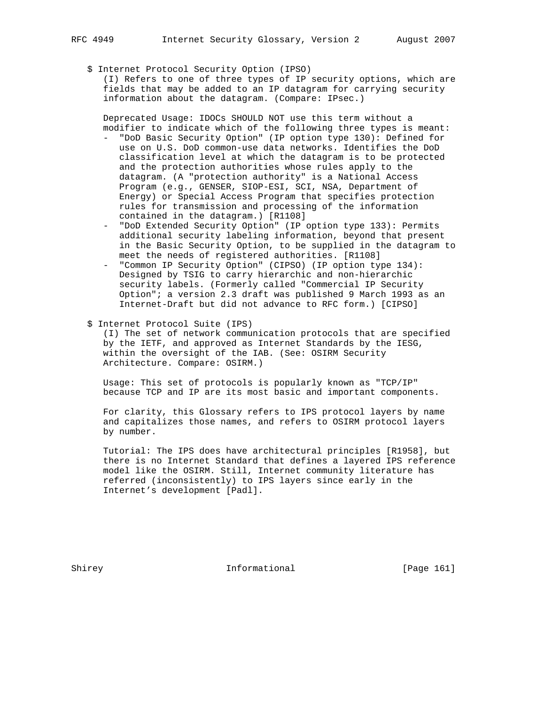- - \$ Internet Protocol Security Option (IPSO)

 (I) Refers to one of three types of IP security options, which are fields that may be added to an IP datagram for carrying security information about the datagram. (Compare: IPsec.)

 Deprecated Usage: IDOCs SHOULD NOT use this term without a modifier to indicate which of the following three types is meant:

- "DoD Basic Security Option" (IP option type 130): Defined for use on U.S. DoD common-use data networks. Identifies the DoD classification level at which the datagram is to be protected and the protection authorities whose rules apply to the datagram. (A "protection authority" is a National Access Program (e.g., GENSER, SIOP-ESI, SCI, NSA, Department of Energy) or Special Access Program that specifies protection rules for transmission and processing of the information contained in the datagram.) [R1108]
- "DoD Extended Security Option" (IP option type 133): Permits additional security labeling information, beyond that present in the Basic Security Option, to be supplied in the datagram to meet the needs of registered authorities. [R1108]
- "Common IP Security Option" (CIPSO) (IP option type 134): Designed by TSIG to carry hierarchic and non-hierarchic security labels. (Formerly called "Commercial IP Security Option"; a version 2.3 draft was published 9 March 1993 as an Internet-Draft but did not advance to RFC form.) [CIPSO]
- \$ Internet Protocol Suite (IPS)

 (I) The set of network communication protocols that are specified by the IETF, and approved as Internet Standards by the IESG, within the oversight of the IAB. (See: OSIRM Security Architecture. Compare: OSIRM.)

 Usage: This set of protocols is popularly known as "TCP/IP" because TCP and IP are its most basic and important components.

 For clarity, this Glossary refers to IPS protocol layers by name and capitalizes those names, and refers to OSIRM protocol layers by number.

 Tutorial: The IPS does have architectural principles [R1958], but there is no Internet Standard that defines a layered IPS reference model like the OSIRM. Still, Internet community literature has referred (inconsistently) to IPS layers since early in the Internet's development [Padl].

Shirey **Informational** [Page 161]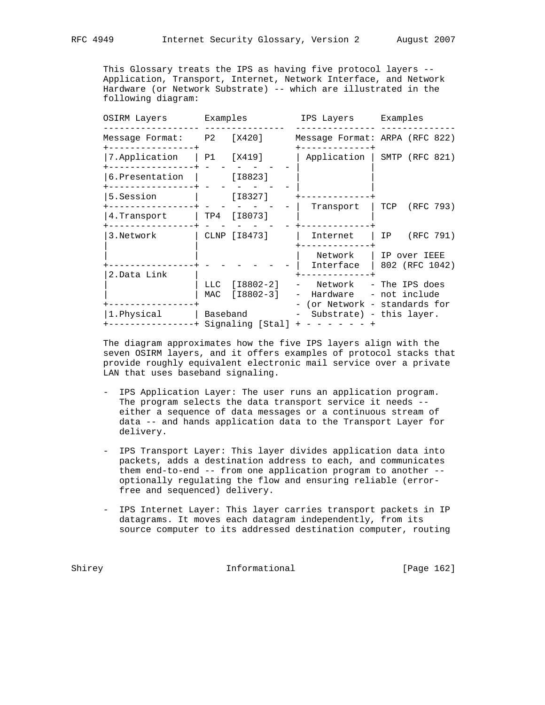This Glossary treats the IPS as having five protocol layers -- Application, Transport, Internet, Network Interface, and Network Hardware (or Network Substrate) -- which are illustrated in the following diagram:

|  | OSIRM Layers                                    |                              | Examples                       |                                   | IPS Layers Examples |                                                                      |               |               |  |  |
|--|-------------------------------------------------|------------------------------|--------------------------------|-----------------------------------|---------------------|----------------------------------------------------------------------|---------------|---------------|--|--|
|  | Message Format: P2 [X420]<br>+----------------+ |                              |                                |                                   |                     | Message Format: ARPA (RFC 822)                                       |               |               |  |  |
|  | 7. Application   P1 [X419]                      |                              |                                |                                   |                     | Application   SMTP (RFC 821)                                         |               |               |  |  |
|  | 6.Presentation                                  |                              | [I8823]                        |                                   |                     |                                                                      |               |               |  |  |
|  | 5.Session                                       |                              | [I8327]                        |                                   |                     |                                                                      |               |               |  |  |
|  | ------------+<br>4. Transport                   |                              | TP4 [I8073]                    |                                   |                     | Transport                                                            |               | TCP (RFC 793) |  |  |
|  | 3.Network                                       |                              | CLNP [18473]                   |                                   | Internet            |                                                                      |               | IP (RFC 791)  |  |  |
|  | 2. Data Link                                    |                              |                                |                                   |                     | Network  <br>Interface $  802$ (RFC 1042)                            | IP over IEEE  |               |  |  |
|  |                                                 |                              | LLC [18802-2]<br>MAC [I8802-3] |                                   |                     | Network  – The IPS does<br>Hardware<br>- (or Network - standards for | - not include |               |  |  |
|  | 1. Physical                                     | Baseband<br>Signaling [Stal] |                                | - Substrate) - this layer.<br>$+$ |                     |                                                                      |               |               |  |  |

 The diagram approximates how the five IPS layers align with the seven OSIRM layers, and it offers examples of protocol stacks that provide roughly equivalent electronic mail service over a private LAN that uses baseband signaling.

- IPS Application Layer: The user runs an application program. The program selects the data transport service it needs - either a sequence of data messages or a continuous stream of data -- and hands application data to the Transport Layer for delivery.
- IPS Transport Layer: This layer divides application data into packets, adds a destination address to each, and communicates them end-to-end -- from one application program to another - optionally regulating the flow and ensuring reliable (error free and sequenced) delivery.
- IPS Internet Layer: This layer carries transport packets in IP datagrams. It moves each datagram independently, from its source computer to its addressed destination computer, routing

Shirey **Informational** [Page 162]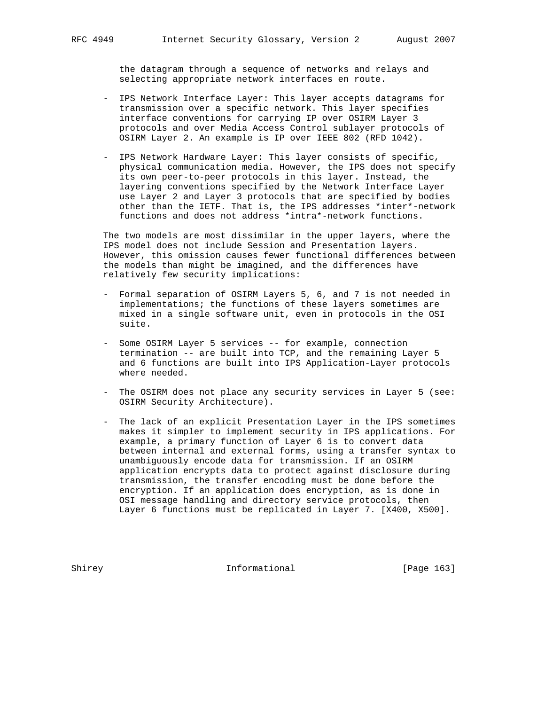the datagram through a sequence of networks and relays and selecting appropriate network interfaces en route.

- IPS Network Interface Layer: This layer accepts datagrams for transmission over a specific network. This layer specifies interface conventions for carrying IP over OSIRM Layer 3 protocols and over Media Access Control sublayer protocols of OSIRM Layer 2. An example is IP over IEEE 802 (RFD 1042).
- IPS Network Hardware Layer: This layer consists of specific, physical communication media. However, the IPS does not specify its own peer-to-peer protocols in this layer. Instead, the layering conventions specified by the Network Interface Layer use Layer 2 and Layer 3 protocols that are specified by bodies other than the IETF. That is, the IPS addresses \*inter\*-network functions and does not address \*intra\*-network functions.

 The two models are most dissimilar in the upper layers, where the IPS model does not include Session and Presentation layers. However, this omission causes fewer functional differences between the models than might be imagined, and the differences have relatively few security implications:

- Formal separation of OSIRM Layers 5, 6, and 7 is not needed in implementations; the functions of these layers sometimes are mixed in a single software unit, even in protocols in the OSI suite.
- Some OSIRM Layer 5 services -- for example, connection termination -- are built into TCP, and the remaining Layer 5 and 6 functions are built into IPS Application-Layer protocols where needed.
- The OSIRM does not place any security services in Layer 5 (see: OSIRM Security Architecture).
- The lack of an explicit Presentation Layer in the IPS sometimes makes it simpler to implement security in IPS applications. For example, a primary function of Layer 6 is to convert data between internal and external forms, using a transfer syntax to unambiguously encode data for transmission. If an OSIRM application encrypts data to protect against disclosure during transmission, the transfer encoding must be done before the encryption. If an application does encryption, as is done in OSI message handling and directory service protocols, then Layer 6 functions must be replicated in Layer 7. [X400, X500].

Shirey **Informational** [Page 163]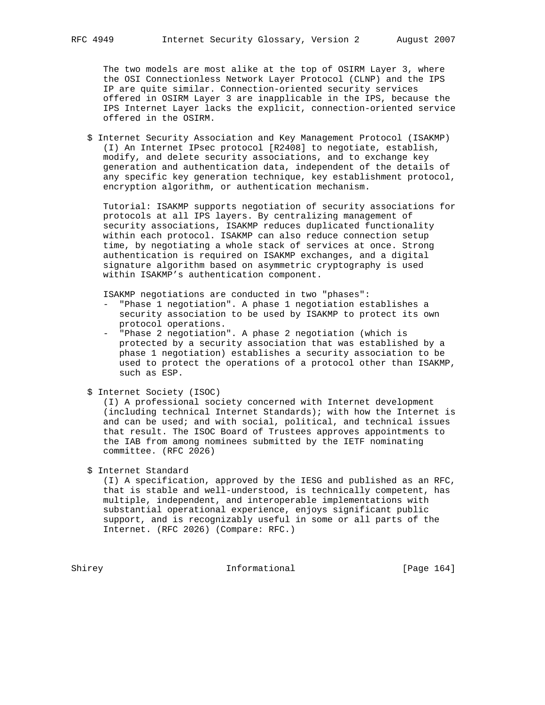The two models are most alike at the top of OSIRM Layer 3, where the OSI Connectionless Network Layer Protocol (CLNP) and the IPS IP are quite similar. Connection-oriented security services offered in OSIRM Layer 3 are inapplicable in the IPS, because the IPS Internet Layer lacks the explicit, connection-oriented service offered in the OSIRM.

 \$ Internet Security Association and Key Management Protocol (ISAKMP) (I) An Internet IPsec protocol [R2408] to negotiate, establish, modify, and delete security associations, and to exchange key generation and authentication data, independent of the details of any specific key generation technique, key establishment protocol, encryption algorithm, or authentication mechanism.

 Tutorial: ISAKMP supports negotiation of security associations for protocols at all IPS layers. By centralizing management of security associations, ISAKMP reduces duplicated functionality within each protocol. ISAKMP can also reduce connection setup time, by negotiating a whole stack of services at once. Strong authentication is required on ISAKMP exchanges, and a digital signature algorithm based on asymmetric cryptography is used within ISAKMP's authentication component.

ISAKMP negotiations are conducted in two "phases":

- "Phase 1 negotiation". A phase 1 negotiation establishes a security association to be used by ISAKMP to protect its own protocol operations.
- "Phase 2 negotiation". A phase 2 negotiation (which is protected by a security association that was established by a phase 1 negotiation) establishes a security association to be used to protect the operations of a protocol other than ISAKMP, such as ESP.
- \$ Internet Society (ISOC)

 (I) A professional society concerned with Internet development (including technical Internet Standards); with how the Internet is and can be used; and with social, political, and technical issues that result. The ISOC Board of Trustees approves appointments to the IAB from among nominees submitted by the IETF nominating committee. (RFC 2026)

# \$ Internet Standard

 (I) A specification, approved by the IESG and published as an RFC, that is stable and well-understood, is technically competent, has multiple, independent, and interoperable implementations with substantial operational experience, enjoys significant public support, and is recognizably useful in some or all parts of the Internet. (RFC 2026) (Compare: RFC.)

Shirey Informational [Page 164]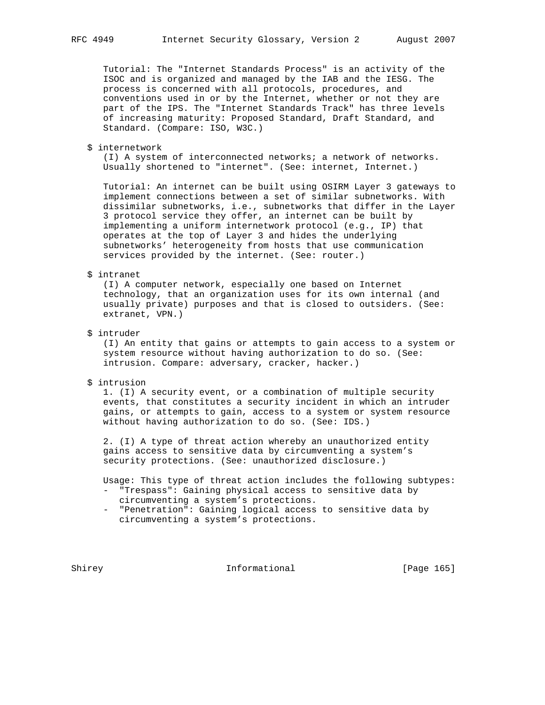Tutorial: The "Internet Standards Process" is an activity of the ISOC and is organized and managed by the IAB and the IESG. The process is concerned with all protocols, procedures, and conventions used in or by the Internet, whether or not they are part of the IPS. The "Internet Standards Track" has three levels of increasing maturity: Proposed Standard, Draft Standard, and Standard. (Compare: ISO, W3C.)

\$ internetwork

 (I) A system of interconnected networks; a network of networks. Usually shortened to "internet". (See: internet, Internet.)

 Tutorial: An internet can be built using OSIRM Layer 3 gateways to implement connections between a set of similar subnetworks. With dissimilar subnetworks, i.e., subnetworks that differ in the Layer 3 protocol service they offer, an internet can be built by implementing a uniform internetwork protocol (e.g., IP) that operates at the top of Layer 3 and hides the underlying subnetworks' heterogeneity from hosts that use communication services provided by the internet. (See: router.)

#### \$ intranet

 (I) A computer network, especially one based on Internet technology, that an organization uses for its own internal (and usually private) purposes and that is closed to outsiders. (See: extranet, VPN.)

\$ intruder

 (I) An entity that gains or attempts to gain access to a system or system resource without having authorization to do so. (See: intrusion. Compare: adversary, cracker, hacker.)

\$ intrusion

 1. (I) A security event, or a combination of multiple security events, that constitutes a security incident in which an intruder gains, or attempts to gain, access to a system or system resource without having authorization to do so. (See: IDS.)

 2. (I) A type of threat action whereby an unauthorized entity gains access to sensitive data by circumventing a system's security protections. (See: unauthorized disclosure.)

Usage: This type of threat action includes the following subtypes:

- "Trespass": Gaining physical access to sensitive data by circumventing a system's protections.
- "Penetration": Gaining logical access to sensitive data by circumventing a system's protections.

Shirey **Informational** [Page 165]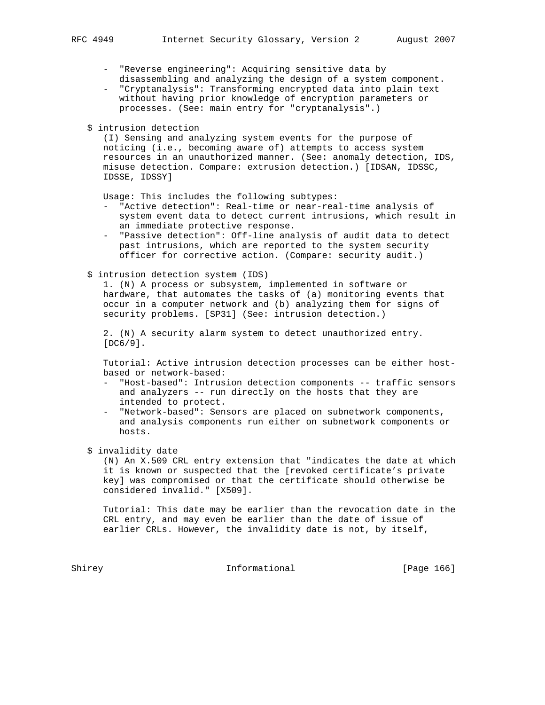- "Reverse engineering": Acquiring sensitive data by disassembling and analyzing the design of a system component.
- "Cryptanalysis": Transforming encrypted data into plain text without having prior knowledge of encryption parameters or processes. (See: main entry for "cryptanalysis".)
- \$ intrusion detection

 (I) Sensing and analyzing system events for the purpose of noticing (i.e., becoming aware of) attempts to access system resources in an unauthorized manner. (See: anomaly detection, IDS, misuse detection. Compare: extrusion detection.) [IDSAN, IDSSC, IDSSE, IDSSY]

Usage: This includes the following subtypes:

- "Active detection": Real-time or near-real-time analysis of system event data to detect current intrusions, which result in an immediate protective response.
- "Passive detection": Off-line analysis of audit data to detect past intrusions, which are reported to the system security officer for corrective action. (Compare: security audit.)
- \$ intrusion detection system (IDS)

 1. (N) A process or subsystem, implemented in software or hardware, that automates the tasks of (a) monitoring events that occur in a computer network and (b) analyzing them for signs of security problems. [SP31] (See: intrusion detection.)

 2. (N) A security alarm system to detect unauthorized entry. [DC6/9].

 Tutorial: Active intrusion detection processes can be either host based or network-based:

- "Host-based": Intrusion detection components -- traffic sensors and analyzers -- run directly on the hosts that they are intended to protect.
- "Network-based": Sensors are placed on subnetwork components, and analysis components run either on subnetwork components or hosts.

\$ invalidity date

 (N) An X.509 CRL entry extension that "indicates the date at which it is known or suspected that the [revoked certificate's private key] was compromised or that the certificate should otherwise be considered invalid." [X509].

 Tutorial: This date may be earlier than the revocation date in the CRL entry, and may even be earlier than the date of issue of earlier CRLs. However, the invalidity date is not, by itself,

Shirey **Informational** [Page 166]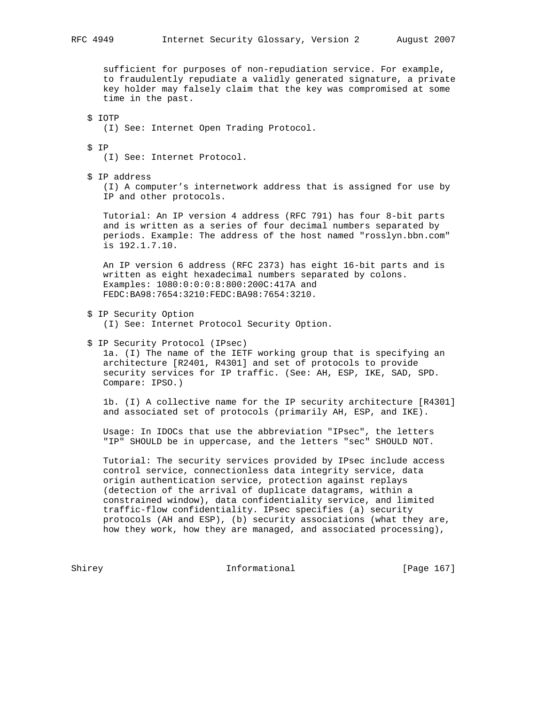sufficient for purposes of non-repudiation service. For example, to fraudulently repudiate a validly generated signature, a private key holder may falsely claim that the key was compromised at some time in the past.

 \$ IOTP (I) See: Internet Open Trading Protocol.

\$ IP

(I) See: Internet Protocol.

\$ IP address

 (I) A computer's internetwork address that is assigned for use by IP and other protocols.

 Tutorial: An IP version 4 address (RFC 791) has four 8-bit parts and is written as a series of four decimal numbers separated by periods. Example: The address of the host named "rosslyn.bbn.com" is 192.1.7.10.

 An IP version 6 address (RFC 2373) has eight 16-bit parts and is written as eight hexadecimal numbers separated by colons. Examples: 1080:0:0:0:8:800:200C:417A and FEDC:BA98:7654:3210:FEDC:BA98:7654:3210.

- \$ IP Security Option (I) See: Internet Protocol Security Option.
- \$ IP Security Protocol (IPsec) 1a. (I) The name of the IETF working group that is specifying an architecture [R2401, R4301] and set of protocols to provide security services for IP traffic. (See: AH, ESP, IKE, SAD, SPD. Compare: IPSO.)

 1b. (I) A collective name for the IP security architecture [R4301] and associated set of protocols (primarily AH, ESP, and IKE).

 Usage: In IDOCs that use the abbreviation "IPsec", the letters "IP" SHOULD be in uppercase, and the letters "sec" SHOULD NOT.

 Tutorial: The security services provided by IPsec include access control service, connectionless data integrity service, data origin authentication service, protection against replays (detection of the arrival of duplicate datagrams, within a constrained window), data confidentiality service, and limited traffic-flow confidentiality. IPsec specifies (a) security protocols (AH and ESP), (b) security associations (what they are, how they work, how they are managed, and associated processing),

Shirey **Informational** [Page 167]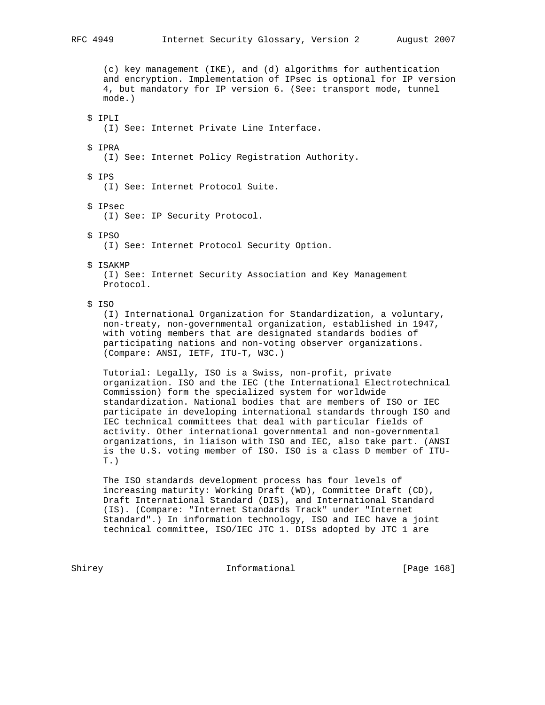(c) key management (IKE), and (d) algorithms for authentication and encryption. Implementation of IPsec is optional for IP version 4, but mandatory for IP version 6. (See: transport mode, tunnel mode.)

 \$ IPLI (I) See: Internet Private Line Interface.

\$ IPRA

(I) See: Internet Policy Registration Authority.

 \$ IPS (I) See: Internet Protocol Suite.

 \$ IPsec (I) See: IP Security Protocol.

\$ IPSO

(I) See: Internet Protocol Security Option.

\$ ISAKMP

 (I) See: Internet Security Association and Key Management Protocol.

# \$ ISO

 (I) International Organization for Standardization, a voluntary, non-treaty, non-governmental organization, established in 1947, with voting members that are designated standards bodies of participating nations and non-voting observer organizations. (Compare: ANSI, IETF, ITU-T, W3C.)

 Tutorial: Legally, ISO is a Swiss, non-profit, private organization. ISO and the IEC (the International Electrotechnical Commission) form the specialized system for worldwide standardization. National bodies that are members of ISO or IEC participate in developing international standards through ISO and IEC technical committees that deal with particular fields of activity. Other international governmental and non-governmental organizations, in liaison with ISO and IEC, also take part. (ANSI is the U.S. voting member of ISO. ISO is a class D member of ITU- T.)

 The ISO standards development process has four levels of increasing maturity: Working Draft (WD), Committee Draft (CD), Draft International Standard (DIS), and International Standard (IS). (Compare: "Internet Standards Track" under "Internet Standard".) In information technology, ISO and IEC have a joint technical committee, ISO/IEC JTC 1. DISs adopted by JTC 1 are

Shirey **Informational** [Page 168]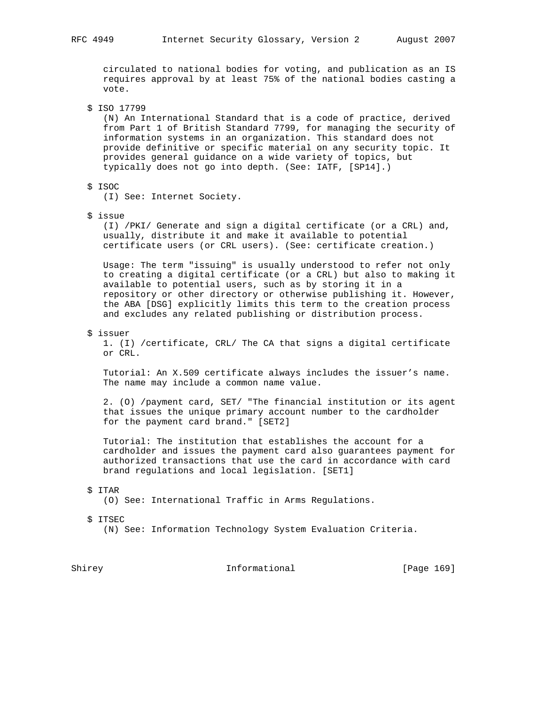circulated to national bodies for voting, and publication as an IS requires approval by at least 75% of the national bodies casting a vote.

\$ ISO 17799

 (N) An International Standard that is a code of practice, derived from Part 1 of British Standard 7799, for managing the security of information systems in an organization. This standard does not provide definitive or specific material on any security topic. It provides general guidance on a wide variety of topics, but typically does not go into depth. (See: IATF, [SP14].)

# \$ ISOC

(I) See: Internet Society.

\$ issue

 (I) /PKI/ Generate and sign a digital certificate (or a CRL) and, usually, distribute it and make it available to potential certificate users (or CRL users). (See: certificate creation.)

 Usage: The term "issuing" is usually understood to refer not only to creating a digital certificate (or a CRL) but also to making it available to potential users, such as by storing it in a repository or other directory or otherwise publishing it. However, the ABA [DSG] explicitly limits this term to the creation process and excludes any related publishing or distribution process.

#### \$ issuer

 1. (I) /certificate, CRL/ The CA that signs a digital certificate or CRL.

 Tutorial: An X.509 certificate always includes the issuer's name. The name may include a common name value.

 2. (O) /payment card, SET/ "The financial institution or its agent that issues the unique primary account number to the cardholder for the payment card brand." [SET2]

 Tutorial: The institution that establishes the account for a cardholder and issues the payment card also guarantees payment for authorized transactions that use the card in accordance with card brand regulations and local legislation. [SET1]

#### \$ ITAR

(O) See: International Traffic in Arms Regulations.

\$ ITSEC

(N) See: Information Technology System Evaluation Criteria.

Shirey **Informational** [Page 169]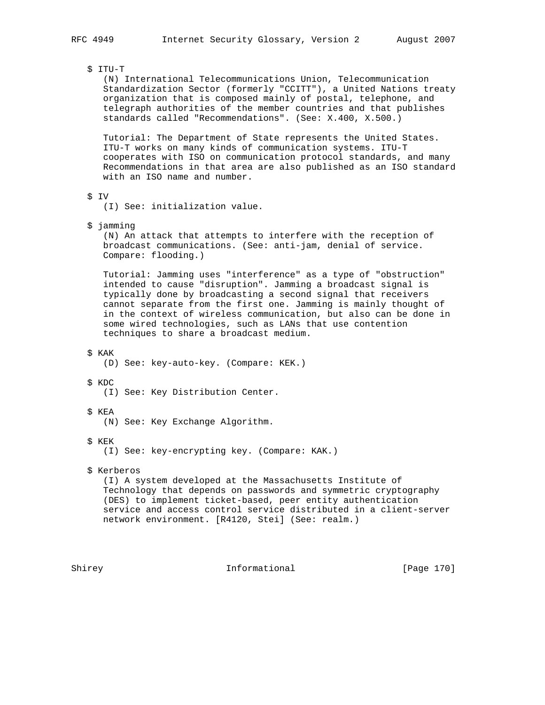# \$ ITU-T

 (N) International Telecommunications Union, Telecommunication Standardization Sector (formerly "CCITT"), a United Nations treaty organization that is composed mainly of postal, telephone, and telegraph authorities of the member countries and that publishes standards called "Recommendations". (See: X.400, X.500.)

 Tutorial: The Department of State represents the United States. ITU-T works on many kinds of communication systems. ITU-T cooperates with ISO on communication protocol standards, and many Recommendations in that area are also published as an ISO standard with an ISO name and number.

\$ IV

(I) See: initialization value.

\$ jamming

 (N) An attack that attempts to interfere with the reception of broadcast communications. (See: anti-jam, denial of service. Compare: flooding.)

 Tutorial: Jamming uses "interference" as a type of "obstruction" intended to cause "disruption". Jamming a broadcast signal is typically done by broadcasting a second signal that receivers cannot separate from the first one. Jamming is mainly thought of in the context of wireless communication, but also can be done in some wired technologies, such as LANs that use contention techniques to share a broadcast medium.

\$ KAK

(D) See: key-auto-key. (Compare: KEK.)

\$ KDC

- (I) See: Key Distribution Center.
- \$ KEA
	- (N) See: Key Exchange Algorithm.
- \$ KEK

(I) See: key-encrypting key. (Compare: KAK.)

\$ Kerberos

 (I) A system developed at the Massachusetts Institute of Technology that depends on passwords and symmetric cryptography (DES) to implement ticket-based, peer entity authentication service and access control service distributed in a client-server network environment. [R4120, Stei] (See: realm.)

Shirey **Informational** [Page 170]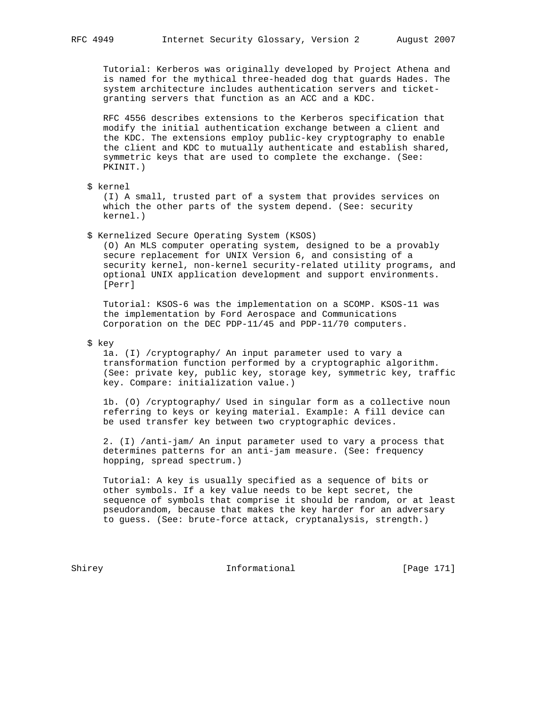Tutorial: Kerberos was originally developed by Project Athena and is named for the mythical three-headed dog that guards Hades. The system architecture includes authentication servers and ticket granting servers that function as an ACC and a KDC.

 RFC 4556 describes extensions to the Kerberos specification that modify the initial authentication exchange between a client and the KDC. The extensions employ public-key cryptography to enable the client and KDC to mutually authenticate and establish shared, symmetric keys that are used to complete the exchange. (See: PKINIT.)

\$ kernel

 (I) A small, trusted part of a system that provides services on which the other parts of the system depend. (See: security kernel.)

\$ Kernelized Secure Operating System (KSOS)

 (O) An MLS computer operating system, designed to be a provably secure replacement for UNIX Version 6, and consisting of a security kernel, non-kernel security-related utility programs, and optional UNIX application development and support environments. [Perr]

 Tutorial: KSOS-6 was the implementation on a SCOMP. KSOS-11 was the implementation by Ford Aerospace and Communications Corporation on the DEC PDP-11/45 and PDP-11/70 computers.

# \$ key

 1a. (I) /cryptography/ An input parameter used to vary a transformation function performed by a cryptographic algorithm. (See: private key, public key, storage key, symmetric key, traffic key. Compare: initialization value.)

 1b. (O) /cryptography/ Used in singular form as a collective noun referring to keys or keying material. Example: A fill device can be used transfer key between two cryptographic devices.

 2. (I) /anti-jam/ An input parameter used to vary a process that determines patterns for an anti-jam measure. (See: frequency hopping, spread spectrum.)

 Tutorial: A key is usually specified as a sequence of bits or other symbols. If a key value needs to be kept secret, the sequence of symbols that comprise it should be random, or at least pseudorandom, because that makes the key harder for an adversary to guess. (See: brute-force attack, cryptanalysis, strength.)

Shirey **Informational** [Page 171]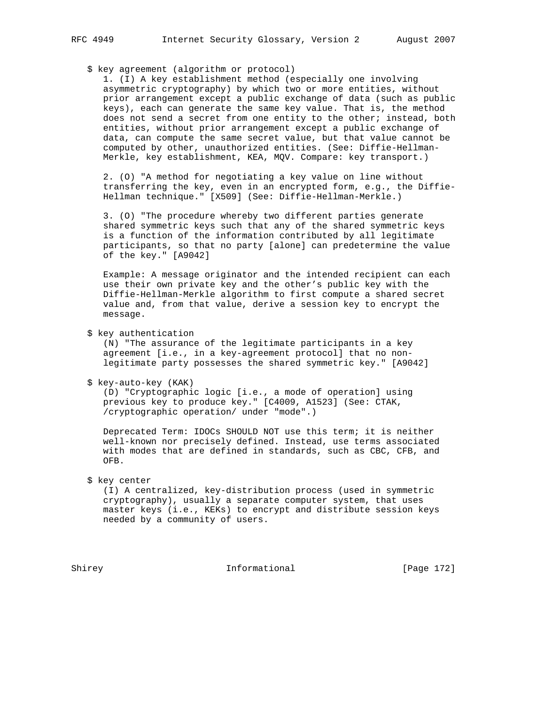\$ key agreement (algorithm or protocol)

 1. (I) A key establishment method (especially one involving asymmetric cryptography) by which two or more entities, without prior arrangement except a public exchange of data (such as public keys), each can generate the same key value. That is, the method does not send a secret from one entity to the other; instead, both entities, without prior arrangement except a public exchange of data, can compute the same secret value, but that value cannot be computed by other, unauthorized entities. (See: Diffie-Hellman- Merkle, key establishment, KEA, MQV. Compare: key transport.)

 2. (O) "A method for negotiating a key value on line without transferring the key, even in an encrypted form, e.g., the Diffie- Hellman technique." [X509] (See: Diffie-Hellman-Merkle.)

 3. (O) "The procedure whereby two different parties generate shared symmetric keys such that any of the shared symmetric keys is a function of the information contributed by all legitimate participants, so that no party [alone] can predetermine the value of the key." [A9042]

 Example: A message originator and the intended recipient can each use their own private key and the other's public key with the Diffie-Hellman-Merkle algorithm to first compute a shared secret value and, from that value, derive a session key to encrypt the message.

\$ key authentication

 (N) "The assurance of the legitimate participants in a key agreement [i.e., in a key-agreement protocol] that no non legitimate party possesses the shared symmetric key." [A9042]

\$ key-auto-key (KAK)

 (D) "Cryptographic logic [i.e., a mode of operation] using previous key to produce key." [C4009, A1523] (See: CTAK, /cryptographic operation/ under "mode".)

 Deprecated Term: IDOCs SHOULD NOT use this term; it is neither well-known nor precisely defined. Instead, use terms associated with modes that are defined in standards, such as CBC, CFB, and OFB.

\$ key center

 (I) A centralized, key-distribution process (used in symmetric cryptography), usually a separate computer system, that uses master keys (i.e., KEKs) to encrypt and distribute session keys needed by a community of users.

Shirey **Informational** [Page 172]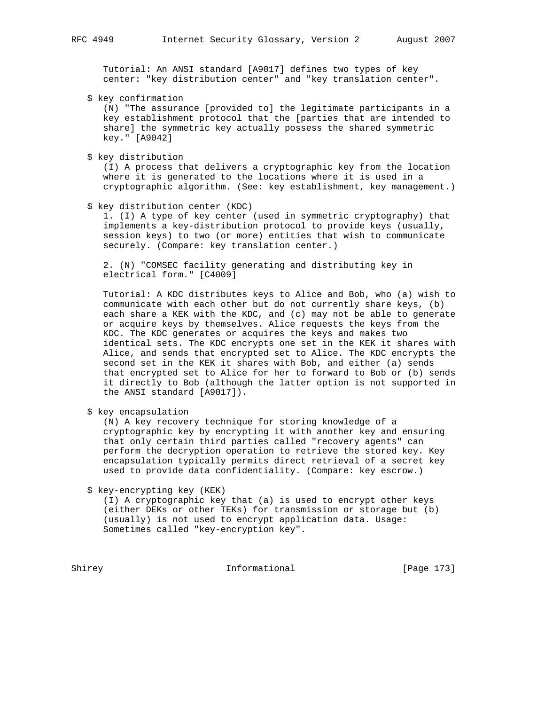Tutorial: An ANSI standard [A9017] defines two types of key center: "key distribution center" and "key translation center".

\$ key confirmation

 (N) "The assurance [provided to] the legitimate participants in a key establishment protocol that the [parties that are intended to share] the symmetric key actually possess the shared symmetric key." [A9042]

\$ key distribution

 (I) A process that delivers a cryptographic key from the location where it is generated to the locations where it is used in a cryptographic algorithm. (See: key establishment, key management.)

\$ key distribution center (KDC)

 1. (I) A type of key center (used in symmetric cryptography) that implements a key-distribution protocol to provide keys (usually, session keys) to two (or more) entities that wish to communicate securely. (Compare: key translation center.)

 2. (N) "COMSEC facility generating and distributing key in electrical form." [C4009]

 Tutorial: A KDC distributes keys to Alice and Bob, who (a) wish to communicate with each other but do not currently share keys, (b) each share a KEK with the KDC, and (c) may not be able to generate or acquire keys by themselves. Alice requests the keys from the KDC. The KDC generates or acquires the keys and makes two identical sets. The KDC encrypts one set in the KEK it shares with Alice, and sends that encrypted set to Alice. The KDC encrypts the second set in the KEK it shares with Bob, and either (a) sends that encrypted set to Alice for her to forward to Bob or (b) sends it directly to Bob (although the latter option is not supported in the ANSI standard [A9017]).

\$ key encapsulation

 (N) A key recovery technique for storing knowledge of a cryptographic key by encrypting it with another key and ensuring that only certain third parties called "recovery agents" can perform the decryption operation to retrieve the stored key. Key encapsulation typically permits direct retrieval of a secret key used to provide data confidentiality. (Compare: key escrow.)

\$ key-encrypting key (KEK)

 (I) A cryptographic key that (a) is used to encrypt other keys (either DEKs or other TEKs) for transmission or storage but (b) (usually) is not used to encrypt application data. Usage: Sometimes called "key-encryption key".

Shirey **Informational** [Page 173]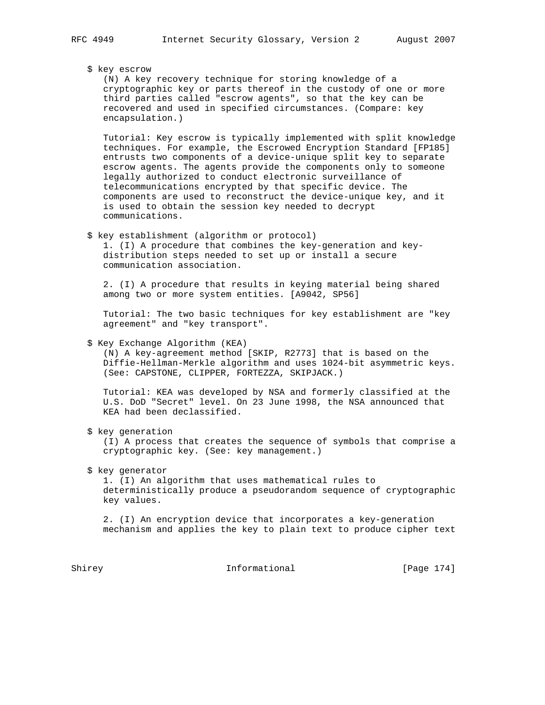# \$ key escrow

 (N) A key recovery technique for storing knowledge of a cryptographic key or parts thereof in the custody of one or more third parties called "escrow agents", so that the key can be recovered and used in specified circumstances. (Compare: key encapsulation.)

 Tutorial: Key escrow is typically implemented with split knowledge techniques. For example, the Escrowed Encryption Standard [FP185] entrusts two components of a device-unique split key to separate escrow agents. The agents provide the components only to someone legally authorized to conduct electronic surveillance of telecommunications encrypted by that specific device. The components are used to reconstruct the device-unique key, and it is used to obtain the session key needed to decrypt communications.

\$ key establishment (algorithm or protocol)

 1. (I) A procedure that combines the key-generation and key distribution steps needed to set up or install a secure communication association.

 2. (I) A procedure that results in keying material being shared among two or more system entities. [A9042, SP56]

 Tutorial: The two basic techniques for key establishment are "key agreement" and "key transport".

#### \$ Key Exchange Algorithm (KEA)

 (N) A key-agreement method [SKIP, R2773] that is based on the Diffie-Hellman-Merkle algorithm and uses 1024-bit asymmetric keys. (See: CAPSTONE, CLIPPER, FORTEZZA, SKIPJACK.)

 Tutorial: KEA was developed by NSA and formerly classified at the U.S. DoD "Secret" level. On 23 June 1998, the NSA announced that KEA had been declassified.

\$ key generation

 (I) A process that creates the sequence of symbols that comprise a cryptographic key. (See: key management.)

\$ key generator

 1. (I) An algorithm that uses mathematical rules to deterministically produce a pseudorandom sequence of cryptographic key values.

 2. (I) An encryption device that incorporates a key-generation mechanism and applies the key to plain text to produce cipher text

Shirey **Informational** [Page 174]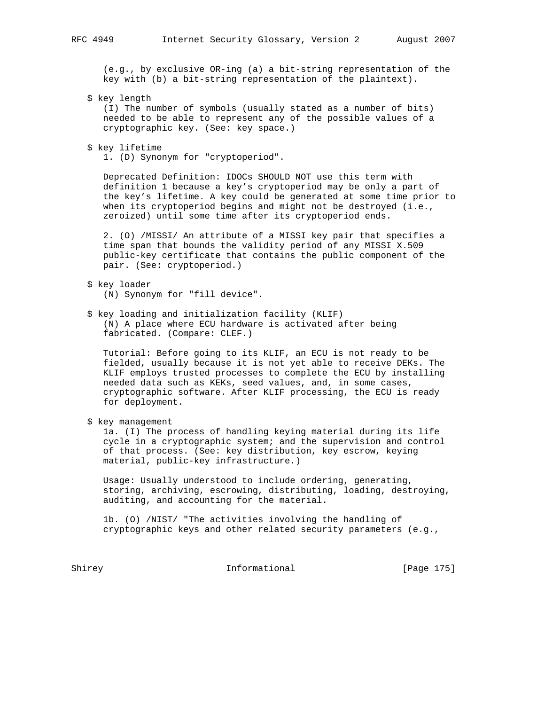(e.g., by exclusive OR-ing (a) a bit-string representation of the key with (b) a bit-string representation of the plaintext).

\$ key length

 (I) The number of symbols (usually stated as a number of bits) needed to be able to represent any of the possible values of a cryptographic key. (See: key space.)

\$ key lifetime

1. (D) Synonym for "cryptoperiod".

 Deprecated Definition: IDOCs SHOULD NOT use this term with definition 1 because a key's cryptoperiod may be only a part of the key's lifetime. A key could be generated at some time prior to when its cryptoperiod begins and might not be destroyed (i.e., zeroized) until some time after its cryptoperiod ends.

 2. (O) /MISSI/ An attribute of a MISSI key pair that specifies a time span that bounds the validity period of any MISSI X.509 public-key certificate that contains the public component of the pair. (See: cryptoperiod.)

- \$ key loader (N) Synonym for "fill device".
- \$ key loading and initialization facility (KLIF) (N) A place where ECU hardware is activated after being fabricated. (Compare: CLEF.)

 Tutorial: Before going to its KLIF, an ECU is not ready to be fielded, usually because it is not yet able to receive DEKs. The KLIF employs trusted processes to complete the ECU by installing needed data such as KEKs, seed values, and, in some cases, cryptographic software. After KLIF processing, the ECU is ready for deployment.

\$ key management

 1a. (I) The process of handling keying material during its life cycle in a cryptographic system; and the supervision and control of that process. (See: key distribution, key escrow, keying material, public-key infrastructure.)

 Usage: Usually understood to include ordering, generating, storing, archiving, escrowing, distributing, loading, destroying, auditing, and accounting for the material.

 1b. (O) /NIST/ "The activities involving the handling of cryptographic keys and other related security parameters (e.g.,

Shirey **Informational** [Page 175]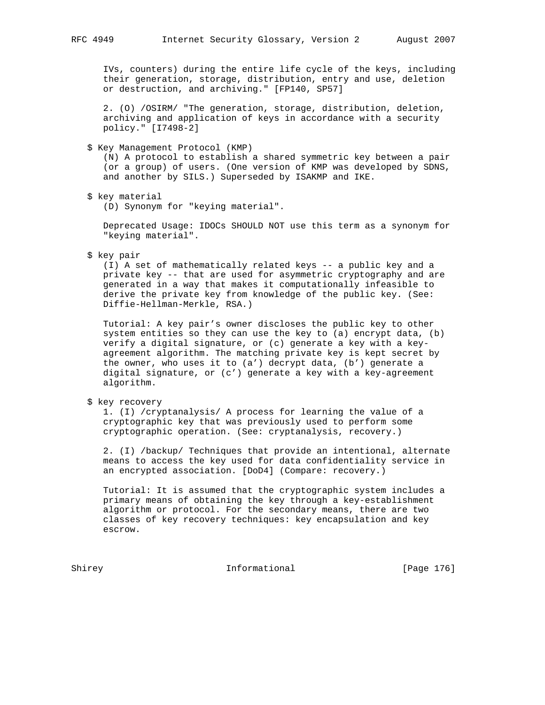IVs, counters) during the entire life cycle of the keys, including their generation, storage, distribution, entry and use, deletion or destruction, and archiving." [FP140, SP57]

 2. (O) /OSIRM/ "The generation, storage, distribution, deletion, archiving and application of keys in accordance with a security policy." [I7498-2]

\$ Key Management Protocol (KMP)

 (N) A protocol to establish a shared symmetric key between a pair (or a group) of users. (One version of KMP was developed by SDNS, and another by SILS.) Superseded by ISAKMP and IKE.

\$ key material

(D) Synonym for "keying material".

 Deprecated Usage: IDOCs SHOULD NOT use this term as a synonym for "keying material".

\$ key pair

 (I) A set of mathematically related keys -- a public key and a private key -- that are used for asymmetric cryptography and are generated in a way that makes it computationally infeasible to derive the private key from knowledge of the public key. (See: Diffie-Hellman-Merkle, RSA.)

 Tutorial: A key pair's owner discloses the public key to other system entities so they can use the key to (a) encrypt data, (b) verify a digital signature, or (c) generate a key with a key agreement algorithm. The matching private key is kept secret by the owner, who uses it to (a') decrypt data, (b') generate a digital signature, or (c') generate a key with a key-agreement algorithm.

\$ key recovery

 1. (I) /cryptanalysis/ A process for learning the value of a cryptographic key that was previously used to perform some cryptographic operation. (See: cryptanalysis, recovery.)

 2. (I) /backup/ Techniques that provide an intentional, alternate means to access the key used for data confidentiality service in an encrypted association. [DoD4] (Compare: recovery.)

 Tutorial: It is assumed that the cryptographic system includes a primary means of obtaining the key through a key-establishment algorithm or protocol. For the secondary means, there are two classes of key recovery techniques: key encapsulation and key escrow.

Shirey **Informational** [Page 176]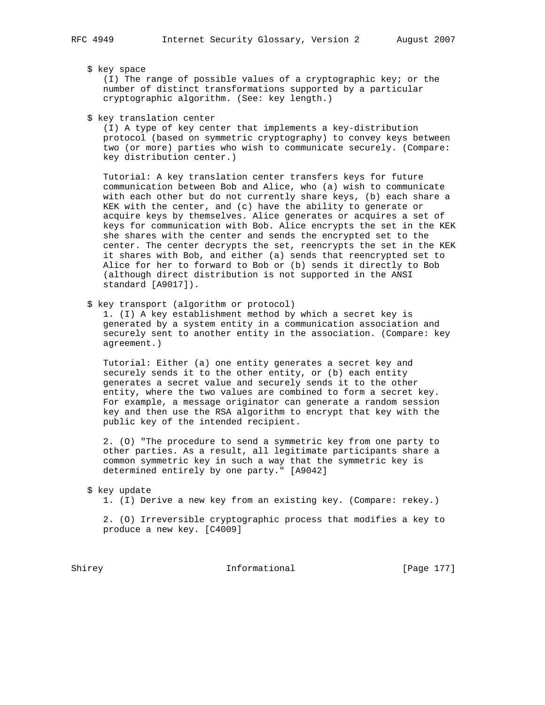\$ key space

 (I) The range of possible values of a cryptographic key; or the number of distinct transformations supported by a particular cryptographic algorithm. (See: key length.)

\$ key translation center

 (I) A type of key center that implements a key-distribution protocol (based on symmetric cryptography) to convey keys between two (or more) parties who wish to communicate securely. (Compare: key distribution center.)

 Tutorial: A key translation center transfers keys for future communication between Bob and Alice, who (a) wish to communicate with each other but do not currently share keys, (b) each share a KEK with the center, and (c) have the ability to generate or acquire keys by themselves. Alice generates or acquires a set of keys for communication with Bob. Alice encrypts the set in the KEK she shares with the center and sends the encrypted set to the center. The center decrypts the set, reencrypts the set in the KEK it shares with Bob, and either (a) sends that reencrypted set to Alice for her to forward to Bob or (b) sends it directly to Bob (although direct distribution is not supported in the ANSI standard [A9017]).

\$ key transport (algorithm or protocol)

 1. (I) A key establishment method by which a secret key is generated by a system entity in a communication association and securely sent to another entity in the association. (Compare: key agreement.)

 Tutorial: Either (a) one entity generates a secret key and securely sends it to the other entity, or (b) each entity generates a secret value and securely sends it to the other entity, where the two values are combined to form a secret key. For example, a message originator can generate a random session key and then use the RSA algorithm to encrypt that key with the public key of the intended recipient.

 2. (O) "The procedure to send a symmetric key from one party to other parties. As a result, all legitimate participants share a common symmetric key in such a way that the symmetric key is determined entirely by one party." [A9042]

- \$ key update
	- 1. (I) Derive a new key from an existing key. (Compare: rekey.)

 2. (O) Irreversible cryptographic process that modifies a key to produce a new key. [C4009]

Shirey **Informational** [Page 177]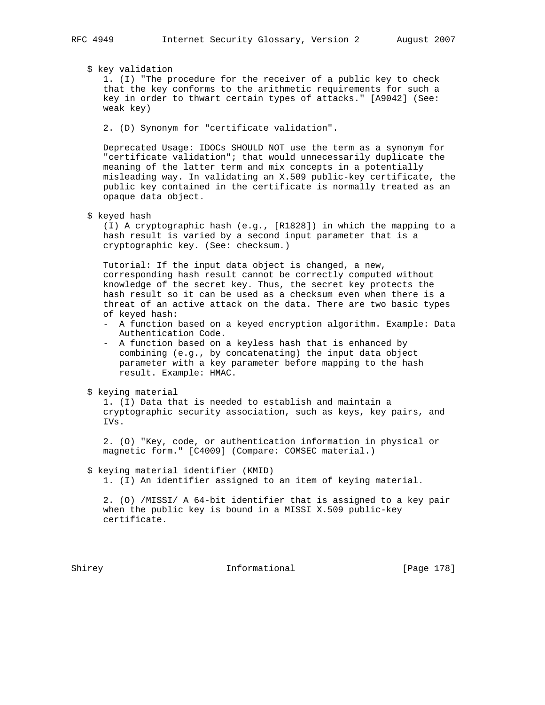\$ key validation

 1. (I) "The procedure for the receiver of a public key to check that the key conforms to the arithmetic requirements for such a key in order to thwart certain types of attacks." [A9042] (See: weak key)

2. (D) Synonym for "certificate validation".

 Deprecated Usage: IDOCs SHOULD NOT use the term as a synonym for "certificate validation"; that would unnecessarily duplicate the meaning of the latter term and mix concepts in a potentially misleading way. In validating an X.509 public-key certificate, the public key contained in the certificate is normally treated as an opaque data object.

\$ keyed hash

 (I) A cryptographic hash (e.g., [R1828]) in which the mapping to a hash result is varied by a second input parameter that is a cryptographic key. (See: checksum.)

 Tutorial: If the input data object is changed, a new, corresponding hash result cannot be correctly computed without knowledge of the secret key. Thus, the secret key protects the hash result so it can be used as a checksum even when there is a threat of an active attack on the data. There are two basic types of keyed hash:

- A function based on a keyed encryption algorithm. Example: Data Authentication Code.
- A function based on a keyless hash that is enhanced by combining (e.g., by concatenating) the input data object parameter with a key parameter before mapping to the hash result. Example: HMAC.
- \$ keying material

 1. (I) Data that is needed to establish and maintain a cryptographic security association, such as keys, key pairs, and IVs.

 2. (O) "Key, code, or authentication information in physical or magnetic form." [C4009] (Compare: COMSEC material.)

# \$ keying material identifier (KMID)

1. (I) An identifier assigned to an item of keying material.

 2. (O) /MISSI/ A 64-bit identifier that is assigned to a key pair when the public key is bound in a MISSI X.509 public-key certificate.

Shirey **Informational** [Page 178]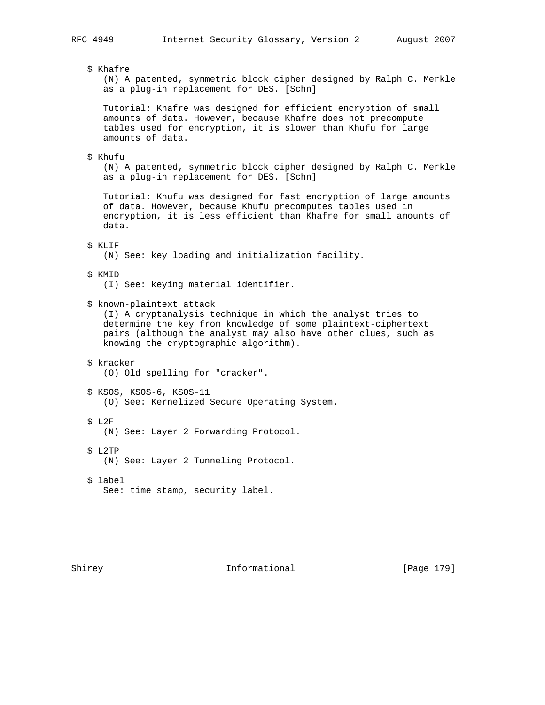\$ Khafre

 (N) A patented, symmetric block cipher designed by Ralph C. Merkle as a plug-in replacement for DES. [Schn]

 Tutorial: Khafre was designed for efficient encryption of small amounts of data. However, because Khafre does not precompute tables used for encryption, it is slower than Khufu for large amounts of data.

# \$ Khufu

 (N) A patented, symmetric block cipher designed by Ralph C. Merkle as a plug-in replacement for DES. [Schn]

 Tutorial: Khufu was designed for fast encryption of large amounts of data. However, because Khufu precomputes tables used in encryption, it is less efficient than Khafre for small amounts of data.

# \$ KLIF

(N) See: key loading and initialization facility.

# \$ KMID

(I) See: keying material identifier.

\$ known-plaintext attack

 (I) A cryptanalysis technique in which the analyst tries to determine the key from knowledge of some plaintext-ciphertext pairs (although the analyst may also have other clues, such as knowing the cryptographic algorithm).

- \$ kracker
	- (O) Old spelling for "cracker".
- \$ KSOS, KSOS-6, KSOS-11 (O) See: Kernelized Secure Operating System.
- \$ L2F
	- (N) See: Layer 2 Forwarding Protocol.
- \$ L2TP
	- (N) See: Layer 2 Tunneling Protocol.
- \$ label See: time stamp, security label.

Shirey **Informational** [Page 179]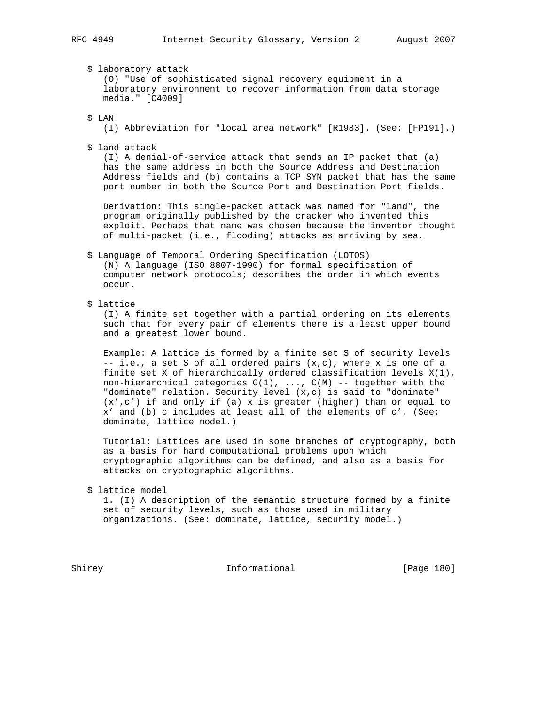\$ laboratory attack

 (O) "Use of sophisticated signal recovery equipment in a laboratory environment to recover information from data storage media." [C4009]

\$ LAN

(I) Abbreviation for "local area network" [R1983]. (See: [FP191].)

\$ land attack

 (I) A denial-of-service attack that sends an IP packet that (a) has the same address in both the Source Address and Destination Address fields and (b) contains a TCP SYN packet that has the same port number in both the Source Port and Destination Port fields.

 Derivation: This single-packet attack was named for "land", the program originally published by the cracker who invented this exploit. Perhaps that name was chosen because the inventor thought of multi-packet (i.e., flooding) attacks as arriving by sea.

 \$ Language of Temporal Ordering Specification (LOTOS) (N) A language (ISO 8807-1990) for formal specification of computer network protocols; describes the order in which events occur.

\$ lattice

 (I) A finite set together with a partial ordering on its elements such that for every pair of elements there is a least upper bound and a greatest lower bound.

 Example: A lattice is formed by a finite set S of security levels -- i.e., a set S of all ordered pairs (x,c), where x is one of a finite set X of hierarchically ordered classification levels  $X(1)$ , non-hierarchical categories  $C(1)$ , ...,  $C(M)$  -- together with the "dominate" relation. Security level (x,c) is said to "dominate" (x',c') if and only if (a) x is greater (higher) than or equal to x' and (b) c includes at least all of the elements of c'. (See: dominate, lattice model.)

 Tutorial: Lattices are used in some branches of cryptography, both as a basis for hard computational problems upon which cryptographic algorithms can be defined, and also as a basis for attacks on cryptographic algorithms.

\$ lattice model

 1. (I) A description of the semantic structure formed by a finite set of security levels, such as those used in military organizations. (See: dominate, lattice, security model.)

Shirey **Informational** [Page 180]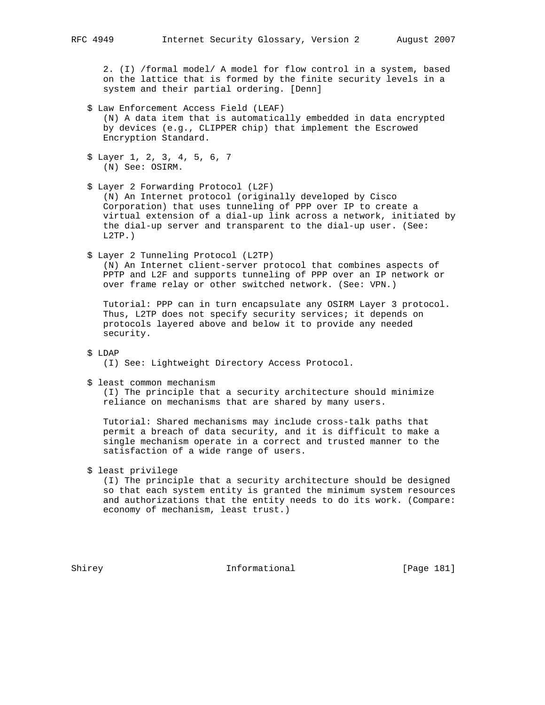2. (I) /formal model/ A model for flow control in a system, based on the lattice that is formed by the finite security levels in a system and their partial ordering. [Denn]

- \$ Law Enforcement Access Field (LEAF) (N) A data item that is automatically embedded in data encrypted by devices (e.g., CLIPPER chip) that implement the Escrowed Encryption Standard.
- \$ Layer 1, 2, 3, 4, 5, 6, 7 (N) See: OSIRM.
- \$ Layer 2 Forwarding Protocol (L2F) (N) An Internet protocol (originally developed by Cisco Corporation) that uses tunneling of PPP over IP to create a virtual extension of a dial-up link across a network, initiated by the dial-up server and transparent to the dial-up user. (See: L2TP.)
- \$ Layer 2 Tunneling Protocol (L2TP) (N) An Internet client-server protocol that combines aspects of PPTP and L2F and supports tunneling of PPP over an IP network or over frame relay or other switched network. (See: VPN.)

 Tutorial: PPP can in turn encapsulate any OSIRM Layer 3 protocol. Thus, L2TP does not specify security services; it depends on protocols layered above and below it to provide any needed security.

\$ LDAP

(I) See: Lightweight Directory Access Protocol.

\$ least common mechanism

 (I) The principle that a security architecture should minimize reliance on mechanisms that are shared by many users.

 Tutorial: Shared mechanisms may include cross-talk paths that permit a breach of data security, and it is difficult to make a single mechanism operate in a correct and trusted manner to the satisfaction of a wide range of users.

\$ least privilege

 (I) The principle that a security architecture should be designed so that each system entity is granted the minimum system resources and authorizations that the entity needs to do its work. (Compare: economy of mechanism, least trust.)

Shirey 1992 Informational The Informational [Page 181]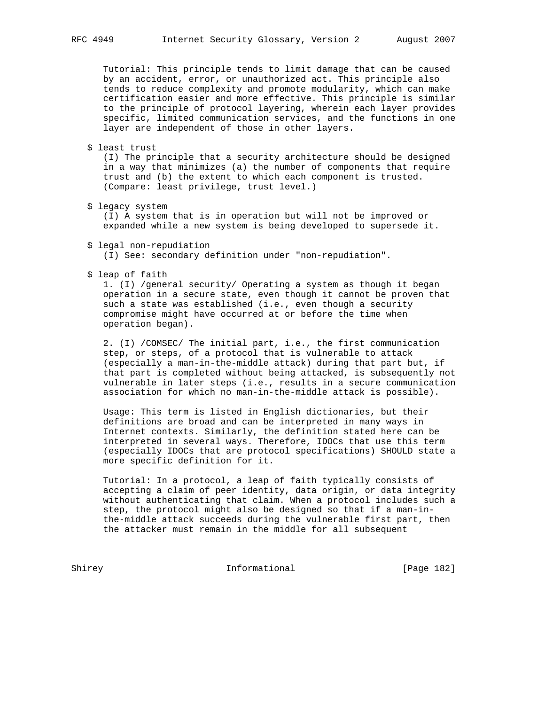Tutorial: This principle tends to limit damage that can be caused by an accident, error, or unauthorized act. This principle also tends to reduce complexity and promote modularity, which can make certification easier and more effective. This principle is similar to the principle of protocol layering, wherein each layer provides specific, limited communication services, and the functions in one layer are independent of those in other layers.

\$ least trust

 (I) The principle that a security architecture should be designed in a way that minimizes (a) the number of components that require trust and (b) the extent to which each component is trusted. (Compare: least privilege, trust level.)

\$ legacy system

 (I) A system that is in operation but will not be improved or expanded while a new system is being developed to supersede it.

\$ legal non-repudiation

(I) See: secondary definition under "non-repudiation".

\$ leap of faith

 1. (I) /general security/ Operating a system as though it began operation in a secure state, even though it cannot be proven that such a state was established (i.e., even though a security compromise might have occurred at or before the time when operation began).

 2. (I) /COMSEC/ The initial part, i.e., the first communication step, or steps, of a protocol that is vulnerable to attack (especially a man-in-the-middle attack) during that part but, if that part is completed without being attacked, is subsequently not vulnerable in later steps (i.e., results in a secure communication association for which no man-in-the-middle attack is possible).

 Usage: This term is listed in English dictionaries, but their definitions are broad and can be interpreted in many ways in Internet contexts. Similarly, the definition stated here can be interpreted in several ways. Therefore, IDOCs that use this term (especially IDOCs that are protocol specifications) SHOULD state a more specific definition for it.

 Tutorial: In a protocol, a leap of faith typically consists of accepting a claim of peer identity, data origin, or data integrity without authenticating that claim. When a protocol includes such a step, the protocol might also be designed so that if a man-in the-middle attack succeeds during the vulnerable first part, then the attacker must remain in the middle for all subsequent

Shirey **Informational** [Page 182]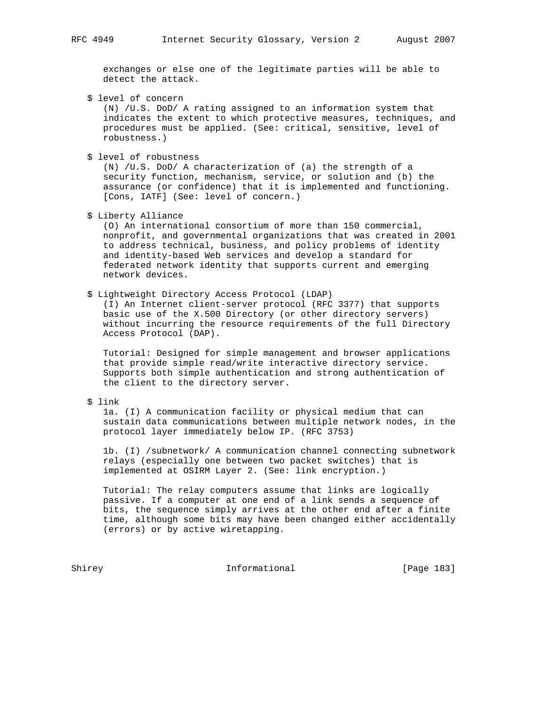exchanges or else one of the legitimate parties will be able to detect the attack.

\$ level of concern

 (N) /U.S. DoD/ A rating assigned to an information system that indicates the extent to which protective measures, techniques, and procedures must be applied. (See: critical, sensitive, level of robustness.)

\$ level of robustness

 (N) /U.S. DoD/ A characterization of (a) the strength of a security function, mechanism, service, or solution and (b) the assurance (or confidence) that it is implemented and functioning. [Cons, IATF] (See: level of concern.)

\$ Liberty Alliance

 (O) An international consortium of more than 150 commercial, nonprofit, and governmental organizations that was created in 2001 to address technical, business, and policy problems of identity and identity-based Web services and develop a standard for federated network identity that supports current and emerging network devices.

\$ Lightweight Directory Access Protocol (LDAP)

 (I) An Internet client-server protocol (RFC 3377) that supports basic use of the X.500 Directory (or other directory servers) without incurring the resource requirements of the full Directory Access Protocol (DAP).

 Tutorial: Designed for simple management and browser applications that provide simple read/write interactive directory service. Supports both simple authentication and strong authentication of the client to the directory server.

\$ link

 1a. (I) A communication facility or physical medium that can sustain data communications between multiple network nodes, in the protocol layer immediately below IP. (RFC 3753)

 1b. (I) /subnetwork/ A communication channel connecting subnetwork relays (especially one between two packet switches) that is implemented at OSIRM Layer 2. (See: link encryption.)

 Tutorial: The relay computers assume that links are logically passive. If a computer at one end of a link sends a sequence of bits, the sequence simply arrives at the other end after a finite time, although some bits may have been changed either accidentally (errors) or by active wiretapping.

Shirey **Informational** [Page 183]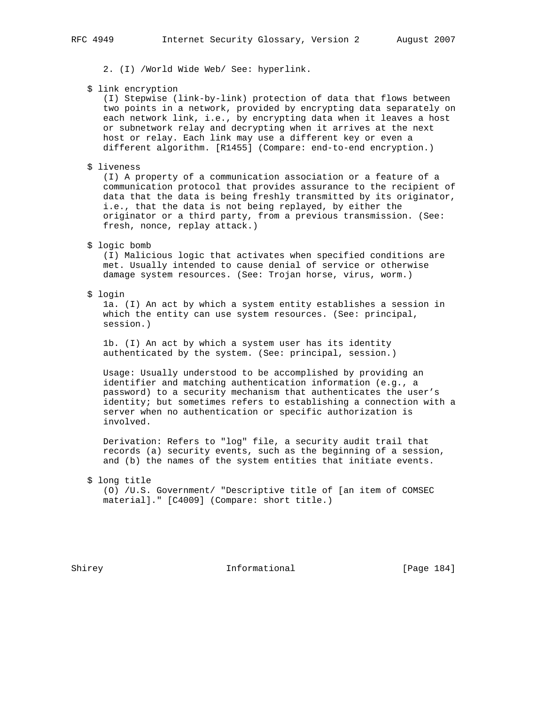2. (I) /World Wide Web/ See: hyperlink.

\$ link encryption

 (I) Stepwise (link-by-link) protection of data that flows between two points in a network, provided by encrypting data separately on each network link, i.e., by encrypting data when it leaves a host or subnetwork relay and decrypting when it arrives at the next host or relay. Each link may use a different key or even a different algorithm. [R1455] (Compare: end-to-end encryption.)

\$ liveness

 (I) A property of a communication association or a feature of a communication protocol that provides assurance to the recipient of data that the data is being freshly transmitted by its originator, i.e., that the data is not being replayed, by either the originator or a third party, from a previous transmission. (See: fresh, nonce, replay attack.)

# \$ logic bomb

 (I) Malicious logic that activates when specified conditions are met. Usually intended to cause denial of service or otherwise damage system resources. (See: Trojan horse, virus, worm.)

\$ login

 1a. (I) An act by which a system entity establishes a session in which the entity can use system resources. (See: principal, session.)

 1b. (I) An act by which a system user has its identity authenticated by the system. (See: principal, session.)

 Usage: Usually understood to be accomplished by providing an identifier and matching authentication information (e.g., a password) to a security mechanism that authenticates the user's identity; but sometimes refers to establishing a connection with a server when no authentication or specific authorization is involved.

 Derivation: Refers to "log" file, a security audit trail that records (a) security events, such as the beginning of a session, and (b) the names of the system entities that initiate events.

### \$ long title

 (O) /U.S. Government/ "Descriptive title of [an item of COMSEC material]." [C4009] (Compare: short title.)

Shirey **Informational** [Page 184]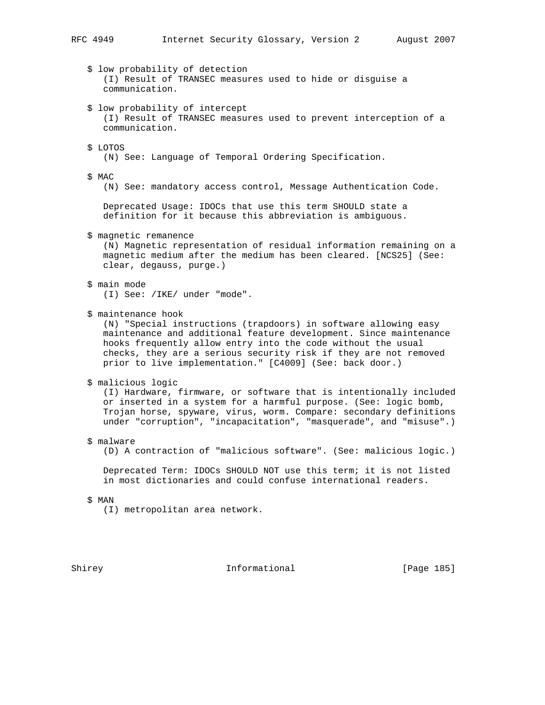# RFC 4949 Internet Security Glossary, Version 2 August 2007

 \$ low probability of detection (I) Result of TRANSEC measures used to hide or disguise a communication. \$ low probability of intercept (I) Result of TRANSEC measures used to prevent interception of a communication. \$ LOTOS (N) See: Language of Temporal Ordering Specification. \$ MAC (N) See: mandatory access control, Message Authentication Code. Deprecated Usage: IDOCs that use this term SHOULD state a definition for it because this abbreviation is ambiguous. \$ magnetic remanence (N) Magnetic representation of residual information remaining on a magnetic medium after the medium has been cleared. [NCS25] (See: clear, degauss, purge.) \$ main mode (I) See: /IKE/ under "mode". \$ maintenance hook (N) "Special instructions (trapdoors) in software allowing easy maintenance and additional feature development. Since maintenance hooks frequently allow entry into the code without the usual checks, they are a serious security risk if they are not removed prior to live implementation." [C4009] (See: back door.) \$ malicious logic (I) Hardware, firmware, or software that is intentionally included or inserted in a system for a harmful purpose. (See: logic bomb, Trojan horse, spyware, virus, worm. Compare: secondary definitions under "corruption", "incapacitation", "masquerade", and "misuse".) \$ malware (D) A contraction of "malicious software". (See: malicious logic.) Deprecated Term: IDOCs SHOULD NOT use this term; it is not listed in most dictionaries and could confuse international readers. \$ MAN (I) metropolitan area network.

Shirey **Informational** [Page 185]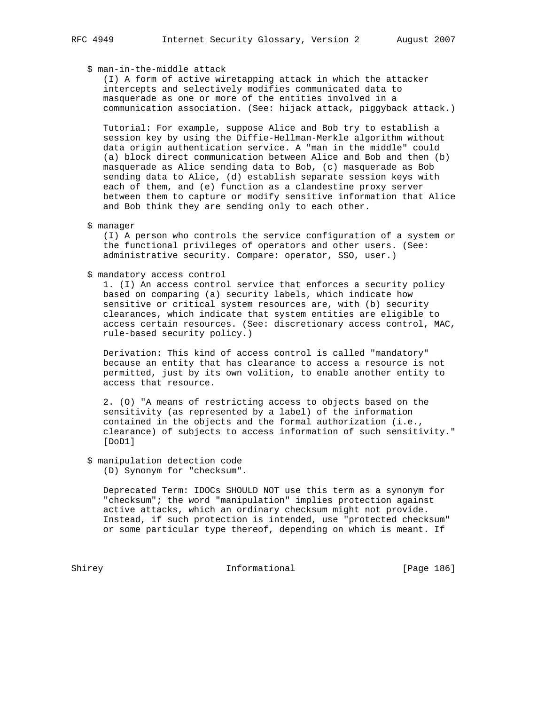# \$ man-in-the-middle attack

 (I) A form of active wiretapping attack in which the attacker intercepts and selectively modifies communicated data to masquerade as one or more of the entities involved in a communication association. (See: hijack attack, piggyback attack.)

 Tutorial: For example, suppose Alice and Bob try to establish a session key by using the Diffie-Hellman-Merkle algorithm without data origin authentication service. A "man in the middle" could (a) block direct communication between Alice and Bob and then (b) masquerade as Alice sending data to Bob, (c) masquerade as Bob sending data to Alice, (d) establish separate session keys with each of them, and (e) function as a clandestine proxy server between them to capture or modify sensitive information that Alice and Bob think they are sending only to each other.

#### \$ manager

 (I) A person who controls the service configuration of a system or the functional privileges of operators and other users. (See: administrative security. Compare: operator, SSO, user.)

# \$ mandatory access control

 1. (I) An access control service that enforces a security policy based on comparing (a) security labels, which indicate how sensitive or critical system resources are, with (b) security clearances, which indicate that system entities are eligible to access certain resources. (See: discretionary access control, MAC, rule-based security policy.)

 Derivation: This kind of access control is called "mandatory" because an entity that has clearance to access a resource is not permitted, just by its own volition, to enable another entity to access that resource.

 2. (O) "A means of restricting access to objects based on the sensitivity (as represented by a label) of the information contained in the objects and the formal authorization (i.e., clearance) of subjects to access information of such sensitivity." [DoD1]

# \$ manipulation detection code

(D) Synonym for "checksum".

 Deprecated Term: IDOCs SHOULD NOT use this term as a synonym for "checksum"; the word "manipulation" implies protection against active attacks, which an ordinary checksum might not provide. Instead, if such protection is intended, use "protected checksum" or some particular type thereof, depending on which is meant. If

Shirey **Informational** [Page 186]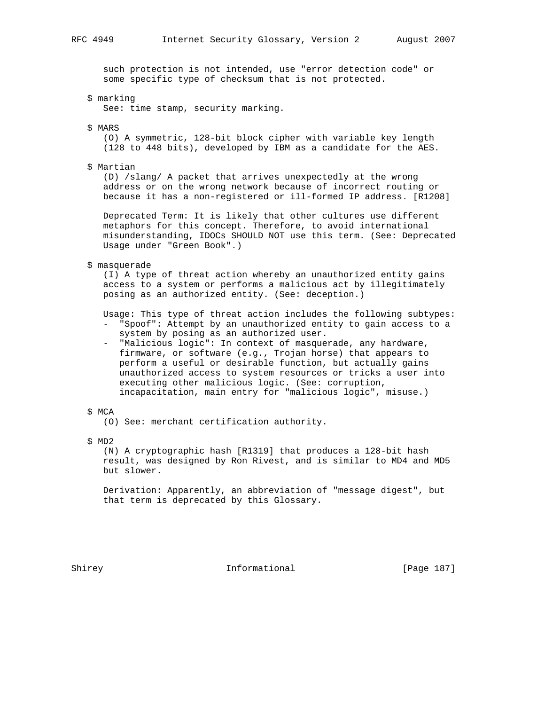such protection is not intended, use "error detection code" or some specific type of checksum that is not protected.

\$ marking

See: time stamp, security marking.

\$ MARS

 (O) A symmetric, 128-bit block cipher with variable key length (128 to 448 bits), developed by IBM as a candidate for the AES.

\$ Martian

 (D) /slang/ A packet that arrives unexpectedly at the wrong address or on the wrong network because of incorrect routing or because it has a non-registered or ill-formed IP address. [R1208]

 Deprecated Term: It is likely that other cultures use different metaphors for this concept. Therefore, to avoid international misunderstanding, IDOCs SHOULD NOT use this term. (See: Deprecated Usage under "Green Book".)

\$ masquerade

 (I) A type of threat action whereby an unauthorized entity gains access to a system or performs a malicious act by illegitimately posing as an authorized entity. (See: deception.)

 Usage: This type of threat action includes the following subtypes: - "Spoof": Attempt by an unauthorized entity to gain access to a system by posing as an authorized user.

- "Malicious logic": In context of masquerade, any hardware, firmware, or software (e.g., Trojan horse) that appears to perform a useful or desirable function, but actually gains unauthorized access to system resources or tricks a user into executing other malicious logic. (See: corruption, incapacitation, main entry for "malicious logic", misuse.)
- \$ MCA

(O) See: merchant certification authority.

\$ MD2

 (N) A cryptographic hash [R1319] that produces a 128-bit hash result, was designed by Ron Rivest, and is similar to MD4 and MD5 but slower.

 Derivation: Apparently, an abbreviation of "message digest", but that term is deprecated by this Glossary.

Shirey **Informational** [Page 187]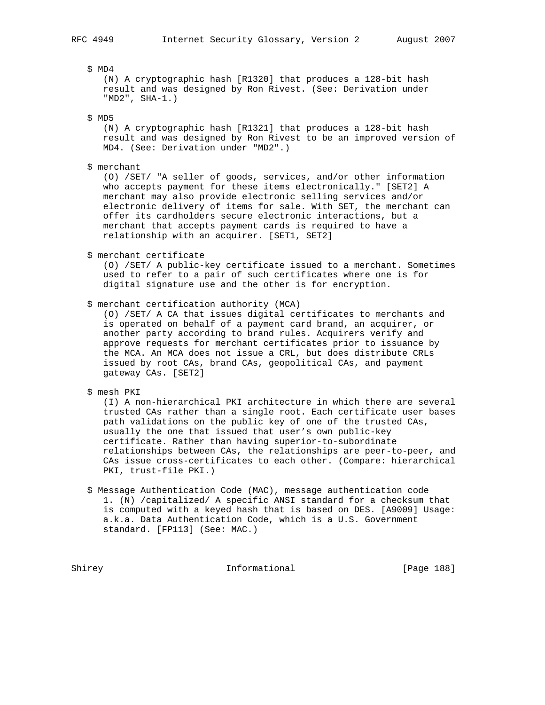\$ MD4

 (N) A cryptographic hash [R1320] that produces a 128-bit hash result and was designed by Ron Rivest. (See: Derivation under "MD2", SHA-1.)

\$ MD5

 (N) A cryptographic hash [R1321] that produces a 128-bit hash result and was designed by Ron Rivest to be an improved version of MD4. (See: Derivation under "MD2".)

\$ merchant

 (O) /SET/ "A seller of goods, services, and/or other information who accepts payment for these items electronically." [SET2] A merchant may also provide electronic selling services and/or electronic delivery of items for sale. With SET, the merchant can offer its cardholders secure electronic interactions, but a merchant that accepts payment cards is required to have a relationship with an acquirer. [SET1, SET2]

\$ merchant certificate

 (O) /SET/ A public-key certificate issued to a merchant. Sometimes used to refer to a pair of such certificates where one is for digital signature use and the other is for encryption.

\$ merchant certification authority (MCA)

 (O) /SET/ A CA that issues digital certificates to merchants and is operated on behalf of a payment card brand, an acquirer, or another party according to brand rules. Acquirers verify and approve requests for merchant certificates prior to issuance by the MCA. An MCA does not issue a CRL, but does distribute CRLs issued by root CAs, brand CAs, geopolitical CAs, and payment gateway CAs. [SET2]

\$ mesh PKI

 (I) A non-hierarchical PKI architecture in which there are several trusted CAs rather than a single root. Each certificate user bases path validations on the public key of one of the trusted CAs, usually the one that issued that user's own public-key certificate. Rather than having superior-to-subordinate relationships between CAs, the relationships are peer-to-peer, and CAs issue cross-certificates to each other. (Compare: hierarchical PKI, trust-file PKI.)

 \$ Message Authentication Code (MAC), message authentication code 1. (N) /capitalized/ A specific ANSI standard for a checksum that is computed with a keyed hash that is based on DES. [A9009] Usage: a.k.a. Data Authentication Code, which is a U.S. Government standard. [FP113] (See: MAC.)

Shirey **Informational** [Page 188]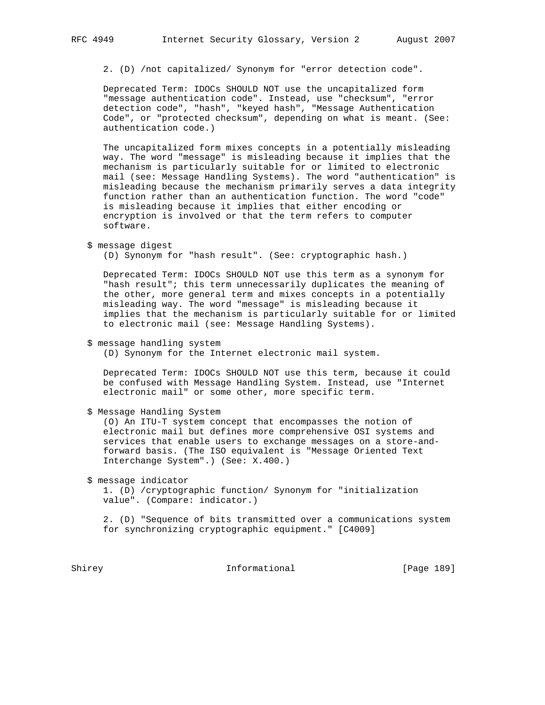2. (D) /not capitalized/ Synonym for "error detection code".

 Deprecated Term: IDOCs SHOULD NOT use the uncapitalized form "message authentication code". Instead, use "checksum", "error detection code", "hash", "keyed hash", "Message Authentication Code", or "protected checksum", depending on what is meant. (See: authentication code.)

 The uncapitalized form mixes concepts in a potentially misleading way. The word "message" is misleading because it implies that the mechanism is particularly suitable for or limited to electronic mail (see: Message Handling Systems). The word "authentication" is misleading because the mechanism primarily serves a data integrity function rather than an authentication function. The word "code" is misleading because it implies that either encoding or encryption is involved or that the term refers to computer software.

\$ message digest

(D) Synonym for "hash result". (See: cryptographic hash.)

 Deprecated Term: IDOCs SHOULD NOT use this term as a synonym for "hash result"; this term unnecessarily duplicates the meaning of the other, more general term and mixes concepts in a potentially misleading way. The word "message" is misleading because it implies that the mechanism is particularly suitable for or limited to electronic mail (see: Message Handling Systems).

\$ message handling system

(D) Synonym for the Internet electronic mail system.

 Deprecated Term: IDOCs SHOULD NOT use this term, because it could be confused with Message Handling System. Instead, use "Internet electronic mail" or some other, more specific term.

\$ Message Handling System

 (O) An ITU-T system concept that encompasses the notion of electronic mail but defines more comprehensive OSI systems and services that enable users to exchange messages on a store-and forward basis. (The ISO equivalent is "Message Oriented Text Interchange System".) (See: X.400.)

\$ message indicator

 1. (D) /cryptographic function/ Synonym for "initialization value". (Compare: indicator.)

 2. (D) "Sequence of bits transmitted over a communications system for synchronizing cryptographic equipment." [C4009]

Shirey Informational [Page 189]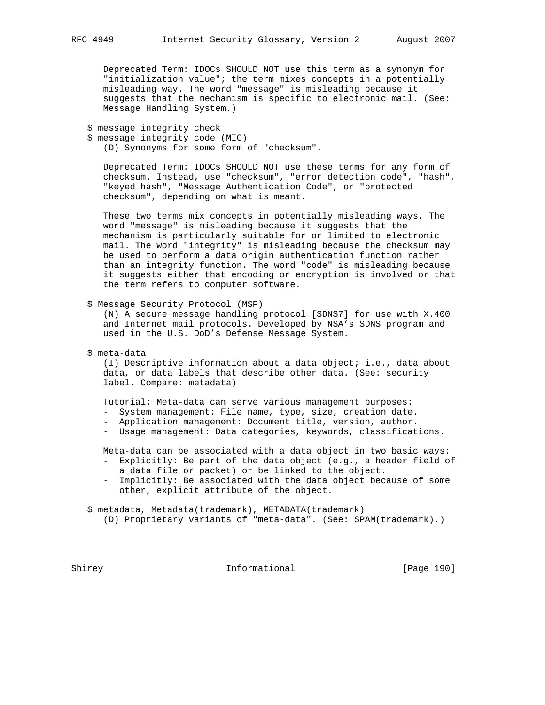Deprecated Term: IDOCs SHOULD NOT use this term as a synonym for "initialization value"; the term mixes concepts in a potentially misleading way. The word "message" is misleading because it suggests that the mechanism is specific to electronic mail. (See: Message Handling System.)

\$ message integrity check

 \$ message integrity code (MIC) (D) Synonyms for some form of "checksum".

 Deprecated Term: IDOCs SHOULD NOT use these terms for any form of checksum. Instead, use "checksum", "error detection code", "hash", "keyed hash", "Message Authentication Code", or "protected checksum", depending on what is meant.

 These two terms mix concepts in potentially misleading ways. The word "message" is misleading because it suggests that the mechanism is particularly suitable for or limited to electronic mail. The word "integrity" is misleading because the checksum may be used to perform a data origin authentication function rather than an integrity function. The word "code" is misleading because it suggests either that encoding or encryption is involved or that the term refers to computer software.

\$ Message Security Protocol (MSP)

 (N) A secure message handling protocol [SDNS7] for use with X.400 and Internet mail protocols. Developed by NSA's SDNS program and used in the U.S. DoD's Defense Message System.

\$ meta-data

 (I) Descriptive information about a data object; i.e., data about data, or data labels that describe other data. (See: security label. Compare: metadata)

Tutorial: Meta-data can serve various management purposes:

- System management: File name, type, size, creation date.
- Application management: Document title, version, author.
- Usage management: Data categories, keywords, classifications.

Meta-data can be associated with a data object in two basic ways:

- Explicitly: Be part of the data object (e.g., a header field of a data file or packet) or be linked to the object.
- Implicitly: Be associated with the data object because of some other, explicit attribute of the object.

\$ metadata, Metadata(trademark), METADATA(trademark)

(D) Proprietary variants of "meta-data". (See: SPAM(trademark).)

Shirey **Informational** [Page 190]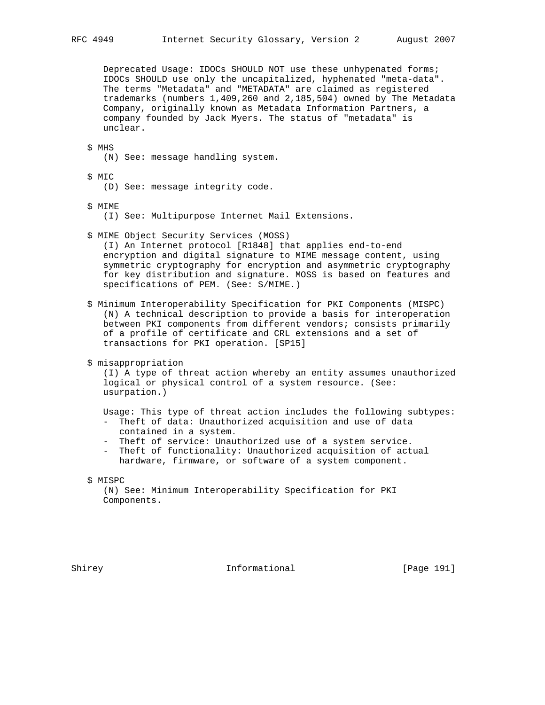Deprecated Usage: IDOCs SHOULD NOT use these unhypenated forms; IDOCs SHOULD use only the uncapitalized, hyphenated "meta-data". The terms "Metadata" and "METADATA" are claimed as registered trademarks (numbers 1,409,260 and 2,185,504) owned by The Metadata Company, originally known as Metadata Information Partners, a company founded by Jack Myers. The status of "metadata" is unclear.

 \$ MHS (N) See: message handling system.

\$ MIC

(D) See: message integrity code.

\$ MIME

(I) See: Multipurpose Internet Mail Extensions.

\$ MIME Object Security Services (MOSS)

 (I) An Internet protocol [R1848] that applies end-to-end encryption and digital signature to MIME message content, using symmetric cryptography for encryption and asymmetric cryptography for key distribution and signature. MOSS is based on features and specifications of PEM. (See: S/MIME.)

 \$ Minimum Interoperability Specification for PKI Components (MISPC) (N) A technical description to provide a basis for interoperation between PKI components from different vendors; consists primarily of a profile of certificate and CRL extensions and a set of transactions for PKI operation. [SP15]

\$ misappropriation

 (I) A type of threat action whereby an entity assumes unauthorized logical or physical control of a system resource. (See: usurpation.)

 Usage: This type of threat action includes the following subtypes: - Theft of data: Unauthorized acquisition and use of data

- contained in a system.
- Theft of service: Unauthorized use of a system service.
- Theft of functionality: Unauthorized acquisition of actual hardware, firmware, or software of a system component.

 (N) See: Minimum Interoperability Specification for PKI Components.

Shirey 1911 Informational [Page 191]

 <sup>\$</sup> MISPC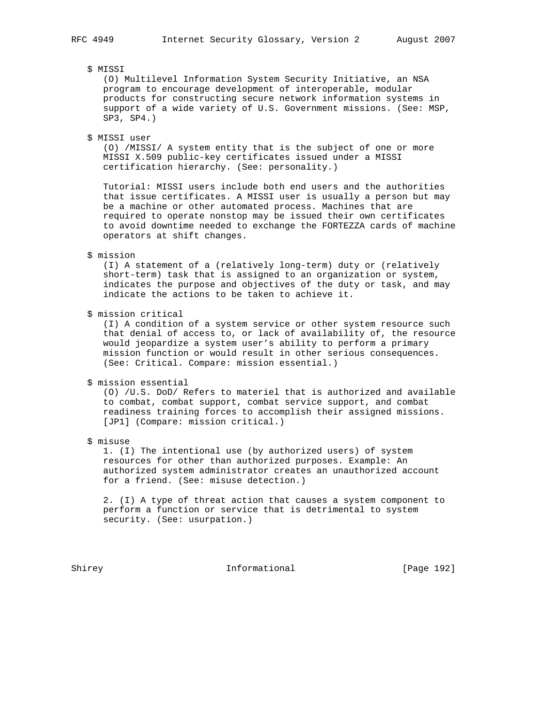# \$ MISSI

 (O) Multilevel Information System Security Initiative, an NSA program to encourage development of interoperable, modular products for constructing secure network information systems in support of a wide variety of U.S. Government missions. (See: MSP, SP3, SP4.)

# \$ MISSI user

 (O) /MISSI/ A system entity that is the subject of one or more MISSI X.509 public-key certificates issued under a MISSI certification hierarchy. (See: personality.)

 Tutorial: MISSI users include both end users and the authorities that issue certificates. A MISSI user is usually a person but may be a machine or other automated process. Machines that are required to operate nonstop may be issued their own certificates to avoid downtime needed to exchange the FORTEZZA cards of machine operators at shift changes.

### \$ mission

 (I) A statement of a (relatively long-term) duty or (relatively short-term) task that is assigned to an organization or system, indicates the purpose and objectives of the duty or task, and may indicate the actions to be taken to achieve it.

\$ mission critical

 (I) A condition of a system service or other system resource such that denial of access to, or lack of availability of, the resource would jeopardize a system user's ability to perform a primary mission function or would result in other serious consequences. (See: Critical. Compare: mission essential.)

#### \$ mission essential

 (O) /U.S. DoD/ Refers to materiel that is authorized and available to combat, combat support, combat service support, and combat readiness training forces to accomplish their assigned missions. [JP1] (Compare: mission critical.)

\$ misuse

 1. (I) The intentional use (by authorized users) of system resources for other than authorized purposes. Example: An authorized system administrator creates an unauthorized account for a friend. (See: misuse detection.)

 2. (I) A type of threat action that causes a system component to perform a function or service that is detrimental to system security. (See: usurpation.)

Shirey **Informational** [Page 192]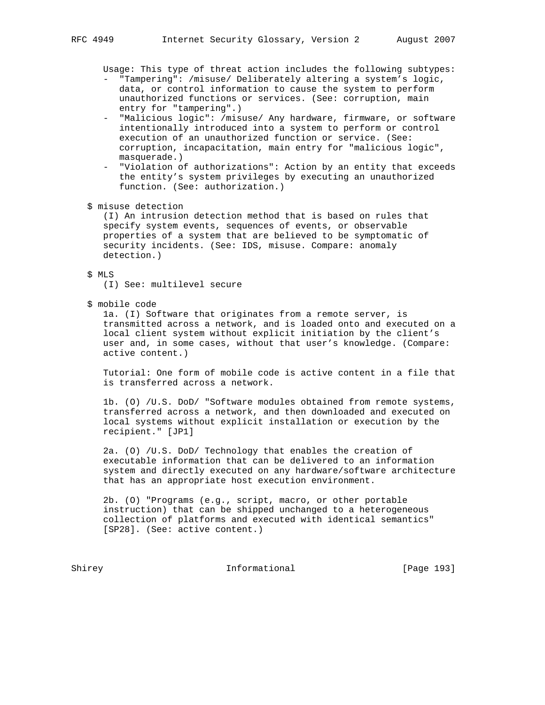Usage: This type of threat action includes the following subtypes:

- "Tampering": /misuse/ Deliberately altering a system's logic, data, or control information to cause the system to perform unauthorized functions or services. (See: corruption, main entry for "tampering".)
- "Malicious logic": /misuse/ Any hardware, firmware, or software intentionally introduced into a system to perform or control execution of an unauthorized function or service. (See: corruption, incapacitation, main entry for "malicious logic", masquerade.)
- "Violation of authorizations": Action by an entity that exceeds the entity's system privileges by executing an unauthorized function. (See: authorization.)
- \$ misuse detection

 (I) An intrusion detection method that is based on rules that specify system events, sequences of events, or observable properties of a system that are believed to be symptomatic of security incidents. (See: IDS, misuse. Compare: anomaly detection.)

# \$ MLS

(I) See: multilevel secure

\$ mobile code

 1a. (I) Software that originates from a remote server, is transmitted across a network, and is loaded onto and executed on a local client system without explicit initiation by the client's user and, in some cases, without that user's knowledge. (Compare: active content.)

 Tutorial: One form of mobile code is active content in a file that is transferred across a network.

 1b. (O) /U.S. DoD/ "Software modules obtained from remote systems, transferred across a network, and then downloaded and executed on local systems without explicit installation or execution by the recipient." [JP1]

 2a. (O) /U.S. DoD/ Technology that enables the creation of executable information that can be delivered to an information system and directly executed on any hardware/software architecture that has an appropriate host execution environment.

 2b. (O) "Programs (e.g., script, macro, or other portable instruction) that can be shipped unchanged to a heterogeneous collection of platforms and executed with identical semantics" [SP28]. (See: active content.)

Shirey **Informational** [Page 193]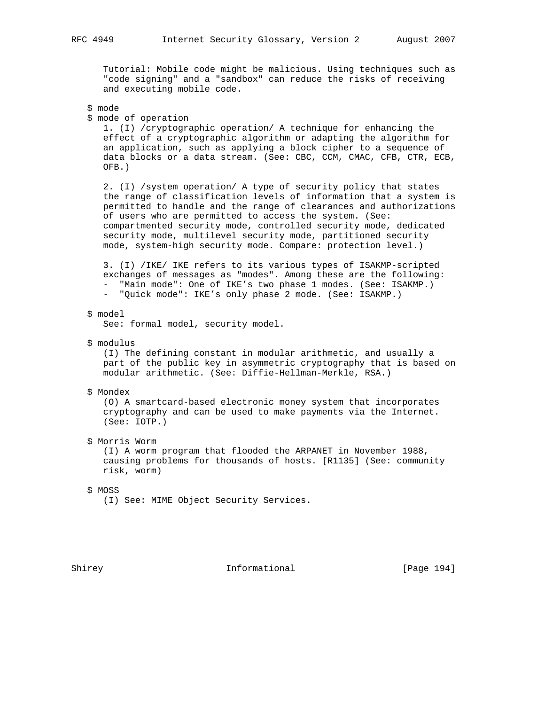Tutorial: Mobile code might be malicious. Using techniques such as "code signing" and a "sandbox" can reduce the risks of receiving and executing mobile code.

```
 $ mode
```
\$ mode of operation

 1. (I) /cryptographic operation/ A technique for enhancing the effect of a cryptographic algorithm or adapting the algorithm for an application, such as applying a block cipher to a sequence of data blocks or a data stream. (See: CBC, CCM, CMAC, CFB, CTR, ECB, OFB.)

 2. (I) /system operation/ A type of security policy that states the range of classification levels of information that a system is permitted to handle and the range of clearances and authorizations of users who are permitted to access the system. (See: compartmented security mode, controlled security mode, dedicated security mode, multilevel security mode, partitioned security mode, system-high security mode. Compare: protection level.)

 3. (I) /IKE/ IKE refers to its various types of ISAKMP-scripted exchanges of messages as "modes". Among these are the following: - "Main mode": One of IKE's two phase 1 modes. (See: ISAKMP.) - "Quick mode": IKE's only phase 2 mode. (See: ISAKMP.)

\$ model

See: formal model, security model.

\$ modulus

 (I) The defining constant in modular arithmetic, and usually a part of the public key in asymmetric cryptography that is based on modular arithmetic. (See: Diffie-Hellman-Merkle, RSA.)

#### \$ Mondex

 (O) A smartcard-based electronic money system that incorporates cryptography and can be used to make payments via the Internet. (See: IOTP.)

\$ Morris Worm

 (I) A worm program that flooded the ARPANET in November 1988, causing problems for thousands of hosts. [R1135] (See: community risk, worm)

### \$ MOSS

(I) See: MIME Object Security Services.

Shirey **Informational** [Page 194]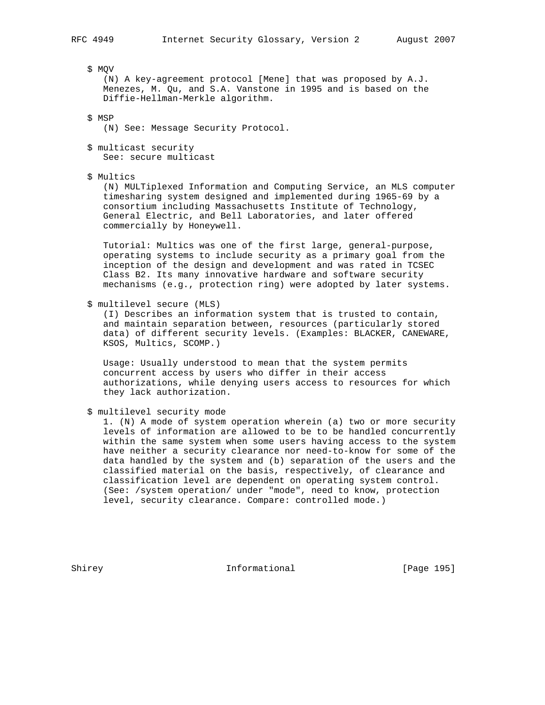\$ MQV

 (N) A key-agreement protocol [Mene] that was proposed by A.J. Menezes, M. Qu, and S.A. Vanstone in 1995 and is based on the Diffie-Hellman-Merkle algorithm.

\$ MSP

(N) See: Message Security Protocol.

- \$ multicast security See: secure multicast
- \$ Multics

 (N) MULTiplexed Information and Computing Service, an MLS computer timesharing system designed and implemented during 1965-69 by a consortium including Massachusetts Institute of Technology, General Electric, and Bell Laboratories, and later offered commercially by Honeywell.

 Tutorial: Multics was one of the first large, general-purpose, operating systems to include security as a primary goal from the inception of the design and development and was rated in TCSEC Class B2. Its many innovative hardware and software security mechanisms (e.g., protection ring) were adopted by later systems.

\$ multilevel secure (MLS)

 (I) Describes an information system that is trusted to contain, and maintain separation between, resources (particularly stored data) of different security levels. (Examples: BLACKER, CANEWARE, KSOS, Multics, SCOMP.)

 Usage: Usually understood to mean that the system permits concurrent access by users who differ in their access authorizations, while denying users access to resources for which they lack authorization.

\$ multilevel security mode

 1. (N) A mode of system operation wherein (a) two or more security levels of information are allowed to be to be handled concurrently within the same system when some users having access to the system have neither a security clearance nor need-to-know for some of the data handled by the system and (b) separation of the users and the classified material on the basis, respectively, of clearance and classification level are dependent on operating system control. (See: /system operation/ under "mode", need to know, protection level, security clearance. Compare: controlled mode.)

Shirey **Informational** [Page 195]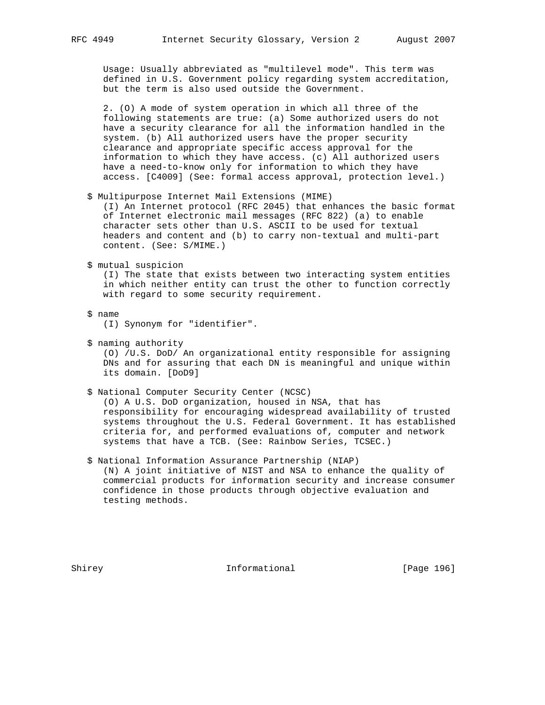Usage: Usually abbreviated as "multilevel mode". This term was defined in U.S. Government policy regarding system accreditation, but the term is also used outside the Government.

 2. (O) A mode of system operation in which all three of the following statements are true: (a) Some authorized users do not have a security clearance for all the information handled in the system. (b) All authorized users have the proper security clearance and appropriate specific access approval for the information to which they have access. (c) All authorized users have a need-to-know only for information to which they have access. [C4009] (See: formal access approval, protection level.)

\$ Multipurpose Internet Mail Extensions (MIME)

 (I) An Internet protocol (RFC 2045) that enhances the basic format of Internet electronic mail messages (RFC 822) (a) to enable character sets other than U.S. ASCII to be used for textual headers and content and (b) to carry non-textual and multi-part content. (See: S/MIME.)

\$ mutual suspicion

 (I) The state that exists between two interacting system entities in which neither entity can trust the other to function correctly with regard to some security requirement.

\$ name

(I) Synonym for "identifier".

\$ naming authority

 (O) /U.S. DoD/ An organizational entity responsible for assigning DNs and for assuring that each DN is meaningful and unique within its domain. [DoD9]

\$ National Computer Security Center (NCSC)

 (O) A U.S. DoD organization, housed in NSA, that has responsibility for encouraging widespread availability of trusted systems throughout the U.S. Federal Government. It has established criteria for, and performed evaluations of, computer and network systems that have a TCB. (See: Rainbow Series, TCSEC.)

 \$ National Information Assurance Partnership (NIAP) (N) A joint initiative of NIST and NSA to enhance the quality of commercial products for information security and increase consumer confidence in those products through objective evaluation and testing methods.

Shirey **Informational** [Page 196]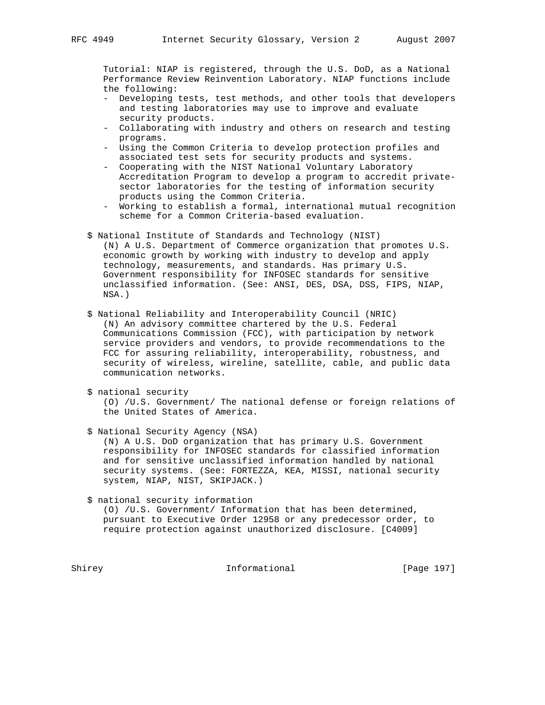Tutorial: NIAP is registered, through the U.S. DoD, as a National Performance Review Reinvention Laboratory. NIAP functions include the following:

- Developing tests, test methods, and other tools that developers and testing laboratories may use to improve and evaluate security products.
- Collaborating with industry and others on research and testing programs.
- Using the Common Criteria to develop protection profiles and associated test sets for security products and systems.
- Cooperating with the NIST National Voluntary Laboratory Accreditation Program to develop a program to accredit private sector laboratories for the testing of information security products using the Common Criteria.
- Working to establish a formal, international mutual recognition scheme for a Common Criteria-based evaluation.
- \$ National Institute of Standards and Technology (NIST) (N) A U.S. Department of Commerce organization that promotes U.S. economic growth by working with industry to develop and apply technology, measurements, and standards. Has primary U.S. Government responsibility for INFOSEC standards for sensitive unclassified information. (See: ANSI, DES, DSA, DSS, FIPS, NIAP, NSA.)
- \$ National Reliability and Interoperability Council (NRIC) (N) An advisory committee chartered by the U.S. Federal Communications Commission (FCC), with participation by network service providers and vendors, to provide recommendations to the FCC for assuring reliability, interoperability, robustness, and security of wireless, wireline, satellite, cable, and public data communication networks.

 (O) /U.S. Government/ The national defense or foreign relations of the United States of America.

\$ National Security Agency (NSA)

 (N) A U.S. DoD organization that has primary U.S. Government responsibility for INFOSEC standards for classified information and for sensitive unclassified information handled by national security systems. (See: FORTEZZA, KEA, MISSI, national security system, NIAP, NIST, SKIPJACK.)

\$ national security information

 (O) /U.S. Government/ Information that has been determined, pursuant to Executive Order 12958 or any predecessor order, to require protection against unauthorized disclosure. [C4009]

Shirey **Informational** [Page 197]

 <sup>\$</sup> national security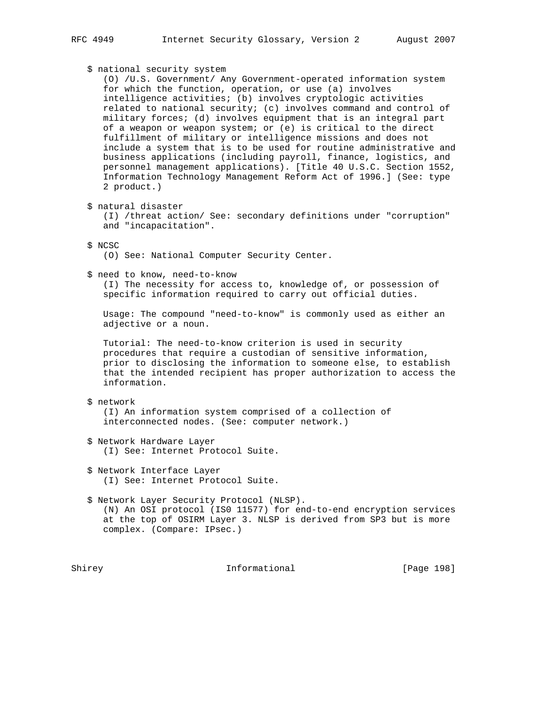# \$ national security system

 (O) /U.S. Government/ Any Government-operated information system for which the function, operation, or use (a) involves intelligence activities; (b) involves cryptologic activities related to national security; (c) involves command and control of military forces; (d) involves equipment that is an integral part of a weapon or weapon system; or (e) is critical to the direct fulfillment of military or intelligence missions and does not include a system that is to be used for routine administrative and business applications (including payroll, finance, logistics, and personnel management applications). [Title 40 U.S.C. Section 1552, Information Technology Management Reform Act of 1996.] (See: type 2 product.)

\$ natural disaster

 (I) /threat action/ See: secondary definitions under "corruption" and "incapacitation".

\$ NCSC

(O) See: National Computer Security Center.

\$ need to know, need-to-know

 (I) The necessity for access to, knowledge of, or possession of specific information required to carry out official duties.

 Usage: The compound "need-to-know" is commonly used as either an adjective or a noun.

 Tutorial: The need-to-know criterion is used in security procedures that require a custodian of sensitive information, prior to disclosing the information to someone else, to establish that the intended recipient has proper authorization to access the information.

# \$ network

 (I) An information system comprised of a collection of interconnected nodes. (See: computer network.)

- \$ Network Hardware Layer (I) See: Internet Protocol Suite.
- \$ Network Interface Layer (I) See: Internet Protocol Suite.
- \$ Network Layer Security Protocol (NLSP). (N) An OSI protocol (IS0 11577) for end-to-end encryption services at the top of OSIRM Layer 3. NLSP is derived from SP3 but is more complex. (Compare: IPsec.)

Shirey **Informational** [Page 198]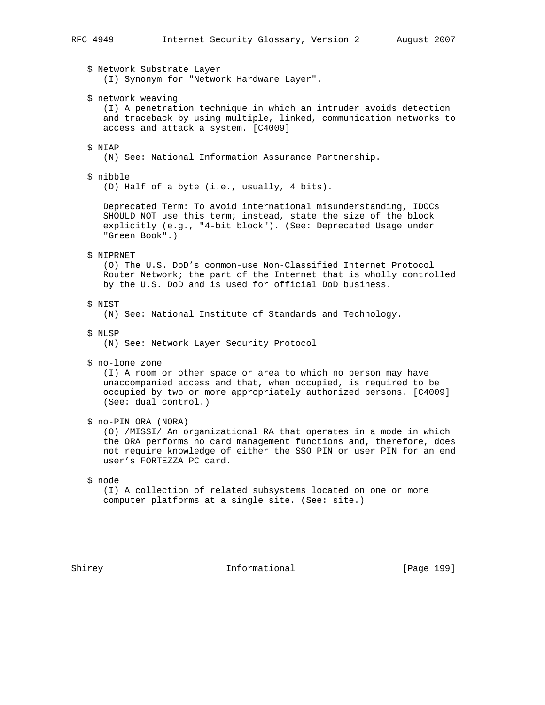\$ Network Substrate Layer (I) Synonym for "Network Hardware Layer". \$ network weaving (I) A penetration technique in which an intruder avoids detection and traceback by using multiple, linked, communication networks to access and attack a system. [C4009] \$ NIAP (N) See: National Information Assurance Partnership. \$ nibble (D) Half of a byte (i.e., usually, 4 bits). Deprecated Term: To avoid international misunderstanding, IDOCs SHOULD NOT use this term; instead, state the size of the block explicitly (e.g., "4-bit block"). (See: Deprecated Usage under "Green Book".) \$ NIPRNET (O) The U.S. DoD's common-use Non-Classified Internet Protocol Router Network; the part of the Internet that is wholly controlled by the U.S. DoD and is used for official DoD business. \$ NIST (N) See: National Institute of Standards and Technology. \$ NLSP (N) See: Network Layer Security Protocol \$ no-lone zone (I) A room or other space or area to which no person may have unaccompanied access and that, when occupied, is required to be occupied by two or more appropriately authorized persons. [C4009] (See: dual control.) \$ no-PIN ORA (NORA) (O) /MISSI/ An organizational RA that operates in a mode in which the ORA performs no card management functions and, therefore, does not require knowledge of either the SSO PIN or user PIN for an end user's FORTEZZA PC card. \$ node (I) A collection of related subsystems located on one or more computer platforms at a single site. (See: site.)

Shirey **Informational** [Page 199]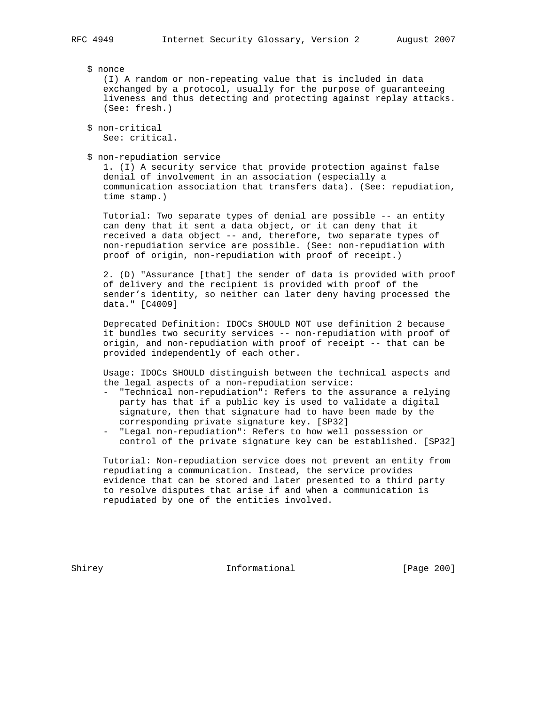\$ nonce (I) A random or non-repeating value that is included in data exchanged by a protocol, usually for the purpose of guaranteeing liveness and thus detecting and protecting against replay attacks. (See: fresh.)

```
 $ non-critical
See: critical.
```
\$ non-repudiation service

 1. (I) A security service that provide protection against false denial of involvement in an association (especially a communication association that transfers data). (See: repudiation, time stamp.)

 Tutorial: Two separate types of denial are possible -- an entity can deny that it sent a data object, or it can deny that it received a data object -- and, therefore, two separate types of non-repudiation service are possible. (See: non-repudiation with proof of origin, non-repudiation with proof of receipt.)

 2. (D) "Assurance [that] the sender of data is provided with proof of delivery and the recipient is provided with proof of the sender's identity, so neither can later deny having processed the data." [C4009]

 Deprecated Definition: IDOCs SHOULD NOT use definition 2 because it bundles two security services -- non-repudiation with proof of origin, and non-repudiation with proof of receipt -- that can be provided independently of each other.

 Usage: IDOCs SHOULD distinguish between the technical aspects and the legal aspects of a non-repudiation service:

- "Technical non-repudiation": Refers to the assurance a relying party has that if a public key is used to validate a digital signature, then that signature had to have been made by the corresponding private signature key. [SP32]
- "Legal non-repudiation": Refers to how well possession or control of the private signature key can be established. [SP32]

 Tutorial: Non-repudiation service does not prevent an entity from repudiating a communication. Instead, the service provides evidence that can be stored and later presented to a third party to resolve disputes that arise if and when a communication is repudiated by one of the entities involved.

Shirey **Informational** [Page 200]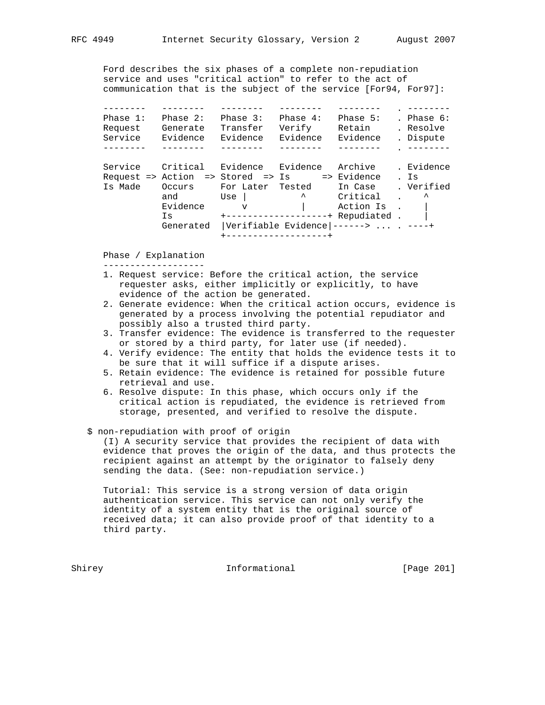Ford describes the six phases of a complete non-repudiation service and uses "critical action" to refer to the act of communication that is the subject of the service [For94, For97]:

| Phase $1$ :<br>Request | Phase $2:$<br>Generate                        | Phase 3:<br>Transfer | Phase $4:$<br>Verify | Phase $5:$<br>Retain                           | . Phase $6:$<br>. Resolve |
|------------------------|-----------------------------------------------|----------------------|----------------------|------------------------------------------------|---------------------------|
| Service                | Evidence                                      | Evidence             | Evidence             | Evidence                                       | . Dispute                 |
|                        |                                               |                      |                      |                                                |                           |
| Service                | Critical                                      | Evidence Evidence    |                      | Archive                                        | . Evidence                |
|                        | Request => Action => Stored => Is => Evidence |                      |                      |                                                | . Is                      |
| Is Made                | Occurs                                        | For Later Tested     |                      | In Case                                        | . Verified                |
|                        | and                                           | Use                  | $\lambda$            | Critical                                       | ᄉ                         |
|                        | Evidence                                      | $\overline{V}$       |                      | Action Is                                      |                           |
|                        | Τs                                            |                      |                      | +-------------------+ Repudiated .             |                           |
|                        | Generated                                     |                      |                      | $ Vert$ i verifiable Evidence $ -----$ . ----+ |                           |
|                        |                                               |                      | ---------------+     |                                                |                           |

Phase / Explanation

-------------------

- 1. Request service: Before the critical action, the service requester asks, either implicitly or explicitly, to have evidence of the action be generated.
- 2. Generate evidence: When the critical action occurs, evidence is generated by a process involving the potential repudiator and possibly also a trusted third party.
- 3. Transfer evidence: The evidence is transferred to the requester or stored by a third party, for later use (if needed).
- 4. Verify evidence: The entity that holds the evidence tests it to be sure that it will suffice if a dispute arises.
- 5. Retain evidence: The evidence is retained for possible future retrieval and use.
- 6. Resolve dispute: In this phase, which occurs only if the critical action is repudiated, the evidence is retrieved from storage, presented, and verified to resolve the dispute.
- \$ non-repudiation with proof of origin

 (I) A security service that provides the recipient of data with evidence that proves the origin of the data, and thus protects the recipient against an attempt by the originator to falsely deny sending the data. (See: non-repudiation service.)

 Tutorial: This service is a strong version of data origin authentication service. This service can not only verify the identity of a system entity that is the original source of received data; it can also provide proof of that identity to a third party.

Shirey **Informational** [Page 201]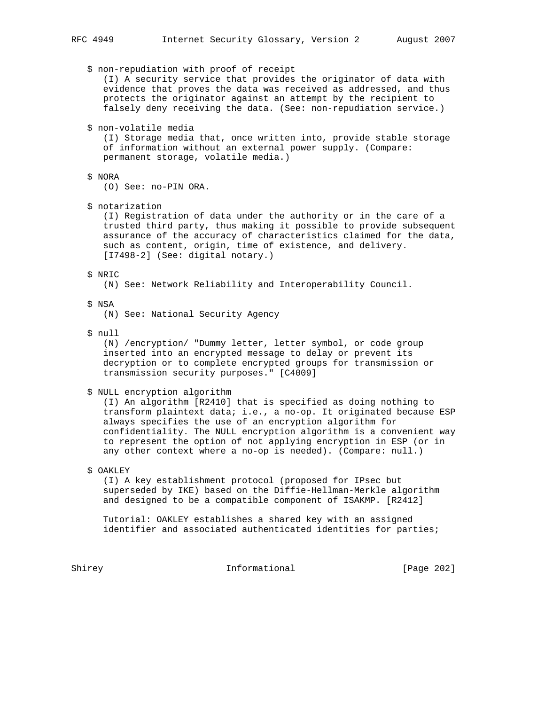\$ non-repudiation with proof of receipt (I) A security service that provides the originator of data with evidence that proves the data was received as addressed, and thus protects the originator against an attempt by the recipient to falsely deny receiving the data. (See: non-repudiation service.) \$ non-volatile media (I) Storage media that, once written into, provide stable storage of information without an external power supply. (Compare: permanent storage, volatile media.) \$ NORA (O) See: no-PIN ORA. \$ notarization (I) Registration of data under the authority or in the care of a trusted third party, thus making it possible to provide subsequent assurance of the accuracy of characteristics claimed for the data, such as content, origin, time of existence, and delivery. [I7498-2] (See: digital notary.) \$ NRIC (N) See: Network Reliability and Interoperability Council. \$ NSA (N) See: National Security Agency \$ null (N) /encryption/ "Dummy letter, letter symbol, or code group inserted into an encrypted message to delay or prevent its decryption or to complete encrypted groups for transmission or transmission security purposes." [C4009] \$ NULL encryption algorithm (I) An algorithm [R2410] that is specified as doing nothing to transform plaintext data; i.e., a no-op. It originated because ESP always specifies the use of an encryption algorithm for confidentiality. The NULL encryption algorithm is a convenient way

\$ OAKLEY

 (I) A key establishment protocol (proposed for IPsec but superseded by IKE) based on the Diffie-Hellman-Merkle algorithm and designed to be a compatible component of ISAKMP. [R2412]

 to represent the option of not applying encryption in ESP (or in any other context where a no-op is needed). (Compare: null.)

 Tutorial: OAKLEY establishes a shared key with an assigned identifier and associated authenticated identities for parties;

Shirey **Informational** [Page 202]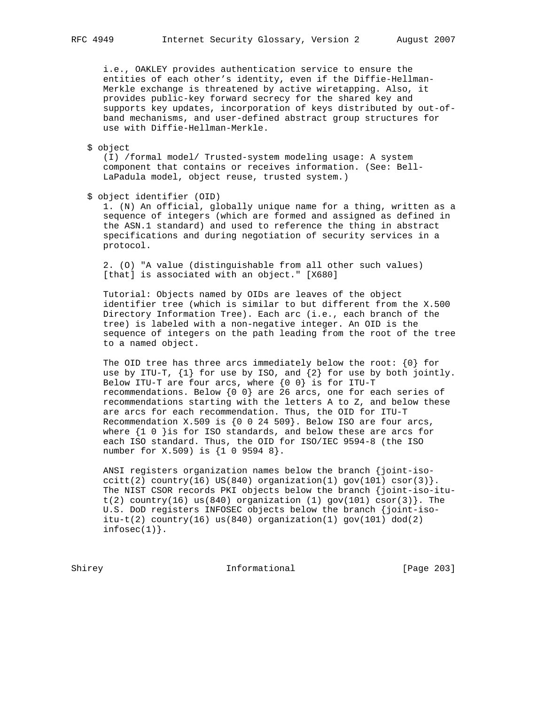i.e., OAKLEY provides authentication service to ensure the entities of each other's identity, even if the Diffie-Hellman- Merkle exchange is threatened by active wiretapping. Also, it provides public-key forward secrecy for the shared key and supports key updates, incorporation of keys distributed by out-of band mechanisms, and user-defined abstract group structures for use with Diffie-Hellman-Merkle.

\$ object

 (I) /formal model/ Trusted-system modeling usage: A system component that contains or receives information. (See: Bell- LaPadula model, object reuse, trusted system.)

\$ object identifier (OID)

 1. (N) An official, globally unique name for a thing, written as a sequence of integers (which are formed and assigned as defined in the ASN.1 standard) and used to reference the thing in abstract specifications and during negotiation of security services in a protocol.

 2. (O) "A value (distinguishable from all other such values) [that] is associated with an object." [X680]

 Tutorial: Objects named by OIDs are leaves of the object identifier tree (which is similar to but different from the X.500 Directory Information Tree). Each arc (i.e., each branch of the tree) is labeled with a non-negative integer. An OID is the sequence of integers on the path leading from the root of the tree to a named object.

The OID tree has three arcs immediately below the root:  $\{0\}$  for use by ITU-T, {1} for use by ISO, and {2} for use by both jointly. Below ITU-T are four arcs, where  $\{0\ 0\}$  is for ITU-T recommendations. Below  $\{0\ 0\}$  are 26 arcs, one for each series of recommendations starting with the letters A to Z, and below these are arcs for each recommendation. Thus, the OID for ITU-T Recommendation X.509 is  $\{0$  0 24 509}. Below ISO are four arcs, where  $\{1\ 0\ \}$ is for ISO standards, and below these are arcs for each ISO standard. Thus, the OID for ISO/IEC 9594-8 (the ISO number for X.509) is {1 0 9594 8}.

 ANSI registers organization names below the branch {joint-iso ccitt(2) country(16) US(840) organization(1) gov(101) csor(3) }. The NIST CSOR records PKI objects below the branch {joint-iso-itu t(2) country(16) us(840) organization (1) gov(101) csor(3). The U.S. DoD registers INFOSEC objects below the branch {joint-iso itu-t(2) country(16) us(840) organization(1) gov(101) dod(2)  $infosec(1)$ .

Shirey **Informational** [Page 203]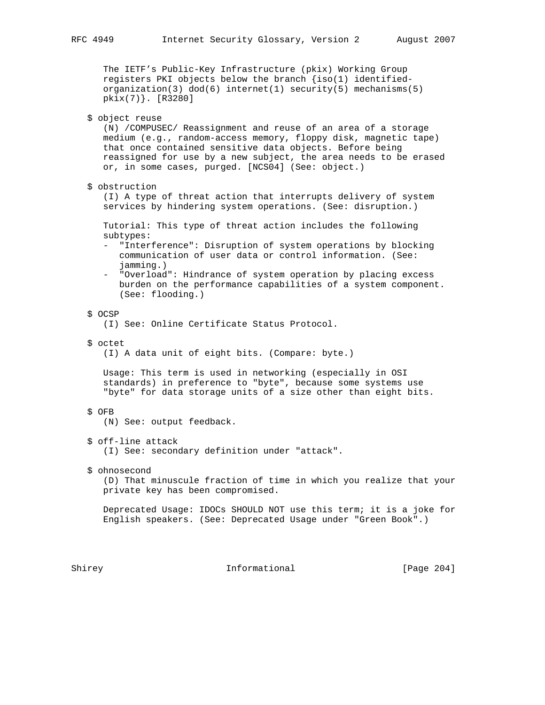The IETF's Public-Key Infrastructure (pkix) Working Group registers PKI objects below the branch {iso(1) identified organization(3) dod(6) internet(1) security(5) mechanisms(5) pkix(7)}. [R3280]

\$ object reuse

 (N) /COMPUSEC/ Reassignment and reuse of an area of a storage medium (e.g., random-access memory, floppy disk, magnetic tape) that once contained sensitive data objects. Before being reassigned for use by a new subject, the area needs to be erased or, in some cases, purged. [NCS04] (See: object.)

\$ obstruction

 (I) A type of threat action that interrupts delivery of system services by hindering system operations. (See: disruption.)

 Tutorial: This type of threat action includes the following subtypes:

- "Interference": Disruption of system operations by blocking communication of user data or control information. (See: jamming.)
- "Overload": Hindrance of system operation by placing excess burden on the performance capabilities of a system component. (See: flooding.)
- \$ OCSP

(I) See: Online Certificate Status Protocol.

\$ octet

(I) A data unit of eight bits. (Compare: byte.)

 Usage: This term is used in networking (especially in OSI standards) in preference to "byte", because some systems use "byte" for data storage units of a size other than eight bits.

# \$ OFB

(N) See: output feedback.

\$ off-line attack

(I) See: secondary definition under "attack".

\$ ohnosecond

 (D) That minuscule fraction of time in which you realize that your private key has been compromised.

 Deprecated Usage: IDOCs SHOULD NOT use this term; it is a joke for English speakers. (See: Deprecated Usage under "Green Book".)

Shirey 1nformational [Page 204]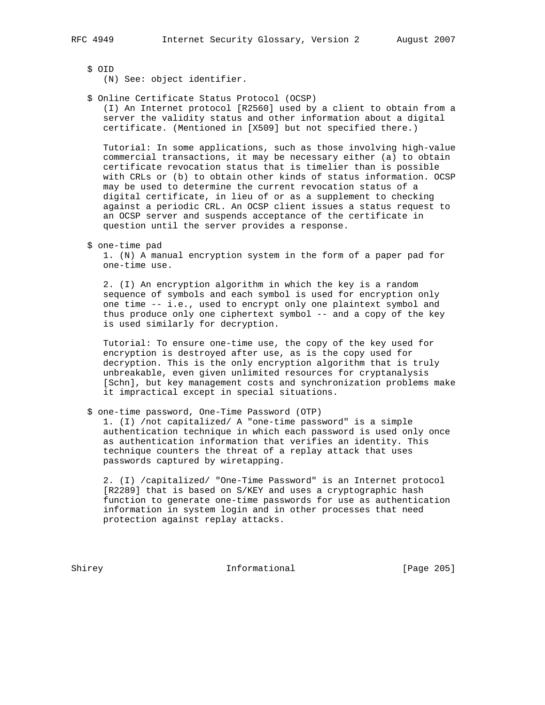\$ OID

(N) See: object identifier.

### \$ Online Certificate Status Protocol (OCSP)

 (I) An Internet protocol [R2560] used by a client to obtain from a server the validity status and other information about a digital certificate. (Mentioned in [X509] but not specified there.)

 Tutorial: In some applications, such as those involving high-value commercial transactions, it may be necessary either (a) to obtain certificate revocation status that is timelier than is possible with CRLs or (b) to obtain other kinds of status information. OCSP may be used to determine the current revocation status of a digital certificate, in lieu of or as a supplement to checking against a periodic CRL. An OCSP client issues a status request to an OCSP server and suspends acceptance of the certificate in question until the server provides a response.

\$ one-time pad

 1. (N) A manual encryption system in the form of a paper pad for one-time use.

 2. (I) An encryption algorithm in which the key is a random sequence of symbols and each symbol is used for encryption only one time -- i.e., used to encrypt only one plaintext symbol and thus produce only one ciphertext symbol -- and a copy of the key is used similarly for decryption.

 Tutorial: To ensure one-time use, the copy of the key used for encryption is destroyed after use, as is the copy used for decryption. This is the only encryption algorithm that is truly unbreakable, even given unlimited resources for cryptanalysis [Schn], but key management costs and synchronization problems make it impractical except in special situations.

# \$ one-time password, One-Time Password (OTP)

 1. (I) /not capitalized/ A "one-time password" is a simple authentication technique in which each password is used only once as authentication information that verifies an identity. This technique counters the threat of a replay attack that uses passwords captured by wiretapping.

 2. (I) /capitalized/ "One-Time Password" is an Internet protocol [R2289] that is based on S/KEY and uses a cryptographic hash function to generate one-time passwords for use as authentication information in system login and in other processes that need protection against replay attacks.

Shirey **Informational** [Page 205]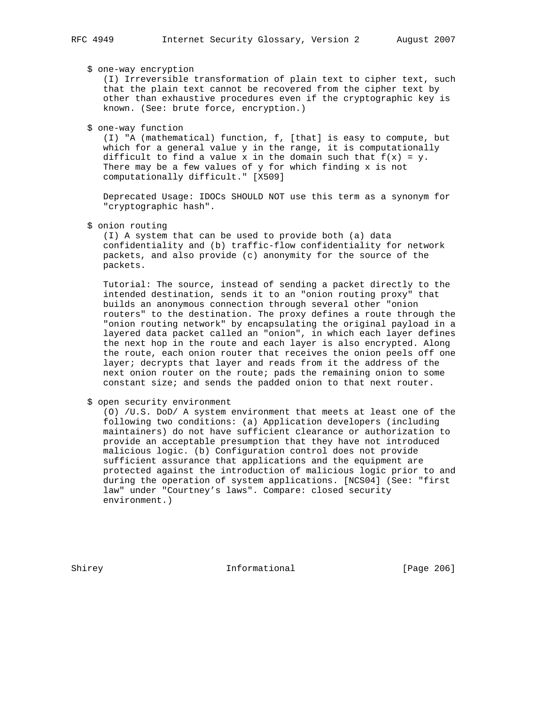# \$ one-way encryption

 (I) Irreversible transformation of plain text to cipher text, such that the plain text cannot be recovered from the cipher text by other than exhaustive procedures even if the cryptographic key is known. (See: brute force, encryption.)

### \$ one-way function

 (I) "A (mathematical) function, f, [that] is easy to compute, but which for a general value y in the range, it is computationally difficult to find a value x in the domain such that  $f(x) = y$ . There may be a few values of y for which finding x is not computationally difficult." [X509]

 Deprecated Usage: IDOCs SHOULD NOT use this term as a synonym for "cryptographic hash".

# \$ onion routing

 (I) A system that can be used to provide both (a) data confidentiality and (b) traffic-flow confidentiality for network packets, and also provide (c) anonymity for the source of the packets.

 Tutorial: The source, instead of sending a packet directly to the intended destination, sends it to an "onion routing proxy" that builds an anonymous connection through several other "onion routers" to the destination. The proxy defines a route through the "onion routing network" by encapsulating the original payload in a layered data packet called an "onion", in which each layer defines the next hop in the route and each layer is also encrypted. Along the route, each onion router that receives the onion peels off one layer; decrypts that layer and reads from it the address of the next onion router on the route; pads the remaining onion to some constant size; and sends the padded onion to that next router.

### \$ open security environment

 (O) /U.S. DoD/ A system environment that meets at least one of the following two conditions: (a) Application developers (including maintainers) do not have sufficient clearance or authorization to provide an acceptable presumption that they have not introduced malicious logic. (b) Configuration control does not provide sufficient assurance that applications and the equipment are protected against the introduction of malicious logic prior to and during the operation of system applications. [NCS04] (See: "first law" under "Courtney's laws". Compare: closed security environment.)

Shirey **Informational** [Page 206]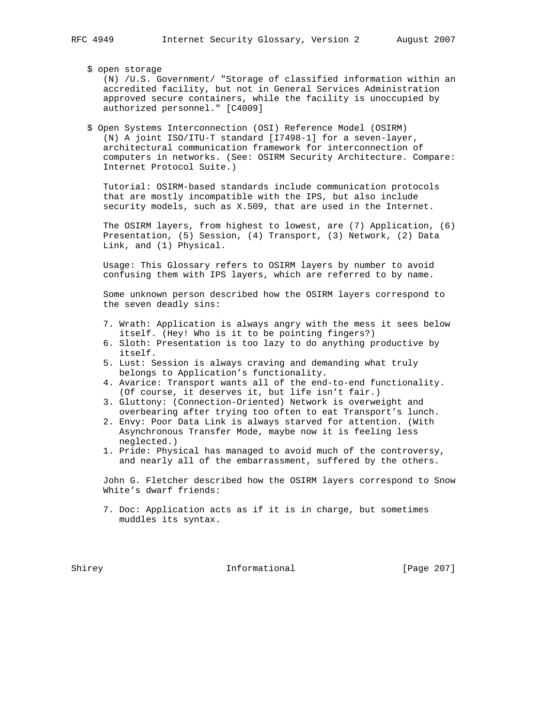\$ open storage

 (N) /U.S. Government/ "Storage of classified information within an accredited facility, but not in General Services Administration approved secure containers, while the facility is unoccupied by authorized personnel." [C4009]

 \$ Open Systems Interconnection (OSI) Reference Model (OSIRM) (N) A joint ISO/ITU-T standard [I7498-1] for a seven-layer, architectural communication framework for interconnection of computers in networks. (See: OSIRM Security Architecture. Compare: Internet Protocol Suite.)

 Tutorial: OSIRM-based standards include communication protocols that are mostly incompatible with the IPS, but also include security models, such as X.509, that are used in the Internet.

 The OSIRM layers, from highest to lowest, are (7) Application, (6) Presentation, (5) Session, (4) Transport, (3) Network, (2) Data Link, and (1) Physical.

 Usage: This Glossary refers to OSIRM layers by number to avoid confusing them with IPS layers, which are referred to by name.

 Some unknown person described how the OSIRM layers correspond to the seven deadly sins:

- 7. Wrath: Application is always angry with the mess it sees below itself. (Hey! Who is it to be pointing fingers?)
- 6. Sloth: Presentation is too lazy to do anything productive by itself.
- 5. Lust: Session is always craving and demanding what truly belongs to Application's functionality.
- 4. Avarice: Transport wants all of the end-to-end functionality. (Of course, it deserves it, but life isn't fair.)
- 3. Gluttony: (Connection-Oriented) Network is overweight and overbearing after trying too often to eat Transport's lunch.
- 2. Envy: Poor Data Link is always starved for attention. (With Asynchronous Transfer Mode, maybe now it is feeling less neglected.)
- 1. Pride: Physical has managed to avoid much of the controversy, and nearly all of the embarrassment, suffered by the others.

 John G. Fletcher described how the OSIRM layers correspond to Snow White's dwarf friends:

 7. Doc: Application acts as if it is in charge, but sometimes muddles its syntax.

Shirey **Informational** [Page 207]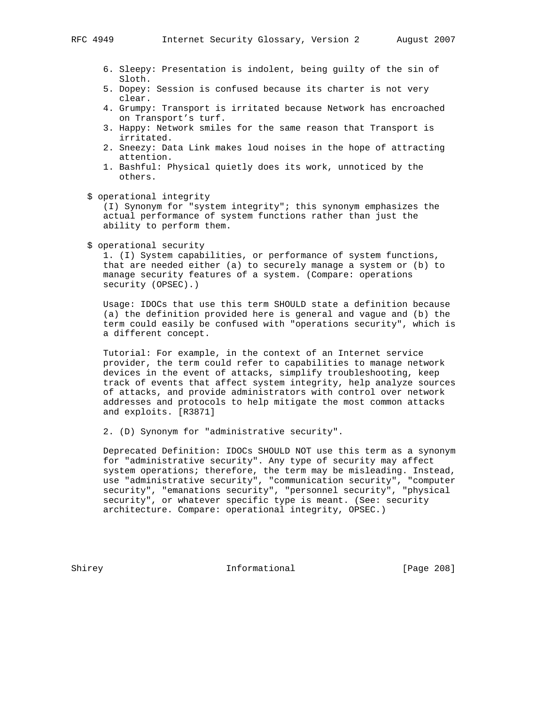- 6. Sleepy: Presentation is indolent, being guilty of the sin of Sloth.
- 5. Dopey: Session is confused because its charter is not very clear.
- 4. Grumpy: Transport is irritated because Network has encroached on Transport's turf.
- 3. Happy: Network smiles for the same reason that Transport is irritated.
- 2. Sneezy: Data Link makes loud noises in the hope of attracting attention.
- 1. Bashful: Physical quietly does its work, unnoticed by the others.
- \$ operational integrity

 (I) Synonym for "system integrity"; this synonym emphasizes the actual performance of system functions rather than just the ability to perform them.

\$ operational security

 1. (I) System capabilities, or performance of system functions, that are needed either (a) to securely manage a system or (b) to manage security features of a system. (Compare: operations security (OPSEC).)

 Usage: IDOCs that use this term SHOULD state a definition because (a) the definition provided here is general and vague and (b) the term could easily be confused with "operations security", which is a different concept.

 Tutorial: For example, in the context of an Internet service provider, the term could refer to capabilities to manage network devices in the event of attacks, simplify troubleshooting, keep track of events that affect system integrity, help analyze sources of attacks, and provide administrators with control over network addresses and protocols to help mitigate the most common attacks and exploits. [R3871]

2. (D) Synonym for "administrative security".

 Deprecated Definition: IDOCs SHOULD NOT use this term as a synonym for "administrative security". Any type of security may affect system operations; therefore, the term may be misleading. Instead, use "administrative security", "communication security", "computer security", "emanations security", "personnel security", "physical security", or whatever specific type is meant. (See: security architecture. Compare: operational integrity, OPSEC.)

Shirey **Informational** [Page 208]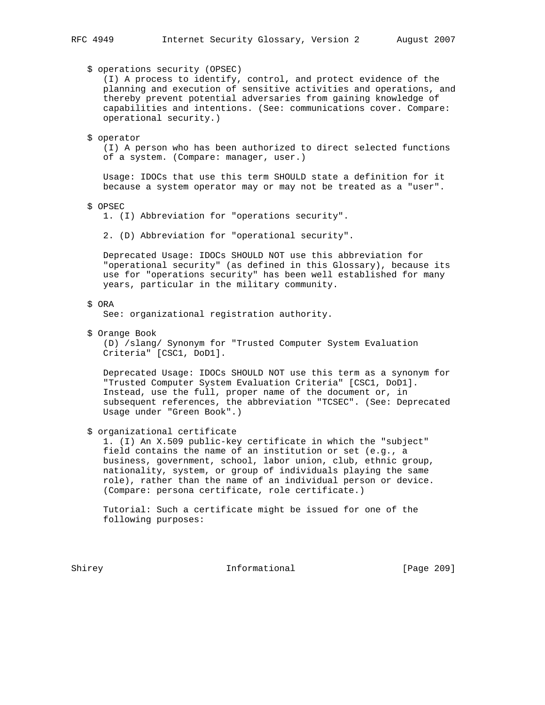\$ operations security (OPSEC)

 (I) A process to identify, control, and protect evidence of the planning and execution of sensitive activities and operations, and thereby prevent potential adversaries from gaining knowledge of capabilities and intentions. (See: communications cover. Compare: operational security.)

#### \$ operator

 (I) A person who has been authorized to direct selected functions of a system. (Compare: manager, user.)

 Usage: IDOCs that use this term SHOULD state a definition for it because a system operator may or may not be treated as a "user".

\$ OPSEC

1. (I) Abbreviation for "operations security".

2. (D) Abbreviation for "operational security".

 Deprecated Usage: IDOCs SHOULD NOT use this abbreviation for "operational security" (as defined in this Glossary), because its use for "operations security" has been well established for many years, particular in the military community.

# \$ ORA

See: organizational registration authority.

\$ Orange Book

 (D) /slang/ Synonym for "Trusted Computer System Evaluation Criteria" [CSC1, DoD1].

 Deprecated Usage: IDOCs SHOULD NOT use this term as a synonym for "Trusted Computer System Evaluation Criteria" [CSC1, DoD1]. Instead, use the full, proper name of the document or, in subsequent references, the abbreviation "TCSEC". (See: Deprecated Usage under "Green Book".)

\$ organizational certificate

 1. (I) An X.509 public-key certificate in which the "subject" field contains the name of an institution or set (e.g., a business, government, school, labor union, club, ethnic group, nationality, system, or group of individuals playing the same role), rather than the name of an individual person or device. (Compare: persona certificate, role certificate.)

 Tutorial: Such a certificate might be issued for one of the following purposes:

Shirey **Informational** [Page 209]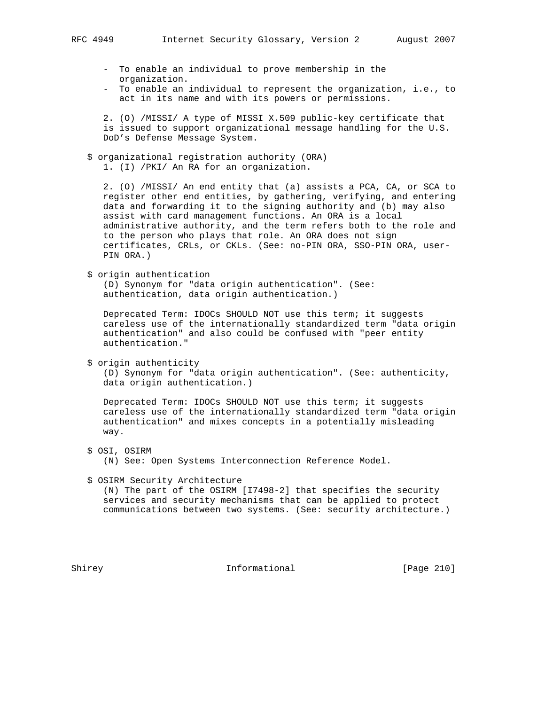- To enable an individual to prove membership in the organization.
- To enable an individual to represent the organization, i.e., to act in its name and with its powers or permissions.

 2. (O) /MISSI/ A type of MISSI X.509 public-key certificate that is issued to support organizational message handling for the U.S. DoD's Defense Message System.

 \$ organizational registration authority (ORA) 1. (I) /PKI/ An RA for an organization.

 2. (O) /MISSI/ An end entity that (a) assists a PCA, CA, or SCA to register other end entities, by gathering, verifying, and entering data and forwarding it to the signing authority and (b) may also assist with card management functions. An ORA is a local administrative authority, and the term refers both to the role and to the person who plays that role. An ORA does not sign certificates, CRLs, or CKLs. (See: no-PIN ORA, SSO-PIN ORA, user- PIN ORA.)

\$ origin authentication

 (D) Synonym for "data origin authentication". (See: authentication, data origin authentication.)

 Deprecated Term: IDOCs SHOULD NOT use this term; it suggests careless use of the internationally standardized term "data origin authentication" and also could be confused with "peer entity authentication."

\$ origin authenticity

 (D) Synonym for "data origin authentication". (See: authenticity, data origin authentication.)

 Deprecated Term: IDOCs SHOULD NOT use this term; it suggests careless use of the internationally standardized term "data origin authentication" and mixes concepts in a potentially misleading way.

\$ OSI, OSIRM

(N) See: Open Systems Interconnection Reference Model.

\$ OSIRM Security Architecture

 (N) The part of the OSIRM [I7498-2] that specifies the security services and security mechanisms that can be applied to protect communications between two systems. (See: security architecture.)

Shirey **Informational** [Page 210]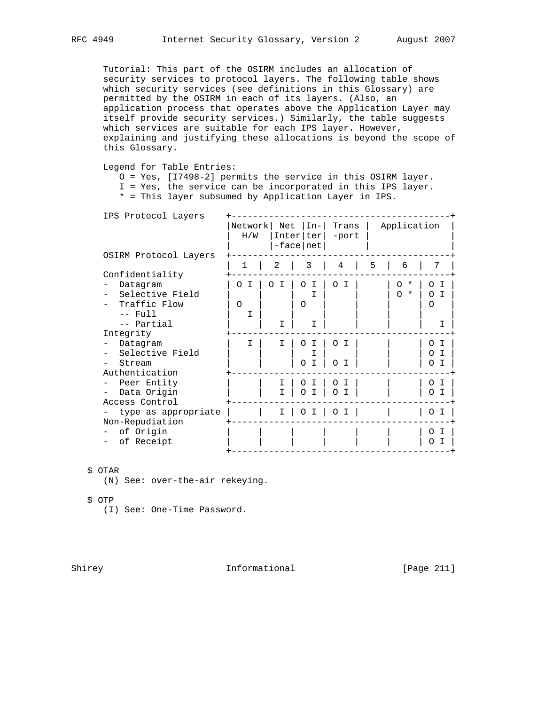Tutorial: This part of the OSIRM includes an allocation of security services to protocol layers. The following table shows which security services (see definitions in this Glossary) are permitted by the OSIRM in each of its layers. (Also, an application process that operates above the Application Layer may itself provide security services.) Similarly, the table suggests which services are suitable for each IPS layer. However, explaining and justifying these allocations is beyond the scope of this Glossary.

Legend for Table Entries:

O = Yes, [I7498-2] permits the service in this OSIRM layer.

I = Yes, the service can be incorporated in this IPS layer.

\* = This layer subsumed by Application Layer in IPS.

| IPS Protocol Layers   |                |               |                                     |                          |   |                     |               |  |  |
|-----------------------|----------------|---------------|-------------------------------------|--------------------------|---|---------------------|---------------|--|--|
|                       | Network<br>H/W | Net           | $In-$<br>Inter   ter<br>$-face net$ | Trans<br>-port           |   | Application         |               |  |  |
| OSIRM Protocol Layers | 1              | 2             | 3                                   | 4                        | 5 | 6                   | 7             |  |  |
| Confidentiality       |                |               |                                     |                          |   |                     |               |  |  |
| Datagram              | T<br>O         | $\Omega$<br>T | T<br>$\Omega$                       | $\Omega$<br>T            |   | $\star$<br>$\Omega$ | $\Omega$<br>I |  |  |
| Selective Field       |                |               |                                     |                          |   | $\Omega$<br>$\star$ | $\Omega$<br>Τ |  |  |
| Traffic Flow          | $\circ$        |               | $\Omega$                            |                          |   |                     | $\Omega$      |  |  |
| $--$ Full             | I              |               |                                     |                          |   |                     |               |  |  |
| -- Partial            |                | I             | т                                   |                          |   |                     | Ι             |  |  |
| Integrity             |                |               |                                     |                          |   |                     |               |  |  |
| Datagram              | T              |               | $\Omega$<br>T                       | $\Omega$<br>I            |   |                     | I<br>$\Omega$ |  |  |
| Selective Field       |                |               |                                     |                          |   |                     | $\Omega$<br>I |  |  |
| Stream                |                |               | I<br>$\Omega$                       | $\Omega$<br>$\mathsf{T}$ |   |                     | $\Omega$      |  |  |
| Authentication        |                |               |                                     |                          |   |                     |               |  |  |
| Peer Entity           |                |               | Ω                                   | Ο<br>T                   |   |                     | $\Omega$<br>I |  |  |
| Data Origin           |                |               | $\Omega$<br>$\top$                  | $\Omega$<br>T            |   |                     | $\Omega$      |  |  |
| Access Control        |                |               |                                     |                          |   |                     |               |  |  |
| type as appropriate   |                | I.            | O<br>I                              | $\circ$<br>I             |   |                     | 0<br>I        |  |  |
| Non-Repudiation       |                |               |                                     |                          |   |                     |               |  |  |
| of Origin             |                |               |                                     |                          |   |                     | O<br>Ι        |  |  |
| of Receipt            |                |               |                                     |                          |   |                     | ∩             |  |  |
|                       |                |               |                                     |                          |   |                     |               |  |  |

# \$ OTAR

(N) See: over-the-air rekeying.

\$ OTP

(I) See: One-Time Password.

Shirey **Informational** [Page 211]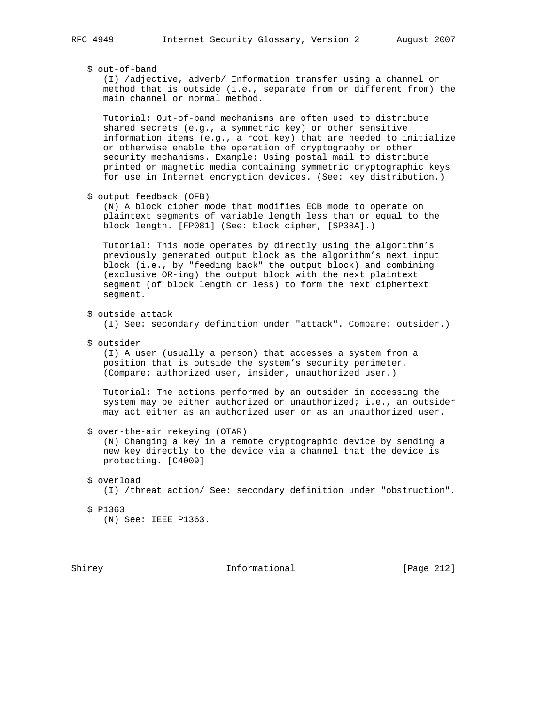\$ out-of-band

 (I) /adjective, adverb/ Information transfer using a channel or method that is outside (i.e., separate from or different from) the main channel or normal method.

 Tutorial: Out-of-band mechanisms are often used to distribute shared secrets (e.g., a symmetric key) or other sensitive information items (e.g., a root key) that are needed to initialize or otherwise enable the operation of cryptography or other security mechanisms. Example: Using postal mail to distribute printed or magnetic media containing symmetric cryptographic keys for use in Internet encryption devices. (See: key distribution.)

```
 $ output feedback (OFB)
```
 (N) A block cipher mode that modifies ECB mode to operate on plaintext segments of variable length less than or equal to the block length. [FP081] (See: block cipher, [SP38A].)

 Tutorial: This mode operates by directly using the algorithm's previously generated output block as the algorithm's next input block (i.e., by "feeding back" the output block) and combining (exclusive OR-ing) the output block with the next plaintext segment (of block length or less) to form the next ciphertext segment.

\$ outside attack

(I) See: secondary definition under "attack". Compare: outsider.)

\$ outsider

 (I) A user (usually a person) that accesses a system from a position that is outside the system's security perimeter. (Compare: authorized user, insider, unauthorized user.)

 Tutorial: The actions performed by an outsider in accessing the system may be either authorized or unauthorized; i.e., an outsider may act either as an authorized user or as an unauthorized user.

\$ over-the-air rekeying (OTAR)

 (N) Changing a key in a remote cryptographic device by sending a new key directly to the device via a channel that the device is protecting. [C4009]

(I) /threat action/ See: secondary definition under "obstruction".

\$ P1363

(N) See: IEEE P1363.

Shirey **Informational** [Page 212]

 <sup>\$</sup> overload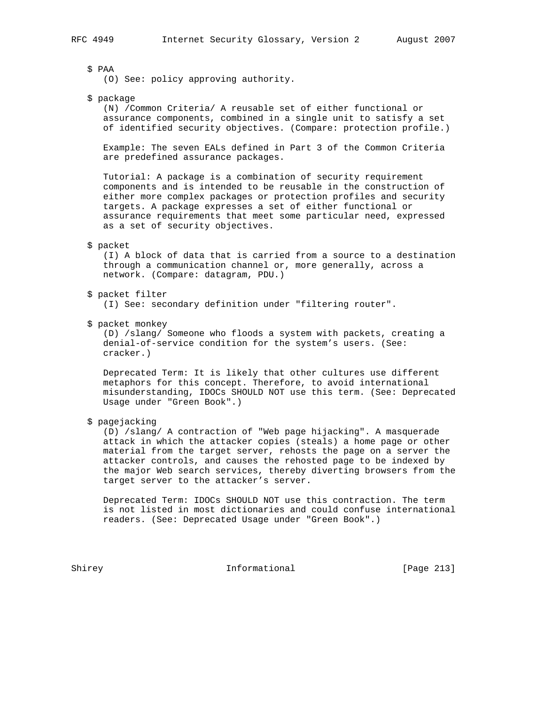\$ PAA

(O) See: policy approving authority.

\$ package

 (N) /Common Criteria/ A reusable set of either functional or assurance components, combined in a single unit to satisfy a set of identified security objectives. (Compare: protection profile.)

 Example: The seven EALs defined in Part 3 of the Common Criteria are predefined assurance packages.

 Tutorial: A package is a combination of security requirement components and is intended to be reusable in the construction of either more complex packages or protection profiles and security targets. A package expresses a set of either functional or assurance requirements that meet some particular need, expressed as a set of security objectives.

### \$ packet

 (I) A block of data that is carried from a source to a destination through a communication channel or, more generally, across a network. (Compare: datagram, PDU.)

\$ packet filter

(I) See: secondary definition under "filtering router".

\$ packet monkey

 (D) /slang/ Someone who floods a system with packets, creating a denial-of-service condition for the system's users. (See: cracker.)

 Deprecated Term: It is likely that other cultures use different metaphors for this concept. Therefore, to avoid international misunderstanding, IDOCs SHOULD NOT use this term. (See: Deprecated Usage under "Green Book".)

\$ pagejacking

 (D) /slang/ A contraction of "Web page hijacking". A masquerade attack in which the attacker copies (steals) a home page or other material from the target server, rehosts the page on a server the attacker controls, and causes the rehosted page to be indexed by the major Web search services, thereby diverting browsers from the target server to the attacker's server.

 Deprecated Term: IDOCs SHOULD NOT use this contraction. The term is not listed in most dictionaries and could confuse international readers. (See: Deprecated Usage under "Green Book".)

Shirey **Informational** [Page 213]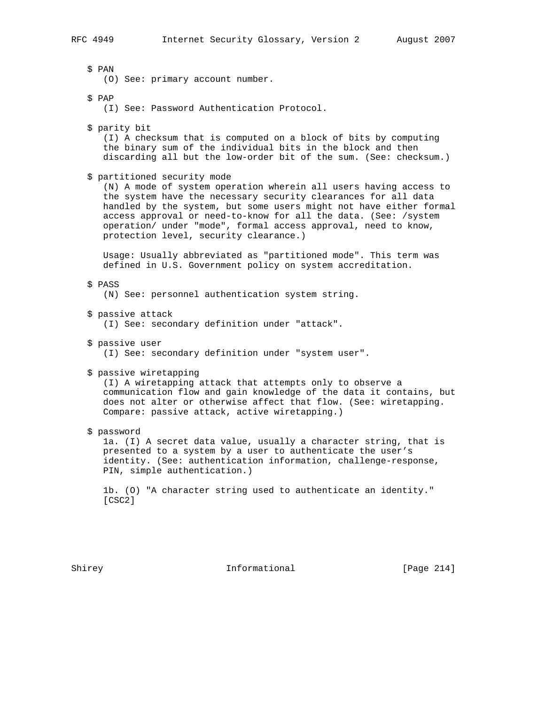\$ PAN (O) See: primary account number. \$ PAP (I) See: Password Authentication Protocol. \$ parity bit (I) A checksum that is computed on a block of bits by computing the binary sum of the individual bits in the block and then discarding all but the low-order bit of the sum. (See: checksum.) \$ partitioned security mode (N) A mode of system operation wherein all users having access to the system have the necessary security clearances for all data handled by the system, but some users might not have either formal access approval or need-to-know for all the data. (See: /system operation/ under "mode", formal access approval, need to know, protection level, security clearance.) Usage: Usually abbreviated as "partitioned mode". This term was defined in U.S. Government policy on system accreditation. \$ PASS (N) See: personnel authentication system string. \$ passive attack (I) See: secondary definition under "attack". \$ passive user (I) See: secondary definition under "system user". \$ passive wiretapping (I) A wiretapping attack that attempts only to observe a communication flow and gain knowledge of the data it contains, but does not alter or otherwise affect that flow. (See: wiretapping.

\$ password

 1a. (I) A secret data value, usually a character string, that is presented to a system by a user to authenticate the user's identity. (See: authentication information, challenge-response, PIN, simple authentication.)

Compare: passive attack, active wiretapping.)

 1b. (O) "A character string used to authenticate an identity." [CSC2]

Shirey 10 Informational [Page 214]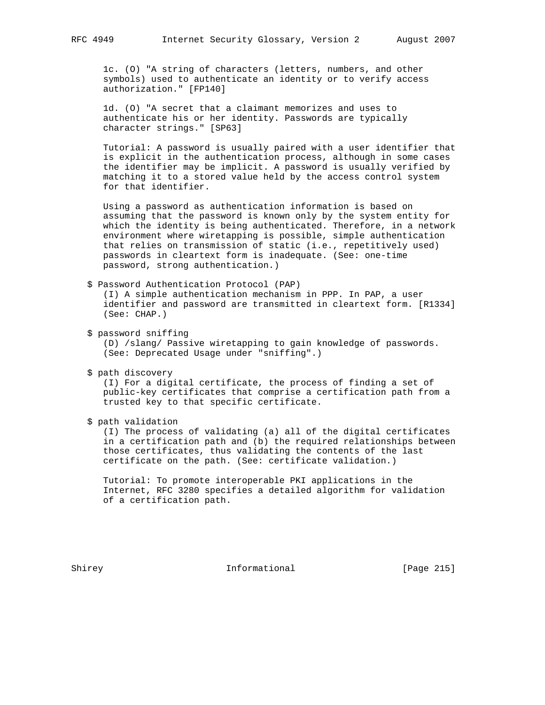1c. (O) "A string of characters (letters, numbers, and other symbols) used to authenticate an identity or to verify access authorization." [FP140]

 1d. (O) "A secret that a claimant memorizes and uses to authenticate his or her identity. Passwords are typically character strings." [SP63]

 Tutorial: A password is usually paired with a user identifier that is explicit in the authentication process, although in some cases the identifier may be implicit. A password is usually verified by matching it to a stored value held by the access control system for that identifier.

 Using a password as authentication information is based on assuming that the password is known only by the system entity for which the identity is being authenticated. Therefore, in a network environment where wiretapping is possible, simple authentication that relies on transmission of static (i.e., repetitively used) passwords in cleartext form is inadequate. (See: one-time password, strong authentication.)

\$ Password Authentication Protocol (PAP)

 (I) A simple authentication mechanism in PPP. In PAP, a user identifier and password are transmitted in cleartext form. [R1334] (See: CHAP.)

\$ password sniffing

 (D) /slang/ Passive wiretapping to gain knowledge of passwords. (See: Deprecated Usage under "sniffing".)

\$ path discovery

 (I) For a digital certificate, the process of finding a set of public-key certificates that comprise a certification path from a trusted key to that specific certificate.

\$ path validation

 (I) The process of validating (a) all of the digital certificates in a certification path and (b) the required relationships between those certificates, thus validating the contents of the last certificate on the path. (See: certificate validation.)

 Tutorial: To promote interoperable PKI applications in the Internet, RFC 3280 specifies a detailed algorithm for validation of a certification path.

Shirey **Informational** [Page 215]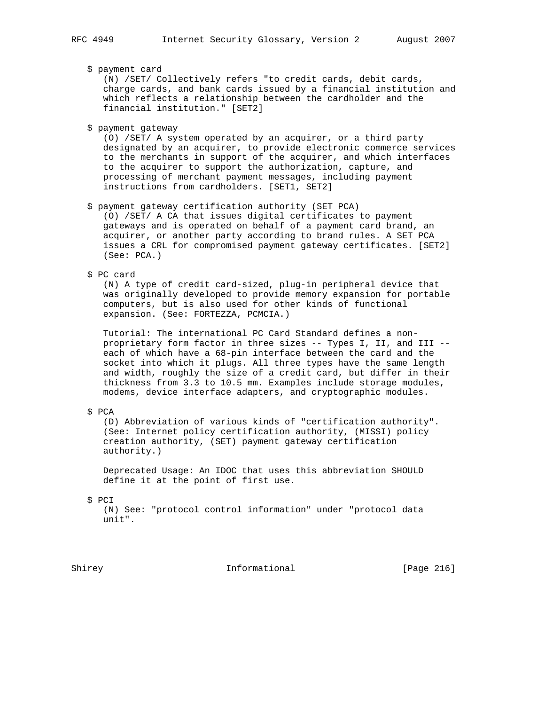\$ payment card

 (N) /SET/ Collectively refers "to credit cards, debit cards, charge cards, and bank cards issued by a financial institution and which reflects a relationship between the cardholder and the financial institution." [SET2]

\$ payment gateway

 (O) /SET/ A system operated by an acquirer, or a third party designated by an acquirer, to provide electronic commerce services to the merchants in support of the acquirer, and which interfaces to the acquirer to support the authorization, capture, and processing of merchant payment messages, including payment instructions from cardholders. [SET1, SET2]

\$ payment gateway certification authority (SET PCA)

 (O) /SET/ A CA that issues digital certificates to payment gateways and is operated on behalf of a payment card brand, an acquirer, or another party according to brand rules. A SET PCA issues a CRL for compromised payment gateway certificates. [SET2] (See: PCA.)

\$ PC card

 (N) A type of credit card-sized, plug-in peripheral device that was originally developed to provide memory expansion for portable computers, but is also used for other kinds of functional expansion. (See: FORTEZZA, PCMCIA.)

 Tutorial: The international PC Card Standard defines a non proprietary form factor in three sizes -- Types I, II, and III - each of which have a 68-pin interface between the card and the socket into which it plugs. All three types have the same length and width, roughly the size of a credit card, but differ in their thickness from 3.3 to 10.5 mm. Examples include storage modules, modems, device interface adapters, and cryptographic modules.

\$ PCA

 (D) Abbreviation of various kinds of "certification authority". (See: Internet policy certification authority, (MISSI) policy creation authority, (SET) payment gateway certification authority.)

 Deprecated Usage: An IDOC that uses this abbreviation SHOULD define it at the point of first use.

\$ PCI

 (N) See: "protocol control information" under "protocol data unit".

Shirey **Informational** [Page 216]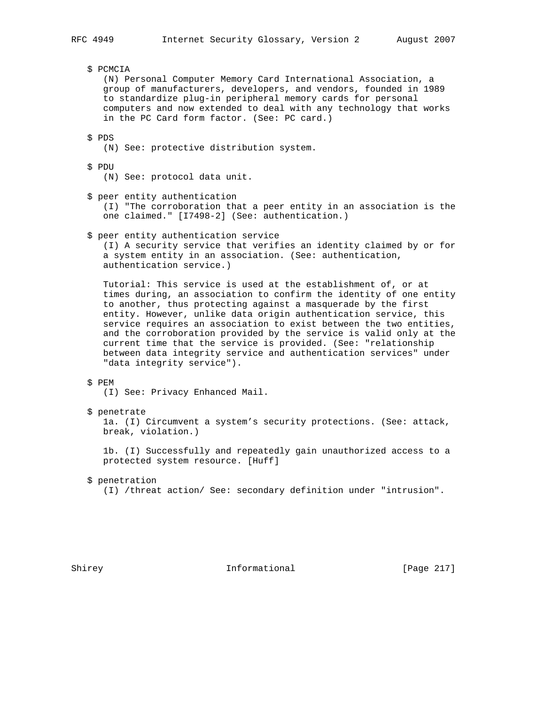\$ PCMCIA

 (N) Personal Computer Memory Card International Association, a group of manufacturers, developers, and vendors, founded in 1989 to standardize plug-in peripheral memory cards for personal computers and now extended to deal with any technology that works in the PC Card form factor. (See: PC card.)

\$ PDS

- (N) See: protective distribution system.
- \$ PDU
	- (N) See: protocol data unit.

\$ peer entity authentication

 (I) "The corroboration that a peer entity in an association is the one claimed." [I7498-2] (See: authentication.)

\$ peer entity authentication service

 (I) A security service that verifies an identity claimed by or for a system entity in an association. (See: authentication, authentication service.)

 Tutorial: This service is used at the establishment of, or at times during, an association to confirm the identity of one entity to another, thus protecting against a masquerade by the first entity. However, unlike data origin authentication service, this service requires an association to exist between the two entities, and the corroboration provided by the service is valid only at the current time that the service is provided. (See: "relationship between data integrity service and authentication services" under "data integrity service").

#### \$ PEM

- (I) See: Privacy Enhanced Mail.
- \$ penetrate

 1a. (I) Circumvent a system's security protections. (See: attack, break, violation.)

 1b. (I) Successfully and repeatedly gain unauthorized access to a protected system resource. [Huff]

- \$ penetration
	- (I) /threat action/ See: secondary definition under "intrusion".

Shirey 10 Informational [Page 217]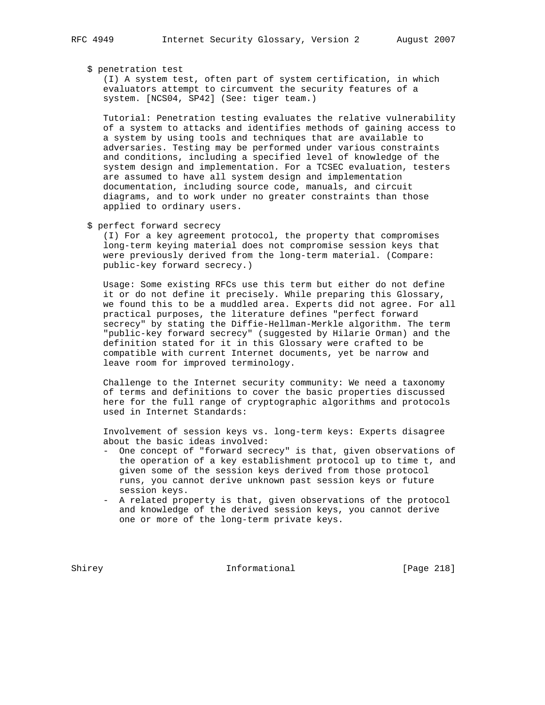#### \$ penetration test

 (I) A system test, often part of system certification, in which evaluators attempt to circumvent the security features of a system. [NCS04, SP42] (See: tiger team.)

 Tutorial: Penetration testing evaluates the relative vulnerability of a system to attacks and identifies methods of gaining access to a system by using tools and techniques that are available to adversaries. Testing may be performed under various constraints and conditions, including a specified level of knowledge of the system design and implementation. For a TCSEC evaluation, testers are assumed to have all system design and implementation documentation, including source code, manuals, and circuit diagrams, and to work under no greater constraints than those applied to ordinary users.

\$ perfect forward secrecy

 (I) For a key agreement protocol, the property that compromises long-term keying material does not compromise session keys that were previously derived from the long-term material. (Compare: public-key forward secrecy.)

 Usage: Some existing RFCs use this term but either do not define it or do not define it precisely. While preparing this Glossary, we found this to be a muddled area. Experts did not agree. For all practical purposes, the literature defines "perfect forward secrecy" by stating the Diffie-Hellman-Merkle algorithm. The term "public-key forward secrecy" (suggested by Hilarie Orman) and the definition stated for it in this Glossary were crafted to be compatible with current Internet documents, yet be narrow and leave room for improved terminology.

 Challenge to the Internet security community: We need a taxonomy of terms and definitions to cover the basic properties discussed here for the full range of cryptographic algorithms and protocols used in Internet Standards:

 Involvement of session keys vs. long-term keys: Experts disagree about the basic ideas involved:

- One concept of "forward secrecy" is that, given observations of the operation of a key establishment protocol up to time t, and given some of the session keys derived from those protocol runs, you cannot derive unknown past session keys or future session keys.
- A related property is that, given observations of the protocol and knowledge of the derived session keys, you cannot derive one or more of the long-term private keys.

Shirey **Informational** [Page 218]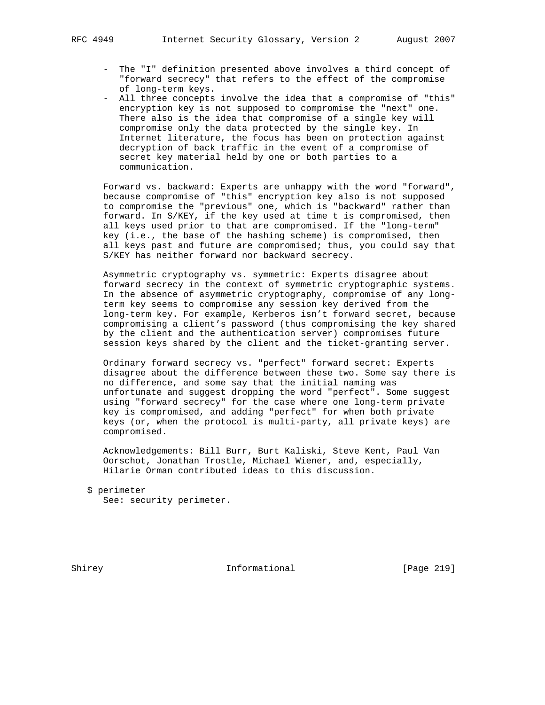- The "I" definition presented above involves a third concept of "forward secrecy" that refers to the effect of the compromise of long-term keys.
- All three concepts involve the idea that a compromise of "this" encryption key is not supposed to compromise the "next" one. There also is the idea that compromise of a single key will compromise only the data protected by the single key. In Internet literature, the focus has been on protection against decryption of back traffic in the event of a compromise of secret key material held by one or both parties to a communication.

 Forward vs. backward: Experts are unhappy with the word "forward", because compromise of "this" encryption key also is not supposed to compromise the "previous" one, which is "backward" rather than forward. In S/KEY, if the key used at time t is compromised, then all keys used prior to that are compromised. If the "long-term" key (i.e., the base of the hashing scheme) is compromised, then all keys past and future are compromised; thus, you could say that S/KEY has neither forward nor backward secrecy.

 Asymmetric cryptography vs. symmetric: Experts disagree about forward secrecy in the context of symmetric cryptographic systems. In the absence of asymmetric cryptography, compromise of any long term key seems to compromise any session key derived from the long-term key. For example, Kerberos isn't forward secret, because compromising a client's password (thus compromising the key shared by the client and the authentication server) compromises future session keys shared by the client and the ticket-granting server.

 Ordinary forward secrecy vs. "perfect" forward secret: Experts disagree about the difference between these two. Some say there is no difference, and some say that the initial naming was unfortunate and suggest dropping the word "perfect". Some suggest using "forward secrecy" for the case where one long-term private key is compromised, and adding "perfect" for when both private keys (or, when the protocol is multi-party, all private keys) are compromised.

 Acknowledgements: Bill Burr, Burt Kaliski, Steve Kent, Paul Van Oorschot, Jonathan Trostle, Michael Wiener, and, especially, Hilarie Orman contributed ideas to this discussion.

```
 $ perimeter
See: security perimeter.
```
Shirey **Informational** [Page 219]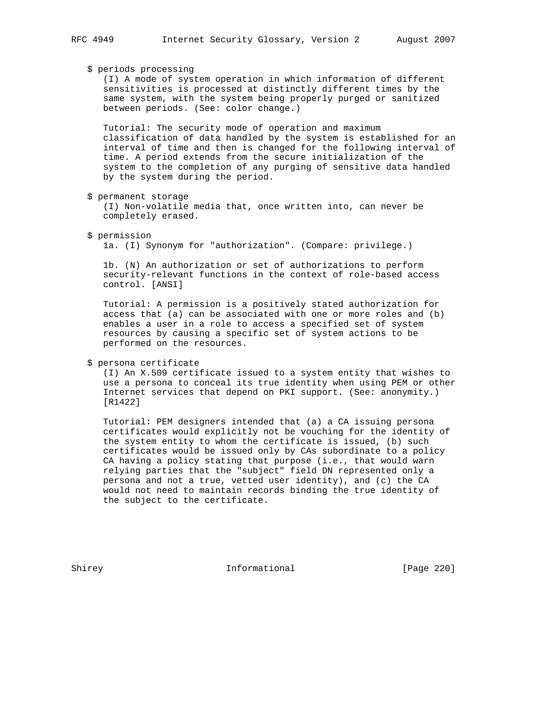# \$ periods processing

 (I) A mode of system operation in which information of different sensitivities is processed at distinctly different times by the same system, with the system being properly purged or sanitized between periods. (See: color change.)

 Tutorial: The security mode of operation and maximum classification of data handled by the system is established for an interval of time and then is changed for the following interval of time. A period extends from the secure initialization of the system to the completion of any purging of sensitive data handled by the system during the period.

\$ permanent storage

 (I) Non-volatile media that, once written into, can never be completely erased.

\$ permission

1a. (I) Synonym for "authorization". (Compare: privilege.)

 1b. (N) An authorization or set of authorizations to perform security-relevant functions in the context of role-based access control. [ANSI]

 Tutorial: A permission is a positively stated authorization for access that (a) can be associated with one or more roles and (b) enables a user in a role to access a specified set of system resources by causing a specific set of system actions to be performed on the resources.

### \$ persona certificate

 (I) An X.509 certificate issued to a system entity that wishes to use a persona to conceal its true identity when using PEM or other Internet services that depend on PKI support. (See: anonymity.) [R1422]

 Tutorial: PEM designers intended that (a) a CA issuing persona certificates would explicitly not be vouching for the identity of the system entity to whom the certificate is issued, (b) such certificates would be issued only by CAs subordinate to a policy CA having a policy stating that purpose (i.e., that would warn relying parties that the "subject" field DN represented only a persona and not a true, vetted user identity), and (c) the CA would not need to maintain records binding the true identity of the subject to the certificate.

Shirey **Informational** [Page 220]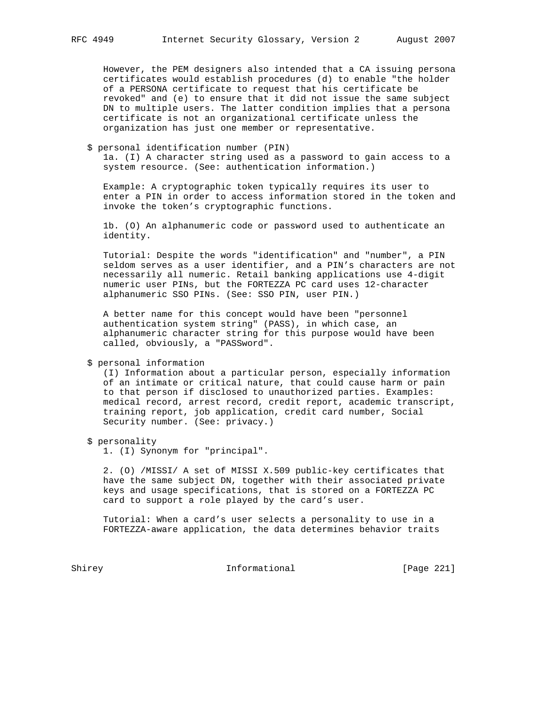However, the PEM designers also intended that a CA issuing persona certificates would establish procedures (d) to enable "the holder of a PERSONA certificate to request that his certificate be revoked" and (e) to ensure that it did not issue the same subject DN to multiple users. The latter condition implies that a persona certificate is not an organizational certificate unless the organization has just one member or representative.

#### \$ personal identification number (PIN)

 1a. (I) A character string used as a password to gain access to a system resource. (See: authentication information.)

 Example: A cryptographic token typically requires its user to enter a PIN in order to access information stored in the token and invoke the token's cryptographic functions.

 1b. (O) An alphanumeric code or password used to authenticate an identity.

 Tutorial: Despite the words "identification" and "number", a PIN seldom serves as a user identifier, and a PIN's characters are not necessarily all numeric. Retail banking applications use 4-digit numeric user PINs, but the FORTEZZA PC card uses 12-character alphanumeric SSO PINs. (See: SSO PIN, user PIN.)

 A better name for this concept would have been "personnel authentication system string" (PASS), in which case, an alphanumeric character string for this purpose would have been called, obviously, a "PASSword".

### \$ personal information

 (I) Information about a particular person, especially information of an intimate or critical nature, that could cause harm or pain to that person if disclosed to unauthorized parties. Examples: medical record, arrest record, credit report, academic transcript, training report, job application, credit card number, Social Security number. (See: privacy.)

#### \$ personality

1. (I) Synonym for "principal".

 2. (O) /MISSI/ A set of MISSI X.509 public-key certificates that have the same subject DN, together with their associated private keys and usage specifications, that is stored on a FORTEZZA PC card to support a role played by the card's user.

 Tutorial: When a card's user selects a personality to use in a FORTEZZA-aware application, the data determines behavior traits

Shirey **Informational** [Page 221]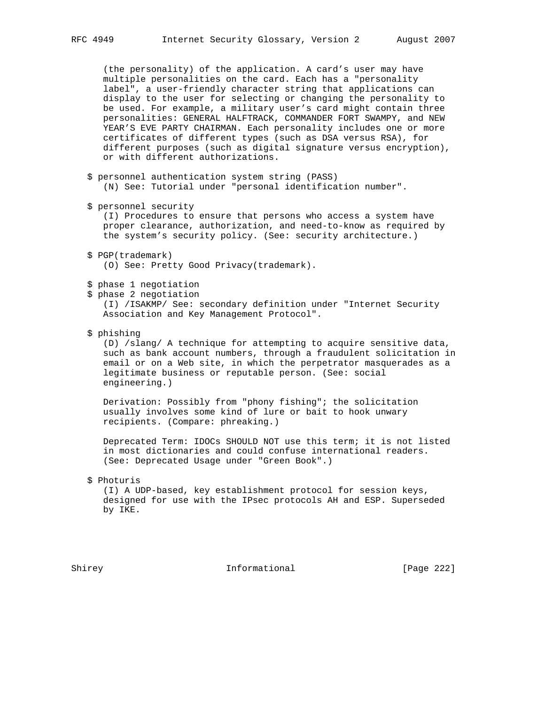(the personality) of the application. A card's user may have multiple personalities on the card. Each has a "personality label", a user-friendly character string that applications can display to the user for selecting or changing the personality to be used. For example, a military user's card might contain three personalities: GENERAL HALFTRACK, COMMANDER FORT SWAMPY, and NEW YEAR'S EVE PARTY CHAIRMAN. Each personality includes one or more certificates of different types (such as DSA versus RSA), for different purposes (such as digital signature versus encryption), or with different authorizations.

- \$ personnel authentication system string (PASS) (N) See: Tutorial under "personal identification number".
- \$ personnel security

 (I) Procedures to ensure that persons who access a system have proper clearance, authorization, and need-to-know as required by the system's security policy. (See: security architecture.)

 \$ PGP(trademark) (O) See: Pretty Good Privacy(trademark).

# \$ phase 1 negotiation

\$ phase 2 negotiation

 (I) /ISAKMP/ See: secondary definition under "Internet Security Association and Key Management Protocol".

\$ phishing

 (D) /slang/ A technique for attempting to acquire sensitive data, such as bank account numbers, through a fraudulent solicitation in email or on a Web site, in which the perpetrator masquerades as a legitimate business or reputable person. (See: social engineering.)

 Derivation: Possibly from "phony fishing"; the solicitation usually involves some kind of lure or bait to hook unwary recipients. (Compare: phreaking.)

 Deprecated Term: IDOCs SHOULD NOT use this term; it is not listed in most dictionaries and could confuse international readers. (See: Deprecated Usage under "Green Book".)

\$ Photuris

 (I) A UDP-based, key establishment protocol for session keys, designed for use with the IPsec protocols AH and ESP. Superseded by IKE.

Shirey **Informational** [Page 222]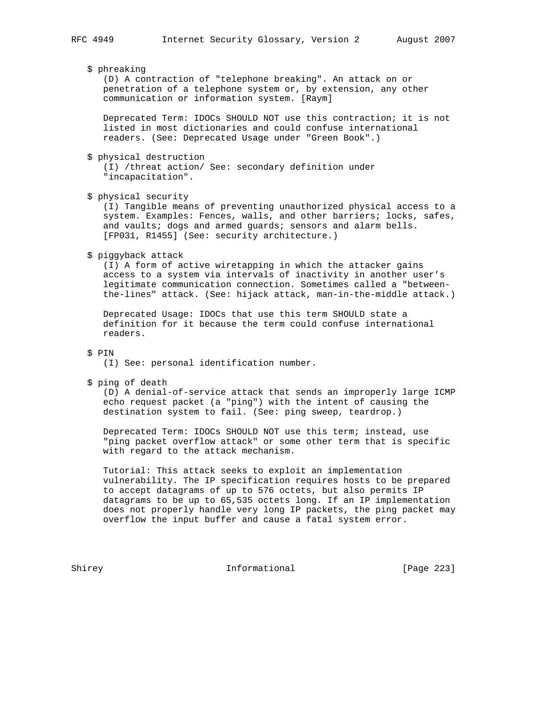\$ phreaking

 (D) A contraction of "telephone breaking". An attack on or penetration of a telephone system or, by extension, any other communication or information system. [Raym]

 Deprecated Term: IDOCs SHOULD NOT use this contraction; it is not listed in most dictionaries and could confuse international readers. (See: Deprecated Usage under "Green Book".)

\$ physical destruction

 (I) /threat action/ See: secondary definition under "incapacitation".

\$ physical security

 (I) Tangible means of preventing unauthorized physical access to a system. Examples: Fences, walls, and other barriers; locks, safes, and vaults; dogs and armed guards; sensors and alarm bells. [FP031, R1455] (See: security architecture.)

\$ piggyback attack

 (I) A form of active wiretapping in which the attacker gains access to a system via intervals of inactivity in another user's legitimate communication connection. Sometimes called a "between the-lines" attack. (See: hijack attack, man-in-the-middle attack.)

 Deprecated Usage: IDOCs that use this term SHOULD state a definition for it because the term could confuse international readers.

\$ PIN

(I) See: personal identification number.

\$ ping of death

 (D) A denial-of-service attack that sends an improperly large ICMP echo request packet (a "ping") with the intent of causing the destination system to fail. (See: ping sweep, teardrop.)

 Deprecated Term: IDOCs SHOULD NOT use this term; instead, use "ping packet overflow attack" or some other term that is specific with regard to the attack mechanism.

 Tutorial: This attack seeks to exploit an implementation vulnerability. The IP specification requires hosts to be prepared to accept datagrams of up to 576 octets, but also permits IP datagrams to be up to 65,535 octets long. If an IP implementation does not properly handle very long IP packets, the ping packet may overflow the input buffer and cause a fatal system error.

Shirey **Informational** [Page 223]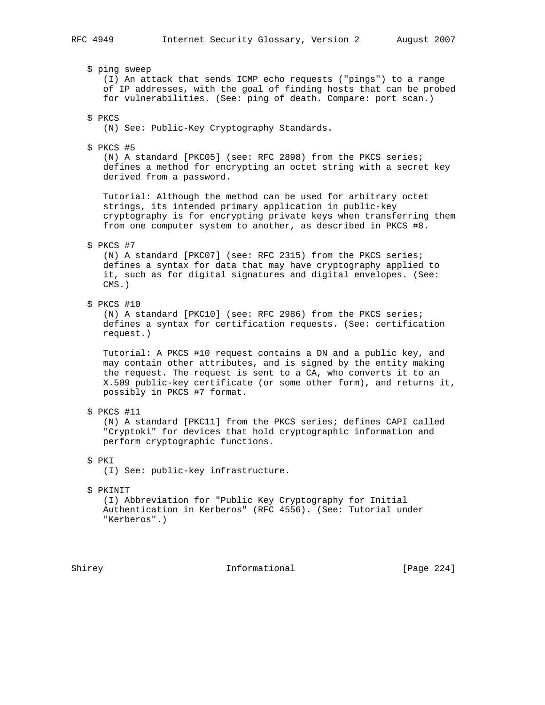\$ ping sweep

 (I) An attack that sends ICMP echo requests ("pings") to a range of IP addresses, with the goal of finding hosts that can be probed for vulnerabilities. (See: ping of death. Compare: port scan.)

\$ PKCS

(N) See: Public-Key Cryptography Standards.

\$ PKCS #5

 (N) A standard [PKC05] (see: RFC 2898) from the PKCS series; defines a method for encrypting an octet string with a secret key derived from a password.

 Tutorial: Although the method can be used for arbitrary octet strings, its intended primary application in public-key cryptography is for encrypting private keys when transferring them from one computer system to another, as described in PKCS #8.

\$ PKCS #7

 (N) A standard [PKC07] (see: RFC 2315) from the PKCS series; defines a syntax for data that may have cryptography applied to it, such as for digital signatures and digital envelopes. (See: CMS.)

\$ PKCS #10

 (N) A standard [PKC10] (see: RFC 2986) from the PKCS series; defines a syntax for certification requests. (See: certification request.)

 Tutorial: A PKCS #10 request contains a DN and a public key, and may contain other attributes, and is signed by the entity making the request. The request is sent to a CA, who converts it to an X.509 public-key certificate (or some other form), and returns it, possibly in PKCS #7 format.

\$ PKCS #11

 (N) A standard [PKC11] from the PKCS series; defines CAPI called "Cryptoki" for devices that hold cryptographic information and perform cryptographic functions.

\$ PKI

(I) See: public-key infrastructure.

#### \$ PKINIT

 (I) Abbreviation for "Public Key Cryptography for Initial Authentication in Kerberos" (RFC 4556). (See: Tutorial under "Kerberos".)

Shirey **Informational** [Page 224]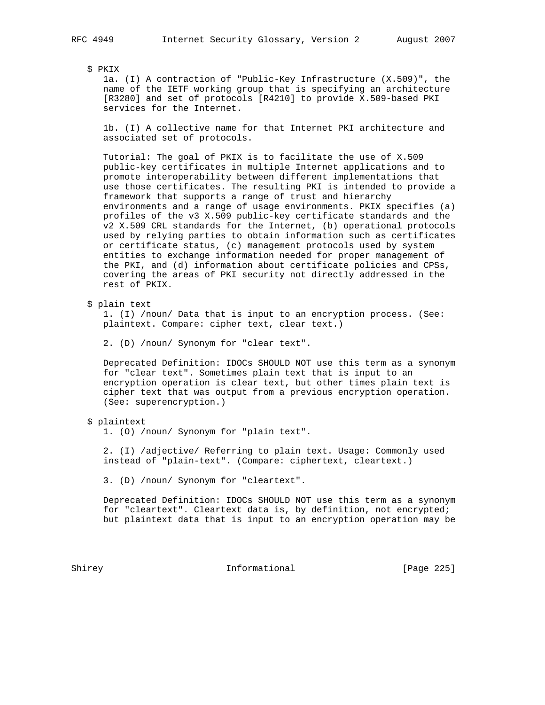\$ PKIX

 1a. (I) A contraction of "Public-Key Infrastructure (X.509)", the name of the IETF working group that is specifying an architecture [R3280] and set of protocols [R4210] to provide X.509-based PKI services for the Internet.

 1b. (I) A collective name for that Internet PKI architecture and associated set of protocols.

 Tutorial: The goal of PKIX is to facilitate the use of X.509 public-key certificates in multiple Internet applications and to promote interoperability between different implementations that use those certificates. The resulting PKI is intended to provide a framework that supports a range of trust and hierarchy environments and a range of usage environments. PKIX specifies (a) profiles of the v3 X.509 public-key certificate standards and the v2 X.509 CRL standards for the Internet, (b) operational protocols used by relying parties to obtain information such as certificates or certificate status, (c) management protocols used by system entities to exchange information needed for proper management of the PKI, and (d) information about certificate policies and CPSs, covering the areas of PKI security not directly addressed in the rest of PKIX.

\$ plain text

 1. (I) /noun/ Data that is input to an encryption process. (See: plaintext. Compare: cipher text, clear text.)

2. (D) /noun/ Synonym for "clear text".

 Deprecated Definition: IDOCs SHOULD NOT use this term as a synonym for "clear text". Sometimes plain text that is input to an encryption operation is clear text, but other times plain text is cipher text that was output from a previous encryption operation. (See: superencryption.)

## \$ plaintext

1. (O) /noun/ Synonym for "plain text".

 2. (I) /adjective/ Referring to plain text. Usage: Commonly used instead of "plain-text". (Compare: ciphertext, cleartext.)

3. (D) /noun/ Synonym for "cleartext".

 Deprecated Definition: IDOCs SHOULD NOT use this term as a synonym for "cleartext". Cleartext data is, by definition, not encrypted; but plaintext data that is input to an encryption operation may be

Shirey **Informational** [Page 225]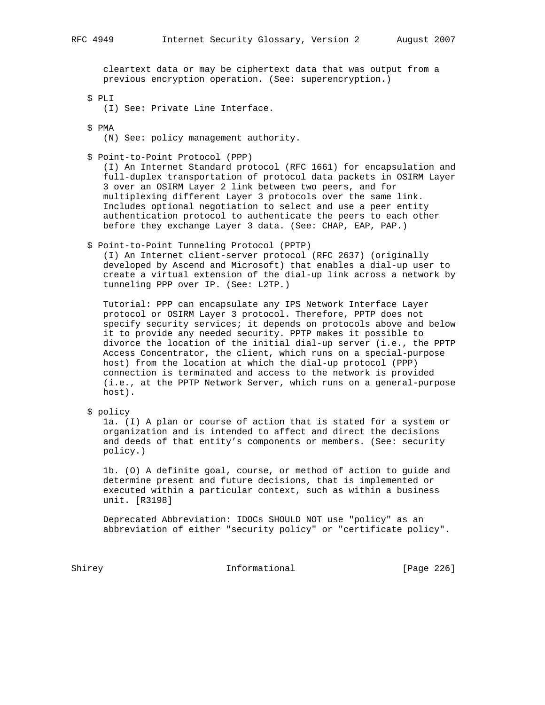cleartext data or may be ciphertext data that was output from a previous encryption operation. (See: superencryption.)

- \$ PLI
	- (I) See: Private Line Interface.
- \$ PMA
	- (N) See: policy management authority.
- \$ Point-to-Point Protocol (PPP)

 (I) An Internet Standard protocol (RFC 1661) for encapsulation and full-duplex transportation of protocol data packets in OSIRM Layer 3 over an OSIRM Layer 2 link between two peers, and for multiplexing different Layer 3 protocols over the same link. Includes optional negotiation to select and use a peer entity authentication protocol to authenticate the peers to each other before they exchange Layer 3 data. (See: CHAP, EAP, PAP.)

\$ Point-to-Point Tunneling Protocol (PPTP)

 (I) An Internet client-server protocol (RFC 2637) (originally developed by Ascend and Microsoft) that enables a dial-up user to create a virtual extension of the dial-up link across a network by tunneling PPP over IP. (See: L2TP.)

 Tutorial: PPP can encapsulate any IPS Network Interface Layer protocol or OSIRM Layer 3 protocol. Therefore, PPTP does not specify security services; it depends on protocols above and below it to provide any needed security. PPTP makes it possible to divorce the location of the initial dial-up server (i.e., the PPTP Access Concentrator, the client, which runs on a special-purpose host) from the location at which the dial-up protocol (PPP) connection is terminated and access to the network is provided (i.e., at the PPTP Network Server, which runs on a general-purpose host).

\$ policy

 1a. (I) A plan or course of action that is stated for a system or organization and is intended to affect and direct the decisions and deeds of that entity's components or members. (See: security policy.)

 1b. (O) A definite goal, course, or method of action to guide and determine present and future decisions, that is implemented or executed within a particular context, such as within a business unit. [R3198]

 Deprecated Abbreviation: IDOCs SHOULD NOT use "policy" as an abbreviation of either "security policy" or "certificate policy".

Shirey **Informational** [Page 226]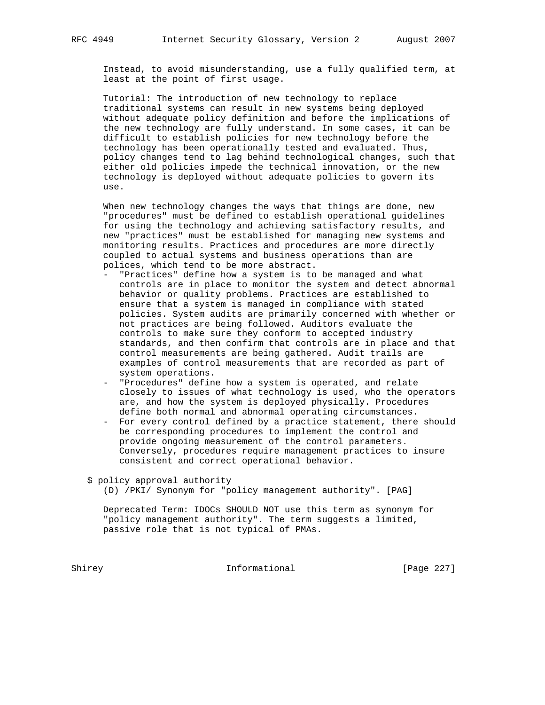Instead, to avoid misunderstanding, use a fully qualified term, at least at the point of first usage.

 Tutorial: The introduction of new technology to replace traditional systems can result in new systems being deployed without adequate policy definition and before the implications of the new technology are fully understand. In some cases, it can be difficult to establish policies for new technology before the technology has been operationally tested and evaluated. Thus, policy changes tend to lag behind technological changes, such that either old policies impede the technical innovation, or the new technology is deployed without adequate policies to govern its use.

 When new technology changes the ways that things are done, new "procedures" must be defined to establish operational guidelines for using the technology and achieving satisfactory results, and new "practices" must be established for managing new systems and monitoring results. Practices and procedures are more directly coupled to actual systems and business operations than are polices, which tend to be more abstract.

- "Practices" define how a system is to be managed and what controls are in place to monitor the system and detect abnormal behavior or quality problems. Practices are established to ensure that a system is managed in compliance with stated policies. System audits are primarily concerned with whether or not practices are being followed. Auditors evaluate the controls to make sure they conform to accepted industry standards, and then confirm that controls are in place and that control measurements are being gathered. Audit trails are examples of control measurements that are recorded as part of system operations.
- "Procedures" define how a system is operated, and relate closely to issues of what technology is used, who the operators are, and how the system is deployed physically. Procedures define both normal and abnormal operating circumstances.
- For every control defined by a practice statement, there should be corresponding procedures to implement the control and provide ongoing measurement of the control parameters. Conversely, procedures require management practices to insure consistent and correct operational behavior.

\$ policy approval authority

(D) /PKI/ Synonym for "policy management authority". [PAG]

 Deprecated Term: IDOCs SHOULD NOT use this term as synonym for "policy management authority". The term suggests a limited, passive role that is not typical of PMAs.

Shirey **Informational** [Page 227]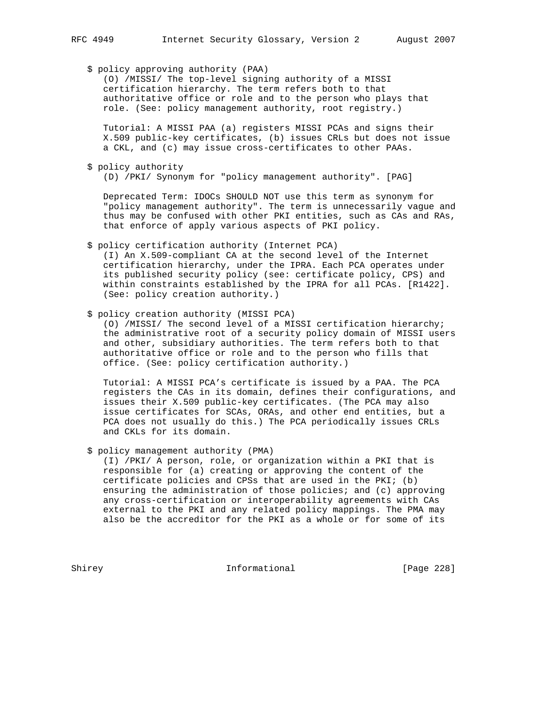\$ policy approving authority (PAA)

 (O) /MISSI/ The top-level signing authority of a MISSI certification hierarchy. The term refers both to that authoritative office or role and to the person who plays that role. (See: policy management authority, root registry.)

 Tutorial: A MISSI PAA (a) registers MISSI PCAs and signs their X.509 public-key certificates, (b) issues CRLs but does not issue a CKL, and (c) may issue cross-certificates to other PAAs.

\$ policy authority

(D) /PKI/ Synonym for "policy management authority". [PAG]

 Deprecated Term: IDOCs SHOULD NOT use this term as synonym for "policy management authority". The term is unnecessarily vague and thus may be confused with other PKI entities, such as CAs and RAs, that enforce of apply various aspects of PKI policy.

\$ policy certification authority (Internet PCA)

 (I) An X.509-compliant CA at the second level of the Internet certification hierarchy, under the IPRA. Each PCA operates under its published security policy (see: certificate policy, CPS) and within constraints established by the IPRA for all PCAs. [R1422]. (See: policy creation authority.)

\$ policy creation authority (MISSI PCA)

 (O) /MISSI/ The second level of a MISSI certification hierarchy; the administrative root of a security policy domain of MISSI users and other, subsidiary authorities. The term refers both to that authoritative office or role and to the person who fills that office. (See: policy certification authority.)

 Tutorial: A MISSI PCA's certificate is issued by a PAA. The PCA registers the CAs in its domain, defines their configurations, and issues their X.509 public-key certificates. (The PCA may also issue certificates for SCAs, ORAs, and other end entities, but a PCA does not usually do this.) The PCA periodically issues CRLs and CKLs for its domain.

\$ policy management authority (PMA)

 (I) /PKI/ A person, role, or organization within a PKI that is responsible for (a) creating or approving the content of the certificate policies and CPSs that are used in the PKI; (b) ensuring the administration of those policies; and (c) approving any cross-certification or interoperability agreements with CAs external to the PKI and any related policy mappings. The PMA may also be the accreditor for the PKI as a whole or for some of its

Shirey **Informational** [Page 228]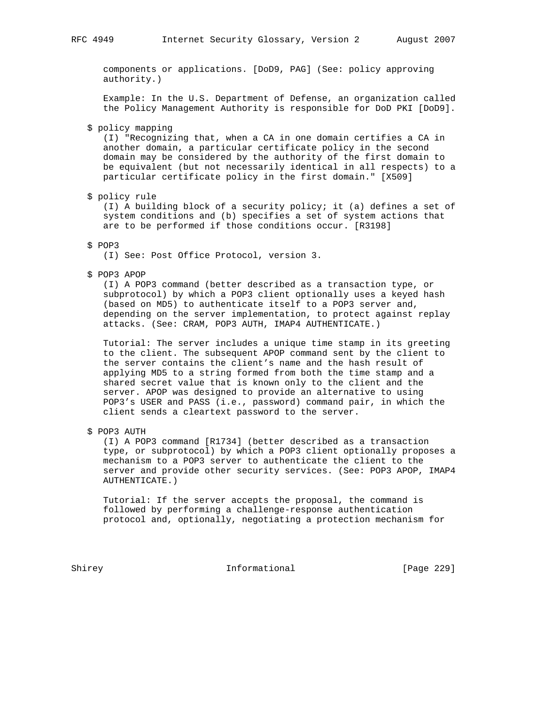components or applications. [DoD9, PAG] (See: policy approving authority.)

 Example: In the U.S. Department of Defense, an organization called the Policy Management Authority is responsible for DoD PKI [DoD9].

# \$ policy mapping

 (I) "Recognizing that, when a CA in one domain certifies a CA in another domain, a particular certificate policy in the second domain may be considered by the authority of the first domain to be equivalent (but not necessarily identical in all respects) to a particular certificate policy in the first domain." [X509]

#### \$ policy rule

 (I) A building block of a security policy; it (a) defines a set of system conditions and (b) specifies a set of system actions that are to be performed if those conditions occur. [R3198]

#### \$ POP3

(I) See: Post Office Protocol, version 3.

\$ POP3 APOP

 (I) A POP3 command (better described as a transaction type, or subprotocol) by which a POP3 client optionally uses a keyed hash (based on MD5) to authenticate itself to a POP3 server and, depending on the server implementation, to protect against replay attacks. (See: CRAM, POP3 AUTH, IMAP4 AUTHENTICATE.)

 Tutorial: The server includes a unique time stamp in its greeting to the client. The subsequent APOP command sent by the client to the server contains the client's name and the hash result of applying MD5 to a string formed from both the time stamp and a shared secret value that is known only to the client and the server. APOP was designed to provide an alternative to using POP3's USER and PASS (i.e., password) command pair, in which the client sends a cleartext password to the server.

\$ POP3 AUTH

 (I) A POP3 command [R1734] (better described as a transaction type, or subprotocol) by which a POP3 client optionally proposes a mechanism to a POP3 server to authenticate the client to the server and provide other security services. (See: POP3 APOP, IMAP4 AUTHENTICATE.)

 Tutorial: If the server accepts the proposal, the command is followed by performing a challenge-response authentication protocol and, optionally, negotiating a protection mechanism for

Shirey **Informational** [Page 229]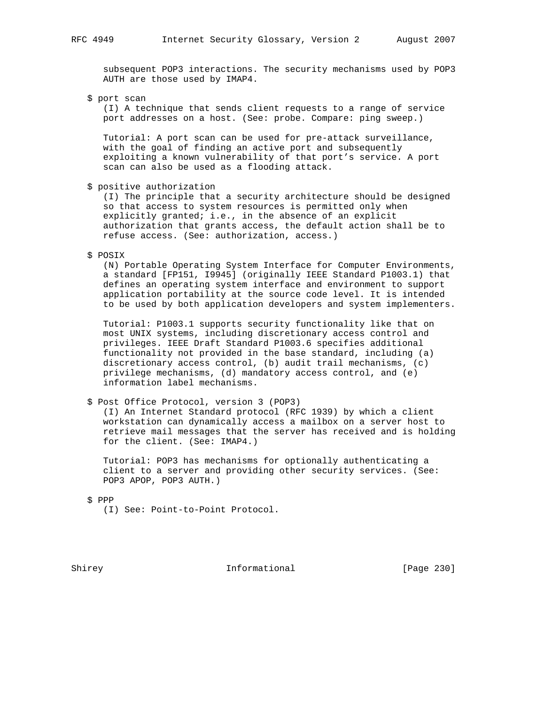subsequent POP3 interactions. The security mechanisms used by POP3 AUTH are those used by IMAP4.

\$ port scan

 (I) A technique that sends client requests to a range of service port addresses on a host. (See: probe. Compare: ping sweep.)

 Tutorial: A port scan can be used for pre-attack surveillance, with the goal of finding an active port and subsequently exploiting a known vulnerability of that port's service. A port scan can also be used as a flooding attack.

\$ positive authorization

 (I) The principle that a security architecture should be designed so that access to system resources is permitted only when explicitly granted; i.e., in the absence of an explicit authorization that grants access, the default action shall be to refuse access. (See: authorization, access.)

\$ POSIX

 (N) Portable Operating System Interface for Computer Environments, a standard [FP151, I9945] (originally IEEE Standard P1003.1) that defines an operating system interface and environment to support application portability at the source code level. It is intended to be used by both application developers and system implementers.

 Tutorial: P1003.1 supports security functionality like that on most UNIX systems, including discretionary access control and privileges. IEEE Draft Standard P1003.6 specifies additional functionality not provided in the base standard, including (a) discretionary access control, (b) audit trail mechanisms, (c) privilege mechanisms, (d) mandatory access control, and (e) information label mechanisms.

\$ Post Office Protocol, version 3 (POP3)

 (I) An Internet Standard protocol (RFC 1939) by which a client workstation can dynamically access a mailbox on a server host to retrieve mail messages that the server has received and is holding for the client. (See: IMAP4.)

 Tutorial: POP3 has mechanisms for optionally authenticating a client to a server and providing other security services. (See: POP3 APOP, POP3 AUTH.)

\$ PPP

(I) See: Point-to-Point Protocol.

Shirey **Informational** [Page 230]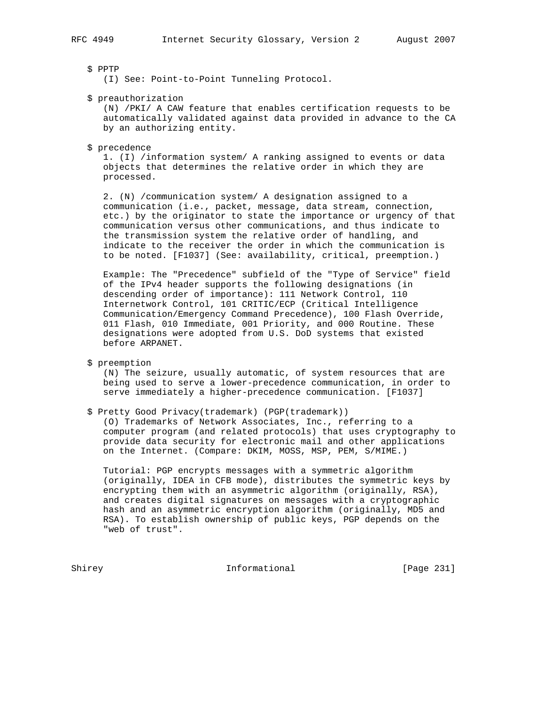### \$ PPTP

(I) See: Point-to-Point Tunneling Protocol.

#### \$ preauthorization

 (N) /PKI/ A CAW feature that enables certification requests to be automatically validated against data provided in advance to the CA by an authorizing entity.

#### \$ precedence

 1. (I) /information system/ A ranking assigned to events or data objects that determines the relative order in which they are processed.

 2. (N) /communication system/ A designation assigned to a communication (i.e., packet, message, data stream, connection, etc.) by the originator to state the importance or urgency of that communication versus other communications, and thus indicate to the transmission system the relative order of handling, and indicate to the receiver the order in which the communication is to be noted. [F1037] (See: availability, critical, preemption.)

 Example: The "Precedence" subfield of the "Type of Service" field of the IPv4 header supports the following designations (in descending order of importance): 111 Network Control, 110 Internetwork Control, 101 CRITIC/ECP (Critical Intelligence Communication/Emergency Command Precedence), 100 Flash Override, 011 Flash, 010 Immediate, 001 Priority, and 000 Routine. These designations were adopted from U.S. DoD systems that existed before ARPANET.

\$ preemption

 (N) The seizure, usually automatic, of system resources that are being used to serve a lower-precedence communication, in order to serve immediately a higher-precedence communication. [F1037]

\$ Pretty Good Privacy(trademark) (PGP(trademark))

 (O) Trademarks of Network Associates, Inc., referring to a computer program (and related protocols) that uses cryptography to provide data security for electronic mail and other applications on the Internet. (Compare: DKIM, MOSS, MSP, PEM, S/MIME.)

 Tutorial: PGP encrypts messages with a symmetric algorithm (originally, IDEA in CFB mode), distributes the symmetric keys by encrypting them with an asymmetric algorithm (originally, RSA), and creates digital signatures on messages with a cryptographic hash and an asymmetric encryption algorithm (originally, MD5 and RSA). To establish ownership of public keys, PGP depends on the "web of trust".

Shirey **Informational** [Page 231]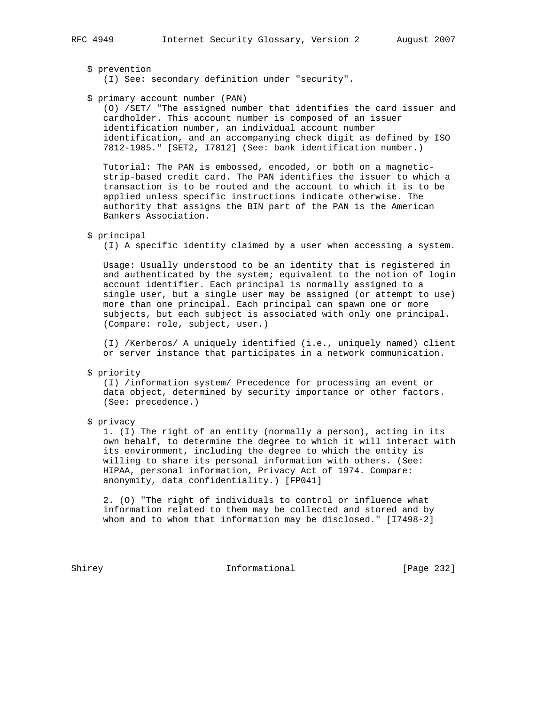## \$ prevention

(I) See: secondary definition under "security".

# \$ primary account number (PAN)

 (O) /SET/ "The assigned number that identifies the card issuer and cardholder. This account number is composed of an issuer identification number, an individual account number identification, and an accompanying check digit as defined by ISO 7812-1985." [SET2, I7812] (See: bank identification number.)

 Tutorial: The PAN is embossed, encoded, or both on a magnetic strip-based credit card. The PAN identifies the issuer to which a transaction is to be routed and the account to which it is to be applied unless specific instructions indicate otherwise. The authority that assigns the BIN part of the PAN is the American Bankers Association.

## \$ principal

(I) A specific identity claimed by a user when accessing a system.

 Usage: Usually understood to be an identity that is registered in and authenticated by the system; equivalent to the notion of login account identifier. Each principal is normally assigned to a single user, but a single user may be assigned (or attempt to use) more than one principal. Each principal can spawn one or more subjects, but each subject is associated with only one principal. (Compare: role, subject, user.)

 (I) /Kerberos/ A uniquely identified (i.e., uniquely named) client or server instance that participates in a network communication.

#### \$ priority

 (I) /information system/ Precedence for processing an event or data object, determined by security importance or other factors. (See: precedence.)

## \$ privacy

 1. (I) The right of an entity (normally a person), acting in its own behalf, to determine the degree to which it will interact with its environment, including the degree to which the entity is willing to share its personal information with others. (See: HIPAA, personal information, Privacy Act of 1974. Compare: anonymity, data confidentiality.) [FP041]

 2. (O) "The right of individuals to control or influence what information related to them may be collected and stored and by whom and to whom that information may be disclosed." [I7498-2]

Shirey **Informational** [Page 232]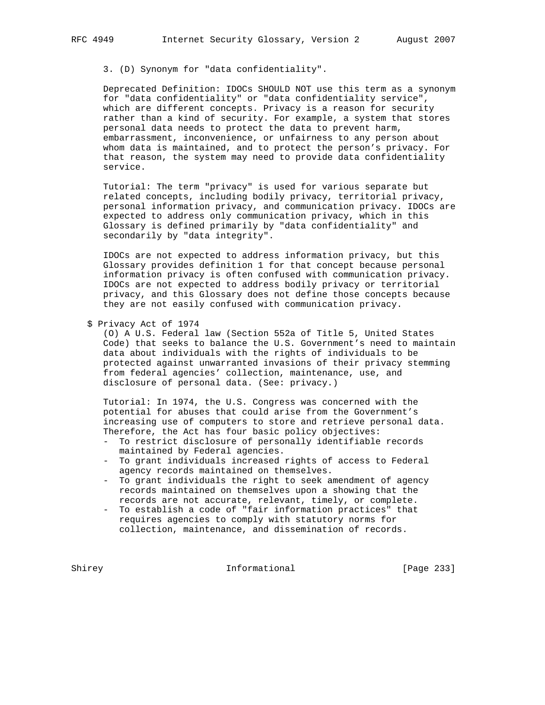3. (D) Synonym for "data confidentiality".

 Deprecated Definition: IDOCs SHOULD NOT use this term as a synonym for "data confidentiality" or "data confidentiality service", which are different concepts. Privacy is a reason for security rather than a kind of security. For example, a system that stores personal data needs to protect the data to prevent harm, embarrassment, inconvenience, or unfairness to any person about whom data is maintained, and to protect the person's privacy. For that reason, the system may need to provide data confidentiality service.

 Tutorial: The term "privacy" is used for various separate but related concepts, including bodily privacy, territorial privacy, personal information privacy, and communication privacy. IDOCs are expected to address only communication privacy, which in this Glossary is defined primarily by "data confidentiality" and secondarily by "data integrity".

 IDOCs are not expected to address information privacy, but this Glossary provides definition 1 for that concept because personal information privacy is often confused with communication privacy. IDOCs are not expected to address bodily privacy or territorial privacy, and this Glossary does not define those concepts because they are not easily confused with communication privacy.

 (O) A U.S. Federal law (Section 552a of Title 5, United States Code) that seeks to balance the U.S. Government's need to maintain data about individuals with the rights of individuals to be protected against unwarranted invasions of their privacy stemming from federal agencies' collection, maintenance, use, and disclosure of personal data. (See: privacy.)

 Tutorial: In 1974, the U.S. Congress was concerned with the potential for abuses that could arise from the Government's increasing use of computers to store and retrieve personal data. Therefore, the Act has four basic policy objectives:

- To restrict disclosure of personally identifiable records maintained by Federal agencies.
- To grant individuals increased rights of access to Federal agency records maintained on themselves.
- To grant individuals the right to seek amendment of agency records maintained on themselves upon a showing that the records are not accurate, relevant, timely, or complete.
- To establish a code of "fair information practices" that requires agencies to comply with statutory norms for collection, maintenance, and dissemination of records.

Shirey **Informational** [Page 233]

 <sup>\$</sup> Privacy Act of 1974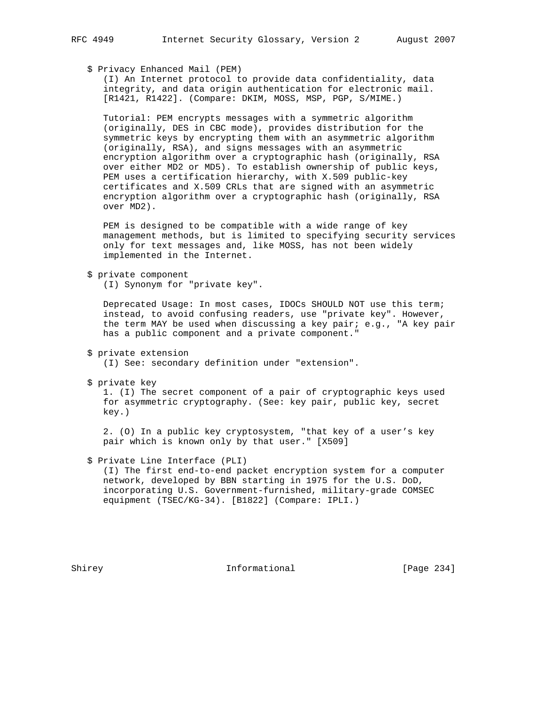# \$ Privacy Enhanced Mail (PEM)

 (I) An Internet protocol to provide data confidentiality, data integrity, and data origin authentication for electronic mail. [R1421, R1422]. (Compare: DKIM, MOSS, MSP, PGP, S/MIME.)

 Tutorial: PEM encrypts messages with a symmetric algorithm (originally, DES in CBC mode), provides distribution for the symmetric keys by encrypting them with an asymmetric algorithm (originally, RSA), and signs messages with an asymmetric encryption algorithm over a cryptographic hash (originally, RSA over either MD2 or MD5). To establish ownership of public keys, PEM uses a certification hierarchy, with X.509 public-key certificates and X.509 CRLs that are signed with an asymmetric encryption algorithm over a cryptographic hash (originally, RSA over MD2).

 PEM is designed to be compatible with a wide range of key management methods, but is limited to specifying security services only for text messages and, like MOSS, has not been widely implemented in the Internet.

\$ private component

(I) Synonym for "private key".

 Deprecated Usage: In most cases, IDOCs SHOULD NOT use this term; instead, to avoid confusing readers, use "private key". However, the term MAY be used when discussing a key pair; e.g., "A key pair has a public component and a private component."

- \$ private extension (I) See: secondary definition under "extension".
- \$ private key

 1. (I) The secret component of a pair of cryptographic keys used for asymmetric cryptography. (See: key pair, public key, secret key.)

 2. (O) In a public key cryptosystem, "that key of a user's key pair which is known only by that user." [X509]

# \$ Private Line Interface (PLI)

 (I) The first end-to-end packet encryption system for a computer network, developed by BBN starting in 1975 for the U.S. DoD, incorporating U.S. Government-furnished, military-grade COMSEC equipment (TSEC/KG-34). [B1822] (Compare: IPLI.)

Shirey **Informational** [Page 234]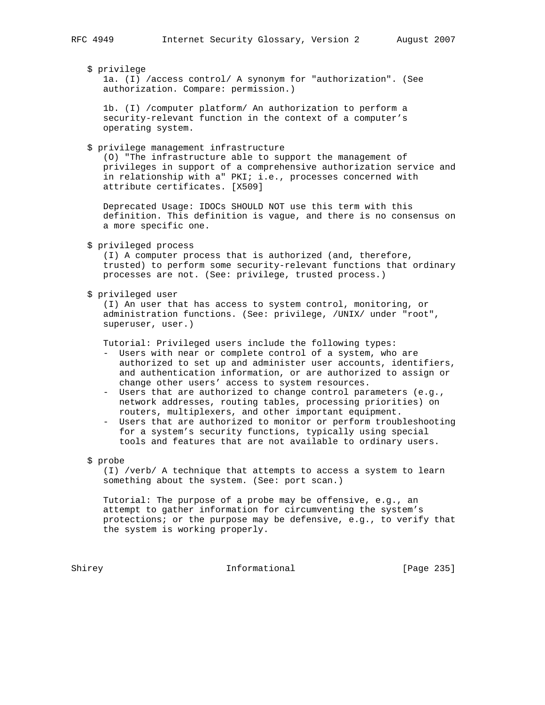\$ privilege

 1a. (I) /access control/ A synonym for "authorization". (See authorization. Compare: permission.)

 1b. (I) /computer platform/ An authorization to perform a security-relevant function in the context of a computer's operating system.

\$ privilege management infrastructure

 (O) "The infrastructure able to support the management of privileges in support of a comprehensive authorization service and in relationship with a" PKI; i.e., processes concerned with attribute certificates. [X509]

 Deprecated Usage: IDOCs SHOULD NOT use this term with this definition. This definition is vague, and there is no consensus on a more specific one.

\$ privileged process

 (I) A computer process that is authorized (and, therefore, trusted) to perform some security-relevant functions that ordinary processes are not. (See: privilege, trusted process.)

\$ privileged user

 (I) An user that has access to system control, monitoring, or administration functions. (See: privilege, /UNIX/ under "root", superuser, user.)

Tutorial: Privileged users include the following types:

- Users with near or complete control of a system, who are authorized to set up and administer user accounts, identifiers, and authentication information, or are authorized to assign or change other users' access to system resources.
- Users that are authorized to change control parameters (e.g., network addresses, routing tables, processing priorities) on routers, multiplexers, and other important equipment.
- Users that are authorized to monitor or perform troubleshooting for a system's security functions, typically using special tools and features that are not available to ordinary users.

\$ probe

 (I) /verb/ A technique that attempts to access a system to learn something about the system. (See: port scan.)

 Tutorial: The purpose of a probe may be offensive, e.g., an attempt to gather information for circumventing the system's protections; or the purpose may be defensive, e.g., to verify that the system is working properly.

Shirey **Informational** [Page 235]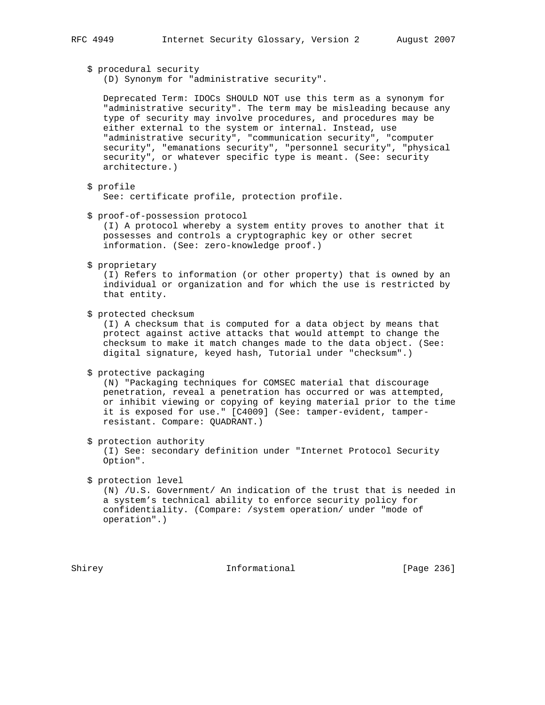\$ procedural security

(D) Synonym for "administrative security".

 Deprecated Term: IDOCs SHOULD NOT use this term as a synonym for "administrative security". The term may be misleading because any type of security may involve procedures, and procedures may be either external to the system or internal. Instead, use "administrative security", "communication security", "computer security", "emanations security", "personnel security", "physical security", or whatever specific type is meant. (See: security architecture.)

\$ profile

See: certificate profile, protection profile.

\$ proof-of-possession protocol

 (I) A protocol whereby a system entity proves to another that it possesses and controls a cryptographic key or other secret information. (See: zero-knowledge proof.)

\$ proprietary

 (I) Refers to information (or other property) that is owned by an individual or organization and for which the use is restricted by that entity.

\$ protected checksum

 (I) A checksum that is computed for a data object by means that protect against active attacks that would attempt to change the checksum to make it match changes made to the data object. (See: digital signature, keyed hash, Tutorial under "checksum".)

\$ protective packaging

 (N) "Packaging techniques for COMSEC material that discourage penetration, reveal a penetration has occurred or was attempted, or inhibit viewing or copying of keying material prior to the time it is exposed for use." [C4009] (See: tamper-evident, tamper resistant. Compare: QUADRANT.)

\$ protection authority

 (I) See: secondary definition under "Internet Protocol Security Option".

\$ protection level

 (N) /U.S. Government/ An indication of the trust that is needed in a system's technical ability to enforce security policy for confidentiality. (Compare: /system operation/ under "mode of operation".)

Shirey **Informational** [Page 236]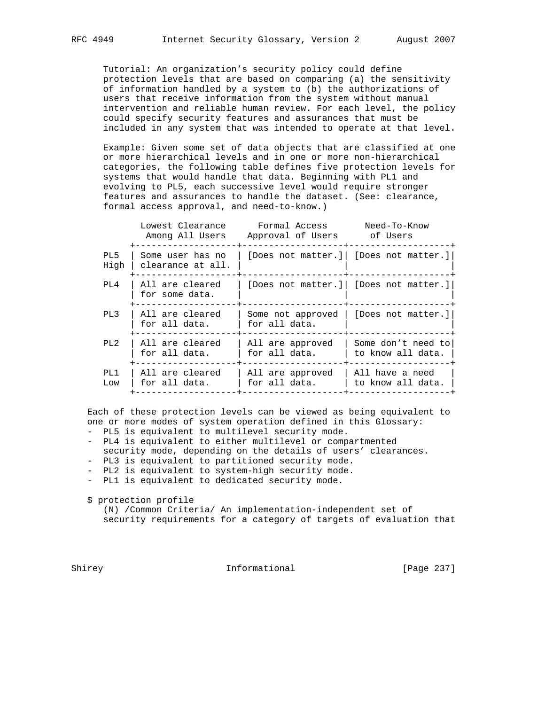Tutorial: An organization's security policy could define protection levels that are based on comparing (a) the sensitivity of information handled by a system to (b) the authorizations of users that receive information from the system without manual intervention and reliable human review. For each level, the policy could specify security features and assurances that must be included in any system that was intended to operate at that level.

 Example: Given some set of data objects that are classified at one or more hierarchical levels and in one or more non-hierarchical categories, the following table defines five protection levels for systems that would handle that data. Beginning with PL1 and evolving to PL5, each successive level would require stronger features and assurances to handle the dataset. (See: clearance, formal access approval, and need-to-know.)

|             | Lowest Clearance<br>Among All Users   | Formal Access<br>Approval of Users of Users | Need-To-Know                            |
|-------------|---------------------------------------|---------------------------------------------|-----------------------------------------|
| PL5<br>High | Some user has no<br>clearance at all. |                                             | [Does not matter.]  [Does not matter.]  |
| PL4         | All are cleared<br>for some data.     |                                             | [Does not matter.]   [Does not matter.] |
| PL3         | All are cleared<br>for all data.      | Some not approved<br>for all data.          | [Does not matter.]                      |
| PL2         | All are cleared<br>for all data.      | All are approved<br>for all data.           | Some don't need to<br>to know all data. |
| PT.1<br>Low | All are cleared<br>for all data.      | All are approved<br>for all data.           | All have a need<br>to know all data.    |

 Each of these protection levels can be viewed as being equivalent to one or more modes of system operation defined in this Glossary:

- PL5 is equivalent to multilevel security mode.
- PL4 is equivalent to either multilevel or compartmented security mode, depending on the details of users' clearances.
- PL3 is equivalent to partitioned security mode.
- PL2 is equivalent to system-high security mode.
- PL1 is equivalent to dedicated security mode.

\$ protection profile

 (N) /Common Criteria/ An implementation-independent set of security requirements for a category of targets of evaluation that

Shirey **Informational** [Page 237]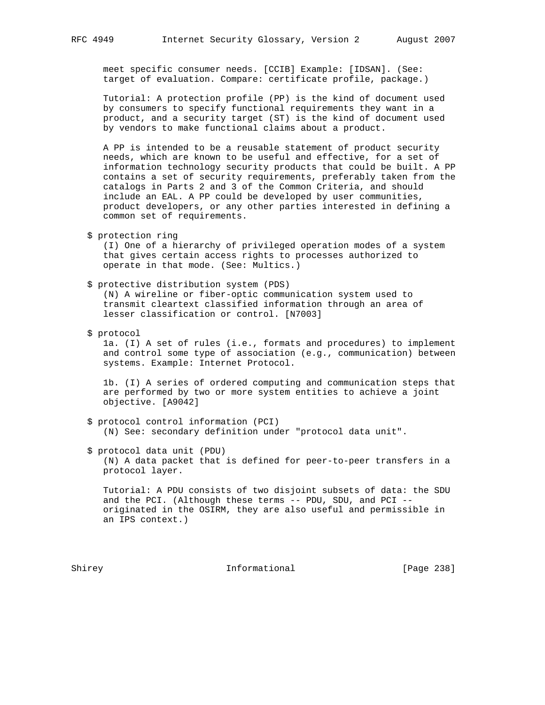meet specific consumer needs. [CCIB] Example: [IDSAN]. (See: target of evaluation. Compare: certificate profile, package.)

 Tutorial: A protection profile (PP) is the kind of document used by consumers to specify functional requirements they want in a product, and a security target (ST) is the kind of document used by vendors to make functional claims about a product.

 A PP is intended to be a reusable statement of product security needs, which are known to be useful and effective, for a set of information technology security products that could be built. A PP contains a set of security requirements, preferably taken from the catalogs in Parts 2 and 3 of the Common Criteria, and should include an EAL. A PP could be developed by user communities, product developers, or any other parties interested in defining a common set of requirements.

\$ protection ring

 (I) One of a hierarchy of privileged operation modes of a system that gives certain access rights to processes authorized to operate in that mode. (See: Multics.)

 \$ protective distribution system (PDS) (N) A wireline or fiber-optic communication system used to

 transmit cleartext classified information through an area of lesser classification or control. [N7003]

\$ protocol

 1a. (I) A set of rules (i.e., formats and procedures) to implement and control some type of association (e.g., communication) between systems. Example: Internet Protocol.

 1b. (I) A series of ordered computing and communication steps that are performed by two or more system entities to achieve a joint objective. [A9042]

- \$ protocol control information (PCI) (N) See: secondary definition under "protocol data unit".
- \$ protocol data unit (PDU) (N) A data packet that is defined for peer-to-peer transfers in a protocol layer.

 Tutorial: A PDU consists of two disjoint subsets of data: the SDU and the PCI. (Although these terms -- PDU, SDU, and PCI - originated in the OSIRM, they are also useful and permissible in an IPS context.)

Shirey **Informational** [Page 238]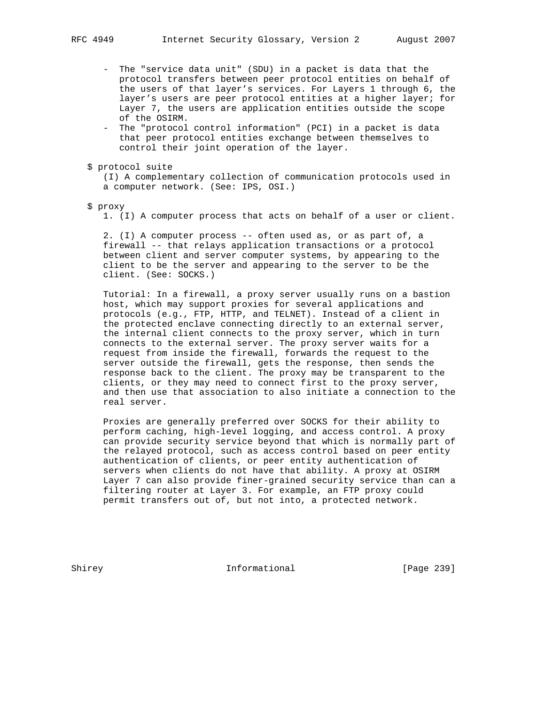- The "service data unit" (SDU) in a packet is data that the protocol transfers between peer protocol entities on behalf of the users of that layer's services. For Layers 1 through 6, the layer's users are peer protocol entities at a higher layer; for Layer 7, the users are application entities outside the scope of the OSIRM.
- The "protocol control information" (PCI) in a packet is data that peer protocol entities exchange between themselves to control their joint operation of the layer.
- \$ protocol suite

 (I) A complementary collection of communication protocols used in a computer network. (See: IPS, OSI.)

\$ proxy

1. (I) A computer process that acts on behalf of a user or client.

 2. (I) A computer process -- often used as, or as part of, a firewall -- that relays application transactions or a protocol between client and server computer systems, by appearing to the client to be the server and appearing to the server to be the client. (See: SOCKS.)

 Tutorial: In a firewall, a proxy server usually runs on a bastion host, which may support proxies for several applications and protocols (e.g., FTP, HTTP, and TELNET). Instead of a client in the protected enclave connecting directly to an external server, the internal client connects to the proxy server, which in turn connects to the external server. The proxy server waits for a request from inside the firewall, forwards the request to the server outside the firewall, gets the response, then sends the response back to the client. The proxy may be transparent to the clients, or they may need to connect first to the proxy server, and then use that association to also initiate a connection to the real server.

 Proxies are generally preferred over SOCKS for their ability to perform caching, high-level logging, and access control. A proxy can provide security service beyond that which is normally part of the relayed protocol, such as access control based on peer entity authentication of clients, or peer entity authentication of servers when clients do not have that ability. A proxy at OSIRM Layer 7 can also provide finer-grained security service than can a filtering router at Layer 3. For example, an FTP proxy could permit transfers out of, but not into, a protected network.

Shirey **Informational** [Page 239]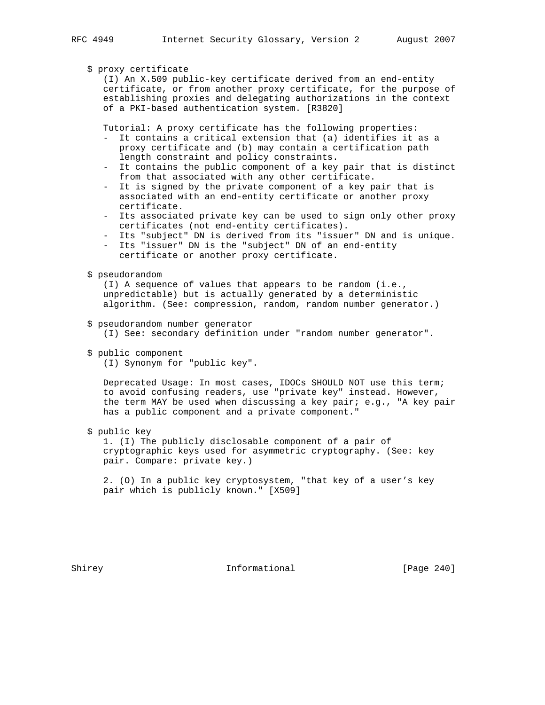## \$ proxy certificate

 (I) An X.509 public-key certificate derived from an end-entity certificate, or from another proxy certificate, for the purpose of establishing proxies and delegating authorizations in the context of a PKI-based authentication system. [R3820]

Tutorial: A proxy certificate has the following properties:

- It contains a critical extension that (a) identifies it as a proxy certificate and (b) may contain a certification path length constraint and policy constraints.
- It contains the public component of a key pair that is distinct from that associated with any other certificate.
- It is signed by the private component of a key pair that is associated with an end-entity certificate or another proxy certificate.
- Its associated private key can be used to sign only other proxy certificates (not end-entity certificates).
- Its "subject" DN is derived from its "issuer" DN and is unique.
- Its "issuer" DN is the "subject" DN of an end-entity certificate or another proxy certificate.
- \$ pseudorandom

 (I) A sequence of values that appears to be random (i.e., unpredictable) but is actually generated by a deterministic algorithm. (See: compression, random, random number generator.)

- \$ pseudorandom number generator (I) See: secondary definition under "random number generator".
- \$ public component

(I) Synonym for "public key".

 Deprecated Usage: In most cases, IDOCs SHOULD NOT use this term; to avoid confusing readers, use "private key" instead. However, the term MAY be used when discussing a key pair; e.g., "A key pair has a public component and a private component."

\$ public key

 1. (I) The publicly disclosable component of a pair of cryptographic keys used for asymmetric cryptography. (See: key pair. Compare: private key.)

 2. (O) In a public key cryptosystem, "that key of a user's key pair which is publicly known." [X509]

Shirey **Informational** [Page 240]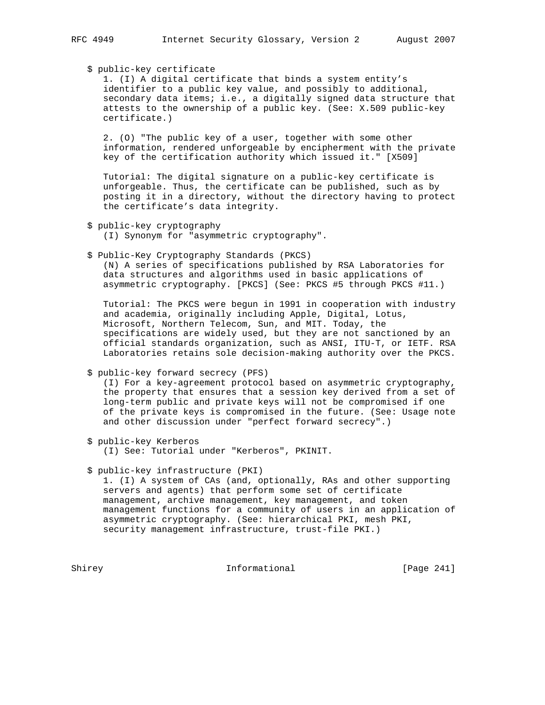# \$ public-key certificate

 1. (I) A digital certificate that binds a system entity's identifier to a public key value, and possibly to additional, secondary data items; i.e., a digitally signed data structure that attests to the ownership of a public key. (See: X.509 public-key certificate.)

 2. (O) "The public key of a user, together with some other information, rendered unforgeable by encipherment with the private key of the certification authority which issued it." [X509]

 Tutorial: The digital signature on a public-key certificate is unforgeable. Thus, the certificate can be published, such as by posting it in a directory, without the directory having to protect the certificate's data integrity.

\$ public-key cryptography

(I) Synonym for "asymmetric cryptography".

\$ Public-Key Cryptography Standards (PKCS)

 (N) A series of specifications published by RSA Laboratories for data structures and algorithms used in basic applications of asymmetric cryptography. [PKCS] (See: PKCS #5 through PKCS #11.)

 Tutorial: The PKCS were begun in 1991 in cooperation with industry and academia, originally including Apple, Digital, Lotus, Microsoft, Northern Telecom, Sun, and MIT. Today, the specifications are widely used, but they are not sanctioned by an official standards organization, such as ANSI, ITU-T, or IETF. RSA Laboratories retains sole decision-making authority over the PKCS.

#### \$ public-key forward secrecy (PFS)

 (I) For a key-agreement protocol based on asymmetric cryptography, the property that ensures that a session key derived from a set of long-term public and private keys will not be compromised if one of the private keys is compromised in the future. (See: Usage note and other discussion under "perfect forward secrecy".)

\$ public-key Kerberos

(I) See: Tutorial under "Kerberos", PKINIT.

\$ public-key infrastructure (PKI)

 1. (I) A system of CAs (and, optionally, RAs and other supporting servers and agents) that perform some set of certificate management, archive management, key management, and token management functions for a community of users in an application of asymmetric cryptography. (See: hierarchical PKI, mesh PKI, security management infrastructure, trust-file PKI.)

Shirey **Informational** [Page 241]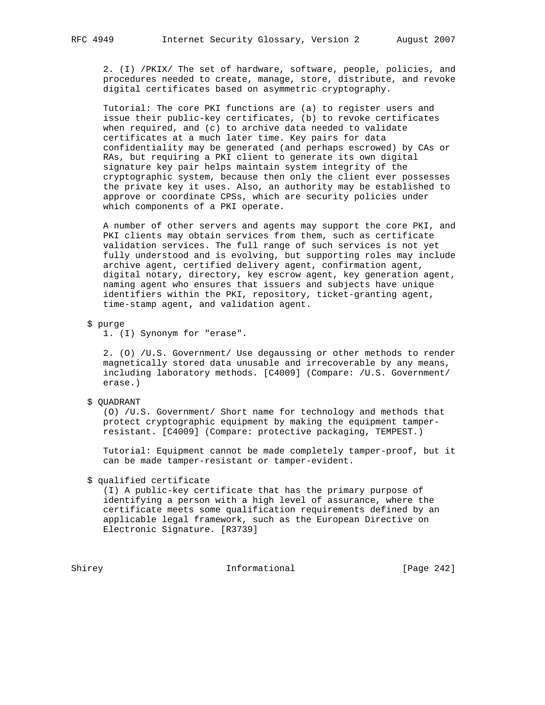2. (I) /PKIX/ The set of hardware, software, people, policies, and procedures needed to create, manage, store, distribute, and revoke digital certificates based on asymmetric cryptography.

 Tutorial: The core PKI functions are (a) to register users and issue their public-key certificates, (b) to revoke certificates when required, and (c) to archive data needed to validate certificates at a much later time. Key pairs for data confidentiality may be generated (and perhaps escrowed) by CAs or RAs, but requiring a PKI client to generate its own digital signature key pair helps maintain system integrity of the cryptographic system, because then only the client ever possesses the private key it uses. Also, an authority may be established to approve or coordinate CPSs, which are security policies under which components of a PKI operate.

 A number of other servers and agents may support the core PKI, and PKI clients may obtain services from them, such as certificate validation services. The full range of such services is not yet fully understood and is evolving, but supporting roles may include archive agent, certified delivery agent, confirmation agent, digital notary, directory, key escrow agent, key generation agent, naming agent who ensures that issuers and subjects have unique identifiers within the PKI, repository, ticket-granting agent, time-stamp agent, and validation agent.

\$ purge

1. (I) Synonym for "erase".

 2. (O) /U.S. Government/ Use degaussing or other methods to render magnetically stored data unusable and irrecoverable by any means, including laboratory methods. [C4009] (Compare: /U.S. Government/ erase.)

# \$ QUADRANT

 (O) /U.S. Government/ Short name for technology and methods that protect cryptographic equipment by making the equipment tamper resistant. [C4009] (Compare: protective packaging, TEMPEST.)

 Tutorial: Equipment cannot be made completely tamper-proof, but it can be made tamper-resistant or tamper-evident.

\$ qualified certificate

 (I) A public-key certificate that has the primary purpose of identifying a person with a high level of assurance, where the certificate meets some qualification requirements defined by an applicable legal framework, such as the European Directive on Electronic Signature. [R3739]

Shirey **Informational** [Page 242]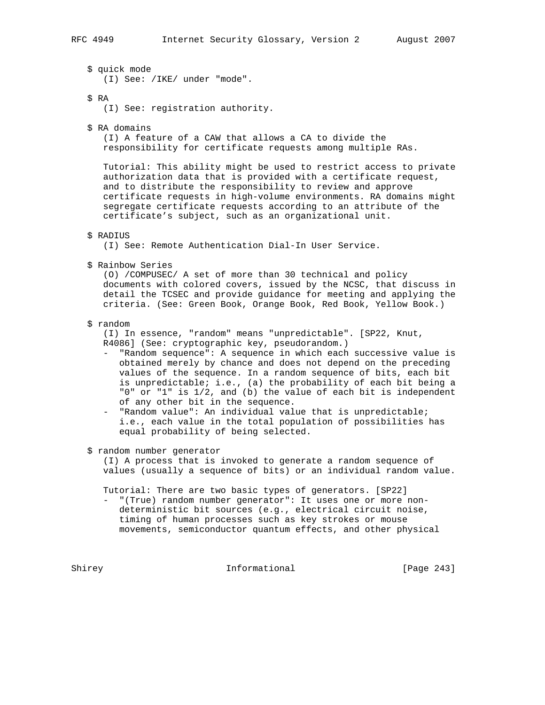\$ quick mode (I) See: /IKE/ under "mode".

\$ RA

(I) See: registration authority.

\$ RA domains

 (I) A feature of a CAW that allows a CA to divide the responsibility for certificate requests among multiple RAs.

 Tutorial: This ability might be used to restrict access to private authorization data that is provided with a certificate request, and to distribute the responsibility to review and approve certificate requests in high-volume environments. RA domains might segregate certificate requests according to an attribute of the certificate's subject, such as an organizational unit.

## \$ RADIUS

(I) See: Remote Authentication Dial-In User Service.

\$ Rainbow Series

 (O) /COMPUSEC/ A set of more than 30 technical and policy documents with colored covers, issued by the NCSC, that discuss in detail the TCSEC and provide guidance for meeting and applying the criteria. (See: Green Book, Orange Book, Red Book, Yellow Book.)

#### \$ random

 (I) In essence, "random" means "unpredictable". [SP22, Knut, R4086] (See: cryptographic key, pseudorandom.)

- "Random sequence": A sequence in which each successive value is obtained merely by chance and does not depend on the preceding values of the sequence. In a random sequence of bits, each bit is unpredictable; i.e., (a) the probability of each bit being a "0" or "1" is 1/2, and (b) the value of each bit is independent of any other bit in the sequence.
- "Random value": An individual value that is unpredictable; i.e., each value in the total population of possibilities has equal probability of being selected.

\$ random number generator

 (I) A process that is invoked to generate a random sequence of values (usually a sequence of bits) or an individual random value.

Tutorial: There are two basic types of generators. [SP22]

 - "(True) random number generator": It uses one or more non deterministic bit sources (e.g., electrical circuit noise, timing of human processes such as key strokes or mouse movements, semiconductor quantum effects, and other physical

Shirey **Informational** [Page 243]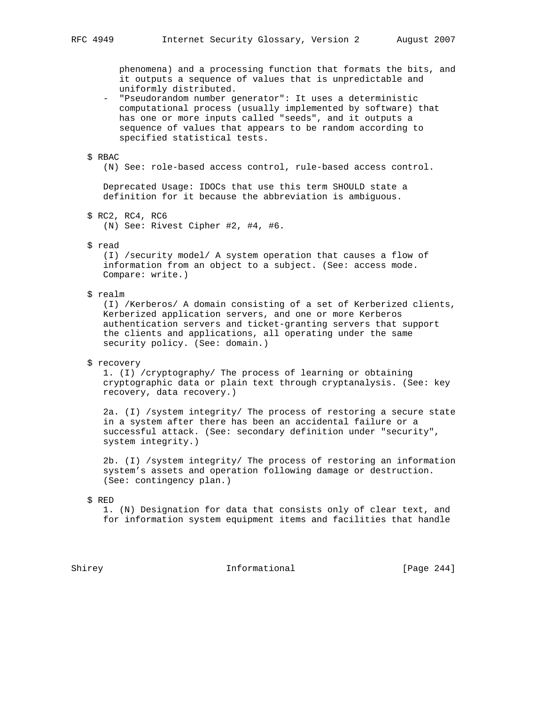phenomena) and a processing function that formats the bits, and it outputs a sequence of values that is unpredictable and uniformly distributed.

 - "Pseudorandom number generator": It uses a deterministic computational process (usually implemented by software) that has one or more inputs called "seeds", and it outputs a sequence of values that appears to be random according to specified statistical tests.

#### \$ RBAC

(N) See: role-based access control, rule-based access control.

 Deprecated Usage: IDOCs that use this term SHOULD state a definition for it because the abbreviation is ambiguous.

\$ RC2, RC4, RC6

(N) See: Rivest Cipher #2, #4, #6.

\$ read

 (I) /security model/ A system operation that causes a flow of information from an object to a subject. (See: access mode. Compare: write.)

\$ realm

 (I) /Kerberos/ A domain consisting of a set of Kerberized clients, Kerberized application servers, and one or more Kerberos authentication servers and ticket-granting servers that support the clients and applications, all operating under the same security policy. (See: domain.)

\$ recovery

 1. (I) /cryptography/ The process of learning or obtaining cryptographic data or plain text through cryptanalysis. (See: key recovery, data recovery.)

 2a. (I) /system integrity/ The process of restoring a secure state in a system after there has been an accidental failure or a successful attack. (See: secondary definition under "security", system integrity.)

 2b. (I) /system integrity/ The process of restoring an information system's assets and operation following damage or destruction. (See: contingency plan.)

\$ RED

 1. (N) Designation for data that consists only of clear text, and for information system equipment items and facilities that handle

Shirey **Informational** [Page 244]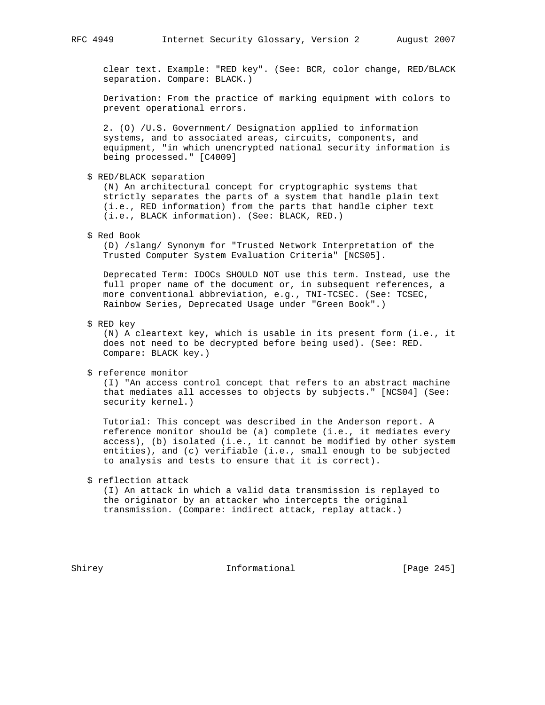clear text. Example: "RED key". (See: BCR, color change, RED/BLACK separation. Compare: BLACK.)

 Derivation: From the practice of marking equipment with colors to prevent operational errors.

 2. (O) /U.S. Government/ Designation applied to information systems, and to associated areas, circuits, components, and equipment, "in which unencrypted national security information is being processed." [C4009]

\$ RED/BLACK separation

 (N) An architectural concept for cryptographic systems that strictly separates the parts of a system that handle plain text (i.e., RED information) from the parts that handle cipher text (i.e., BLACK information). (See: BLACK, RED.)

\$ Red Book

 (D) /slang/ Synonym for "Trusted Network Interpretation of the Trusted Computer System Evaluation Criteria" [NCS05].

 Deprecated Term: IDOCs SHOULD NOT use this term. Instead, use the full proper name of the document or, in subsequent references, a more conventional abbreviation, e.g., TNI-TCSEC. (See: TCSEC, Rainbow Series, Deprecated Usage under "Green Book".)

\$ RED key

 (N) A cleartext key, which is usable in its present form (i.e., it does not need to be decrypted before being used). (See: RED. Compare: BLACK key.)

\$ reference monitor

 (I) "An access control concept that refers to an abstract machine that mediates all accesses to objects by subjects." [NCS04] (See: security kernel.)

 Tutorial: This concept was described in the Anderson report. A reference monitor should be (a) complete (i.e., it mediates every access), (b) isolated (i.e., it cannot be modified by other system entities), and (c) verifiable (i.e., small enough to be subjected to analysis and tests to ensure that it is correct).

\$ reflection attack

 (I) An attack in which a valid data transmission is replayed to the originator by an attacker who intercepts the original transmission. (Compare: indirect attack, replay attack.)

Shirey **Informational** [Page 245]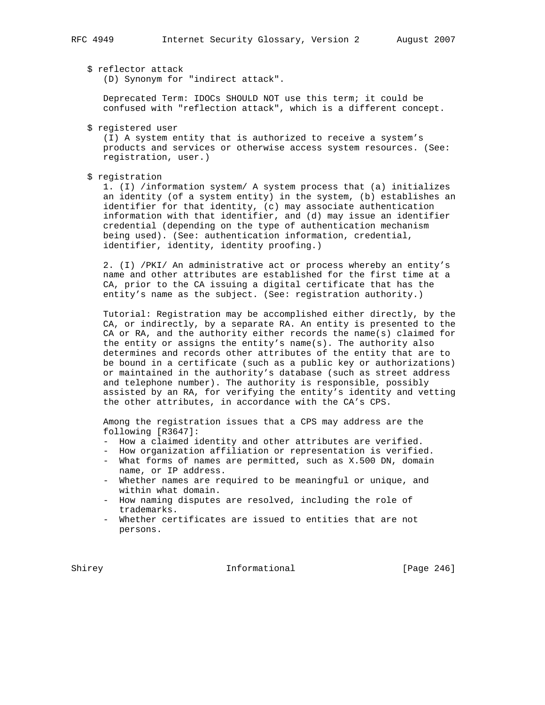\$ reflector attack

(D) Synonym for "indirect attack".

 Deprecated Term: IDOCs SHOULD NOT use this term; it could be confused with "reflection attack", which is a different concept.

\$ registered user

 (I) A system entity that is authorized to receive a system's products and services or otherwise access system resources. (See: registration, user.)

\$ registration

 1. (I) /information system/ A system process that (a) initializes an identity (of a system entity) in the system, (b) establishes an identifier for that identity, (c) may associate authentication information with that identifier, and (d) may issue an identifier credential (depending on the type of authentication mechanism being used). (See: authentication information, credential, identifier, identity, identity proofing.)

 2. (I) /PKI/ An administrative act or process whereby an entity's name and other attributes are established for the first time at a CA, prior to the CA issuing a digital certificate that has the entity's name as the subject. (See: registration authority.)

 Tutorial: Registration may be accomplished either directly, by the CA, or indirectly, by a separate RA. An entity is presented to the CA or RA, and the authority either records the name(s) claimed for the entity or assigns the entity's name(s). The authority also determines and records other attributes of the entity that are to be bound in a certificate (such as a public key or authorizations) or maintained in the authority's database (such as street address and telephone number). The authority is responsible, possibly assisted by an RA, for verifying the entity's identity and vetting the other attributes, in accordance with the CA's CPS.

 Among the registration issues that a CPS may address are the following [R3647]:

- How a claimed identity and other attributes are verified.
- How organization affiliation or representation is verified.
- What forms of names are permitted, such as X.500 DN, domain name, or IP address.
- Whether names are required to be meaningful or unique, and within what domain.
- How naming disputes are resolved, including the role of trademarks.
- Whether certificates are issued to entities that are not persons.

Shirey **Informational** [Page 246]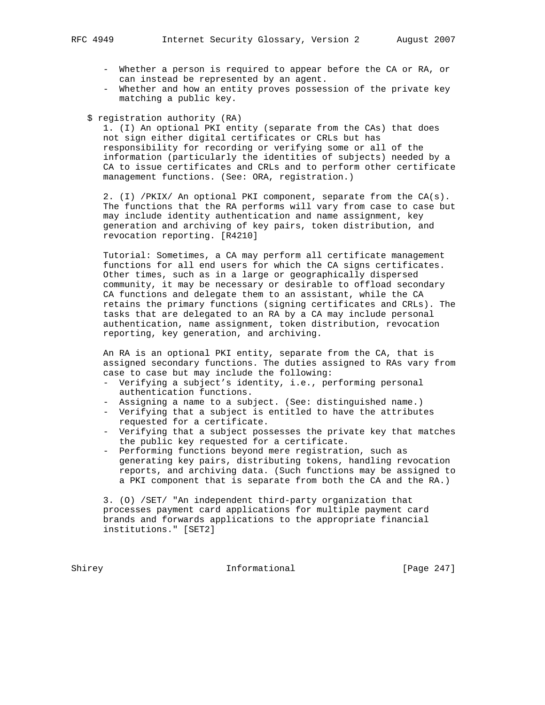- Whether a person is required to appear before the CA or RA, or can instead be represented by an agent.
- Whether and how an entity proves possession of the private key matching a public key.
- \$ registration authority (RA)

 1. (I) An optional PKI entity (separate from the CAs) that does not sign either digital certificates or CRLs but has responsibility for recording or verifying some or all of the information (particularly the identities of subjects) needed by a CA to issue certificates and CRLs and to perform other certificate management functions. (See: ORA, registration.)

 2. (I) /PKIX/ An optional PKI component, separate from the CA(s). The functions that the RA performs will vary from case to case but may include identity authentication and name assignment, key generation and archiving of key pairs, token distribution, and revocation reporting. [R4210]

 Tutorial: Sometimes, a CA may perform all certificate management functions for all end users for which the CA signs certificates. Other times, such as in a large or geographically dispersed community, it may be necessary or desirable to offload secondary CA functions and delegate them to an assistant, while the CA retains the primary functions (signing certificates and CRLs). The tasks that are delegated to an RA by a CA may include personal authentication, name assignment, token distribution, revocation reporting, key generation, and archiving.

 An RA is an optional PKI entity, separate from the CA, that is assigned secondary functions. The duties assigned to RAs vary from case to case but may include the following:

- Verifying a subject's identity, i.e., performing personal authentication functions.
- Assigning a name to a subject. (See: distinguished name.)
- Verifying that a subject is entitled to have the attributes requested for a certificate.
- Verifying that a subject possesses the private key that matches the public key requested for a certificate.
- Performing functions beyond mere registration, such as generating key pairs, distributing tokens, handling revocation reports, and archiving data. (Such functions may be assigned to a PKI component that is separate from both the CA and the RA.)

 3. (O) /SET/ "An independent third-party organization that processes payment card applications for multiple payment card brands and forwards applications to the appropriate financial institutions." [SET2]

Shirey **Informational** [Page 247]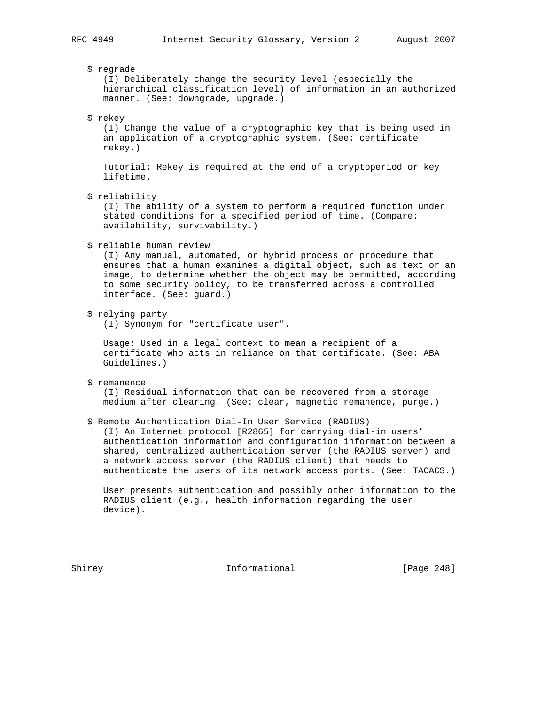\$ regrade (I) Deliberately change the security level (especially the hierarchical classification level) of information in an authorized manner. (See: downgrade, upgrade.) \$ rekey (I) Change the value of a cryptographic key that is being used in an application of a cryptographic system. (See: certificate rekey.) Tutorial: Rekey is required at the end of a cryptoperiod or key lifetime. \$ reliability (I) The ability of a system to perform a required function under stated conditions for a specified period of time. (Compare: availability, survivability.) \$ reliable human review (I) Any manual, automated, or hybrid process or procedure that ensures that a human examines a digital object, such as text or an image, to determine whether the object may be permitted, according to some security policy, to be transferred across a controlled interface. (See: guard.) \$ relying party (I) Synonym for "certificate user". Usage: Used in a legal context to mean a recipient of a certificate who acts in reliance on that certificate. (See: ABA Guidelines.) \$ remanence (I) Residual information that can be recovered from a storage medium after clearing. (See: clear, magnetic remanence, purge.) \$ Remote Authentication Dial-In User Service (RADIUS) (I) An Internet protocol [R2865] for carrying dial-in users' authentication information and configuration information between a shared, centralized authentication server (the RADIUS server) and a network access server (the RADIUS client) that needs to authenticate the users of its network access ports. (See: TACACS.) User presents authentication and possibly other information to the RADIUS client (e.g., health information regarding the user device).

Shirey **Informational** [Page 248]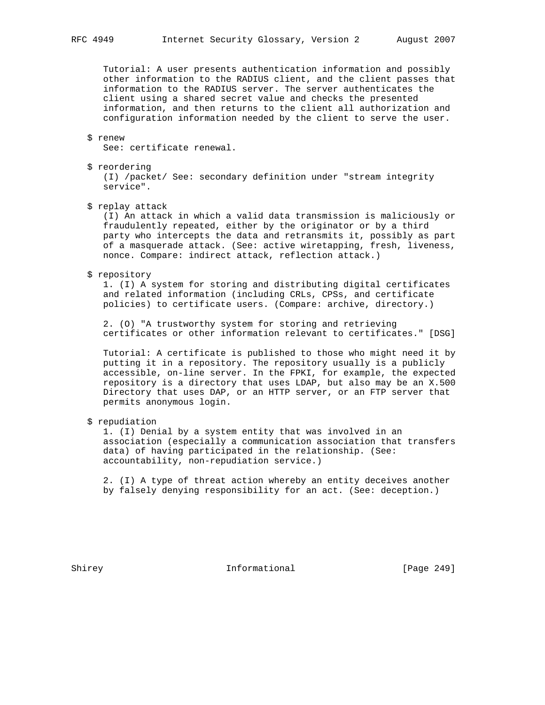Tutorial: A user presents authentication information and possibly other information to the RADIUS client, and the client passes that information to the RADIUS server. The server authenticates the client using a shared secret value and checks the presented information, and then returns to the client all authorization and configuration information needed by the client to serve the user.

## \$ renew

See: certificate renewal.

\$ reordering

 (I) /packet/ See: secondary definition under "stream integrity service".

\$ replay attack

 (I) An attack in which a valid data transmission is maliciously or fraudulently repeated, either by the originator or by a third party who intercepts the data and retransmits it, possibly as part of a masquerade attack. (See: active wiretapping, fresh, liveness, nonce. Compare: indirect attack, reflection attack.)

\$ repository

 1. (I) A system for storing and distributing digital certificates and related information (including CRLs, CPSs, and certificate policies) to certificate users. (Compare: archive, directory.)

 2. (O) "A trustworthy system for storing and retrieving certificates or other information relevant to certificates." [DSG]

 Tutorial: A certificate is published to those who might need it by putting it in a repository. The repository usually is a publicly accessible, on-line server. In the FPKI, for example, the expected repository is a directory that uses LDAP, but also may be an X.500 Directory that uses DAP, or an HTTP server, or an FTP server that permits anonymous login.

\$ repudiation

 1. (I) Denial by a system entity that was involved in an association (especially a communication association that transfers data) of having participated in the relationship. (See: accountability, non-repudiation service.)

 2. (I) A type of threat action whereby an entity deceives another by falsely denying responsibility for an act. (See: deception.)

Shirey **Informational** [Page 249]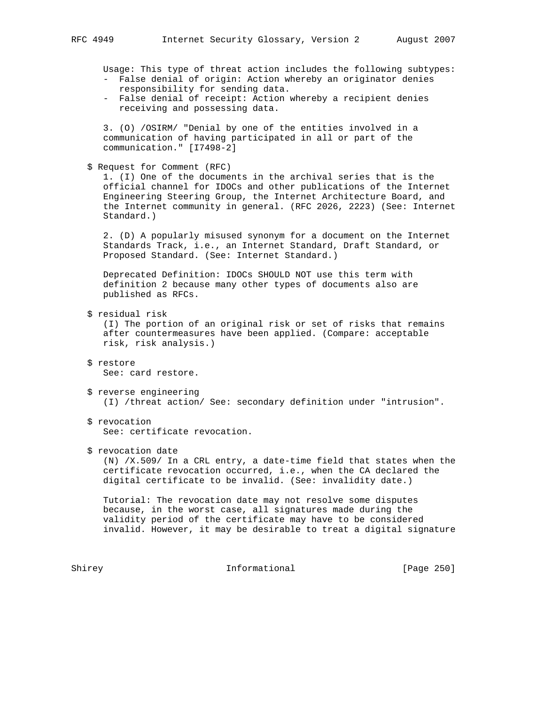- False denial of origin: Action whereby an originator denies responsibility for sending data. - False denial of receipt: Action whereby a recipient denies receiving and possessing data. 3. (O) /OSIRM/ "Denial by one of the entities involved in a communication of having participated in all or part of the communication." [I7498-2] 1. (I) One of the documents in the archival series that is the Standard.) 2. (D) A popularly misused synonym for a document on the Internet Standards Track, i.e., an Internet Standard, Draft Standard, or Proposed Standard. (See: Internet Standard.) Deprecated Definition: IDOCs SHOULD NOT use this term with definition 2 because many other types of documents also are published as RFCs. after countermeasures have been applied. (Compare: acceptable risk, risk analysis.) See: card restore. \$ reverse engineering (I) /threat action/ See: secondary definition under "intrusion".

 \$ revocation See: certificate revocation.

\$ revocation date

 (N) /X.509/ In a CRL entry, a date-time field that states when the certificate revocation occurred, i.e., when the CA declared the digital certificate to be invalid. (See: invalidity date.)

 Tutorial: The revocation date may not resolve some disputes because, in the worst case, all signatures made during the validity period of the certificate may have to be considered invalid. However, it may be desirable to treat a digital signature

Shirey **Informational** [Page 250]

Usage: This type of threat action includes the following subtypes:

\$ Request for Comment (RFC)

 official channel for IDOCs and other publications of the Internet Engineering Steering Group, the Internet Architecture Board, and the Internet community in general. (RFC 2026, 2223) (See: Internet

\$ residual risk

(I) The portion of an original risk or set of risks that remains

- \$ restore
-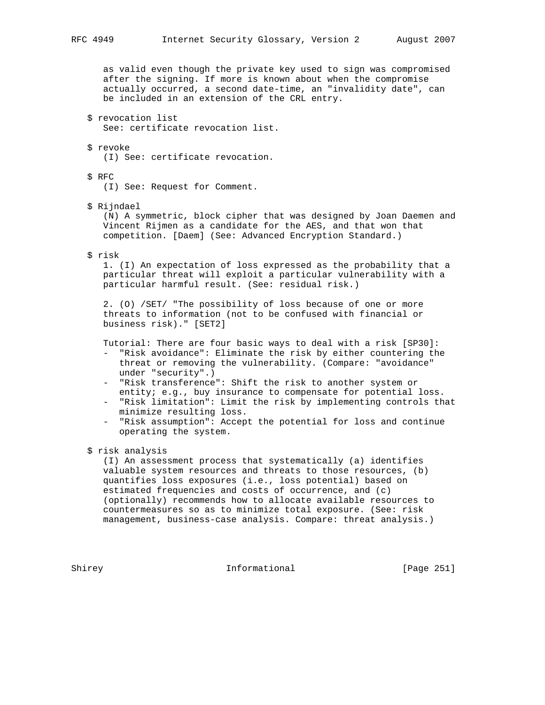as valid even though the private key used to sign was compromised after the signing. If more is known about when the compromise actually occurred, a second date-time, an "invalidity date", can be included in an extension of the CRL entry.

 \$ revocation list See: certificate revocation list.

 \$ revoke (I) See: certificate revocation.

 \$ RFC (I) See: Request for Comment.

\$ Rijndael

 (N) A symmetric, block cipher that was designed by Joan Daemen and Vincent Rijmen as a candidate for the AES, and that won that competition. [Daem] (See: Advanced Encryption Standard.)

\$ risk

 1. (I) An expectation of loss expressed as the probability that a particular threat will exploit a particular vulnerability with a particular harmful result. (See: residual risk.)

 2. (O) /SET/ "The possibility of loss because of one or more threats to information (not to be confused with financial or business risk)." [SET2]

Tutorial: There are four basic ways to deal with a risk [SP30]:

- "Risk avoidance": Eliminate the risk by either countering the threat or removing the vulnerability. (Compare: "avoidance" under "security".)
- "Risk transference": Shift the risk to another system or entity; e.g., buy insurance to compensate for potential loss.
- "Risk limitation": Limit the risk by implementing controls that minimize resulting loss.
- "Risk assumption": Accept the potential for loss and continue operating the system.

\$ risk analysis

 (I) An assessment process that systematically (a) identifies valuable system resources and threats to those resources, (b) quantifies loss exposures (i.e., loss potential) based on estimated frequencies and costs of occurrence, and (c) (optionally) recommends how to allocate available resources to countermeasures so as to minimize total exposure. (See: risk management, business-case analysis. Compare: threat analysis.)

Shirey **Informational** [Page 251]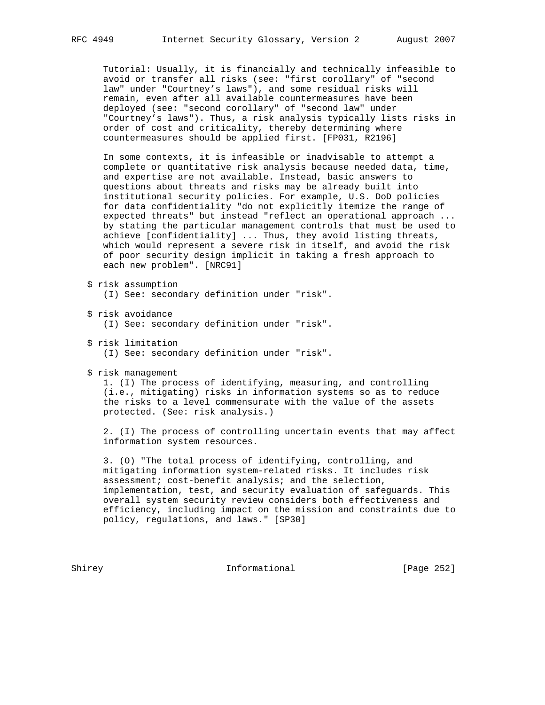Tutorial: Usually, it is financially and technically infeasible to avoid or transfer all risks (see: "first corollary" of "second law" under "Courtney's laws"), and some residual risks will remain, even after all available countermeasures have been deployed (see: "second corollary" of "second law" under "Courtney's laws"). Thus, a risk analysis typically lists risks in order of cost and criticality, thereby determining where countermeasures should be applied first. [FP031, R2196]

 In some contexts, it is infeasible or inadvisable to attempt a complete or quantitative risk analysis because needed data, time, and expertise are not available. Instead, basic answers to questions about threats and risks may be already built into institutional security policies. For example, U.S. DoD policies for data confidentiality "do not explicitly itemize the range of expected threats" but instead "reflect an operational approach ... by stating the particular management controls that must be used to achieve [confidentiality] ... Thus, they avoid listing threats, which would represent a severe risk in itself, and avoid the risk of poor security design implicit in taking a fresh approach to each new problem". [NRC91]

- \$ risk assumption (I) See: secondary definition under "risk".
- \$ risk avoidance
	- (I) See: secondary definition under "risk".
- \$ risk limitation
	- (I) See: secondary definition under "risk".
- \$ risk management

 1. (I) The process of identifying, measuring, and controlling (i.e., mitigating) risks in information systems so as to reduce the risks to a level commensurate with the value of the assets protected. (See: risk analysis.)

 2. (I) The process of controlling uncertain events that may affect information system resources.

 3. (O) "The total process of identifying, controlling, and mitigating information system-related risks. It includes risk assessment; cost-benefit analysis; and the selection, implementation, test, and security evaluation of safeguards. This overall system security review considers both effectiveness and efficiency, including impact on the mission and constraints due to policy, regulations, and laws." [SP30]

Shirey **Informational** [Page 252]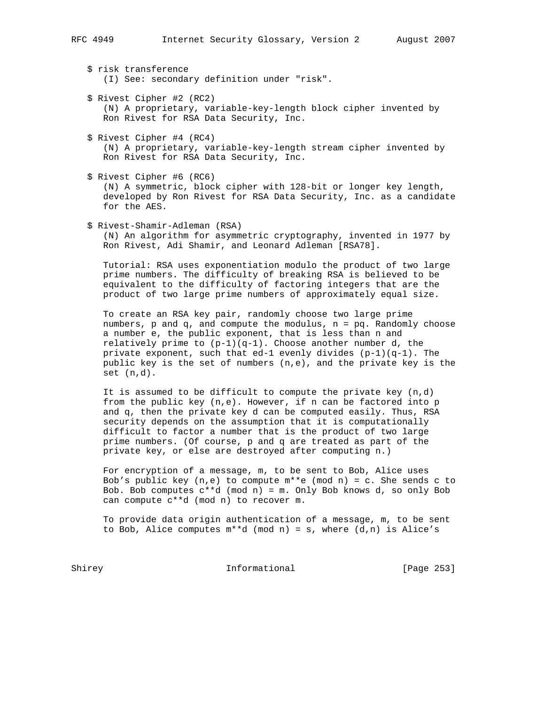\$ risk transference (I) See: secondary definition under "risk".

- \$ Rivest Cipher #2 (RC2) (N) A proprietary, variable-key-length block cipher invented by Ron Rivest for RSA Data Security, Inc.
- \$ Rivest Cipher #4 (RC4) (N) A proprietary, variable-key-length stream cipher invented by Ron Rivest for RSA Data Security, Inc.

 \$ Rivest Cipher #6 (RC6) (N) A symmetric, block cipher with 128-bit or longer key length, developed by Ron Rivest for RSA Data Security, Inc. as a candidate for the AES.

\$ Rivest-Shamir-Adleman (RSA)

 (N) An algorithm for asymmetric cryptography, invented in 1977 by Ron Rivest, Adi Shamir, and Leonard Adleman [RSA78].

 Tutorial: RSA uses exponentiation modulo the product of two large prime numbers. The difficulty of breaking RSA is believed to be equivalent to the difficulty of factoring integers that are the product of two large prime numbers of approximately equal size.

 To create an RSA key pair, randomly choose two large prime numbers, p and q, and compute the modulus, n = pq. Randomly choose a number e, the public exponent, that is less than n and relatively prime to  $(p-1)(q-1)$ . Choose another number d, the private exponent, such that ed-1 evenly divides  $(p-1)(q-1)$ . The public key is the set of numbers (n,e), and the private key is the set (n,d).

It is assumed to be difficult to compute the private key  $(n,d)$  from the public key (n,e). However, if n can be factored into p and q, then the private key d can be computed easily. Thus, RSA security depends on the assumption that it is computationally difficult to factor a number that is the product of two large prime numbers. (Of course, p and q are treated as part of the private key, or else are destroyed after computing n.)

 For encryption of a message, m, to be sent to Bob, Alice uses Bob's public key  $(n,e)$  to compute  $m**e$  (mod n) = c. She sends c to Bob. Bob computes  $c^{**}d$  (mod n) = m. Only Bob knows  $d$ , so only Bob can compute c\*\*d (mod n) to recover m.

 To provide data origin authentication of a message, m, to be sent to Bob, Alice computes  $m**d \pmod{n} = s$ , where  $(d,n)$  is Alice's

Shirey **Informational** [Page 253]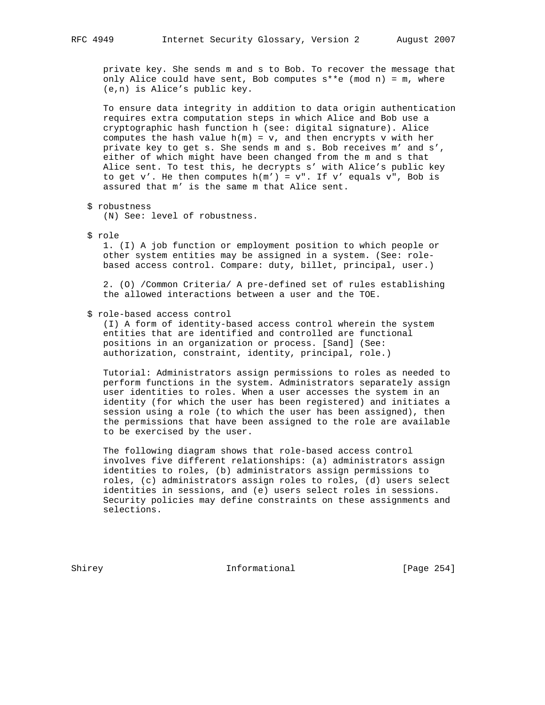private key. She sends m and s to Bob. To recover the message that only Alice could have sent, Bob computes  $s**e$  (mod n) = m, where (e,n) is Alice's public key.

 To ensure data integrity in addition to data origin authentication requires extra computation steps in which Alice and Bob use a cryptographic hash function h (see: digital signature). Alice computes the hash value  $h(m) = v$ , and then encrypts v with her private key to get s. She sends m and s. Bob receives m' and s', either of which might have been changed from the m and s that Alice sent. To test this, he decrypts s' with Alice's public key to get v'. He then computes  $h(m') = v''$ . If v' equals v", Bob is assured that m' is the same m that Alice sent.

\$ robustness

(N) See: level of robustness.

\$ role

 1. (I) A job function or employment position to which people or other system entities may be assigned in a system. (See: role based access control. Compare: duty, billet, principal, user.)

 2. (O) /Common Criteria/ A pre-defined set of rules establishing the allowed interactions between a user and the TOE.

#### \$ role-based access control

 (I) A form of identity-based access control wherein the system entities that are identified and controlled are functional positions in an organization or process. [Sand] (See: authorization, constraint, identity, principal, role.)

 Tutorial: Administrators assign permissions to roles as needed to perform functions in the system. Administrators separately assign user identities to roles. When a user accesses the system in an identity (for which the user has been registered) and initiates a session using a role (to which the user has been assigned), then the permissions that have been assigned to the role are available to be exercised by the user.

 The following diagram shows that role-based access control involves five different relationships: (a) administrators assign identities to roles, (b) administrators assign permissions to roles, (c) administrators assign roles to roles, (d) users select identities in sessions, and (e) users select roles in sessions. Security policies may define constraints on these assignments and selections.

Shirey **Informational** [Page 254]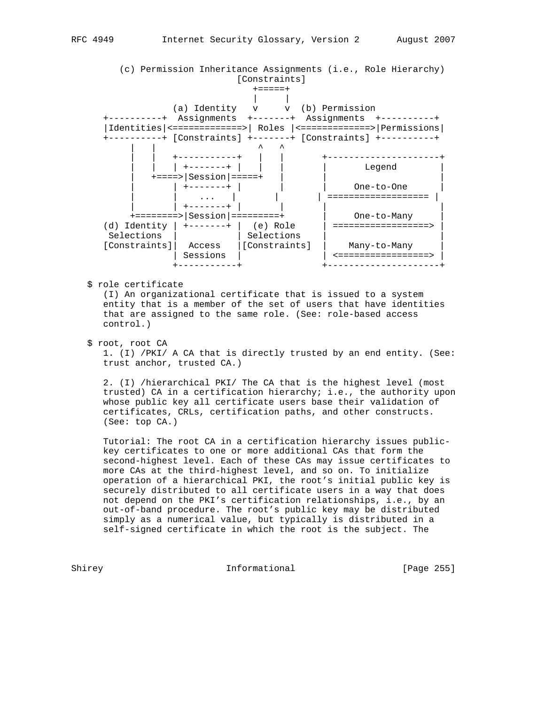

\$ role certificate

 (I) An organizational certificate that is issued to a system entity that is a member of the set of users that have identities that are assigned to the same role. (See: role-based access control.)

\$ root, root CA

 1. (I) /PKI/ A CA that is directly trusted by an end entity. (See: trust anchor, trusted CA.)

 2. (I) /hierarchical PKI/ The CA that is the highest level (most trusted) CA in a certification hierarchy; i.e., the authority upon whose public key all certificate users base their validation of certificates, CRLs, certification paths, and other constructs. (See: top CA.)

 Tutorial: The root CA in a certification hierarchy issues public key certificates to one or more additional CAs that form the second-highest level. Each of these CAs may issue certificates to more CAs at the third-highest level, and so on. To initialize operation of a hierarchical PKI, the root's initial public key is securely distributed to all certificate users in a way that does not depend on the PKI's certification relationships, i.e., by an out-of-band procedure. The root's public key may be distributed simply as a numerical value, but typically is distributed in a self-signed certificate in which the root is the subject. The

Shirey **Informational** [Page 255]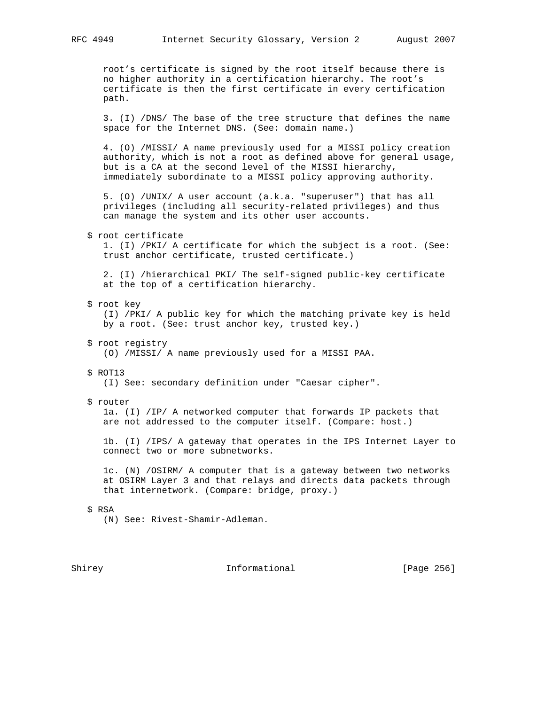root's certificate is signed by the root itself because there is no higher authority in a certification hierarchy. The root's certificate is then the first certificate in every certification path.

 3. (I) /DNS/ The base of the tree structure that defines the name space for the Internet DNS. (See: domain name.)

 4. (O) /MISSI/ A name previously used for a MISSI policy creation authority, which is not a root as defined above for general usage, but is a CA at the second level of the MISSI hierarchy, immediately subordinate to a MISSI policy approving authority.

 5. (O) /UNIX/ A user account (a.k.a. "superuser") that has all privileges (including all security-related privileges) and thus can manage the system and its other user accounts.

#### \$ root certificate

 1. (I) /PKI/ A certificate for which the subject is a root. (See: trust anchor certificate, trusted certificate.)

 2. (I) /hierarchical PKI/ The self-signed public-key certificate at the top of a certification hierarchy.

#### \$ root key

 (I) /PKI/ A public key for which the matching private key is held by a root. (See: trust anchor key, trusted key.)

\$ root registry

(O) /MISSI/ A name previously used for a MISSI PAA.

\$ ROT13

(I) See: secondary definition under "Caesar cipher".

\$ router

 1a. (I) /IP/ A networked computer that forwards IP packets that are not addressed to the computer itself. (Compare: host.)

 1b. (I) /IPS/ A gateway that operates in the IPS Internet Layer to connect two or more subnetworks.

 1c. (N) /OSIRM/ A computer that is a gateway between two networks at OSIRM Layer 3 and that relays and directs data packets through that internetwork. (Compare: bridge, proxy.)

### \$ RSA

(N) See: Rivest-Shamir-Adleman.

Shirey **Informational** [Page 256]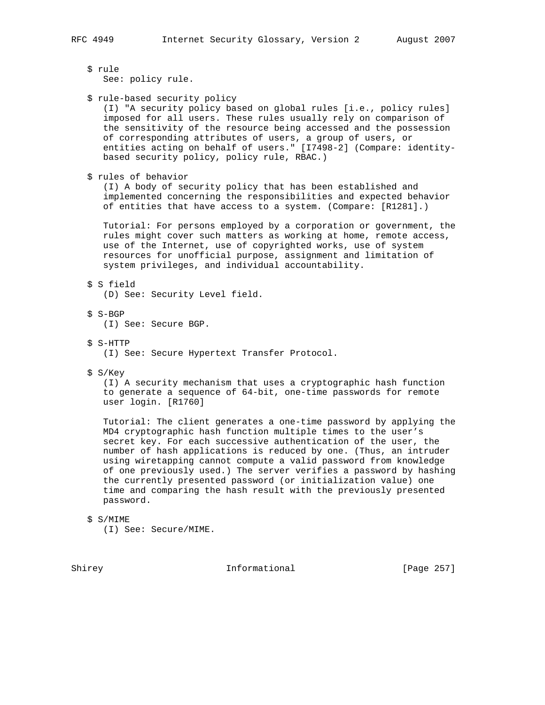\$ rule

See: policy rule.

```
 $ rule-based security policy
```
 (I) "A security policy based on global rules [i.e., policy rules] imposed for all users. These rules usually rely on comparison of the sensitivity of the resource being accessed and the possession of corresponding attributes of users, a group of users, or entities acting on behalf of users." [I7498-2] (Compare: identity based security policy, policy rule, RBAC.)

\$ rules of behavior

 (I) A body of security policy that has been established and implemented concerning the responsibilities and expected behavior of entities that have access to a system. (Compare: [R1281].)

 Tutorial: For persons employed by a corporation or government, the rules might cover such matters as working at home, remote access, use of the Internet, use of copyrighted works, use of system resources for unofficial purpose, assignment and limitation of system privileges, and individual accountability.

\$ S field

(D) See: Security Level field.

\$ S-BGP

(I) See: Secure BGP.

\$ S-HTTP

(I) See: Secure Hypertext Transfer Protocol.

\$ S/Key

 (I) A security mechanism that uses a cryptographic hash function to generate a sequence of 64-bit, one-time passwords for remote user login. [R1760]

 Tutorial: The client generates a one-time password by applying the MD4 cryptographic hash function multiple times to the user's secret key. For each successive authentication of the user, the number of hash applications is reduced by one. (Thus, an intruder using wiretapping cannot compute a valid password from knowledge of one previously used.) The server verifies a password by hashing the currently presented password (or initialization value) one time and comparing the hash result with the previously presented password.

\$ S/MIME

(I) See: Secure/MIME.

Shirey **Informational** [Page 257]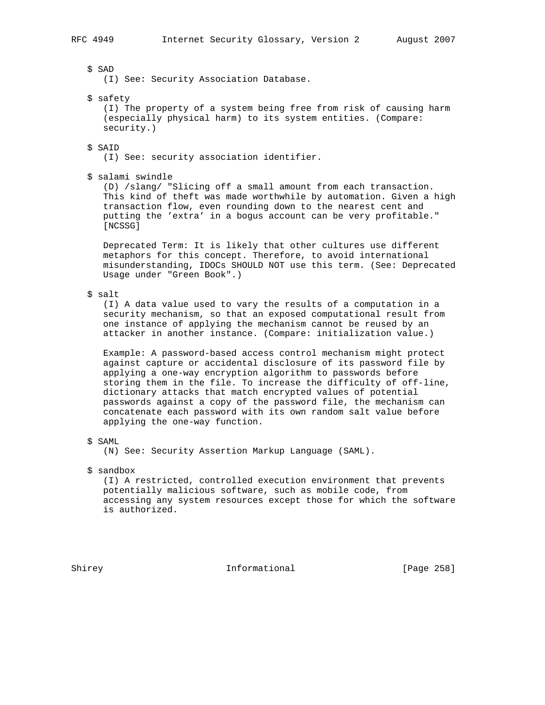\$ SAD

(I) See: Security Association Database.

\$ safety

 (I) The property of a system being free from risk of causing harm (especially physical harm) to its system entities. (Compare: security.)

\$ SAID

(I) See: security association identifier.

\$ salami swindle

 (D) /slang/ "Slicing off a small amount from each transaction. This kind of theft was made worthwhile by automation. Given a high transaction flow, even rounding down to the nearest cent and putting the 'extra' in a bogus account can be very profitable." [NCSSG]

 Deprecated Term: It is likely that other cultures use different metaphors for this concept. Therefore, to avoid international misunderstanding, IDOCs SHOULD NOT use this term. (See: Deprecated Usage under "Green Book".)

\$ salt

 (I) A data value used to vary the results of a computation in a security mechanism, so that an exposed computational result from one instance of applying the mechanism cannot be reused by an attacker in another instance. (Compare: initialization value.)

 Example: A password-based access control mechanism might protect against capture or accidental disclosure of its password file by applying a one-way encryption algorithm to passwords before storing them in the file. To increase the difficulty of off-line, dictionary attacks that match encrypted values of potential passwords against a copy of the password file, the mechanism can concatenate each password with its own random salt value before applying the one-way function.

\$ SAML

(N) See: Security Assertion Markup Language (SAML).

\$ sandbox

 (I) A restricted, controlled execution environment that prevents potentially malicious software, such as mobile code, from accessing any system resources except those for which the software is authorized.

Shirey **Informational** [Page 258]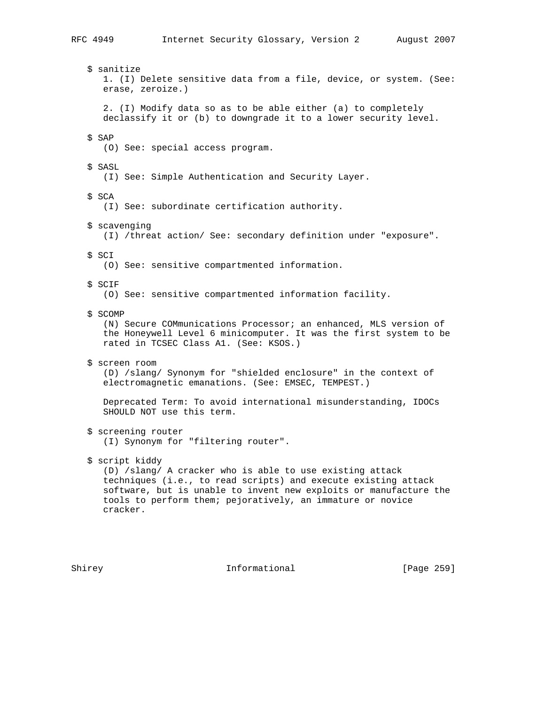\$ sanitize 1. (I) Delete sensitive data from a file, device, or system. (See: erase, zeroize.) 2. (I) Modify data so as to be able either (a) to completely declassify it or (b) to downgrade it to a lower security level. \$ SAP (O) See: special access program. \$ SASL (I) See: Simple Authentication and Security Layer. \$ SCA (I) See: subordinate certification authority. \$ scavenging (I) /threat action/ See: secondary definition under "exposure". \$ SCI (O) See: sensitive compartmented information. \$ SCIF (O) See: sensitive compartmented information facility. \$ SCOMP (N) Secure COMmunications Processor; an enhanced, MLS version of the Honeywell Level 6 minicomputer. It was the first system to be rated in TCSEC Class A1. (See: KSOS.) \$ screen room (D) /slang/ Synonym for "shielded enclosure" in the context of electromagnetic emanations. (See: EMSEC, TEMPEST.) Deprecated Term: To avoid international misunderstanding, IDOCs SHOULD NOT use this term. \$ screening router (I) Synonym for "filtering router". \$ script kiddy (D) /slang/ A cracker who is able to use existing attack techniques (i.e., to read scripts) and execute existing attack software, but is unable to invent new exploits or manufacture the tools to perform them; pejoratively, an immature or novice cracker.

Shirey **Informational** [Page 259]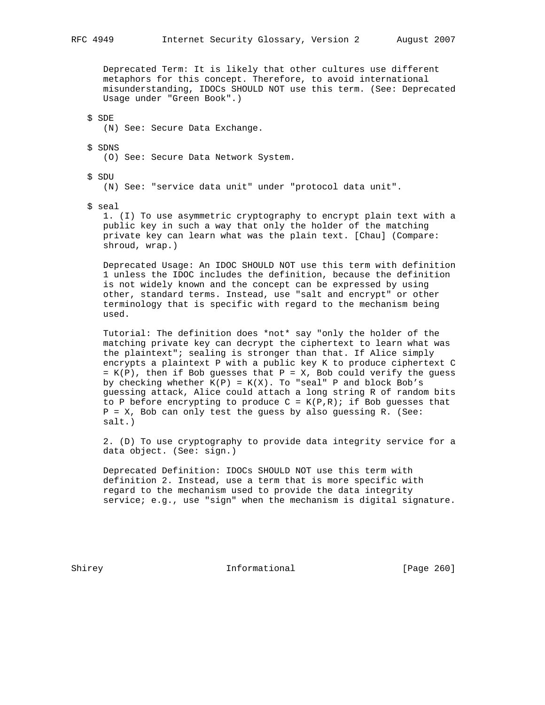Deprecated Term: It is likely that other cultures use different metaphors for this concept. Therefore, to avoid international misunderstanding, IDOCs SHOULD NOT use this term. (See: Deprecated Usage under "Green Book".)

 \$ SDE (N) See: Secure Data Exchange.

 \$ SDNS (O) See: Secure Data Network System.

 \$ SDU (N) See: "service data unit" under "protocol data unit".

\$ seal

 1. (I) To use asymmetric cryptography to encrypt plain text with a public key in such a way that only the holder of the matching private key can learn what was the plain text. [Chau] (Compare: shroud, wrap.)

 Deprecated Usage: An IDOC SHOULD NOT use this term with definition 1 unless the IDOC includes the definition, because the definition is not widely known and the concept can be expressed by using other, standard terms. Instead, use "salt and encrypt" or other terminology that is specific with regard to the mechanism being used.

 Tutorial: The definition does \*not\* say "only the holder of the matching private key can decrypt the ciphertext to learn what was the plaintext"; sealing is stronger than that. If Alice simply encrypts a plaintext P with a public key K to produce ciphertext C  $= K(P)$ , then if Bob guesses that  $P = X$ , Bob could verify the guess by checking whether  $K(P) = K(X)$ . To "seal" P and block Bob's guessing attack, Alice could attach a long string R of random bits to P before encrypting to produce  $C = K(P,R)$ ; if Bob guesses that P = X, Bob can only test the guess by also guessing R. (See: salt.)

 2. (D) To use cryptography to provide data integrity service for a data object. (See: sign.)

 Deprecated Definition: IDOCs SHOULD NOT use this term with definition 2. Instead, use a term that is more specific with regard to the mechanism used to provide the data integrity service; e.g., use "sign" when the mechanism is digital signature.

Shirey **Informational** [Page 260]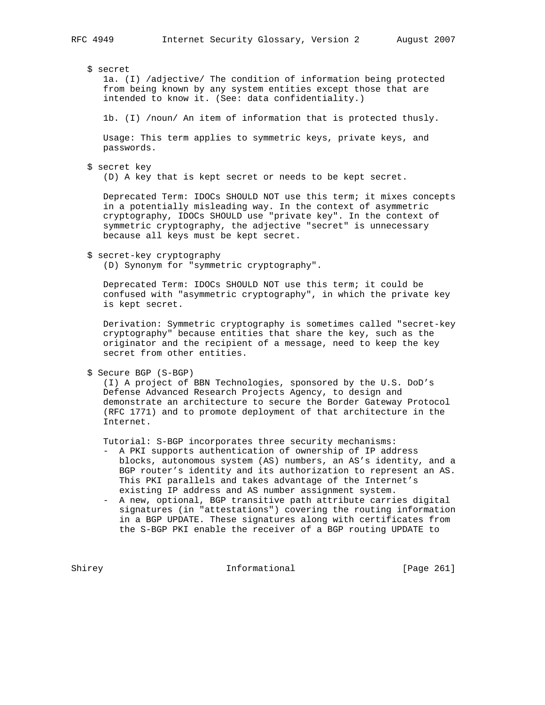## \$ secret

 1a. (I) /adjective/ The condition of information being protected from being known by any system entities except those that are intended to know it. (See: data confidentiality.)

1b. (I) /noun/ An item of information that is protected thusly.

 Usage: This term applies to symmetric keys, private keys, and passwords.

\$ secret key

(D) A key that is kept secret or needs to be kept secret.

 Deprecated Term: IDOCs SHOULD NOT use this term; it mixes concepts in a potentially misleading way. In the context of asymmetric cryptography, IDOCs SHOULD use "private key". In the context of symmetric cryptography, the adjective "secret" is unnecessary because all keys must be kept secret.

#### \$ secret-key cryptography

(D) Synonym for "symmetric cryptography".

 Deprecated Term: IDOCs SHOULD NOT use this term; it could be confused with "asymmetric cryptography", in which the private key is kept secret.

 Derivation: Symmetric cryptography is sometimes called "secret-key cryptography" because entities that share the key, such as the originator and the recipient of a message, need to keep the key secret from other entities.

\$ Secure BGP (S-BGP)

 (I) A project of BBN Technologies, sponsored by the U.S. DoD's Defense Advanced Research Projects Agency, to design and demonstrate an architecture to secure the Border Gateway Protocol (RFC 1771) and to promote deployment of that architecture in the Internet.

Tutorial: S-BGP incorporates three security mechanisms:

- A PKI supports authentication of ownership of IP address blocks, autonomous system (AS) numbers, an AS's identity, and a BGP router's identity and its authorization to represent an AS. This PKI parallels and takes advantage of the Internet's existing IP address and AS number assignment system.
- A new, optional, BGP transitive path attribute carries digital signatures (in "attestations") covering the routing information in a BGP UPDATE. These signatures along with certificates from the S-BGP PKI enable the receiver of a BGP routing UPDATE to

Shirey **Informational** [Page 261]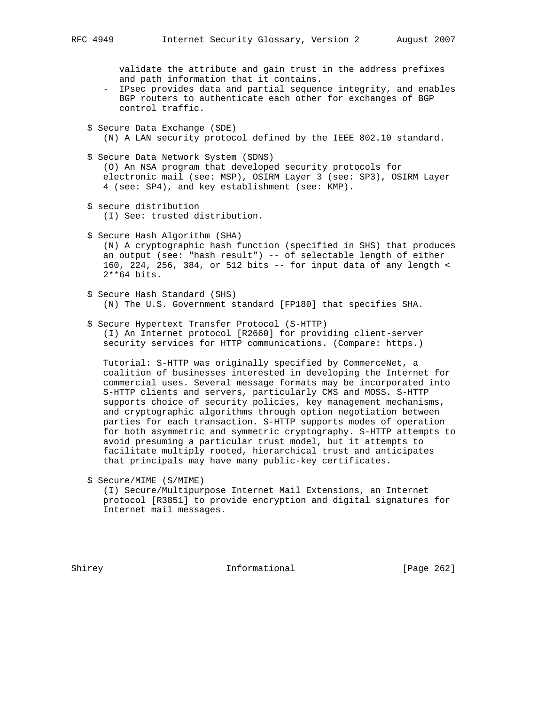validate the attribute and gain trust in the address prefixes and path information that it contains.

- IPsec provides data and partial sequence integrity, and enables BGP routers to authenticate each other for exchanges of BGP control traffic.
- \$ Secure Data Exchange (SDE) (N) A LAN security protocol defined by the IEEE 802.10 standard.
- \$ Secure Data Network System (SDNS) (O) An NSA program that developed security protocols for electronic mail (see: MSP), OSIRM Layer 3 (see: SP3), OSIRM Layer 4 (see: SP4), and key establishment (see: KMP).
- \$ secure distribution (I) See: trusted distribution.
- \$ Secure Hash Algorithm (SHA) (N) A cryptographic hash function (specified in SHS) that produces an output (see: "hash result") -- of selectable length of either 160, 224, 256, 384, or 512 bits -- for input data of any length < 2\*\*64 bits.
- \$ Secure Hash Standard (SHS) (N) The U.S. Government standard [FP180] that specifies SHA.

## \$ Secure Hypertext Transfer Protocol (S-HTTP)

 (I) An Internet protocol [R2660] for providing client-server security services for HTTP communications. (Compare: https.)

 Tutorial: S-HTTP was originally specified by CommerceNet, a coalition of businesses interested in developing the Internet for commercial uses. Several message formats may be incorporated into S-HTTP clients and servers, particularly CMS and MOSS. S-HTTP supports choice of security policies, key management mechanisms, and cryptographic algorithms through option negotiation between parties for each transaction. S-HTTP supports modes of operation for both asymmetric and symmetric cryptography. S-HTTP attempts to avoid presuming a particular trust model, but it attempts to facilitate multiply rooted, hierarchical trust and anticipates that principals may have many public-key certificates.

\$ Secure/MIME (S/MIME)

 (I) Secure/Multipurpose Internet Mail Extensions, an Internet protocol [R3851] to provide encryption and digital signatures for Internet mail messages.

Shirey **Informational** [Page 262]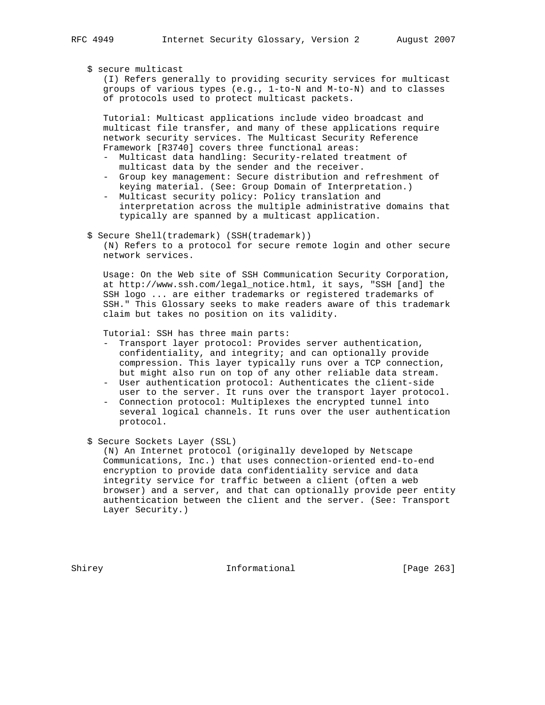#### \$ secure multicast

 (I) Refers generally to providing security services for multicast groups of various types (e.g., 1-to-N and M-to-N) and to classes of protocols used to protect multicast packets.

 Tutorial: Multicast applications include video broadcast and multicast file transfer, and many of these applications require network security services. The Multicast Security Reference Framework [R3740] covers three functional areas:

- Multicast data handling: Security-related treatment of multicast data by the sender and the receiver.
- Group key management: Secure distribution and refreshment of keying material. (See: Group Domain of Interpretation.)
- Multicast security policy: Policy translation and interpretation across the multiple administrative domains that typically are spanned by a multicast application.
- \$ Secure Shell(trademark) (SSH(trademark))

 (N) Refers to a protocol for secure remote login and other secure network services.

 Usage: On the Web site of SSH Communication Security Corporation, at http://www.ssh.com/legal\_notice.html, it says, "SSH [and] the SSH logo ... are either trademarks or registered trademarks of SSH." This Glossary seeks to make readers aware of this trademark claim but takes no position on its validity.

Tutorial: SSH has three main parts:

- Transport layer protocol: Provides server authentication, confidentiality, and integrity; and can optionally provide compression. This layer typically runs over a TCP connection, but might also run on top of any other reliable data stream.
- User authentication protocol: Authenticates the client-side user to the server. It runs over the transport layer protocol.
- Connection protocol: Multiplexes the encrypted tunnel into several logical channels. It runs over the user authentication protocol.
- \$ Secure Sockets Layer (SSL)

 (N) An Internet protocol (originally developed by Netscape Communications, Inc.) that uses connection-oriented end-to-end encryption to provide data confidentiality service and data integrity service for traffic between a client (often a web browser) and a server, and that can optionally provide peer entity authentication between the client and the server. (See: Transport Layer Security.)

Shirey **Informational** [Page 263]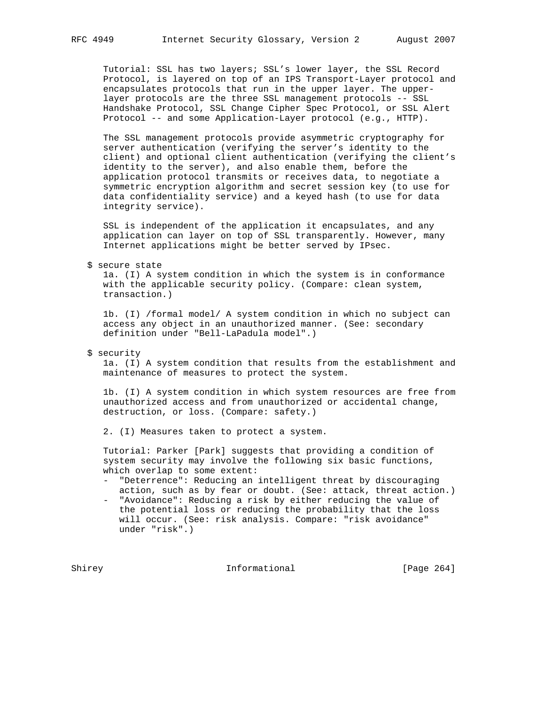Tutorial: SSL has two layers; SSL's lower layer, the SSL Record Protocol, is layered on top of an IPS Transport-Layer protocol and encapsulates protocols that run in the upper layer. The upper layer protocols are the three SSL management protocols -- SSL Handshake Protocol, SSL Change Cipher Spec Protocol, or SSL Alert Protocol -- and some Application-Layer protocol (e.g., HTTP).

 The SSL management protocols provide asymmetric cryptography for server authentication (verifying the server's identity to the client) and optional client authentication (verifying the client's identity to the server), and also enable them, before the application protocol transmits or receives data, to negotiate a symmetric encryption algorithm and secret session key (to use for data confidentiality service) and a keyed hash (to use for data integrity service).

 SSL is independent of the application it encapsulates, and any application can layer on top of SSL transparently. However, many Internet applications might be better served by IPsec.

\$ secure state

 1a. (I) A system condition in which the system is in conformance with the applicable security policy. (Compare: clean system, transaction.)

 1b. (I) /formal model/ A system condition in which no subject can access any object in an unauthorized manner. (See: secondary definition under "Bell-LaPadula model".)

\$ security

 1a. (I) A system condition that results from the establishment and maintenance of measures to protect the system.

 1b. (I) A system condition in which system resources are free from unauthorized access and from unauthorized or accidental change, destruction, or loss. (Compare: safety.)

2. (I) Measures taken to protect a system.

 Tutorial: Parker [Park] suggests that providing a condition of system security may involve the following six basic functions, which overlap to some extent:

- "Deterrence": Reducing an intelligent threat by discouraging action, such as by fear or doubt. (See: attack, threat action.)
- "Avoidance": Reducing a risk by either reducing the value of the potential loss or reducing the probability that the loss will occur. (See: risk analysis. Compare: "risk avoidance" under "risk".)

Shirey **Informational** [Page 264]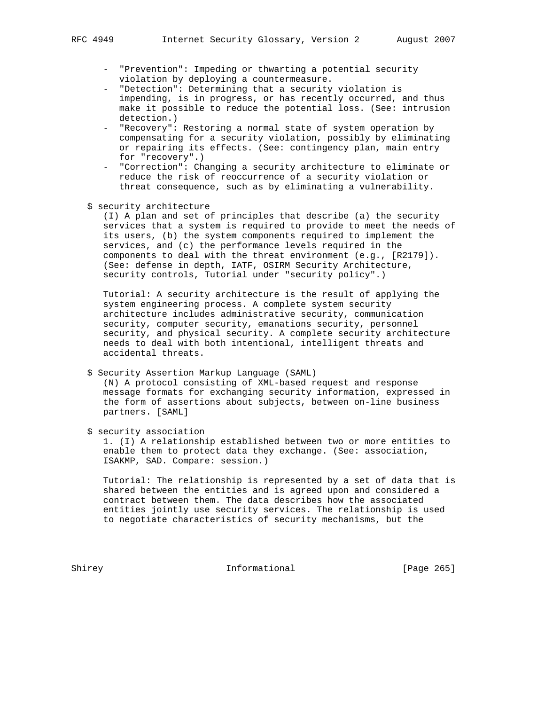- "Prevention": Impeding or thwarting a potential security violation by deploying a countermeasure.
- "Detection": Determining that a security violation is impending, is in progress, or has recently occurred, and thus make it possible to reduce the potential loss. (See: intrusion detection.)
- "Recovery": Restoring a normal state of system operation by compensating for a security violation, possibly by eliminating or repairing its effects. (See: contingency plan, main entry for "recovery".)
- "Correction": Changing a security architecture to eliminate or reduce the risk of reoccurrence of a security violation or threat consequence, such as by eliminating a vulnerability.
- \$ security architecture

 (I) A plan and set of principles that describe (a) the security services that a system is required to provide to meet the needs of its users, (b) the system components required to implement the services, and (c) the performance levels required in the components to deal with the threat environment (e.g., [R2179]). (See: defense in depth, IATF, OSIRM Security Architecture, security controls, Tutorial under "security policy".)

 Tutorial: A security architecture is the result of applying the system engineering process. A complete system security architecture includes administrative security, communication security, computer security, emanations security, personnel security, and physical security. A complete security architecture needs to deal with both intentional, intelligent threats and accidental threats.

\$ Security Assertion Markup Language (SAML)

 (N) A protocol consisting of XML-based request and response message formats for exchanging security information, expressed in the form of assertions about subjects, between on-line business partners. [SAML]

\$ security association

 1. (I) A relationship established between two or more entities to enable them to protect data they exchange. (See: association, ISAKMP, SAD. Compare: session.)

 Tutorial: The relationship is represented by a set of data that is shared between the entities and is agreed upon and considered a contract between them. The data describes how the associated entities jointly use security services. The relationship is used to negotiate characteristics of security mechanisms, but the

Shirey **Informational** [Page 265]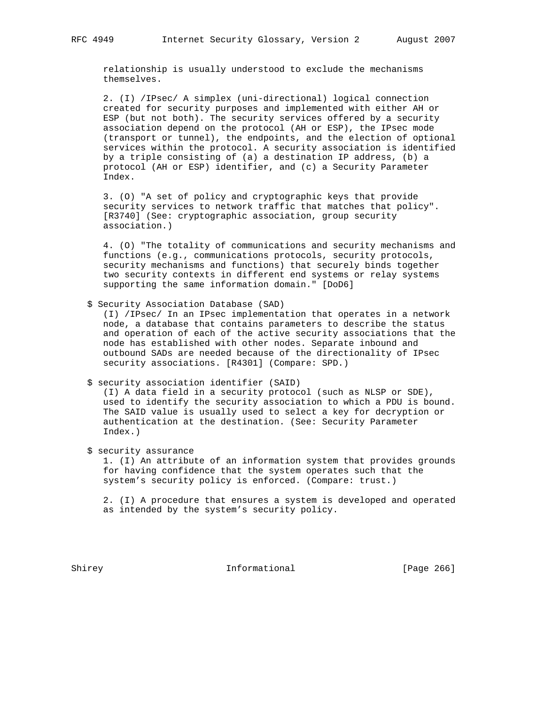relationship is usually understood to exclude the mechanisms themselves.

 2. (I) /IPsec/ A simplex (uni-directional) logical connection created for security purposes and implemented with either AH or ESP (but not both). The security services offered by a security association depend on the protocol (AH or ESP), the IPsec mode (transport or tunnel), the endpoints, and the election of optional services within the protocol. A security association is identified by a triple consisting of (a) a destination IP address, (b) a protocol (AH or ESP) identifier, and (c) a Security Parameter Index.

 3. (O) "A set of policy and cryptographic keys that provide security services to network traffic that matches that policy". [R3740] (See: cryptographic association, group security association.)

 4. (O) "The totality of communications and security mechanisms and functions (e.g., communications protocols, security protocols, security mechanisms and functions) that securely binds together two security contexts in different end systems or relay systems supporting the same information domain." [DoD6]

\$ Security Association Database (SAD)

 (I) /IPsec/ In an IPsec implementation that operates in a network node, a database that contains parameters to describe the status and operation of each of the active security associations that the node has established with other nodes. Separate inbound and outbound SADs are needed because of the directionality of IPsec security associations. [R4301] (Compare: SPD.)

\$ security association identifier (SAID)

 (I) A data field in a security protocol (such as NLSP or SDE), used to identify the security association to which a PDU is bound. The SAID value is usually used to select a key for decryption or authentication at the destination. (See: Security Parameter Index.)

\$ security assurance

 1. (I) An attribute of an information system that provides grounds for having confidence that the system operates such that the system's security policy is enforced. (Compare: trust.)

 2. (I) A procedure that ensures a system is developed and operated as intended by the system's security policy.

Shirey **Informational** [Page 266]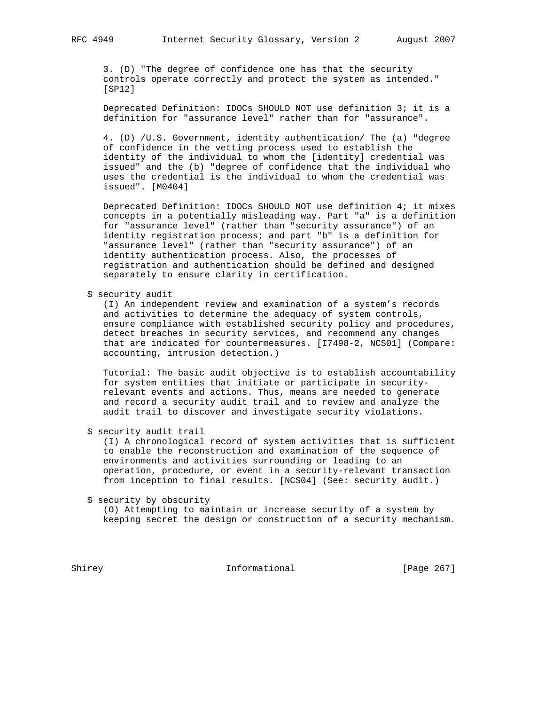3. (D) "The degree of confidence one has that the security controls operate correctly and protect the system as intended." [SP12]

 Deprecated Definition: IDOCs SHOULD NOT use definition 3; it is a definition for "assurance level" rather than for "assurance".

 4. (D) /U.S. Government, identity authentication/ The (a) "degree of confidence in the vetting process used to establish the identity of the individual to whom the [identity] credential was issued" and the (b) "degree of confidence that the individual who uses the credential is the individual to whom the credential was issued". [M0404]

 Deprecated Definition: IDOCs SHOULD NOT use definition 4; it mixes concepts in a potentially misleading way. Part "a" is a definition for "assurance level" (rather than "security assurance") of an identity registration process; and part "b" is a definition for "assurance level" (rather than "security assurance") of an identity authentication process. Also, the processes of registration and authentication should be defined and designed separately to ensure clarity in certification.

\$ security audit

 (I) An independent review and examination of a system's records and activities to determine the adequacy of system controls, ensure compliance with established security policy and procedures, detect breaches in security services, and recommend any changes that are indicated for countermeasures. [I7498-2, NCS01] (Compare: accounting, intrusion detection.)

 Tutorial: The basic audit objective is to establish accountability for system entities that initiate or participate in security relevant events and actions. Thus, means are needed to generate and record a security audit trail and to review and analyze the audit trail to discover and investigate security violations.

\$ security audit trail

 (I) A chronological record of system activities that is sufficient to enable the reconstruction and examination of the sequence of environments and activities surrounding or leading to an operation, procedure, or event in a security-relevant transaction from inception to final results. [NCS04] (See: security audit.)

\$ security by obscurity

 (O) Attempting to maintain or increase security of a system by keeping secret the design or construction of a security mechanism.

Shirey **Informational** [Page 267]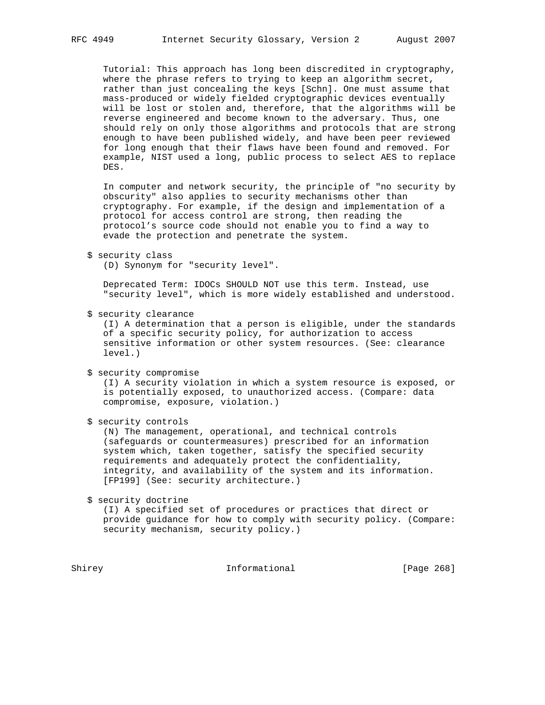Tutorial: This approach has long been discredited in cryptography, where the phrase refers to trying to keep an algorithm secret, rather than just concealing the keys [Schn]. One must assume that mass-produced or widely fielded cryptographic devices eventually will be lost or stolen and, therefore, that the algorithms will be reverse engineered and become known to the adversary. Thus, one should rely on only those algorithms and protocols that are strong enough to have been published widely, and have been peer reviewed for long enough that their flaws have been found and removed. For example, NIST used a long, public process to select AES to replace DES.

 In computer and network security, the principle of "no security by obscurity" also applies to security mechanisms other than cryptography. For example, if the design and implementation of a protocol for access control are strong, then reading the protocol's source code should not enable you to find a way to evade the protection and penetrate the system.

#### \$ security class

(D) Synonym for "security level".

 Deprecated Term: IDOCs SHOULD NOT use this term. Instead, use "security level", which is more widely established and understood.

\$ security clearance

 (I) A determination that a person is eligible, under the standards of a specific security policy, for authorization to access sensitive information or other system resources. (See: clearance level.)

\$ security compromise

 (I) A security violation in which a system resource is exposed, or is potentially exposed, to unauthorized access. (Compare: data compromise, exposure, violation.)

\$ security controls

 (N) The management, operational, and technical controls (safeguards or countermeasures) prescribed for an information system which, taken together, satisfy the specified security requirements and adequately protect the confidentiality, integrity, and availability of the system and its information. [FP199] (See: security architecture.)

\$ security doctrine

 (I) A specified set of procedures or practices that direct or provide guidance for how to comply with security policy. (Compare: security mechanism, security policy.)

Shirey **Informational** [Page 268]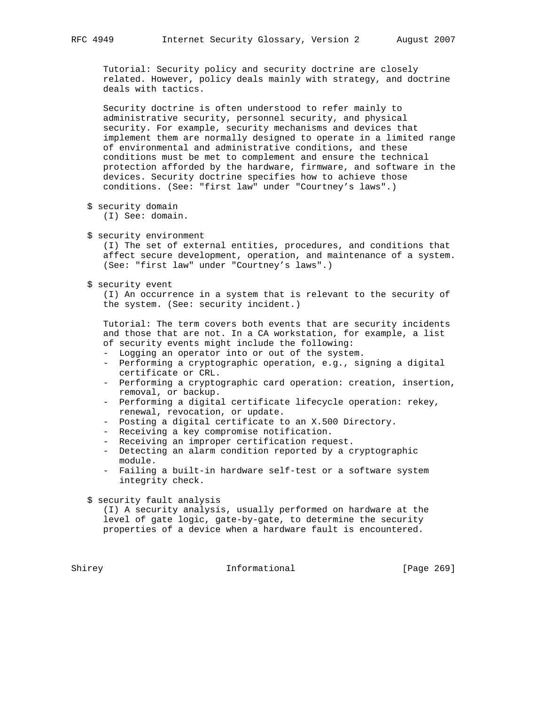Tutorial: Security policy and security doctrine are closely related. However, policy deals mainly with strategy, and doctrine deals with tactics.

 Security doctrine is often understood to refer mainly to administrative security, personnel security, and physical security. For example, security mechanisms and devices that implement them are normally designed to operate in a limited range of environmental and administrative conditions, and these conditions must be met to complement and ensure the technical protection afforded by the hardware, firmware, and software in the devices. Security doctrine specifies how to achieve those conditions. (See: "first law" under "Courtney's laws".)

- \$ security domain (I) See: domain.
- \$ security environment

 (I) The set of external entities, procedures, and conditions that affect secure development, operation, and maintenance of a system. (See: "first law" under "Courtney's laws".)

\$ security event

 (I) An occurrence in a system that is relevant to the security of the system. (See: security incident.)

 Tutorial: The term covers both events that are security incidents and those that are not. In a CA workstation, for example, a list of security events might include the following:

- Logging an operator into or out of the system.
- Performing a cryptographic operation, e.g., signing a digital certificate or CRL.
- Performing a cryptographic card operation: creation, insertion, removal, or backup.
- Performing a digital certificate lifecycle operation: rekey, renewal, revocation, or update.
- Posting a digital certificate to an X.500 Directory.
- Receiving a key compromise notification.
- Receiving an improper certification request.
- Detecting an alarm condition reported by a cryptographic module.
- Failing a built-in hardware self-test or a software system integrity check.

\$ security fault analysis

 (I) A security analysis, usually performed on hardware at the level of gate logic, gate-by-gate, to determine the security properties of a device when a hardware fault is encountered.

Shirey **Informational** [Page 269]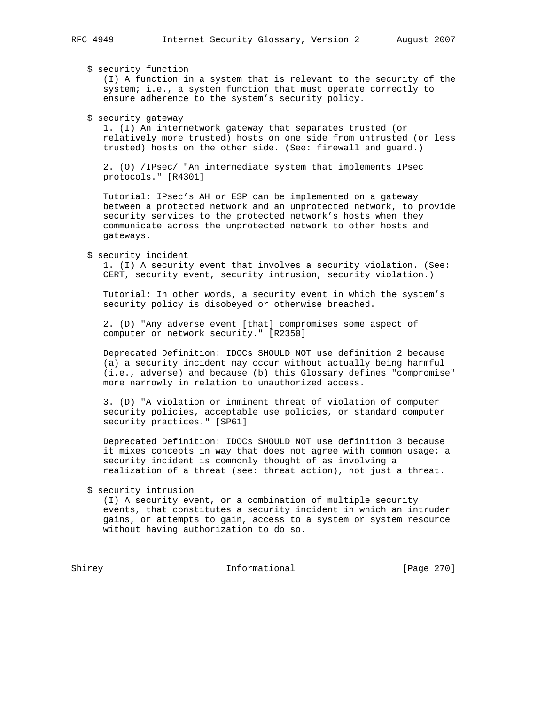\$ security function

 (I) A function in a system that is relevant to the security of the system; i.e., a system function that must operate correctly to ensure adherence to the system's security policy.

\$ security gateway

 1. (I) An internetwork gateway that separates trusted (or relatively more trusted) hosts on one side from untrusted (or less trusted) hosts on the other side. (See: firewall and guard.)

 2. (O) /IPsec/ "An intermediate system that implements IPsec protocols." [R4301]

 Tutorial: IPsec's AH or ESP can be implemented on a gateway between a protected network and an unprotected network, to provide security services to the protected network's hosts when they communicate across the unprotected network to other hosts and gateways.

\$ security incident

 1. (I) A security event that involves a security violation. (See: CERT, security event, security intrusion, security violation.)

 Tutorial: In other words, a security event in which the system's security policy is disobeyed or otherwise breached.

 2. (D) "Any adverse event [that] compromises some aspect of computer or network security." [R2350]

 Deprecated Definition: IDOCs SHOULD NOT use definition 2 because (a) a security incident may occur without actually being harmful (i.e., adverse) and because (b) this Glossary defines "compromise" more narrowly in relation to unauthorized access.

 3. (D) "A violation or imminent threat of violation of computer security policies, acceptable use policies, or standard computer security practices." [SP61]

 Deprecated Definition: IDOCs SHOULD NOT use definition 3 because it mixes concepts in way that does not agree with common usage; a security incident is commonly thought of as involving a realization of a threat (see: threat action), not just a threat.

\$ security intrusion

 (I) A security event, or a combination of multiple security events, that constitutes a security incident in which an intruder gains, or attempts to gain, access to a system or system resource without having authorization to do so.

Shirey Informational [Page 270]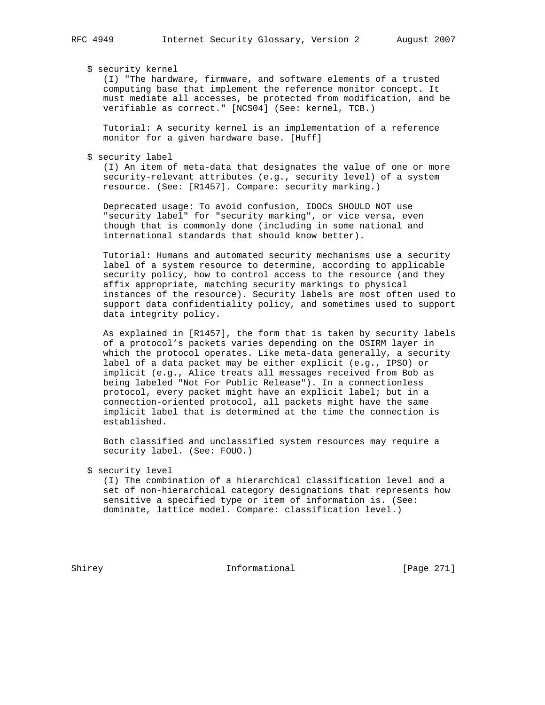### \$ security kernel

 (I) "The hardware, firmware, and software elements of a trusted computing base that implement the reference monitor concept. It must mediate all accesses, be protected from modification, and be verifiable as correct." [NCS04] (See: kernel, TCB.)

 Tutorial: A security kernel is an implementation of a reference monitor for a given hardware base. [Huff]

\$ security label

 (I) An item of meta-data that designates the value of one or more security-relevant attributes (e.g., security level) of a system resource. (See: [R1457]. Compare: security marking.)

 Deprecated usage: To avoid confusion, IDOCs SHOULD NOT use "security label" for "security marking", or vice versa, even though that is commonly done (including in some national and international standards that should know better).

 Tutorial: Humans and automated security mechanisms use a security label of a system resource to determine, according to applicable security policy, how to control access to the resource (and they affix appropriate, matching security markings to physical instances of the resource). Security labels are most often used to support data confidentiality policy, and sometimes used to support data integrity policy.

 As explained in [R1457], the form that is taken by security labels of a protocol's packets varies depending on the OSIRM layer in which the protocol operates. Like meta-data generally, a security label of a data packet may be either explicit (e.g., IPSO) or implicit (e.g., Alice treats all messages received from Bob as being labeled "Not For Public Release"). In a connectionless protocol, every packet might have an explicit label; but in a connection-oriented protocol, all packets might have the same implicit label that is determined at the time the connection is established.

 Both classified and unclassified system resources may require a security label. (See: FOUO.)

 (I) The combination of a hierarchical classification level and a set of non-hierarchical category designations that represents how sensitive a specified type or item of information is. (See: dominate, lattice model. Compare: classification level.)

Shirey **Informational** [Page 271]

 <sup>\$</sup> security level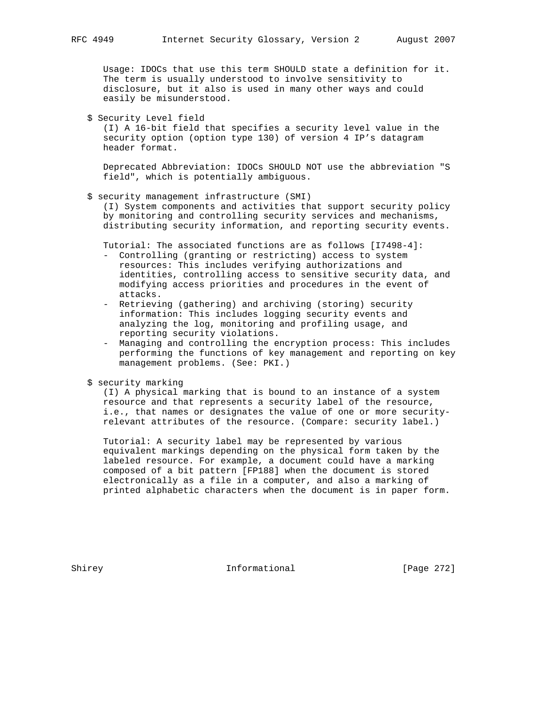Usage: IDOCs that use this term SHOULD state a definition for it. The term is usually understood to involve sensitivity to disclosure, but it also is used in many other ways and could easily be misunderstood.

\$ Security Level field

 (I) A 16-bit field that specifies a security level value in the security option (option type 130) of version 4 IP's datagram header format.

 Deprecated Abbreviation: IDOCs SHOULD NOT use the abbreviation "S field", which is potentially ambiguous.

\$ security management infrastructure (SMI)

 (I) System components and activities that support security policy by monitoring and controlling security services and mechanisms, distributing security information, and reporting security events.

Tutorial: The associated functions are as follows [I7498-4]:

- Controlling (granting or restricting) access to system resources: This includes verifying authorizations and identities, controlling access to sensitive security data, and modifying access priorities and procedures in the event of attacks.
- Retrieving (gathering) and archiving (storing) security information: This includes logging security events and analyzing the log, monitoring and profiling usage, and reporting security violations.
- Managing and controlling the encryption process: This includes performing the functions of key management and reporting on key management problems. (See: PKI.)
- \$ security marking

 (I) A physical marking that is bound to an instance of a system resource and that represents a security label of the resource, i.e., that names or designates the value of one or more security relevant attributes of the resource. (Compare: security label.)

 Tutorial: A security label may be represented by various equivalent markings depending on the physical form taken by the labeled resource. For example, a document could have a marking composed of a bit pattern [FP188] when the document is stored electronically as a file in a computer, and also a marking of printed alphabetic characters when the document is in paper form.

Shirey **Informational** [Page 272]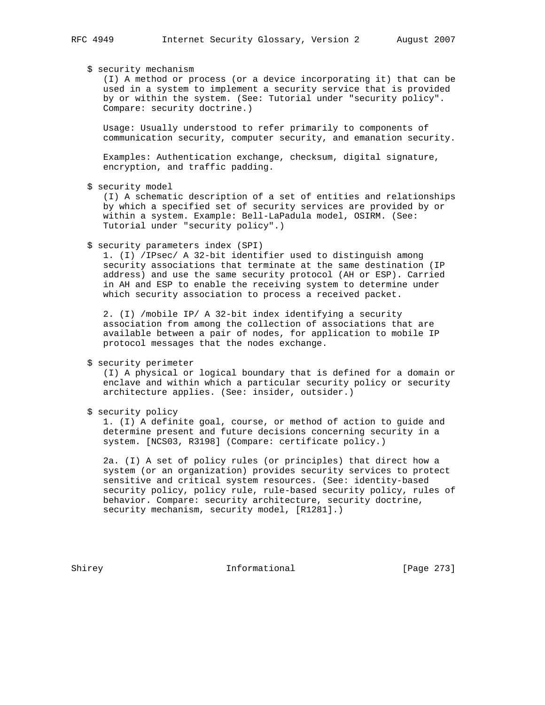### \$ security mechanism

 (I) A method or process (or a device incorporating it) that can be used in a system to implement a security service that is provided by or within the system. (See: Tutorial under "security policy". Compare: security doctrine.)

 Usage: Usually understood to refer primarily to components of communication security, computer security, and emanation security.

 Examples: Authentication exchange, checksum, digital signature, encryption, and traffic padding.

\$ security model

 (I) A schematic description of a set of entities and relationships by which a specified set of security services are provided by or within a system. Example: Bell-LaPadula model, OSIRM. (See: Tutorial under "security policy".)

\$ security parameters index (SPI)

 1. (I) /IPsec/ A 32-bit identifier used to distinguish among security associations that terminate at the same destination (IP address) and use the same security protocol (AH or ESP). Carried in AH and ESP to enable the receiving system to determine under which security association to process a received packet.

 2. (I) /mobile IP/ A 32-bit index identifying a security association from among the collection of associations that are available between a pair of nodes, for application to mobile IP protocol messages that the nodes exchange.

\$ security perimeter

 (I) A physical or logical boundary that is defined for a domain or enclave and within which a particular security policy or security architecture applies. (See: insider, outsider.)

\$ security policy

 1. (I) A definite goal, course, or method of action to guide and determine present and future decisions concerning security in a system. [NCS03, R3198] (Compare: certificate policy.)

 2a. (I) A set of policy rules (or principles) that direct how a system (or an organization) provides security services to protect sensitive and critical system resources. (See: identity-based security policy, policy rule, rule-based security policy, rules of behavior. Compare: security architecture, security doctrine, security mechanism, security model, [R1281].)

Shirey **Informational** [Page 273]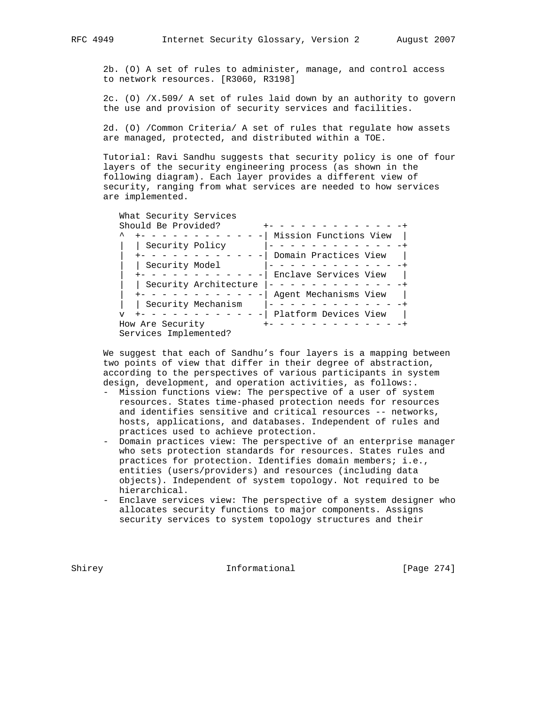2b. (O) A set of rules to administer, manage, and control access to network resources. [R3060, R3198]

 2c. (O) /X.509/ A set of rules laid down by an authority to govern the use and provision of security services and facilities.

 2d. (O) /Common Criteria/ A set of rules that regulate how assets are managed, protected, and distributed within a TOE.

 Tutorial: Ravi Sandhu suggests that security policy is one of four layers of the security engineering process (as shown in the following diagram). Each layer provides a different view of security, ranging from what services are needed to how services are implemented.

```
 What Security Services
       Should Be Provided? + - - - - - - - - - - - - - +^{\sim} +- - - - - - - - - - - - | Mission Functions View |
         | | Security Policy |- - - - - - - - - - - - -+
          | +- - - - - - - - - - - -| Domain Practices View |
          | | Security Model |- - - - - - - - - - - - -+
         | +- - - - - - - - - - - -| Enclave Services View |
         | | Security Architecture |- - - - - - - - - - - - -+
          | +- - - - - - - - - - - -| Agent Mechanisms View |
        | | Security Mechanism |- - - - - - - - - - - - -+
       v + - - - - - - - - - - - - Platform Devices View |
How Are Security +- - - - - - - - - - - - -+
Services Implemented?
```
 We suggest that each of Sandhu's four layers is a mapping between two points of view that differ in their degree of abstraction, according to the perspectives of various participants in system design, development, and operation activities, as follows:.

- Mission functions view: The perspective of a user of system resources. States time-phased protection needs for resources and identifies sensitive and critical resources -- networks, hosts, applications, and databases. Independent of rules and practices used to achieve protection.
- Domain practices view: The perspective of an enterprise manager who sets protection standards for resources. States rules and practices for protection. Identifies domain members; i.e., entities (users/providers) and resources (including data objects). Independent of system topology. Not required to be hierarchical.
- Enclave services view: The perspective of a system designer who allocates security functions to major components. Assigns security services to system topology structures and their

Shirey **Informational** [Page 274]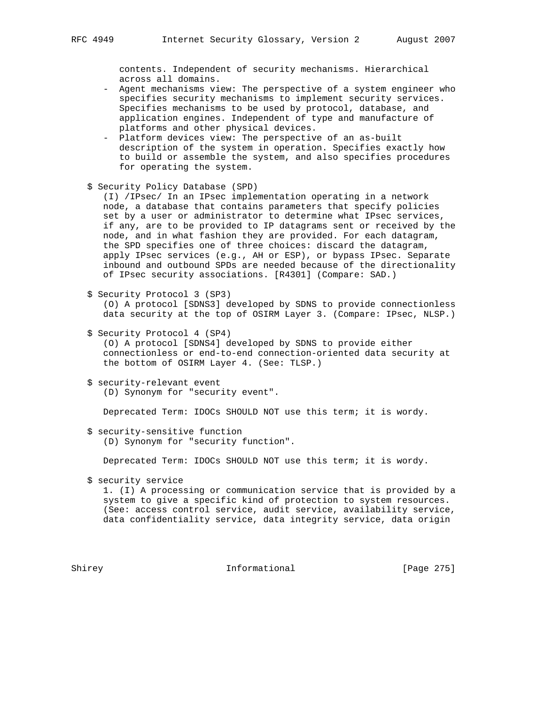contents. Independent of security mechanisms. Hierarchical across all domains.

- Agent mechanisms view: The perspective of a system engineer who specifies security mechanisms to implement security services. Specifies mechanisms to be used by protocol, database, and application engines. Independent of type and manufacture of platforms and other physical devices.
- Platform devices view: The perspective of an as-built description of the system in operation. Specifies exactly how to build or assemble the system, and also specifies procedures for operating the system.
- \$ Security Policy Database (SPD)

 (I) /IPsec/ In an IPsec implementation operating in a network node, a database that contains parameters that specify policies set by a user or administrator to determine what IPsec services, if any, are to be provided to IP datagrams sent or received by the node, and in what fashion they are provided. For each datagram, the SPD specifies one of three choices: discard the datagram, apply IPsec services (e.g., AH or ESP), or bypass IPsec. Separate inbound and outbound SPDs are needed because of the directionality of IPsec security associations. [R4301] (Compare: SAD.)

\$ Security Protocol 3 (SP3)

 (O) A protocol [SDNS3] developed by SDNS to provide connectionless data security at the top of OSIRM Layer 3. (Compare: IPsec, NLSP.)

\$ Security Protocol 4 (SP4)

 (O) A protocol [SDNS4] developed by SDNS to provide either connectionless or end-to-end connection-oriented data security at the bottom of OSIRM Layer 4. (See: TLSP.)

 \$ security-relevant event (D) Synonym for "security event".

Deprecated Term: IDOCs SHOULD NOT use this term; it is wordy.

 \$ security-sensitive function (D) Synonym for "security function".

Deprecated Term: IDOCs SHOULD NOT use this term; it is wordy.

\$ security service

 1. (I) A processing or communication service that is provided by a system to give a specific kind of protection to system resources. (See: access control service, audit service, availability service, data confidentiality service, data integrity service, data origin

Shirey **Informational** [Page 275]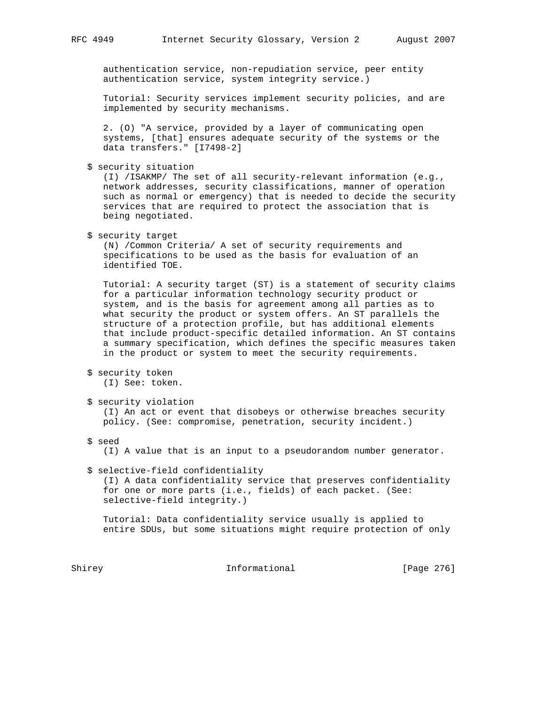authentication service, non-repudiation service, peer entity authentication service, system integrity service.)

 Tutorial: Security services implement security policies, and are implemented by security mechanisms.

 2. (O) "A service, provided by a layer of communicating open systems, [that] ensures adequate security of the systems or the data transfers." [I7498-2]

\$ security situation

 (I) /ISAKMP/ The set of all security-relevant information (e.g., network addresses, security classifications, manner of operation such as normal or emergency) that is needed to decide the security services that are required to protect the association that is being negotiated.

\$ security target

 (N) /Common Criteria/ A set of security requirements and specifications to be used as the basis for evaluation of an identified TOE.

 Tutorial: A security target (ST) is a statement of security claims for a particular information technology security product or system, and is the basis for agreement among all parties as to what security the product or system offers. An ST parallels the structure of a protection profile, but has additional elements that include product-specific detailed information. An ST contains a summary specification, which defines the specific measures taken in the product or system to meet the security requirements.

```
 $ security token
  (I) See: token.
```

```
 $ security violation
   (I) An act or event that disobeys or otherwise breaches security
  policy. (See: compromise, penetration, security incident.)
```
\$ seed

(I) A value that is an input to a pseudorandom number generator.

\$ selective-field confidentiality

 (I) A data confidentiality service that preserves confidentiality for one or more parts (i.e., fields) of each packet. (See: selective-field integrity.)

 Tutorial: Data confidentiality service usually is applied to entire SDUs, but some situations might require protection of only

Shirey **Informational** [Page 276]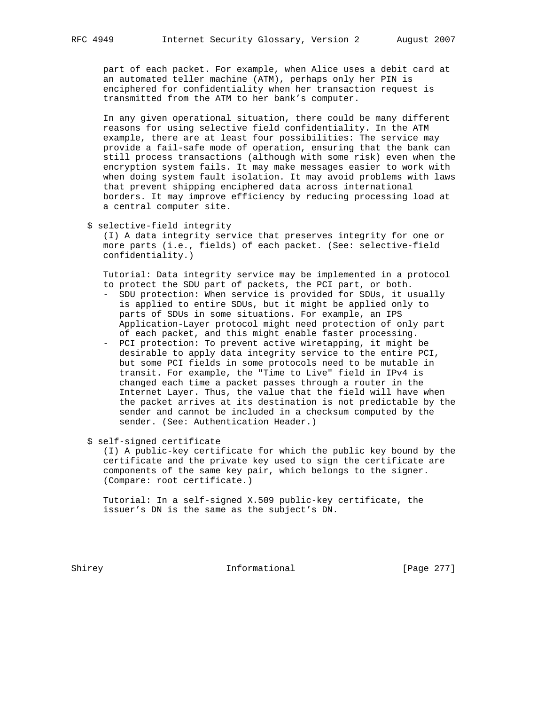part of each packet. For example, when Alice uses a debit card at an automated teller machine (ATM), perhaps only her PIN is enciphered for confidentiality when her transaction request is transmitted from the ATM to her bank's computer.

 In any given operational situation, there could be many different reasons for using selective field confidentiality. In the ATM example, there are at least four possibilities: The service may provide a fail-safe mode of operation, ensuring that the bank can still process transactions (although with some risk) even when the encryption system fails. It may make messages easier to work with when doing system fault isolation. It may avoid problems with laws that prevent shipping enciphered data across international borders. It may improve efficiency by reducing processing load at a central computer site.

\$ selective-field integrity

 (I) A data integrity service that preserves integrity for one or more parts (i.e., fields) of each packet. (See: selective-field confidentiality.)

 Tutorial: Data integrity service may be implemented in a protocol to protect the SDU part of packets, the PCI part, or both.

- SDU protection: When service is provided for SDUs, it usually is applied to entire SDUs, but it might be applied only to parts of SDUs in some situations. For example, an IPS Application-Layer protocol might need protection of only part of each packet, and this might enable faster processing.
- PCI protection: To prevent active wiretapping, it might be desirable to apply data integrity service to the entire PCI, but some PCI fields in some protocols need to be mutable in transit. For example, the "Time to Live" field in IPv4 is changed each time a packet passes through a router in the Internet Layer. Thus, the value that the field will have when the packet arrives at its destination is not predictable by the sender and cannot be included in a checksum computed by the sender. (See: Authentication Header.)

\$ self-signed certificate

 (I) A public-key certificate for which the public key bound by the certificate and the private key used to sign the certificate are components of the same key pair, which belongs to the signer. (Compare: root certificate.)

 Tutorial: In a self-signed X.509 public-key certificate, the issuer's DN is the same as the subject's DN.

Shirey **Informational** [Page 277]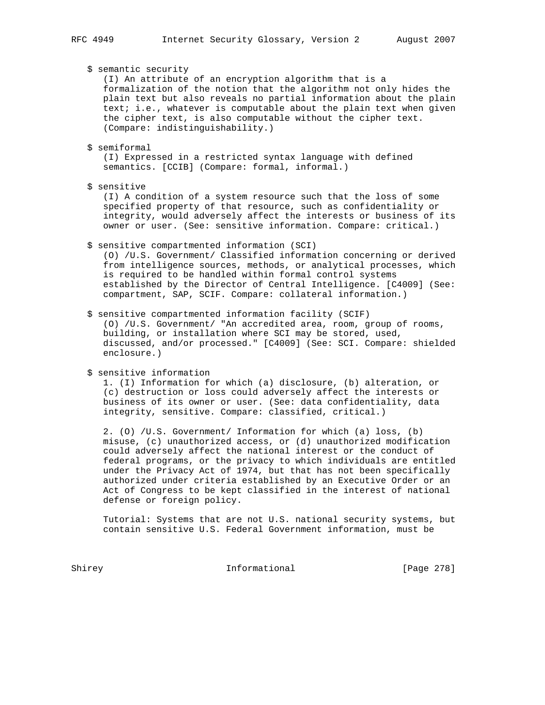\$ semantic security

 (I) An attribute of an encryption algorithm that is a formalization of the notion that the algorithm not only hides the plain text but also reveals no partial information about the plain text; i.e., whatever is computable about the plain text when given the cipher text, is also computable without the cipher text. (Compare: indistinguishability.)

\$ semiformal

 (I) Expressed in a restricted syntax language with defined semantics. [CCIB] (Compare: formal, informal.)

\$ sensitive

 (I) A condition of a system resource such that the loss of some specified property of that resource, such as confidentiality or integrity, would adversely affect the interests or business of its owner or user. (See: sensitive information. Compare: critical.)

\$ sensitive compartmented information (SCI)

 (O) /U.S. Government/ Classified information concerning or derived from intelligence sources, methods, or analytical processes, which is required to be handled within formal control systems established by the Director of Central Intelligence. [C4009] (See: compartment, SAP, SCIF. Compare: collateral information.)

#### \$ sensitive compartmented information facility (SCIF)

 (O) /U.S. Government/ "An accredited area, room, group of rooms, building, or installation where SCI may be stored, used, discussed, and/or processed." [C4009] (See: SCI. Compare: shielded enclosure.)

\$ sensitive information

 1. (I) Information for which (a) disclosure, (b) alteration, or (c) destruction or loss could adversely affect the interests or business of its owner or user. (See: data confidentiality, data integrity, sensitive. Compare: classified, critical.)

 2. (O) /U.S. Government/ Information for which (a) loss, (b) misuse, (c) unauthorized access, or (d) unauthorized modification could adversely affect the national interest or the conduct of federal programs, or the privacy to which individuals are entitled under the Privacy Act of 1974, but that has not been specifically authorized under criteria established by an Executive Order or an Act of Congress to be kept classified in the interest of national defense or foreign policy.

 Tutorial: Systems that are not U.S. national security systems, but contain sensitive U.S. Federal Government information, must be

Shirey **Informational** [Page 278]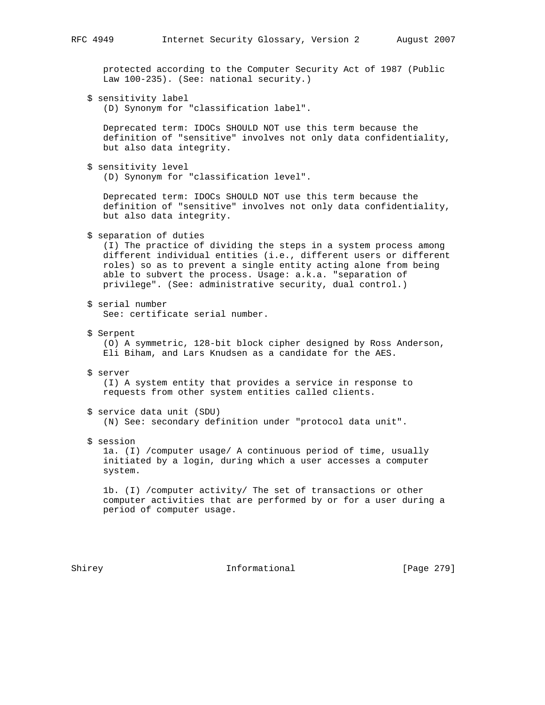protected according to the Computer Security Act of 1987 (Public Law 100-235). (See: national security.)

\$ sensitivity label

(D) Synonym for "classification label".

 Deprecated term: IDOCs SHOULD NOT use this term because the definition of "sensitive" involves not only data confidentiality, but also data integrity.

\$ sensitivity level

(D) Synonym for "classification level".

 Deprecated term: IDOCs SHOULD NOT use this term because the definition of "sensitive" involves not only data confidentiality, but also data integrity.

\$ separation of duties

 (I) The practice of dividing the steps in a system process among different individual entities (i.e., different users or different roles) so as to prevent a single entity acting alone from being able to subvert the process. Usage: a.k.a. "separation of privilege". (See: administrative security, dual control.)

\$ serial number

See: certificate serial number.

\$ Serpent

 (O) A symmetric, 128-bit block cipher designed by Ross Anderson, Eli Biham, and Lars Knudsen as a candidate for the AES.

\$ server

 (I) A system entity that provides a service in response to requests from other system entities called clients.

- \$ service data unit (SDU) (N) See: secondary definition under "protocol data unit".
- \$ session

 1a. (I) /computer usage/ A continuous period of time, usually initiated by a login, during which a user accesses a computer system.

 1b. (I) /computer activity/ The set of transactions or other computer activities that are performed by or for a user during a period of computer usage.

Shirey **Informational** [Page 279]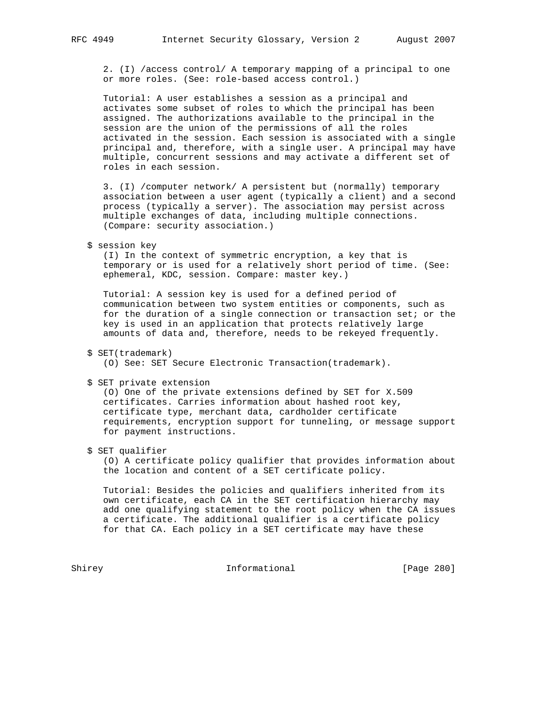2. (I) /access control/ A temporary mapping of a principal to one or more roles. (See: role-based access control.)

 Tutorial: A user establishes a session as a principal and activates some subset of roles to which the principal has been assigned. The authorizations available to the principal in the session are the union of the permissions of all the roles activated in the session. Each session is associated with a single principal and, therefore, with a single user. A principal may have multiple, concurrent sessions and may activate a different set of roles in each session.

 3. (I) /computer network/ A persistent but (normally) temporary association between a user agent (typically a client) and a second process (typically a server). The association may persist across multiple exchanges of data, including multiple connections. (Compare: security association.)

## \$ session key

 (I) In the context of symmetric encryption, a key that is temporary or is used for a relatively short period of time. (See: ephemeral, KDC, session. Compare: master key.)

 Tutorial: A session key is used for a defined period of communication between two system entities or components, such as for the duration of a single connection or transaction set; or the key is used in an application that protects relatively large amounts of data and, therefore, needs to be rekeyed frequently.

```
 $ SET(trademark)
```
(O) See: SET Secure Electronic Transaction(trademark).

\$ SET private extension

 (O) One of the private extensions defined by SET for X.509 certificates. Carries information about hashed root key, certificate type, merchant data, cardholder certificate requirements, encryption support for tunneling, or message support for payment instructions.

\$ SET qualifier

 (O) A certificate policy qualifier that provides information about the location and content of a SET certificate policy.

 Tutorial: Besides the policies and qualifiers inherited from its own certificate, each CA in the SET certification hierarchy may add one qualifying statement to the root policy when the CA issues a certificate. The additional qualifier is a certificate policy for that CA. Each policy in a SET certificate may have these

Shirey **Informational** [Page 280]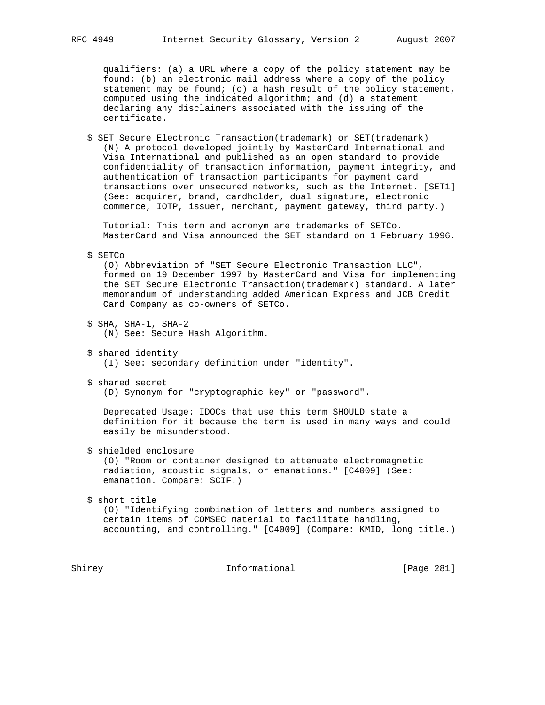qualifiers: (a) a URL where a copy of the policy statement may be found; (b) an electronic mail address where a copy of the policy statement may be found; (c) a hash result of the policy statement, computed using the indicated algorithm; and (d) a statement declaring any disclaimers associated with the issuing of the certificate.

 \$ SET Secure Electronic Transaction(trademark) or SET(trademark) (N) A protocol developed jointly by MasterCard International and Visa International and published as an open standard to provide confidentiality of transaction information, payment integrity, and authentication of transaction participants for payment card transactions over unsecured networks, such as the Internet. [SET1] (See: acquirer, brand, cardholder, dual signature, electronic commerce, IOTP, issuer, merchant, payment gateway, third party.)

 Tutorial: This term and acronym are trademarks of SETCo. MasterCard and Visa announced the SET standard on 1 February 1996.

\$ SETCo

 (O) Abbreviation of "SET Secure Electronic Transaction LLC", formed on 19 December 1997 by MasterCard and Visa for implementing the SET Secure Electronic Transaction(trademark) standard. A later memorandum of understanding added American Express and JCB Credit Card Company as co-owners of SETCo.

- \$ SHA, SHA-1, SHA-2 (N) See: Secure Hash Algorithm.
- \$ shared identity (I) See: secondary definition under "identity".
- \$ shared secret (D) Synonym for "cryptographic key" or "password".

 Deprecated Usage: IDOCs that use this term SHOULD state a definition for it because the term is used in many ways and could easily be misunderstood.

\$ shielded enclosure

 (O) "Room or container designed to attenuate electromagnetic radiation, acoustic signals, or emanations." [C4009] (See: emanation. Compare: SCIF.)

\$ short title

 (O) "Identifying combination of letters and numbers assigned to certain items of COMSEC material to facilitate handling, accounting, and controlling." [C4009] (Compare: KMID, long title.)

Shirey **Informational** [Page 281]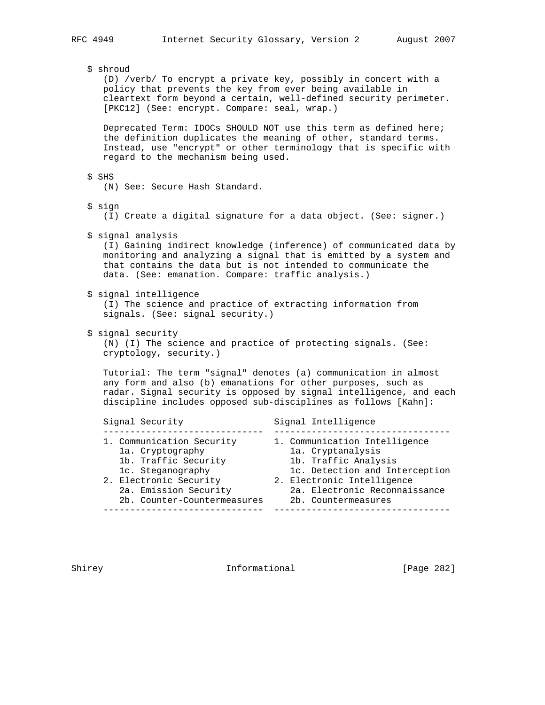\$ shroud (D) /verb/ To encrypt a private key, possibly in concert with a policy that prevents the key from ever being available in cleartext form beyond a certain, well-defined security perimeter. [PKC12] (See: encrypt. Compare: seal, wrap.) Deprecated Term: IDOCs SHOULD NOT use this term as defined here; the definition duplicates the meaning of other, standard terms. Instead, use "encrypt" or other terminology that is specific with regard to the mechanism being used. \$ SHS (N) See: Secure Hash Standard. \$ sign (I) Create a digital signature for a data object. (See: signer.) \$ signal analysis (I) Gaining indirect knowledge (inference) of communicated data by monitoring and analyzing a signal that is emitted by a system and that contains the data but is not intended to communicate the data. (See: emanation. Compare: traffic analysis.) \$ signal intelligence (I) The science and practice of extracting information from signals. (See: signal security.) \$ signal security (N) (I) The science and practice of protecting signals. (See: cryptology, security.) Tutorial: The term "signal" denotes (a) communication in almost any form and also (b) emanations for other purposes, such as radar. Signal security is opposed by signal intelligence, and each discipline includes opposed sub-disciplines as follows [Kahn]: Signal Security Signal Intelligence ------------------------------ --------------------------------- 1. Communication Security 1. Communication Intelligence 1a. Cryptography 1a. Cryptanalysis 1b. Traffic Security 1b. Traffic Analysis 1c. Steganography 1c. Detection and Interception 2. Electronic Security 2. Electronic Intelligence 2a. Emission Security 2a. Electronic Reconnaissance 2b. Counter-Countermeasures 2b. Countermeasures ------------------------------ ---------------------------------

Shirey **Informational** [Page 282]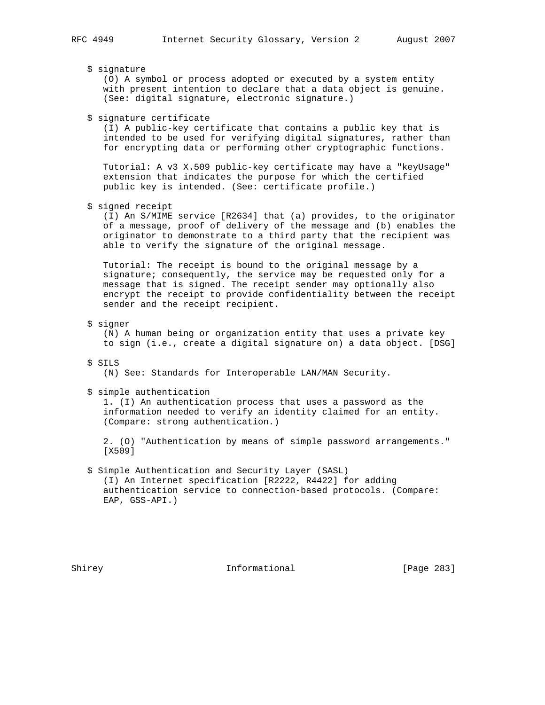## \$ signature

 (O) A symbol or process adopted or executed by a system entity with present intention to declare that a data object is genuine. (See: digital signature, electronic signature.)

\$ signature certificate

 (I) A public-key certificate that contains a public key that is intended to be used for verifying digital signatures, rather than for encrypting data or performing other cryptographic functions.

 Tutorial: A v3 X.509 public-key certificate may have a "keyUsage" extension that indicates the purpose for which the certified public key is intended. (See: certificate profile.)

\$ signed receipt

 (I) An S/MIME service [R2634] that (a) provides, to the originator of a message, proof of delivery of the message and (b) enables the originator to demonstrate to a third party that the recipient was able to verify the signature of the original message.

 Tutorial: The receipt is bound to the original message by a signature; consequently, the service may be requested only for a message that is signed. The receipt sender may optionally also encrypt the receipt to provide confidentiality between the receipt sender and the receipt recipient.

## \$ signer

 (N) A human being or organization entity that uses a private key to sign (i.e., create a digital signature on) a data object. [DSG]

## \$ SILS

(N) See: Standards for Interoperable LAN/MAN Security.

\$ simple authentication

 1. (I) An authentication process that uses a password as the information needed to verify an identity claimed for an entity. (Compare: strong authentication.)

 2. (O) "Authentication by means of simple password arrangements." [X509]

# \$ Simple Authentication and Security Layer (SASL)

 (I) An Internet specification [R2222, R4422] for adding authentication service to connection-based protocols. (Compare: EAP, GSS-API.)

Shirey **Informational** [Page 283]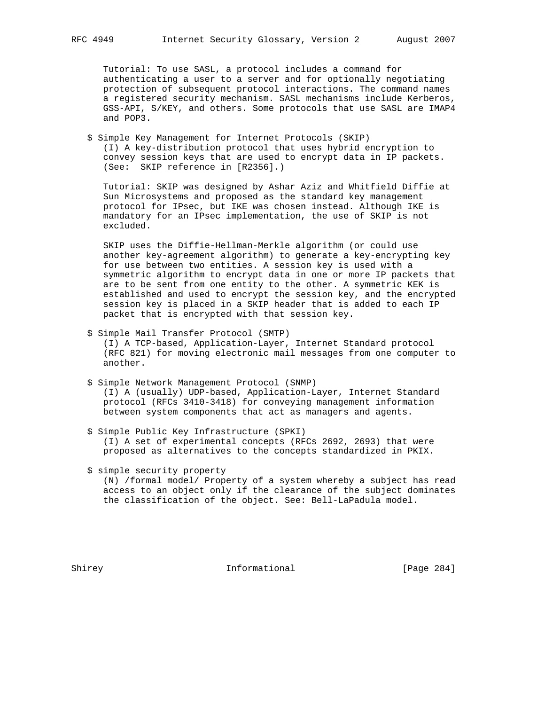Tutorial: To use SASL, a protocol includes a command for authenticating a user to a server and for optionally negotiating protection of subsequent protocol interactions. The command names a registered security mechanism. SASL mechanisms include Kerberos, GSS-API, S/KEY, and others. Some protocols that use SASL are IMAP4 and POP3.

 \$ Simple Key Management for Internet Protocols (SKIP) (I) A key-distribution protocol that uses hybrid encryption to convey session keys that are used to encrypt data in IP packets. (See: SKIP reference in [R2356].)

 Tutorial: SKIP was designed by Ashar Aziz and Whitfield Diffie at Sun Microsystems and proposed as the standard key management protocol for IPsec, but IKE was chosen instead. Although IKE is mandatory for an IPsec implementation, the use of SKIP is not excluded.

 SKIP uses the Diffie-Hellman-Merkle algorithm (or could use another key-agreement algorithm) to generate a key-encrypting key for use between two entities. A session key is used with a symmetric algorithm to encrypt data in one or more IP packets that are to be sent from one entity to the other. A symmetric KEK is established and used to encrypt the session key, and the encrypted session key is placed in a SKIP header that is added to each IP packet that is encrypted with that session key.

- \$ Simple Mail Transfer Protocol (SMTP) (I) A TCP-based, Application-Layer, Internet Standard protocol (RFC 821) for moving electronic mail messages from one computer to another.
- \$ Simple Network Management Protocol (SNMP) (I) A (usually) UDP-based, Application-Layer, Internet Standard protocol (RFCs 3410-3418) for conveying management information between system components that act as managers and agents.
- \$ Simple Public Key Infrastructure (SPKI) (I) A set of experimental concepts (RFCs 2692, 2693) that were proposed as alternatives to the concepts standardized in PKIX.
- \$ simple security property

 (N) /formal model/ Property of a system whereby a subject has read access to an object only if the clearance of the subject dominates the classification of the object. See: Bell-LaPadula model.

Shirey **Informational** [Page 284]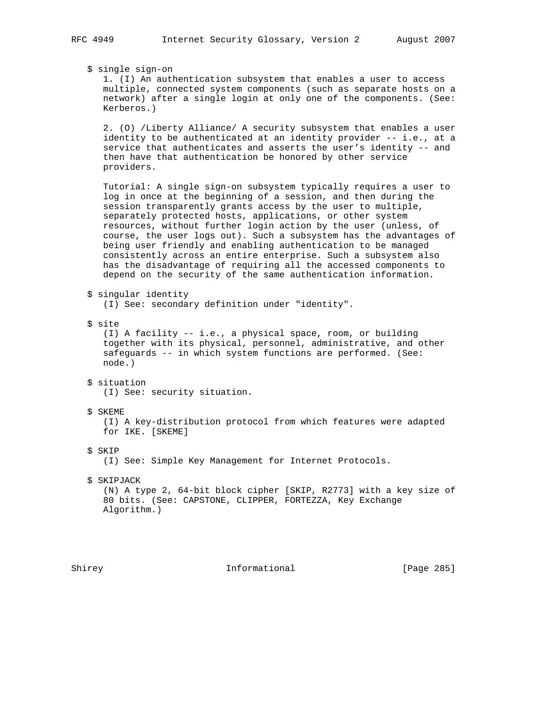\$ single sign-on

 1. (I) An authentication subsystem that enables a user to access multiple, connected system components (such as separate hosts on a network) after a single login at only one of the components. (See: Kerberos.)

 2. (O) /Liberty Alliance/ A security subsystem that enables a user identity to be authenticated at an identity provider -- i.e., at a service that authenticates and asserts the user's identity -- and then have that authentication be honored by other service providers.

 Tutorial: A single sign-on subsystem typically requires a user to log in once at the beginning of a session, and then during the session transparently grants access by the user to multiple, separately protected hosts, applications, or other system resources, without further login action by the user (unless, of course, the user logs out). Such a subsystem has the advantages of being user friendly and enabling authentication to be managed consistently across an entire enterprise. Such a subsystem also has the disadvantage of requiring all the accessed components to depend on the security of the same authentication information.

\$ singular identity

(I) See: secondary definition under "identity".

\$ site

 (I) A facility -- i.e., a physical space, room, or building together with its physical, personnel, administrative, and other safeguards -- in which system functions are performed. (See: node.)

- \$ situation (I) See: security situation.
- \$ SKEME

 (I) A key-distribution protocol from which features were adapted for IKE. [SKEME]

\$ SKIP

(I) See: Simple Key Management for Internet Protocols.

\$ SKIPJACK

 (N) A type 2, 64-bit block cipher [SKIP, R2773] with a key size of 80 bits. (See: CAPSTONE, CLIPPER, FORTEZZA, Key Exchange Algorithm.)

Shirey **Informational** [Page 285]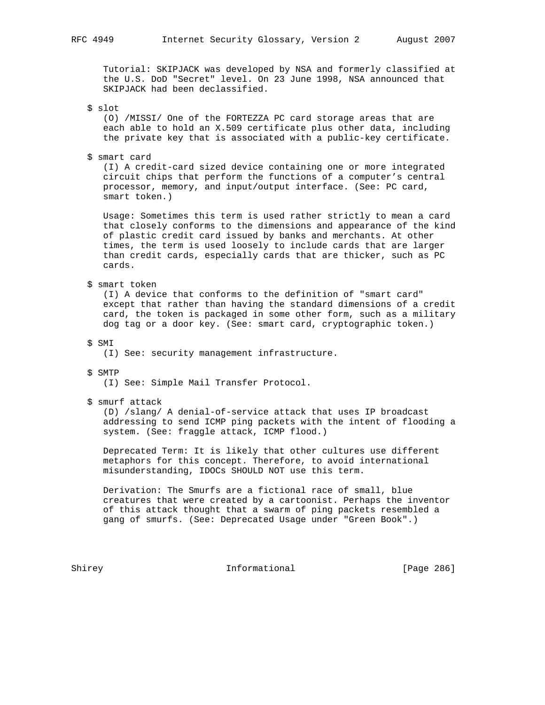Tutorial: SKIPJACK was developed by NSA and formerly classified at the U.S. DoD "Secret" level. On 23 June 1998, NSA announced that SKIPJACK had been declassified.

\$ slot

 (O) /MISSI/ One of the FORTEZZA PC card storage areas that are each able to hold an X.509 certificate plus other data, including the private key that is associated with a public-key certificate.

\$ smart card

 (I) A credit-card sized device containing one or more integrated circuit chips that perform the functions of a computer's central processor, memory, and input/output interface. (See: PC card, smart token.)

 Usage: Sometimes this term is used rather strictly to mean a card that closely conforms to the dimensions and appearance of the kind of plastic credit card issued by banks and merchants. At other times, the term is used loosely to include cards that are larger than credit cards, especially cards that are thicker, such as PC cards.

\$ smart token

 (I) A device that conforms to the definition of "smart card" except that rather than having the standard dimensions of a credit card, the token is packaged in some other form, such as a military dog tag or a door key. (See: smart card, cryptographic token.)

\$ SMI

(I) See: security management infrastructure.

\$ SMTP

(I) See: Simple Mail Transfer Protocol.

\$ smurf attack

 (D) /slang/ A denial-of-service attack that uses IP broadcast addressing to send ICMP ping packets with the intent of flooding a system. (See: fraggle attack, ICMP flood.)

 Deprecated Term: It is likely that other cultures use different metaphors for this concept. Therefore, to avoid international misunderstanding, IDOCs SHOULD NOT use this term.

 Derivation: The Smurfs are a fictional race of small, blue creatures that were created by a cartoonist. Perhaps the inventor of this attack thought that a swarm of ping packets resembled a gang of smurfs. (See: Deprecated Usage under "Green Book".)

Shirey **Informational** [Page 286]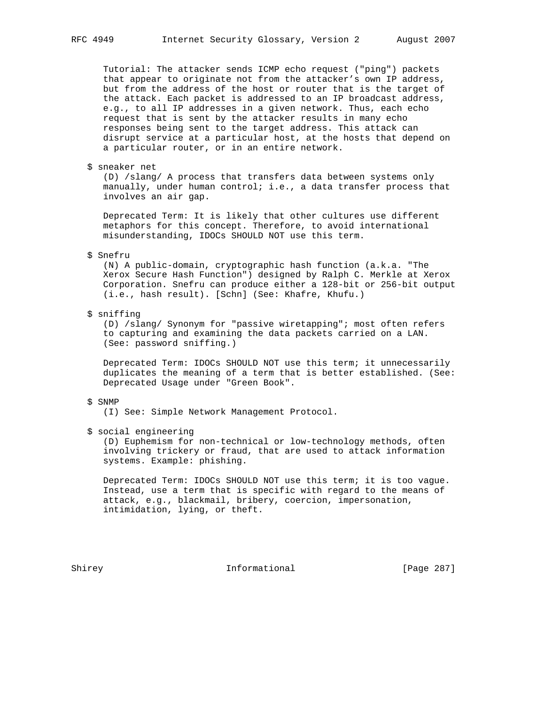Tutorial: The attacker sends ICMP echo request ("ping") packets that appear to originate not from the attacker's own IP address, but from the address of the host or router that is the target of the attack. Each packet is addressed to an IP broadcast address, e.g., to all IP addresses in a given network. Thus, each echo request that is sent by the attacker results in many echo responses being sent to the target address. This attack can disrupt service at a particular host, at the hosts that depend on a particular router, or in an entire network.

\$ sneaker net

 (D) /slang/ A process that transfers data between systems only manually, under human control; i.e., a data transfer process that involves an air gap.

 Deprecated Term: It is likely that other cultures use different metaphors for this concept. Therefore, to avoid international misunderstanding, IDOCs SHOULD NOT use this term.

#### \$ Snefru

 (N) A public-domain, cryptographic hash function (a.k.a. "The Xerox Secure Hash Function") designed by Ralph C. Merkle at Xerox Corporation. Snefru can produce either a 128-bit or 256-bit output (i.e., hash result). [Schn] (See: Khafre, Khufu.)

\$ sniffing

 (D) /slang/ Synonym for "passive wiretapping"; most often refers to capturing and examining the data packets carried on a LAN. (See: password sniffing.)

 Deprecated Term: IDOCs SHOULD NOT use this term; it unnecessarily duplicates the meaning of a term that is better established. (See: Deprecated Usage under "Green Book".

#### \$ SNMP

(I) See: Simple Network Management Protocol.

\$ social engineering

 (D) Euphemism for non-technical or low-technology methods, often involving trickery or fraud, that are used to attack information systems. Example: phishing.

 Deprecated Term: IDOCs SHOULD NOT use this term; it is too vague. Instead, use a term that is specific with regard to the means of attack, e.g., blackmail, bribery, coercion, impersonation, intimidation, lying, or theft.

Shirey **Informational** [Page 287]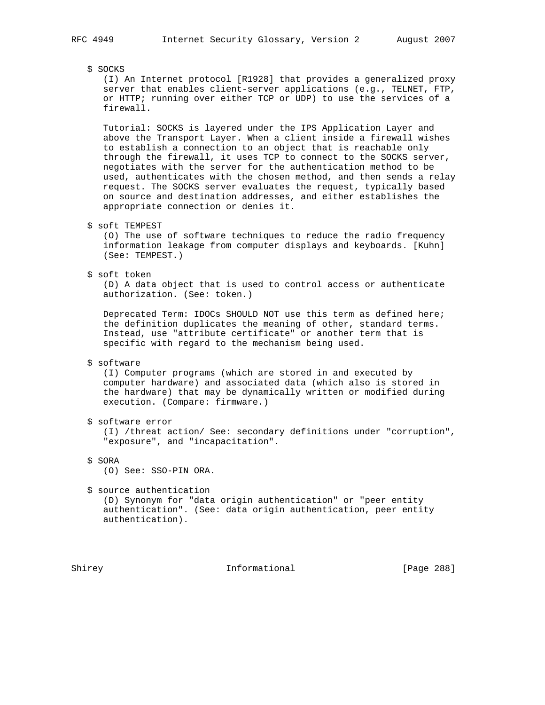\$ SOCKS

 (I) An Internet protocol [R1928] that provides a generalized proxy server that enables client-server applications (e.g., TELNET, FTP, or HTTP; running over either TCP or UDP) to use the services of a firewall.

 Tutorial: SOCKS is layered under the IPS Application Layer and above the Transport Layer. When a client inside a firewall wishes to establish a connection to an object that is reachable only through the firewall, it uses TCP to connect to the SOCKS server, negotiates with the server for the authentication method to be used, authenticates with the chosen method, and then sends a relay request. The SOCKS server evaluates the request, typically based on source and destination addresses, and either establishes the appropriate connection or denies it.

\$ soft TEMPEST

 (O) The use of software techniques to reduce the radio frequency information leakage from computer displays and keyboards. [Kuhn] (See: TEMPEST.)

\$ soft token

 (D) A data object that is used to control access or authenticate authorization. (See: token.)

 Deprecated Term: IDOCs SHOULD NOT use this term as defined here; the definition duplicates the meaning of other, standard terms. Instead, use "attribute certificate" or another term that is specific with regard to the mechanism being used.

#### \$ software

 (I) Computer programs (which are stored in and executed by computer hardware) and associated data (which also is stored in the hardware) that may be dynamically written or modified during execution. (Compare: firmware.)

\$ software error

 (I) /threat action/ See: secondary definitions under "corruption", "exposure", and "incapacitation".

\$ SORA

(O) See: SSO-PIN ORA.

\$ source authentication

 (D) Synonym for "data origin authentication" or "peer entity authentication". (See: data origin authentication, peer entity authentication).

Shirey **Informational** [Page 288]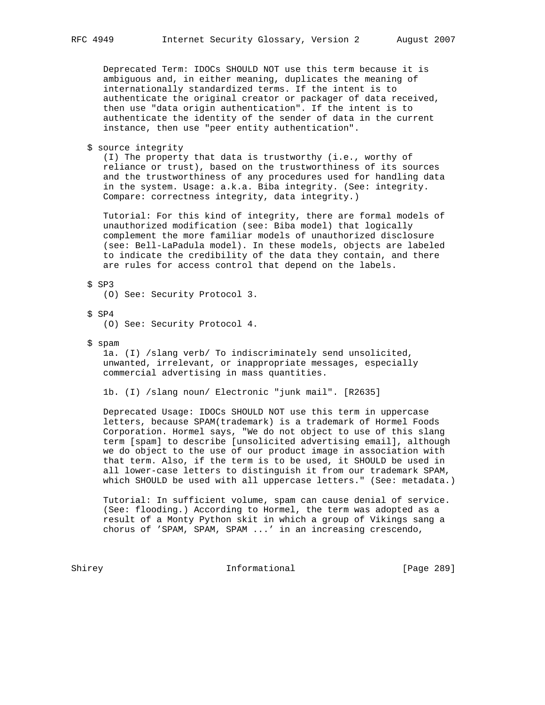Deprecated Term: IDOCs SHOULD NOT use this term because it is ambiguous and, in either meaning, duplicates the meaning of internationally standardized terms. If the intent is to authenticate the original creator or packager of data received, then use "data origin authentication". If the intent is to authenticate the identity of the sender of data in the current instance, then use "peer entity authentication".

\$ source integrity

 (I) The property that data is trustworthy (i.e., worthy of reliance or trust), based on the trustworthiness of its sources and the trustworthiness of any procedures used for handling data in the system. Usage: a.k.a. Biba integrity. (See: integrity. Compare: correctness integrity, data integrity.)

 Tutorial: For this kind of integrity, there are formal models of unauthorized modification (see: Biba model) that logically complement the more familiar models of unauthorized disclosure (see: Bell-LaPadula model). In these models, objects are labeled to indicate the credibility of the data they contain, and there are rules for access control that depend on the labels.

\$ SP3

(O) See: Security Protocol 3.

\$ SP4

(O) See: Security Protocol 4.

\$ spam

 1a. (I) /slang verb/ To indiscriminately send unsolicited, unwanted, irrelevant, or inappropriate messages, especially commercial advertising in mass quantities.

1b. (I) /slang noun/ Electronic "junk mail". [R2635]

 Deprecated Usage: IDOCs SHOULD NOT use this term in uppercase letters, because SPAM(trademark) is a trademark of Hormel Foods Corporation. Hormel says, "We do not object to use of this slang term [spam] to describe [unsolicited advertising email], although we do object to the use of our product image in association with that term. Also, if the term is to be used, it SHOULD be used in all lower-case letters to distinguish it from our trademark SPAM, which SHOULD be used with all uppercase letters." (See: metadata.)

 Tutorial: In sufficient volume, spam can cause denial of service. (See: flooding.) According to Hormel, the term was adopted as a result of a Monty Python skit in which a group of Vikings sang a chorus of 'SPAM, SPAM, SPAM ...' in an increasing crescendo,

Shirey **Informational** [Page 289]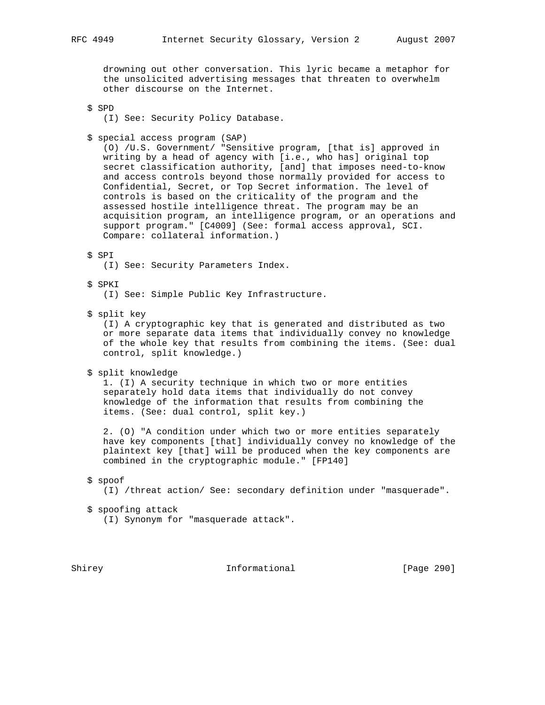drowning out other conversation. This lyric became a metaphor for the unsolicited advertising messages that threaten to overwhelm other discourse on the Internet.

\$ SPD

- (I) See: Security Policy Database.
- \$ special access program (SAP)

 (O) /U.S. Government/ "Sensitive program, [that is] approved in writing by a head of agency with [i.e., who has] original top secret classification authority, [and] that imposes need-to-know and access controls beyond those normally provided for access to Confidential, Secret, or Top Secret information. The level of controls is based on the criticality of the program and the assessed hostile intelligence threat. The program may be an acquisition program, an intelligence program, or an operations and support program." [C4009] (See: formal access approval, SCI. Compare: collateral information.)

#### \$ SPI

(I) See: Security Parameters Index.

### \$ SPKI

(I) See: Simple Public Key Infrastructure.

#### \$ split key

 (I) A cryptographic key that is generated and distributed as two or more separate data items that individually convey no knowledge of the whole key that results from combining the items. (See: dual control, split knowledge.)

\$ split knowledge

 1. (I) A security technique in which two or more entities separately hold data items that individually do not convey knowledge of the information that results from combining the items. (See: dual control, split key.)

 2. (O) "A condition under which two or more entities separately have key components [that] individually convey no knowledge of the plaintext key [that] will be produced when the key components are combined in the cryptographic module." [FP140]

#### \$ spoof

(I) /threat action/ See: secondary definition under "masquerade".

- \$ spoofing attack
	- (I) Synonym for "masquerade attack".

Shirey **Informational** [Page 290]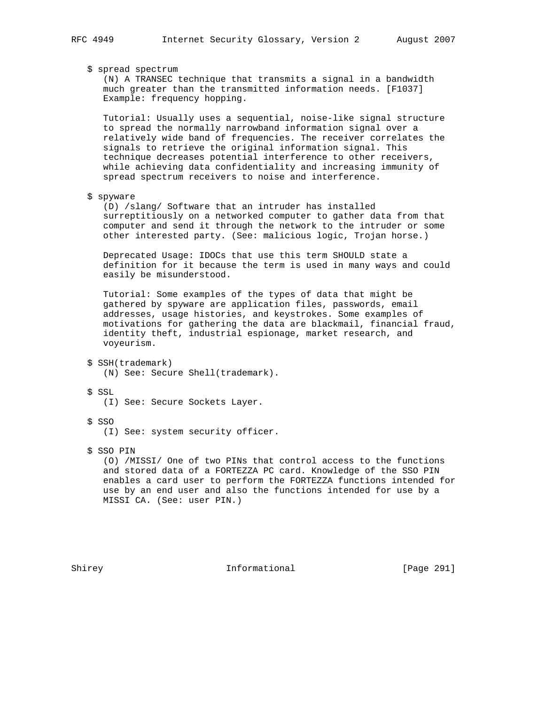# \$ spread spectrum

 (N) A TRANSEC technique that transmits a signal in a bandwidth much greater than the transmitted information needs. [F1037] Example: frequency hopping.

 Tutorial: Usually uses a sequential, noise-like signal structure to spread the normally narrowband information signal over a relatively wide band of frequencies. The receiver correlates the signals to retrieve the original information signal. This technique decreases potential interference to other receivers, while achieving data confidentiality and increasing immunity of spread spectrum receivers to noise and interference.

#### \$ spyware

 (D) /slang/ Software that an intruder has installed surreptitiously on a networked computer to gather data from that computer and send it through the network to the intruder or some other interested party. (See: malicious logic, Trojan horse.)

 Deprecated Usage: IDOCs that use this term SHOULD state a definition for it because the term is used in many ways and could easily be misunderstood.

 Tutorial: Some examples of the types of data that might be gathered by spyware are application files, passwords, email addresses, usage histories, and keystrokes. Some examples of motivations for gathering the data are blackmail, financial fraud, identity theft, industrial espionage, market research, and voyeurism.

```
 $ SSH(trademark)
```
(N) See: Secure Shell(trademark).

# \$ SSL

(I) See: Secure Sockets Layer.

\$ SSO

(I) See: system security officer.

\$ SSO PIN

 (O) /MISSI/ One of two PINs that control access to the functions and stored data of a FORTEZZA PC card. Knowledge of the SSO PIN enables a card user to perform the FORTEZZA functions intended for use by an end user and also the functions intended for use by a MISSI CA. (See: user PIN.)

Shirey 1nformational [Page 291]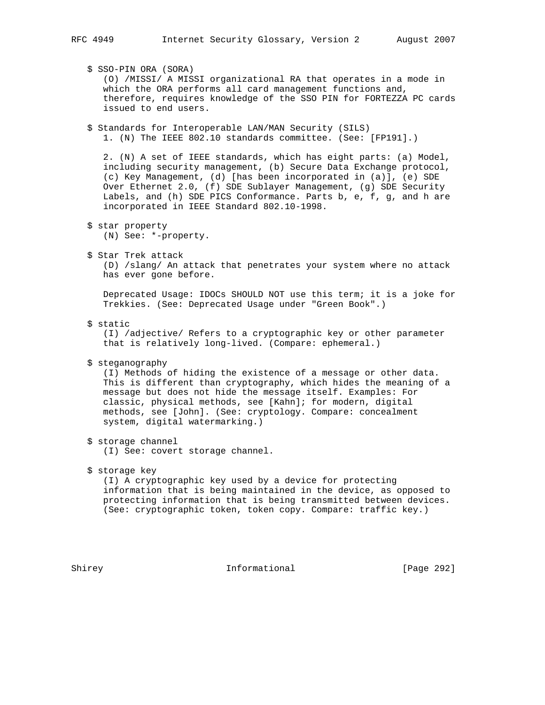\$ SSO-PIN ORA (SORA) (O) /MISSI/ A MISSI organizational RA that operates in a mode in which the ORA performs all card management functions and, therefore, requires knowledge of the SSO PIN for FORTEZZA PC cards issued to end users. \$ Standards for Interoperable LAN/MAN Security (SILS) 1. (N) The IEEE 802.10 standards committee. (See: [FP191].) 2. (N) A set of IEEE standards, which has eight parts: (a) Model, including security management, (b) Secure Data Exchange protocol, (c) Key Management, (d) [has been incorporated in (a)], (e) SDE Over Ethernet 2.0, (f) SDE Sublayer Management, (g) SDE Security Labels, and (h) SDE PICS Conformance. Parts b, e, f, g, and h are incorporated in IEEE Standard 802.10-1998. \$ star property (N) See: \*-property. \$ Star Trek attack (D) /slang/ An attack that penetrates your system where no attack has ever gone before. Deprecated Usage: IDOCs SHOULD NOT use this term; it is a joke for Trekkies. (See: Deprecated Usage under "Green Book".) \$ static (I) /adjective/ Refers to a cryptographic key or other parameter that is relatively long-lived. (Compare: ephemeral.) \$ steganography (I) Methods of hiding the existence of a message or other data. This is different than cryptography, which hides the meaning of a message but does not hide the message itself. Examples: For classic, physical methods, see [Kahn]; for modern, digital methods, see [John]. (See: cryptology. Compare: concealment system, digital watermarking.) \$ storage channel (I) See: covert storage channel. \$ storage key (I) A cryptographic key used by a device for protecting information that is being maintained in the device, as opposed to protecting information that is being transmitted between devices. (See: cryptographic token, token copy. Compare: traffic key.)

Shirey **Informational** [Page 292]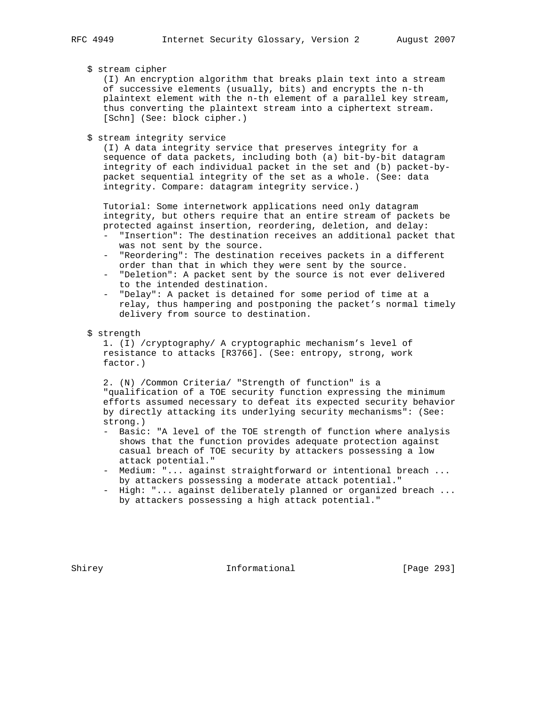\$ stream cipher

 (I) An encryption algorithm that breaks plain text into a stream of successive elements (usually, bits) and encrypts the n-th plaintext element with the n-th element of a parallel key stream, thus converting the plaintext stream into a ciphertext stream. [Schn] (See: block cipher.)

\$ stream integrity service

 (I) A data integrity service that preserves integrity for a sequence of data packets, including both (a) bit-by-bit datagram integrity of each individual packet in the set and (b) packet-by packet sequential integrity of the set as a whole. (See: data integrity. Compare: datagram integrity service.)

 Tutorial: Some internetwork applications need only datagram integrity, but others require that an entire stream of packets be protected against insertion, reordering, deletion, and delay:

- "Insertion": The destination receives an additional packet that was not sent by the source.
- "Reordering": The destination receives packets in a different order than that in which they were sent by the source.
- "Deletion": A packet sent by the source is not ever delivered to the intended destination.
- "Delay": A packet is detained for some period of time at a relay, thus hampering and postponing the packet's normal timely delivery from source to destination.
- \$ strength

 1. (I) /cryptography/ A cryptographic mechanism's level of resistance to attacks [R3766]. (See: entropy, strong, work factor.)

 2. (N) /Common Criteria/ "Strength of function" is a "qualification of a TOE security function expressing the minimum efforts assumed necessary to defeat its expected security behavior by directly attacking its underlying security mechanisms": (See: strong.)

- Basic: "A level of the TOE strength of function where analysis shows that the function provides adequate protection against casual breach of TOE security by attackers possessing a low attack potential."
- Medium: "... against straightforward or intentional breach ... by attackers possessing a moderate attack potential."
- High: "... against deliberately planned or organized breach ... by attackers possessing a high attack potential."

Shirey **Informational** [Page 293]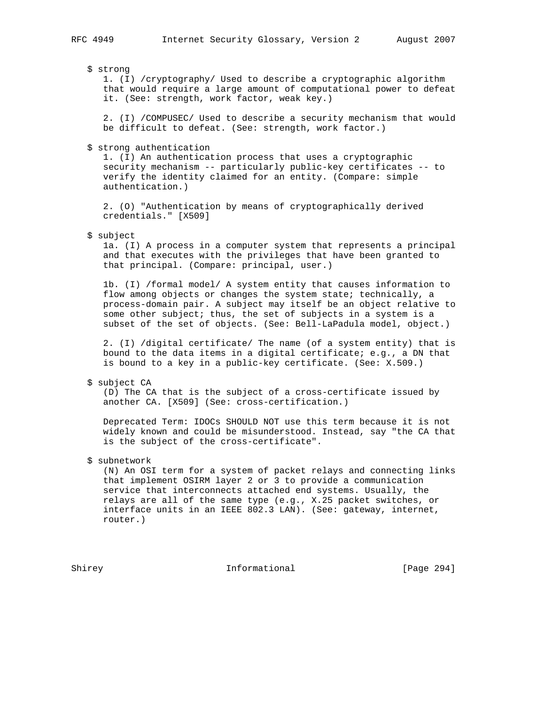\$ strong

 1. (I) /cryptography/ Used to describe a cryptographic algorithm that would require a large amount of computational power to defeat it. (See: strength, work factor, weak key.)

 2. (I) /COMPUSEC/ Used to describe a security mechanism that would be difficult to defeat. (See: strength, work factor.)

\$ strong authentication

 1. (I) An authentication process that uses a cryptographic security mechanism -- particularly public-key certificates -- to verify the identity claimed for an entity. (Compare: simple authentication.)

 2. (O) "Authentication by means of cryptographically derived credentials." [X509]

\$ subject

 1a. (I) A process in a computer system that represents a principal and that executes with the privileges that have been granted to that principal. (Compare: principal, user.)

 1b. (I) /formal model/ A system entity that causes information to flow among objects or changes the system state; technically, a process-domain pair. A subject may itself be an object relative to some other subject; thus, the set of subjects in a system is a subset of the set of objects. (See: Bell-LaPadula model, object.)

 2. (I) /digital certificate/ The name (of a system entity) that is bound to the data items in a digital certificate; e.g., a DN that is bound to a key in a public-key certificate. (See: X.509.)

\$ subject CA

 (D) The CA that is the subject of a cross-certificate issued by another CA. [X509] (See: cross-certification.)

 Deprecated Term: IDOCs SHOULD NOT use this term because it is not widely known and could be misunderstood. Instead, say "the CA that is the subject of the cross-certificate".

\$ subnetwork

 (N) An OSI term for a system of packet relays and connecting links that implement OSIRM layer 2 or 3 to provide a communication service that interconnects attached end systems. Usually, the relays are all of the same type (e.g., X.25 packet switches, or interface units in an IEEE 802.3 LAN). (See: gateway, internet, router.)

Shirey 1nformational [Page 294]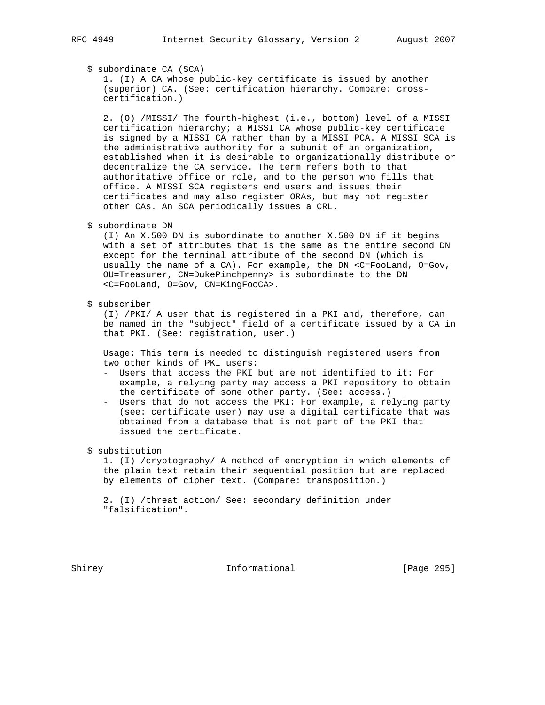\$ subordinate CA (SCA)

 1. (I) A CA whose public-key certificate is issued by another (superior) CA. (See: certification hierarchy. Compare: cross certification.)

 2. (O) /MISSI/ The fourth-highest (i.e., bottom) level of a MISSI certification hierarchy; a MISSI CA whose public-key certificate is signed by a MISSI CA rather than by a MISSI PCA. A MISSI SCA is the administrative authority for a subunit of an organization, established when it is desirable to organizationally distribute or decentralize the CA service. The term refers both to that authoritative office or role, and to the person who fills that office. A MISSI SCA registers end users and issues their certificates and may also register ORAs, but may not register other CAs. An SCA periodically issues a CRL.

\$ subordinate DN

 (I) An X.500 DN is subordinate to another X.500 DN if it begins with a set of attributes that is the same as the entire second DN except for the terminal attribute of the second DN (which is usually the name of a CA). For example, the DN <C=FooLand, O=Gov, OU=Treasurer, CN=DukePinchpenny> is subordinate to the DN <C=FooLand, O=Gov, CN=KingFooCA>.

\$ subscriber

 (I) /PKI/ A user that is registered in a PKI and, therefore, can be named in the "subject" field of a certificate issued by a CA in that PKI. (See: registration, user.)

 Usage: This term is needed to distinguish registered users from two other kinds of PKI users:

- Users that access the PKI but are not identified to it: For example, a relying party may access a PKI repository to obtain the certificate of some other party. (See: access.)
- Users that do not access the PKI: For example, a relying party (see: certificate user) may use a digital certificate that was obtained from a database that is not part of the PKI that issued the certificate.

\$ substitution

 1. (I) /cryptography/ A method of encryption in which elements of the plain text retain their sequential position but are replaced by elements of cipher text. (Compare: transposition.)

 2. (I) /threat action/ See: secondary definition under "falsification".

Shirey **Informational** [Page 295]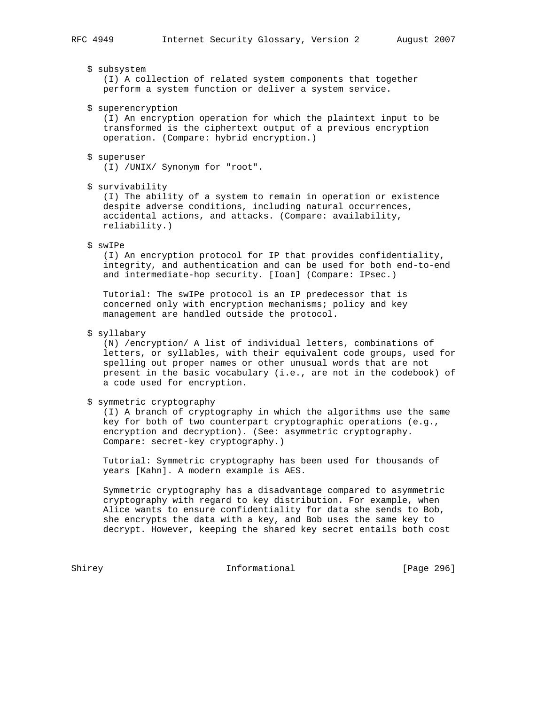# \$ subsystem

 (I) A collection of related system components that together perform a system function or deliver a system service.

\$ superencryption

 (I) An encryption operation for which the plaintext input to be transformed is the ciphertext output of a previous encryption operation. (Compare: hybrid encryption.)

# \$ superuser

(I) /UNIX/ Synonym for "root".

#### \$ survivability

 (I) The ability of a system to remain in operation or existence despite adverse conditions, including natural occurrences, accidental actions, and attacks. (Compare: availability, reliability.)

### \$ swIPe

 (I) An encryption protocol for IP that provides confidentiality, integrity, and authentication and can be used for both end-to-end and intermediate-hop security. [Ioan] (Compare: IPsec.)

 Tutorial: The swIPe protocol is an IP predecessor that is concerned only with encryption mechanisms; policy and key management are handled outside the protocol.

# \$ syllabary

 (N) /encryption/ A list of individual letters, combinations of letters, or syllables, with their equivalent code groups, used for spelling out proper names or other unusual words that are not present in the basic vocabulary (i.e., are not in the codebook) of a code used for encryption.

## \$ symmetric cryptography

 (I) A branch of cryptography in which the algorithms use the same key for both of two counterpart cryptographic operations (e.g., encryption and decryption). (See: asymmetric cryptography. Compare: secret-key cryptography.)

 Tutorial: Symmetric cryptography has been used for thousands of years [Kahn]. A modern example is AES.

 Symmetric cryptography has a disadvantage compared to asymmetric cryptography with regard to key distribution. For example, when Alice wants to ensure confidentiality for data she sends to Bob, she encrypts the data with a key, and Bob uses the same key to decrypt. However, keeping the shared key secret entails both cost

Shirey **Informational** [Page 296]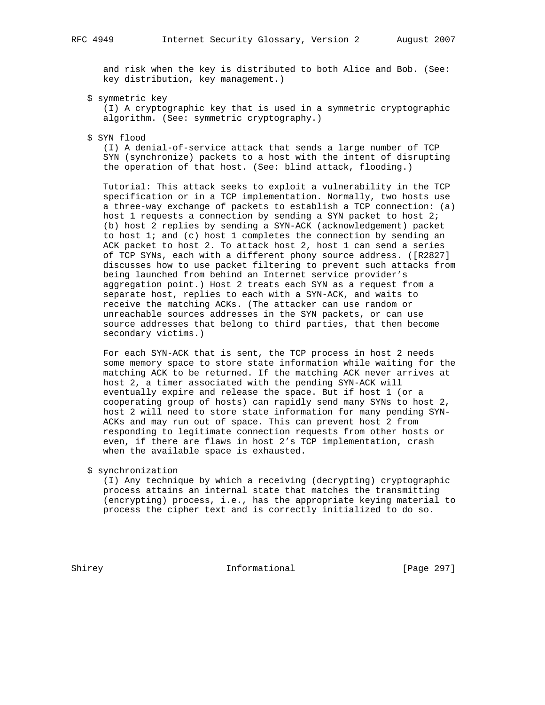and risk when the key is distributed to both Alice and Bob. (See: key distribution, key management.)

\$ symmetric key

 (I) A cryptographic key that is used in a symmetric cryptographic algorithm. (See: symmetric cryptography.)

### \$ SYN flood

 (I) A denial-of-service attack that sends a large number of TCP SYN (synchronize) packets to a host with the intent of disrupting the operation of that host. (See: blind attack, flooding.)

 Tutorial: This attack seeks to exploit a vulnerability in the TCP specification or in a TCP implementation. Normally, two hosts use a three-way exchange of packets to establish a TCP connection: (a) host 1 requests a connection by sending a SYN packet to host 2; (b) host 2 replies by sending a SYN-ACK (acknowledgement) packet to host 1; and (c) host 1 completes the connection by sending an ACK packet to host 2. To attack host 2, host 1 can send a series of TCP SYNs, each with a different phony source address. ([R2827] discusses how to use packet filtering to prevent such attacks from being launched from behind an Internet service provider's aggregation point.) Host 2 treats each SYN as a request from a separate host, replies to each with a SYN-ACK, and waits to receive the matching ACKs. (The attacker can use random or unreachable sources addresses in the SYN packets, or can use source addresses that belong to third parties, that then become secondary victims.)

 For each SYN-ACK that is sent, the TCP process in host 2 needs some memory space to store state information while waiting for the matching ACK to be returned. If the matching ACK never arrives at host 2, a timer associated with the pending SYN-ACK will eventually expire and release the space. But if host 1 (or a cooperating group of hosts) can rapidly send many SYNs to host 2, host 2 will need to store state information for many pending SYN- ACKs and may run out of space. This can prevent host 2 from responding to legitimate connection requests from other hosts or even, if there are flaws in host 2's TCP implementation, crash when the available space is exhausted.

# \$ synchronization

 (I) Any technique by which a receiving (decrypting) cryptographic process attains an internal state that matches the transmitting (encrypting) process, i.e., has the appropriate keying material to process the cipher text and is correctly initialized to do so.

Shirey **Informational** [Page 297]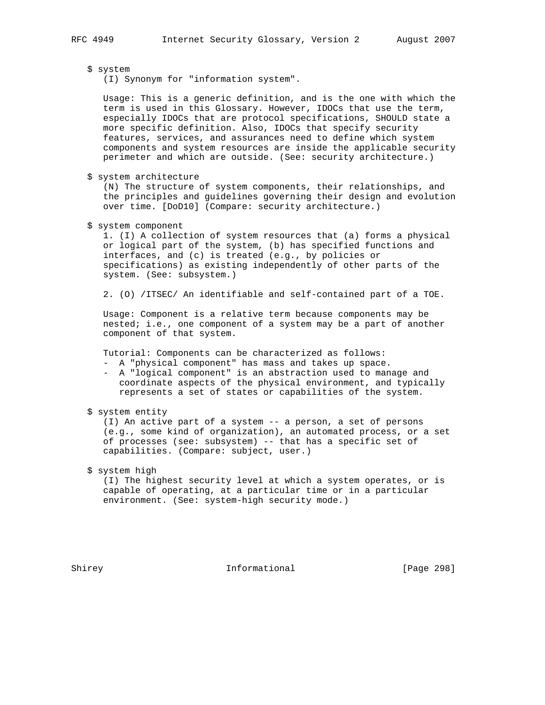# \$ system

(I) Synonym for "information system".

 Usage: This is a generic definition, and is the one with which the term is used in this Glossary. However, IDOCs that use the term, especially IDOCs that are protocol specifications, SHOULD state a more specific definition. Also, IDOCs that specify security features, services, and assurances need to define which system components and system resources are inside the applicable security perimeter and which are outside. (See: security architecture.)

\$ system architecture

 (N) The structure of system components, their relationships, and the principles and guidelines governing their design and evolution over time. [DoD10] (Compare: security architecture.)

\$ system component

 1. (I) A collection of system resources that (a) forms a physical or logical part of the system, (b) has specified functions and interfaces, and (c) is treated (e.g., by policies or specifications) as existing independently of other parts of the system. (See: subsystem.)

2. (O) /ITSEC/ An identifiable and self-contained part of a TOE.

 Usage: Component is a relative term because components may be nested; i.e., one component of a system may be a part of another component of that system.

Tutorial: Components can be characterized as follows:

- A "physical component" has mass and takes up space.
- A "logical component" is an abstraction used to manage and coordinate aspects of the physical environment, and typically represents a set of states or capabilities of the system.
- \$ system entity

 (I) An active part of a system -- a person, a set of persons (e.g., some kind of organization), an automated process, or a set of processes (see: subsystem) -- that has a specific set of capabilities. (Compare: subject, user.)

# \$ system high

 (I) The highest security level at which a system operates, or is capable of operating, at a particular time or in a particular environment. (See: system-high security mode.)

Shirey **Informational** [Page 298]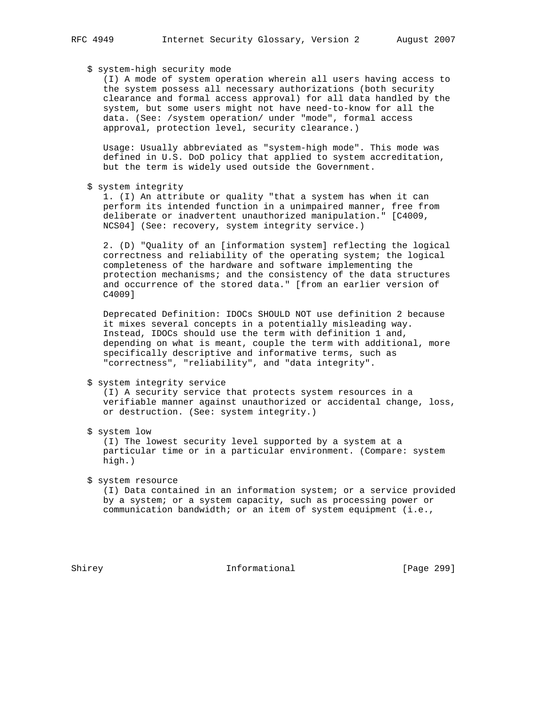# \$ system-high security mode

 (I) A mode of system operation wherein all users having access to the system possess all necessary authorizations (both security clearance and formal access approval) for all data handled by the system, but some users might not have need-to-know for all the data. (See: /system operation/ under "mode", formal access approval, protection level, security clearance.)

 Usage: Usually abbreviated as "system-high mode". This mode was defined in U.S. DoD policy that applied to system accreditation, but the term is widely used outside the Government.

\$ system integrity

 1. (I) An attribute or quality "that a system has when it can perform its intended function in a unimpaired manner, free from deliberate or inadvertent unauthorized manipulation." [C4009, NCS04] (See: recovery, system integrity service.)

 2. (D) "Quality of an [information system] reflecting the logical correctness and reliability of the operating system; the logical completeness of the hardware and software implementing the protection mechanisms; and the consistency of the data structures and occurrence of the stored data." [from an earlier version of C4009]

 Deprecated Definition: IDOCs SHOULD NOT use definition 2 because it mixes several concepts in a potentially misleading way. Instead, IDOCs should use the term with definition 1 and, depending on what is meant, couple the term with additional, more specifically descriptive and informative terms, such as "correctness", "reliability", and "data integrity".

#### \$ system integrity service

 (I) A security service that protects system resources in a verifiable manner against unauthorized or accidental change, loss, or destruction. (See: system integrity.)

\$ system low

 (I) The lowest security level supported by a system at a particular time or in a particular environment. (Compare: system high.)

\$ system resource

 (I) Data contained in an information system; or a service provided by a system; or a system capacity, such as processing power or communication bandwidth; or an item of system equipment (i.e.,

Shirey **Informational** [Page 299]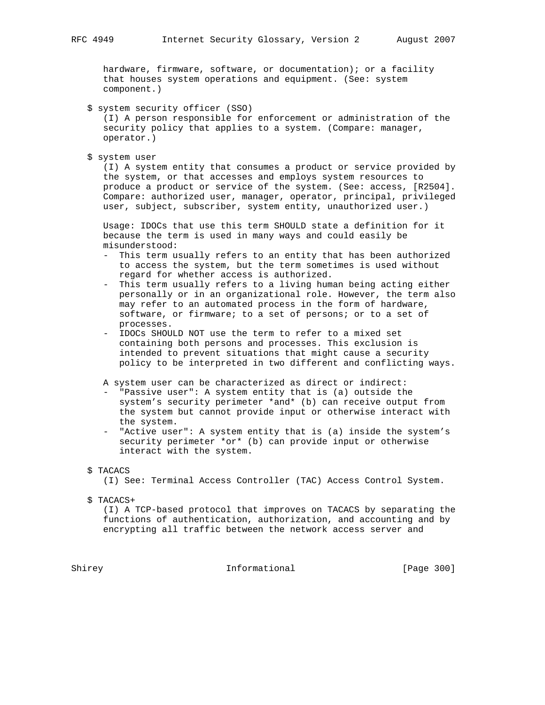hardware, firmware, software, or documentation); or a facility that houses system operations and equipment. (See: system component.)

\$ system security officer (SSO)

 (I) A person responsible for enforcement or administration of the security policy that applies to a system. (Compare: manager, operator.)

\$ system user

 (I) A system entity that consumes a product or service provided by the system, or that accesses and employs system resources to produce a product or service of the system. (See: access, [R2504]. Compare: authorized user, manager, operator, principal, privileged user, subject, subscriber, system entity, unauthorized user.)

 Usage: IDOCs that use this term SHOULD state a definition for it because the term is used in many ways and could easily be misunderstood:

- This term usually refers to an entity that has been authorized to access the system, but the term sometimes is used without regard for whether access is authorized.
- This term usually refers to a living human being acting either personally or in an organizational role. However, the term also may refer to an automated process in the form of hardware, software, or firmware; to a set of persons; or to a set of processes.
- IDOCs SHOULD NOT use the term to refer to a mixed set containing both persons and processes. This exclusion is intended to prevent situations that might cause a security policy to be interpreted in two different and conflicting ways.

A system user can be characterized as direct or indirect:

- "Passive user": A system entity that is (a) outside the system's security perimeter \*and\* (b) can receive output from the system but cannot provide input or otherwise interact with the system.
- "Active user": A system entity that is (a) inside the system's security perimeter \*or\* (b) can provide input or otherwise interact with the system.
- \$ TACACS

(I) See: Terminal Access Controller (TAC) Access Control System.

\$ TACACS+

 (I) A TCP-based protocol that improves on TACACS by separating the functions of authentication, authorization, and accounting and by encrypting all traffic between the network access server and

Shirey **Informational** [Page 300]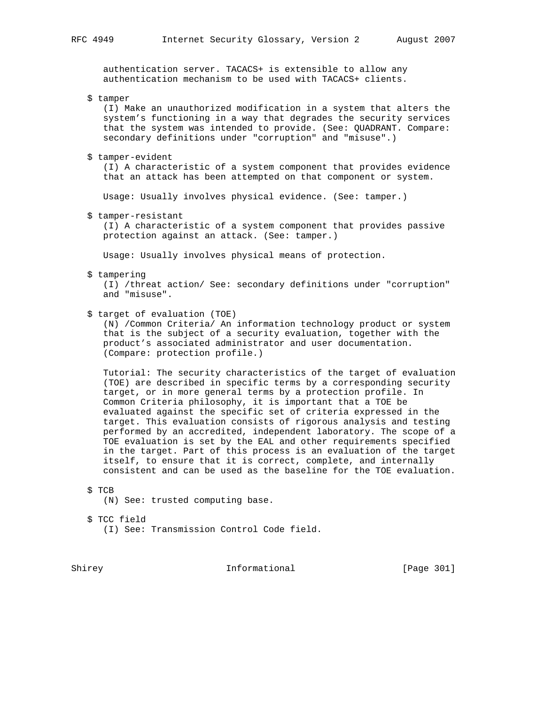authentication server. TACACS+ is extensible to allow any authentication mechanism to be used with TACACS+ clients.

\$ tamper

 (I) Make an unauthorized modification in a system that alters the system's functioning in a way that degrades the security services that the system was intended to provide. (See: QUADRANT. Compare: secondary definitions under "corruption" and "misuse".)

\$ tamper-evident

 (I) A characteristic of a system component that provides evidence that an attack has been attempted on that component or system.

Usage: Usually involves physical evidence. (See: tamper.)

\$ tamper-resistant

 (I) A characteristic of a system component that provides passive protection against an attack. (See: tamper.)

Usage: Usually involves physical means of protection.

\$ tampering

 (I) /threat action/ See: secondary definitions under "corruption" and "misuse".

\$ target of evaluation (TOE)

 (N) /Common Criteria/ An information technology product or system that is the subject of a security evaluation, together with the product's associated administrator and user documentation. (Compare: protection profile.)

 Tutorial: The security characteristics of the target of evaluation (TOE) are described in specific terms by a corresponding security target, or in more general terms by a protection profile. In Common Criteria philosophy, it is important that a TOE be evaluated against the specific set of criteria expressed in the target. This evaluation consists of rigorous analysis and testing performed by an accredited, independent laboratory. The scope of a TOE evaluation is set by the EAL and other requirements specified in the target. Part of this process is an evaluation of the target itself, to ensure that it is correct, complete, and internally consistent and can be used as the baseline for the TOE evaluation.

```
 $ TCB
```
(N) See: trusted computing base.

 \$ TCC field (I) See: Transmission Control Code field.

Shirey **Informational** [Page 301]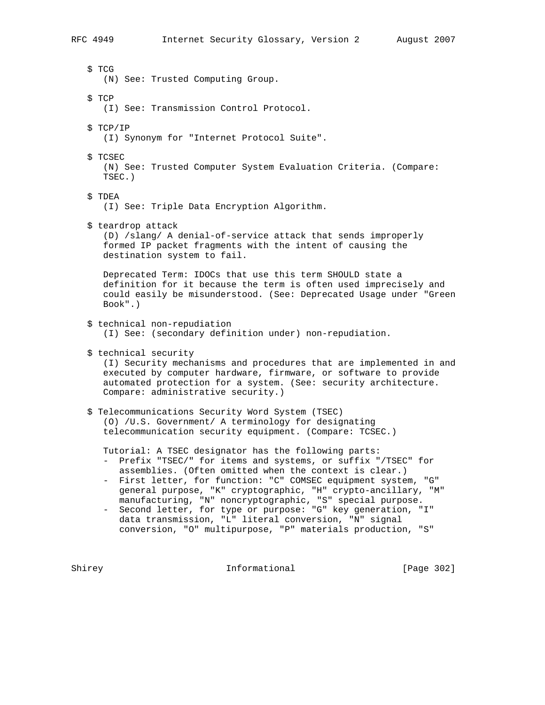\$ TCG (N) See: Trusted Computing Group. \$ TCP (I) See: Transmission Control Protocol. \$ TCP/IP (I) Synonym for "Internet Protocol Suite". \$ TCSEC (N) See: Trusted Computer System Evaluation Criteria. (Compare: TSEC.) \$ TDEA (I) See: Triple Data Encryption Algorithm. \$ teardrop attack (D) /slang/ A denial-of-service attack that sends improperly formed IP packet fragments with the intent of causing the destination system to fail. Deprecated Term: IDOCs that use this term SHOULD state a definition for it because the term is often used imprecisely and could easily be misunderstood. (See: Deprecated Usage under "Green Book".) \$ technical non-repudiation (I) See: (secondary definition under) non-repudiation. \$ technical security (I) Security mechanisms and procedures that are implemented in and executed by computer hardware, firmware, or software to provide automated protection for a system. (See: security architecture. Compare: administrative security.) \$ Telecommunications Security Word System (TSEC) (O) /U.S. Government/ A terminology for designating telecommunication security equipment. (Compare: TCSEC.) Tutorial: A TSEC designator has the following parts: - Prefix "TSEC/" for items and systems, or suffix "/TSEC" for assemblies. (Often omitted when the context is clear.) - First letter, for function: "C" COMSEC equipment system, "G" general purpose, "K" cryptographic, "H" crypto-ancillary, "M" manufacturing, "N" noncryptographic, "S" special purpose. - Second letter, for type or purpose: "G" key generation, "I"

 data transmission, "L" literal conversion, "N" signal conversion, "O" multipurpose, "P" materials production, "S"

Shirey **Informational** [Page 302]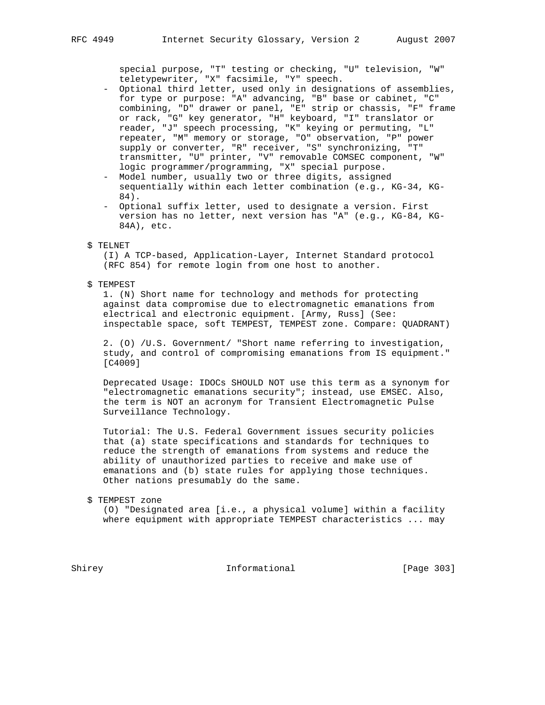special purpose, "T" testing or checking, "U" television, "W" teletypewriter, "X" facsimile, "Y" speech.

- Optional third letter, used only in designations of assemblies, for type or purpose: "A" advancing, "B" base or cabinet, "C" combining, "D" drawer or panel, "E" strip or chassis, "F" frame or rack, "G" key generator, "H" keyboard, "I" translator or reader, "J" speech processing, "K" keying or permuting, "L" repeater, "M" memory or storage, "O" observation, "P" power supply or converter, "R" receiver, "S" synchronizing, "T" transmitter, "U" printer, "V" removable COMSEC component, "W" logic programmer/programming, "X" special purpose.
	- Model number, usually two or three digits, assigned sequentially within each letter combination (e.g., KG-34, KG- 84).
	- Optional suffix letter, used to designate a version. First version has no letter, next version has "A" (e.g., KG-84, KG- 84A), etc.

#### \$ TELNET

 (I) A TCP-based, Application-Layer, Internet Standard protocol (RFC 854) for remote login from one host to another.

### \$ TEMPEST

 1. (N) Short name for technology and methods for protecting against data compromise due to electromagnetic emanations from electrical and electronic equipment. [Army, Russ] (See: inspectable space, soft TEMPEST, TEMPEST zone. Compare: QUADRANT)

 2. (O) /U.S. Government/ "Short name referring to investigation, study, and control of compromising emanations from IS equipment." [C4009]

 Deprecated Usage: IDOCs SHOULD NOT use this term as a synonym for "electromagnetic emanations security"; instead, use EMSEC. Also, the term is NOT an acronym for Transient Electromagnetic Pulse Surveillance Technology.

 Tutorial: The U.S. Federal Government issues security policies that (a) state specifications and standards for techniques to reduce the strength of emanations from systems and reduce the ability of unauthorized parties to receive and make use of emanations and (b) state rules for applying those techniques. Other nations presumably do the same.

\$ TEMPEST zone

 (O) "Designated area [i.e., a physical volume] within a facility where equipment with appropriate TEMPEST characteristics ... may

Shirey **Informational** [Page 303]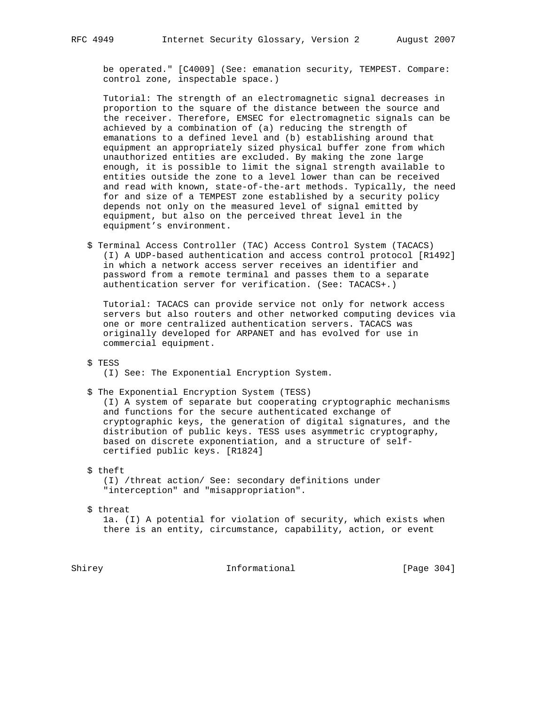be operated." [C4009] (See: emanation security, TEMPEST. Compare: control zone, inspectable space.)

 Tutorial: The strength of an electromagnetic signal decreases in proportion to the square of the distance between the source and the receiver. Therefore, EMSEC for electromagnetic signals can be achieved by a combination of (a) reducing the strength of emanations to a defined level and (b) establishing around that equipment an appropriately sized physical buffer zone from which unauthorized entities are excluded. By making the zone large enough, it is possible to limit the signal strength available to entities outside the zone to a level lower than can be received and read with known, state-of-the-art methods. Typically, the need for and size of a TEMPEST zone established by a security policy depends not only on the measured level of signal emitted by equipment, but also on the perceived threat level in the equipment's environment.

 \$ Terminal Access Controller (TAC) Access Control System (TACACS) (I) A UDP-based authentication and access control protocol [R1492] in which a network access server receives an identifier and password from a remote terminal and passes them to a separate authentication server for verification. (See: TACACS+.)

 Tutorial: TACACS can provide service not only for network access servers but also routers and other networked computing devices via one or more centralized authentication servers. TACACS was originally developed for ARPANET and has evolved for use in commercial equipment.

- \$ TESS
	- (I) See: The Exponential Encryption System.
- \$ The Exponential Encryption System (TESS)

 (I) A system of separate but cooperating cryptographic mechanisms and functions for the secure authenticated exchange of cryptographic keys, the generation of digital signatures, and the distribution of public keys. TESS uses asymmetric cryptography, based on discrete exponentiation, and a structure of self certified public keys. [R1824]

\$ theft

 (I) /threat action/ See: secondary definitions under "interception" and "misappropriation".

\$ threat

 1a. (I) A potential for violation of security, which exists when there is an entity, circumstance, capability, action, or event

Shirey **Informational** [Page 304]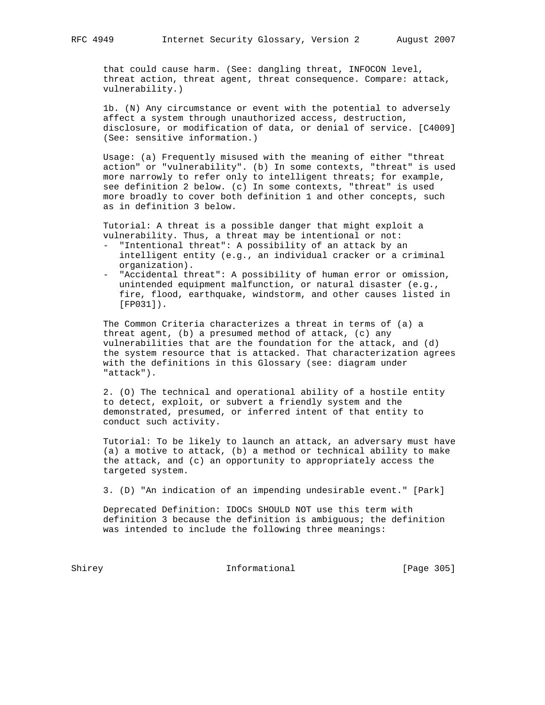that could cause harm. (See: dangling threat, INFOCON level, threat action, threat agent, threat consequence. Compare: attack, vulnerability.)

 1b. (N) Any circumstance or event with the potential to adversely affect a system through unauthorized access, destruction, disclosure, or modification of data, or denial of service. [C4009] (See: sensitive information.)

 Usage: (a) Frequently misused with the meaning of either "threat action" or "vulnerability". (b) In some contexts, "threat" is used more narrowly to refer only to intelligent threats; for example, see definition 2 below. (c) In some contexts, "threat" is used more broadly to cover both definition 1 and other concepts, such as in definition 3 below.

 Tutorial: A threat is a possible danger that might exploit a vulnerability. Thus, a threat may be intentional or not:

- "Intentional threat": A possibility of an attack by an intelligent entity (e.g., an individual cracker or a criminal organization).
- "Accidental threat": A possibility of human error or omission, unintended equipment malfunction, or natural disaster (e.g., fire, flood, earthquake, windstorm, and other causes listed in [FP031]).

 The Common Criteria characterizes a threat in terms of (a) a threat agent, (b) a presumed method of attack, (c) any vulnerabilities that are the foundation for the attack, and (d) the system resource that is attacked. That characterization agrees with the definitions in this Glossary (see: diagram under "attack").

 2. (O) The technical and operational ability of a hostile entity to detect, exploit, or subvert a friendly system and the demonstrated, presumed, or inferred intent of that entity to conduct such activity.

 Tutorial: To be likely to launch an attack, an adversary must have (a) a motive to attack, (b) a method or technical ability to make the attack, and (c) an opportunity to appropriately access the targeted system.

3. (D) "An indication of an impending undesirable event." [Park]

 Deprecated Definition: IDOCs SHOULD NOT use this term with definition 3 because the definition is ambiguous; the definition was intended to include the following three meanings:

Shirey **Informational** [Page 305]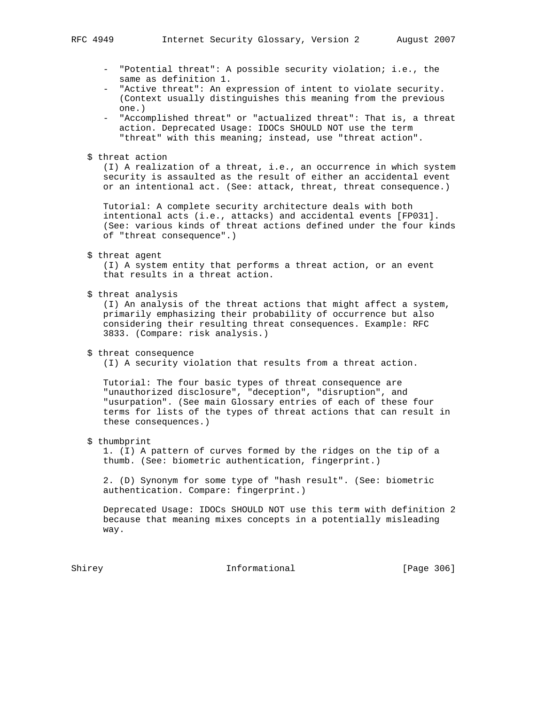- "Potential threat": A possible security violation; i.e., the same as definition 1.
- "Active threat": An expression of intent to violate security. (Context usually distinguishes this meaning from the previous one.)
- "Accomplished threat" or "actualized threat": That is, a threat action. Deprecated Usage: IDOCs SHOULD NOT use the term "threat" with this meaning; instead, use "threat action".
- \$ threat action

 (I) A realization of a threat, i.e., an occurrence in which system security is assaulted as the result of either an accidental event or an intentional act. (See: attack, threat, threat consequence.)

 Tutorial: A complete security architecture deals with both intentional acts (i.e., attacks) and accidental events [FP031]. (See: various kinds of threat actions defined under the four kinds of "threat consequence".)

\$ threat agent

 (I) A system entity that performs a threat action, or an event that results in a threat action.

\$ threat analysis

 (I) An analysis of the threat actions that might affect a system, primarily emphasizing their probability of occurrence but also considering their resulting threat consequences. Example: RFC 3833. (Compare: risk analysis.)

\$ threat consequence

(I) A security violation that results from a threat action.

 Tutorial: The four basic types of threat consequence are "unauthorized disclosure", "deception", "disruption", and "usurpation". (See main Glossary entries of each of these four terms for lists of the types of threat actions that can result in these consequences.)

\$ thumbprint

 1. (I) A pattern of curves formed by the ridges on the tip of a thumb. (See: biometric authentication, fingerprint.)

 2. (D) Synonym for some type of "hash result". (See: biometric authentication. Compare: fingerprint.)

 Deprecated Usage: IDOCs SHOULD NOT use this term with definition 2 because that meaning mixes concepts in a potentially misleading way.

Shirey **Informational** [Page 306]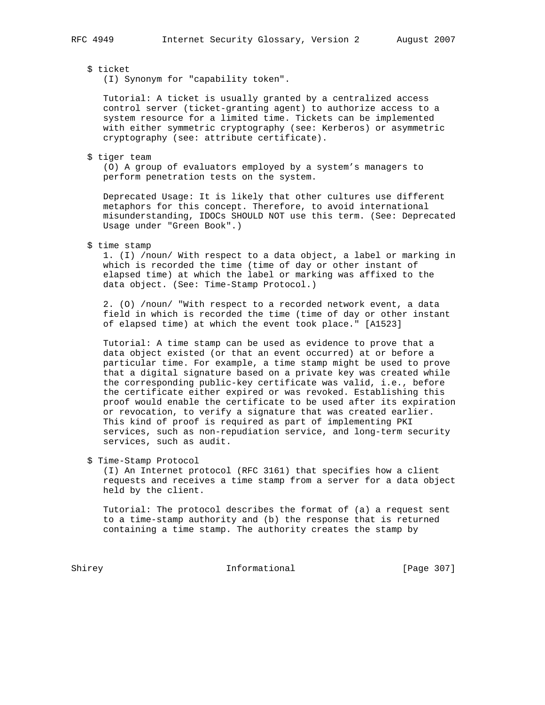# \$ ticket

(I) Synonym for "capability token".

 Tutorial: A ticket is usually granted by a centralized access control server (ticket-granting agent) to authorize access to a system resource for a limited time. Tickets can be implemented with either symmetric cryptography (see: Kerberos) or asymmetric cryptography (see: attribute certificate).

\$ tiger team

 (O) A group of evaluators employed by a system's managers to perform penetration tests on the system.

 Deprecated Usage: It is likely that other cultures use different metaphors for this concept. Therefore, to avoid international misunderstanding, IDOCs SHOULD NOT use this term. (See: Deprecated Usage under "Green Book".)

#### \$ time stamp

 1. (I) /noun/ With respect to a data object, a label or marking in which is recorded the time (time of day or other instant of elapsed time) at which the label or marking was affixed to the data object. (See: Time-Stamp Protocol.)

 2. (O) /noun/ "With respect to a recorded network event, a data field in which is recorded the time (time of day or other instant of elapsed time) at which the event took place." [A1523]

 Tutorial: A time stamp can be used as evidence to prove that a data object existed (or that an event occurred) at or before a particular time. For example, a time stamp might be used to prove that a digital signature based on a private key was created while the corresponding public-key certificate was valid, i.e., before the certificate either expired or was revoked. Establishing this proof would enable the certificate to be used after its expiration or revocation, to verify a signature that was created earlier. This kind of proof is required as part of implementing PKI services, such as non-repudiation service, and long-term security services, such as audit.

\$ Time-Stamp Protocol

 (I) An Internet protocol (RFC 3161) that specifies how a client requests and receives a time stamp from a server for a data object held by the client.

 Tutorial: The protocol describes the format of (a) a request sent to a time-stamp authority and (b) the response that is returned containing a time stamp. The authority creates the stamp by

Shirey **Informational** [Page 307]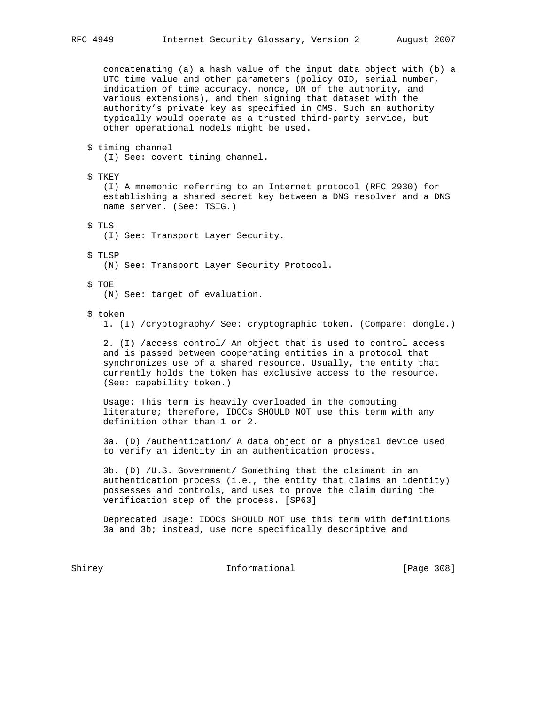concatenating (a) a hash value of the input data object with (b) a UTC time value and other parameters (policy OID, serial number, indication of time accuracy, nonce, DN of the authority, and various extensions), and then signing that dataset with the authority's private key as specified in CMS. Such an authority typically would operate as a trusted third-party service, but other operational models might be used.

 \$ timing channel (I) See: covert timing channel.

 \$ TKEY (I) A mnemonic referring to an Internet protocol (RFC 2930) for establishing a shared secret key between a DNS resolver and a DNS name server. (See: TSIG.)

\$ TLS

(I) See: Transport Layer Security.

\$ TLSP

(N) See: Transport Layer Security Protocol.

\$ TOE

(N) See: target of evaluation.

#### \$ token

1. (I) /cryptography/ See: cryptographic token. (Compare: dongle.)

 2. (I) /access control/ An object that is used to control access and is passed between cooperating entities in a protocol that synchronizes use of a shared resource. Usually, the entity that currently holds the token has exclusive access to the resource. (See: capability token.)

 Usage: This term is heavily overloaded in the computing literature; therefore, IDOCs SHOULD NOT use this term with any definition other than 1 or 2.

 3a. (D) /authentication/ A data object or a physical device used to verify an identity in an authentication process.

 3b. (D) /U.S. Government/ Something that the claimant in an authentication process (i.e., the entity that claims an identity) possesses and controls, and uses to prove the claim during the verification step of the process. [SP63]

 Deprecated usage: IDOCs SHOULD NOT use this term with definitions 3a and 3b; instead, use more specifically descriptive and

Shirey **Informational** [Page 308]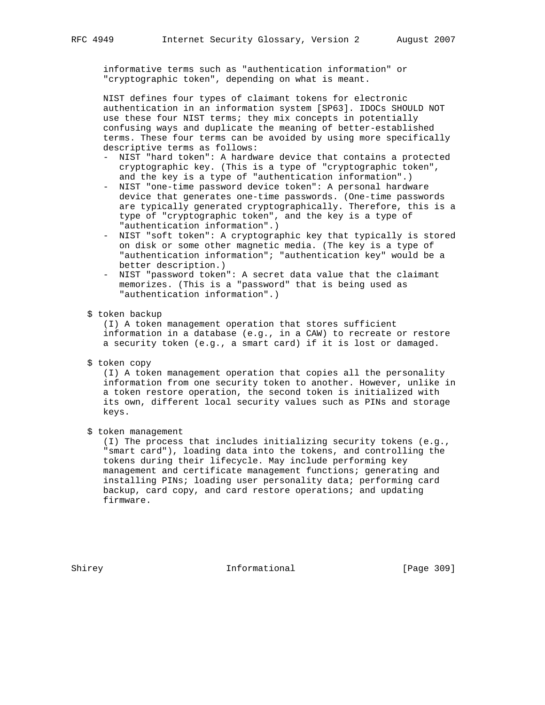informative terms such as "authentication information" or "cryptographic token", depending on what is meant.

 NIST defines four types of claimant tokens for electronic authentication in an information system [SP63]. IDOCs SHOULD NOT use these four NIST terms; they mix concepts in potentially confusing ways and duplicate the meaning of better-established terms. These four terms can be avoided by using more specifically descriptive terms as follows:

- NIST "hard token": A hardware device that contains a protected cryptographic key. (This is a type of "cryptographic token", and the key is a type of "authentication information".)
- NIST "one-time password device token": A personal hardware device that generates one-time passwords. (One-time passwords are typically generated cryptographically. Therefore, this is a type of "cryptographic token", and the key is a type of "authentication information".)
- NIST "soft token": A cryptographic key that typically is stored on disk or some other magnetic media. (The key is a type of "authentication information"; "authentication key" would be a better description.)
- NIST "password token": A secret data value that the claimant memorizes. (This is a "password" that is being used as "authentication information".)
- \$ token backup

 (I) A token management operation that stores sufficient information in a database (e.g., in a CAW) to recreate or restore a security token (e.g., a smart card) if it is lost or damaged.

\$ token copy

 (I) A token management operation that copies all the personality information from one security token to another. However, unlike in a token restore operation, the second token is initialized with its own, different local security values such as PINs and storage keys.

\$ token management

 (I) The process that includes initializing security tokens (e.g., "smart card"), loading data into the tokens, and controlling the tokens during their lifecycle. May include performing key management and certificate management functions; generating and installing PINs; loading user personality data; performing card backup, card copy, and card restore operations; and updating firmware.

Shirey **Informational** [Page 309]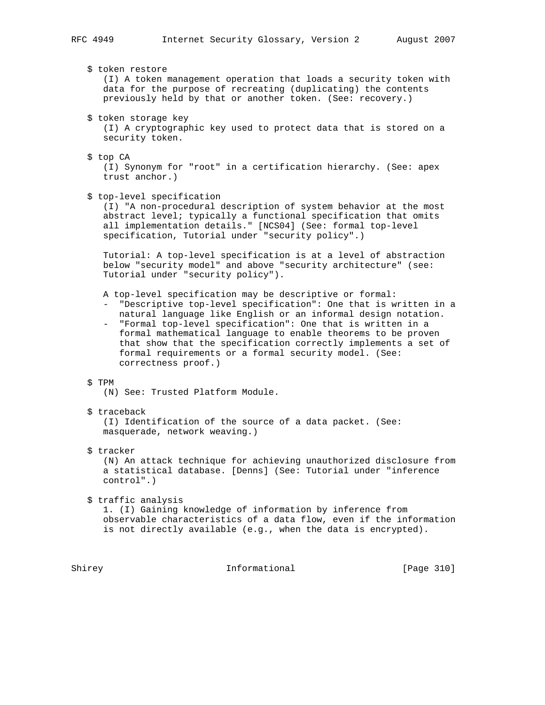# \$ token restore

 (I) A token management operation that loads a security token with data for the purpose of recreating (duplicating) the contents previously held by that or another token. (See: recovery.)

\$ token storage key

 (I) A cryptographic key used to protect data that is stored on a security token.

\$ top CA

 (I) Synonym for "root" in a certification hierarchy. (See: apex trust anchor.)

\$ top-level specification

 (I) "A non-procedural description of system behavior at the most abstract level; typically a functional specification that omits all implementation details." [NCS04] (See: formal top-level specification, Tutorial under "security policy".)

 Tutorial: A top-level specification is at a level of abstraction below "security model" and above "security architecture" (see: Tutorial under "security policy").

- A top-level specification may be descriptive or formal:
- "Descriptive top-level specification": One that is written in a natural language like English or an informal design notation.
- "Formal top-level specification": One that is written in a formal mathematical language to enable theorems to be proven that show that the specification correctly implements a set of formal requirements or a formal security model. (See: correctness proof.)

# \$ TPM

- (N) See: Trusted Platform Module.
- \$ traceback

 (I) Identification of the source of a data packet. (See: masquerade, network weaving.)

\$ tracker

 (N) An attack technique for achieving unauthorized disclosure from a statistical database. [Denns] (See: Tutorial under "inference control".)

\$ traffic analysis

 1. (I) Gaining knowledge of information by inference from observable characteristics of a data flow, even if the information is not directly available (e.g., when the data is encrypted).

Shirey **Informational** [Page 310]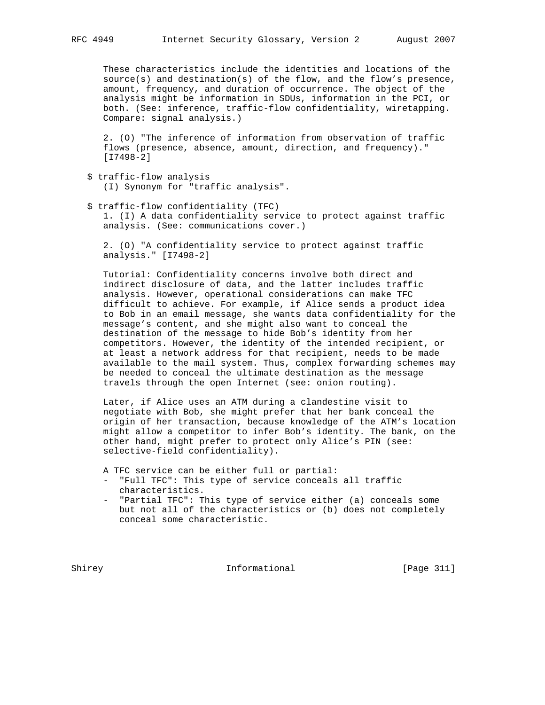These characteristics include the identities and locations of the source(s) and destination(s) of the flow, and the flow's presence, amount, frequency, and duration of occurrence. The object of the analysis might be information in SDUs, information in the PCI, or both. (See: inference, traffic-flow confidentiality, wiretapping. Compare: signal analysis.)

 2. (O) "The inference of information from observation of traffic flows (presence, absence, amount, direction, and frequency)." [I7498-2]

- \$ traffic-flow analysis (I) Synonym for "traffic analysis".
- \$ traffic-flow confidentiality (TFC) 1. (I) A data confidentiality service to protect against traffic analysis. (See: communications cover.)

 2. (O) "A confidentiality service to protect against traffic analysis." [I7498-2]

 Tutorial: Confidentiality concerns involve both direct and indirect disclosure of data, and the latter includes traffic analysis. However, operational considerations can make TFC difficult to achieve. For example, if Alice sends a product idea to Bob in an email message, she wants data confidentiality for the message's content, and she might also want to conceal the destination of the message to hide Bob's identity from her competitors. However, the identity of the intended recipient, or at least a network address for that recipient, needs to be made available to the mail system. Thus, complex forwarding schemes may be needed to conceal the ultimate destination as the message travels through the open Internet (see: onion routing).

 Later, if Alice uses an ATM during a clandestine visit to negotiate with Bob, she might prefer that her bank conceal the origin of her transaction, because knowledge of the ATM's location might allow a competitor to infer Bob's identity. The bank, on the other hand, might prefer to protect only Alice's PIN (see: selective-field confidentiality).

A TFC service can be either full or partial:

- "Full TFC": This type of service conceals all traffic characteristics.
- "Partial TFC": This type of service either (a) conceals some but not all of the characteristics or (b) does not completely conceal some characteristic.

Shirey **Informational** [Page 311]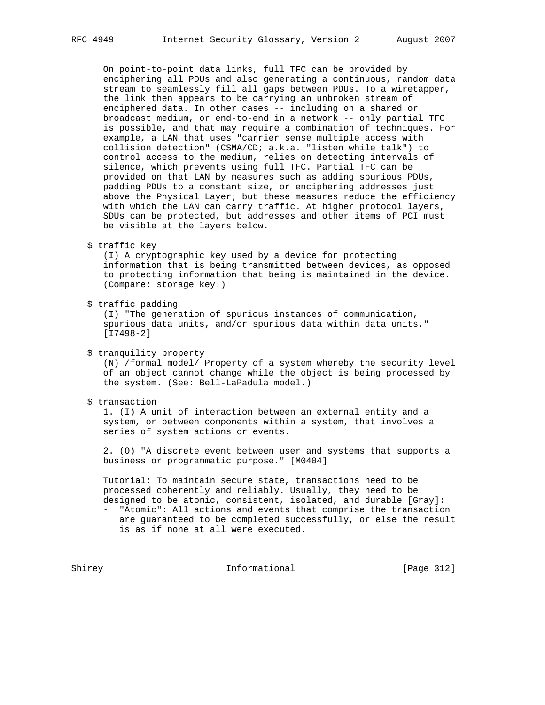On point-to-point data links, full TFC can be provided by enciphering all PDUs and also generating a continuous, random data stream to seamlessly fill all gaps between PDUs. To a wiretapper, the link then appears to be carrying an unbroken stream of enciphered data. In other cases -- including on a shared or broadcast medium, or end-to-end in a network -- only partial TFC is possible, and that may require a combination of techniques. For example, a LAN that uses "carrier sense multiple access with collision detection" (CSMA/CD; a.k.a. "listen while talk") to control access to the medium, relies on detecting intervals of silence, which prevents using full TFC. Partial TFC can be provided on that LAN by measures such as adding spurious PDUs, padding PDUs to a constant size, or enciphering addresses just above the Physical Layer; but these measures reduce the efficiency with which the LAN can carry traffic. At higher protocol layers, SDUs can be protected, but addresses and other items of PCI must be visible at the layers below.

\$ traffic key

 (I) A cryptographic key used by a device for protecting information that is being transmitted between devices, as opposed to protecting information that being is maintained in the device. (Compare: storage key.)

\$ traffic padding

 (I) "The generation of spurious instances of communication, spurious data units, and/or spurious data within data units." [I7498-2]

\$ tranquility property

 (N) /formal model/ Property of a system whereby the security level of an object cannot change while the object is being processed by the system. (See: Bell-LaPadula model.)

\$ transaction

 1. (I) A unit of interaction between an external entity and a system, or between components within a system, that involves a series of system actions or events.

 2. (O) "A discrete event between user and systems that supports a business or programmatic purpose." [M0404]

 Tutorial: To maintain secure state, transactions need to be processed coherently and reliably. Usually, they need to be designed to be atomic, consistent, isolated, and durable [Gray]:

 - "Atomic": All actions and events that comprise the transaction are guaranteed to be completed successfully, or else the result is as if none at all were executed.

Shirey **Informational** [Page 312]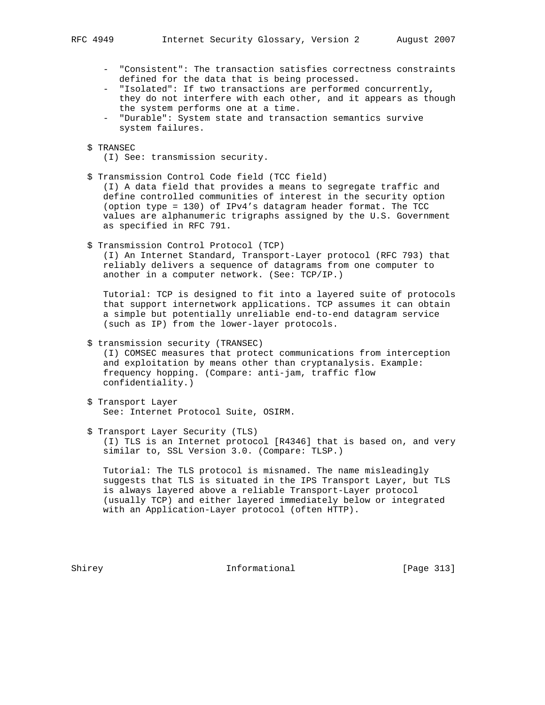- "Consistent": The transaction satisfies correctness constraints defined for the data that is being processed.
- "Isolated": If two transactions are performed concurrently, they do not interfere with each other, and it appears as though the system performs one at a time.
- "Durable": System state and transaction semantics survive system failures.
- \$ TRANSEC
	- (I) See: transmission security.
- \$ Transmission Control Code field (TCC field)

 (I) A data field that provides a means to segregate traffic and define controlled communities of interest in the security option (option type = 130) of IPv4's datagram header format. The TCC values are alphanumeric trigraphs assigned by the U.S. Government as specified in RFC 791.

\$ Transmission Control Protocol (TCP)

 (I) An Internet Standard, Transport-Layer protocol (RFC 793) that reliably delivers a sequence of datagrams from one computer to another in a computer network. (See: TCP/IP.)

 Tutorial: TCP is designed to fit into a layered suite of protocols that support internetwork applications. TCP assumes it can obtain a simple but potentially unreliable end-to-end datagram service (such as IP) from the lower-layer protocols.

\$ transmission security (TRANSEC)

 (I) COMSEC measures that protect communications from interception and exploitation by means other than cryptanalysis. Example: frequency hopping. (Compare: anti-jam, traffic flow confidentiality.)

- \$ Transport Layer See: Internet Protocol Suite, OSIRM.
- \$ Transport Layer Security (TLS) (I) TLS is an Internet protocol [R4346] that is based on, and very similar to, SSL Version 3.0. (Compare: TLSP.)

 Tutorial: The TLS protocol is misnamed. The name misleadingly suggests that TLS is situated in the IPS Transport Layer, but TLS is always layered above a reliable Transport-Layer protocol (usually TCP) and either layered immediately below or integrated with an Application-Layer protocol (often HTTP).

Shirey **Informational** [Page 313]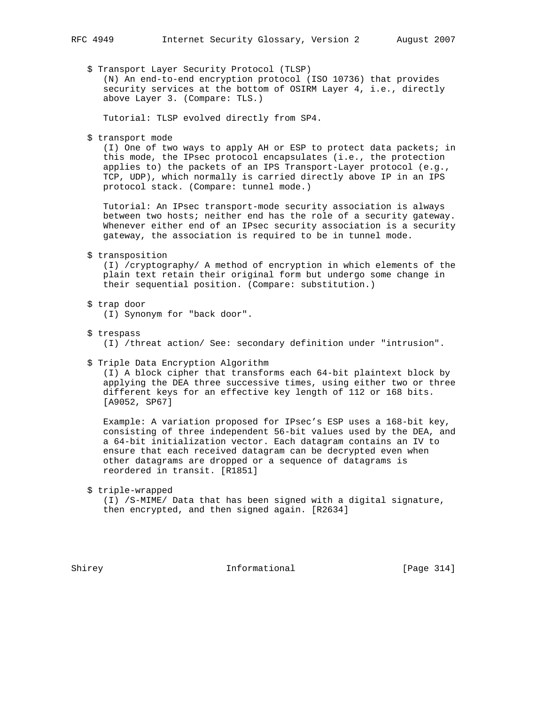\$ Transport Layer Security Protocol (TLSP) (N) An end-to-end encryption protocol (ISO 10736) that provides security services at the bottom of OSIRM Layer 4, i.e., directly above Layer 3. (Compare: TLS.)

Tutorial: TLSP evolved directly from SP4.

\$ transport mode

 (I) One of two ways to apply AH or ESP to protect data packets; in this mode, the IPsec protocol encapsulates (i.e., the protection applies to) the packets of an IPS Transport-Layer protocol (e.g., TCP, UDP), which normally is carried directly above IP in an IPS protocol stack. (Compare: tunnel mode.)

 Tutorial: An IPsec transport-mode security association is always between two hosts; neither end has the role of a security gateway. Whenever either end of an IPsec security association is a security gateway, the association is required to be in tunnel mode.

\$ transposition

 (I) /cryptography/ A method of encryption in which elements of the plain text retain their original form but undergo some change in their sequential position. (Compare: substitution.)

\$ trap door

(I) Synonym for "back door".

\$ trespass

(I) /threat action/ See: secondary definition under "intrusion".

\$ Triple Data Encryption Algorithm

 (I) A block cipher that transforms each 64-bit plaintext block by applying the DEA three successive times, using either two or three different keys for an effective key length of 112 or 168 bits. [A9052, SP67]

 Example: A variation proposed for IPsec's ESP uses a 168-bit key, consisting of three independent 56-bit values used by the DEA, and a 64-bit initialization vector. Each datagram contains an IV to ensure that each received datagram can be decrypted even when other datagrams are dropped or a sequence of datagrams is reordered in transit. [R1851]

\$ triple-wrapped

 (I) /S-MIME/ Data that has been signed with a digital signature, then encrypted, and then signed again. [R2634]

Shirey **Informational** [Page 314]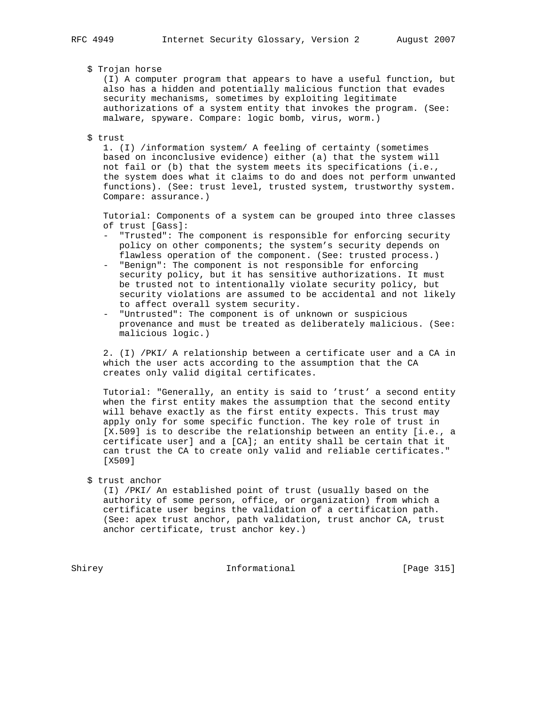# \$ Trojan horse

 (I) A computer program that appears to have a useful function, but also has a hidden and potentially malicious function that evades security mechanisms, sometimes by exploiting legitimate authorizations of a system entity that invokes the program. (See: malware, spyware. Compare: logic bomb, virus, worm.)

#### \$ trust

 1. (I) /information system/ A feeling of certainty (sometimes based on inconclusive evidence) either (a) that the system will not fail or (b) that the system meets its specifications (i.e., the system does what it claims to do and does not perform unwanted functions). (See: trust level, trusted system, trustworthy system. Compare: assurance.)

 Tutorial: Components of a system can be grouped into three classes of trust [Gass]:

- "Trusted": The component is responsible for enforcing security policy on other components; the system's security depends on flawless operation of the component. (See: trusted process.)
- "Benign": The component is not responsible for enforcing security policy, but it has sensitive authorizations. It must be trusted not to intentionally violate security policy, but security violations are assumed to be accidental and not likely to affect overall system security.
- "Untrusted": The component is of unknown or suspicious provenance and must be treated as deliberately malicious. (See: malicious logic.)

 2. (I) /PKI/ A relationship between a certificate user and a CA in which the user acts according to the assumption that the CA creates only valid digital certificates.

 Tutorial: "Generally, an entity is said to 'trust' a second entity when the first entity makes the assumption that the second entity will behave exactly as the first entity expects. This trust may apply only for some specific function. The key role of trust in [X.509] is to describe the relationship between an entity [i.e., a certificate user] and a [CA]; an entity shall be certain that it can trust the CA to create only valid and reliable certificates." [X509]

\$ trust anchor

 (I) /PKI/ An established point of trust (usually based on the authority of some person, office, or organization) from which a certificate user begins the validation of a certification path. (See: apex trust anchor, path validation, trust anchor CA, trust anchor certificate, trust anchor key.)

Shirey **Informational** [Page 315]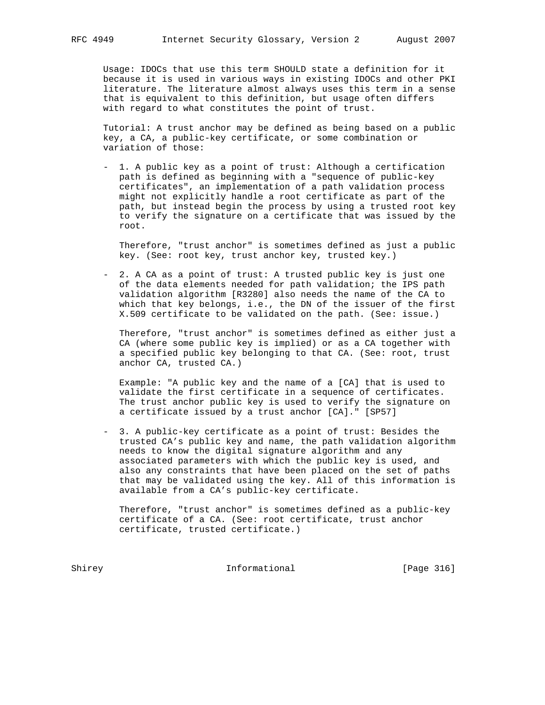Usage: IDOCs that use this term SHOULD state a definition for it because it is used in various ways in existing IDOCs and other PKI literature. The literature almost always uses this term in a sense that is equivalent to this definition, but usage often differs with regard to what constitutes the point of trust.

 Tutorial: A trust anchor may be defined as being based on a public key, a CA, a public-key certificate, or some combination or variation of those:

 - 1. A public key as a point of trust: Although a certification path is defined as beginning with a "sequence of public-key certificates", an implementation of a path validation process might not explicitly handle a root certificate as part of the path, but instead begin the process by using a trusted root key to verify the signature on a certificate that was issued by the root.

 Therefore, "trust anchor" is sometimes defined as just a public key. (See: root key, trust anchor key, trusted key.)

 - 2. A CA as a point of trust: A trusted public key is just one of the data elements needed for path validation; the IPS path validation algorithm [R3280] also needs the name of the CA to which that key belongs, i.e., the DN of the issuer of the first X.509 certificate to be validated on the path. (See: issue.)

 Therefore, "trust anchor" is sometimes defined as either just a CA (where some public key is implied) or as a CA together with a specified public key belonging to that CA. (See: root, trust anchor CA, trusted CA.)

 Example: "A public key and the name of a [CA] that is used to validate the first certificate in a sequence of certificates. The trust anchor public key is used to verify the signature on a certificate issued by a trust anchor [CA]." [SP57]

 - 3. A public-key certificate as a point of trust: Besides the trusted CA's public key and name, the path validation algorithm needs to know the digital signature algorithm and any associated parameters with which the public key is used, and also any constraints that have been placed on the set of paths that may be validated using the key. All of this information is available from a CA's public-key certificate.

 Therefore, "trust anchor" is sometimes defined as a public-key certificate of a CA. (See: root certificate, trust anchor certificate, trusted certificate.)

Shirey **Informational** [Page 316]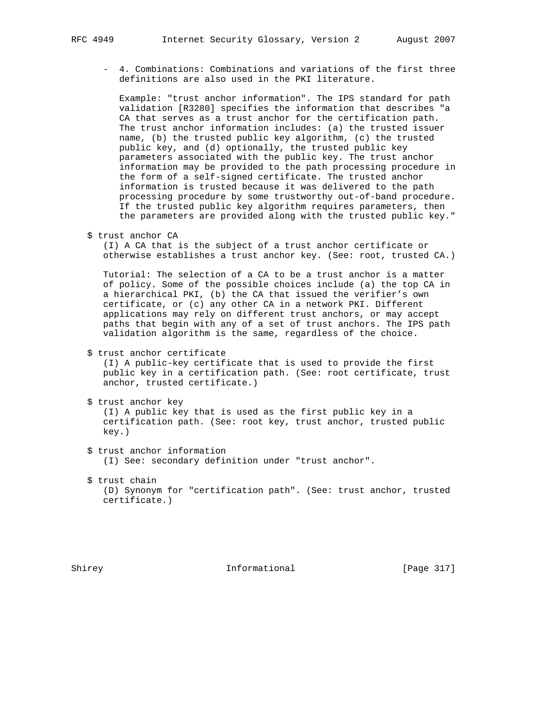- 4. Combinations: Combinations and variations of the first three definitions are also used in the PKI literature.

 Example: "trust anchor information". The IPS standard for path validation [R3280] specifies the information that describes "a CA that serves as a trust anchor for the certification path. The trust anchor information includes: (a) the trusted issuer name, (b) the trusted public key algorithm, (c) the trusted public key, and (d) optionally, the trusted public key parameters associated with the public key. The trust anchor information may be provided to the path processing procedure in the form of a self-signed certificate. The trusted anchor information is trusted because it was delivered to the path processing procedure by some trustworthy out-of-band procedure. If the trusted public key algorithm requires parameters, then the parameters are provided along with the trusted public key."

\$ trust anchor CA

 (I) A CA that is the subject of a trust anchor certificate or otherwise establishes a trust anchor key. (See: root, trusted CA.)

 Tutorial: The selection of a CA to be a trust anchor is a matter of policy. Some of the possible choices include (a) the top CA in a hierarchical PKI, (b) the CA that issued the verifier's own certificate, or (c) any other CA in a network PKI. Different applications may rely on different trust anchors, or may accept paths that begin with any of a set of trust anchors. The IPS path validation algorithm is the same, regardless of the choice.

\$ trust anchor certificate

 (I) A public-key certificate that is used to provide the first public key in a certification path. (See: root certificate, trust anchor, trusted certificate.)

```
 $ trust anchor key
```
 (I) A public key that is used as the first public key in a certification path. (See: root key, trust anchor, trusted public key.)

- \$ trust anchor information (I) See: secondary definition under "trust anchor".
- \$ trust chain (D) Synonym for "certification path". (See: trust anchor, trusted certificate.)

Shirey **Informational** [Page 317]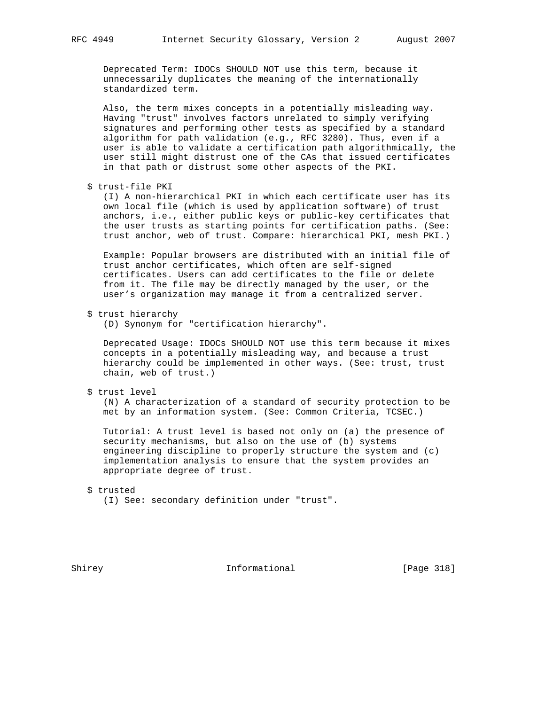Deprecated Term: IDOCs SHOULD NOT use this term, because it unnecessarily duplicates the meaning of the internationally standardized term.

 Also, the term mixes concepts in a potentially misleading way. Having "trust" involves factors unrelated to simply verifying signatures and performing other tests as specified by a standard algorithm for path validation (e.g., RFC 3280). Thus, even if a user is able to validate a certification path algorithmically, the user still might distrust one of the CAs that issued certificates in that path or distrust some other aspects of the PKI.

\$ trust-file PKI

 (I) A non-hierarchical PKI in which each certificate user has its own local file (which is used by application software) of trust anchors, i.e., either public keys or public-key certificates that the user trusts as starting points for certification paths. (See: trust anchor, web of trust. Compare: hierarchical PKI, mesh PKI.)

 Example: Popular browsers are distributed with an initial file of trust anchor certificates, which often are self-signed certificates. Users can add certificates to the file or delete from it. The file may be directly managed by the user, or the user's organization may manage it from a centralized server.

\$ trust hierarchy

(D) Synonym for "certification hierarchy".

 Deprecated Usage: IDOCs SHOULD NOT use this term because it mixes concepts in a potentially misleading way, and because a trust hierarchy could be implemented in other ways. (See: trust, trust chain, web of trust.)

\$ trust level

 (N) A characterization of a standard of security protection to be met by an information system. (See: Common Criteria, TCSEC.)

 Tutorial: A trust level is based not only on (a) the presence of security mechanisms, but also on the use of (b) systems engineering discipline to properly structure the system and (c) implementation analysis to ensure that the system provides an appropriate degree of trust.

# \$ trusted

(I) See: secondary definition under "trust".

Shirey **Informational** [Page 318]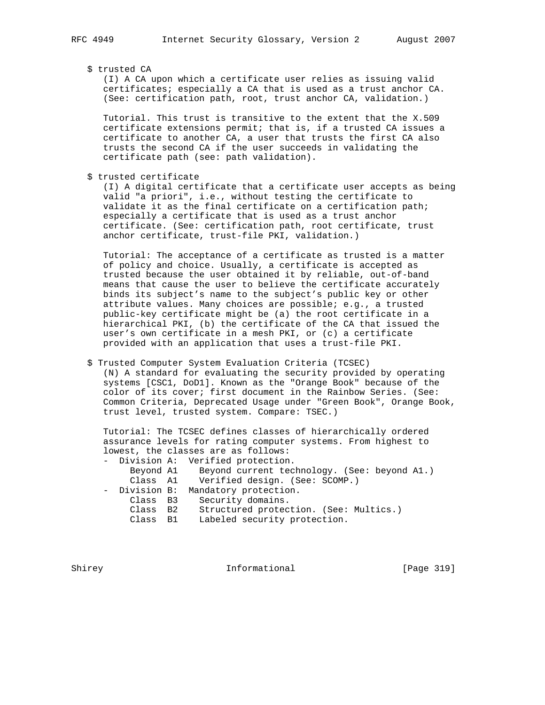\$ trusted CA

 (I) A CA upon which a certificate user relies as issuing valid certificates; especially a CA that is used as a trust anchor CA. (See: certification path, root, trust anchor CA, validation.)

 Tutorial. This trust is transitive to the extent that the X.509 certificate extensions permit; that is, if a trusted CA issues a certificate to another CA, a user that trusts the first CA also trusts the second CA if the user succeeds in validating the certificate path (see: path validation).

\$ trusted certificate

 (I) A digital certificate that a certificate user accepts as being valid "a priori", i.e., without testing the certificate to validate it as the final certificate on a certification path; especially a certificate that is used as a trust anchor certificate. (See: certification path, root certificate, trust anchor certificate, trust-file PKI, validation.)

 Tutorial: The acceptance of a certificate as trusted is a matter of policy and choice. Usually, a certificate is accepted as trusted because the user obtained it by reliable, out-of-band means that cause the user to believe the certificate accurately binds its subject's name to the subject's public key or other attribute values. Many choices are possible; e.g., a trusted public-key certificate might be (a) the root certificate in a hierarchical PKI, (b) the certificate of the CA that issued the user's own certificate in a mesh PKI, or (c) a certificate provided with an application that uses a trust-file PKI.

\$ Trusted Computer System Evaluation Criteria (TCSEC)

 (N) A standard for evaluating the security provided by operating systems [CSC1, DoD1]. Known as the "Orange Book" because of the color of its cover; first document in the Rainbow Series. (See: Common Criteria, Deprecated Usage under "Green Book", Orange Book, trust level, trusted system. Compare: TSEC.)

 Tutorial: The TCSEC defines classes of hierarchically ordered assurance levels for rating computer systems. From highest to lowest, the classes are as follows:

|          | - Division A: Verified protection.                     |
|----------|--------------------------------------------------------|
|          | Beyond A1 Beyond current technology. (See: beyond A1.) |
|          | Class A1 Verified design. (See: SCOMP.)                |
|          | - Division B: Mandatory protection.                    |
|          | Class B3 Security domains.                             |
| Class B2 | Structured protection. (See: Multics.)                 |
| Class B1 | Labeled security protection.                           |

Shirey **Informational** [Page 319]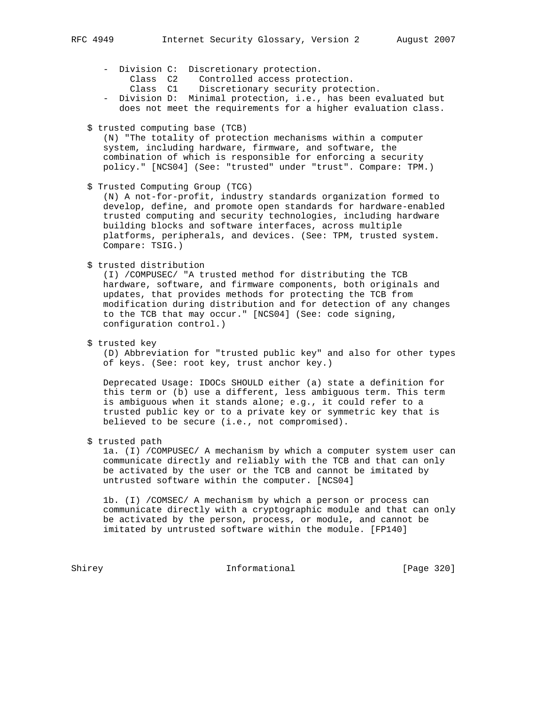- Division C: Discretionary protection.
- Class C2 Controlled access protection.
- Class C1 Discretionary security protection.
- Division D: Minimal protection, i.e., has been evaluated but does not meet the requirements for a higher evaluation class.
	- \$ trusted computing base (TCB)

 (N) "The totality of protection mechanisms within a computer system, including hardware, firmware, and software, the combination of which is responsible for enforcing a security policy." [NCS04] (See: "trusted" under "trust". Compare: TPM.)

\$ Trusted Computing Group (TCG)

 (N) A not-for-profit, industry standards organization formed to develop, define, and promote open standards for hardware-enabled trusted computing and security technologies, including hardware building blocks and software interfaces, across multiple platforms, peripherals, and devices. (See: TPM, trusted system. Compare: TSIG.)

\$ trusted distribution

 (I) /COMPUSEC/ "A trusted method for distributing the TCB hardware, software, and firmware components, both originals and updates, that provides methods for protecting the TCB from modification during distribution and for detection of any changes to the TCB that may occur." [NCS04] (See: code signing, configuration control.)

\$ trusted key

 (D) Abbreviation for "trusted public key" and also for other types of keys. (See: root key, trust anchor key.)

 Deprecated Usage: IDOCs SHOULD either (a) state a definition for this term or (b) use a different, less ambiguous term. This term is ambiguous when it stands alone; e.g., it could refer to a trusted public key or to a private key or symmetric key that is believed to be secure (i.e., not compromised).

\$ trusted path

 1a. (I) /COMPUSEC/ A mechanism by which a computer system user can communicate directly and reliably with the TCB and that can only be activated by the user or the TCB and cannot be imitated by untrusted software within the computer. [NCS04]

 1b. (I) /COMSEC/ A mechanism by which a person or process can communicate directly with a cryptographic module and that can only be activated by the person, process, or module, and cannot be imitated by untrusted software within the module. [FP140]

Shirey **Informational** [Page 320]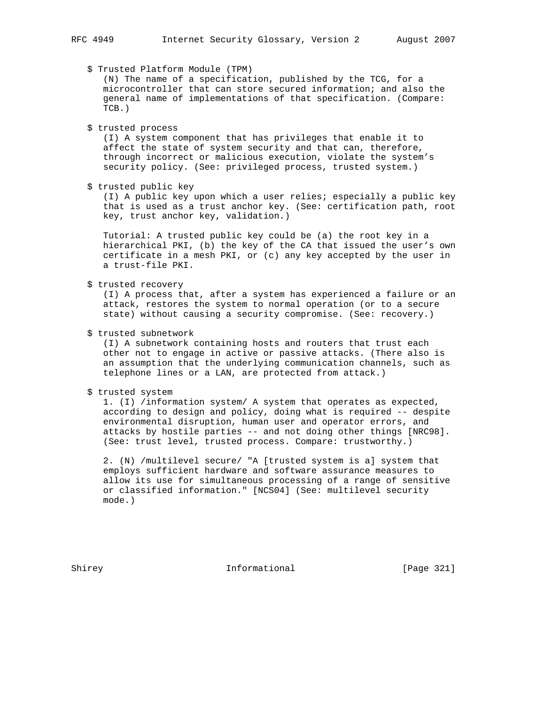\$ Trusted Platform Module (TPM)

 (N) The name of a specification, published by the TCG, for a microcontroller that can store secured information; and also the general name of implementations of that specification. (Compare: TCB.)

\$ trusted process

 (I) A system component that has privileges that enable it to affect the state of system security and that can, therefore, through incorrect or malicious execution, violate the system's security policy. (See: privileged process, trusted system.)

\$ trusted public key

 (I) A public key upon which a user relies; especially a public key that is used as a trust anchor key. (See: certification path, root key, trust anchor key, validation.)

 Tutorial: A trusted public key could be (a) the root key in a hierarchical PKI, (b) the key of the CA that issued the user's own certificate in a mesh PKI, or (c) any key accepted by the user in a trust-file PKI.

\$ trusted recovery

 (I) A process that, after a system has experienced a failure or an attack, restores the system to normal operation (or to a secure state) without causing a security compromise. (See: recovery.)

\$ trusted subnetwork

 (I) A subnetwork containing hosts and routers that trust each other not to engage in active or passive attacks. (There also is an assumption that the underlying communication channels, such as telephone lines or a LAN, are protected from attack.)

\$ trusted system

 1. (I) /information system/ A system that operates as expected, according to design and policy, doing what is required -- despite environmental disruption, human user and operator errors, and attacks by hostile parties -- and not doing other things [NRC98]. (See: trust level, trusted process. Compare: trustworthy.)

 2. (N) /multilevel secure/ "A [trusted system is a] system that employs sufficient hardware and software assurance measures to allow its use for simultaneous processing of a range of sensitive or classified information." [NCS04] (See: multilevel security mode.)

Shirey **Informational** [Page 321]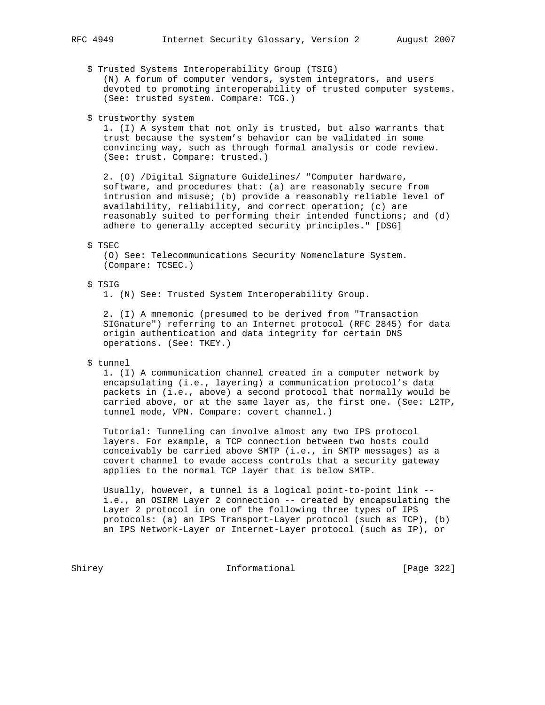\$ Trusted Systems Interoperability Group (TSIG)

 (N) A forum of computer vendors, system integrators, and users devoted to promoting interoperability of trusted computer systems. (See: trusted system. Compare: TCG.)

\$ trustworthy system

 1. (I) A system that not only is trusted, but also warrants that trust because the system's behavior can be validated in some convincing way, such as through formal analysis or code review. (See: trust. Compare: trusted.)

 2. (O) /Digital Signature Guidelines/ "Computer hardware, software, and procedures that: (a) are reasonably secure from intrusion and misuse; (b) provide a reasonably reliable level of availability, reliability, and correct operation; (c) are reasonably suited to performing their intended functions; and (d) adhere to generally accepted security principles." [DSG]

# \$ TSEC

 (O) See: Telecommunications Security Nomenclature System. (Compare: TCSEC.)

#### \$ TSIG

1. (N) See: Trusted System Interoperability Group.

 2. (I) A mnemonic (presumed to be derived from "Transaction SIGnature") referring to an Internet protocol (RFC 2845) for data origin authentication and data integrity for certain DNS operations. (See: TKEY.)

# \$ tunnel

 1. (I) A communication channel created in a computer network by encapsulating (i.e., layering) a communication protocol's data packets in (i.e., above) a second protocol that normally would be carried above, or at the same layer as, the first one. (See: L2TP, tunnel mode, VPN. Compare: covert channel.)

 Tutorial: Tunneling can involve almost any two IPS protocol layers. For example, a TCP connection between two hosts could conceivably be carried above SMTP (i.e., in SMTP messages) as a covert channel to evade access controls that a security gateway applies to the normal TCP layer that is below SMTP.

 Usually, however, a tunnel is a logical point-to-point link - i.e., an OSIRM Layer 2 connection -- created by encapsulating the Layer 2 protocol in one of the following three types of IPS protocols: (a) an IPS Transport-Layer protocol (such as TCP), (b) an IPS Network-Layer or Internet-Layer protocol (such as IP), or

Shirey **Informational** [Page 322]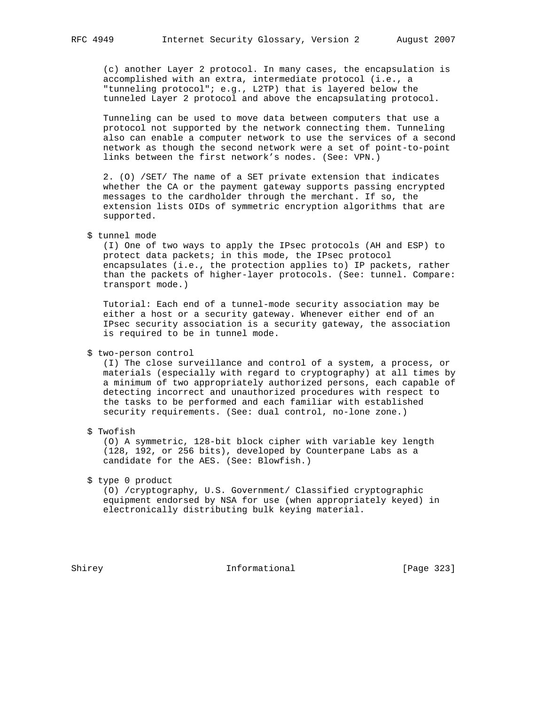(c) another Layer 2 protocol. In many cases, the encapsulation is accomplished with an extra, intermediate protocol (i.e., a "tunneling protocol"; e.g., L2TP) that is layered below the tunneled Layer 2 protocol and above the encapsulating protocol.

 Tunneling can be used to move data between computers that use a protocol not supported by the network connecting them. Tunneling also can enable a computer network to use the services of a second network as though the second network were a set of point-to-point links between the first network's nodes. (See: VPN.)

 2. (O) /SET/ The name of a SET private extension that indicates whether the CA or the payment gateway supports passing encrypted messages to the cardholder through the merchant. If so, the extension lists OIDs of symmetric encryption algorithms that are supported.

 (I) One of two ways to apply the IPsec protocols (AH and ESP) to protect data packets; in this mode, the IPsec protocol encapsulates (i.e., the protection applies to) IP packets, rather than the packets of higher-layer protocols. (See: tunnel. Compare: transport mode.)

 Tutorial: Each end of a tunnel-mode security association may be either a host or a security gateway. Whenever either end of an IPsec security association is a security gateway, the association is required to be in tunnel mode.

\$ two-person control

 (I) The close surveillance and control of a system, a process, or materials (especially with regard to cryptography) at all times by a minimum of two appropriately authorized persons, each capable of detecting incorrect and unauthorized procedures with respect to the tasks to be performed and each familiar with established security requirements. (See: dual control, no-lone zone.)

# \$ Twofish

 (O) A symmetric, 128-bit block cipher with variable key length (128, 192, or 256 bits), developed by Counterpane Labs as a candidate for the AES. (See: Blowfish.)

\$ type 0 product

 (O) /cryptography, U.S. Government/ Classified cryptographic equipment endorsed by NSA for use (when appropriately keyed) in electronically distributing bulk keying material.

Shirey **Informational** [Page 323]

 <sup>\$</sup> tunnel mode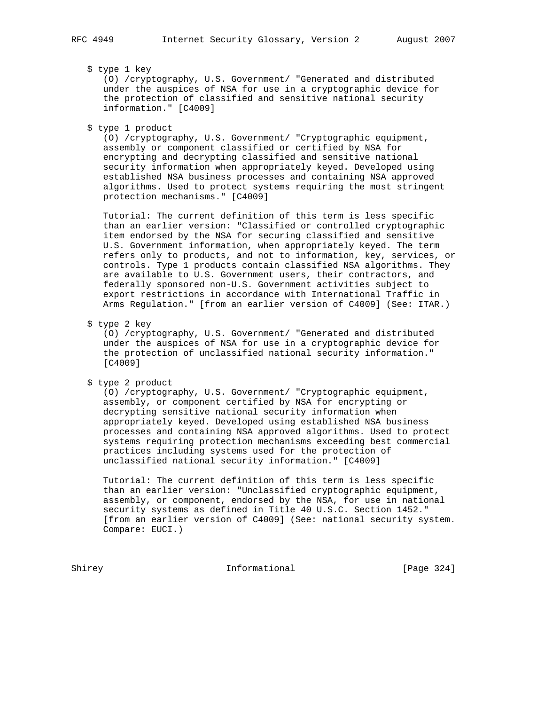# \$ type 1 key

 (O) /cryptography, U.S. Government/ "Generated and distributed under the auspices of NSA for use in a cryptographic device for the protection of classified and sensitive national security information." [C4009]

\$ type 1 product

 (O) /cryptography, U.S. Government/ "Cryptographic equipment, assembly or component classified or certified by NSA for encrypting and decrypting classified and sensitive national security information when appropriately keyed. Developed using established NSA business processes and containing NSA approved algorithms. Used to protect systems requiring the most stringent protection mechanisms." [C4009]

 Tutorial: The current definition of this term is less specific than an earlier version: "Classified or controlled cryptographic item endorsed by the NSA for securing classified and sensitive U.S. Government information, when appropriately keyed. The term refers only to products, and not to information, key, services, or controls. Type 1 products contain classified NSA algorithms. They are available to U.S. Government users, their contractors, and federally sponsored non-U.S. Government activities subject to export restrictions in accordance with International Traffic in Arms Regulation." [from an earlier version of C4009] (See: ITAR.)

\$ type 2 key

 (O) /cryptography, U.S. Government/ "Generated and distributed under the auspices of NSA for use in a cryptographic device for the protection of unclassified national security information." [C4009]

\$ type 2 product

 (O) /cryptography, U.S. Government/ "Cryptographic equipment, assembly, or component certified by NSA for encrypting or decrypting sensitive national security information when appropriately keyed. Developed using established NSA business processes and containing NSA approved algorithms. Used to protect systems requiring protection mechanisms exceeding best commercial practices including systems used for the protection of unclassified national security information." [C4009]

 Tutorial: The current definition of this term is less specific than an earlier version: "Unclassified cryptographic equipment, assembly, or component, endorsed by the NSA, for use in national security systems as defined in Title 40 U.S.C. Section 1452." [from an earlier version of C4009] (See: national security system. Compare: EUCI.)

Shirey **Informational** [Page 324]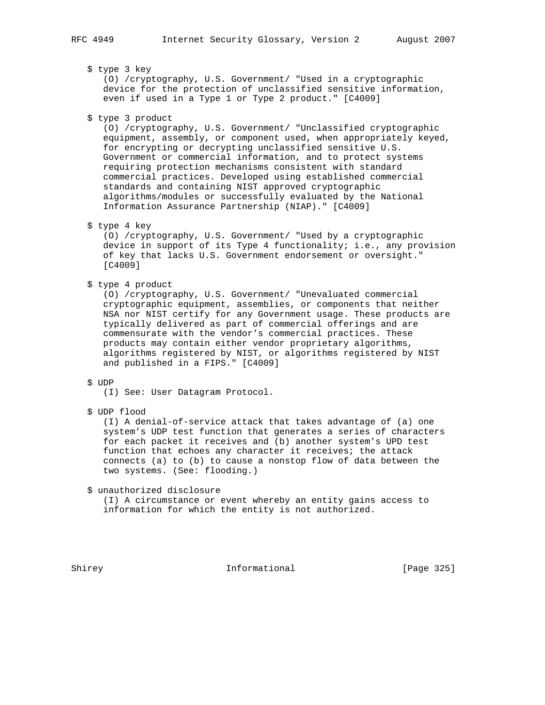# \$ type 3 key

 (O) /cryptography, U.S. Government/ "Used in a cryptographic device for the protection of unclassified sensitive information, even if used in a Type 1 or Type 2 product." [C4009]

\$ type 3 product

 (O) /cryptography, U.S. Government/ "Unclassified cryptographic equipment, assembly, or component used, when appropriately keyed, for encrypting or decrypting unclassified sensitive U.S. Government or commercial information, and to protect systems requiring protection mechanisms consistent with standard commercial practices. Developed using established commercial standards and containing NIST approved cryptographic algorithms/modules or successfully evaluated by the National Information Assurance Partnership (NIAP)." [C4009]

### \$ type 4 key

 (O) /cryptography, U.S. Government/ "Used by a cryptographic device in support of its Type 4 functionality; i.e., any provision of key that lacks U.S. Government endorsement or oversight." [C4009]

\$ type 4 product

 (O) /cryptography, U.S. Government/ "Unevaluated commercial cryptographic equipment, assemblies, or components that neither NSA nor NIST certify for any Government usage. These products are typically delivered as part of commercial offerings and are commensurate with the vendor's commercial practices. These products may contain either vendor proprietary algorithms, algorithms registered by NIST, or algorithms registered by NIST and published in a FIPS." [C4009]

#### \$ UDP

- (I) See: User Datagram Protocol.
- \$ UDP flood

 (I) A denial-of-service attack that takes advantage of (a) one system's UDP test function that generates a series of characters for each packet it receives and (b) another system's UPD test function that echoes any character it receives; the attack connects (a) to (b) to cause a nonstop flow of data between the two systems. (See: flooding.)

\$ unauthorized disclosure

 (I) A circumstance or event whereby an entity gains access to information for which the entity is not authorized.

Shirey **Informational** [Page 325]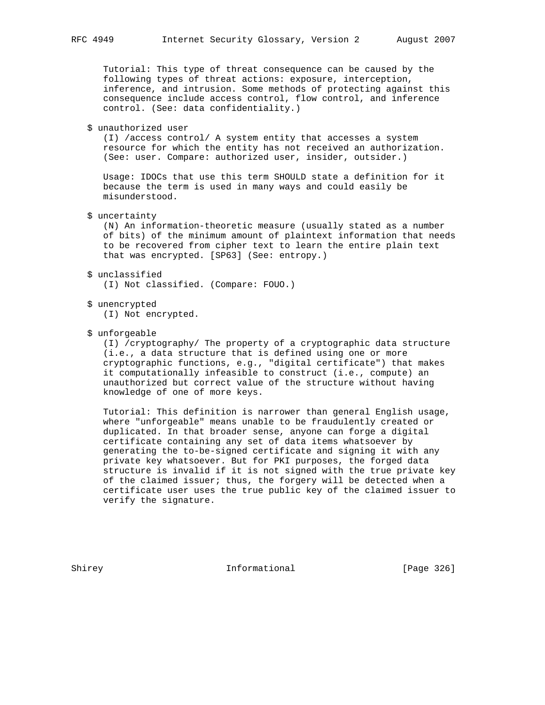Tutorial: This type of threat consequence can be caused by the following types of threat actions: exposure, interception, inference, and intrusion. Some methods of protecting against this consequence include access control, flow control, and inference control. (See: data confidentiality.)

\$ unauthorized user

 (I) /access control/ A system entity that accesses a system resource for which the entity has not received an authorization. (See: user. Compare: authorized user, insider, outsider.)

 Usage: IDOCs that use this term SHOULD state a definition for it because the term is used in many ways and could easily be misunderstood.

\$ uncertainty

 (N) An information-theoretic measure (usually stated as a number of bits) of the minimum amount of plaintext information that needs to be recovered from cipher text to learn the entire plain text that was encrypted. [SP63] (See: entropy.)

\$ unclassified

(I) Not classified. (Compare: FOUO.)

\$ unencrypted

(I) Not encrypted.

\$ unforgeable

 (I) /cryptography/ The property of a cryptographic data structure (i.e., a data structure that is defined using one or more cryptographic functions, e.g., "digital certificate") that makes it computationally infeasible to construct (i.e., compute) an unauthorized but correct value of the structure without having knowledge of one of more keys.

 Tutorial: This definition is narrower than general English usage, where "unforgeable" means unable to be fraudulently created or duplicated. In that broader sense, anyone can forge a digital certificate containing any set of data items whatsoever by generating the to-be-signed certificate and signing it with any private key whatsoever. But for PKI purposes, the forged data structure is invalid if it is not signed with the true private key of the claimed issuer; thus, the forgery will be detected when a certificate user uses the true public key of the claimed issuer to verify the signature.

Shirey **Informational** [Page 326]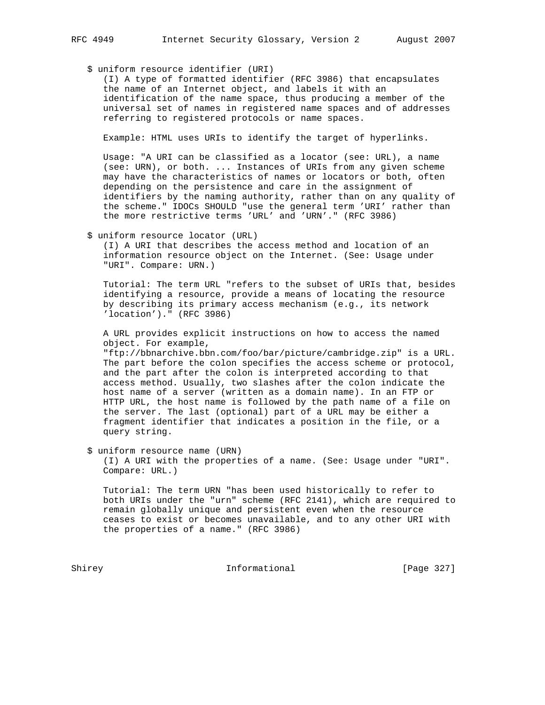\$ uniform resource identifier (URI)

 (I) A type of formatted identifier (RFC 3986) that encapsulates the name of an Internet object, and labels it with an identification of the name space, thus producing a member of the universal set of names in registered name spaces and of addresses referring to registered protocols or name spaces.

Example: HTML uses URIs to identify the target of hyperlinks.

 Usage: "A URI can be classified as a locator (see: URL), a name (see: URN), or both. ... Instances of URIs from any given scheme may have the characteristics of names or locators or both, often depending on the persistence and care in the assignment of identifiers by the naming authority, rather than on any quality of the scheme." IDOCs SHOULD "use the general term 'URI' rather than the more restrictive terms 'URL' and 'URN'." (RFC 3986)

\$ uniform resource locator (URL)

 (I) A URI that describes the access method and location of an information resource object on the Internet. (See: Usage under "URI". Compare: URN.)

 Tutorial: The term URL "refers to the subset of URIs that, besides identifying a resource, provide a means of locating the resource by describing its primary access mechanism (e.g., its network 'location')." (RFC 3986)

 A URL provides explicit instructions on how to access the named object. For example,

 "ftp://bbnarchive.bbn.com/foo/bar/picture/cambridge.zip" is a URL. The part before the colon specifies the access scheme or protocol, and the part after the colon is interpreted according to that access method. Usually, two slashes after the colon indicate the host name of a server (written as a domain name). In an FTP or HTTP URL, the host name is followed by the path name of a file on the server. The last (optional) part of a URL may be either a fragment identifier that indicates a position in the file, or a query string.

\$ uniform resource name (URN)

 (I) A URI with the properties of a name. (See: Usage under "URI". Compare: URL.)

 Tutorial: The term URN "has been used historically to refer to both URIs under the "urn" scheme (RFC 2141), which are required to remain globally unique and persistent even when the resource ceases to exist or becomes unavailable, and to any other URI with the properties of a name." (RFC 3986)

Shirey **Informational** [Page 327]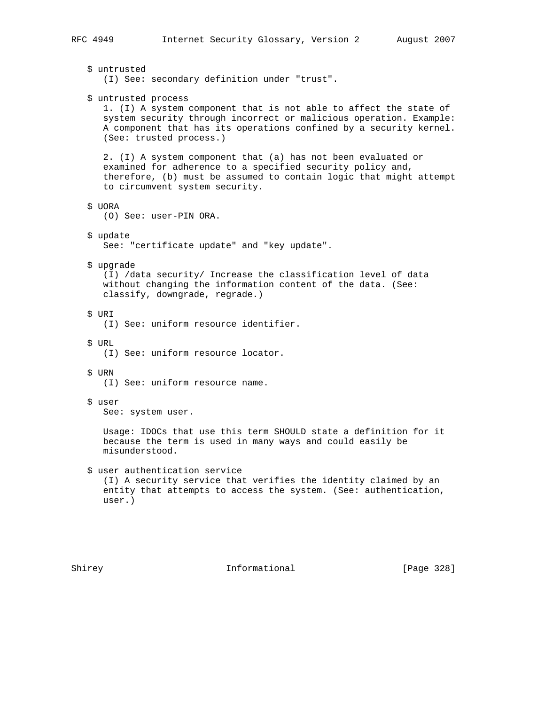\$ untrusted (I) See: secondary definition under "trust". \$ untrusted process 1. (I) A system component that is not able to affect the state of system security through incorrect or malicious operation. Example: A component that has its operations confined by a security kernel. (See: trusted process.) 2. (I) A system component that (a) has not been evaluated or examined for adherence to a specified security policy and, therefore, (b) must be assumed to contain logic that might attempt to circumvent system security. \$ UORA (O) See: user-PIN ORA. \$ update See: "certificate update" and "key update". \$ upgrade (I) /data security/ Increase the classification level of data without changing the information content of the data. (See: classify, downgrade, regrade.) \$ URI (I) See: uniform resource identifier. \$ URL (I) See: uniform resource locator. \$ URN (I) See: uniform resource name. \$ user See: system user. Usage: IDOCs that use this term SHOULD state a definition for it because the term is used in many ways and could easily be misunderstood. \$ user authentication service (I) A security service that verifies the identity claimed by an entity that attempts to access the system. (See: authentication, user.)

Shirey **Informational** [Page 328]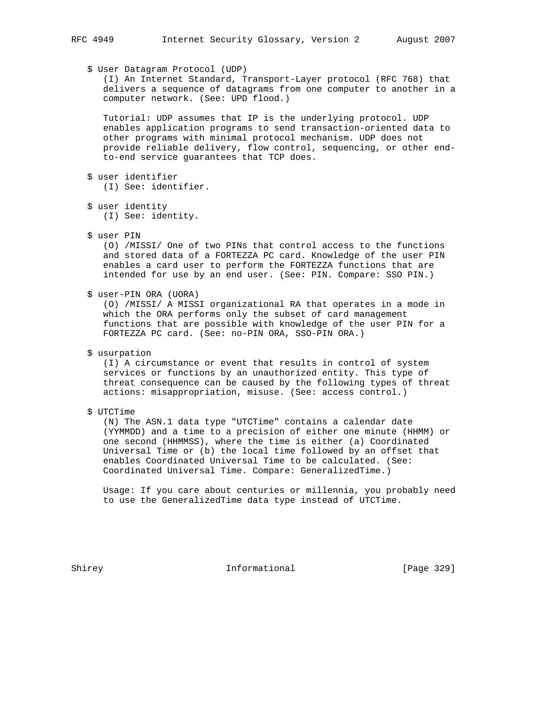## \$ User Datagram Protocol (UDP)

 (I) An Internet Standard, Transport-Layer protocol (RFC 768) that delivers a sequence of datagrams from one computer to another in a computer network. (See: UPD flood.)

 Tutorial: UDP assumes that IP is the underlying protocol. UDP enables application programs to send transaction-oriented data to other programs with minimal protocol mechanism. UDP does not provide reliable delivery, flow control, sequencing, or other end to-end service guarantees that TCP does.

- \$ user identifier (I) See: identifier.
- \$ user identity (I) See: identity.
- \$ user PIN

 (O) /MISSI/ One of two PINs that control access to the functions and stored data of a FORTEZZA PC card. Knowledge of the user PIN enables a card user to perform the FORTEZZA functions that are intended for use by an end user. (See: PIN. Compare: SSO PIN.)

\$ user-PIN ORA (UORA)

 (O) /MISSI/ A MISSI organizational RA that operates in a mode in which the ORA performs only the subset of card management functions that are possible with knowledge of the user PIN for a FORTEZZA PC card. (See: no-PIN ORA, SSO-PIN ORA.)

\$ usurpation

 (I) A circumstance or event that results in control of system services or functions by an unauthorized entity. This type of threat consequence can be caused by the following types of threat actions: misappropriation, misuse. (See: access control.)

\$ UTCTime

 (N) The ASN.1 data type "UTCTime" contains a calendar date (YYMMDD) and a time to a precision of either one minute (HHMM) or one second (HHMMSS), where the time is either (a) Coordinated Universal Time or (b) the local time followed by an offset that enables Coordinated Universal Time to be calculated. (See: Coordinated Universal Time. Compare: GeneralizedTime.)

 Usage: If you care about centuries or millennia, you probably need to use the GeneralizedTime data type instead of UTCTime.

Shirey **Informational** [Page 329]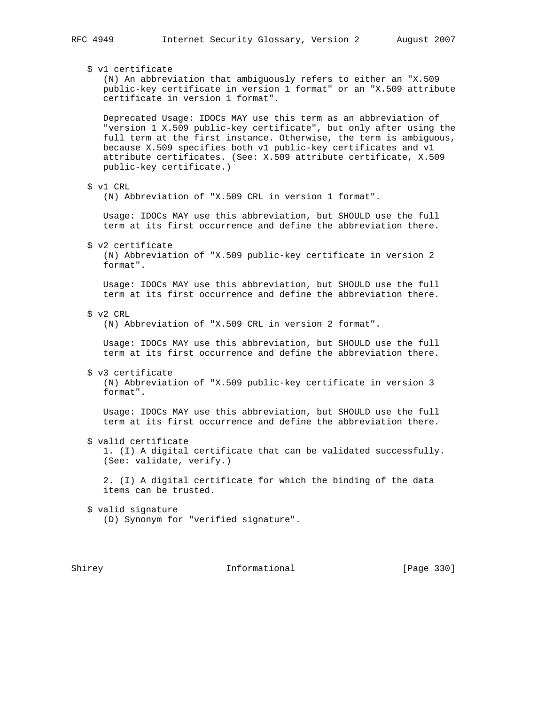\$ v1 certificate (N) An abbreviation that ambiguously refers to either an "X.509 public-key certificate in version 1 format" or an "X.509 attribute certificate in version 1 format". Deprecated Usage: IDOCs MAY use this term as an abbreviation of "version 1 X.509 public-key certificate", but only after using the full term at the first instance. Otherwise, the term is ambiguous, because X.509 specifies both v1 public-key certificates and v1 attribute certificates. (See: X.509 attribute certificate, X.509 public-key certificate.) \$ v1 CRL (N) Abbreviation of "X.509 CRL in version 1 format". Usage: IDOCs MAY use this abbreviation, but SHOULD use the full term at its first occurrence and define the abbreviation there. \$ v2 certificate (N) Abbreviation of "X.509 public-key certificate in version 2 format". Usage: IDOCs MAY use this abbreviation, but SHOULD use the full term at its first occurrence and define the abbreviation there. \$ v2 CRL (N) Abbreviation of "X.509 CRL in version 2 format". Usage: IDOCs MAY use this abbreviation, but SHOULD use the full term at its first occurrence and define the abbreviation there. \$ v3 certificate (N) Abbreviation of "X.509 public-key certificate in version 3 format". Usage: IDOCs MAY use this abbreviation, but SHOULD use the full term at its first occurrence and define the abbreviation there. \$ valid certificate 1. (I) A digital certificate that can be validated successfully. (See: validate, verify.) 2. (I) A digital certificate for which the binding of the data items can be trusted. \$ valid signature (D) Synonym for "verified signature".

Shirey **Informational** [Page 330]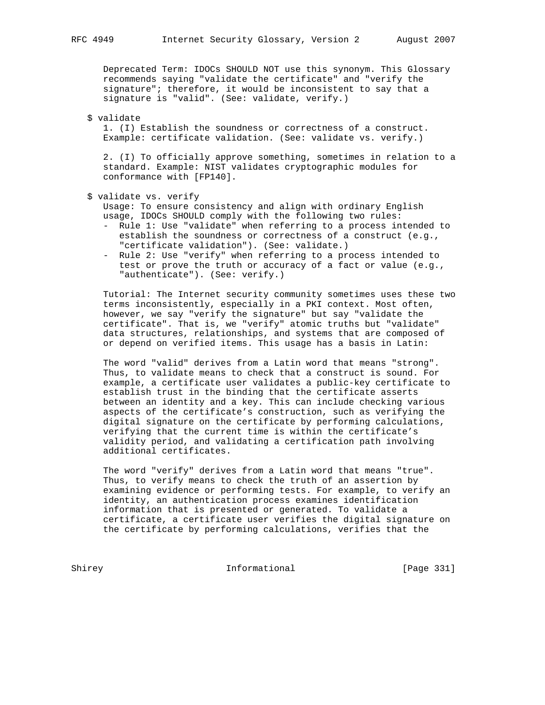Deprecated Term: IDOCs SHOULD NOT use this synonym. This Glossary recommends saying "validate the certificate" and "verify the signature"; therefore, it would be inconsistent to say that a signature is "valid". (See: validate, verify.)

\$ validate

 1. (I) Establish the soundness or correctness of a construct. Example: certificate validation. (See: validate vs. verify.)

 2. (I) To officially approve something, sometimes in relation to a standard. Example: NIST validates cryptographic modules for conformance with [FP140].

```
 $ validate vs. verify
```
 Usage: To ensure consistency and align with ordinary English usage, IDOCs SHOULD comply with the following two rules:

- Rule 1: Use "validate" when referring to a process intended to establish the soundness or correctness of a construct (e.g., "certificate validation"). (See: validate.)
- Rule 2: Use "verify" when referring to a process intended to test or prove the truth or accuracy of a fact or value (e.g., "authenticate"). (See: verify.)

 Tutorial: The Internet security community sometimes uses these two terms inconsistently, especially in a PKI context. Most often, however, we say "verify the signature" but say "validate the certificate". That is, we "verify" atomic truths but "validate" data structures, relationships, and systems that are composed of or depend on verified items. This usage has a basis in Latin:

 The word "valid" derives from a Latin word that means "strong". Thus, to validate means to check that a construct is sound. For example, a certificate user validates a public-key certificate to establish trust in the binding that the certificate asserts between an identity and a key. This can include checking various aspects of the certificate's construction, such as verifying the digital signature on the certificate by performing calculations, verifying that the current time is within the certificate's validity period, and validating a certification path involving additional certificates.

 The word "verify" derives from a Latin word that means "true". Thus, to verify means to check the truth of an assertion by examining evidence or performing tests. For example, to verify an identity, an authentication process examines identification information that is presented or generated. To validate a certificate, a certificate user verifies the digital signature on the certificate by performing calculations, verifies that the

Shirey **Informational** [Page 331]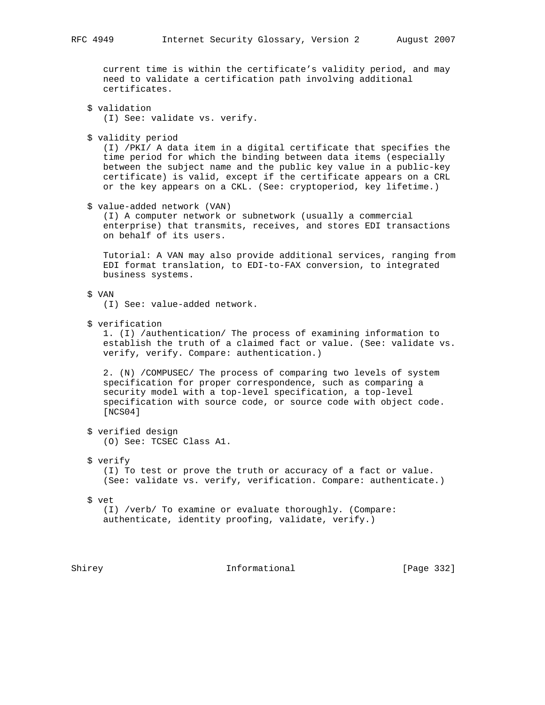current time is within the certificate's validity period, and may need to validate a certification path involving additional certificates.

 \$ validation (I) See: validate vs. verify.

\$ validity period

 (I) /PKI/ A data item in a digital certificate that specifies the time period for which the binding between data items (especially between the subject name and the public key value in a public-key certificate) is valid, except if the certificate appears on a CRL or the key appears on a CKL. (See: cryptoperiod, key lifetime.)

\$ value-added network (VAN)

 (I) A computer network or subnetwork (usually a commercial enterprise) that transmits, receives, and stores EDI transactions on behalf of its users.

 Tutorial: A VAN may also provide additional services, ranging from EDI format translation, to EDI-to-FAX conversion, to integrated business systems.

\$ VAN

(I) See: value-added network.

\$ verification

 1. (I) /authentication/ The process of examining information to establish the truth of a claimed fact or value. (See: validate vs. verify, verify. Compare: authentication.)

 2. (N) /COMPUSEC/ The process of comparing two levels of system specification for proper correspondence, such as comparing a security model with a top-level specification, a top-level specification with source code, or source code with object code. [NCS04]

 \$ verified design (O) See: TCSEC Class A1.

\$ verify

 (I) To test or prove the truth or accuracy of a fact or value. (See: validate vs. verify, verification. Compare: authenticate.)

\$ vet

 (I) /verb/ To examine or evaluate thoroughly. (Compare: authenticate, identity proofing, validate, verify.)

Shirey **Informational** [Page 332]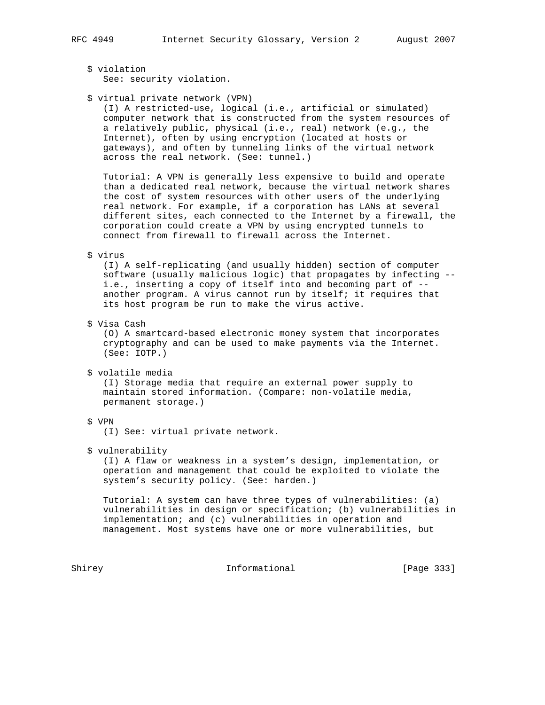\$ violation See: security violation.

### \$ virtual private network (VPN)

 (I) A restricted-use, logical (i.e., artificial or simulated) computer network that is constructed from the system resources of a relatively public, physical (i.e., real) network (e.g., the Internet), often by using encryption (located at hosts or gateways), and often by tunneling links of the virtual network across the real network. (See: tunnel.)

 Tutorial: A VPN is generally less expensive to build and operate than a dedicated real network, because the virtual network shares the cost of system resources with other users of the underlying real network. For example, if a corporation has LANs at several different sites, each connected to the Internet by a firewall, the corporation could create a VPN by using encrypted tunnels to connect from firewall to firewall across the Internet.

#### \$ virus

 (I) A self-replicating (and usually hidden) section of computer software (usually malicious logic) that propagates by infecting - i.e., inserting a copy of itself into and becoming part of - another program. A virus cannot run by itself; it requires that its host program be run to make the virus active.

\$ Visa Cash

 (O) A smartcard-based electronic money system that incorporates cryptography and can be used to make payments via the Internet. (See: IOTP.)

\$ volatile media

 (I) Storage media that require an external power supply to maintain stored information. (Compare: non-volatile media, permanent storage.)

# \$ VPN

(I) See: virtual private network.

### \$ vulnerability

 (I) A flaw or weakness in a system's design, implementation, or operation and management that could be exploited to violate the system's security policy. (See: harden.)

 Tutorial: A system can have three types of vulnerabilities: (a) vulnerabilities in design or specification; (b) vulnerabilities in implementation; and (c) vulnerabilities in operation and management. Most systems have one or more vulnerabilities, but

Shirey **Informational** [Page 333]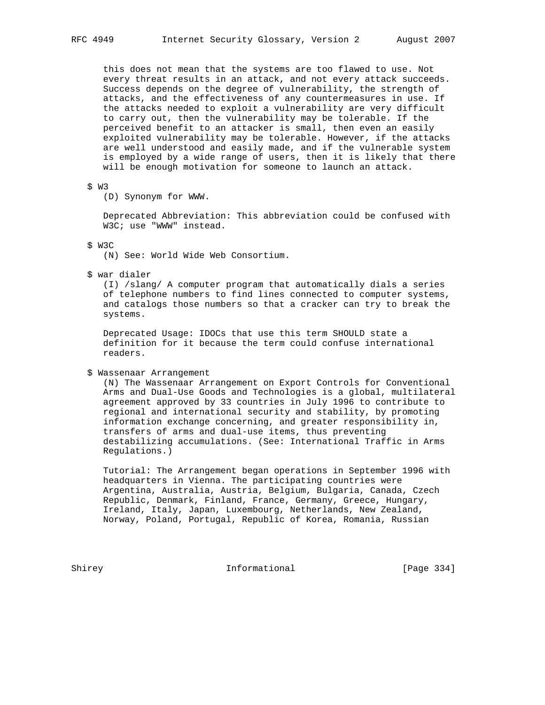this does not mean that the systems are too flawed to use. Not every threat results in an attack, and not every attack succeeds. Success depends on the degree of vulnerability, the strength of attacks, and the effectiveness of any countermeasures in use. If the attacks needed to exploit a vulnerability are very difficult to carry out, then the vulnerability may be tolerable. If the perceived benefit to an attacker is small, then even an easily exploited vulnerability may be tolerable. However, if the attacks are well understood and easily made, and if the vulnerable system is employed by a wide range of users, then it is likely that there will be enough motivation for someone to launch an attack.

### \$ W3

(D) Synonym for WWW.

 Deprecated Abbreviation: This abbreviation could be confused with W3C; use "WWW" instead.

\$ W3C

(N) See: World Wide Web Consortium.

\$ war dialer

 (I) /slang/ A computer program that automatically dials a series of telephone numbers to find lines connected to computer systems, and catalogs those numbers so that a cracker can try to break the systems.

 Deprecated Usage: IDOCs that use this term SHOULD state a definition for it because the term could confuse international readers.

### \$ Wassenaar Arrangement

 (N) The Wassenaar Arrangement on Export Controls for Conventional Arms and Dual-Use Goods and Technologies is a global, multilateral agreement approved by 33 countries in July 1996 to contribute to regional and international security and stability, by promoting information exchange concerning, and greater responsibility in, transfers of arms and dual-use items, thus preventing destabilizing accumulations. (See: International Traffic in Arms Regulations.)

 Tutorial: The Arrangement began operations in September 1996 with headquarters in Vienna. The participating countries were Argentina, Australia, Austria, Belgium, Bulgaria, Canada, Czech Republic, Denmark, Finland, France, Germany, Greece, Hungary, Ireland, Italy, Japan, Luxembourg, Netherlands, New Zealand, Norway, Poland, Portugal, Republic of Korea, Romania, Russian

Shirey **Informational** [Page 334]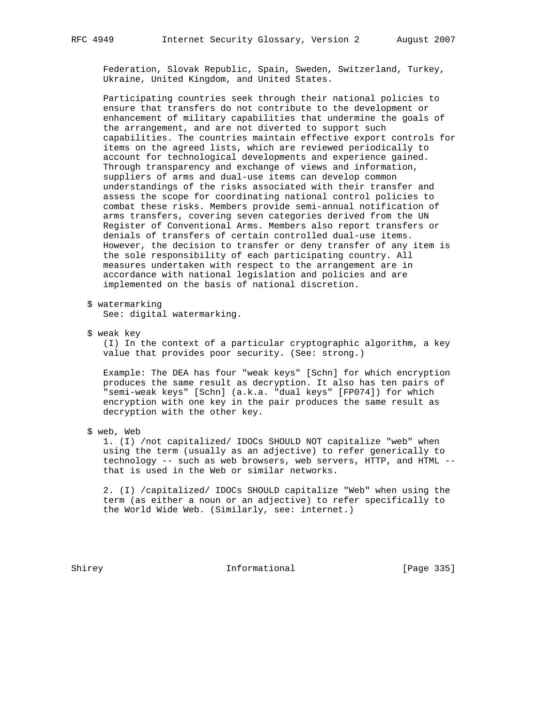Federation, Slovak Republic, Spain, Sweden, Switzerland, Turkey, Ukraine, United Kingdom, and United States.

 Participating countries seek through their national policies to ensure that transfers do not contribute to the development or enhancement of military capabilities that undermine the goals of the arrangement, and are not diverted to support such capabilities. The countries maintain effective export controls for items on the agreed lists, which are reviewed periodically to account for technological developments and experience gained. Through transparency and exchange of views and information, suppliers of arms and dual-use items can develop common understandings of the risks associated with their transfer and assess the scope for coordinating national control policies to combat these risks. Members provide semi-annual notification of arms transfers, covering seven categories derived from the UN Register of Conventional Arms. Members also report transfers or denials of transfers of certain controlled dual-use items. However, the decision to transfer or deny transfer of any item is the sole responsibility of each participating country. All measures undertaken with respect to the arrangement are in accordance with national legislation and policies and are implemented on the basis of national discretion.

\$ watermarking

See: digital watermarking.

\$ weak key

 (I) In the context of a particular cryptographic algorithm, a key value that provides poor security. (See: strong.)

 Example: The DEA has four "weak keys" [Schn] for which encryption produces the same result as decryption. It also has ten pairs of "semi-weak keys" [Schn] (a.k.a. "dual keys" [FP074]) for which encryption with one key in the pair produces the same result as decryption with the other key.

\$ web, Web

 1. (I) /not capitalized/ IDOCs SHOULD NOT capitalize "web" when using the term (usually as an adjective) to refer generically to technology -- such as web browsers, web servers, HTTP, and HTML - that is used in the Web or similar networks.

 2. (I) /capitalized/ IDOCs SHOULD capitalize "Web" when using the term (as either a noun or an adjective) to refer specifically to the World Wide Web. (Similarly, see: internet.)

Shirey **Informational** [Page 335]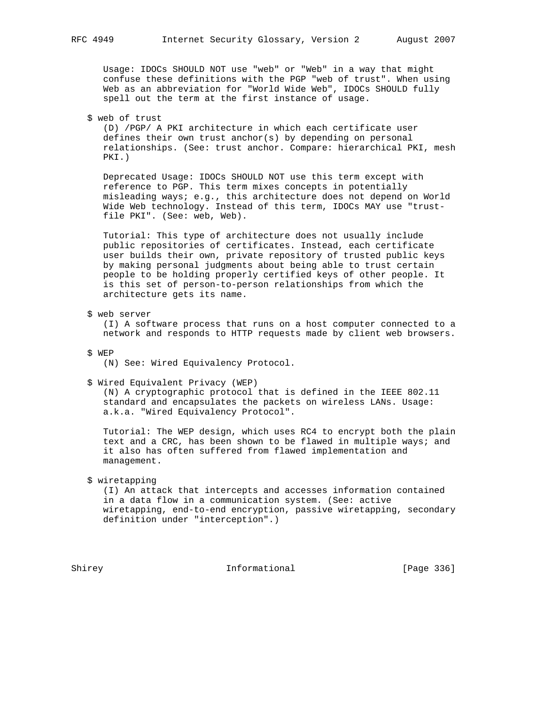Usage: IDOCs SHOULD NOT use "web" or "Web" in a way that might confuse these definitions with the PGP "web of trust". When using Web as an abbreviation for "World Wide Web", IDOCs SHOULD fully spell out the term at the first instance of usage.

\$ web of trust

 (D) /PGP/ A PKI architecture in which each certificate user defines their own trust anchor(s) by depending on personal relationships. (See: trust anchor. Compare: hierarchical PKI, mesh PKI.)

 Deprecated Usage: IDOCs SHOULD NOT use this term except with reference to PGP. This term mixes concepts in potentially misleading ways; e.g., this architecture does not depend on World Wide Web technology. Instead of this term, IDOCs MAY use "trust file PKI". (See: web, Web).

 Tutorial: This type of architecture does not usually include public repositories of certificates. Instead, each certificate user builds their own, private repository of trusted public keys by making personal judgments about being able to trust certain people to be holding properly certified keys of other people. It is this set of person-to-person relationships from which the architecture gets its name.

\$ web server

 (I) A software process that runs on a host computer connected to a network and responds to HTTP requests made by client web browsers.

\$ WEP

(N) See: Wired Equivalency Protocol.

\$ Wired Equivalent Privacy (WEP)

 (N) A cryptographic protocol that is defined in the IEEE 802.11 standard and encapsulates the packets on wireless LANs. Usage: a.k.a. "Wired Equivalency Protocol".

 Tutorial: The WEP design, which uses RC4 to encrypt both the plain text and a CRC, has been shown to be flawed in multiple ways; and it also has often suffered from flawed implementation and management.

### \$ wiretapping

 (I) An attack that intercepts and accesses information contained in a data flow in a communication system. (See: active wiretapping, end-to-end encryption, passive wiretapping, secondary definition under "interception".)

Shirey **Informational** [Page 336]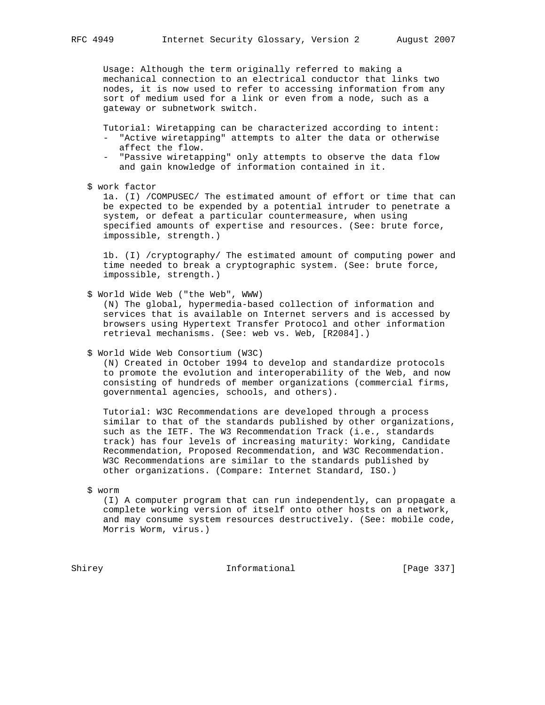Usage: Although the term originally referred to making a mechanical connection to an electrical conductor that links two nodes, it is now used to refer to accessing information from any sort of medium used for a link or even from a node, such as a gateway or subnetwork switch.

Tutorial: Wiretapping can be characterized according to intent:

- "Active wiretapping" attempts to alter the data or otherwise affect the flow.
- "Passive wiretapping" only attempts to observe the data flow and gain knowledge of information contained in it.
- \$ work factor

 1a. (I) /COMPUSEC/ The estimated amount of effort or time that can be expected to be expended by a potential intruder to penetrate a system, or defeat a particular countermeasure, when using specified amounts of expertise and resources. (See: brute force, impossible, strength.)

 1b. (I) /cryptography/ The estimated amount of computing power and time needed to break a cryptographic system. (See: brute force, impossible, strength.)

\$ World Wide Web ("the Web", WWW)

 (N) The global, hypermedia-based collection of information and services that is available on Internet servers and is accessed by browsers using Hypertext Transfer Protocol and other information retrieval mechanisms. (See: web vs. Web, [R2084].)

\$ World Wide Web Consortium (W3C)

 (N) Created in October 1994 to develop and standardize protocols to promote the evolution and interoperability of the Web, and now consisting of hundreds of member organizations (commercial firms, governmental agencies, schools, and others).

 Tutorial: W3C Recommendations are developed through a process similar to that of the standards published by other organizations, such as the IETF. The W3 Recommendation Track (i.e., standards track) has four levels of increasing maturity: Working, Candidate Recommendation, Proposed Recommendation, and W3C Recommendation. W3C Recommendations are similar to the standards published by other organizations. (Compare: Internet Standard, ISO.)

\$ worm

 (I) A computer program that can run independently, can propagate a complete working version of itself onto other hosts on a network, and may consume system resources destructively. (See: mobile code, Morris Worm, virus.)

Shirey **Informational** [Page 337]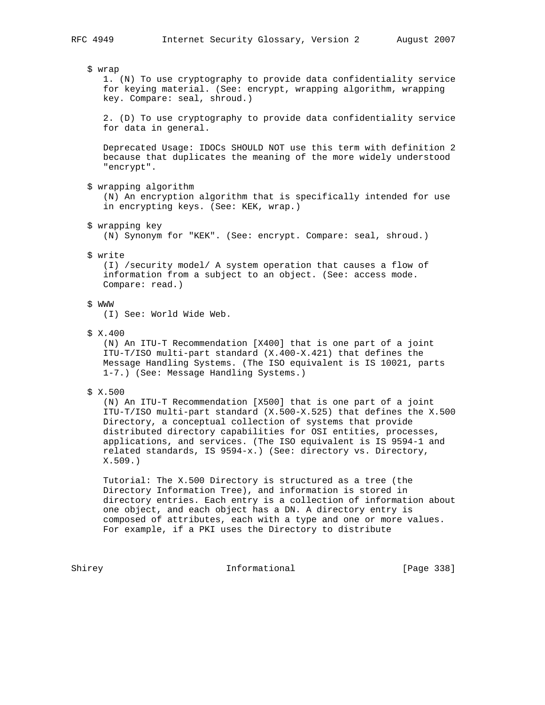\$ wrap

 1. (N) To use cryptography to provide data confidentiality service for keying material. (See: encrypt, wrapping algorithm, wrapping key. Compare: seal, shroud.)

 2. (D) To use cryptography to provide data confidentiality service for data in general.

 Deprecated Usage: IDOCs SHOULD NOT use this term with definition 2 because that duplicates the meaning of the more widely understood "encrypt".

\$ wrapping algorithm

 (N) An encryption algorithm that is specifically intended for use in encrypting keys. (See: KEK, wrap.)

\$ wrapping key

(N) Synonym for "KEK". (See: encrypt. Compare: seal, shroud.)

#### \$ write

 (I) /security model/ A system operation that causes a flow of information from a subject to an object. (See: access mode. Compare: read.)

# \$ WWW

(I) See: World Wide Web.

\$ X.400

 (N) An ITU-T Recommendation [X400] that is one part of a joint ITU-T/ISO multi-part standard (X.400-X.421) that defines the Message Handling Systems. (The ISO equivalent is IS 10021, parts 1-7.) (See: Message Handling Systems.)

# \$ X.500

 (N) An ITU-T Recommendation [X500] that is one part of a joint ITU-T/ISO multi-part standard (X.500-X.525) that defines the X.500 Directory, a conceptual collection of systems that provide distributed directory capabilities for OSI entities, processes, applications, and services. (The ISO equivalent is IS 9594-1 and related standards, IS 9594-x.) (See: directory vs. Directory, X.509.)

 Tutorial: The X.500 Directory is structured as a tree (the Directory Information Tree), and information is stored in directory entries. Each entry is a collection of information about one object, and each object has a DN. A directory entry is composed of attributes, each with a type and one or more values. For example, if a PKI uses the Directory to distribute

Shirey **Informational** [Page 338]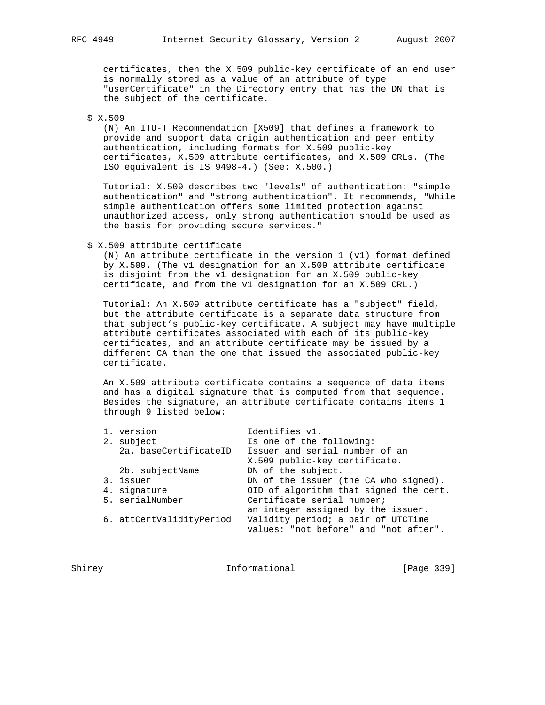certificates, then the X.509 public-key certificate of an end user is normally stored as a value of an attribute of type "userCertificate" in the Directory entry that has the DN that is the subject of the certificate.

\$ X.509

 (N) An ITU-T Recommendation [X509] that defines a framework to provide and support data origin authentication and peer entity authentication, including formats for X.509 public-key certificates, X.509 attribute certificates, and X.509 CRLs. (The ISO equivalent is IS 9498-4.) (See: X.500.)

 Tutorial: X.509 describes two "levels" of authentication: "simple authentication" and "strong authentication". It recommends, "While simple authentication offers some limited protection against unauthorized access, only strong authentication should be used as the basis for providing secure services."

\$ X.509 attribute certificate

 (N) An attribute certificate in the version 1 (v1) format defined by X.509. (The v1 designation for an X.509 attribute certificate is disjoint from the v1 designation for an X.509 public-key certificate, and from the v1 designation for an X.509 CRL.)

 Tutorial: An X.509 attribute certificate has a "subject" field, but the attribute certificate is a separate data structure from that subject's public-key certificate. A subject may have multiple attribute certificates associated with each of its public-key certificates, and an attribute certificate may be issued by a different CA than the one that issued the associated public-key certificate.

 An X.509 attribute certificate contains a sequence of data items and has a digital signature that is computed from that sequence. Besides the signature, an attribute certificate contains items 1 through 9 listed below:

|  | version                  | Identifies v1.                         |
|--|--------------------------|----------------------------------------|
|  | 2. subject               | Is one of the following:               |
|  | 2a. baseCertificateID    | Issuer and serial number of an         |
|  |                          | X.509 public-key certificate.          |
|  | 2b. subjectName          | DN of the subject.                     |
|  | 3. issuer                | DN of the issuer (the CA who signed).  |
|  | 4. signature             | OID of algorithm that signed the cert. |
|  | 5. serialNumber          | Certificate serial number;             |
|  |                          | an integer assigned by the issuer.     |
|  | 6. attCertValidityPeriod | Validity period; a pair of UTCTime     |
|  |                          | values: "not before" and "not after".  |
|  |                          |                                        |

Shirey **Informational** [Page 339]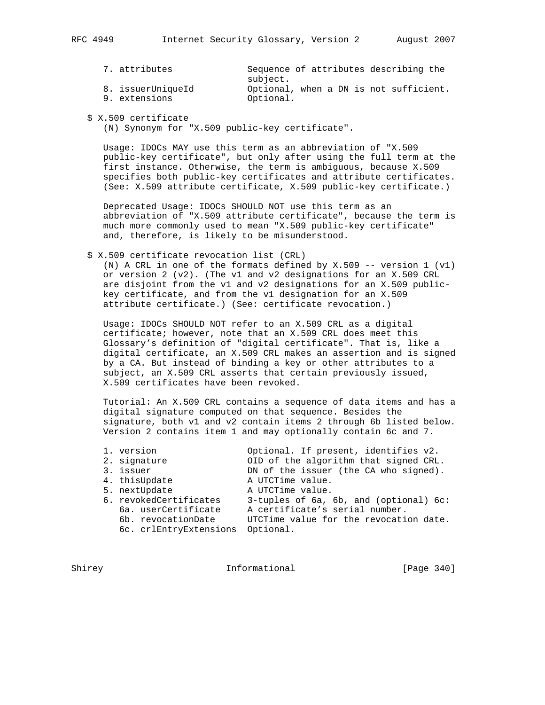| 7. attributes     | Sequence of attributes describing the  |
|-------------------|----------------------------------------|
|                   | subject.                               |
| 8. issuerUniqueId | Optional, when a DN is not sufficient. |
| 9. extensions     | Optional.                              |

\$ X.509 certificate

(N) Synonym for "X.509 public-key certificate".

 Usage: IDOCs MAY use this term as an abbreviation of "X.509 public-key certificate", but only after using the full term at the first instance. Otherwise, the term is ambiguous, because X.509 specifies both public-key certificates and attribute certificates. (See: X.509 attribute certificate, X.509 public-key certificate.)

 Deprecated Usage: IDOCs SHOULD NOT use this term as an abbreviation of "X.509 attribute certificate", because the term is much more commonly used to mean "X.509 public-key certificate" and, therefore, is likely to be misunderstood.

\$ X.509 certificate revocation list (CRL)

(N) A CRL in one of the formats defined by X.509 -- version  $1$  (v1) or version 2 (v2). (The v1 and v2 designations for an X.509 CRL are disjoint from the v1 and v2 designations for an X.509 public key certificate, and from the v1 designation for an X.509 attribute certificate.) (See: certificate revocation.)

 Usage: IDOCs SHOULD NOT refer to an X.509 CRL as a digital certificate; however, note that an X.509 CRL does meet this Glossary's definition of "digital certificate". That is, like a digital certificate, an X.509 CRL makes an assertion and is signed by a CA. But instead of binding a key or other attributes to a subject, an X.509 CRL asserts that certain previously issued, X.509 certificates have been revoked.

 Tutorial: An X.509 CRL contains a sequence of data items and has a digital signature computed on that sequence. Besides the signature, both v1 and v2 contain items 2 through 6b listed below. Version 2 contains item 1 and may optionally contain 6c and 7.

| Optional. If present, identifies v2.<br>1. version |  |  |
|----------------------------------------------------|--|--|
|----------------------------------------------------|--|--|

1. vers<br>2. signature 2. signature 2. Supposed CRL.<br>
2. issuer 2. OID of the issuer (the CA who signed).

DN of the issuer (the CA who signed).

- 4. thisUpdate A UTCTime value.
- 5. nextUpdate A UTCTime value.
- 6. revokedCertificates 3-tuples of 6a, 6b, and (optional) 6c: 6a. userCertificate A certificate's serial number.
- 6b. revocationDate UTCTime value for the revocation date. 6c. crlEntryExtensions Optional.

Shirey **Informational** [Page 340]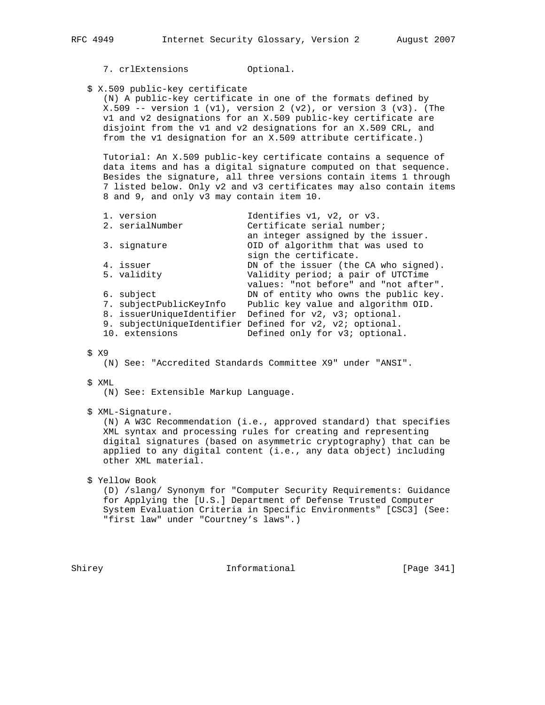- - 7. crlExtensions Optional.

\$ X.509 public-key certificate

 (N) A public-key certificate in one of the formats defined by X.509 -- version  $1$  (v1), version  $2$  (v2), or version  $3$  (v3). (The v1 and v2 designations for an X.509 public-key certificate are disjoint from the v1 and v2 designations for an X.509 CRL, and from the v1 designation for an X.509 attribute certificate.)

 Tutorial: An X.509 public-key certificate contains a sequence of data items and has a digital signature computed on that sequence. Besides the signature, all three versions contain items 1 through 7 listed below. Only v2 and v3 certificates may also contain items 8 and 9, and only v3 may contain item 10.

| an integer assigned by the issuer.<br>OID of algorithm that was used to<br>3. signature<br>sign the certificate.<br>4. issuer<br>Validity period; a pair of UTCTime<br>5. validity<br>6. subject<br>7. subjectPublicKeyInfo<br>Public key value and algorithm OID.<br>8. issuerUniqueIdentifier Defined for v2, v3; optional.<br>9. subjectUniqueIdentifier Defined for v2, v2; optional.<br>Defined only for v3; optional.<br>10. extensions |  | 1. version<br>2. serialNumber | Identifies v1, v2, or v3.<br>Certificate serial number; |
|-----------------------------------------------------------------------------------------------------------------------------------------------------------------------------------------------------------------------------------------------------------------------------------------------------------------------------------------------------------------------------------------------------------------------------------------------|--|-------------------------------|---------------------------------------------------------|
|                                                                                                                                                                                                                                                                                                                                                                                                                                               |  |                               |                                                         |
|                                                                                                                                                                                                                                                                                                                                                                                                                                               |  |                               | DN of the issuer (the CA who signed).                   |
|                                                                                                                                                                                                                                                                                                                                                                                                                                               |  |                               | values: "not before" and "not after".                   |
|                                                                                                                                                                                                                                                                                                                                                                                                                                               |  |                               | DN of entity who owns the public key.                   |
|                                                                                                                                                                                                                                                                                                                                                                                                                                               |  |                               |                                                         |
|                                                                                                                                                                                                                                                                                                                                                                                                                                               |  |                               |                                                         |
|                                                                                                                                                                                                                                                                                                                                                                                                                                               |  |                               |                                                         |
|                                                                                                                                                                                                                                                                                                                                                                                                                                               |  |                               |                                                         |

# \$ X9

(N) See: "Accredited Standards Committee X9" under "ANSI".

- \$ XML
	- (N) See: Extensible Markup Language.
- \$ XML-Signature.

 (N) A W3C Recommendation (i.e., approved standard) that specifies XML syntax and processing rules for creating and representing digital signatures (based on asymmetric cryptography) that can be applied to any digital content (i.e., any data object) including other XML material.

\$ Yellow Book

 (D) /slang/ Synonym for "Computer Security Requirements: Guidance for Applying the [U.S.] Department of Defense Trusted Computer System Evaluation Criteria in Specific Environments" [CSC3] (See: "first law" under "Courtney's laws".)

Shirey 1nformational [Page 341]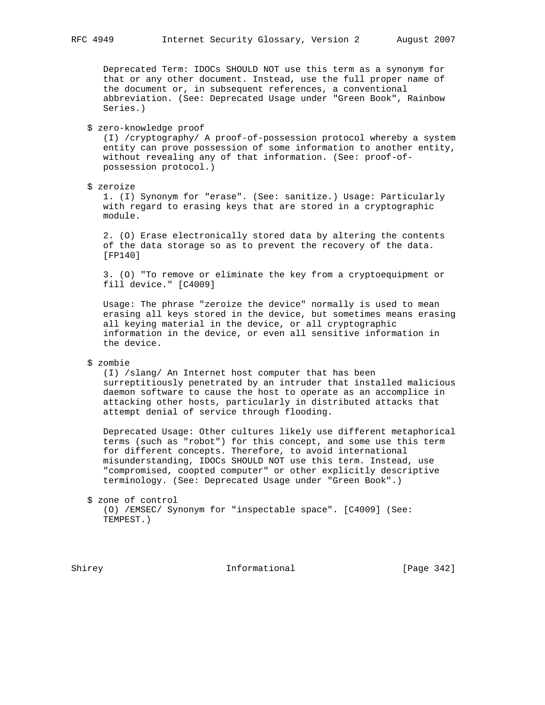Deprecated Term: IDOCs SHOULD NOT use this term as a synonym for that or any other document. Instead, use the full proper name of the document or, in subsequent references, a conventional abbreviation. (See: Deprecated Usage under "Green Book", Rainbow Series.)

# \$ zero-knowledge proof

 (I) /cryptography/ A proof-of-possession protocol whereby a system entity can prove possession of some information to another entity, without revealing any of that information. (See: proof-of possession protocol.)

\$ zeroize

 1. (I) Synonym for "erase". (See: sanitize.) Usage: Particularly with regard to erasing keys that are stored in a cryptographic module.

 2. (O) Erase electronically stored data by altering the contents of the data storage so as to prevent the recovery of the data. [FP140]

 3. (O) "To remove or eliminate the key from a cryptoequipment or fill device." [C4009]

 Usage: The phrase "zeroize the device" normally is used to mean erasing all keys stored in the device, but sometimes means erasing all keying material in the device, or all cryptographic information in the device, or even all sensitive information in the device.

## \$ zombie

 (I) /slang/ An Internet host computer that has been surreptitiously penetrated by an intruder that installed malicious daemon software to cause the host to operate as an accomplice in attacking other hosts, particularly in distributed attacks that attempt denial of service through flooding.

 Deprecated Usage: Other cultures likely use different metaphorical terms (such as "robot") for this concept, and some use this term for different concepts. Therefore, to avoid international misunderstanding, IDOCs SHOULD NOT use this term. Instead, use "compromised, coopted computer" or other explicitly descriptive terminology. (See: Deprecated Usage under "Green Book".)

 \$ zone of control (O) /EMSEC/ Synonym for "inspectable space". [C4009] (See: TEMPEST.)

Shirey **Informational** [Page 342]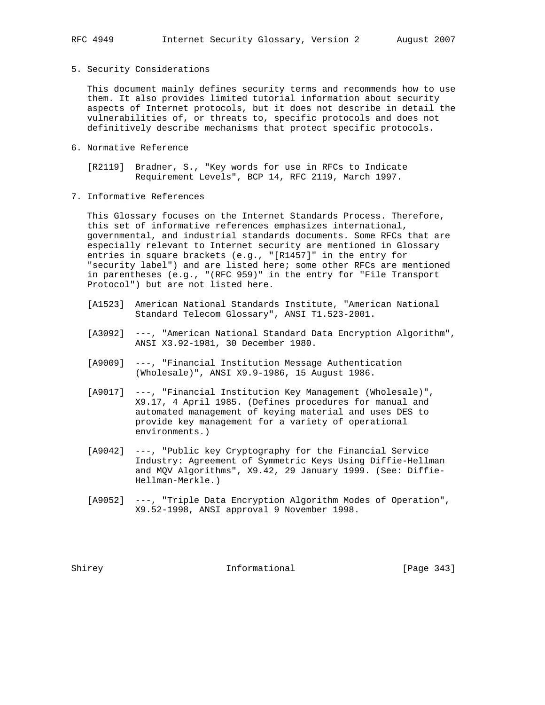5. Security Considerations

 This document mainly defines security terms and recommends how to use them. It also provides limited tutorial information about security aspects of Internet protocols, but it does not describe in detail the vulnerabilities of, or threats to, specific protocols and does not definitively describe mechanisms that protect specific protocols.

6. Normative Reference

 [R2119] Bradner, S., "Key words for use in RFCs to Indicate Requirement Levels", BCP 14, RFC 2119, March 1997.

7. Informative References

 This Glossary focuses on the Internet Standards Process. Therefore, this set of informative references emphasizes international, governmental, and industrial standards documents. Some RFCs that are especially relevant to Internet security are mentioned in Glossary entries in square brackets (e.g., "[R1457]" in the entry for "security label") and are listed here; some other RFCs are mentioned in parentheses (e.g., "(RFC 959)" in the entry for "File Transport Protocol") but are not listed here.

- [A1523] American National Standards Institute, "American National Standard Telecom Glossary", ANSI T1.523-2001.
- [A3092] ---, "American National Standard Data Encryption Algorithm", ANSI X3.92-1981, 30 December 1980.
- [A9009] ---, "Financial Institution Message Authentication (Wholesale)", ANSI X9.9-1986, 15 August 1986.
- [A9017] ---, "Financial Institution Key Management (Wholesale)", X9.17, 4 April 1985. (Defines procedures for manual and automated management of keying material and uses DES to provide key management for a variety of operational environments.)
- [A9042] ---, "Public key Cryptography for the Financial Service Industry: Agreement of Symmetric Keys Using Diffie-Hellman and MQV Algorithms", X9.42, 29 January 1999. (See: Diffie- Hellman-Merkle.)
- [A9052] ---, "Triple Data Encryption Algorithm Modes of Operation", X9.52-1998, ANSI approval 9 November 1998.

Shirey **Informational** [Page 343]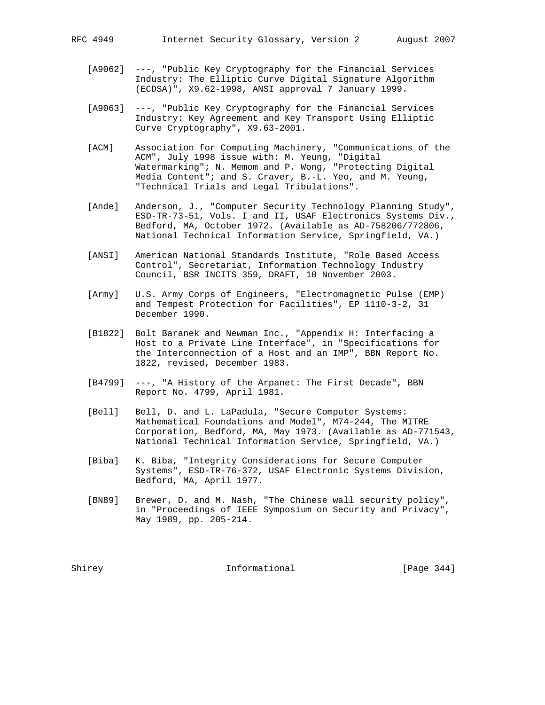- [A9062] ---, "Public Key Cryptography for the Financial Services Industry: The Elliptic Curve Digital Signature Algorithm (ECDSA)", X9.62-1998, ANSI approval 7 January 1999.
- [A9063] ---, "Public Key Cryptography for the Financial Services Industry: Key Agreement and Key Transport Using Elliptic Curve Cryptography", X9.63-2001.
- [ACM] Association for Computing Machinery, "Communications of the ACM", July 1998 issue with: M. Yeung, "Digital Watermarking"; N. Memom and P. Wong, "Protecting Digital Media Content"; and S. Craver, B.-L. Yeo, and M. Yeung, "Technical Trials and Legal Tribulations".
- [Ande] Anderson, J., "Computer Security Technology Planning Study", ESD-TR-73-51, Vols. I and II, USAF Electronics Systems Div., Bedford, MA, October 1972. (Available as AD-758206/772806, National Technical Information Service, Springfield, VA.)
- [ANSI] American National Standards Institute, "Role Based Access Control", Secretariat, Information Technology Industry Council, BSR INCITS 359, DRAFT, 10 November 2003.
- [Army] U.S. Army Corps of Engineers, "Electromagnetic Pulse (EMP) and Tempest Protection for Facilities", EP 1110-3-2, 31 December 1990.
- [B1822] Bolt Baranek and Newman Inc., "Appendix H: Interfacing a Host to a Private Line Interface", in "Specifications for the Interconnection of a Host and an IMP", BBN Report No. 1822, revised, December 1983.
- [B4799] ---, "A History of the Arpanet: The First Decade", BBN Report No. 4799, April 1981.
- [Bell] Bell, D. and L. LaPadula, "Secure Computer Systems: Mathematical Foundations and Model", M74-244, The MITRE Corporation, Bedford, MA, May 1973. (Available as AD-771543, National Technical Information Service, Springfield, VA.)
- [Biba] K. Biba, "Integrity Considerations for Secure Computer Systems", ESD-TR-76-372, USAF Electronic Systems Division, Bedford, MA, April 1977.
- [BN89] Brewer, D. and M. Nash, "The Chinese wall security policy", in "Proceedings of IEEE Symposium on Security and Privacy", May 1989, pp. 205-214.

Shirey **Informational** [Page 344]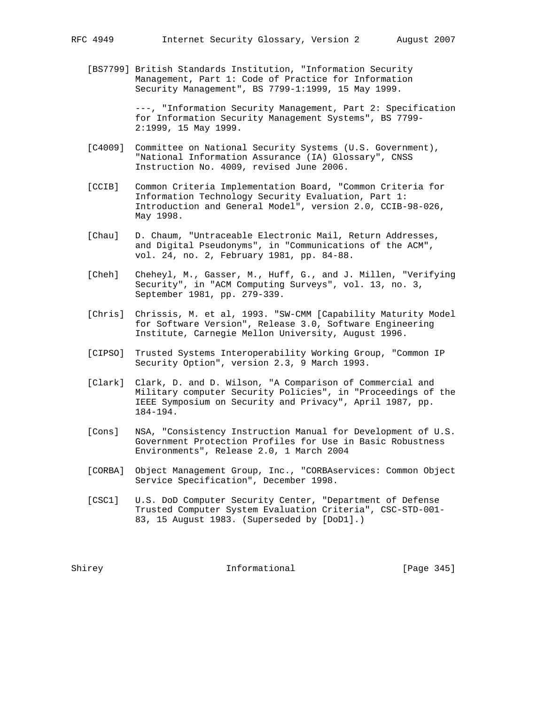[BS7799] British Standards Institution, "Information Security Management, Part 1: Code of Practice for Information Security Management", BS 7799-1:1999, 15 May 1999.

> ---, "Information Security Management, Part 2: Specification for Information Security Management Systems", BS 7799- 2:1999, 15 May 1999.

- [C4009] Committee on National Security Systems (U.S. Government), "National Information Assurance (IA) Glossary", CNSS Instruction No. 4009, revised June 2006.
- [CCIB] Common Criteria Implementation Board, "Common Criteria for Information Technology Security Evaluation, Part 1: Introduction and General Model", version 2.0, CCIB-98-026, May 1998.
- [Chau] D. Chaum, "Untraceable Electronic Mail, Return Addresses, and Digital Pseudonyms", in "Communications of the ACM", vol. 24, no. 2, February 1981, pp. 84-88.
- [Cheh] Cheheyl, M., Gasser, M., Huff, G., and J. Millen, "Verifying Security", in "ACM Computing Surveys", vol. 13, no. 3, September 1981, pp. 279-339.
- [Chris] Chrissis, M. et al, 1993. "SW-CMM [Capability Maturity Model for Software Version", Release 3.0, Software Engineering Institute, Carnegie Mellon University, August 1996.
- [CIPSO] Trusted Systems Interoperability Working Group, "Common IP Security Option", version 2.3, 9 March 1993.
- [Clark] Clark, D. and D. Wilson, "A Comparison of Commercial and Military computer Security Policies", in "Proceedings of the IEEE Symposium on Security and Privacy", April 1987, pp. 184-194.
- [Cons] NSA, "Consistency Instruction Manual for Development of U.S. Government Protection Profiles for Use in Basic Robustness Environments", Release 2.0, 1 March 2004
- [CORBA] Object Management Group, Inc., "CORBAservices: Common Object Service Specification", December 1998.
- [CSC1] U.S. DoD Computer Security Center, "Department of Defense Trusted Computer System Evaluation Criteria", CSC-STD-001- 83, 15 August 1983. (Superseded by [DoD1].)

Shirey **Informational** [Page 345]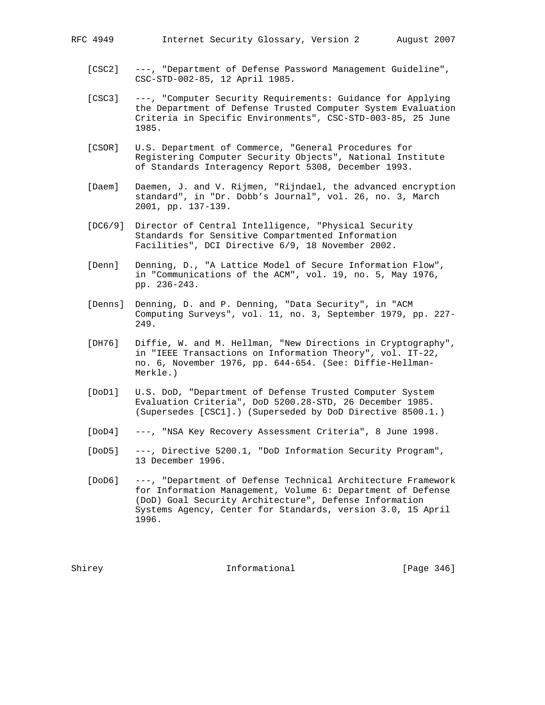- [CSC2] ---, "Department of Defense Password Management Guideline", CSC-STD-002-85, 12 April 1985.
- [CSC3] ---, "Computer Security Requirements: Guidance for Applying the Department of Defense Trusted Computer System Evaluation Criteria in Specific Environments", CSC-STD-003-85, 25 June 1985.
- [CSOR] U.S. Department of Commerce, "General Procedures for Registering Computer Security Objects", National Institute of Standards Interagency Report 5308, December 1993.
- [Daem] Daemen, J. and V. Rijmen, "Rijndael, the advanced encryption standard", in "Dr. Dobb's Journal", vol. 26, no. 3, March 2001, pp. 137-139.
- [DC6/9] Director of Central Intelligence, "Physical Security Standards for Sensitive Compartmented Information Facilities", DCI Directive 6/9, 18 November 2002.
- [Denn] Denning, D., "A Lattice Model of Secure Information Flow", in "Communications of the ACM", vol. 19, no. 5, May 1976, pp. 236-243.
- [Denns] Denning, D. and P. Denning, "Data Security", in "ACM Computing Surveys", vol. 11, no. 3, September 1979, pp. 227- 249.
- [DH76] Diffie, W. and M. Hellman, "New Directions in Cryptography", in "IEEE Transactions on Information Theory", vol. IT-22, no. 6, November 1976, pp. 644-654. (See: Diffie-Hellman- Merkle.)
- [DoD1] U.S. DoD, "Department of Defense Trusted Computer System Evaluation Criteria", DoD 5200.28-STD, 26 December 1985. (Supersedes [CSC1].) (Superseded by DoD Directive 8500.1.)
- [DoD4] ---, "NSA Key Recovery Assessment Criteria", 8 June 1998.
- [DoD5] ---, Directive 5200.1, "DoD Information Security Program", 13 December 1996.
- [DoD6] ---, "Department of Defense Technical Architecture Framework for Information Management, Volume 6: Department of Defense (DoD) Goal Security Architecture", Defense Information Systems Agency, Center for Standards, version 3.0, 15 April 1996.

Shirey **Informational** [Page 346]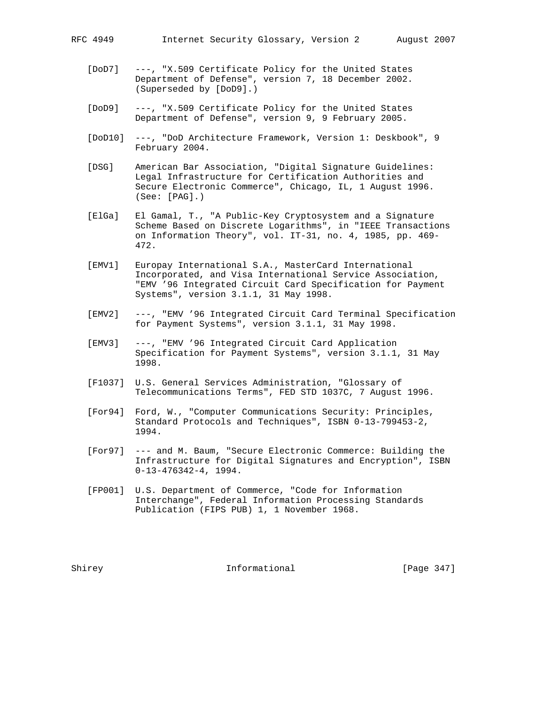- [DoD7] ---, "X.509 Certificate Policy for the United States Department of Defense", version 7, 18 December 2002. (Superseded by [DoD9].)
- [DoD9] ---, "X.509 Certificate Policy for the United States Department of Defense", version 9, 9 February 2005.
- [DoD10] ---, "DoD Architecture Framework, Version 1: Deskbook", 9 February 2004.
- [DSG] American Bar Association, "Digital Signature Guidelines: Legal Infrastructure for Certification Authorities and Secure Electronic Commerce", Chicago, IL, 1 August 1996. (See: [PAG].)
- [ElGa] El Gamal, T., "A Public-Key Cryptosystem and a Signature Scheme Based on Discrete Logarithms", in "IEEE Transactions on Information Theory", vol. IT-31, no. 4, 1985, pp. 469- 472.
- [EMV1] Europay International S.A., MasterCard International Incorporated, and Visa International Service Association, "EMV '96 Integrated Circuit Card Specification for Payment Systems", version 3.1.1, 31 May 1998.
- [EMV2] ---, "EMV '96 Integrated Circuit Card Terminal Specification for Payment Systems", version 3.1.1, 31 May 1998.
- [EMV3] ---, "EMV '96 Integrated Circuit Card Application Specification for Payment Systems", version 3.1.1, 31 May 1998.
- [F1037] U.S. General Services Administration, "Glossary of Telecommunications Terms", FED STD 1037C, 7 August 1996.
- [For94] Ford, W., "Computer Communications Security: Principles, Standard Protocols and Techniques", ISBN 0-13-799453-2, 1994.
- [For97] --- and M. Baum, "Secure Electronic Commerce: Building the Infrastructure for Digital Signatures and Encryption", ISBN 0-13-476342-4, 1994.
- [FP001] U.S. Department of Commerce, "Code for Information Interchange", Federal Information Processing Standards Publication (FIPS PUB) 1, 1 November 1968.

Shirey **Informational** [Page 347]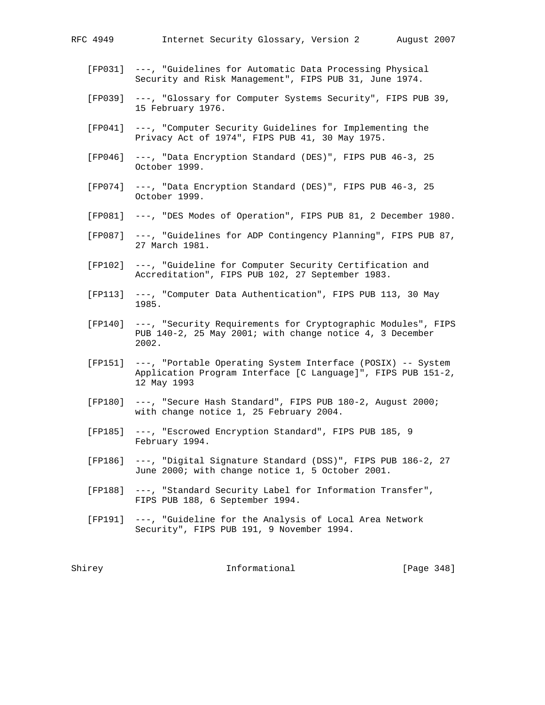- [FP031] ---, "Guidelines for Automatic Data Processing Physical Security and Risk Management", FIPS PUB 31, June 1974.
- [FP039] ---, "Glossary for Computer Systems Security", FIPS PUB 39, 15 February 1976.
- [FP041] ---, "Computer Security Guidelines for Implementing the Privacy Act of 1974", FIPS PUB 41, 30 May 1975.
- [FP046] ---, "Data Encryption Standard (DES)", FIPS PUB 46-3, 25 October 1999.
- [FP074] ---, "Data Encryption Standard (DES)", FIPS PUB 46-3, 25 October 1999.
- [FP081] ---, "DES Modes of Operation", FIPS PUB 81, 2 December 1980.
- [FP087] ---, "Guidelines for ADP Contingency Planning", FIPS PUB 87, 27 March 1981.
- [FP102] ---, "Guideline for Computer Security Certification and Accreditation", FIPS PUB 102, 27 September 1983.
- [FP113] ---, "Computer Data Authentication", FIPS PUB 113, 30 May 1985.
- [FP140] ---, "Security Requirements for Cryptographic Modules", FIPS PUB 140-2, 25 May 2001; with change notice 4, 3 December 2002.
- [FP151] ---, "Portable Operating System Interface (POSIX) -- System Application Program Interface [C Language]", FIPS PUB 151-2, 12 May 1993
- [FP180] ---, "Secure Hash Standard", FIPS PUB 180-2, August 2000; with change notice 1, 25 February 2004.
- [FP185] ---, "Escrowed Encryption Standard", FIPS PUB 185, 9 February 1994.
- [FP186] ---, "Digital Signature Standard (DSS)", FIPS PUB 186-2, 27 June 2000; with change notice 1, 5 October 2001.
- [FP188] ---, "Standard Security Label for Information Transfer", FIPS PUB 188, 6 September 1994.
- [FP191] ---, "Guideline for the Analysis of Local Area Network Security", FIPS PUB 191, 9 November 1994.

Shirey **Informational** Informational [Page 348]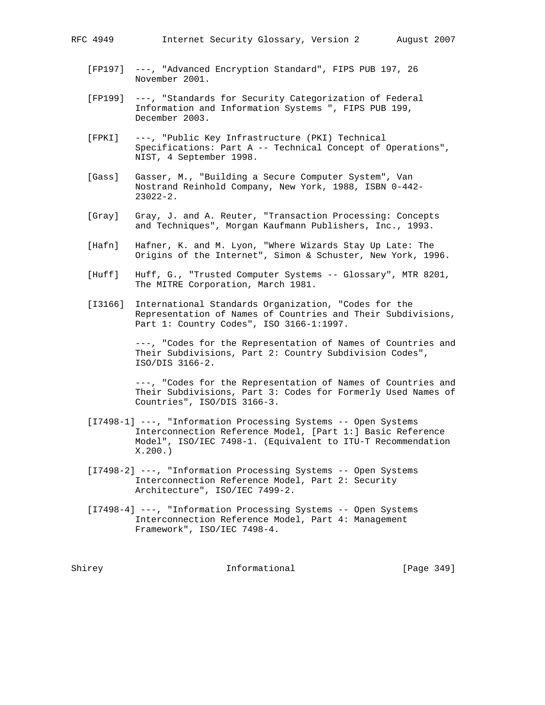- [FP197] ---, "Advanced Encryption Standard", FIPS PUB 197, 26 November 2001.
- [FP199] ---, "Standards for Security Categorization of Federal Information and Information Systems ", FIPS PUB 199, December 2003.
- [FPKI] ---, "Public Key Infrastructure (PKI) Technical Specifications: Part A -- Technical Concept of Operations", NIST, 4 September 1998.
- [Gass] Gasser, M., "Building a Secure Computer System", Van Nostrand Reinhold Company, New York, 1988, ISBN 0-442- 23022-2.
- [Gray] Gray, J. and A. Reuter, "Transaction Processing: Concepts and Techniques", Morgan Kaufmann Publishers, Inc., 1993.
- [Hafn] Hafner, K. and M. Lyon, "Where Wizards Stay Up Late: The Origins of the Internet", Simon & Schuster, New York, 1996.
- [Huff] Huff, G., "Trusted Computer Systems -- Glossary", MTR 8201, The MITRE Corporation, March 1981.
- [I3166] International Standards Organization, "Codes for the Representation of Names of Countries and Their Subdivisions, Part 1: Country Codes", ISO 3166-1:1997.

 ---, "Codes for the Representation of Names of Countries and Their Subdivisions, Part 2: Country Subdivision Codes", ISO/DIS 3166-2.

 ---, "Codes for the Representation of Names of Countries and Their Subdivisions, Part 3: Codes for Formerly Used Names of Countries", ISO/DIS 3166-3.

- [I7498-1] ---, "Information Processing Systems -- Open Systems Interconnection Reference Model, [Part 1:] Basic Reference Model", ISO/IEC 7498-1. (Equivalent to ITU-T Recommendation X.200.)
- [I7498-2] ---, "Information Processing Systems -- Open Systems Interconnection Reference Model, Part 2: Security Architecture", ISO/IEC 7499-2.
- [I7498-4] ---, "Information Processing Systems -- Open Systems Interconnection Reference Model, Part 4: Management Framework", ISO/IEC 7498-4.

Shirey **Informational** [Page 349]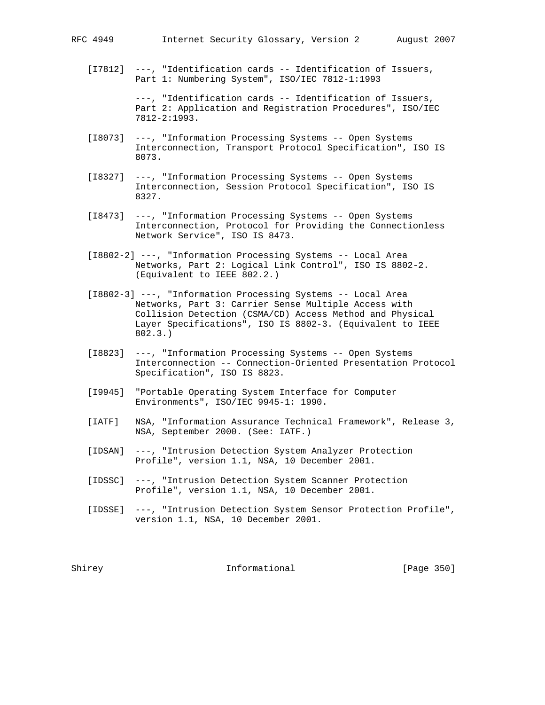[I7812] ---, "Identification cards -- Identification of Issuers, Part 1: Numbering System", ISO/IEC 7812-1:1993

> ---, "Identification cards -- Identification of Issuers, Part 2: Application and Registration Procedures", ISO/IEC 7812-2:1993.

- [I8073] ---, "Information Processing Systems -- Open Systems Interconnection, Transport Protocol Specification", ISO IS 8073.
- [I8327] ---, "Information Processing Systems -- Open Systems Interconnection, Session Protocol Specification", ISO IS 8327.
- [I8473] ---, "Information Processing Systems -- Open Systems Interconnection, Protocol for Providing the Connectionless Network Service", ISO IS 8473.
- [I8802-2] ---, "Information Processing Systems -- Local Area Networks, Part 2: Logical Link Control", ISO IS 8802-2. (Equivalent to IEEE 802.2.)
- [I8802-3] ---, "Information Processing Systems -- Local Area Networks, Part 3: Carrier Sense Multiple Access with Collision Detection (CSMA/CD) Access Method and Physical Layer Specifications", ISO IS 8802-3. (Equivalent to IEEE 802.3.)
- [I8823] ---, "Information Processing Systems -- Open Systems Interconnection -- Connection-Oriented Presentation Protocol Specification", ISO IS 8823.
- [I9945] "Portable Operating System Interface for Computer Environments", ISO/IEC 9945-1: 1990.
- [IATF] NSA, "Information Assurance Technical Framework", Release 3, NSA, September 2000. (See: IATF.)
- [IDSAN] ---, "Intrusion Detection System Analyzer Protection Profile", version 1.1, NSA, 10 December 2001.
- [IDSSC] ---, "Intrusion Detection System Scanner Protection Profile", version 1.1, NSA, 10 December 2001.
- [IDSSE] ---, "Intrusion Detection System Sensor Protection Profile", version 1.1, NSA, 10 December 2001.

Shirey **Informational** [Page 350]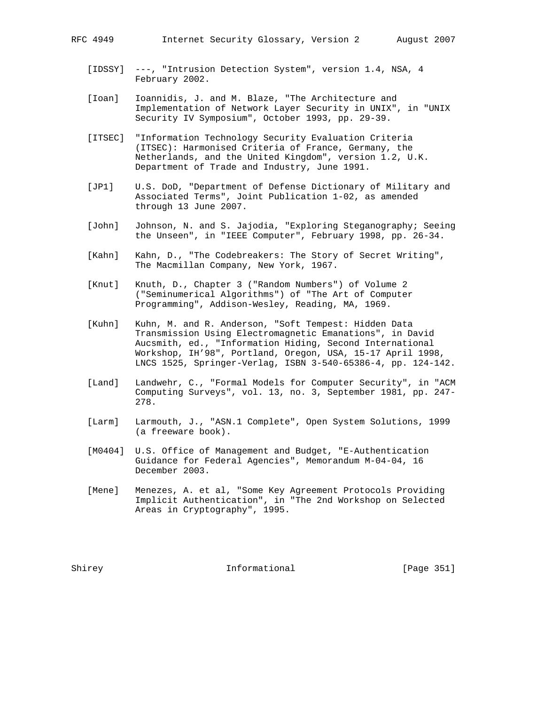- [IDSSY] ---, "Intrusion Detection System", version 1.4, NSA, 4 February 2002.
- [Ioan] Ioannidis, J. and M. Blaze, "The Architecture and Implementation of Network Layer Security in UNIX", in "UNIX Security IV Symposium", October 1993, pp. 29-39.
- [ITSEC] "Information Technology Security Evaluation Criteria (ITSEC): Harmonised Criteria of France, Germany, the Netherlands, and the United Kingdom", version 1.2, U.K. Department of Trade and Industry, June 1991.
- [JP1] U.S. DoD, "Department of Defense Dictionary of Military and Associated Terms", Joint Publication 1-02, as amended through 13 June 2007.
- [John] Johnson, N. and S. Jajodia, "Exploring Steganography; Seeing the Unseen", in "IEEE Computer", February 1998, pp. 26-34.
- [Kahn] Kahn, D., "The Codebreakers: The Story of Secret Writing", The Macmillan Company, New York, 1967.
- [Knut] Knuth, D., Chapter 3 ("Random Numbers") of Volume 2 ("Seminumerical Algorithms") of "The Art of Computer Programming", Addison-Wesley, Reading, MA, 1969.
- [Kuhn] Kuhn, M. and R. Anderson, "Soft Tempest: Hidden Data Transmission Using Electromagnetic Emanations", in David Aucsmith, ed., "Information Hiding, Second International Workshop, IH'98", Portland, Oregon, USA, 15-17 April 1998, LNCS 1525, Springer-Verlag, ISBN 3-540-65386-4, pp. 124-142.
- [Land] Landwehr, C., "Formal Models for Computer Security", in "ACM Computing Surveys", vol. 13, no. 3, September 1981, pp. 247- 278.
- [Larm] Larmouth, J., "ASN.1 Complete", Open System Solutions, 1999 (a freeware book).
- [M0404] U.S. Office of Management and Budget, "E-Authentication Guidance for Federal Agencies", Memorandum M-04-04, 16 December 2003.
- [Mene] Menezes, A. et al, "Some Key Agreement Protocols Providing Implicit Authentication", in "The 2nd Workshop on Selected Areas in Cryptography", 1995.

Shirey **Informational** [Page 351]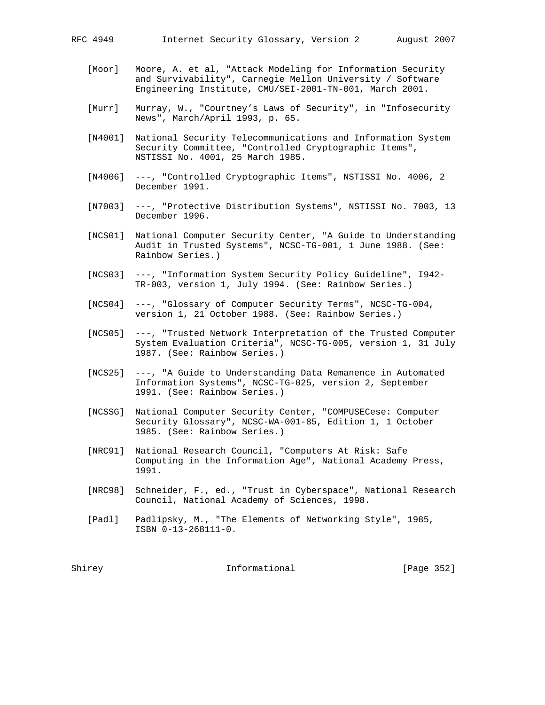- [Moor] Moore, A. et al, "Attack Modeling for Information Security and Survivability", Carnegie Mellon University / Software Engineering Institute, CMU/SEI-2001-TN-001, March 2001.
- [Murr] Murray, W., "Courtney's Laws of Security", in "Infosecurity News", March/April 1993, p. 65.
- [N4001] National Security Telecommunications and Information System Security Committee, "Controlled Cryptographic Items", NSTISSI No. 4001, 25 March 1985.
- [N4006] ---, "Controlled Cryptographic Items", NSTISSI No. 4006, 2 December 1991.
- [N7003] ---, "Protective Distribution Systems", NSTISSI No. 7003, 13 December 1996.
- [NCS01] National Computer Security Center, "A Guide to Understanding Audit in Trusted Systems", NCSC-TG-001, 1 June 1988. (See: Rainbow Series.)
- [NCS03] ---, "Information System Security Policy Guideline", I942- TR-003, version 1, July 1994. (See: Rainbow Series.)
- [NCS04] ---, "Glossary of Computer Security Terms", NCSC-TG-004, version 1, 21 October 1988. (See: Rainbow Series.)
- [NCS05] ---, "Trusted Network Interpretation of the Trusted Computer System Evaluation Criteria", NCSC-TG-005, version 1, 31 July 1987. (See: Rainbow Series.)
- [NCS25] ---, "A Guide to Understanding Data Remanence in Automated Information Systems", NCSC-TG-025, version 2, September 1991. (See: Rainbow Series.)
- [NCSSG] National Computer Security Center, "COMPUSECese: Computer Security Glossary", NCSC-WA-001-85, Edition 1, 1 October 1985. (See: Rainbow Series.)
- [NRC91] National Research Council, "Computers At Risk: Safe Computing in the Information Age", National Academy Press, 1991.
- [NRC98] Schneider, F., ed., "Trust in Cyberspace", National Research Council, National Academy of Sciences, 1998.
- [Padl] Padlipsky, M., "The Elements of Networking Style", 1985, ISBN 0-13-268111-0.

Shirey **Informational** Informational [Page 352]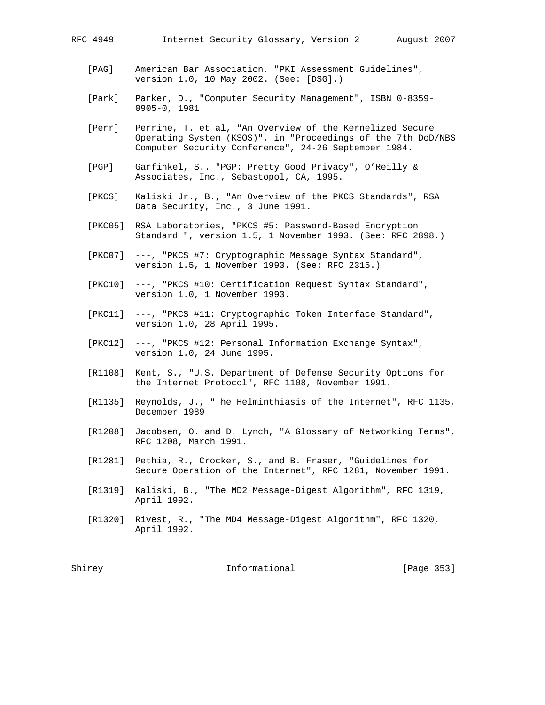- [PAG] American Bar Association, "PKI Assessment Guidelines", version 1.0, 10 May 2002. (See: [DSG].)
- [Park] Parker, D., "Computer Security Management", ISBN 0-8359- 0905-0, 1981
- [Perr] Perrine, T. et al, "An Overview of the Kernelized Secure Operating System (KSOS)", in "Proceedings of the 7th DoD/NBS Computer Security Conference", 24-26 September 1984.
- [PGP] Garfinkel, S.. "PGP: Pretty Good Privacy", O'Reilly & Associates, Inc., Sebastopol, CA, 1995.
- [PKCS] Kaliski Jr., B., "An Overview of the PKCS Standards", RSA Data Security, Inc., 3 June 1991.
- [PKC05] RSA Laboratories, "PKCS #5: Password-Based Encryption Standard ", version 1.5, 1 November 1993. (See: RFC 2898.)
- [PKC07] ---, "PKCS #7: Cryptographic Message Syntax Standard", version 1.5, 1 November 1993. (See: RFC 2315.)
- [PKC10] ---, "PKCS #10: Certification Request Syntax Standard", version 1.0, 1 November 1993.
- [PKC11] ---, "PKCS #11: Cryptographic Token Interface Standard", version 1.0, 28 April 1995.
- [PKC12] ---, "PKCS #12: Personal Information Exchange Syntax", version 1.0, 24 June 1995.
- [R1108] Kent, S., "U.S. Department of Defense Security Options for the Internet Protocol", RFC 1108, November 1991.
- [R1135] Reynolds, J., "The Helminthiasis of the Internet", RFC 1135, December 1989
- [R1208] Jacobsen, O. and D. Lynch, "A Glossary of Networking Terms", RFC 1208, March 1991.
- [R1281] Pethia, R., Crocker, S., and B. Fraser, "Guidelines for Secure Operation of the Internet", RFC 1281, November 1991.
- [R1319] Kaliski, B., "The MD2 Message-Digest Algorithm", RFC 1319, April 1992.
- [R1320] Rivest, R., "The MD4 Message-Digest Algorithm", RFC 1320, April 1992.

Shirey **Informational** [Page 353]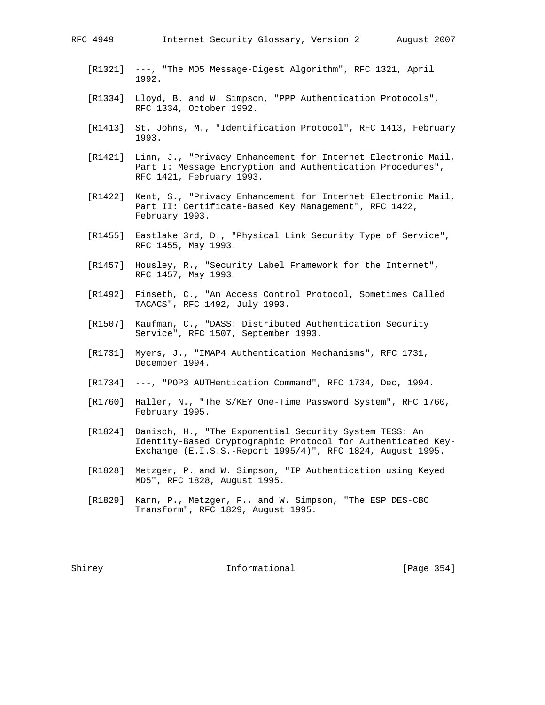- [R1321] ---, "The MD5 Message-Digest Algorithm", RFC 1321, April 1992.
- [R1334] Lloyd, B. and W. Simpson, "PPP Authentication Protocols", RFC 1334, October 1992.
- [R1413] St. Johns, M., "Identification Protocol", RFC 1413, February 1993.
- [R1421] Linn, J., "Privacy Enhancement for Internet Electronic Mail, Part I: Message Encryption and Authentication Procedures", RFC 1421, February 1993.
- [R1422] Kent, S., "Privacy Enhancement for Internet Electronic Mail, Part II: Certificate-Based Key Management", RFC 1422, February 1993.
- [R1455] Eastlake 3rd, D., "Physical Link Security Type of Service", RFC 1455, May 1993.
- [R1457] Housley, R., "Security Label Framework for the Internet", RFC 1457, May 1993.
- [R1492] Finseth, C., "An Access Control Protocol, Sometimes Called TACACS", RFC 1492, July 1993.
- [R1507] Kaufman, C., "DASS: Distributed Authentication Security Service", RFC 1507, September 1993.
- [R1731] Myers, J., "IMAP4 Authentication Mechanisms", RFC 1731, December 1994.
- [R1734] ---, "POP3 AUTHentication Command", RFC 1734, Dec, 1994.
- [R1760] Haller, N., "The S/KEY One-Time Password System", RFC 1760, February 1995.
- [R1824] Danisch, H., "The Exponential Security System TESS: An Identity-Based Cryptographic Protocol for Authenticated Key- Exchange (E.I.S.S.-Report 1995/4)", RFC 1824, August 1995.
- [R1828] Metzger, P. and W. Simpson, "IP Authentication using Keyed MD5", RFC 1828, August 1995.
- [R1829] Karn, P., Metzger, P., and W. Simpson, "The ESP DES-CBC Transform", RFC 1829, August 1995.

Shirey **Informational** [Page 354]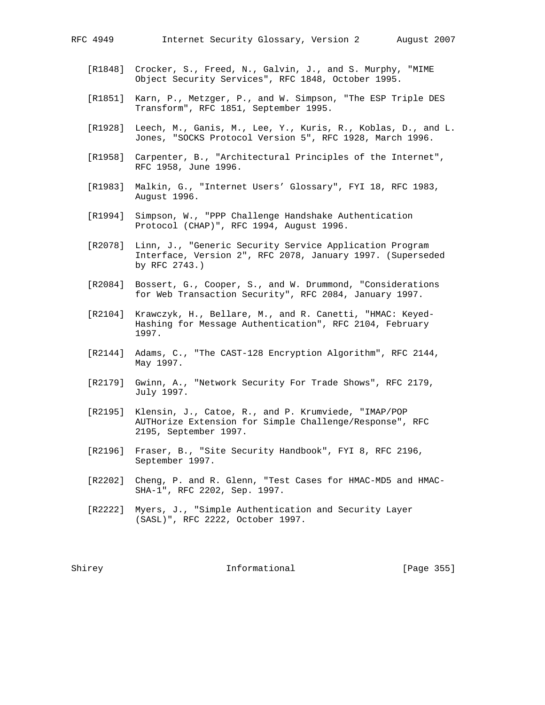- [R1848] Crocker, S., Freed, N., Galvin, J., and S. Murphy, "MIME Object Security Services", RFC 1848, October 1995.
- [R1851] Karn, P., Metzger, P., and W. Simpson, "The ESP Triple DES Transform", RFC 1851, September 1995.
- [R1928] Leech, M., Ganis, M., Lee, Y., Kuris, R., Koblas, D., and L. Jones, "SOCKS Protocol Version 5", RFC 1928, March 1996.
- [R1958] Carpenter, B., "Architectural Principles of the Internet", RFC 1958, June 1996.
- [R1983] Malkin, G., "Internet Users' Glossary", FYI 18, RFC 1983, August 1996.
- [R1994] Simpson, W., "PPP Challenge Handshake Authentication Protocol (CHAP)", RFC 1994, August 1996.
- [R2078] Linn, J., "Generic Security Service Application Program Interface, Version 2", RFC 2078, January 1997. (Superseded by RFC 2743.)
- [R2084] Bossert, G., Cooper, S., and W. Drummond, "Considerations for Web Transaction Security", RFC 2084, January 1997.
- [R2104] Krawczyk, H., Bellare, M., and R. Canetti, "HMAC: Keyed- Hashing for Message Authentication", RFC 2104, February 1997.
- [R2144] Adams, C., "The CAST-128 Encryption Algorithm", RFC 2144, May 1997.
- [R2179] Gwinn, A., "Network Security For Trade Shows", RFC 2179, July 1997.
- [R2195] Klensin, J., Catoe, R., and P. Krumviede, "IMAP/POP AUTHorize Extension for Simple Challenge/Response", RFC 2195, September 1997.
- [R2196] Fraser, B., "Site Security Handbook", FYI 8, RFC 2196, September 1997.
- [R2202] Cheng, P. and R. Glenn, "Test Cases for HMAC-MD5 and HMAC- SHA-1", RFC 2202, Sep. 1997.
- [R2222] Myers, J., "Simple Authentication and Security Layer (SASL)", RFC 2222, October 1997.

Shirey **Informational** [Page 355]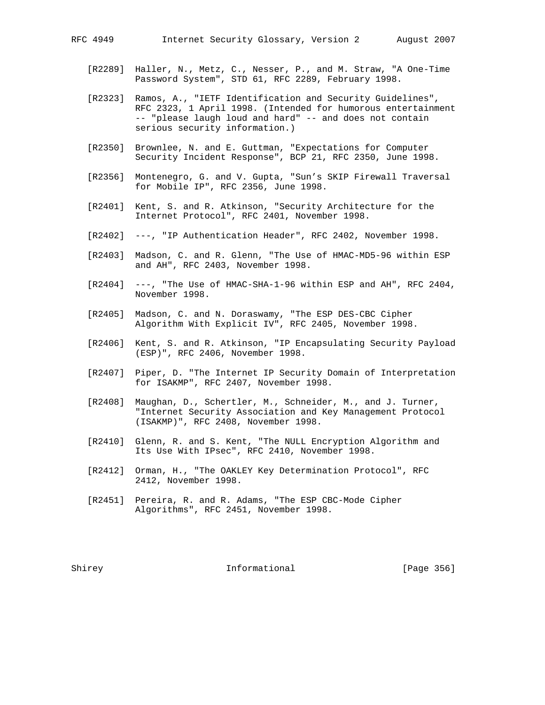- [R2289] Haller, N., Metz, C., Nesser, P., and M. Straw, "A One-Time Password System", STD 61, RFC 2289, February 1998.
- [R2323] Ramos, A., "IETF Identification and Security Guidelines", RFC 2323, 1 April 1998. (Intended for humorous entertainment -- "please laugh loud and hard" -- and does not contain serious security information.)
- [R2350] Brownlee, N. and E. Guttman, "Expectations for Computer Security Incident Response", BCP 21, RFC 2350, June 1998.
- [R2356] Montenegro, G. and V. Gupta, "Sun's SKIP Firewall Traversal for Mobile IP", RFC 2356, June 1998.
- [R2401] Kent, S. and R. Atkinson, "Security Architecture for the Internet Protocol", RFC 2401, November 1998.
- [R2402] ---, "IP Authentication Header", RFC 2402, November 1998.
- [R2403] Madson, C. and R. Glenn, "The Use of HMAC-MD5-96 within ESP and AH", RFC 2403, November 1998.
- [R2404] ---, "The Use of HMAC-SHA-1-96 within ESP and AH", RFC 2404, November 1998.
- [R2405] Madson, C. and N. Doraswamy, "The ESP DES-CBC Cipher Algorithm With Explicit IV", RFC 2405, November 1998.
	- [R2406] Kent, S. and R. Atkinson, "IP Encapsulating Security Payload (ESP)", RFC 2406, November 1998.
	- [R2407] Piper, D. "The Internet IP Security Domain of Interpretation for ISAKMP", RFC 2407, November 1998.
	- [R2408] Maughan, D., Schertler, M., Schneider, M., and J. Turner, "Internet Security Association and Key Management Protocol (ISAKMP)", RFC 2408, November 1998.
	- [R2410] Glenn, R. and S. Kent, "The NULL Encryption Algorithm and Its Use With IPsec", RFC 2410, November 1998.
	- [R2412] Orman, H., "The OAKLEY Key Determination Protocol", RFC 2412, November 1998.
	- [R2451] Pereira, R. and R. Adams, "The ESP CBC-Mode Cipher Algorithms", RFC 2451, November 1998.

Shirey **Informational** [Page 356]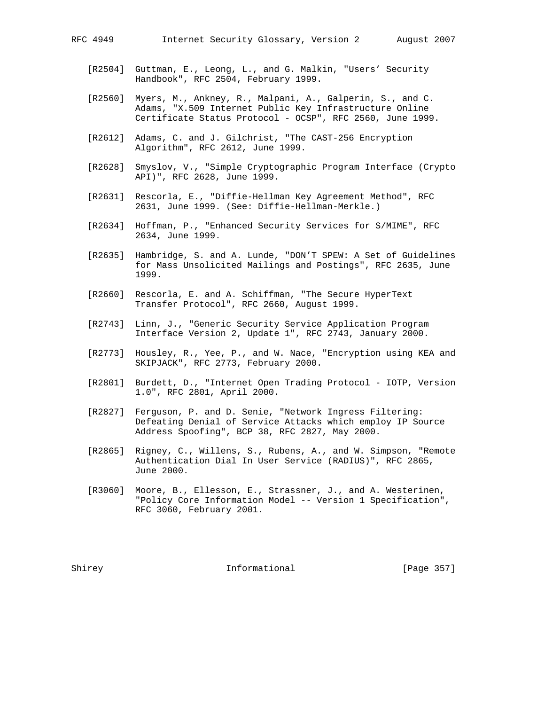- [R2504] Guttman, E., Leong, L., and G. Malkin, "Users' Security Handbook", RFC 2504, February 1999.
- [R2560] Myers, M., Ankney, R., Malpani, A., Galperin, S., and C. Adams, "X.509 Internet Public Key Infrastructure Online Certificate Status Protocol - OCSP", RFC 2560, June 1999.
- [R2612] Adams, C. and J. Gilchrist, "The CAST-256 Encryption Algorithm", RFC 2612, June 1999.
- [R2628] Smyslov, V., "Simple Cryptographic Program Interface (Crypto API)", RFC 2628, June 1999.
- [R2631] Rescorla, E., "Diffie-Hellman Key Agreement Method", RFC 2631, June 1999. (See: Diffie-Hellman-Merkle.)
- [R2634] Hoffman, P., "Enhanced Security Services for S/MIME", RFC 2634, June 1999.
- [R2635] Hambridge, S. and A. Lunde, "DON'T SPEW: A Set of Guidelines for Mass Unsolicited Mailings and Postings", RFC 2635, June 1999.
- [R2660] Rescorla, E. and A. Schiffman, "The Secure HyperText Transfer Protocol", RFC 2660, August 1999.
- [R2743] Linn, J., "Generic Security Service Application Program Interface Version 2, Update 1", RFC 2743, January 2000.
- [R2773] Housley, R., Yee, P., and W. Nace, "Encryption using KEA and SKIPJACK", RFC 2773, February 2000.
- [R2801] Burdett, D., "Internet Open Trading Protocol IOTP, Version 1.0", RFC 2801, April 2000.
- [R2827] Ferguson, P. and D. Senie, "Network Ingress Filtering: Defeating Denial of Service Attacks which employ IP Source Address Spoofing", BCP 38, RFC 2827, May 2000.
- [R2865] Rigney, C., Willens, S., Rubens, A., and W. Simpson, "Remote Authentication Dial In User Service (RADIUS)", RFC 2865, June 2000.
- [R3060] Moore, B., Ellesson, E., Strassner, J., and A. Westerinen, "Policy Core Information Model -- Version 1 Specification", RFC 3060, February 2001.

Shirey **Informational** [Page 357]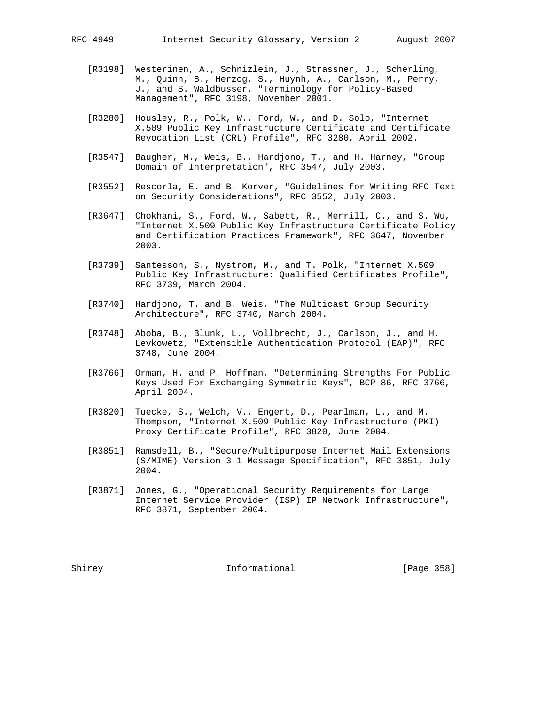- [R3198] Westerinen, A., Schnizlein, J., Strassner, J., Scherling, M., Quinn, B., Herzog, S., Huynh, A., Carlson, M., Perry, J., and S. Waldbusser, "Terminology for Policy-Based Management", RFC 3198, November 2001.
	- [R3280] Housley, R., Polk, W., Ford, W., and D. Solo, "Internet X.509 Public Key Infrastructure Certificate and Certificate Revocation List (CRL) Profile", RFC 3280, April 2002.
	- [R3547] Baugher, M., Weis, B., Hardjono, T., and H. Harney, "Group Domain of Interpretation", RFC 3547, July 2003.
	- [R3552] Rescorla, E. and B. Korver, "Guidelines for Writing RFC Text on Security Considerations", RFC 3552, July 2003.
	- [R3647] Chokhani, S., Ford, W., Sabett, R., Merrill, C., and S. Wu, "Internet X.509 Public Key Infrastructure Certificate Policy and Certification Practices Framework", RFC 3647, November 2003.
	- [R3739] Santesson, S., Nystrom, M., and T. Polk, "Internet X.509 Public Key Infrastructure: Qualified Certificates Profile", RFC 3739, March 2004.
	- [R3740] Hardjono, T. and B. Weis, "The Multicast Group Security Architecture", RFC 3740, March 2004.
	- [R3748] Aboba, B., Blunk, L., Vollbrecht, J., Carlson, J., and H. Levkowetz, "Extensible Authentication Protocol (EAP)", RFC 3748, June 2004.
	- [R3766] Orman, H. and P. Hoffman, "Determining Strengths For Public Keys Used For Exchanging Symmetric Keys", BCP 86, RFC 3766, April 2004.
	- [R3820] Tuecke, S., Welch, V., Engert, D., Pearlman, L., and M. Thompson, "Internet X.509 Public Key Infrastructure (PKI) Proxy Certificate Profile", RFC 3820, June 2004.
	- [R3851] Ramsdell, B., "Secure/Multipurpose Internet Mail Extensions (S/MIME) Version 3.1 Message Specification", RFC 3851, July 2004.
	- [R3871] Jones, G., "Operational Security Requirements for Large Internet Service Provider (ISP) IP Network Infrastructure", RFC 3871, September 2004.

Shirey **Informational** [Page 358]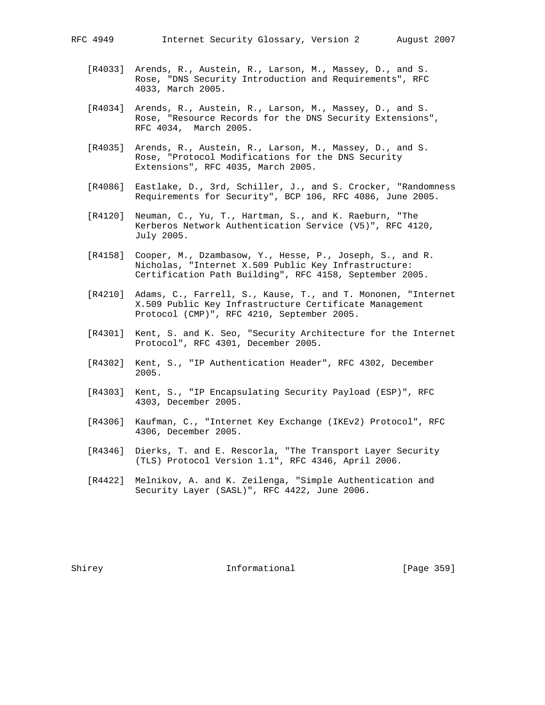- [R4033] Arends, R., Austein, R., Larson, M., Massey, D., and S. Rose, "DNS Security Introduction and Requirements", RFC 4033, March 2005.
- [R4034] Arends, R., Austein, R., Larson, M., Massey, D., and S. Rose, "Resource Records for the DNS Security Extensions", RFC 4034, March 2005.
- [R4035] Arends, R., Austein, R., Larson, M., Massey, D., and S. Rose, "Protocol Modifications for the DNS Security Extensions", RFC 4035, March 2005.
- [R4086] Eastlake, D., 3rd, Schiller, J., and S. Crocker, "Randomness Requirements for Security", BCP 106, RFC 4086, June 2005.
- [R4120] Neuman, C., Yu, T., Hartman, S., and K. Raeburn, "The Kerberos Network Authentication Service (V5)", RFC 4120, July 2005.
- [R4158] Cooper, M., Dzambasow, Y., Hesse, P., Joseph, S., and R. Nicholas, "Internet X.509 Public Key Infrastructure: Certification Path Building", RFC 4158, September 2005.
- [R4210] Adams, C., Farrell, S., Kause, T., and T. Mononen, "Internet X.509 Public Key Infrastructure Certificate Management Protocol (CMP)", RFC 4210, September 2005.
- [R4301] Kent, S. and K. Seo, "Security Architecture for the Internet Protocol", RFC 4301, December 2005.
- [R4302] Kent, S., "IP Authentication Header", RFC 4302, December 2005.
- [R4303] Kent, S., "IP Encapsulating Security Payload (ESP)", RFC 4303, December 2005.
- [R4306] Kaufman, C., "Internet Key Exchange (IKEv2) Protocol", RFC 4306, December 2005.
- [R4346] Dierks, T. and E. Rescorla, "The Transport Layer Security (TLS) Protocol Version 1.1", RFC 4346, April 2006.
	- [R4422] Melnikov, A. and K. Zeilenga, "Simple Authentication and Security Layer (SASL)", RFC 4422, June 2006.

Shirey **Informational** [Page 359]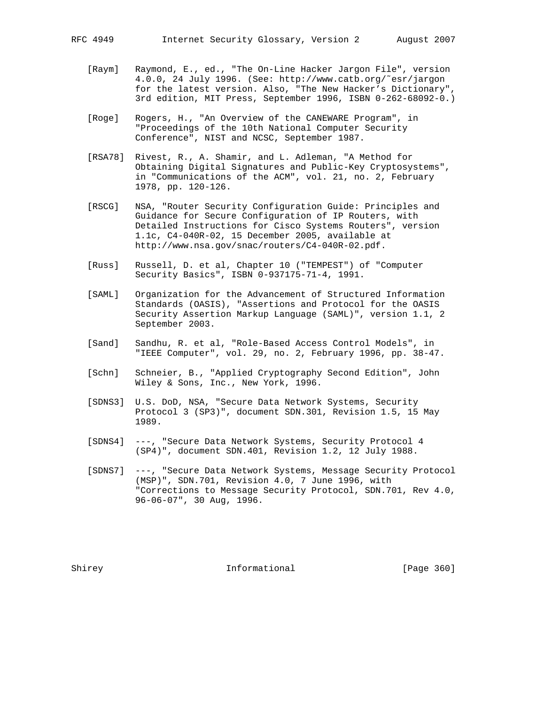- [Raym] Raymond, E., ed., "The On-Line Hacker Jargon File", version 4.0.0, 24 July 1996. (See: http://www.catb.org/˜esr/jargon for the latest version. Also, "The New Hacker's Dictionary", 3rd edition, MIT Press, September 1996, ISBN 0-262-68092-0.)
- [Roge] Rogers, H., "An Overview of the CANEWARE Program", in "Proceedings of the 10th National Computer Security Conference", NIST and NCSC, September 1987.
- [RSA78] Rivest, R., A. Shamir, and L. Adleman, "A Method for Obtaining Digital Signatures and Public-Key Cryptosystems", in "Communications of the ACM", vol. 21, no. 2, February 1978, pp. 120-126.
- [RSCG] NSA, "Router Security Configuration Guide: Principles and Guidance for Secure Configuration of IP Routers, with Detailed Instructions for Cisco Systems Routers", version 1.1c, C4-040R-02, 15 December 2005, available at http://www.nsa.gov/snac/routers/C4-040R-02.pdf.
- [Russ] Russell, D. et al, Chapter 10 ("TEMPEST") of "Computer Security Basics", ISBN 0-937175-71-4, 1991.
- [SAML] Organization for the Advancement of Structured Information Standards (OASIS), "Assertions and Protocol for the OASIS Security Assertion Markup Language (SAML)", version 1.1, 2 September 2003.
- [Sand] Sandhu, R. et al, "Role-Based Access Control Models", in "IEEE Computer", vol. 29, no. 2, February 1996, pp. 38-47.
- [Schn] Schneier, B., "Applied Cryptography Second Edition", John Wiley & Sons, Inc., New York, 1996.
- [SDNS3] U.S. DoD, NSA, "Secure Data Network Systems, Security Protocol 3 (SP3)", document SDN.301, Revision 1.5, 15 May 1989.
- [SDNS4] ---, "Secure Data Network Systems, Security Protocol 4 (SP4)", document SDN.401, Revision 1.2, 12 July 1988.
- [SDNS7] ---, "Secure Data Network Systems, Message Security Protocol (MSP)", SDN.701, Revision 4.0, 7 June 1996, with "Corrections to Message Security Protocol, SDN.701, Rev 4.0, 96-06-07", 30 Aug, 1996.

Shirey **Informational** [Page 360]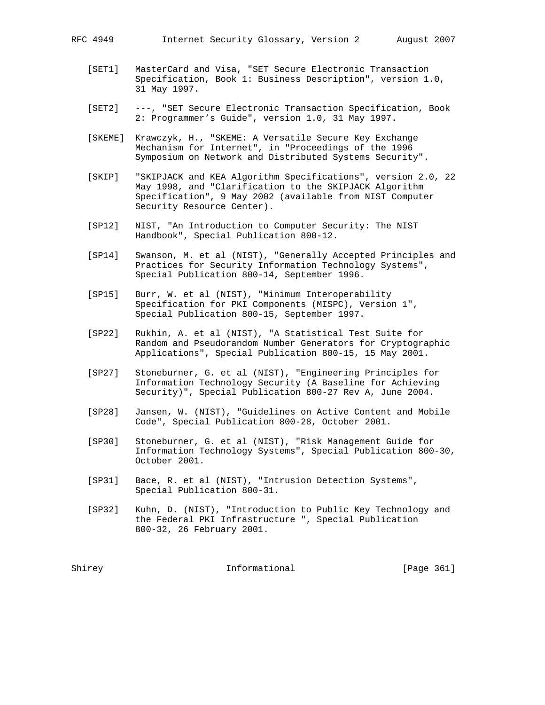- 
- [SET1] MasterCard and Visa, "SET Secure Electronic Transaction Specification, Book 1: Business Description", version 1.0, 31 May 1997.
- [SET2] ---, "SET Secure Electronic Transaction Specification, Book 2: Programmer's Guide", version 1.0, 31 May 1997.
- [SKEME] Krawczyk, H., "SKEME: A Versatile Secure Key Exchange Mechanism for Internet", in "Proceedings of the 1996 Symposium on Network and Distributed Systems Security".
- [SKIP] "SKIPJACK and KEA Algorithm Specifications", version 2.0, 22 May 1998, and "Clarification to the SKIPJACK Algorithm Specification", 9 May 2002 (available from NIST Computer Security Resource Center).
- [SP12] NIST, "An Introduction to Computer Security: The NIST Handbook", Special Publication 800-12.
- [SP14] Swanson, M. et al (NIST), "Generally Accepted Principles and Practices for Security Information Technology Systems", Special Publication 800-14, September 1996.
- [SP15] Burr, W. et al (NIST), "Minimum Interoperability Specification for PKI Components (MISPC), Version 1", Special Publication 800-15, September 1997.
- [SP22] Rukhin, A. et al (NIST), "A Statistical Test Suite for Random and Pseudorandom Number Generators for Cryptographic Applications", Special Publication 800-15, 15 May 2001.
- [SP27] Stoneburner, G. et al (NIST), "Engineering Principles for Information Technology Security (A Baseline for Achieving Security)", Special Publication 800-27 Rev A, June 2004.
- [SP28] Jansen, W. (NIST), "Guidelines on Active Content and Mobile Code", Special Publication 800-28, October 2001.
- [SP30] Stoneburner, G. et al (NIST), "Risk Management Guide for Information Technology Systems", Special Publication 800-30, October 2001.
- [SP31] Bace, R. et al (NIST), "Intrusion Detection Systems", Special Publication 800-31.
- [SP32] Kuhn, D. (NIST), "Introduction to Public Key Technology and the Federal PKI Infrastructure ", Special Publication 800-32, 26 February 2001.

Shirey **Informational** [Page 361]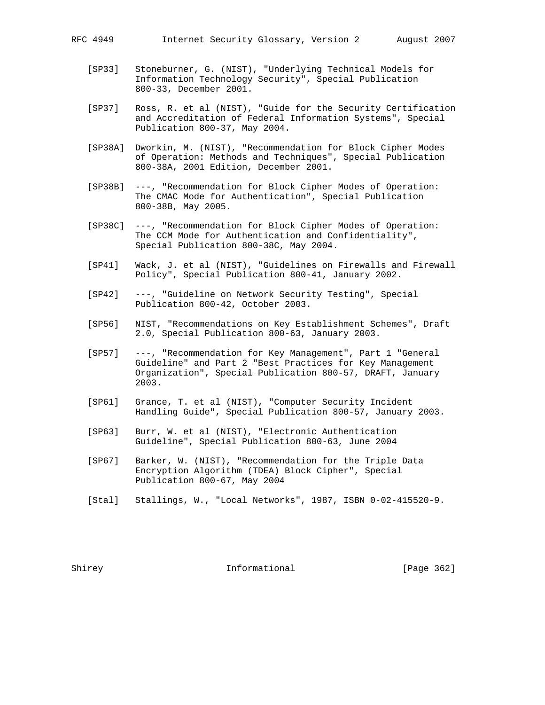- [SP33] Stoneburner, G. (NIST), "Underlying Technical Models for Information Technology Security", Special Publication 800-33, December 2001.
- [SP37] Ross, R. et al (NIST), "Guide for the Security Certification and Accreditation of Federal Information Systems", Special Publication 800-37, May 2004.
- [SP38A] Dworkin, M. (NIST), "Recommendation for Block Cipher Modes of Operation: Methods and Techniques", Special Publication 800-38A, 2001 Edition, December 2001.
- [SP38B] ---, "Recommendation for Block Cipher Modes of Operation: The CMAC Mode for Authentication", Special Publication 800-38B, May 2005.
- [SP38C] ---, "Recommendation for Block Cipher Modes of Operation: The CCM Mode for Authentication and Confidentiality", Special Publication 800-38C, May 2004.
- [SP41] Wack, J. et al (NIST), "Guidelines on Firewalls and Firewall Policy", Special Publication 800-41, January 2002.
- [SP42] ---, "Guideline on Network Security Testing", Special Publication 800-42, October 2003.
- [SP56] NIST, "Recommendations on Key Establishment Schemes", Draft 2.0, Special Publication 800-63, January 2003.
- [SP57] ---, "Recommendation for Key Management", Part 1 "General Guideline" and Part 2 "Best Practices for Key Management Organization", Special Publication 800-57, DRAFT, January 2003.
- [SP61] Grance, T. et al (NIST), "Computer Security Incident Handling Guide", Special Publication 800-57, January 2003.
- [SP63] Burr, W. et al (NIST), "Electronic Authentication Guideline", Special Publication 800-63, June 2004
- [SP67] Barker, W. (NIST), "Recommendation for the Triple Data Encryption Algorithm (TDEA) Block Cipher", Special Publication 800-67, May 2004
- [Stal] Stallings, W., "Local Networks", 1987, ISBN 0-02-415520-9.

Shirey **Informational** [Page 362]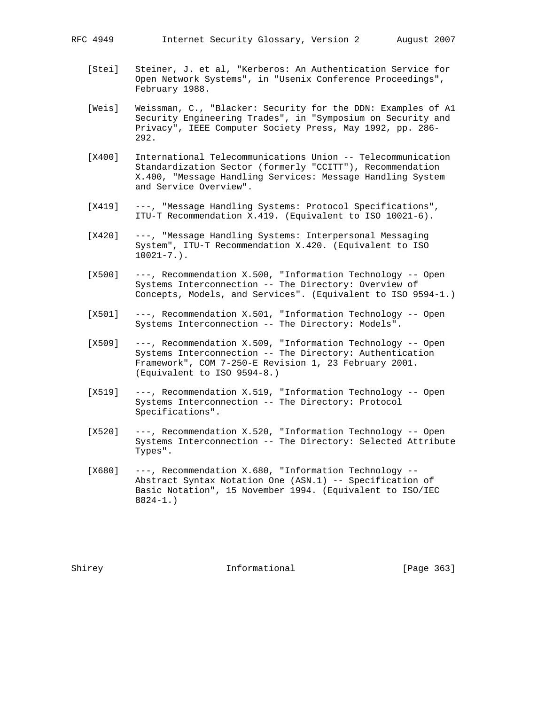- [Stei] Steiner, J. et al, "Kerberos: An Authentication Service for Open Network Systems", in "Usenix Conference Proceedings", February 1988.
- [Weis] Weissman, C., "Blacker: Security for the DDN: Examples of A1 Security Engineering Trades", in "Symposium on Security and Privacy", IEEE Computer Society Press, May 1992, pp. 286- 292.
- [X400] International Telecommunications Union -- Telecommunication Standardization Sector (formerly "CCITT"), Recommendation X.400, "Message Handling Services: Message Handling System and Service Overview".
- [X419] ---, "Message Handling Systems: Protocol Specifications", ITU-T Recommendation X.419. (Equivalent to ISO 10021-6).
- [X420] ---, "Message Handling Systems: Interpersonal Messaging System", ITU-T Recommendation X.420. (Equivalent to ISO  $10021 - 7.$ ).
- [X500] ---, Recommendation X.500, "Information Technology -- Open Systems Interconnection -- The Directory: Overview of Concepts, Models, and Services". (Equivalent to ISO 9594-1.)
- [X501] ---, Recommendation X.501, "Information Technology -- Open Systems Interconnection -- The Directory: Models".
- [X509] ---, Recommendation X.509, "Information Technology -- Open Systems Interconnection -- The Directory: Authentication Framework", COM 7-250-E Revision 1, 23 February 2001. (Equivalent to ISO 9594-8.)
- [X519] ---, Recommendation X.519, "Information Technology -- Open Systems Interconnection -- The Directory: Protocol Specifications".
- [X520] ---, Recommendation X.520, "Information Technology -- Open Systems Interconnection -- The Directory: Selected Attribute Types".
- [X680] ---, Recommendation X.680, "Information Technology -- Abstract Syntax Notation One (ASN.1) -- Specification of Basic Notation", 15 November 1994. (Equivalent to ISO/IEC 8824-1.)

Shirey **Informational** [Page 363]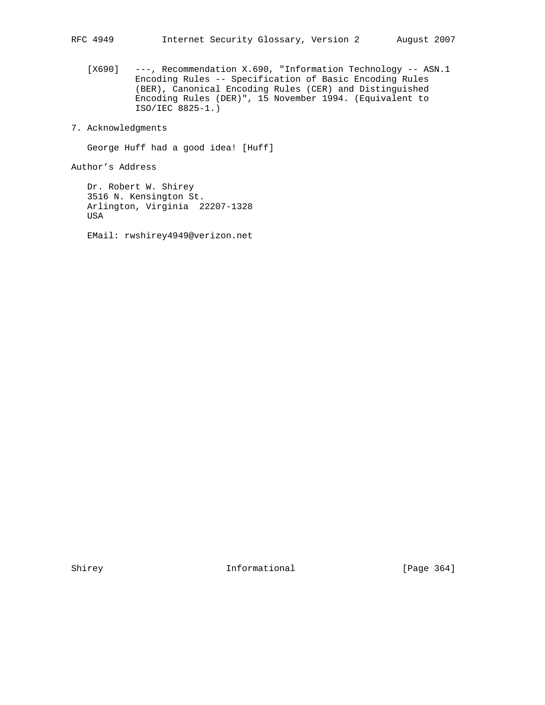[X690] ---, Recommendation X.690, "Information Technology -- ASN.1 Encoding Rules -- Specification of Basic Encoding Rules (BER), Canonical Encoding Rules (CER) and Distinguished Encoding Rules (DER)", 15 November 1994. (Equivalent to ISO/IEC 8825-1.)

7. Acknowledgments

George Huff had a good idea! [Huff]

Author's Address

 Dr. Robert W. Shirey 3516 N. Kensington St. Arlington, Virginia 22207-1328 USA

EMail: rwshirey4949@verizon.net

Shirey **Informational** [Page 364]